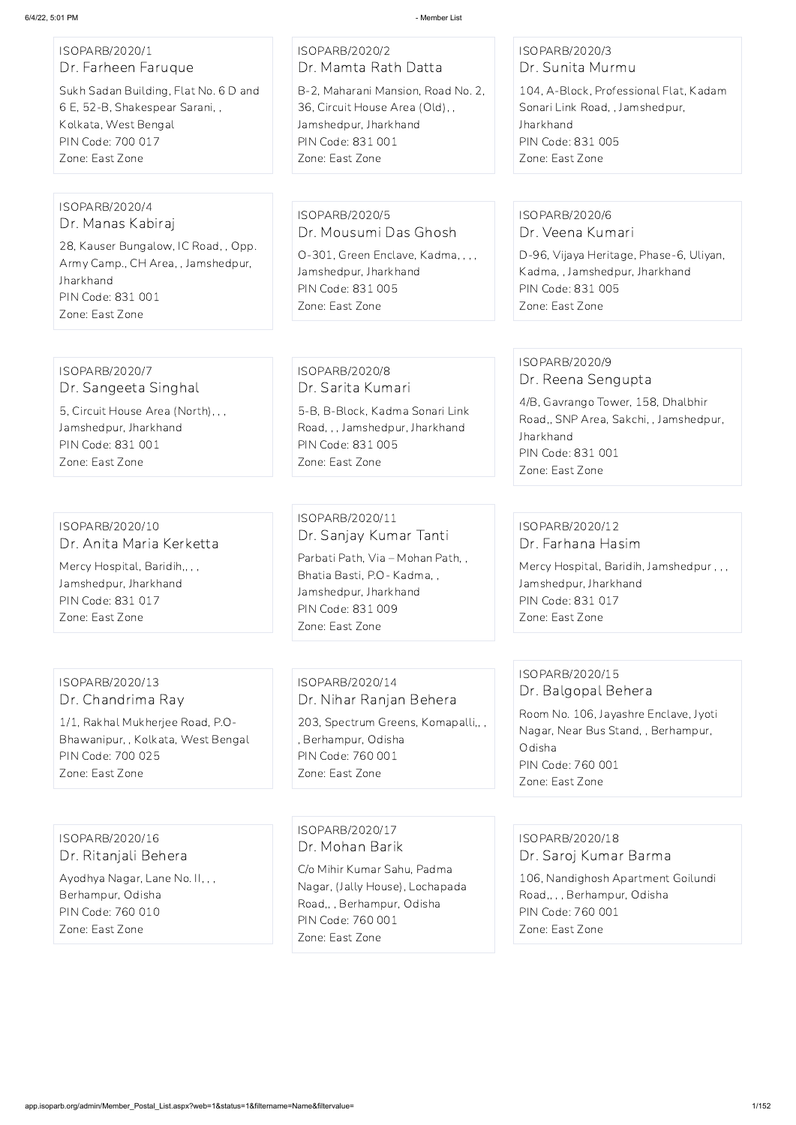#### ISOPARB/2020/1 Dr. Farheen Faruque

Sukh Sadan Building, Flat No. 6 D and 6 E, 52-B, Shakespear Sarani, , Kolkata, West Bengal PIN Code: 700 017 Zone: East Zone

#### ISOPARB/2020/2 Dr. Mamta Rath Datta B-2, Maharani Mansion, Road No. 2, 36, Circuit House Area (Old), , Jamshedpur, Jharkhand

PIN Code: 831 001 Zone: East Zone

#### ISOPARB/2020/3 Dr. Sunita Murmu

104, A-Block, Professional Flat, Kadam Sonari Link Road, , Jamshedpur, **Jharkhand** PIN Code: 831 005 Zone: East Zone

#### ISOPARB/2020/4 Dr. Manas Kabiraj

28, Kauser Bungalow, IC Road, , Opp. Army Camp., CH Area, , Jamshedpur, Jharkhand PIN Code: 831 001 Zone: East Zone

ISOPARB/2020/5 Dr. Mousumi Das Ghosh O-301, Green Enclave, Kadma, , , , Jamshedpur, Jharkhand PIN Code: 831 005

Zone: East Zone

#### ISOPARB/2020/6 Dr. Veena Kumari

D-96, Vijaya Heritage, Phase-6, Uliyan, Kadma, , Jamshedpur, Jharkhand PIN Code: 831 005 Zone: East Zone

# ISOPARB/2020/7

Dr. Sangeeta Singhal

5, Circuit House Area (North), , , Jamshedpur, Jharkhand PIN Code: 831 001 Zone: East Zone

#### ISOPARB/2020/8 Dr. Sarita Kumari

5-B, B-Block, Kadma Sonari Link Road, , , Jamshedpur, Jharkhand PIN Code: 831 005 Zone: East Zone

# ISOPARB/2020/9

Dr. Reena Sengupta

4/B, Gavrango Tower, 158, Dhalbhir Road,, SNP Area, Sakchi, , Jamshedpur, Jharkhand PIN Code: 831 001 Zone: East Zone

#### ISOPARB/2020/10 Dr. Anita Maria Kerketta

Mercy Hospital, Baridih,, , , Jamshedpur, Jharkhand PIN Code: 831 017 Zone: East Zone

# ISOPARB/2020/11 Dr. Sanjay Kumar Tanti

Parbati Path, Via – Mohan Path, , Bhatia Basti, P.O- Kadma, , Jamshedpur, Jharkhand PIN Code: 831 009 Zone: East Zone

#### ISOPARB/2020/12 Dr. Farhana Hasim

Mercy Hospital, Baridih, Jamshedpur , , , Jamshedpur, Jharkhand PIN Code: 831 017 Zone: East Zone

#### ISOPARB/2020/13 Dr. Chandrima Ray

1/1, Rakhal Mukherjee Road, P.O-Bhawanipur, , Kolkata, West Bengal PIN Code: 700 025 Zone: East Zone

# ISOPARB/2020/14 Dr. Nihar Ranjan Behera

203, Spectrum Greens, Komapalli,, , , Berhampur, Odisha PIN Code: 760 001 Zone: East Zone

#### ISOPARB/2020/15 Dr. Balgopal Behera

Room No. 106, Jayashre Enclave, Jyoti Nagar, Near Bus Stand, , Berhampur, Odisha PIN Code: 760 001 Zone: East Zone

ISOPARB/2020/16

#### Dr. Ritanjali Behera

Ayodhya Nagar, Lane No. II, , , Berhampur, Odisha PIN Code: 760 010 Zone: East Zone

ISOPARB/2020/17 Dr. Mohan Barik

C/o Mihir Kumar Sahu, Padma Nagar, (Jally House), Lochapada Road,, , Berhampur, Odisha PIN Code: 760 001 Zone: East Zone

#### ISOPARB/2020/18

Dr. Saroj Kumar Barma

106, Nandighosh Apartment Goilundi Road,, , , Berhampur, Odisha PIN Code: 760 001 Zone: East Zone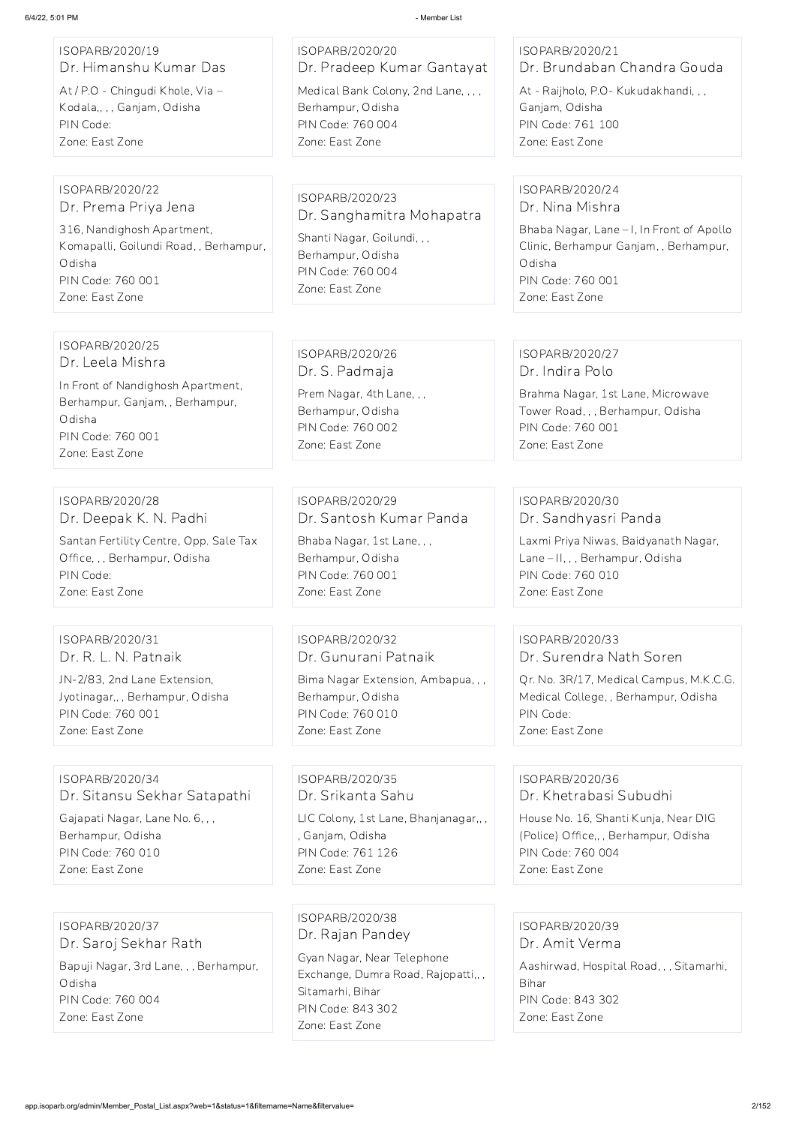h Nagar, Lane – II, , , Berhampur, Odisha

is, M.K.C.G. Odisha

| ISOPARB/2020/19                                                                                                                                                   | ISOPARB/2020/20                                                                                                                          | ISOPARB/2020/21                                                                                                                                            |
|-------------------------------------------------------------------------------------------------------------------------------------------------------------------|------------------------------------------------------------------------------------------------------------------------------------------|------------------------------------------------------------------------------------------------------------------------------------------------------------|
| Dr. Himanshu Kumar Das                                                                                                                                            | Dr. Pradeep Kumar Gantayat                                                                                                               | Dr. Brundaban Chandra (                                                                                                                                    |
| At / P.O - Chingudi Khole, Via -                                                                                                                                  | Medical Bank Colony, 2nd Lane, , , ,                                                                                                     | At - Raijholo, P.O - Kukudakhand                                                                                                                           |
| Kodala,,,, Ganjam, Odisha                                                                                                                                         | Berhampur, Odisha                                                                                                                        | Ganjam, Odisha                                                                                                                                             |
| PIN Code:                                                                                                                                                         | PIN Code: 760 004                                                                                                                        | PIN Code: 761 100                                                                                                                                          |
| Zone: East Zone                                                                                                                                                   | Zone: East Zone                                                                                                                          | Zone: East Zone                                                                                                                                            |
| ISOPARB/2020/22<br>Dr. Prema Priya Jena<br>316, Nandighosh Apartment,<br>Komapalli, Goilundi Road, , Berhampur,<br>Odisha<br>PIN Code: 760 001<br>Zone: East Zone | ISOPARB/2020/23<br>Dr. Sanghamitra Mohapatra<br>Shanti Nagar, Goilundi, , ,<br>Berhampur, Odisha<br>PIN Code: 760 004<br>Zone: East Zone | ISOPARB/2020/24<br>Dr. Nina Mishra<br>Bhaba Nagar, Lane - I, In Front<br>Clinic, Berhampur Ganjam, , Ber<br>Odisha<br>PIN Code: 760 001<br>Zone: East Zone |
| ISOPARB/2020/25<br>Dr. Leela Mishra<br>In Front of Nandighosh Apartment,<br>Berhampur, Ganjam, , Berhampur,<br>Odisha<br>PIN Code: 760 001<br>Zone: East Zone     | ISOPARB/2020/26<br>Dr. S. Padmaja<br>Prem Nagar, 4th Lane, , ,<br>Berhampur, Odisha<br>PIN Code: 760 002<br>Zone: East Zone              | ISOPARB/2020/27<br>Dr. Indira Polo<br>Brahma Nagar, 1st Lane, Microv<br>Tower Road, , , Berhampur, Odis<br>PIN Code: 760 001<br>Zone: East Zone            |
| ISOPARB/2020/28                                                                                                                                                   | ISOPARB/2020/29                                                                                                                          | ISOPARB/2020/30                                                                                                                                            |
| Dr. Deepak K. N. Padhi                                                                                                                                            | Dr. Santosh Kumar Panda                                                                                                                  | Dr. Sandhyasri Panda                                                                                                                                       |
| Santan Fertility Centre, Opp. Sale Tax                                                                                                                            | Bhaba Nagar, 1st Lane, , ,                                                                                                               | Laxmi Priya Niwas, Baidyanath                                                                                                                              |
| Office, , , Berhampur, Odisha                                                                                                                                     | Berhampur, Odisha                                                                                                                        | Lane - II, , , Berhampur, Odisha                                                                                                                           |
| PIN Code:                                                                                                                                                         | PIN Code: 760 001                                                                                                                        | PIN Code: 760 010                                                                                                                                          |
| Zone: East Zone                                                                                                                                                   | Zone: East Zone                                                                                                                          | Zone: East Zone                                                                                                                                            |
| ISOPARB/2020/31                                                                                                                                                   | ISOPARB/2020/32                                                                                                                          | ISOPARB/2020/33                                                                                                                                            |
| Dr. R. L. N. Patnaik                                                                                                                                              | Dr. Gunurani Patnaik                                                                                                                     | Dr. Surendra Nath Soren                                                                                                                                    |
| JN-2/83, 2nd Lane Extension,                                                                                                                                      | Bima Nagar Extension, Ambapua, , ,                                                                                                       | Qr. No. 3R/17, Medical Campus                                                                                                                              |
| Jyotinagar,,, Berhampur, Odisha                                                                                                                                   | Berhampur, Odisha                                                                                                                        | Medical College, , Berhampur, C                                                                                                                            |
| PIN Code: 760 001                                                                                                                                                 | PIN Code: 760 010                                                                                                                        | PIN Code:                                                                                                                                                  |
| Zone: East Zone                                                                                                                                                   | Zone: East Zone                                                                                                                          | Zone: East Zone                                                                                                                                            |
| ISOPARB/2020/34                                                                                                                                                   | ISOPARB/2020/35                                                                                                                          | ISOPARB/2020/36                                                                                                                                            |

ISOPARB/2020/34 Dr. Sitansu Sekhar Satapathi

Gajapati Nagar, Lane No. 6, , , Berhampur, Odisha PIN Code: 760 010 Zone: East Zone

Dr. Srikanta Sahu

LIC Colony, 1st Lane, Bhanjanagar,, , , Ganjam, Odisha PIN Code: 761 126

Gouda

ndi, , ,

t of Apollo erhampur,

owave Iisha

Zone: East Zone

### ISOPARB/2020/36 Dr. Khetrabasi Subudhi

House No. 16, Shanti Kunja, Near DIG (Police) Office,, , Berhampur, Odisha PIN Code: 760 004 Zone: East Zone

ISOPARB/2020/37 Dr. Saroj Sekhar Rath Bapuji Nagar, 3rd Lane, , , Berhampur, Odisha PIN Code: 760 004 Zone: East Zone

ISOPARB/2020/38 Dr. Rajan Pandey

Gyan Nagar, Near Telephone Exchange, Dumra Road, Rajopatti,, , Sitamarhi, Bihar PIN Code: 843 302 Zone: East Zone

ISOPARB/2020/39 Dr. Amit Verma Aashirwad, Hospital Road, , , Sitamarhi, Bihar PIN Code: 843 302 Zone: East Zone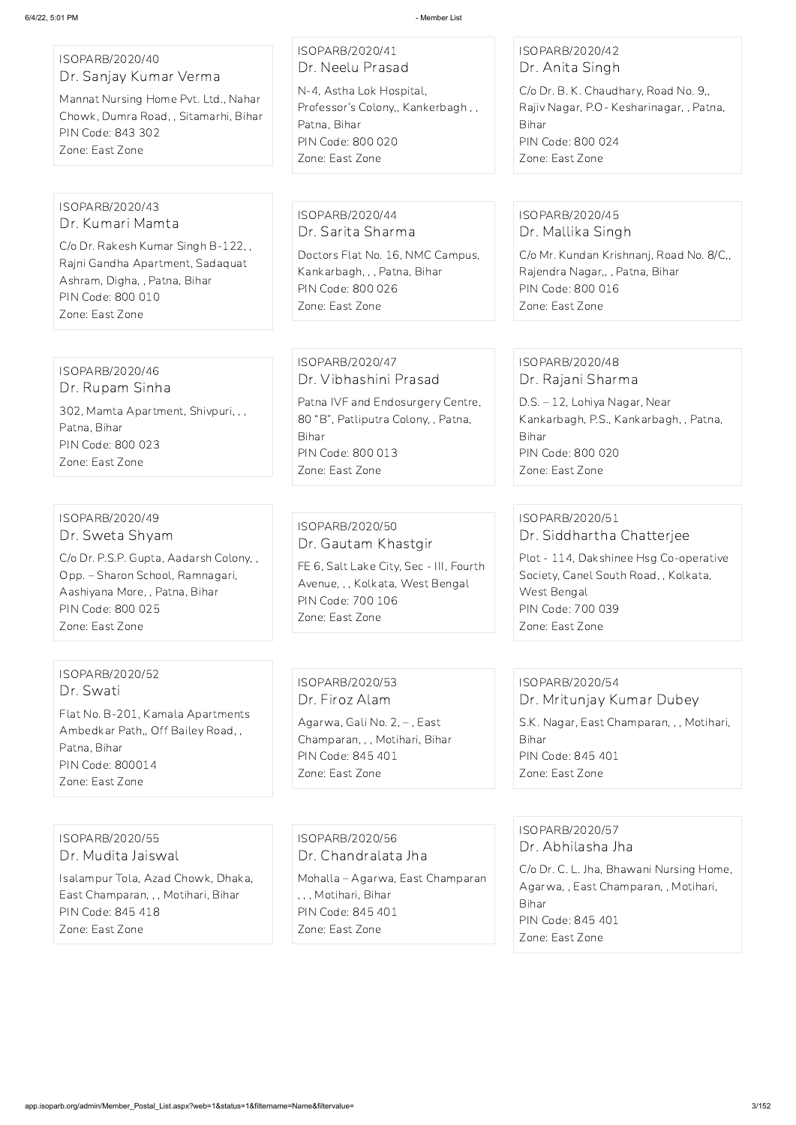| ISOPARB/2020/40<br>Dr. Sanjay Kumar Verma<br>Mannat Nursing Home Pvt. Ltd., Nahar<br>Chowk, Dumra Road,, Sitamarhi, Bihar<br>PIN Code: 843 302<br>Zone: East Zone                         | ISOPARB/2020/41<br>Dr. Neelu Prasad<br>N-4, Astha Lok Hospital,<br>Professor's Colony,, Kankerbagh,,<br>Patna, Bihar<br>PIN Code: 800 020<br>Zone: East Zone          | ISOPARB/2020/42<br>Dr. Anita Singh<br>C/o Dr. B. K. Chaudhary, Road No. 9,,<br>Rajiv Nagar, P.O- Kesharinagar, , Patna,<br>Bihar<br>PIN Code: 800 024<br>Zone: East Zone               |
|-------------------------------------------------------------------------------------------------------------------------------------------------------------------------------------------|-----------------------------------------------------------------------------------------------------------------------------------------------------------------------|----------------------------------------------------------------------------------------------------------------------------------------------------------------------------------------|
| ISOPARB/2020/43<br>Dr. Kumari Mamta<br>C/o Dr. Rakesh Kumar Singh B-122,,<br>Rajni Gandha Apartment, Sadaquat<br>Ashram, Digha, , Patna, Bihar<br>PIN Code: 800 010<br>Zone: East Zone    | ISOPARB/2020/44<br>Dr. Sarita Sharma<br>Doctors Flat No. 16, NMC Campus,<br>Kankarbagh, , , Patna, Bihar<br>PIN Code: 800 026<br>Zone: East Zone                      | ISOPARB/2020/45<br>Dr. Mallika Singh<br>C/o Mr. Kundan Krishnanj, Road No. 8/C,,<br>Rajendra Nagar,, , Patna, Bihar<br>PIN Code: 800 016<br>Zone: East Zone                            |
| ISOPARB/2020/46<br>Dr. Rupam Sinha<br>302, Mamta Apartment, Shivpuri,,,<br>Patna, Bihar<br>PIN Code: 800 023<br>Zone: East Zone                                                           | ISOPARB/2020/47<br>Dr. Vibhashini Prasad<br>Patna IVF and Endosurgery Centre,<br>80 "B", Patliputra Colony, , Patna,<br>Bihar<br>PIN Code: 800 013<br>Zone: East Zone | ISOPARB/2020/48<br>Dr. Rajani Sharma<br>D.S. - 12, Lohiya Nagar, Near<br>Kankarbagh, P.S., Kankarbagh, , Patna,<br>Bihar<br>PIN Code: 800 020<br>Zone: East Zone                       |
| ISOPARB/2020/49<br>Dr. Sweta Shyam<br>C/o Dr. P.S.P. Gupta, Aadarsh Colony,,<br>Opp. – Sharon School, Ramnagari,<br>Aashiyana More,, Patna, Bihar<br>PIN Code: 800 025<br>Zone: East Zone | ISOPARB/2020/50<br>Dr. Gautam Khastgir<br>FE 6, Salt Lake City, Sec - III, Fourth<br>Avenue, , , Kolkata, West Bengal<br>PIN Code: 700 106<br>Zone: East Zone         | ISOPARB/2020/51<br>Dr. Siddhartha Chatterjee<br>Plot - 114, Dakshinee Hsg Co-operative<br>Society, Canel South Road, , Kolkata,<br>West Bengal<br>PIN Code: 700 039<br>Zone: East Zone |
| ISOPARB/2020/52<br>Dr. Swati<br>Flat No. B-201, Kamala Apartments<br>Ambedkar Path,, Off Bailey Road,,                                                                                    | ISOPARB/2020/53<br>Dr. Firoz Alam<br>Agarwa, Gali No. 2, -, East<br>Champaran, , , Motihari, Bihar                                                                    | ISOPARB/2020/54<br>Dr. Mritunjay Kumar Dubey<br>S.K. Nagar, East Champaran, , , Motihari,<br>Bihar                                                                                     |

Patna, Bihar

PIN Code: 800014 Zone: East Zone

PIN Code: 845 401 Zone: East Zone

PIN Code: 845 401 Zone: East Zone

ISOPARB/2020/55

Dr. Mudita Jaiswal

Isalampur Tola, Azad Chowk, Dhaka, East Champaran, , , Motihari, Bihar PIN Code: 845 418 Zone: East Zone

ISOPARB/2020/56

Dr. Chandralata Jha

Mohalla – Agarwa, East Champaran , , , Motihari, Bihar PIN Code: 845 401 Zone: East Zone

ISOPARB/2020/57 Dr. Abhilasha Jha

C/o Dr. C. L. Jha, Bhawani Nursing Home, Agarwa, , East Champaran, , Motihari, Bihar PIN Code: 845 401 Zone: East Zone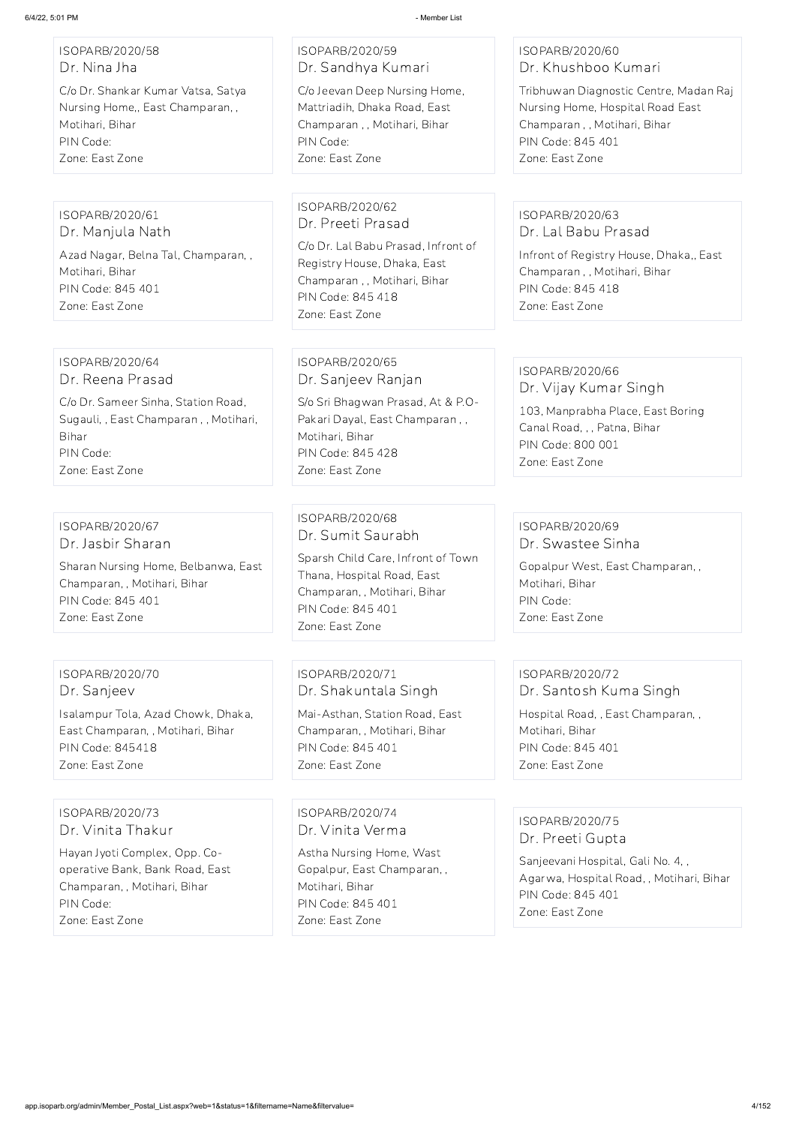#### ISOPARB/2020/58 Dr. Nina Jha

C/o Dr. Shankar Kumar Vatsa, Satya Nursing Home,, East Champaran, , Motihari, Bihar PIN Code: Zone: East Zone

# ISOPARB/2020/59 Dr. Sandhya Kumari

C/o Jeevan Deep Nursing Home, Mattriadih, Dhaka Road, East Champaran , , Motihari, Bihar PIN Code: Zone: East Zone

#### ISOPARB/2020/60 Dr. Khushboo Kumari

Tribhuwan Diagnostic Centre, Madan Raj Nursing Home, Hospital Road East Champaran , , Motihari, Bihar PIN Code: 845 401 Zone: East Zone

#### ISOPARB/2020/61 Dr. Manjula Nath

Azad Nagar, Belna Tal, Champaran, , Motihari, Bihar PIN Code: 845 401 Zone: East Zone

#### ISOPARB/2020/62 Dr. Preeti Prasad

C/o Dr. Lal Babu Prasad, Infront of Registry House, Dhaka, East Champaran , , Motihari, Bihar PIN Code: 845 418 Zone: East Zone

#### ISOPARB/2020/63 Dr. Lal Babu Prasad

Infront of Registry House, Dhaka,, East Champaran , , Motihari, Bihar PIN Code: 845 418 Zone: East Zone

#### ISOPARB/2020/64 Dr. Reena Prasad

C/o Dr. Sameer Sinha, Station Road, Sugauli, , East Champaran , , Motihari, Bihar PIN Code: Zone: East Zone

#### ISOPARB/2020/65 Dr. Sanjeev Ranjan

S/o Sri Bhagwan Prasad, At & P.O-Pakari Dayal, East Champaran , , Motihari, Bihar PIN Code: 845 428 Zone: East Zone

# ISOPARB/2020/66

Dr. Vijay Kumar Singh

103, Manprabha Place, East Boring Canal Road, , , Patna, Bihar PIN Code: 800 001 Zone: East Zone

#### ISOPARB/2020/67 Dr. Jasbir Sharan

Sharan Nursing Home, Belbanwa, East Champaran, , Motihari, Bihar PIN Code: 845 401 Zone: East Zone

#### ISOPARB/2020/68 Dr. Sumit Saurabh

Sparsh Child Care, Infront of Town Thana, Hospital Road, East Champaran, , Motihari, Bihar PIN Code: 845 401 Zone: East Zone

#### ISOPARB/2020/69 Dr. Swastee Sinha

Gopalpur West, East Champaran, , Motihari, Bihar PIN Code: Zone: East Zone

ISOPARB/2020/70 Dr. Sanjeev

Isalampur Tola, Azad Chowk, Dhaka, East Champaran, , Motihari, Bihar PIN Code: 845418 Zone: East Zone

ISOPARB/2020/71 Dr. Shakuntala Singh

Mai-Asthan, Station Road, East Champaran, , Motihari, Bihar PIN Code: 845 401 Zone: East Zone

#### ISOPARB/2020/72 Dr. Santosh Kuma Singh

Hospital Road, , East Champaran, , Motihari, Bihar PIN Code: 845 401 Zone: East Zone

ISOPARB/2020/73 Dr. Vinita Thakur Hayan Jyoti Complex, Opp. Cooperative Bank, Bank Road, East Champaran, , Motihari, Bihar PIN Code: Zone: East Zone

ISOPARB/2020/74 Dr. Vinita Verma Astha Nursing Home, Wast Gopalpur, East Champaran, , Motihari, Bihar PIN Code: 845 401 Zone: East Zone

ISOPARB/2020/75 Dr. Preeti Gupta

Sanjeevani Hospital, Gali No. 4, , Agarwa, Hospital Road, , Motihari, Bihar PIN Code: 845 401 Zone: East Zone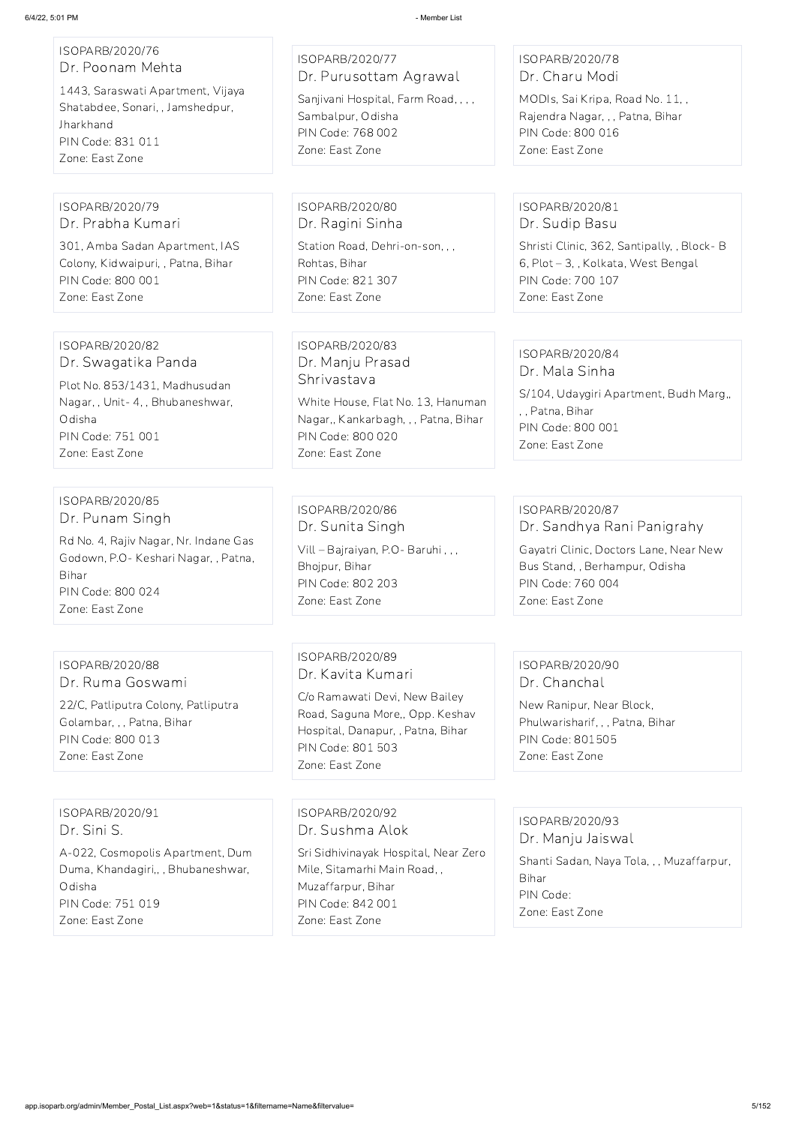| ISOPARB/2020/76<br>Dr. Poonam Mehta                                                                                        | ISOPARB/2020/77<br>Dr. Purusottam Agrawal                                                             | ISOPARB/2020/78<br>Dr. Charu Modi                                                                                         |
|----------------------------------------------------------------------------------------------------------------------------|-------------------------------------------------------------------------------------------------------|---------------------------------------------------------------------------------------------------------------------------|
| 1443, Saraswati Apartment, Vijaya<br>Shatabdee, Sonari, , Jamshedpur,<br>Jharkhand<br>PIN Code: 831 011<br>Zone: East Zone | Sanjivani Hospital, Farm Road, , , ,<br>Sambalpur, Odisha<br>PIN Code: 768 002<br>Zone: East Zone     | MODIs, Sai Kripa, Road No. 11,,<br>Rajendra Nagar, , , Patna, Bihar<br>PIN Code: 800 016<br>Zone: East Zone               |
|                                                                                                                            |                                                                                                       |                                                                                                                           |
| ISOPARB/2020/79<br>Dr. Prabha Kumari                                                                                       | ISOPARB/2020/80<br>Dr. Ragini Sinha                                                                   | ISOPARB/2020/81<br>Dr. Sudip Basu                                                                                         |
| 301, Amba Sadan Apartment, IAS<br>Colony, Kidwaipuri, , Patna, Bihar<br>PIN Code: 800 001<br>Zone: East Zone               | Station Road, Dehri-on-son, , ,<br>Rohtas, Bihar<br>PIN Code: 821 307<br>Zone: East Zone              | Shristi Clinic, 362, Santipally, , Block-B<br>6, Plot - 3, , Kolkata, West Bengal<br>PIN Code: 700 107<br>Zone: East Zone |
| ISOPARB/2020/82                                                                                                            | ISOPARB/2020/83                                                                                       |                                                                                                                           |
| Dr. Swagatika Panda                                                                                                        | Dr. Manju Prasad                                                                                      | ISOPARB/2020/84<br>Dr. Mala Sinha                                                                                         |
| Plot No. 853/1431, Madhusudan<br>Nagar, , Unit- 4, , Bhubaneshwar,                                                         | Shrivastava<br>White House, Flat No. 13, Hanuman                                                      | S/104, Udaygiri Apartment, Budh Marg,,                                                                                    |
| Odisha<br>PIN Code: 751 001<br>Zone: East Zone                                                                             | Nagar,, Kankarbagh, , , Patna, Bihar<br>PIN Code: 800 020<br>Zone: East Zone                          | ,, Patna, Bihar<br>PIN Code: 800 001<br>Zone: East Zone                                                                   |
|                                                                                                                            |                                                                                                       |                                                                                                                           |
| ISOPARB/2020/85<br>Dr. Punam Singh                                                                                         | ISOPARB/2020/86                                                                                       | ISOPARB/2020/87                                                                                                           |
| Rd No. 4, Rajiv Nagar, Nr. Indane Gas<br>Godown, P.O- Keshari Nagar, , Patna,                                              | Dr. Sunita Singh<br>Vill - Bajraiyan, P.O - Baruhi,,,<br>Bhojpur, Bihar                               | Dr. Sandhya Rani Panigrahy<br>Gayatri Clinic, Doctors Lane, Near New<br>Bus Stand, , Berhampur, Odisha                    |
| Bihar<br>PIN Code: 800 024<br>Zone: East Zone                                                                              | PIN Code: 802 203<br>Zone: East Zone                                                                  | PIN Code: 760 004<br>Zone: East Zone                                                                                      |
|                                                                                                                            |                                                                                                       |                                                                                                                           |
| ISOPARB/2020/88<br>Dr. Ruma Goswami                                                                                        | ISOPARB/2020/89<br>Dr. Kavita Kumari                                                                  | ISOPARB/2020/90<br>Dr. Chanchal                                                                                           |
| 22/C, Patliputra Colony, Patliputra<br>Golambar, , , Patna, Bihar<br>PIN Code: 800 013                                     | C/o Ramawati Devi, New Bailey<br>Road, Saguna More,, Opp. Keshav<br>Hospital, Danapur, , Patna, Bihar | New Ranipur, Near Block,<br>Phulwarisharif, , , Patna, Bihar<br><b>PIN Code: 801505</b>                                   |
| Zone: East Zone                                                                                                            | PIN Code: 801 503<br>Zone: East Zone                                                                  | Zone: East Zone                                                                                                           |

ISOPARB/2020/91 Dr. Sini S.

A-022, Cosmopolis Apartment, Dum Duma, Khandagiri,, , Bhubaneshwar, Odisha PIN Code: 751 019 Zone: East Zone

ISOPARB/2020/92 Dr. Sushma Alok Sri Sidhivinayak Hospital, Near Zero Mile, Sitamarhi Main Road, , Muzaffarpur, Bihar PIN Code: 842 001 Zone: East Zone

ISOPARB/2020/93 Dr. Manju Jaiswal

> Shanti Sadan, Naya Tola, , , Muzaffarpur, Bihar PIN Code: Zone: East Zone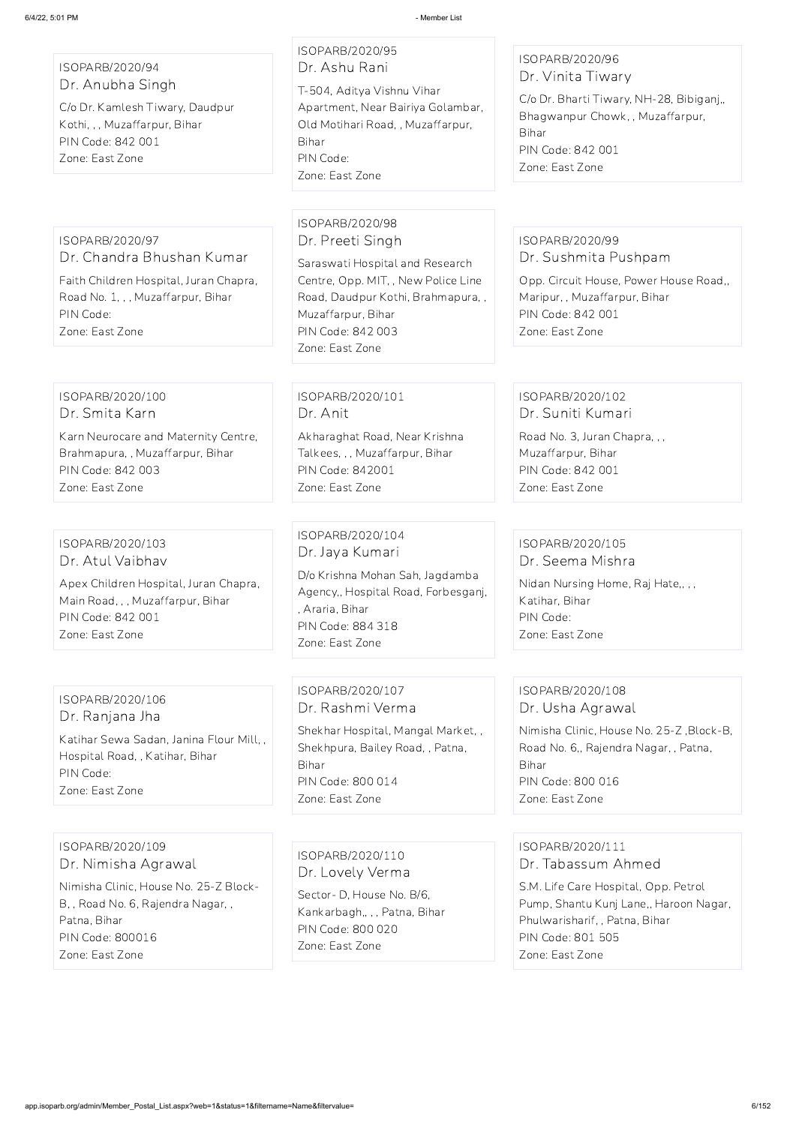ISOPARB/2020/94 Dr. Anubha Singh

C/o Dr. Kamlesh Tiwary, Daudpur Kothi, , , Muzaffarpur, Bihar PIN Code: 842 001 Zone: East Zone

# ISOPARB/2020/95

Dr. Ashu Rani

T-504, Aditya Vishnu Vihar Apartment, Near Bairiya Golambar, Old Motihari Road, , Muzaffarpur, Bihar PIN Code: Zone: East Zone

#### ISOPARB/2020/96 Dr. Vinita Tiwary

C/o Dr. Bharti Tiwary, NH-28, Bibiganj,, Bhagwanpur Chowk, , Muzaffarpur, Bihar PIN Code: 842 001 Zone: East Zone

ISOPARB/2020/97 Dr. Chandra Bhushan Kumar

Faith Children Hospital, Juran Chapra, Road No. 1, , , Muzaffarpur, Bihar PIN Code: Zone: East Zone

#### ISOPARB/2020/98 Dr. Preeti Singh

Saraswati Hospital and Research Centre, Opp. MIT, , New Police Line Road, Daudpur Kothi, Brahmapura, , Muzaffarpur, Bihar PIN Code: 842 003 Zone: East Zone

#### ISOPARB/2020/99 Dr. Sushmita Pushpam

Opp. Circuit House, Power House Road,, Maripur, , Muzaffarpur, Bihar PIN Code: 842 001 Zone: East Zone

#### ISOPARB/2020/100 Dr. Smita Karn

Karn Neurocare and Maternity Centre, Brahmapura, , Muzaffarpur, Bihar PIN Code: 842 003 Zone: East Zone

#### ISOPARB/2020/101 Dr. Anit

Akharaghat Road, Near Krishna Talkees, , , Muzaffarpur, Bihar PIN Code: 842001 Zone: East Zone

#### ISOPARB/2020/102 Dr. Suniti Kumari

Road No. 3, Juran Chapra, , , Muzaffarpur, Bihar PIN Code: 842 001 Zone: East Zone

#### ISOPARB/2020/103 Dr. Atul Vaibhav

Apex Children Hospital, Juran Chapra, Main Road, , , Muzaffarpur, Bihar PIN Code: 842 001 Zone: East Zone

ISOPARB/2020/104 Dr. Jaya Kumari D/o Krishna Mohan Sah, Jagdamba Agency,, Hospital Road, Forbesganj, , Araria, Bihar PIN Code: 884 318 Zone: East Zone

#### ISOPARB/2020/105 Dr. Seema Mishra

Nidan Nursing Home, Raj Hate,, , , Katihar, Bihar PIN Code: Zone: East Zone

#### ISOPARB/2020/106 Dr. Ranjana Jha

Katihar Sewa Sadan, Janina Flour Mill, , Hospital Road, , Katihar, Bihar PIN Code: Zone: East Zone

ISOPARB/2020/107 Dr. Rashmi Verma

Shekhar Hospital, Mangal Market, , Shekhpura, Bailey Road, , Patna, Bihar PIN Code: 800 014 Zone: East Zone

#### ISOPARB/2020/108 Dr. Usha Agrawal

Nimisha Clinic, House No. 25-Z ,Block-B, Road No. 6,, Rajendra Nagar, , Patna, Bihar PIN Code: 800 016 Zone: East Zone

#### ISOPARB/2020/109

Dr. Nimisha Agrawal

Nimisha Clinic, House No. 25-Z Block-B, , Road No. 6, Rajendra Nagar, , Patna, Bihar PIN Code: 800016 Zone: East Zone

ISOPARB/2020/110 Dr. Lovely Verma

Sector- D, House No. B/6, Kankarbagh,, , , Patna, Bihar PIN Code: 800 020 Zone: East Zone

#### ISOPARB/2020/111

Dr. Tabassum Ahmed

S.M. Life Care Hospital, Opp. Petrol Pump, Shantu Kunj Lane,, Haroon Nagar, Phulwarisharif, , Patna, Bihar PIN Code: 801 505 Zone: East Zone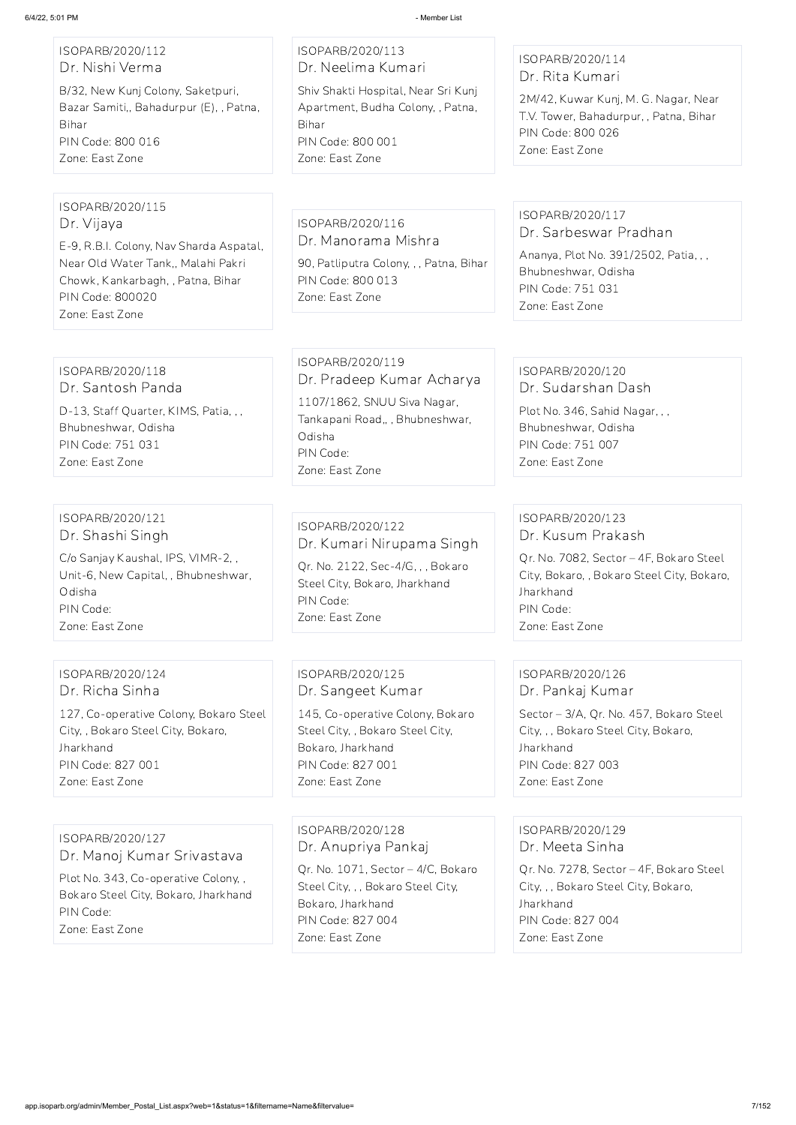#### ISOPARB/2020/112 Dr. Nishi Verma

B/32, New Kunj Colony, Saketpuri, Bazar Samiti,, Bahadurpur (E), , Patna, Bihar PIN Code: 800 016 Zone: East Zone

# ISOPARB/2020/113 Dr. Neelima Kumari

Shiv Shakti Hospital, Near Sri Kunj Apartment, Budha Colony, , Patna, Bihar PIN Code: 800 001 Zone: East Zone

#### ISOPARB/2020/114 Dr. Rita Kumari

2M/42, Kuwar Kunj, M. G. Nagar, Near T.V. Tower, Bahadurpur, , Patna, Bihar PIN Code: 800 026 Zone: East Zone

#### ISOPARB/2020/115 Dr. Vijaya

E-9, R.B.I. Colony, Nav Sharda Aspatal, Near Old Water Tank,, Malahi Pakri Chowk, Kankarbagh, , Patna, Bihar PIN Code: 800020 Zone: East Zone

ISOPARB/2020/116 Dr. Manorama Mishra

90, Patliputra Colony, , , Patna, Bihar PIN Code: 800 013 Zone: East Zone

#### ISOPARB/2020/117 Dr. Sarbeswar Pradhan

Ananya, Plot No. 391/2502, Patia, , , Bhubneshwar, Odisha PIN Code: 751 031 Zone: East Zone

#### ISOPARB/2020/118 Dr. Santosh Panda

D-13, Staff Quarter, KIMS, Patia, , , Bhubneshwar, Odisha PIN Code: 751 031 Zone: East Zone

ISOPARB/2020/119 Dr. Pradeep Kumar Acharya 1107/1862, SNUU Siva Nagar, Tankapani Road,, , Bhubneshwar, Odisha PIN Code: Zone: East Zone

#### ISOPARB/2020/120 Dr. Sudarshan Dash

Plot No. 346, Sahid Nagar, , , Bhubneshwar, Odisha PIN Code: 751 007 Zone: East Zone

#### ISOPARB/2020/121 Dr. Shashi Singh

C/o Sanjay Kaushal, IPS, VIMR-2, , Unit-6, New Capital, , Bhubneshwar, Odisha PIN Code: Zone: East Zone

#### ISOPARB/2020/122 Dr. Kumari Nirupama Singh

Qr. No. 2122, Sec-4/G, , , Bokaro Steel City, Bokaro, Jharkhand PIN Code: Zone: East Zone

#### ISOPARB/2020/123 Dr. Kusum Prakash

Qr. No. 7082, Sector – 4F, Bokaro Steel City, Bokaro, , Bokaro Steel City, Bokaro, Jharkhand PIN Code: Zone: East Zone

#### ISOPARB/2020/124 Dr. Richa Sinha

127, Co-operative Colony, Bokaro Steel City, , Bokaro Steel City, Bokaro, Jharkhand PIN Code: 827 001 Zone: East Zone

ISOPARB/2020/125 Dr. Sangeet Kumar

145, Co-operative Colony, Bokaro Steel City, , Bokaro Steel City, Bokaro, Jharkhand PIN Code: 827 001 Zone: East Zone

#### ISOPARB/2020/126 Dr. Pankaj Kumar

Sector – 3/A, Qr. No. 457, Bokaro Steel City, , , Bokaro Steel City, Bokaro, Jharkhand PIN Code: 827 003 Zone: East Zone

ISOPARB/2020/127

Dr. Manoj Kumar Srivastava

Plot No. 343, Co-operative Colony, , Bokaro Steel City, Bokaro, Jharkhand PIN Code:

Zone: East Zone

ISOPARB/2020/128 Dr. Anupriya Pankaj

Qr. No. 1071, Sector – 4/C, Bokaro Steel City, , , Bokaro Steel City, Bokaro, Jharkhand PIN Code: 827 004 Zone: East Zone

ISOPARB/2020/129 Dr. Meeta Sinha

Qr. No. 7278, Sector – 4F, Bokaro Steel City, , , Bokaro Steel City, Bokaro, Jharkhand PIN Code: 827 004 Zone: East Zone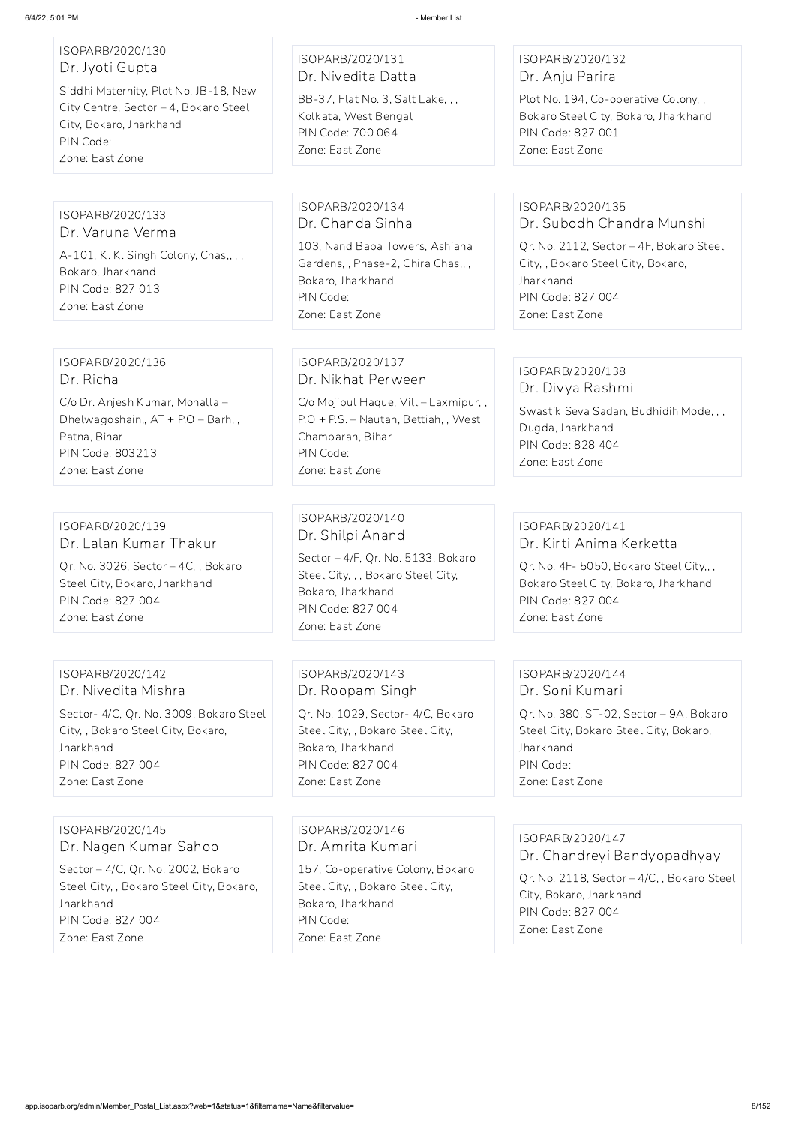# ISOPARB/2020/130 Dr. Jyoti Gupta

Siddhi Maternity, Plot No. JB-18, New City Centre, Sector – 4, Bokaro Steel City, Bokaro, Jharkhand PIN Code: Zone: East Zone

#### ISOPARB/2020/131 Dr. Nivedita Datta

BB-37, Flat No. 3, Salt Lake, , , Kolkata, West Bengal PIN Code: 700 064 Zone: East Zone

#### ISOPARB/2020/132 Dr. Anju Parira

Plot No. 194, Co-operative Colony, , Bokaro Steel City, Bokaro, Jharkhand PIN Code: 827 001 Zone: East Zone

ISOPARB/2020/133 Dr. Varuna Verma A-101, K. K. Singh Colony, Chas,,,, Bokaro, Jharkhand PIN Code: 827 013 Zone: East Zone

ISOPARB/2020/134 Dr. Chanda Sinha

103, Nand Baba Towers, Ashiana Gardens, , Phase-2, Chira Chas,, , Bokaro, Jharkhand PIN Code: Zone: East Zone

#### ISOPARB/2020/135 Dr. Subodh Chandra Munshi

Qr. No. 2112, Sector – 4F, Bokaro Steel City, , Bokaro Steel City, Bokaro, Jharkhand PIN Code: 827 004 Zone: East Zone

#### ISOPARB/2020/136 Dr. Richa

C/o Dr. Anjesh Kumar, Mohalla – Dhelwagoshain,, AT + P.O – Barh, , Patna, Bihar PIN Code: 803213 Zone: East Zone

#### ISOPARB/2020/137 Dr. Nikhat Perween

C/o Mojibul Haque, Vill – Laxmipur, , P.O + P.S. – Nautan, Bettiah, , West Champaran, Bihar PIN Code: Zone: East Zone

#### ISOPARB/2020/138 Dr. Divya Rashmi

Swastik Seva Sadan, Budhidih Mode, , , Dugda, Jharkhand PIN Code: 828 404 Zone: East Zone

#### ISOPARB/2020/139 Dr. Lalan Kumar Thakur

Qr. No. 3026, Sector – 4C, , Bokaro Steel City, Bokaro, Jharkhand PIN Code: 827 004 Zone: East Zone

ISOPARB/2020/140 Dr. Shilpi Anand

Sector – 4/F, Qr. No. 5133, Bokaro Steel City, , , Bokaro Steel City, Bokaro, Jharkhand PIN Code: 827 004 Zone: East Zone

#### ISOPARB/2020/141 Dr. Kirti Anima Kerketta

Qr. No. 4F- 5050, Bokaro Steel City,, , Bokaro Steel City, Bokaro, Jharkhand PIN Code: 827 004 Zone: East Zone

ISOPARB/2020/142 Dr. Nivedita Mishra

Sector- 4/C, Qr. No. 3009, Bokaro Steel City, , Bokaro Steel City, Bokaro, Jharkhand PIN Code: 827 004 Zone: East Zone

ISOPARB/2020/143 Dr. Roopam Singh

Qr. No. 1029, Sector- 4/C, Bokaro Steel City, , Bokaro Steel City, Bokaro, Jharkhand PIN Code: 827 004 Zone: East Zone

#### ISOPARB/2020/144 Dr. Soni Kumari

Qr. No. 380, ST-02, Sector – 9A, Bokaro Steel City, Bokaro Steel City, Bokaro, Jharkhand PIN Code: Zone: East Zone

ISOPARB/2020/145 Dr. Nagen Kumar Sahoo

Sector – 4/C, Qr. No. 2002, Bokaro Steel City, , Bokaro Steel City, Bokaro, Jharkhand PIN Code: 827 004 Zone: East Zone

ISOPARB/2020/146 Dr. Amrita Kumari

157, Co-operative Colony, Bokaro Steel City, , Bokaro Steel City, Bokaro, Jharkhand PIN Code: Zone: East Zone

ISOPARB/2020/147

Dr. Chandreyi Bandyopadhyay

Qr. No. 2118, Sector – 4/C, , Bokaro Steel City, Bokaro, Jharkhand PIN Code: 827 004 Zone: East Zone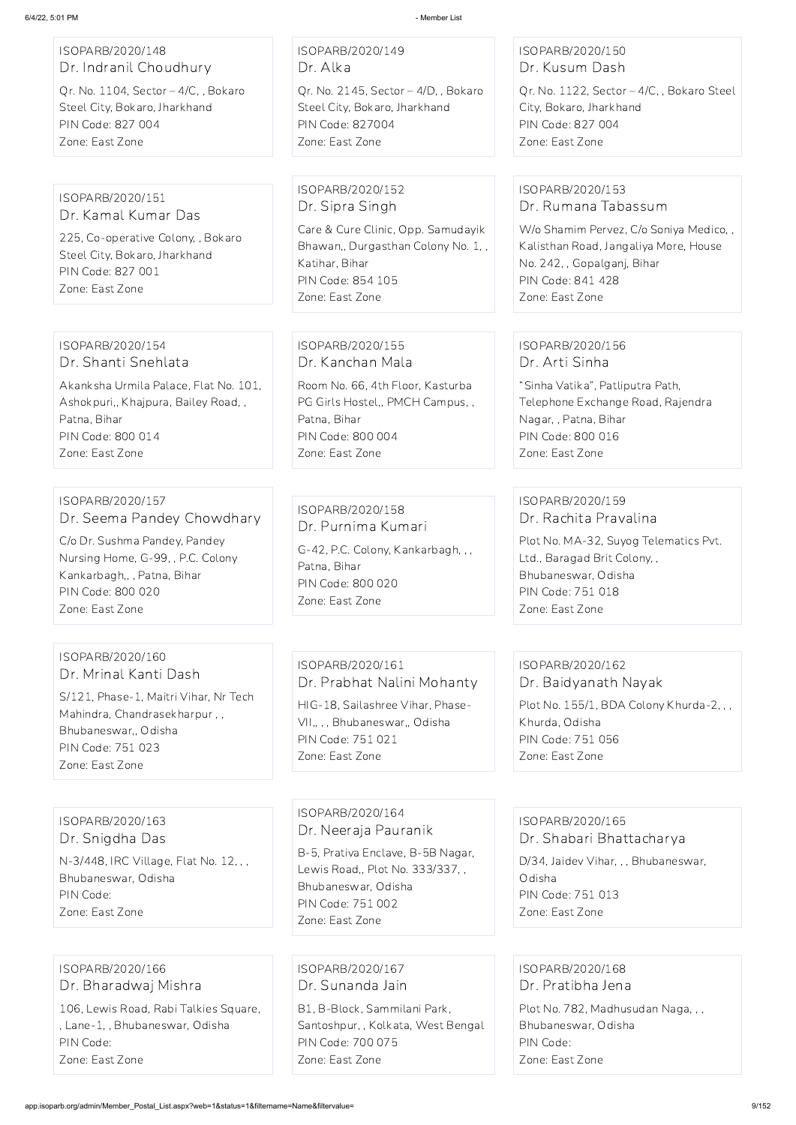| ISOPARB/2020/148<br>Dr. Indranil Choudhury<br>Qr. No. 1104, Sector - 4/C, , Bokaro<br>Steel City, Bokaro, Jharkhand<br>PIN Code: 827 004<br>Zone: East Zone                                 | ISOPARB/2020/149<br>Dr. Alka<br>Qr. No. 2145, Sector $-4/D$ , Bokaro<br>Steel City, Bokaro, Jharkhand<br><b>PIN Code: 827004</b><br>Zone: East Zone                              | ISOPARB/2020/150<br>Dr. Kusum Dash<br>Qr. No. 1122, Sector - 4/C, , Bokaro Steel<br>City, Bokaro, Jharkhand<br>PIN Code: 827 004<br>Zone: East Zone                                               |
|---------------------------------------------------------------------------------------------------------------------------------------------------------------------------------------------|----------------------------------------------------------------------------------------------------------------------------------------------------------------------------------|---------------------------------------------------------------------------------------------------------------------------------------------------------------------------------------------------|
| ISOPARB/2020/151<br>Dr. Kamal Kumar Das<br>225, Co-operative Colony, , Bokaro<br>Steel City, Bokaro, Jharkhand<br>PIN Code: 827 001<br>Zone: East Zone                                      | ISOPARB/2020/152<br>Dr. Sipra Singh<br>Care & Cure Clinic, Opp. Samudayik<br>Bhawan,, Durgasthan Colony No. 1,,<br>Katihar, Bihar<br><b>PIN Code: 854 105</b><br>Zone: East Zone | ISOPARB/2020/153<br>Dr. Rumana Tabassum<br>W/o Shamim Pervez, C/o Soniya Medico,,<br>Kalisthan Road, Jangaliya More, House<br>No. 242, , Gopalganj, Bihar<br>PIN Code: 841 428<br>Zone: East Zone |
| ISOPARB/2020/154<br>Dr. Shanti Snehlata<br>Akanksha Urmila Palace, Flat No. 101,<br>Ashokpuri,, Khajpura, Bailey Road,,<br>Patna, Bihar<br>PIN Code: 800 014<br>Zone: East Zone             | ISOPARB/2020/155<br>Dr. Kanchan Mala<br>Room No. 66, 4th Floor, Kasturba<br>PG Girls Hostel,, PMCH Campus,,<br>Patna, Bihar<br>PIN Code: 800 004<br>Zone: East Zone              | ISOPARB/2020/156<br>Dr. Arti Sinha<br>"Sinha Vatika", Patliputra Path,<br>Telephone Exchange Road, Rajendra<br>Nagar,, Patna, Bihar<br>PIN Code: 800 016<br>Zone: East Zone                       |
| ISOPARB/2020/157<br>Dr. Seema Pandey Chowdhary<br>C/o Dr. Sushma Pandey, Pandey<br>Nursing Home, G-99, , P.C. Colony<br>Kankarbagh,, , Patna, Bihar<br>PIN Code: 800 020<br>Zone: East Zone | ISOPARB/2020/158<br>Dr. Purnima Kumari<br>G-42, P.C. Colony, Kankarbagh, ,,<br>Patna, Bihar<br>PIN Code: 800 020<br>Zone: East Zone                                              | ISOPARB/2020/159<br>Dr. Rachita Pravalina<br>Plot No. MA-32, Suyog Telematics Pvt.<br>Ltd., Baragad Brit Colony,,<br>Bhubaneswar, Odisha<br>PIN Code: 751 018<br>Zone: East Zone                  |
| ISOPARB/2020/160<br>Dr. Mrinal Kanti Dash<br>S/121, Phase-1, Maitri Vihar, Nr Tech<br>Mahindra, Chandrasekharpur,,<br>Bhubaneswar,, Odisha<br>PIN Code: 751 023<br>Zone: East Zone          | ISOPARB/2020/161<br>Dr. Prabhat Nalini Mohanty<br>HIG-18, Sailashree Vihar, Phase-<br>VII,,,, Bhubaneswar,, Odisha<br>PIN Code: 751 021<br>Zone: East Zone                       | ISOPARB/2020/162<br>Dr. Baidyanath Nayak<br>Plot No. 155/1, BDA Colony Khurda-2, ,,<br>Khurda, Odisha<br>PIN Code: 751 056<br>Zone: East Zone                                                     |

ISOPARB/2020/163 Dr. Snigdha Das

N-3/448, IRC Village, Flat No. 12, , , Bhubaneswar, Odisha PIN Code: Zone: East Zone

ISOPARB/2020/164 Dr. Neeraja Pauranik B-5, Prativa Enclave, B-5B Nagar, Lewis Road,, Plot No. 333/337, , Bhubaneswar, Odisha PIN Code: 751 002 Zone: East Zone

ISOPARB/2020/165 Dr. Shabari Bhattacharya

D/34, Jaidev Vihar, , , Bhubaneswar, Odisha PIN Code: 751 013 Zone: East Zone

ISOPARB/2020/166 Dr. Bharadwaj Mishra

106, Lewis Road, Rabi Talkies Square, , Lane-1, , Bhubaneswar, Odisha PIN Code: Zone: East Zone

ISOPARB/2020/167 Dr. Sunanda Jain

B1, B-Block, Sammilani Park, Santoshpur, , Kolkata, West Bengal PIN Code: 700 075 Zone: East Zone

ISOPARB/2020/168 Dr. Pratibha Jena

Plot No. 782, Madhusudan Naga, , ,

Bhubaneswar, Odisha

PIN Code:

Zone: East Zone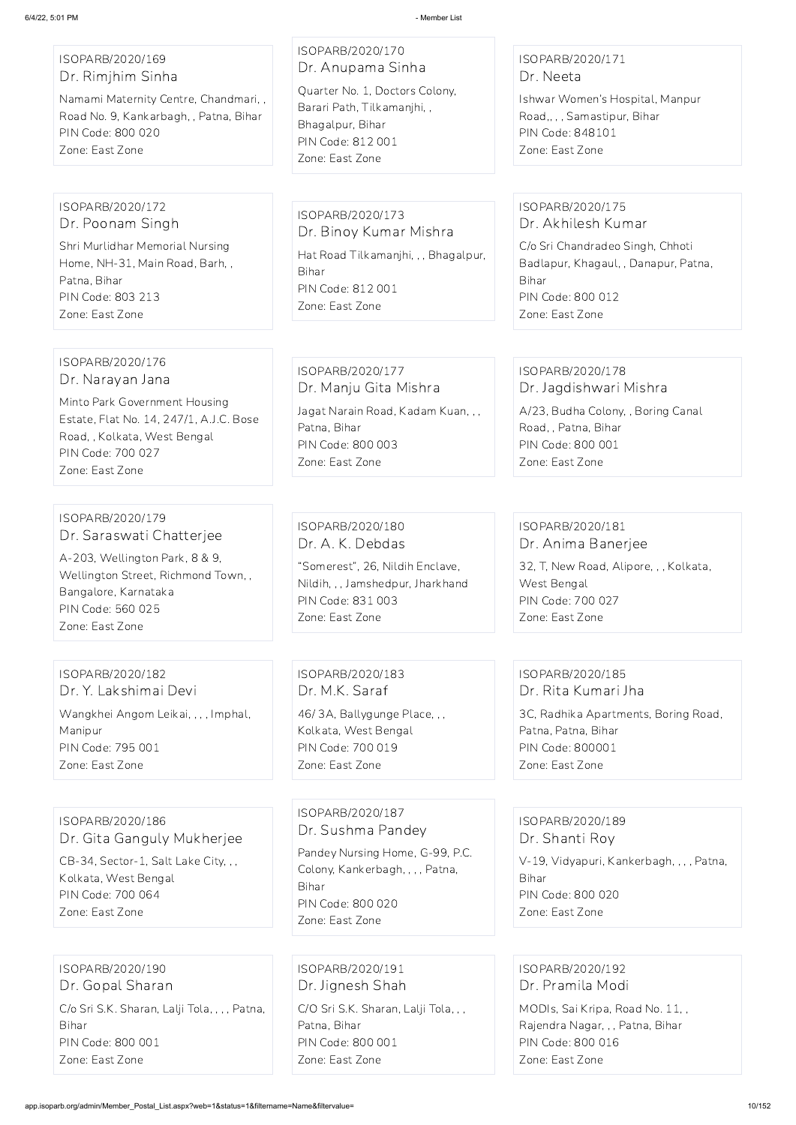#### ISOPARB/2020/169 Dr. Rimjhim Sinha

Namami Maternity Centre, Chandmari, , Road No. 9, Kankarbagh, , Patna, Bihar PIN Code: 800 020 Zone: East Zone

# ISOPARB/2020/170 Dr. Anupama Sinha

Quarter No. 1, Doctors Colony, Barari Path, Tilkamanjhi, , Bhagalpur, Bihar PIN Code: 812 001 Zone: East Zone

#### ISOPARB/2020/171 Dr. Neeta

Ishwar Women's Hospital, Manpur Road,, , , Samastipur, Bihar PIN Code: 848101 Zone: East Zone

#### ISOPARB/2020/172 Dr. Poonam Singh

Shri Murlidhar Memorial Nursing Home, NH-31, Main Road, Barh, , Patna, Bihar PIN Code: 803 213 Zone: East Zone

ISOPARB/2020/173 Dr. Binoy Kumar Mishra Hat Road Tilkamanjhi, , , Bhagalpur, Bihar PIN Code: 812 001 Zone: East Zone

#### ISOPARB/2020/175 Dr. Akhilesh Kumar

C/o Sri Chandradeo Singh, Chhoti Badlapur, Khagaul, , Danapur, Patna, Bihar PIN Code: 800 012 Zone: East Zone

#### ISOPARB/2020/176 Dr. Narayan Jana

Minto Park Government Housing Estate, Flat No. 14, 247/1, A.J.C. Bose Road, , Kolkata, West Bengal PIN Code: 700 027 Zone: East Zone

# ISOPARB/2020/177 Dr. Manju Gita Mishra

Jagat Narain Road, Kadam Kuan, , , Patna, Bihar PIN Code: 800 003 Zone: East Zone

#### ISOPARB/2020/178 Dr. Jagdishwari Mishra

A/23, Budha Colony, , Boring Canal Road, , Patna, Bihar PIN Code: 800 001 Zone: East Zone

#### ISOPARB/2020/179 Dr. Saraswati Chatterjee

A-203, Wellington Park, 8 & 9, Wellington Street, Richmond Town, , Bangalore, Karnataka PIN Code: 560 025 Zone: East Zone

#### ISOPARB/2020/180 Dr. A. K. Debdas

"Somerest", 26, Nildih Enclave, Nildih, , , Jamshedpur, Jharkhand PIN Code: 831 003 Zone: East Zone

#### ISOPARB/2020/181 Dr. Anima Banerjee

32, T, New Road, Alipore, , , Kolkata, West Bengal PIN Code: 700 027 Zone: East Zone

#### ISOPARB/2020/182 Dr. Y. Lakshimai Devi Wangkhei Angom Leikai, , , , Imphal, Manipur PIN Code: 795 001

Zone: East Zone

ISOPARB/2020/183 Dr. M.K. Saraf 46/ 3A, Ballygunge Place, , , Kolkata, West Bengal PIN Code: 700 019 Zone: East Zone

#### ISOPARB/2020/185 Dr. Rita Kumari Jha

3C, Radhika Apartments, Boring Road, Patna, Patna, Bihar PIN Code: 800001 Zone: East Zone

#### ISOPARB/2020/186 Dr. Gita Ganguly Mukherjee

CB-34, Sector-1, Salt Lake City, , , Kolkata, West Bengal PIN Code: 700 064 Zone: East Zone

ISOPARB/2020/187 Dr. Sushma Pandey Pandey Nursing Home, G-99, P.C. Colony, Kankerbagh, , , , Patna, Bihar PIN Code: 800 020 Zone: East Zone

ISOPARB/2020/189 Dr. Shanti Roy

V-19, Vidyapuri, Kankerbagh, , , , Patna, Bihar PIN Code: 800 020 Zone: East Zone

ISOPARB/2020/190 Dr. Gopal Sharan C/o Sri S.K. Sharan, Lalji Tola, , , , Patna, Bihar PIN Code: 800 001 Zone: East Zone

ISOPARB/2020/191 Dr. Jignesh Shah C/O Sri S.K. Sharan, Lalji Tola, , , Patna, Bihar PIN Code: 800 001 Zone: East Zone

ISOPARB/2020/192 Dr. Pramila Modi

MODIs, Sai Kripa, Road No. 11, , Rajendra Nagar, , , Patna, Bihar PIN Code: 800 016 Zone: East Zone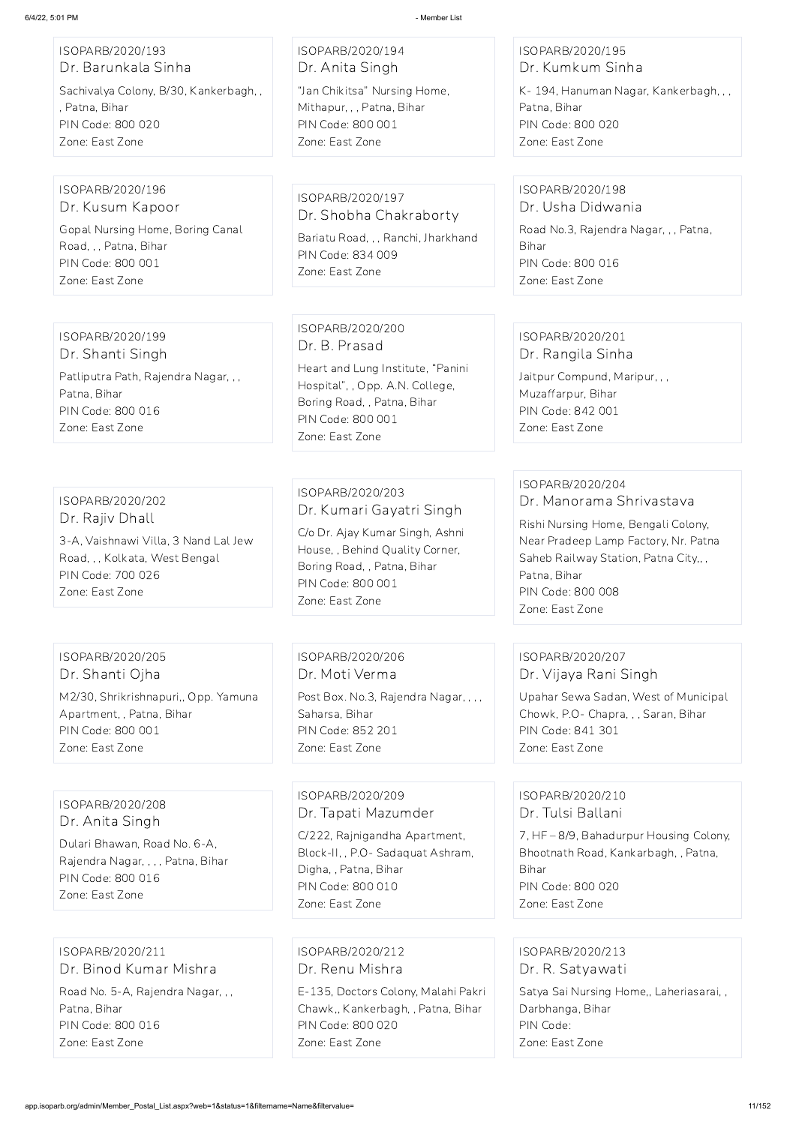| 6/4/22, 5:01 PM                                                                                                                                       | - Member List                                                                                                                                                                            |                                                                                                                                                                                                                             |
|-------------------------------------------------------------------------------------------------------------------------------------------------------|------------------------------------------------------------------------------------------------------------------------------------------------------------------------------------------|-----------------------------------------------------------------------------------------------------------------------------------------------------------------------------------------------------------------------------|
| ISOPARB/2020/193                                                                                                                                      | ISOPARB/2020/194                                                                                                                                                                         | ISOPARB/2020/195                                                                                                                                                                                                            |
| Dr. Barunkala Sinha                                                                                                                                   | Dr. Anita Singh                                                                                                                                                                          | Dr. Kumkum Sinha                                                                                                                                                                                                            |
| Sachivalya Colony, B/30, Kankerbagh,,                                                                                                                 | "Jan Chikitsa" Nursing Home,                                                                                                                                                             | K-194, Hanuman Nagar, Kankerbagh, , ,                                                                                                                                                                                       |
| , Patna, Bihar                                                                                                                                        | Mithapur, , , Patna, Bihar                                                                                                                                                               | Patna, Bihar                                                                                                                                                                                                                |
| PIN Code: 800 020                                                                                                                                     | PIN Code: 800 001                                                                                                                                                                        | PIN Code: 800 020                                                                                                                                                                                                           |
| Zone: East Zone                                                                                                                                       | Zone: East Zone                                                                                                                                                                          | Zone: East Zone                                                                                                                                                                                                             |
| ISOPARB/2020/196                                                                                                                                      | ISOPARB/2020/197                                                                                                                                                                         | ISOPARB/2020/198                                                                                                                                                                                                            |
| Dr. Kusum Kapoor                                                                                                                                      | Dr. Shobha Chakraborty                                                                                                                                                                   | Dr. Usha Didwania                                                                                                                                                                                                           |
| Gopal Nursing Home, Boring Canal                                                                                                                      | Bariatu Road, , , Ranchi, Jharkhand                                                                                                                                                      | Road No.3, Rajendra Nagar, , , Patna,                                                                                                                                                                                       |
| Road, , , Patna, Bihar<br>PIN Code: 800 001<br>Zone: East Zone                                                                                        | PIN Code: 834 009<br>Zone: East Zone                                                                                                                                                     | Bihar<br>PIN Code: 800 016<br>Zone: East Zone                                                                                                                                                                               |
| ISOPARB/2020/199<br>Dr. Shanti Singh<br>Patliputra Path, Rajendra Nagar, , ,<br>Patna, Bihar<br>PIN Code: 800 016<br>Zone: East Zone                  | ISOPARB/2020/200<br>Dr. B. Prasad<br>Heart and Lung Institute, "Panini<br>Hospital", , Opp. A.N. College,<br>Boring Road, , Patna, Bihar<br>PIN Code: 800 001<br>Zone: East Zone         | ISOPARB/2020/201<br>Dr. Rangila Sinha<br>Jaitpur Compund, Maripur, , ,<br>Muzaffarpur, Bihar<br>PIN Code: 842 001<br>Zone: East Zone                                                                                        |
| ISOPARB/2020/202<br>Dr. Rajiv Dhall<br>3-A, Vaishnawi Villa, 3 Nand Lal Jew<br>Road, , , Kolkata, West Bengal<br>PIN Code: 700 026<br>Zone: East Zone | ISOPARB/2020/203<br>Dr. Kumari Gayatri Singh<br>C/o Dr. Ajay Kumar Singh, Ashni<br>House,, Behind Quality Corner,<br>Boring Road, , Patna, Bihar<br>PIN Code: 800 001<br>Zone: East Zone | ISOPARB/2020/204<br>Dr. Manorama Shrivastava<br>Rishi Nursing Home, Bengali Colony,<br>Near Pradeep Lamp Factory, Nr. Patna<br>Saheb Railway Station, Patna City,,,<br>Patna, Bihar<br>PIN Code: 800 008<br>Zone: East Zone |
| ISOPARB/2020/205                                                                                                                                      | ISOPARB/2020/206                                                                                                                                                                         | ISOPARB/2020/207                                                                                                                                                                                                            |
| Dr. Shanti Ojha                                                                                                                                       | Dr. Moti Verma                                                                                                                                                                           | Dr. Vijaya Rani Singh                                                                                                                                                                                                       |
| M2/30, Shrikrishnapuri,, Opp. Yamuna                                                                                                                  | Post Box. No.3, Rajendra Nagar, , , ,                                                                                                                                                    | Upahar Sewa Sadan, West of Municipal                                                                                                                                                                                        |
| Apartment, , Patna, Bihar                                                                                                                             | Saharsa, Bihar                                                                                                                                                                           | Chowk, P.O- Chapra, , , Saran, Bihar                                                                                                                                                                                        |
| PIN Code: 800 001                                                                                                                                     | PIN Code: 852 201                                                                                                                                                                        | PIN Code: 841 301                                                                                                                                                                                                           |

Zone: East Zone

Zone: East Zone

Zone: East Zone

ISOPARB/2020/208 Dr. Anita Singh

Dulari Bhawan, Road No. 6-A,

Rajendra Nagar, , , , Patna, Bihar PIN Code: 800 016 Zone: East Zone

ISOPARB/2020/209 Dr. Tapati Mazumder

C/222, Rajnigandha Apartment, Block-II, , P.O- Sadaquat Ashram, Digha, , Patna, Bihar PIN Code: 800 010 Zone: East Zone

ISOPARB/2020/210 Dr. Tulsi Ballani

7, HF – 8/9, Bahadurpur Housing Colony,

Bhootnath Road, Kankarbagh, , Patna, Bihar PIN Code: 800 020 Zone: East Zone

ISOPARB/2020/211 Dr. Binod Kumar Mishra

Road No. 5-A, Rajendra Nagar, , , Patna, Bihar PIN Code: 800 016 Zone: East Zone

ISOPARB/2020/212 Dr. Renu Mishra

E-135, Doctors Colony, Malahi Pakri Chawk,, Kankerbagh, , Patna, Bihar PIN Code: 800 020 Zone: East Zone

ISOPARB/2020/213 Dr. R. Satyawati

Satya Sai Nursing Home,, Laheriasarai, , Darbhanga, Bihar PIN Code: Zone: East Zone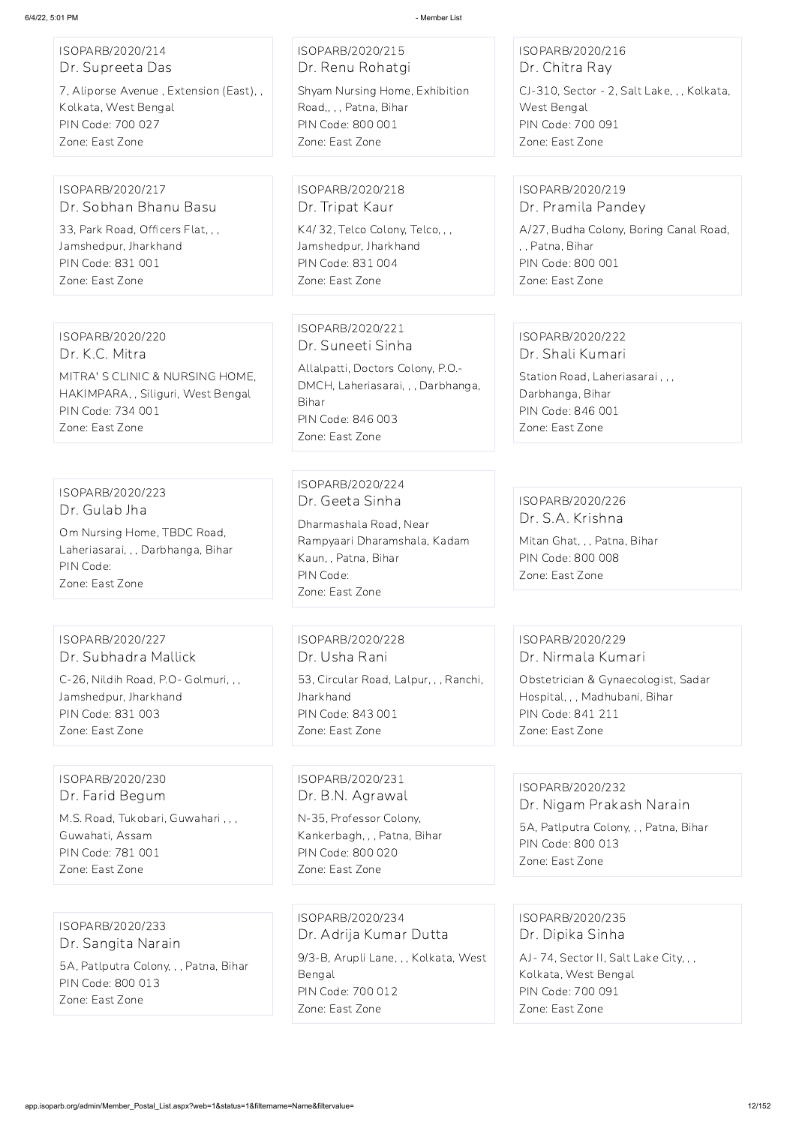ISOPARB/2020/214 Dr. Supreeta Das

7, Aliporse Avenue , Extension (East), , Kolkata, West Bengal PIN Code: 700 027 Zone: East Zone

ISOPARB/2020/215 Dr. Renu Rohatgi Shyam Nursing Home, Exhibition Road,, , , Patna, Bihar PIN Code: 800 001 Zone: East Zone

ISOPARB/2020/216 Dr. Chitra Ray

CJ-310, Sector - 2, Salt Lake, , , Kolkata, West Bengal PIN Code: 700 091 Zone: East Zone

#### ISOPARB/2020/217 Dr. Sobhan Bhanu Basu

33, Park Road, Officers Flat, , , Jamshedpur, Jharkhand PIN Code: 831 001 Zone: East Zone

ISOPARB/2020/218 Dr. Tripat Kaur

K4/ 32, Telco Colony, Telco, , , Jamshedpur, Jharkhand PIN Code: 831 004 Zone: East Zone

#### ISOPARB/2020/219 Dr. Pramila Pandey

A/27, Budha Colony, Boring Canal Road, , , Patna, Bihar PIN Code: 800 001 Zone: East Zone

#### ISOPARB/2020/220 Dr. K.C. Mitra MITRA' S CLINIC & NURSING HOME, HAKIMPARA, , Siliguri, West Bengal PIN Code: 734 001 Zone: East Zone

ISOPARB/2020/221 Dr. Suneeti Sinha

Allalpatti, Doctors Colony, P.O.- DMCH, Laheriasarai, , , Darbhanga, Bihar PIN Code: 846 003 Zone: East Zone

#### ISOPARB/2020/222 Dr. Shali Kumari

Station Road, Laheriasarai , , , Darbhanga, Bihar PIN Code: 846 001 Zone: East Zone

ISOPARB/2020/223 Dr. Gulab Jha

Om Nursing Home, TBDC Road, Laheriasarai, , , Darbhanga, Bihar PIN Code: Zone: East Zone

ISOPARB/2020/224 Dr. Geeta Sinha

Dharmashala Road, Near Rampyaari Dharamshala, Kadam Kaun, , Patna, Bihar PIN Code: Zone: East Zone

ISOPARB/2020/226 Dr. S.A. Krishna

Mitan Ghat, , , Patna, Bihar PIN Code: 800 008 Zone: East Zone

#### ISOPARB/2020/227 Dr. Subhadra Mallick

C-26, Nildih Road, P.O- Golmuri, , , Jamshedpur, Jharkhand PIN Code: 831 003 Zone: East Zone

ISOPARB/2020/228 Dr. Usha Rani 53, Circular Road, Lalpur, , , Ranchi, **Jharkhand** PIN Code: 843 001 Zone: East Zone

#### ISOPARB/2020/229 Dr. Nirmala Kumari

Obstetrician & Gynaecologist, Sadar Hospital, , , Madhubani, Bihar PIN Code: 841 211 Zone: East Zone

#### ISOPARB/2020/230 Dr. Farid Begum

M.S. Road, Tukobari, Guwahari , , , Guwahati, Assam PIN Code: 781 001 Zone: East Zone

ISOPARB/2020/231 Dr. B.N. Agrawal

N-35, Professor Colony, Kankerbagh, , , Patna, Bihar PIN Code: 800 020

Zone: East Zone

#### ISOPARB/2020/232

Dr. Nigam Prakash Narain

5A, Patlputra Colony, , , Patna, Bihar PIN Code: 800 013

Zone: East Zone

ISOPARB/2020/233 Dr. Sangita Narain 5A, Patlputra Colony, , , Patna, Bihar PIN Code: 800 013 Zone: East Zone

ISOPARB/2020/234 Dr. Adrija Kumar Dutta 9/3-B, Arupli Lane, , , Kolkata, West Bengal PIN Code: 700 012 Zone: East Zone

ISOPARB/2020/235 Dr. Dipika Sinha AJ- 74, Sector II, Salt Lake City, , , Kolkata, West Bengal PIN Code: 700 091 Zone: East Zone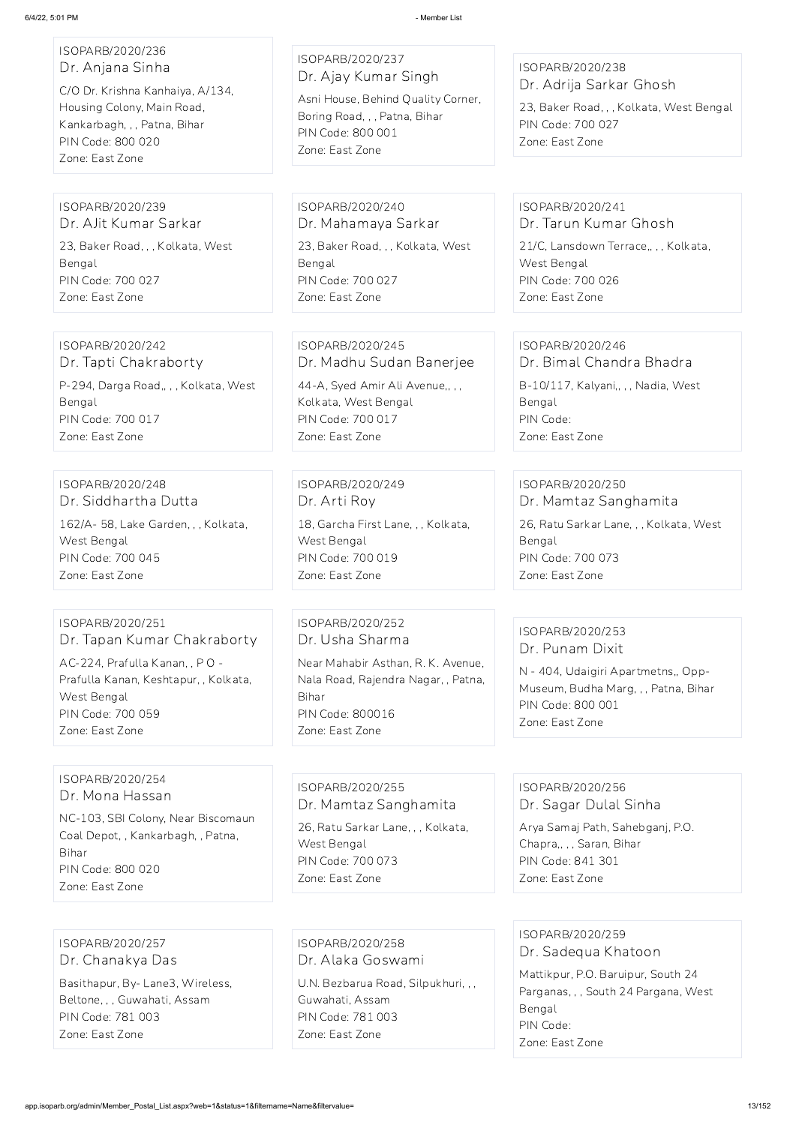| ISOPARB/2020/236<br>Dr. Anjana Sinha<br>C/O Dr. Krishna Kanhaiya, A/134,<br>Housing Colony, Main Road,<br>Kankarbagh, , , Patna, Bihar<br>PIN Code: 800 020<br>Zone: East Zone    | ISOPARB/2020/237<br>Dr. Ajay Kumar Singh<br>Asni House, Behind Quality Corner,<br>Boring Road, , , Patna, Bihar<br>PIN Code: 800 001<br>Zone: East Zone                 | ISOPARB/2020/238<br>Dr. Adrija Sarkar Ghosh<br>23, Baker Road, , , Kolkata, West Bengal<br>PIN Code: 700 027<br>Zone: East Zone                            |
|-----------------------------------------------------------------------------------------------------------------------------------------------------------------------------------|-------------------------------------------------------------------------------------------------------------------------------------------------------------------------|------------------------------------------------------------------------------------------------------------------------------------------------------------|
| ISOPARB/2020/239                                                                                                                                                                  | ISOPARB/2020/240                                                                                                                                                        | ISOPARB/2020/241                                                                                                                                           |
| Dr. AJit Kumar Sarkar                                                                                                                                                             | Dr. Mahamaya Sarkar                                                                                                                                                     | Dr. Tarun Kumar Ghosh                                                                                                                                      |
| 23, Baker Road, , , Kolkata, West                                                                                                                                                 | 23, Baker Road, , , Kolkata, West                                                                                                                                       | 21/C, Lansdown Terrace,, , , Kolkata,                                                                                                                      |
| Bengal                                                                                                                                                                            | Bengal                                                                                                                                                                  | West Bengal                                                                                                                                                |
| PIN Code: 700 027                                                                                                                                                                 | PIN Code: 700 027                                                                                                                                                       | PIN Code: 700 026                                                                                                                                          |
| Zone: East Zone                                                                                                                                                                   | Zone: East Zone                                                                                                                                                         | Zone: East Zone                                                                                                                                            |
| ISOPARB/2020/242                                                                                                                                                                  | ISOPARB/2020/245                                                                                                                                                        | ISOPARB/2020/246                                                                                                                                           |
| Dr. Tapti Chakraborty                                                                                                                                                             | Dr. Madhu Sudan Banerjee                                                                                                                                                | Dr. Bimal Chandra Bhadra                                                                                                                                   |
| P-294, Darga Road,, , , Kolkata, West                                                                                                                                             | 44-A, Syed Amir Ali Avenue,,,,                                                                                                                                          | B-10/117, Kalyani,,,, Nadia, West                                                                                                                          |
| Bengal                                                                                                                                                                            | Kolkata, West Bengal                                                                                                                                                    | Bengal                                                                                                                                                     |
| PIN Code: 700 017                                                                                                                                                                 | PIN Code: 700 017                                                                                                                                                       | PIN Code:                                                                                                                                                  |
| Zone: East Zone                                                                                                                                                                   | Zone: East Zone                                                                                                                                                         | Zone: East Zone                                                                                                                                            |
| ISOPARB/2020/248                                                                                                                                                                  | ISOPARB/2020/249                                                                                                                                                        | ISOPARB/2020/250                                                                                                                                           |
| Dr. Siddhartha Dutta                                                                                                                                                              | Dr. Arti Roy                                                                                                                                                            | Dr. Mamtaz Sanghamita                                                                                                                                      |
| 162/A-58, Lake Garden, , , Kolkata,                                                                                                                                               | 18, Garcha First Lane, , , Kolkata,                                                                                                                                     | 26, Ratu Sarkar Lane, , , Kolkata, West                                                                                                                    |
| West Bengal                                                                                                                                                                       | West Bengal                                                                                                                                                             | Bengal                                                                                                                                                     |
| PIN Code: 700 045                                                                                                                                                                 | PIN Code: 700 019                                                                                                                                                       | PIN Code: 700 073                                                                                                                                          |
| Zone: East Zone                                                                                                                                                                   | Zone: East Zone                                                                                                                                                         | Zone: East Zone                                                                                                                                            |
| ISOPARB/2020/251<br>Dr. Tapan Kumar Chakraborty<br>AC-224, Prafulla Kanan, , PO -<br>Prafulla Kanan, Keshtapur, , Kolkata,<br>West Bengal<br>PIN Code: 700 059<br>Zone: East Zone | ISOPARB/2020/252<br>Dr. Usha Sharma<br>Near Mahabir Asthan, R. K. Avenue,<br>Nala Road, Rajendra Nagar, , Patna,<br>Bihar<br><b>PIN Code: 800016</b><br>Zone: East Zone | ISOPARB/2020/253<br>Dr. Punam Dixit<br>N - 404, Udaigiri Apartmetns,, Opp-<br>Museum, Budha Marg, , , Patna, Bihar<br>PIN Code: 800 001<br>Zone: East Zone |
| ISOPARB/2020/254                                                                                                                                                                  | ISOPARB/2020/255                                                                                                                                                        | ISOPARB/2020/256                                                                                                                                           |

Dr. Mona Hassan

NC-103, SBI Colony, Near Biscomaun Coal Depot, , Kankarbagh, , Patna,

Bihar

PIN Code: 800 020 Zone: East Zone

Dr. Mamtaz Sanghamita

26, Ratu Sarkar Lane, , , Kolkata, West Bengal PIN Code: 700 073 Zone: East Zone

ISOPARB/2020/256 Dr. Sagar Dulal Sinha

Arya Samaj Path, Sahebganj, P.O. Chapra,, , , Saran, Bihar

PIN Code: 841 301 Zone: East Zone

ISOPARB/2020/257 Dr. Chanakya Das Basithapur, By- Lane3, Wireless, Beltone, , , Guwahati, Assam

PIN Code: 781 003 Zone: East Zone

ISOPARB/2020/258 Dr. Alaka Goswami

U.N. Bezbarua Road, Silpukhuri, , , Guwahati, Assam PIN Code: 781 003 Zone: East Zone

ISOPARB/2020/259 Dr. Sadequa Khatoon

Mattikpur, P.O. Baruipur, South 24 Parganas, , , South 24 Pargana, West Bengal PIN Code:

Zone: East Zone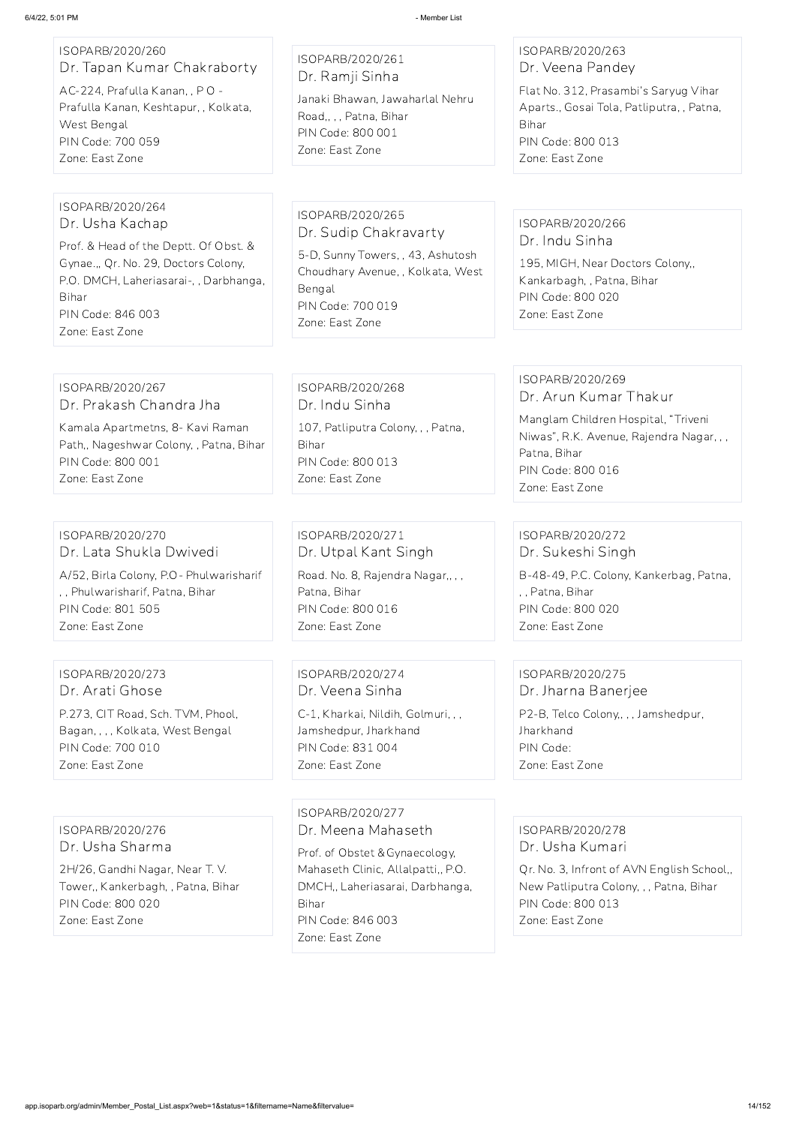### ISOPARB/2020/260 Dr. Tapan Kumar Chakraborty

AC-224, Prafulla Kanan, , P O - Prafulla Kanan, Keshtapur, , Kolkata, West Bengal PIN Code: 700 059 Zone: East Zone

# ISOPARB/2020/261

Dr. Ramji Sinha Janaki Bhawan, Jawaharlal Nehru

Road,, , , Patna, Bihar PIN Code: 800 001 Zone: East Zone

#### ISOPARB/2020/263 Dr. Veena Pandey

Flat No. 312, Prasambi's Saryug Vihar Aparts., Gosai Tola, Patliputra, , Patna, Bihar PIN Code: 800 013 Zone: East Zone

#### ISOPARB/2020/264 Dr. Usha Kachap

Prof. & Head of the Deptt. Of Obst. & Gynae.,, Qr. No. 29, Doctors Colony, P.O. DMCH, Laheriasarai-, , Darbhanga, Bihar PIN Code: 846 003 Zone: East Zone

ISOPARB/2020/265 Dr. Sudip Chakravarty 5-D, Sunny Towers, , 43, Ashutosh

Choudhary Avenue, , Kolkata, West Bengal PIN Code: 700 019 Zone: East Zone

#### ISOPARB/2020/266 Dr. Indu Sinha

195, MIGH, Near Doctors Colony,, Kankarbagh, , Patna, Bihar PIN Code: 800 020 Zone: East Zone

#### ISOPARB/2020/267 Dr. Prakash Chandra Jha

Kamala Apartmetns, 8- Kavi Raman Path,, Nageshwar Colony, , Patna, Bihar PIN Code: 800 001 Zone: East Zone

ISOPARB/2020/268 Dr. Indu Sinha 107, Patliputra Colony, , , Patna, Bihar PIN Code: 800 013 Zone: East Zone

# ISOPARB/2020/269

Dr. Arun Kumar Thakur Manglam Children Hospital, "Triveni Niwas", R.K. Avenue, Rajendra Nagar, , , Patna, Bihar PIN Code: 800 016 Zone: East Zone

#### ISOPARB/2020/270 Dr. Lata Shukla Dwivedi A/52, Birla Colony, P.O- Phulwarisharif , , Phulwarisharif, Patna, Bihar PIN Code: 801 505 Zone: East Zone

ISOPARB/2020/271 Dr. Utpal Kant Singh Road. No. 8, Rajendra Nagar,, , , Patna, Bihar PIN Code: 800 016 Zone: East Zone

ISOPARB/2020/272 Dr. Sukeshi Singh B-48-49, P.C. Colony, Kankerbag, Patna, , , Patna, Bihar PIN Code: 800 020 Zone: East Zone

#### ISOPARB/2020/273 Dr. Arati Ghose

P.273, CIT Road, Sch. TVM, Phool, Bagan, , , , Kolkata, West Bengal PIN Code: 700 010 Zone: East Zone

ISOPARB/2020/274 Dr. Veena Sinha

C-1, Kharkai, Nildih, Golmuri, , , Jamshedpur, Jharkhand PIN Code: 831 004 Zone: East Zone

ISOPARB/2020/275 Dr. Jharna Banerjee

P2-B, Telco Colony,, , , Jamshedpur, Jharkhand PIN Code: Zone: East Zone

ISOPARB/2020/276 Dr. Usha Sharma

2H/26, Gandhi Nagar, Near T. V. Tower,, Kankerbagh, , Patna, Bihar PIN Code: 800 020 Zone: East Zone

ISOPARB/2020/277 Dr. Meena Mahaseth Prof. of Obstet &Gynaecology, Mahaseth Clinic, Allalpatti,, P.O. DMCH,, Laheriasarai, Darbhanga, Bihar PIN Code: 846 003 Zone: East Zone

ISOPARB/2020/278 Dr. Usha Kumari

Qr. No. 3, Infront of AVN English School,, New Patliputra Colony, , , Patna, Bihar PIN Code: 800 013 Zone: East Zone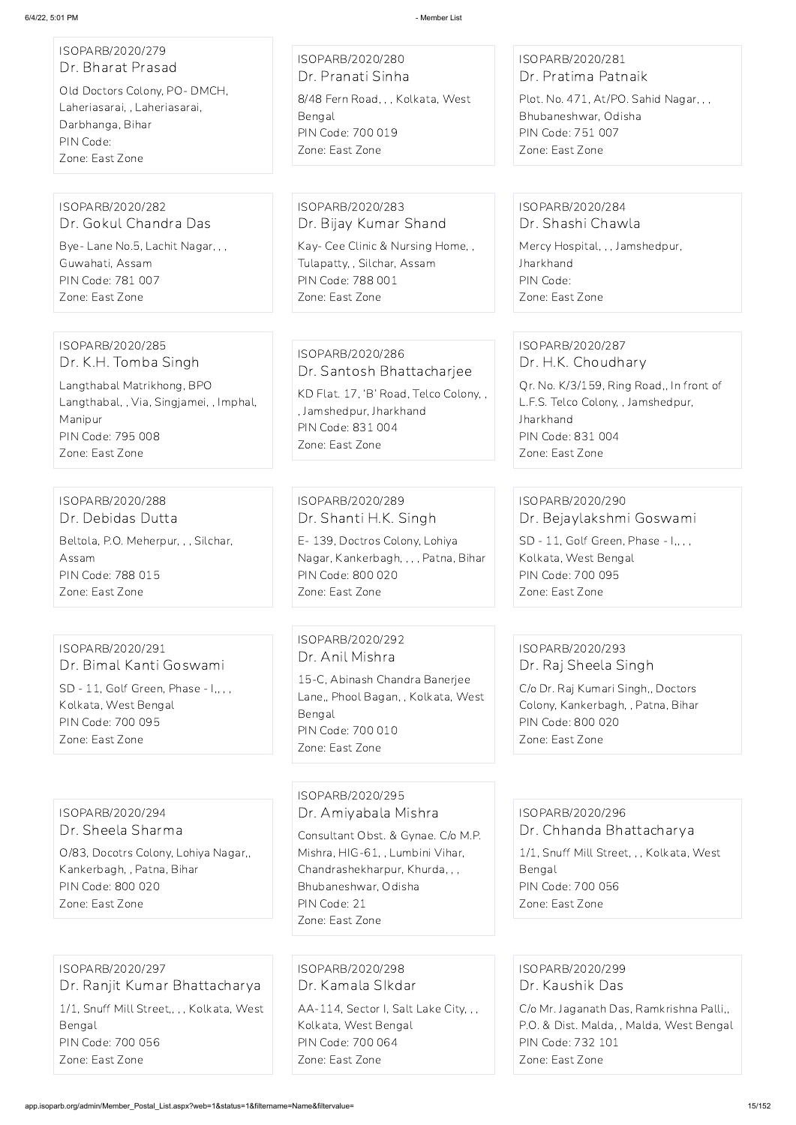| ISOPARB/2020/279<br>Dr. Bharat Prasad<br>Old Doctors Colony, PO-DMCH,<br>Laheriasarai, , Laheriasarai,<br>Darbhanga, Bihar<br>PIN Code:<br>Zone: East Zone | ISOPARB/2020/280<br>Dr. Pranati Sinha<br>8/48 Fern Road, , , Kolkata, West<br>Bengal<br>PIN Code: 700 019<br>Zone: East Zone                                   | ISOPARB/2020/281<br>Dr. Pratima Patnaik<br>Plot. No. 471, At/PO. Sahid Nagar, ,,<br>Bhubaneshwar, Odisha<br>PIN Code: 751 007<br>Zone: East Zone             |
|------------------------------------------------------------------------------------------------------------------------------------------------------------|----------------------------------------------------------------------------------------------------------------------------------------------------------------|--------------------------------------------------------------------------------------------------------------------------------------------------------------|
| ISOPARB/2020/282<br>Dr. Gokul Chandra Das                                                                                                                  | ISOPARB/2020/283<br>Dr. Bijay Kumar Shand                                                                                                                      | ISOPARB/2020/284<br>Dr. Shashi Chawla                                                                                                                        |
| Bye- Lane No.5, Lachit Nagar, , ,<br>Guwahati, Assam<br>PIN Code: 781 007<br>Zone: East Zone                                                               | Kay- Cee Clinic & Nursing Home,,<br>Tulapatty, , Silchar, Assam<br>PIN Code: 788 001<br>Zone: East Zone                                                        | Mercy Hospital, , , Jamshedpur,<br>Jharkhand<br>PIN Code:<br>Zone: East Zone                                                                                 |
| ISOPARB/2020/285<br>Dr. K.H. Tomba Singh                                                                                                                   | ISOPARB/2020/286<br>Dr. Santosh Bhattacharjee                                                                                                                  | ISOPARB/2020/287<br>Dr. H.K. Choudhary                                                                                                                       |
| Langthabal Matrikhong, BPO<br>Langthabal, , Via, Singjamei, , Imphal,<br>Manipur<br>PIN Code: 795 008<br>Zone: East Zone                                   | KD Flat. 17, 'B' Road, Telco Colony,,<br>, Jamshedpur, Jharkhand<br>PIN Code: 831 004<br>Zone: East Zone                                                       | Qr. No. K/3/159, Ring Road,, In front of<br>L.F.S. Telco Colony, , Jamshedpur,<br>Jharkhand<br>PIN Code: 831 004<br>Zone: East Zone                          |
|                                                                                                                                                            |                                                                                                                                                                |                                                                                                                                                              |
| ISOPARB/2020/288<br>Dr. Debidas Dutta                                                                                                                      | ISOPARB/2020/289<br>Dr. Shanti H.K. Singh                                                                                                                      | ISOPARB/2020/290<br>Dr. Bejaylakshmi Goswami                                                                                                                 |
| Beltola, P.O. Meherpur, , , Silchar,<br>Assam<br>PIN Code: 788 015<br>Zone: East Zone                                                                      | E-139, Doctros Colony, Lohiya<br>Nagar, Kankerbagh, , , , Patna, Bihar<br>PIN Code: 800 020<br>Zone: East Zone                                                 | SD - 11, Golf Green, Phase - I,,,,<br>Kolkata, West Bengal<br>PIN Code: 700 095<br>Zone: East Zone                                                           |
|                                                                                                                                                            |                                                                                                                                                                |                                                                                                                                                              |
| ISOPARB/2020/291<br>Dr. Bimal Kanti Goswami<br>SD - 11, Golf Green, Phase - I,,,,<br>Kolkata, West Bengal<br>PIN Code: 700 095<br>Zone: East Zone          | ISOPARB/2020/292<br>Dr. Anil Mishra<br>15-C, Abinash Chandra Banerjee<br>Lane,, Phool Bagan, , Kolkata, West<br>Bengal<br>PIN Code: 700 010<br>Zone: East Zone | ISOPARB/2020/293<br>Dr. Raj Sheela Singh<br>C/o Dr. Raj Kumari Singh,, Doctors<br>Colony, Kankerbagh, , Patna, Bihar<br>PIN Code: 800 020<br>Zone: East Zone |
|                                                                                                                                                            | ISOPARB/2020/295                                                                                                                                               |                                                                                                                                                              |

ISOPARB/2020/294 Dr. Sheela Sharma

O/83, Docotrs Colony, Lohiya Nagar,, Kankerbagh, , Patna, Bihar PIN Code: 800 020 Zone: East Zone

Dr. Amiyabala Mishra

Consultant Obst. & Gynae. C/o M.P. Mishra, HIG-61, , Lumbini Vihar, Chandrashekharpur, Khurda, , , Bhubaneshwar, Odisha PIN Code: 21 Zone: East Zone

ISOPARB/2020/296 Dr. Chhanda Bhattacharya

1/1, Snuff Mill Street, , , Kolkata, West Bengal PIN Code: 700 056 Zone: East Zone

ISOPARB/2020/297 Dr. Ranjit Kumar Bhattacharya 1/1, Snuff Mill Street,, , , Kolkata, West Bengal PIN Code: 700 056 Zone: East Zone

ISOPARB/2020/298 Dr. Kamala SIkdar AA-114, Sector I, Salt Lake City, , , Kolkata, West Bengal PIN Code: 700 064

Zone: East Zone

ISOPARB/2020/299 Dr. Kaushik Das

C/o Mr. Jaganath Das, Ramkrishna Palli,, P.O. & Dist. Malda, , Malda, West Bengal PIN Code: 732 101 Zone: East Zone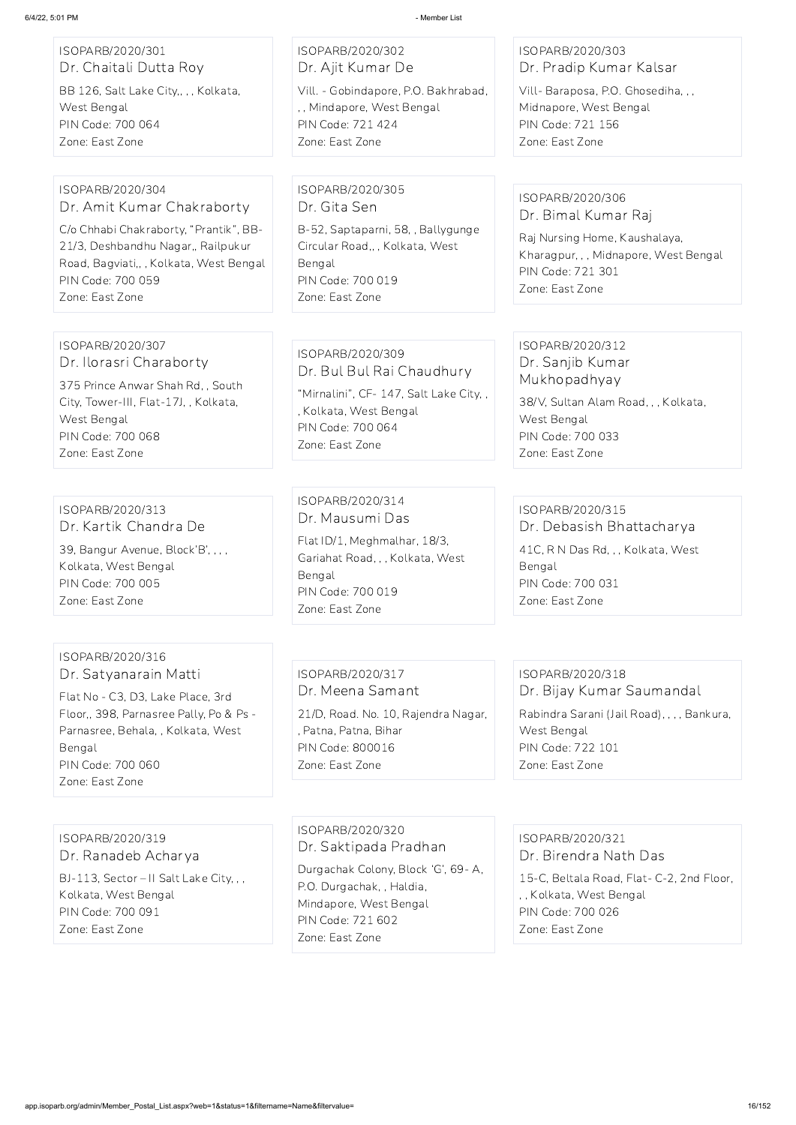| ISOPARB/2020/301<br>Dr. Chaitali Dutta Roy<br>BB 126, Salt Lake City,, , , Kolkata,<br>West Bengal<br>PIN Code: 700 064<br>Zone: East Zone                                                                        | ISOPARB/2020/302<br>Dr. Ajit Kumar De<br>Vill. - Gobindapore, P.O. Bakhrabad,<br>,, Mindapore, West Bengal<br>PIN Code: 721 424<br>Zone: East Zone          | ISOPARB/2020/303<br>Dr. Pradip Kumar Kalsar<br>Vill-Baraposa, P.O. Ghosediha, , ,<br>Midnapore, West Bengal<br>PIN Code: 721 156<br>Zone: East Zone        |
|-------------------------------------------------------------------------------------------------------------------------------------------------------------------------------------------------------------------|-------------------------------------------------------------------------------------------------------------------------------------------------------------|------------------------------------------------------------------------------------------------------------------------------------------------------------|
| ISOPARB/2020/304<br>Dr. Amit Kumar Chakraborty<br>C/o Chhabi Chakraborty, "Prantik", BB-<br>21/3, Deshbandhu Nagar,, Railpukur<br>Road, Bagviati,, , Kolkata, West Bengal<br>PIN Code: 700 059<br>Zone: East Zone | ISOPARB/2020/305<br>Dr. Gita Sen<br>B-52, Saptaparni, 58, , Ballygunge<br>Circular Road,, , Kolkata, West<br>Bengal<br>PIN Code: 700 019<br>Zone: East Zone | ISOPARB/2020/306<br>Dr. Bimal Kumar Raj<br>Raj Nursing Home, Kaushalaya,<br>Kharagpur, , , Midnapore, West Bengal<br>PIN Code: 721 301<br>Zone: East Zone  |
| ISOPARB/2020/307<br>Dr. Ilorasri Charaborty<br>375 Prince Anwar Shah Rd, , South<br>City, Tower-III, Flat-17J,, Kolkata,<br>West Bengal<br>PIN Code: 700 068<br>Zone: East Zone                                   | ISOPARB/2020/309<br>Dr. Bul Bul Rai Chaudhury<br>"Mirnalini", CF- 147, Salt Lake City,,<br>, Kolkata, West Bengal<br>PIN Code: 700 064<br>Zone: East Zone   | ISOPARB/2020/312<br>Dr. Sanjib Kumar<br>Mukhopadhyay<br>38/V, Sultan Alam Road, , , Kolkata,<br>West Bengal<br>PIN Code: 700 033<br>Zone: East Zone        |
| ISOPARB/2020/313<br>Dr. Kartik Chandra De<br>39, Bangur Avenue, Block'B', , , ,<br>Kolkata, West Bengal<br>PIN Code: 700 005<br>Zone: East Zone                                                                   | ISOPARB/2020/314<br>Dr. Mausumi Das<br>Flat ID/1, Meghmalhar, 18/3,<br>Gariahat Road, , , Kolkata, West<br>Bengal<br>PIN Code: 700 019<br>Zone: East Zone   | ISOPARB/2020/315<br>Dr. Debasish Bhattacharya<br>41C, R N Das Rd, , , Kolkata, West<br>Bengal<br>PIN Code: 700 031<br>Zone: East Zone                      |
| ISOPARB/2020/316<br>Dr. Satyanarain Matti<br>Flat No - C3, D3, Lake Place, 3rd<br>Floor,, 398, Parnasree Pally, Po & Ps -<br>Parnasree, Behala, , Kolkata, West<br>Bengal<br>PIN Code: 700 060                    | ISOPARB/2020/317<br>Dr. Meena Samant<br>21/D, Road. No. 10, Rajendra Nagar,<br>, Patna, Patna, Bihar<br><b>PIN Code: 800016</b><br>Zone: East Zone          | ISOPARB/2020/318<br>Dr. Bijay Kumar Saumandal<br>Rabindra Sarani (Jail Road), , , , Bankura,<br>West Bengal<br><b>PIN Code: 722 101</b><br>Zone: East Zone |

Zone: East Zone

ISOPARB/2020/319

Dr. Ranadeb Acharya

BJ-113, Sector – II Salt Lake City, , , Kolkata, West Bengal PIN Code: 700 091 Zone: East Zone

ISOPARB/2020/320 Dr. Saktipada Pradhan

Durgachak Colony, Block 'G', 69- A, P.O. Durgachak, , Haldia, Mindapore, West Bengal PIN Code: 721 602 Zone: East Zone

ISOPARB/2020/321

Dr. Birendra Nath Das

15-C, Beltala Road, Flat- C-2, 2nd Floor,

, , Kolkata, West Bengal PIN Code: 700 026 Zone: East Zone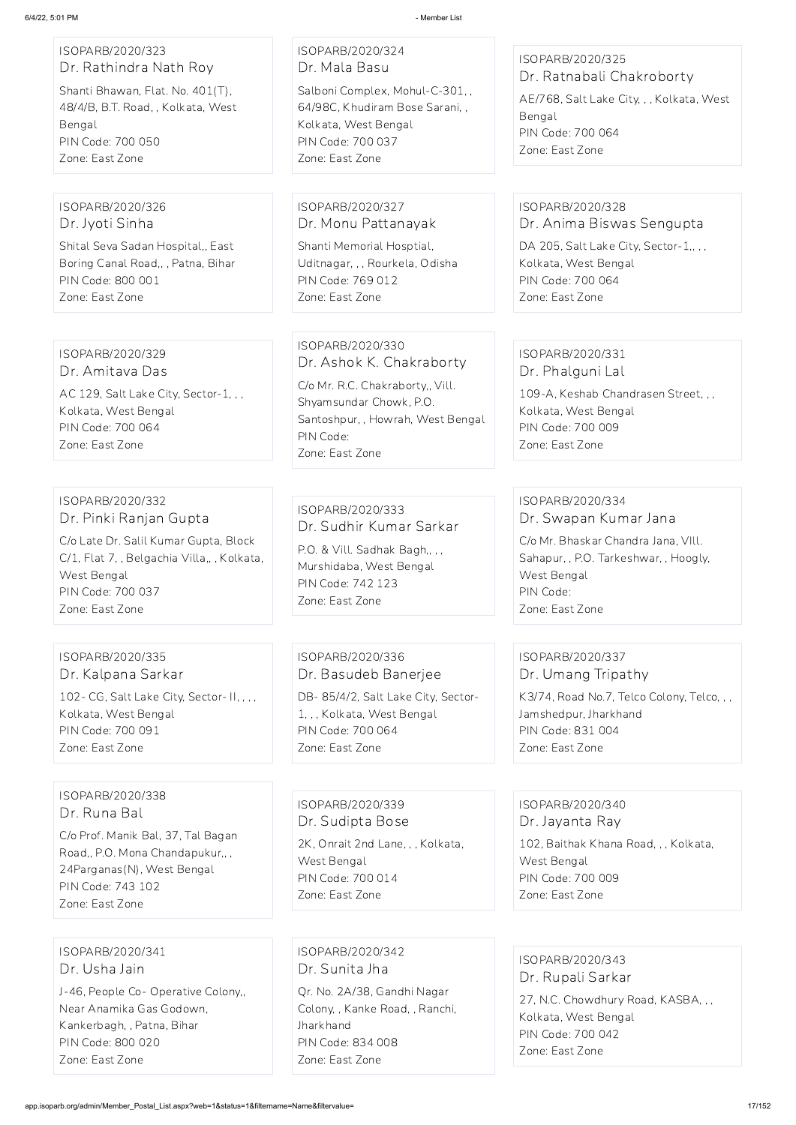| ISOPARB/2020/323<br>Dr. Rathindra Nath Roy                                                                                                                                                | ISOPARB/2020/324<br>Dr. Mala Basu                                                                                                                                                | ISOPARB/2020/325                                                                                                                                                         |
|-------------------------------------------------------------------------------------------------------------------------------------------------------------------------------------------|----------------------------------------------------------------------------------------------------------------------------------------------------------------------------------|--------------------------------------------------------------------------------------------------------------------------------------------------------------------------|
| Shanti Bhawan, Flat. No. 401(T),<br>48/4/B, B.T. Road, , Kolkata, West<br>Bengal<br>PIN Code: 700 050<br>Zone: East Zone                                                                  | Salboni Complex, Mohul-C-301,,<br>64/98C, Khudiram Bose Sarani,,<br>Kolkata, West Bengal<br>PIN Code: 700 037<br>Zone: East Zone                                                 | Dr. Ratnabali Chakroborty<br>AE/768, Salt Lake City, , , Kolkata, West<br>Bengal<br>PIN Code: 700 064<br>Zone: East Zone                                                 |
|                                                                                                                                                                                           |                                                                                                                                                                                  |                                                                                                                                                                          |
| ISOPARB/2020/326<br>Dr. Jyoti Sinha                                                                                                                                                       | ISOPARB/2020/327<br>Dr. Monu Pattanayak                                                                                                                                          | ISOPARB/2020/328<br>Dr. Anima Biswas Sengupta                                                                                                                            |
| Shital Seva Sadan Hospital,, East<br>Boring Canal Road,, , Patna, Bihar<br>PIN Code: 800 001<br>Zone: East Zone                                                                           | Shanti Memorial Hosptial,<br>Uditnagar, , , Rourkela, Odisha<br>PIN Code: 769 012<br>Zone: East Zone                                                                             | DA 205, Salt Lake City, Sector-1,,,,<br>Kolkata, West Bengal<br>PIN Code: 700 064<br>Zone: East Zone                                                                     |
|                                                                                                                                                                                           |                                                                                                                                                                                  |                                                                                                                                                                          |
| ISOPARB/2020/329<br>Dr. Amitava Das<br>AC 129, Salt Lake City, Sector-1, , ,<br>Kolkata, West Bengal<br>PIN Code: 700 064<br>Zone: East Zone                                              | ISOPARB/2020/330<br>Dr. Ashok K. Chakraborty<br>C/o Mr. R.C. Chakraborty,, Vill.<br>Shyamsundar Chowk, P.O.<br>Santoshpur, , Howrah, West Bengal<br>PIN Code:<br>Zone: East Zone | ISOPARB/2020/331<br>Dr. Phalguni Lal<br>109-A, Keshab Chandrasen Street, , ,<br>Kolkata, West Bengal<br>PIN Code: 700 009<br>Zone: East Zone                             |
|                                                                                                                                                                                           |                                                                                                                                                                                  |                                                                                                                                                                          |
| ISOPARB/2020/332<br>Dr. Pinki Ranjan Gupta<br>C/o Late Dr. Salil Kumar Gupta, Block<br>C/1, Flat 7, , Belgachia Villa,, , Kolkata,<br>West Bengal<br>PIN Code: 700 037<br>Zone: East Zone | ISOPARB/2020/333<br>Dr. Sudhir Kumar Sarkar<br>P.O. & Vill. Sadhak Bagh,,,,<br>Murshidaba, West Bengal<br>PIN Code: 742 123<br>Zone: East Zone                                   | ISOPARB/2020/334<br>Dr. Swapan Kumar Jana<br>C/o Mr. Bhaskar Chandra Jana, VIII.<br>Sahapur, , P.O. Tarkeshwar, , Hoogly,<br>West Bengal<br>PIN Code:<br>Zone: East Zone |
|                                                                                                                                                                                           |                                                                                                                                                                                  |                                                                                                                                                                          |
| ISOPARB/2020/335<br>Dr. Kalpana Sarkar                                                                                                                                                    | ISOPARB/2020/336<br>Dr. Basudeb Banerjee                                                                                                                                         | ISOPARB/2020/337<br>Dr. Umang Tripathy                                                                                                                                   |
| 102- CG, Salt Lake City, Sector- II, , , ,<br>Kolkata, West Bengal<br>PIN Code: 700 091<br>Zone: East Zone                                                                                | DB-85/4/2, Salt Lake City, Sector-<br>1, , , Kolkata, West Bengal<br>PIN Code: 700 064<br>Zone: East Zone                                                                        | K3/74, Road No.7, Telco Colony, Telco,,,<br>Jamshedpur, Jharkhand<br>PIN Code: 831 004<br>Zone: East Zone                                                                |

ISOPARB/2020/338 Dr. Runa Bal

C/o Prof. Manik Bal, 37, Tal Bagan Road,, P.O. Mona Chandapukur,, , 24Parganas(N), West Bengal PIN Code: 743 102 Zone: East Zone

ISOPARB/2020/339 Dr. Sudipta Bose 2K, Onrait 2nd Lane, , , Kolkata, West Bengal PIN Code: 700 014 Zone: East Zone

ISOPARB/2020/340 Dr. Jayanta Ray

102, Baithak Khana Road, , , Kolkata,

West Bengal PIN Code: 700 009 Zone: East Zone

ISOPARB/2020/341 Dr. Usha Jain

J-46, People Co- Operative Colony,, Near Anamika Gas Godown, Kankerbagh, , Patna, Bihar PIN Code: 800 020 Zone: East Zone

ISOPARB/2020/342 Dr. Sunita Jha

Qr. No. 2A/38, Gandhi Nagar Colony, , Kanke Road, , Ranchi, Jharkhand PIN Code: 834 008 Zone: East Zone

ISOPARB/2020/343 Dr. Rupali Sarkar 27, N.C. Chowdhury Road, KASBA, , , Kolkata, West Bengal PIN Code: 700 042 Zone: East Zone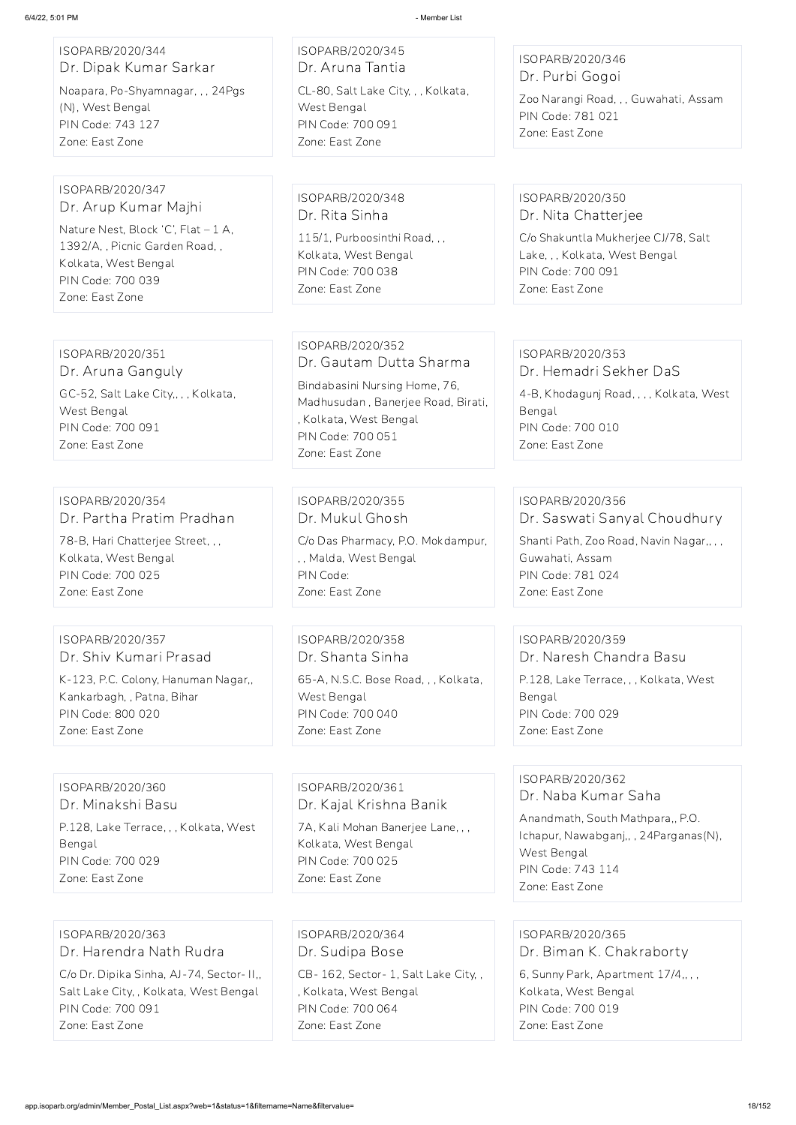| ISOPARB/2020/344<br>Dr. Dipak Kumar Sarkar | ISOPARB/2020/345<br>Dr. Aruna Tantia                         | ISOPARB/2020/346                                           |
|--------------------------------------------|--------------------------------------------------------------|------------------------------------------------------------|
| Noapara, Po-Shyamnagar, , , 24Pgs          | CL-80, Salt Lake City, , , Kolkata,                          | Dr. Purbi Gogoi                                            |
| (N), West Bengal                           | West Bengal                                                  | Zoo Narangi Road, , , Guwahati, Assam<br>PIN Code: 781 021 |
| PIN Code: 743 127                          | PIN Code: 700 091                                            | Zone: East Zone                                            |
| Zone: East Zone                            | Zone: East Zone                                              |                                                            |
| ISOPARB/2020/347                           | ISOPARB/2020/348                                             | ISOPARB/2020/350                                           |
| Dr. Arup Kumar Majhi                       | Dr. Rita Sinha                                               | Dr. Nita Chatterjee                                        |
| Nature Nest, Block 'C', Flat - 1 A,        | 115/1, Purboosinthi Road, , ,                                | C/o Shakuntla Mukherjee CJ/78, Salt                        |
| 1392/A,, Picnic Garden Road,,              | Kolkata, West Bengal                                         | Lake, , , Kolkata, West Bengal                             |
| Kolkata, West Bengal                       | PIN Code: 700 038                                            | PIN Code: 700 091                                          |
| PIN Code: 700 039<br>Zone: East Zone       | Zone: East Zone                                              | Zone: East Zone                                            |
|                                            |                                                              |                                                            |
| ISOPARB/2020/351                           | ISOPARB/2020/352                                             | ISOPARB/2020/353                                           |
| Dr. Aruna Ganguly                          | Dr. Gautam Dutta Sharma                                      | Dr. Hemadri Sekher DaS                                     |
| GC-52, Salt Lake City,, , , Kolkata,       | Bindabasini Nursing Home, 76,                                | 4-B, Khodagunj Road, , , , Kolkata, West                   |
| West Bengal                                | Madhusudan, Banerjee Road, Birati,<br>, Kolkata, West Bengal | Bengal                                                     |
| PIN Code: 700 091                          | PIN Code: 700 051                                            | PIN Code: 700 010                                          |
| Zone: East Zone                            | Zone: East Zone                                              | Zone: East Zone                                            |
|                                            |                                                              |                                                            |
| ISOPARB/2020/354                           | ISOPARB/2020/355                                             | ISOPARB/2020/356                                           |
| Dr. Partha Pratim Pradhan                  | Dr. Mukul Ghosh                                              | Dr. Saswati Sanyal Choudhury                               |
| 78-B, Hari Chatterjee Street, , ,          | C/o Das Pharmacy, P.O. Mokdampur,                            | Shanti Path, Zoo Road, Navin Nagar,,,,                     |
| Kolkata, West Bengal                       | ,, Malda, West Bengal                                        | Guwahati, Assam                                            |
| PIN Code: 700 025<br>Zone: East Zone       | PIN Code:<br>Zone: East Zone                                 | PIN Code: 781 024<br>Zone: East Zone                       |
|                                            |                                                              |                                                            |
| ISOPARB/2020/357                           | ISOPARB/2020/358                                             | ISOPARB/2020/359                                           |
| Dr. Shiv Kumari Prasad                     | Dr. Shanta Sinha                                             | Dr. Naresh Chandra Basu                                    |
| K-123, P.C. Colony, Hanuman Nagar,,        | 65-A, N.S.C. Bose Road, , , Kolkata,                         | P.128, Lake Terrace, , , Kolkata, West                     |
| Kankarbagh, , Patna, Bihar                 | West Bengal                                                  | Bengal                                                     |
| PIN Code: 800 020                          | <b>PIN Code: 700 040</b>                                     | PIN Code: 700 029                                          |
| Zone: East Zone                            | Zone: East Zone                                              | Zone: East Zone                                            |
|                                            |                                                              |                                                            |
| ISOPARB/2020/360                           | ISOPARB/2020/361                                             | ISOPARB/2020/362<br>Dr. Naba Kumar Saha                    |
| Dr. Minakshi Basu                          | Dr. Kajal Krishna Banik                                      |                                                            |

P.128, Lake Terrace, , , Kolkata, West

Bengal PIN Code: 700 029 Zone: East Zone

7A, Kali Mohan Banerjee Lane, , ,

Kolkata, West Bengal PIN Code: 700 025 Zone: East Zone

Anandmath, South Mathpara,, P.O. Ichapur, Nawabganj,, , 24Parganas(N), West Bengal PIN Code: 743 114 Zone: East Zone

ISOPARB/2020/363 Dr. Harendra Nath Rudra

C/o Dr. Dipika Sinha, AJ-74, Sector- II,, Salt Lake City, , Kolkata, West Bengal PIN Code: 700 091 Zone: East Zone

ISOPARB/2020/364 Dr. Sudipa Bose

CB- 162, Sector- 1, Salt Lake City, , , Kolkata, West Bengal PIN Code: 700 064 Zone: East Zone

ISOPARB/2020/365 Dr. Biman K. Chakraborty 6, Sunny Park, Apartment 17/4,, , , Kolkata, West Bengal PIN Code: 700 019 Zone: East Zone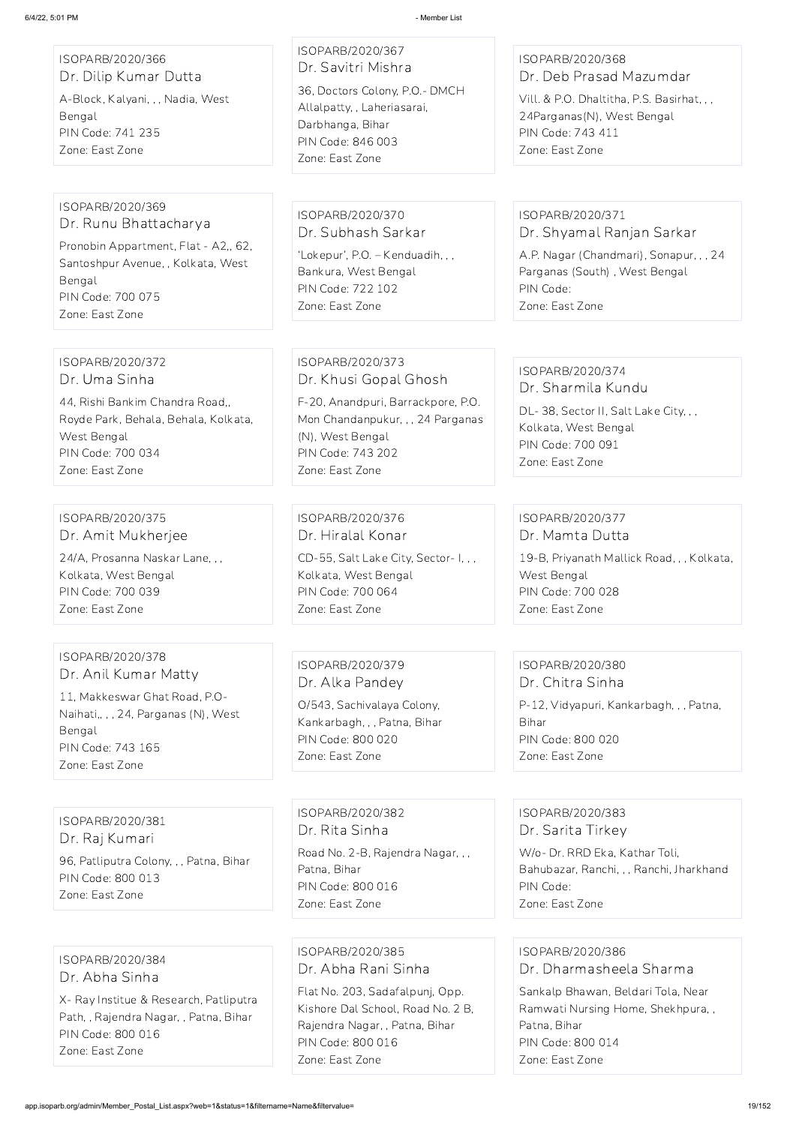ISOPARB/2020/368 Dr. Deb Prasad Mazumdar

Vill. & P.O. Dhaltitha, P.S. Basirhat, , , 24Parganas(N), West Bengal PIN Code: 743 411 Zone: East Zone

20, Anandpuri, Barrackpore, P.O. on Chandanpukur, , , 24 Parganas l), West Bengal N Code: 743 202 Zone: East Zone

DL-38, Sector II, Salt Lake City, , , Kolkata, West Bengal PIN Code: 700 091 Zone: East Zone

ISOPARB/2020/376 r. Hiralal Konar D-55, Salt Lake City, Sector- I, , ,

blkata, West Bengal PIN Code: 700 064 Zone: East Zone

ISOPARB/2020/371 Dr. Shyamal Ranjan Sarkar

| 6/4/22, 5:01 PM                                                                                                                  | - Member List                                                                                                                                                       |
|----------------------------------------------------------------------------------------------------------------------------------|---------------------------------------------------------------------------------------------------------------------------------------------------------------------|
| ISOPARB/2020/366<br>Dr. Dilip Kumar Dutta<br>A-Block, Kalyani, , , Nadia, West<br>Bengal<br>PIN Code: 741 235<br>Zone: East Zone | ISOPARB/2020/367<br>Dr. Savitri Mishra<br>36, Doctors Colony, P.O.- DMCH<br>Allalpatty, , Laheriasarai,<br>Darbhanga, Bihar<br>PIN Code: 846 003<br>Zone: East Zone |
|                                                                                                                                  |                                                                                                                                                                     |
| ISOPARB/2020/369<br>Dr. Runu Bhattacharya<br>Pronobin Appartment, Flat - A2,, 62,                                                | ISOPARB/2020/370<br>Dr. Subhash Sarkar<br>'Lokepur', P.O. - Kenduadih, , ,                                                                                          |
| Santoshpur Avenue, , Kolkata, West<br>Bengal<br>PIN Code: 700 075<br>Zone: East Zone                                             | Bankura, West Bengal<br>PIN Code: 722 102<br>Zone: East Zone                                                                                                        |
|                                                                                                                                  |                                                                                                                                                                     |
| ISOPARB/2020/372<br>Dr. Uma Sinha                                                                                                | ISOPARB/2020/373<br>Dr. Khusi Gopal Ghosh                                                                                                                           |
| 44, Rishi Bankim Chandra Road,,<br>Royde Park, Behala, Behala, Kolkata,<br>West Bengal<br>PIN Code: 700 034<br>Zone: East Zone   | F-20, Anandpuri, Barrackpore,<br>Mon Chandanpukur, , , 24 Parga<br>(N), West Bengal<br>PIN Code: 743 202<br>Zone: East Zone                                         |
|                                                                                                                                  |                                                                                                                                                                     |
| ISOPARB/2020/375<br>Dr. Amit Mukherjee                                                                                           | ISOPARB/2020/376<br>Dr. Hiralal Konar                                                                                                                               |
| 24/A, Prosanna Naskar Lane, , ,<br>Kolkata, West Bengal<br>PIN Code: 700 039<br>Zone: East Zone                                  | CD-55, Salt Lake City, Sector-I<br>Kolkata, West Bengal<br>PIN Code: 700 064<br>Zone: East Zone                                                                     |
|                                                                                                                                  |                                                                                                                                                                     |
| ISOPARB/2020/378<br>Dr. Anil Kumar Matty                                                                                         | ISOPARB/2020/379<br>Dr Allia Dandou                                                                                                                                 |

A.P. Nagar (Chandmari), Sonapur, , , 24 Parganas (South) , West Bengal PIN Code: Zone: East Zone

ISOPARB/2020/374 Dr. Sharmila Kundu

ISOPARB/2020/377 Dr. Mamta Dutta

19-B, Priyanath Mallick Road, , , Kolkata, West Bengal PIN Code: 700 028 Zone: East Zone

11, Makkeswar Ghat Road, P.O-Naihati,, , , 24, Parganas (N), West Bengal PIN Code: 743 165 Zone: East Zone

ISOPARB/2020/379 Dr. Alka Pandey

O/543, Sachivalaya Colony, Kankarbagh, , , Patna, Bihar PIN Code: 800 020 Zone: East Zone

ISOPARB/2020/380 Dr. Chitra Sinha P-12, Vidyapuri, Kankarbagh, , , Patna, Bihar PIN Code: 800 020 Zone: East Zone

ISOPARB/2020/381 Dr. Raj Kumari

96, Patliputra Colony, , , Patna, Bihar PIN Code: 800 013 Zone: East Zone

ISOPARB/2020/382 Dr. Rita Sinha Road No. 2-B, Rajendra Nagar, , , Patna, Bihar PIN Code: 800 016 Zone: East Zone

ISOPARB/2020/383 Dr. Sarita Tirkey W/o- Dr. RRD Eka, Kathar Toli, Bahubazar, Ranchi, , , Ranchi, Jharkhand PIN Code: Zone: East Zone

ISOPARB/2020/384 Dr. Abha Sinha

X- Ray Institue & Research, Patliputra Path, , Rajendra Nagar, , Patna, Bihar PIN Code: 800 016 Zone: East Zone

ISOPARB/2020/385 Dr. Abha Rani Sinha

Flat No. 203, Sadafalpunj, Opp. Kishore Dal School, Road No. 2 B, Rajendra Nagar, , Patna, Bihar PIN Code: 800 016 Zone: East Zone

ISOPARB/2020/386 Dr. Dharmasheela Sharma Sankalp Bhawan, Beldari Tola, Near Ramwati Nursing Home, Shekhpura, , Patna, Bihar PIN Code: 800 014 Zone: East Zone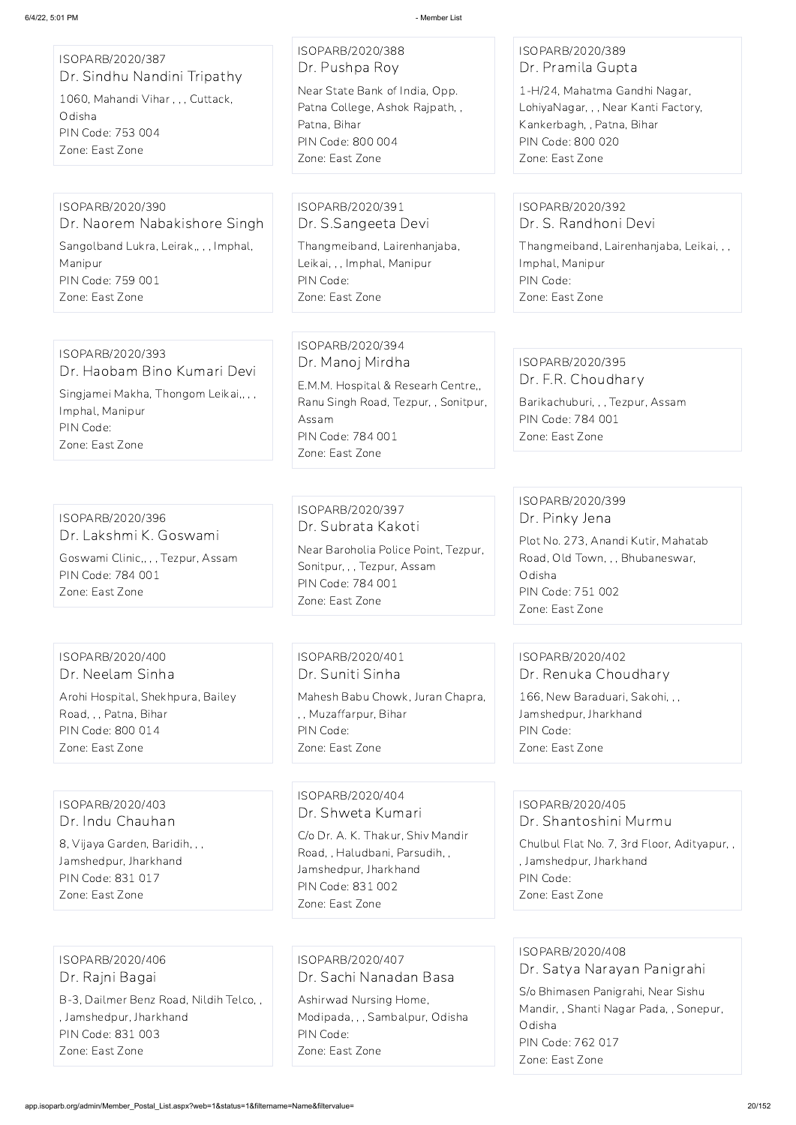| ISOPARB/2020/387<br>Dr. Sindhu Nandini Tripathy<br>1060, Mahandi Vihar, , , Cuttack,<br>Odisha<br>PIN Code: 753 004<br>Zone: East Zone      | ISOPARB/2020/388<br>Dr. Pushpa Roy<br>Near State Bank of India, Opp.<br>Patna College, Ashok Rajpath,,<br>Patna, Bihar<br>PIN Code: 800 004<br>Zone: East Zone      | ISOPARB/2020/389<br>Dr. Pramila Gupta<br>1-H/24, Mahatma Gandhi Nagar,<br>LohiyaNagar, , , Near Kanti Factory,<br>Kankerbagh, , Patna, Bihar<br>PIN Code: 800 020<br>Zone: East Zone |
|---------------------------------------------------------------------------------------------------------------------------------------------|---------------------------------------------------------------------------------------------------------------------------------------------------------------------|--------------------------------------------------------------------------------------------------------------------------------------------------------------------------------------|
| ISOPARB/2020/390<br>Dr. Naorem Nabakishore Singh<br>Sangolband Lukra, Leirak,,,, Imphal,<br>Manipur<br>PIN Code: 759 001<br>Zone: East Zone | ISOPARB/2020/391<br>Dr. S. Sangeeta Devi<br>Thangmeiband, Lairenhanjaba,<br>Leikai, , , Imphal, Manipur<br>PIN Code:<br>Zone: East Zone                             | ISOPARB/2020/392<br>Dr. S. Randhoni Devi<br>Thangmeiband, Lairenhanjaba, Leikai, , ,<br>Imphal, Manipur<br>PIN Code:<br>Zone: East Zone                                              |
| ISOPARB/2020/393<br>Dr. Haobam Bino Kumari Devi<br>Singjamei Makha, Thongom Leikai,,,,<br>Imphal, Manipur<br>PIN Code:<br>Zone: East Zone   | ISOPARB/2020/394<br>Dr. Manoj Mirdha<br>E.M.M. Hospital & Researh Centre,,<br>Ranu Singh Road, Tezpur, , Sonitpur,<br>Assam<br>PIN Code: 784 001<br>Zone: East Zone | ISOPARB/2020/395<br>Dr. F.R. Choudhary<br>Barikachuburi, , , Tezpur, Assam<br>PIN Code: 784 001<br>Zone: East Zone                                                                   |
| ISOPARB/2020/396<br>Dr. Lakshmi K. Goswami<br>Goswami Clinic,,,, Tezpur, Assam<br>PIN Code: 784 001<br>Zone: East Zone                      | ISOPARB/2020/397<br>Dr. Subrata Kakoti<br>Near Baroholia Police Point, Tezpur,<br>Sonitpur, , , Tezpur, Assam<br>PIN Code: 784 001<br>Zone: East Zone               | ISOPARB/2020/399<br>Dr. Pinky Jena<br>Plot No. 273, Anandi Kutir, Mahatab<br>Road, Old Town, , , Bhubaneswar,<br>Odisha<br>PIN Code: 751 002<br>Zone: East Zone                      |
| ISOPARB/2020/400<br>Dr. Neelam Sinha                                                                                                        | ISOPARB/2020/401<br>Dr. Suniti Sinha                                                                                                                                | ISOPARB/2020/402<br>Dr. Renuka Choudhary                                                                                                                                             |
| Arohi Hospital, Shekhpura, Bailey<br>Road, , , Patna, Bihar<br>PIN Code: 800 014<br>Zone: East Zone                                         | Mahesh Babu Chowk, Juran Chapra,<br>,, Muzaffarpur, Bihar<br>PIN Code:<br>Zone: East Zone                                                                           | 166, New Baraduari, Sakohi, , ,<br>Jamshedpur, Jharkhand<br>PIN Code:<br>Zone: East Zone                                                                                             |

ISOPARB/2020/403 Dr. Indu Chauhan

8, Vijaya Garden, Baridih, , ,

Jamshedpur, Jharkhand PIN Code: 831 017 Zone: East Zone

ISOPARB/2020/404 Dr. Shweta Kumari

C/o Dr. A. K. Thakur, Shiv Mandir Road, , Haludbani, Parsudih, , Jamshedpur, Jharkhand PIN Code: 831 002 Zone: East Zone

ISOPARB/2020/405 Dr. Shantoshini Murmu

Chulbul Flat No. 7, 3rd Floor, Adityapur, ,

, Jamshedpur, Jharkhand PIN Code: Zone: East Zone

ISOPARB/2020/406 Dr. Rajni Bagai

B-3, Dailmer Benz Road, Nildih Telco, , , Jamshedpur, Jharkhand PIN Code: 831 003 Zone: East Zone

ISOPARB/2020/407 Dr. Sachi Nanadan Basa Ashirwad Nursing Home, Modipada, , , Sambalpur, Odisha PIN Code: Zone: East Zone

ISOPARB/2020/408 Dr. Satya Narayan Panigrahi S/o Bhimasen Panigrahi, Near Sishu Mandir, , Shanti Nagar Pada, , Sonepur, Odisha PIN Code: 762 017 Zone: East Zone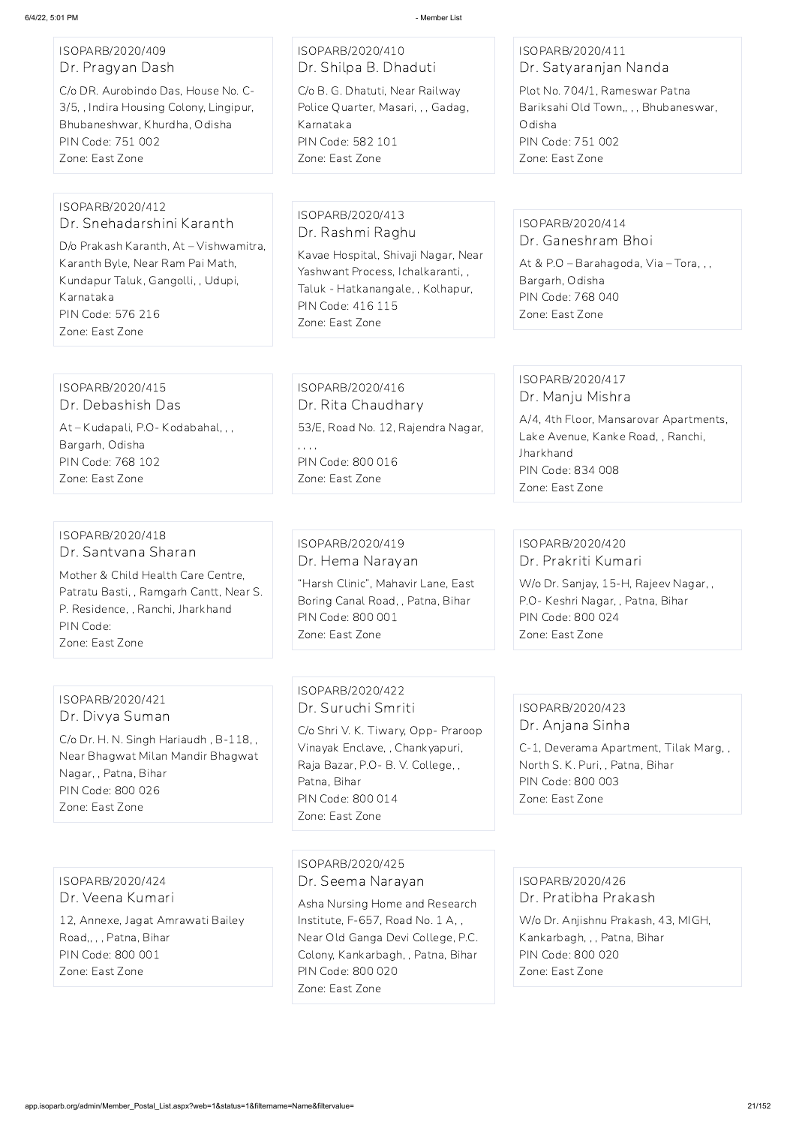| ISOPARB/2020/409 |                  |  |  |
|------------------|------------------|--|--|
|                  | Dr. Pragyan Dash |  |  |

C/o DR. Aurobindo Das, House No. C-3/5, , Indira Housing Colony, Lingipur, Bhubaneshwar, Khurdha, Odisha PIN Code: 751 002 Zone: East Zone

# ISOPARB/2020/410 Dr. Shilpa B. Dhaduti

C/o B. G. Dhatuti, Near Railway Police Quarter, Masari, , , Gadag, Karnataka PIN Code: 582 101 Zone: East Zone

#### ISOPARB/2020/411 Dr. Satyaranjan Nanda

Plot No. 704/1, Rameswar Patna Bariksahi Old Town,, , , Bhubaneswar, Odisha PIN Code: 751 002 Zone: East Zone

#### ISOPARB/2020/412 Dr. Snehadarshini Karanth

D/o Prakash Karanth, At – Vishwamitra, Karanth Byle, Near Ram Pai Math, Kundapur Taluk, Gangolli, , Udupi, Karnataka PIN Code: 576 216 Zone: East Zone

# ISOPARB/2020/413 Dr. Rashmi Raghu

Kavae Hospital, Shivaji Nagar, Near Yashwant Process, Ichalkaranti, , Taluk - Hatkanangale, , Kolhapur, PIN Code: 416 115 Zone: East Zone

#### ISOPARB/2020/414 Dr. Ganeshram Bhoi

At & P.O – Barahagoda, Via – Tora, , , Bargarh, Odisha PIN Code: 768 040 Zone: East Zone

ISOPARB/2020/415 Dr. Debashish Das At – Kudapali, P.O- Kodabahal, , , Bargarh, Odisha PIN Code: 768 102 Zone: East Zone

ISOPARB/2020/416 Dr. Rita Chaudhary 53/E, Road No. 12, Rajendra Nagar, , , , , PIN Code: 800 016 Zone: East Zone

#### ISOPARB/2020/417 Dr. Manju Mishra

A/4, 4th Floor, Mansarovar Apartments, Lake Avenue, Kanke Road, , Ranchi, Jharkhand PIN Code: 834 008 Zone: East Zone

#### ISOPARB/2020/418 Dr. Santvana Sharan

Mother & Child Health Care Centre, Patratu Basti, , Ramgarh Cantt, Near S. P. Residence, , Ranchi, Jharkhand PIN Code: Zone: East Zone

#### ISOPARB/2020/419 Dr. Hema Narayan

"Harsh Clinic", Mahavir Lane, East Boring Canal Road, , Patna, Bihar PIN Code: 800 001 Zone: East Zone

#### ISOPARB/2020/420 Dr. Prakriti Kumari

W/o Dr. Sanjay, 15-H, Rajeev Nagar, , P.O- Keshri Nagar, , Patna, Bihar PIN Code: 800 024 Zone: East Zone

#### ISOPARB/2020/421 Dr. Divya Suman

C/o Dr. H. N. Singh Hariaudh , B-118, , Near Bhagwat Milan Mandir Bhagwat Nagar, , Patna, Bihar PIN Code: 800 026 Zone: East Zone

### ISOPARB/2020/422 Dr. Suruchi Smriti

C/o Shri V. K. Tiwary, Opp- Praroop Vinayak Enclave, , Chankyapuri, Raja Bazar, P.O- B. V. College, , Patna, Bihar PIN Code: 800 014 Zone: East Zone

#### ISOPARB/2020/423 Dr. Anjana Sinha

C-1, Deverama Apartment, Tilak Marg, , North S. K. Puri, , Patna, Bihar PIN Code: 800 003 Zone: East Zone

ISOPARB/2020/424 Dr. Veena Kumari 12, Annexe, Jagat Amrawati Bailey Road,, , , Patna, Bihar PIN Code: 800 001

Zone: East Zone

ISOPARB/2020/425 Dr. Seema Narayan

Asha Nursing Home and Research Institute, F-657, Road No. 1 A, , Near Old Ganga Devi College, P.C. Colony, Kankarbagh, , Patna, Bihar PIN Code: 800 020 Zone: East Zone

ISOPARB/2020/426 Dr. Pratibha Prakash W/o Dr. Anjishnu Prakash, 43, MIGH, Kankarbagh, , , Patna, Bihar PIN Code: 800 020 Zone: East Zone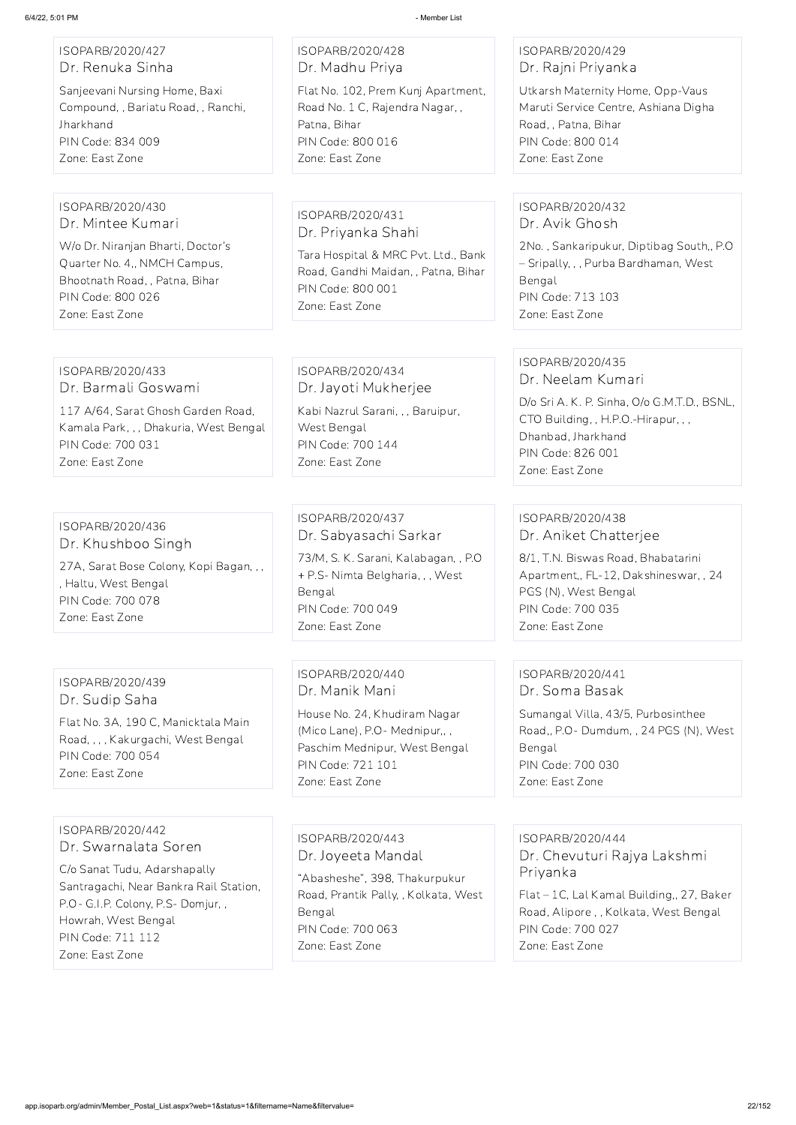| ISOPARB/2020/428<br>Dr. Madhu Priya                                                                                                                                      | ISOPARB/2020/429<br>Dr. Rajni Priyanka                                                                                                                                                  |
|--------------------------------------------------------------------------------------------------------------------------------------------------------------------------|-----------------------------------------------------------------------------------------------------------------------------------------------------------------------------------------|
| Flat No. 102, Prem Kunj Apartment,<br>Road No. 1 C, Rajendra Nagar,,<br>Patna, Bihar<br>PIN Code: 800 016<br>Zone: East Zone                                             | Utkarsh Maternity Home, Opp-Vaus<br>Maruti Service Centre, Ashiana Digha<br>Road, , Patna, Bihar<br>PIN Code: 800 014<br>Zone: East Zone                                                |
|                                                                                                                                                                          |                                                                                                                                                                                         |
| ISOPARB/2020/431                                                                                                                                                         | ISOPARB/2020/432<br>Dr. Avik Ghosh                                                                                                                                                      |
| Tara Hospital & MRC Pvt. Ltd., Bank<br>Road, Gandhi Maidan, , Patna, Bihar<br>PIN Code: 800 001<br>Zone: East Zone                                                       | 2No., Sankaripukur, Diptibag South,, P.O.<br>- Sripally, , , Purba Bardhaman, West<br>Bengal<br>PIN Code: 713 103<br>Zone: East Zone                                                    |
|                                                                                                                                                                          |                                                                                                                                                                                         |
| ISOPARB/2020/434<br>Dr. Jayoti Mukherjee                                                                                                                                 | ISOPARB/2020/435<br>Dr. Neelam Kumari                                                                                                                                                   |
| Kabi Nazrul Sarani, , , Baruipur,<br>West Bengal<br>PIN Code: 700 144<br>Zone: East Zone                                                                                 | D/o Sri A. K. P. Sinha, O/o G.M.T.D., BSNL,<br>CTO Building, , H.P.O.-Hirapur, , ,<br>Dhanbad, Jharkhand<br>PIN Code: 826 001<br>Zone: East Zone                                        |
|                                                                                                                                                                          |                                                                                                                                                                                         |
| ISOPARB/2020/437<br>Dr. Sabyasachi Sarkar<br>73/M, S. K. Sarani, Kalabagan, , P.O.<br>+ P.S- Nimta Belgharia, , , West<br>Bengal<br>PIN Code: 700 049<br>Zone: East Zone | ISOPARB/2020/438<br>Dr. Aniket Chatterjee<br>8/1, T.N. Biswas Road, Bhabatarini<br>Apartment,, FL-12, Dakshineswar,, 24<br>PGS (N), West Bengal<br>PIN Code: 700 035<br>Zone: East Zone |
|                                                                                                                                                                          | Dr. Priyanka Shahi                                                                                                                                                                      |

ISOPARB/2020/439 Dr. Sudip Saha

Flat No. 3A, 190 C, Manicktala Main Road, , , , Kakurgachi, West Bengal

PIN Code: 700 054

Zone: East Zone

ISOPARB/2020/440 Dr. Manik Mani House No. 24, Khudiram Nagar (Mico Lane), P.O- Mednipur,, , Paschim Mednipur, West Bengal PIN Code: 721 101 Zone: East Zone

#### ISOPARB/2020/441 Dr. Soma Basak

Sumangal Villa, 43/5, Purbosinthee Road,, P.O- Dumdum, , 24 PGS (N), West Bengal PIN Code: 700 030 Zone: East Zone

ISOPARB/2020/442

Dr. Swarnalata Soren

C/o Sanat Tudu, Adarshapally Santragachi, Near Bankra Rail Station, P.O- G.I.P. Colony, P.S- Domjur, , Howrah, West Bengal PIN Code: 711 112 Zone: East Zone

ISOPARB/2020/443

Dr. Joyeeta Mandal

"Abasheshe", 398, Thakurpukur Road, Prantik Pally, , Kolkata, West Bengal PIN Code: 700 063 Zone: East Zone

ISOPARB/2020/444

Dr. Chevuturi Rajya Lakshmi Priyanka

Flat – 1C, Lal Kamal Building,, 27, Baker Road, Alipore , , Kolkata, West Bengal PIN Code: 700 027

Zone: East Zone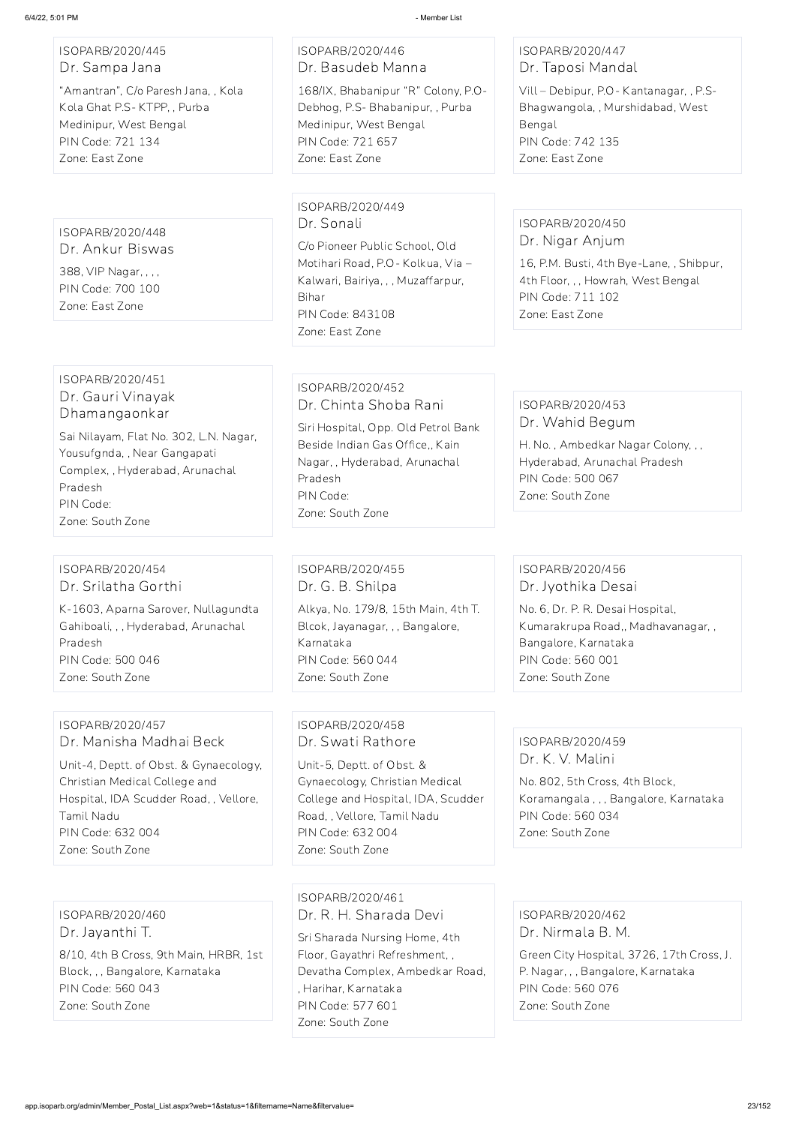ISOPARB/2020/445 Dr. Sampa Jana

"Amantran", C/o Paresh Jana, , Kola Kola Ghat P.S- KTPP, , Purba Medinipur, West Bengal PIN Code: 721 134 Zone: East Zone

ISOPARB/2020/446 Dr. Basudeb Manna

168/IX, Bhabanipur "R" Colony, P.O-Debhog, P.S- Bhabanipur, , Purba Medinipur, West Bengal PIN Code: 721 657 Zone: East Zone

#### ISOPARB/2020/447 Dr. Taposi Mandal

Vill – Debipur, P.O- Kantanagar, , P.S-Bhagwangola, , Murshidabad, West Bengal PIN Code: 742 135 Zone: East Zone

ISOPARB/2020/448 Dr. Ankur Biswas 388, VIP Nagar, , , , PIN Code: 700 100 Zone: East Zone

ISOPARB/2020/449 Dr. Sonali

C/o Pioneer Public School, Old Motihari Road, P.O- Kolkua, Via – Kalwari, Bairiya, , , Muzaffarpur, Bihar PIN Code: 843108 Zone: East Zone

#### ISOPARB/2020/450 Dr. Nigar Anjum

16, P.M. Busti, 4th Bye-Lane, , Shibpur, 4th Floor, , , Howrah, West Bengal PIN Code: 711 102 Zone: East Zone

#### ISOPARB/2020/451 Dr. Gauri Vinayak Dhamangaonkar

Sai Nilayam, Flat No. 302, L.N. Nagar, Yousufgnda, , Near Gangapati Complex, , Hyderabad, Arunachal Pradesh PIN Code: Zone: South Zone

ISOPARB/2020/452 Dr. Chinta Shoba Rani

Siri Hospital, Opp. Old Petrol Bank Beside Indian Gas Office,, Kain Nagar, , Hyderabad, Arunachal Pradesh PIN Code: Zone: South Zone

#### ISOPARB/2020/453 Dr. Wahid Begum

H. No. , Ambedkar Nagar Colony, , , Hyderabad, Arunachal Pradesh PIN Code: 500 067 Zone: South Zone

#### ISOPARB/2020/454 Dr. Srilatha Gorthi

K-1603, Aparna Sarover, Nullagundta Gahiboali, , , Hyderabad, Arunachal Pradesh PIN Code: 500 046 Zone: South Zone

ISOPARB/2020/455 Dr. G. B. Shilpa Alkya, No. 179/8, 15th Main, 4th T. Blcok, Jayanagar, , , Bangalore, Karnataka PIN Code: 560 044 Zone: South Zone

#### ISOPARB/2020/456 Dr. Jyothika Desai

No. 6, Dr. P. R. Desai Hospital, Kumarakrupa Road,, Madhavanagar, , Bangalore, Karnataka PIN Code: 560 001 Zone: South Zone

#### ISOPARB/2020/457 Dr. Manisha Madhai Beck

Unit-4, Deptt. of Obst. & Gynaecology, Christian Medical College and Hospital, IDA Scudder Road, , Vellore, Tamil Nadu PIN Code: 632 004 Zone: South Zone

#### ISOPARB/2020/458 Dr. Swati Rathore

Unit-5, Deptt. of Obst. & Gynaecology, Christian Medical College and Hospital, IDA, Scudder Road, , Vellore, Tamil Nadu PIN Code: 632 004 Zone: South Zone

#### ISOPARB/2020/459 Dr. K. V. Malini

No. 802, 5th Cross, 4th Block, Koramangala , , , Bangalore, Karnataka PIN Code: 560 034 Zone: South Zone

ISOPARB/2020/460 Dr. Jayanthi T.

8/10, 4th B Cross, 9th Main, HRBR, 1st Block, , , Bangalore, Karnataka PIN Code: 560 043 Zone: South Zone

ISOPARB/2020/461 Dr. R. H. Sharada Devi

Sri Sharada Nursing Home, 4th Floor, Gayathri Refreshment, , Devatha Complex, Ambedkar Road, , Harihar, Karnataka PIN Code: 577 601 Zone: South Zone

ISOPARB/2020/462 Dr. Nirmala B. M. Green City Hospital, 3726, 17th Cross, J. P. Nagar, , , Bangalore, Karnataka PIN Code: 560 076 Zone: South Zone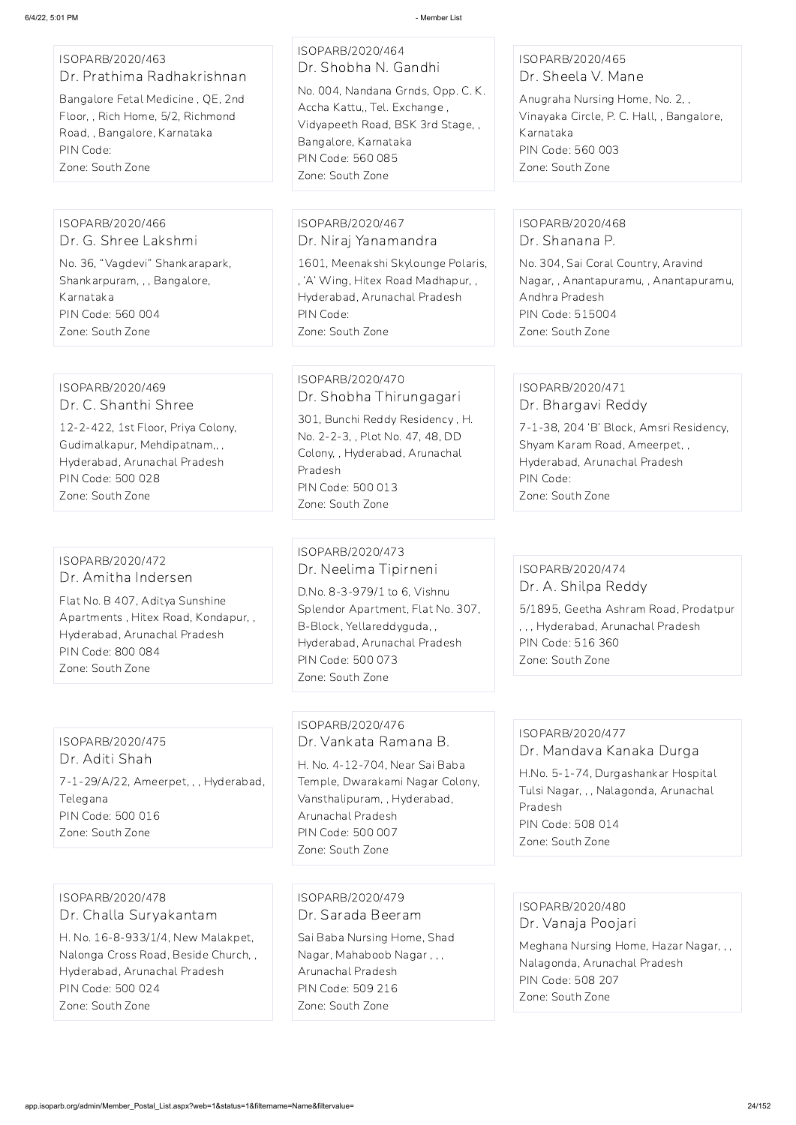#### ISOPARB/2020/463 Dr. Prathima Radhakrishnan

Bangalore Fetal Medicine , QE, 2nd Floor, , Rich Home, 5/2, Richmond Road, , Bangalore, Karnataka PIN Code: Zone: South Zone

# ISOPARB/2020/464 Dr. Shobha N. Gandhi

No. 004, Nandana Grnds, Opp. C. K. Accha Kattu,, Tel. Exchange , Vidyapeeth Road, BSK 3rd Stage, , Bangalore, Karnataka PIN Code: 560 085 Zone: South Zone

#### ISOPARB/2020/465 Dr. Sheela V. Mane

Anugraha Nursing Home, No. 2, , Vinayaka Circle, P. C. Hall, , Bangalore, Karnataka PIN Code: 560 003 Zone: South Zone

#### ISOPARB/2020/466 Dr. G. Shree Lakshmi

No. 36, "Vagdevi" Shankarapark, Shankarpuram, , , Bangalore, Karnataka PIN Code: 560 004 Zone: South Zone

#### ISOPARB/2020/467 Dr. Niraj Yanamandra

1601, Meenakshi Skylounge Polaris, , 'A' Wing, Hitex Road Madhapur, , Hyderabad, Arunachal Pradesh PIN Code: Zone: South Zone

#### ISOPARB/2020/468 Dr. Shanana P.

No. 304, Sai Coral Country, Aravind Nagar, , Anantapuramu, , Anantapuramu, Andhra Pradesh PIN Code: 515004 Zone: South Zone

#### ISOPARB/2020/469 Dr. C. Shanthi Shree

12-2-422, 1st Floor, Priya Colony, Gudimalkapur, Mehdipatnam,, , Hyderabad, Arunachal Pradesh PIN Code: 500 028 Zone: South Zone

#### ISOPARB/2020/470 Dr. Shobha Thirungagari

301, Bunchi Reddy Residency , H. No. 2-2-3, , Plot No. 47, 48, DD Colony, , Hyderabad, Arunachal Pradesh PIN Code: 500 013 Zone: South Zone

#### ISOPARB/2020/471 Dr. Bhargavi Reddy

7-1-38, 204 'B' Block, Amsri Residency, Shyam Karam Road, Ameerpet, , Hyderabad, Arunachal Pradesh PIN Code: Zone: South Zone

#### ISOPARB/2020/472 Dr. Amitha Indersen

Flat No. B 407, Aditya Sunshine Apartments , Hitex Road, Kondapur, , Hyderabad, Arunachal Pradesh PIN Code: 800 084 Zone: South Zone

#### ISOPARB/2020/473 Dr. Neelima Tipirneni

D.No. 8-3-979/1 to 6, Vishnu Splendor Apartment, Flat No. 307, B-Block, Yellareddyguda, , Hyderabad, Arunachal Pradesh PIN Code: 500 073 Zone: South Zone

#### ISOPARB/2020/474 Dr. A. Shilpa Reddy

5/1895, Geetha Ashram Road, Prodatpur , , , Hyderabad, Arunachal Pradesh PIN Code: 516 360 Zone: South Zone

#### ISOPARB/2020/475

Dr. Aditi Shah 7-1-29/A/22, Ameerpet, , , Hyderabad, Telegana PIN Code: 500 016 Zone: South Zone

#### ISOPARB/2020/476 Dr. Vankata Ramana B.

H. No. 4-12-704, Near Sai Baba Temple, Dwarakami Nagar Colony, Vansthalipuram, , Hyderabad, Arunachal Pradesh PIN Code: 500 007 Zone: South Zone

#### ISOPARB/2020/477 Dr. Mandava Kanaka Durga

H.No. 5-1-74, Durgashankar Hospital Tulsi Nagar, , , Nalagonda, Arunachal Pradesh PIN Code: 508 014 Zone: South Zone

ISOPARB/2020/478 Dr. Challa Suryakantam

H. No. 16-8-933/1/4, New Malakpet, Nalonga Cross Road, Beside Church, , Hyderabad, Arunachal Pradesh PIN Code: 500 024 Zone: South Zone

ISOPARB/2020/479 Dr. Sarada Beeram

Sai Baba Nursing Home, Shad Nagar, Mahaboob Nagar , , , Arunachal Pradesh PIN Code: 509 216 Zone: South Zone

ISOPARB/2020/480 Dr. Vanaja Poojari

Meghana Nursing Home, Hazar Nagar, , , Nalagonda, Arunachal Pradesh PIN Code: 508 207 Zone: South Zone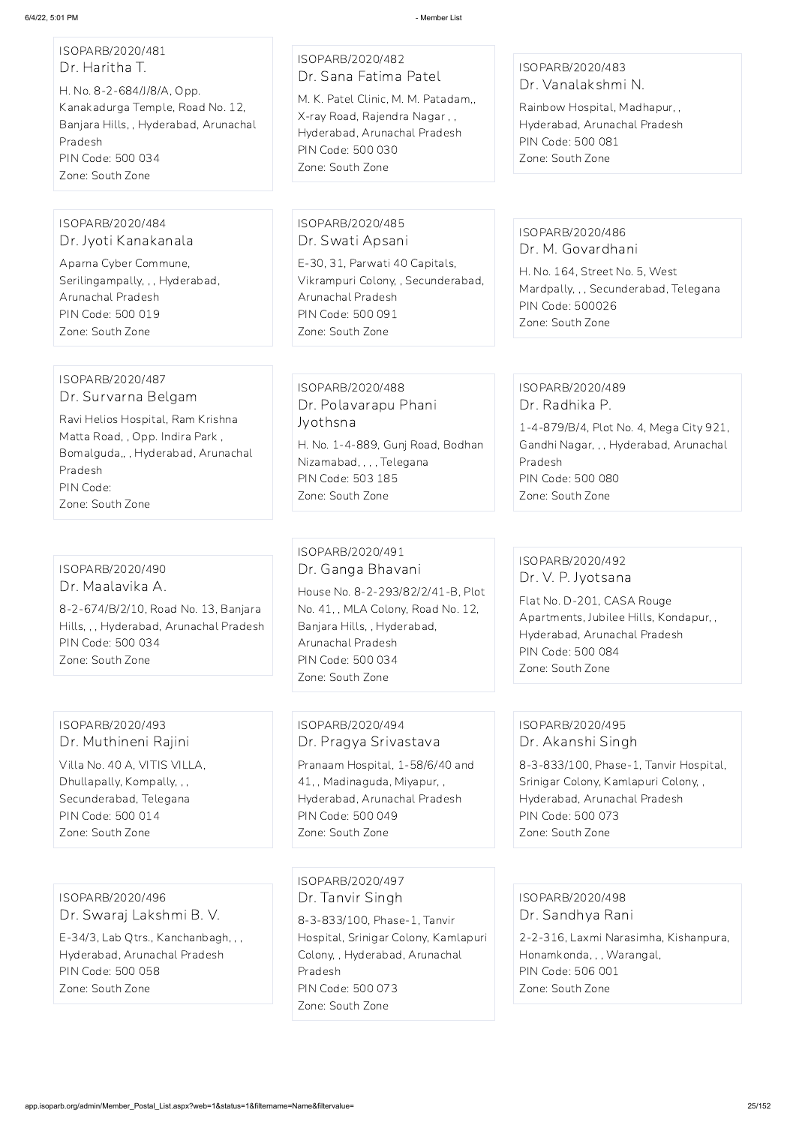#### ISOPARB/2020/481 Dr. Haritha T.

H. No. 8-2-684/J/8/A, Opp. Kanakadurga Temple, Road No. 12, Banjara Hills, , Hyderabad, Arunachal Pradesh PIN Code: 500 034 Zone: South Zone

#### ISOPARB/2020/482 Dr. Sana Fatima Patel

M. K. Patel Clinic, M. M. Patadam,, X-ray Road, Rajendra Nagar , , Hyderabad, Arunachal Pradesh PIN Code: 500 030 Zone: South Zone

#### ISOPARB/2020/483 Dr. Vanalakshmi N.

Rainbow Hospital, Madhapur, , Hyderabad, Arunachal Pradesh PIN Code: 500 081 Zone: South Zone

#### ISOPARB/2020/484 Dr. Jyoti Kanakanala

Aparna Cyber Commune, Serilingampally, , , Hyderabad, Arunachal Pradesh PIN Code: 500 019 Zone: South Zone

#### ISOPARB/2020/485 Dr. Swati Apsani

E-30, 31, Parwati 40 Capitals, Vikrampuri Colony, , Secunderabad, Arunachal Pradesh PIN Code: 500 091 Zone: South Zone

#### ISOPARB/2020/486 Dr. M. Govardhani

H. No. 164, Street No. 5, West Mardpally, , , Secunderabad, Telegana PIN Code: 500026 Zone: South Zone

#### ISOPARB/2020/487 Dr. Survarna Belgam

Ravi Helios Hospital, Ram Krishna Matta Road, , Opp. Indira Park , Bomalguda,, , Hyderabad, Arunachal Pradesh PIN Code: Zone: South Zone

#### ISOPARB/2020/488 Dr. Polavarapu Phani Jyothsna

H. No. 1-4-889, Gunj Road, Bodhan Nizamabad, , , , Telegana PIN Code: 503 185 Zone: South Zone

#### ISOPARB/2020/489 Dr. Radhika P.

1-4-879/B/4, Plot No. 4, Mega City 921, Gandhi Nagar, , , Hyderabad, Arunachal Pradesh PIN Code: 500 080 Zone: South Zone

#### ISOPARB/2020/490 Dr. Maalavika A.

8-2-674/B/2/10, Road No. 13, Banjara Hills, , , Hyderabad, Arunachal Pradesh PIN Code: 500 034 Zone: South Zone

### ISOPARB/2020/491 Dr. Ganga Bhavani House No. 8-2-293/82/2/41-B, Plot

No. 41, , MLA Colony, Road No. 12, Banjara Hills, , Hyderabad, Arunachal Pradesh PIN Code: 500 034 Zone: South Zone

#### ISOPARB/2020/492 Dr. V. P. Jyotsana

Flat No. D-201, CASA Rouge Apartments, Jubilee Hills, Kondapur, , Hyderabad, Arunachal Pradesh PIN Code: 500 084 Zone: South Zone

#### ISOPARB/2020/493 Dr. Muthineni Rajini

Villa No. 40 A, VITIS VILLA, Dhullapally, Kompally, , , Secunderabad, Telegana PIN Code: 500 014 Zone: South Zone

#### ISOPARB/2020/494 Dr. Pragya Srivastava

Pranaam Hospital, 1-58/6/40 and 41, , Madinaguda, Miyapur, , Hyderabad, Arunachal Pradesh PIN Code: 500 049 Zone: South Zone

#### ISOPARB/2020/495 Dr. Akanshi Singh

8-3-833/100, Phase-1, Tanvir Hospital, Srinigar Colony, Kamlapuri Colony, , Hyderabad, Arunachal Pradesh PIN Code: 500 073 Zone: South Zone

ISOPARB/2020/496 Dr. Swaraj Lakshmi B. V.

E-34/3, Lab Qtrs., Kanchanbagh, , , Hyderabad, Arunachal Pradesh PIN Code: 500 058 Zone: South Zone

ISOPARB/2020/497 Dr. Tanvir Singh 8-3-833/100, Phase-1, Tanvir Hospital, Srinigar Colony, Kamlapuri Colony, , Hyderabad, Arunachal Pradesh PIN Code: 500 073 Zone: South Zone

ISOPARB/2020/498 Dr. Sandhya Rani

2-2-316, Laxmi Narasimha, Kishanpura, Honamkonda, , , Warangal, PIN Code: 506 001 Zone: South Zone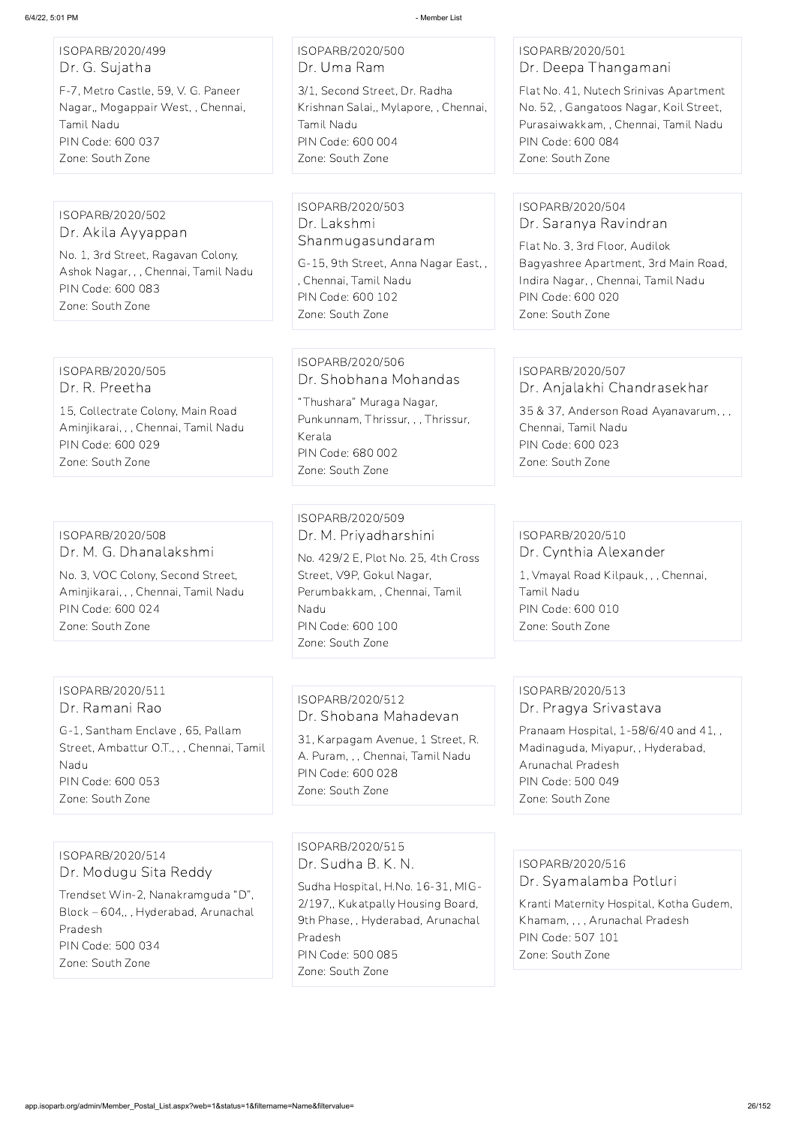# ISOPARB/2020/499 Dr. G. Sujatha

F-7, Metro Castle, 59, V. G. Paneer Nagar,, Mogappair West, , Chennai, Tamil Nadu PIN Code: 600 037 Zone: South Zone

ISOPARB/2020/500 Dr. Uma Ram 3/1, Second Street, Dr. Radha Krishnan Salai,, Mylapore, , Chennai, Tamil Nadu

PIN Code: 600 004 Zone: South Zone

ISOPARB/2020/501 Dr. Deepa Thangamani

Flat No. 41, Nutech Srinivas Apartment No. 52, , Gangatoos Nagar, Koil Street, Purasaiwakkam, , Chennai, Tamil Nadu PIN Code: 600 084 Zone: South Zone

ISOPARB/2020/502 Dr. Akila Ayyappan No. 1, 3rd Street, Ragavan Colony, Ashok Nagar, , , Chennai, Tamil Nadu PIN Code: 600 083 Zone: South Zone

ISOPARB/2020/503 Dr. Lakshmi Shanmugasundaram

G-15, 9th Street, Anna Nagar East, , , Chennai, Tamil Nadu PIN Code: 600 102 Zone: South Zone

#### ISOPARB/2020/504 Dr. Saranya Ravindran

Flat No. 3, 3rd Floor, Audilok Bagyashree Apartment, 3rd Main Road, Indira Nagar, , Chennai, Tamil Nadu PIN Code: 600 020 Zone: South Zone

ISOPARB/2020/505 Dr. R. Preetha

15, Collectrate Colony, Main Road Aminjikarai, , , Chennai, Tamil Nadu PIN Code: 600 029 Zone: South Zone

#### ISOPARB/2020/506 Dr. Shobhana Mohandas

"Thushara" Muraga Nagar, Punkunnam, Thrissur, , , Thrissur, Kerala PIN Code: 680 002 Zone: South Zone

# ISOPARB/2020/507

Dr. Anjalakhi Chandrasekhar

35 & 37, Anderson Road Ayanavarum, , , Chennai, Tamil Nadu PIN Code: 600 023 Zone: South Zone

#### ISOPARB/2020/508 Dr. M. G. Dhanalakshmi

No. 3, VOC Colony, Second Street, Aminjikarai, , , Chennai, Tamil Nadu PIN Code: 600 024 Zone: South Zone

ISOPARB/2020/509 Dr. M. Priyadharshini

No. 429/2 E, Plot No. 25, 4th Cross Street, V9P, Gokul Nagar, Perumbakkam, , Chennai, Tamil Nadu PIN Code: 600 100 Zone: South Zone

#### ISOPARB/2020/510 Dr. Cynthia Alexander

1, Vmayal Road Kilpauk, , , Chennai, Tamil Nadu PIN Code: 600 010 Zone: South Zone

#### ISOPARB/2020/511 Dr. Ramani Rao

G-1, Santham Enclave , 65, Pallam Street, Ambattur O.T., , , Chennai, Tamil Nadu PIN Code: 600 053 Zone: South Zone

### ISOPARB/2020/512 Dr. Shobana Mahadevan

31, Karpagam Avenue, 1 Street, R. A. Puram, , , Chennai, Tamil Nadu PIN Code: 600 028 Zone: South Zone

#### ISOPARB/2020/513 Dr. Pragya Srivastava

Pranaam Hospital, 1-58/6/40 and 41, , Madinaguda, Miyapur, , Hyderabad, Arunachal Pradesh PIN Code: 500 049 Zone: South Zone

ISOPARB/2020/514 Dr. Modugu Sita Reddy

Trendset Win-2, Nanakramguda "D", Block – 604,, , Hyderabad, Arunachal Pradesh PIN Code: 500 034 Zone: South Zone

ISOPARB/2020/515 Dr. Sudha B. K. N.

Sudha Hospital, H.No. 16-31, MIG-2/197,, Kukatpally Housing Board, 9th Phase, , Hyderabad, Arunachal Pradesh PIN Code: 500 085 Zone: South Zone

ISOPARB/2020/516 Dr. Syamalamba Potluri

Kranti Maternity Hospital, Kotha Gudem, Khamam, , , , Arunachal Pradesh PIN Code: 507 101 Zone: South Zone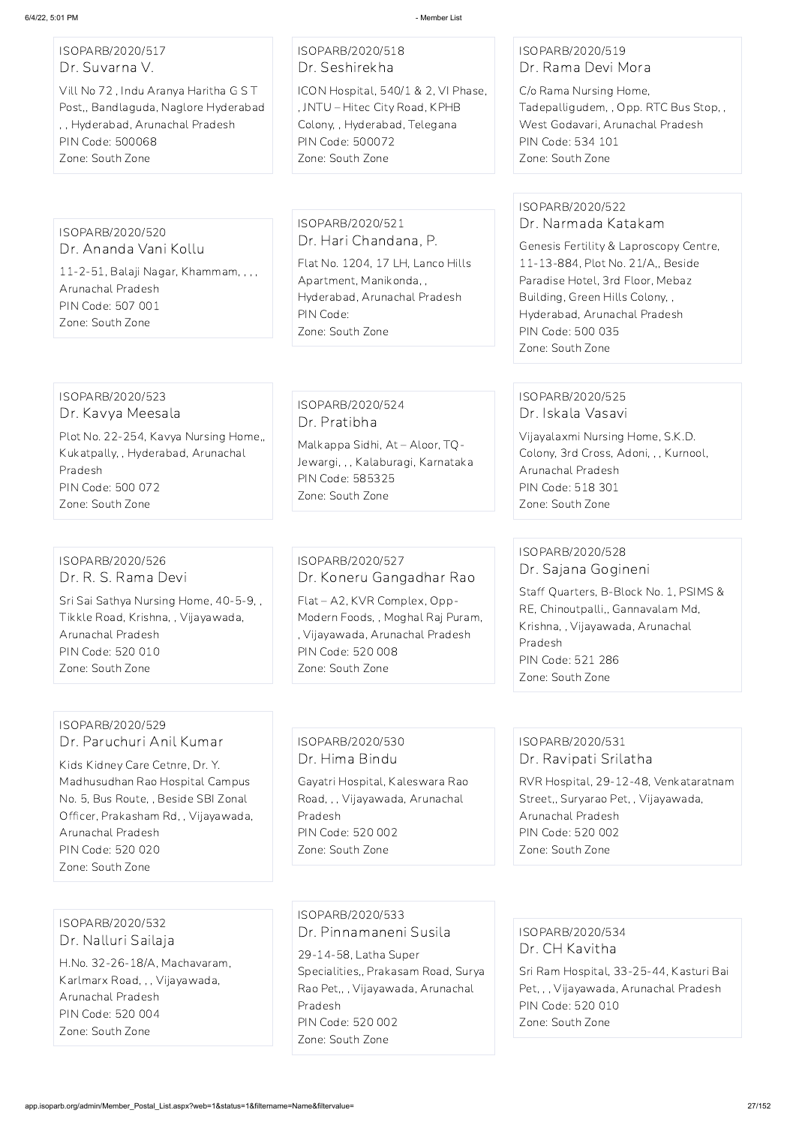#### ISOPARB/2020/517 Dr. Suvarna V.

Vill No 72 , Indu Aranya Haritha G S T Post,, Bandlaguda, Naglore Hyderabad , , Hyderabad, Arunachal Pradesh PIN Code: 500068 Zone: South Zone

#### ISOPARB/2020/518 Dr. Seshirekha

ICON Hospital, 540/1 & 2, VI Phase, , JNTU – Hitec City Road, KPHB Colony, , Hyderabad, Telegana PIN Code: 500072 Zone: South Zone

#### ISOPARB/2020/519 Dr. Rama Devi Mora

C/o Rama Nursing Home, Tadepalligudem, , Opp. RTC Bus Stop, , West Godavari, Arunachal Pradesh PIN Code: 534 101 Zone: South Zone

#### ISOPARB/2020/520 Dr. Ananda Vani Kollu

11-2-51, Balaji Nagar, Khammam, , , , Arunachal Pradesh PIN Code: 507 001 Zone: South Zone

#### ISOPARB/2020/521 Dr. Hari Chandana, P.

Flat No. 1204, 17 LH, Lanco Hills Apartment, Manikonda, , Hyderabad, Arunachal Pradesh PIN Code: Zone: South Zone

#### ISOPARB/2020/522 Dr. Narmada Katakam

Genesis Fertility & Laproscopy Centre, 11-13-884, Plot No. 21/A,, Beside Paradise Hotel, 3rd Floor, Mebaz Building, Green Hills Colony, , Hyderabad, Arunachal Pradesh PIN Code: 500 035 Zone: South Zone

#### ISOPARB/2020/523 Dr. Kavya Meesala

Plot No. 22-254, Kavya Nursing Home,, Kukatpally, , Hyderabad, Arunachal Pradesh PIN Code: 500 072 Zone: South Zone

#### ISOPARB/2020/524 Dr. Pratibha

Malkappa Sidhi, At – Aloor, TQ-Jewargi, , , Kalaburagi, Karnataka PIN Code: 585325 Zone: South Zone

#### ISOPARB/2020/525 Dr. Iskala Vasavi

Vijayalaxmi Nursing Home, S.K.D. Colony, 3rd Cross, Adoni, , , Kurnool, Arunachal Pradesh PIN Code: 518 301 Zone: South Zone

#### ISOPARB/2020/526 Dr. R. S. Rama Devi

Sri Sai Sathya Nursing Home, 40-5-9, , Tikkle Road, Krishna, , Vijayawada, Arunachal Pradesh PIN Code: 520 010 Zone: South Zone

# ISOPARB/2020/527 Dr. Koneru Gangadhar Rao

Flat – A2, KVR Complex, Opp-Modern Foods, , Moghal Raj Puram, , Vijayawada, Arunachal Pradesh PIN Code: 520 008 Zone: South Zone

#### ISOPARB/2020/528 Dr. Sajana Gogineni

Staff Quarters, B-Block No. 1, PSIMS & RE, Chinoutpalli,, Gannavalam Md, Krishna, , Vijayawada, Arunachal Pradesh PIN Code: 521 286 Zone: South Zone

#### ISOPARB/2020/529 Dr. Paruchuri Anil Kumar

Kids Kidney Care Cetnre, Dr. Y. Madhusudhan Rao Hospital Campus No. 5, Bus Route, , Beside SBI Zonal Officer, Prakasham Rd, , Vijayawada, Arunachal Pradesh PIN Code: 520 020

Zone: South Zone

#### ISOPARB/2020/530 Dr. Hima Bindu

Gayatri Hospital, Kaleswara Rao Road, , , Vijayawada, Arunachal Pradesh PIN Code: 520 002 Zone: South Zone

#### ISOPARB/2020/531 Dr. Ravipati Srilatha

RVR Hospital, 29-12-48, Venkataratnam Street,, Suryarao Pet, , Vijayawada, Arunachal Pradesh PIN Code: 520 002

Zone: South Zone

ISOPARB/2020/532 Dr. Nalluri Sailaja H.No. 32-26-18/A, Machavaram, Karlmarx Road, , , Vijayawada, Arunachal Pradesh PIN Code: 520 004 Zone: South Zone

ISOPARB/2020/533 Dr. Pinnamaneni Susila 29-14-58, Latha Super Specialities,, Prakasam Road, Surya Rao Pet,, , Vijayawada, Arunachal Pradesh PIN Code: 520 002 Zone: South Zone

ISOPARB/2020/534 Dr. CH Kavitha Sri Ram Hospital, 33-25-44, Kasturi Bai Pet, , , Vijayawada, Arunachal Pradesh PIN Code: 520 010 Zone: South Zone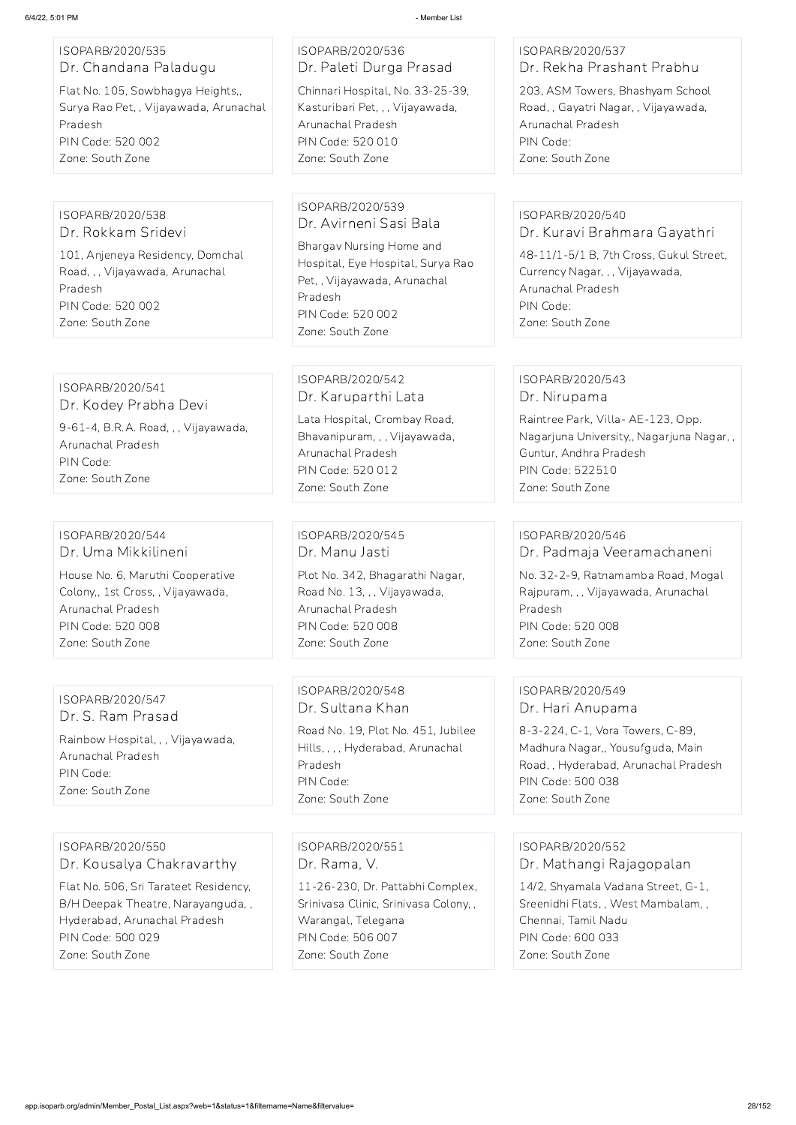| ISOPARB/2020/535      |  |  |  |  |  |
|-----------------------|--|--|--|--|--|
| Dr. Chandana Paladugu |  |  |  |  |  |

Flat No. 105, Sowbhagya Heights,, Surya Rao Pet, , Vijayawada, Arunachal Pradesh PIN Code: 520 002 Zone: South Zone

# ISOPARB/2020/536 Dr. Paleti Durga Prasad

Chinnari Hospital, No. 33-25-39, Kasturibari Pet, , , Vijayawada, Arunachal Pradesh PIN Code: 520 010 Zone: South Zone

#### ISOPARB/2020/537 Dr. Rekha Prashant Prabhu

203, ASM Towers, Bhashyam School Road, , Gayatri Nagar, , Vijayawada, Arunachal Pradesh PIN Code: Zone: South Zone

#### ISOPARB/2020/538 Dr. Rokkam Sridevi

101, Anjeneya Residency, Domchal Road, , , Vijayawada, Arunachal Pradesh PIN Code: 520 002 Zone: South Zone

#### ISOPARB/2020/539 Dr. Avirneni Sasi Bala

Bhargav Nursing Home and Hospital, Eye Hospital, Surya Rao Pet, , Vijayawada, Arunachal Pradesh PIN Code: 520 002 Zone: South Zone

#### ISOPARB/2020/540 Dr. Kuravi Brahmara Gayathri

48-11/1-5/1 B, 7th Cross, Gukul Street, Currency Nagar, , , Vijayawada, Arunachal Pradesh PIN Code: Zone: South Zone

#### ISOPARB/2020/541 Dr. Kodey Prabha Devi

9-61-4, B.R.A. Road, , , Vijayawada, Arunachal Pradesh PIN Code: Zone: South Zone

#### ISOPARB/2020/542 Dr. Karuparthi Lata

Lata Hospital, Crombay Road, Bhavanipuram, , , Vijayawada, Arunachal Pradesh PIN Code: 520 012 Zone: South Zone

#### ISOPARB/2020/543 Dr. Nirupama

Raintree Park, Villa- AE-123, Opp. Nagarjuna University,, Nagarjuna Nagar, , Guntur, Andhra Pradesh PIN Code: 522510 Zone: South Zone

#### ISOPARB/2020/544 Dr. Uma Mikkilineni

House No. 6, Maruthi Cooperative Colony,, 1st Cross, , Vijayawada, Arunachal Pradesh PIN Code: 520 008 Zone: South Zone

ISOPARB/2020/545 Dr. Manu Jasti Plot No. 342, Bhagarathi Nagar, Road No. 13, , , Vijayawada, Arunachal Pradesh PIN Code: 520 008 Zone: South Zone

#### ISOPARB/2020/546

Dr. Padmaja Veeramachaneni

No. 32-2-9, Ratnamamba Road, Mogal Rajpuram, , , Vijayawada, Arunachal Pradesh PIN Code: 520 008 Zone: South Zone

ISOPARB/2020/547 Dr. S. Ram Prasad Rainbow Hospital, , , Vijayawada, Arunachal Pradesh PIN Code: Zone: South Zone

ISOPARB/2020/548 Dr. Sultana Khan

Road No. 19, Plot No. 451, Jubilee Hills, , , , Hyderabad, Arunachal Pradesh PIN Code: Zone: South Zone

#### ISOPARB/2020/549 Dr. Hari Anupama

8-3-224, C-1, Vora Towers, C-89, Madhura Nagar,, Yousufguda, Main Road, , Hyderabad, Arunachal Pradesh PIN Code: 500 038 Zone: South Zone

ISOPARB/2020/550 Dr. Kousalya Chakravarthy

Flat No. 506, Sri Tarateet Residency, B/H Deepak Theatre, Narayanguda, , Hyderabad, Arunachal Pradesh PIN Code: 500 029 Zone: South Zone

#### ISOPARB/2020/551

Dr. Rama, V.

11-26-230, Dr. Pattabhi Complex, Srinivasa Clinic, Srinivasa Colony, , Warangal, Telegana PIN Code: 506 007 Zone: South Zone

ISOPARB/2020/552

Dr. Mathangi Rajagopalan

14/2, Shyamala Vadana Street, G-1, Sreenidhi Flats, , West Mambalam, , Chennai, Tamil Nadu PIN Code: 600 033 Zone: South Zone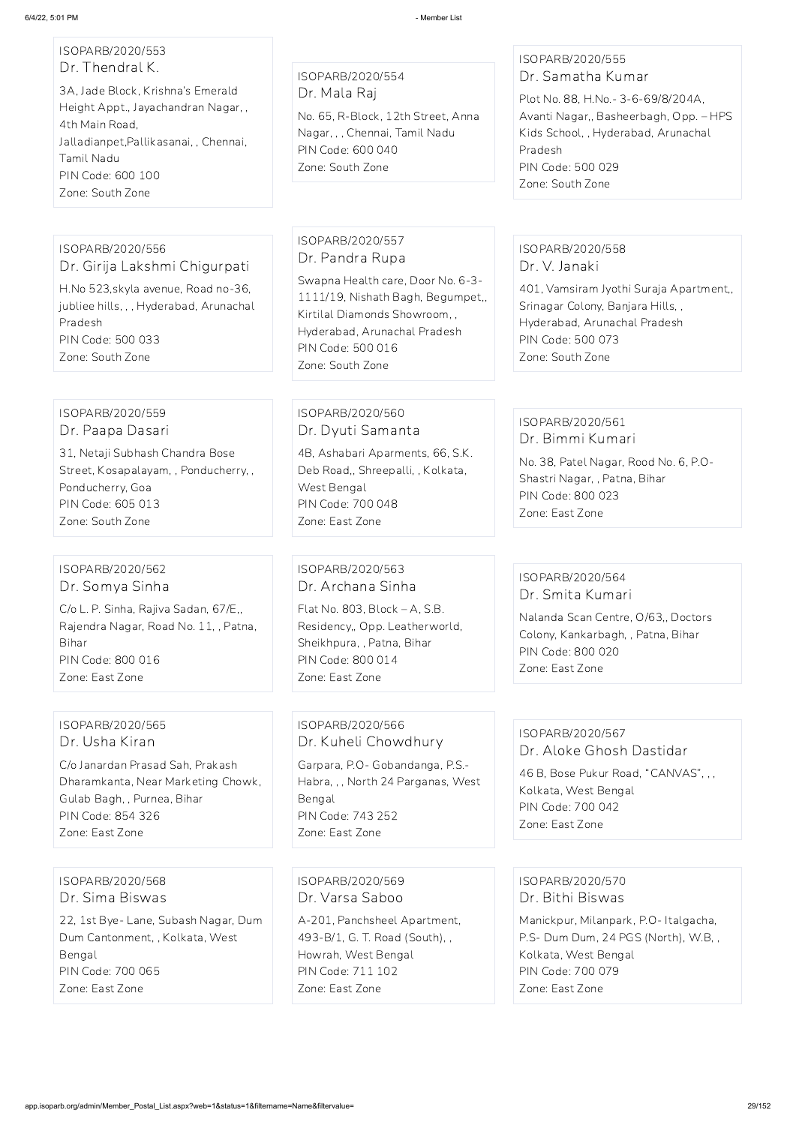# ISOPARB/2020/553 Dr. Thendral K.

3A, Jade Block, Krishna's Emerald Height Appt., Jayachandran Nagar, , 4th Main Road, Jalladianpet,Pallikasanai, , Chennai, Tamil Nadu PIN Code: 600 100 Zone: South Zone

ISOPARB/2020/554 Dr. Mala Raj

No. 65, R-Block, 12th Street, Anna Nagar, , , Chennai, Tamil Nadu PIN Code: 600 040 Zone: South Zone

#### ISOPARB/2020/555 Dr. Samatha Kumar

Plot No. 88, H.No.- 3-6-69/8/204A, Avanti Nagar,, Basheerbagh, Opp. – HPS Kids School, , Hyderabad, Arunachal Pradesh PIN Code: 500 029 Zone: South Zone

#### ISOPARB/2020/556 Dr. Girija Lakshmi Chigurpati

H.No 523,skyla avenue, Road no-36, jubliee hills, , , Hyderabad, Arunachal Pradesh PIN Code: 500 033 Zone: South Zone

### ISOPARB/2020/557 Dr. Pandra Rupa

Swapna Health care, Door No. 6-3- 1111/19, Nishath Bagh, Begumpet,, Kirtilal Diamonds Showroom, , Hyderabad, Arunachal Pradesh PIN Code: 500 016 Zone: South Zone

#### ISOPARB/2020/558 Dr. V. Janaki

401, Vamsiram Jyothi Suraja Apartment,, Srinagar Colony, Banjara Hills, , Hyderabad, Arunachal Pradesh PIN Code: 500 073 Zone: South Zone

#### ISOPARB/2020/559 Dr. Paapa Dasari

31, Netaji Subhash Chandra Bose Street, Kosapalayam, , Ponducherry, , Ponducherry, Goa PIN Code: 605 013 Zone: South Zone

#### ISOPARB/2020/560 Dr. Dyuti Samanta

4B, Ashabari Aparments, 66, S.K. Deb Road,, Shreepalli, , Kolkata, West Bengal PIN Code: 700 048 Zone: East Zone

#### ISOPARB/2020/561 Dr. Bimmi Kumari

No. 38, Patel Nagar, Rood No. 6, P.O-Shastri Nagar, , Patna, Bihar PIN Code: 800 023 Zone: East Zone

#### ISOPARB/2020/562 Dr. Somya Sinha

C/o L. P. Sinha, Rajiva Sadan, 67/E,, Rajendra Nagar, Road No. 11, , Patna, Bihar PIN Code: 800 016 Zone: East Zone

#### ISOPARB/2020/563 Dr. Archana Sinha

Flat No. 803, Block – A, S.B. Residency,, Opp. Leatherworld, Sheikhpura, , Patna, Bihar PIN Code: 800 014 Zone: East Zone

#### ISOPARB/2020/564 Dr. Smita Kumari

Nalanda Scan Centre, O/63,, Doctors Colony, Kankarbagh, , Patna, Bihar PIN Code: 800 020 Zone: East Zone

#### ISOPARB/2020/565 Dr. Usha Kiran

C/o Janardan Prasad Sah, Prakash Dharamkanta, Near Marketing Chowk, Gulab Bagh, , Purnea, Bihar PIN Code: 854 326 Zone: East Zone

ISOPARB/2020/566 Dr. Kuheli Chowdhury

Garpara, P.O- Gobandanga, P.S.- Habra, , , North 24 Parganas, West Bengal PIN Code: 743 252 Zone: East Zone

#### ISOPARB/2020/567 Dr. Aloke Ghosh Dastidar

46 B, Bose Pukur Road, "CANVAS", , , Kolkata, West Bengal PIN Code: 700 042 Zone: East Zone

ISOPARB/2020/568 Dr. Sima Biswas 22, 1st Bye- Lane, Subash Nagar, Dum Dum Cantonment, , Kolkata, West Bengal PIN Code: 700 065 Zone: East Zone

ISOPARB/2020/569 Dr. Varsa Saboo A-201, Panchsheel Apartment, 493-B/1, G. T. Road (South), , Howrah, West Bengal PIN Code: 711 102 Zone: East Zone

ISOPARB/2020/570 Dr. Bithi Biswas Manickpur, Milanpark, P.O- Italgacha, P.S- Dum Dum, 24 PGS (North), W.B, , Kolkata, West Bengal PIN Code: 700 079 Zone: East Zone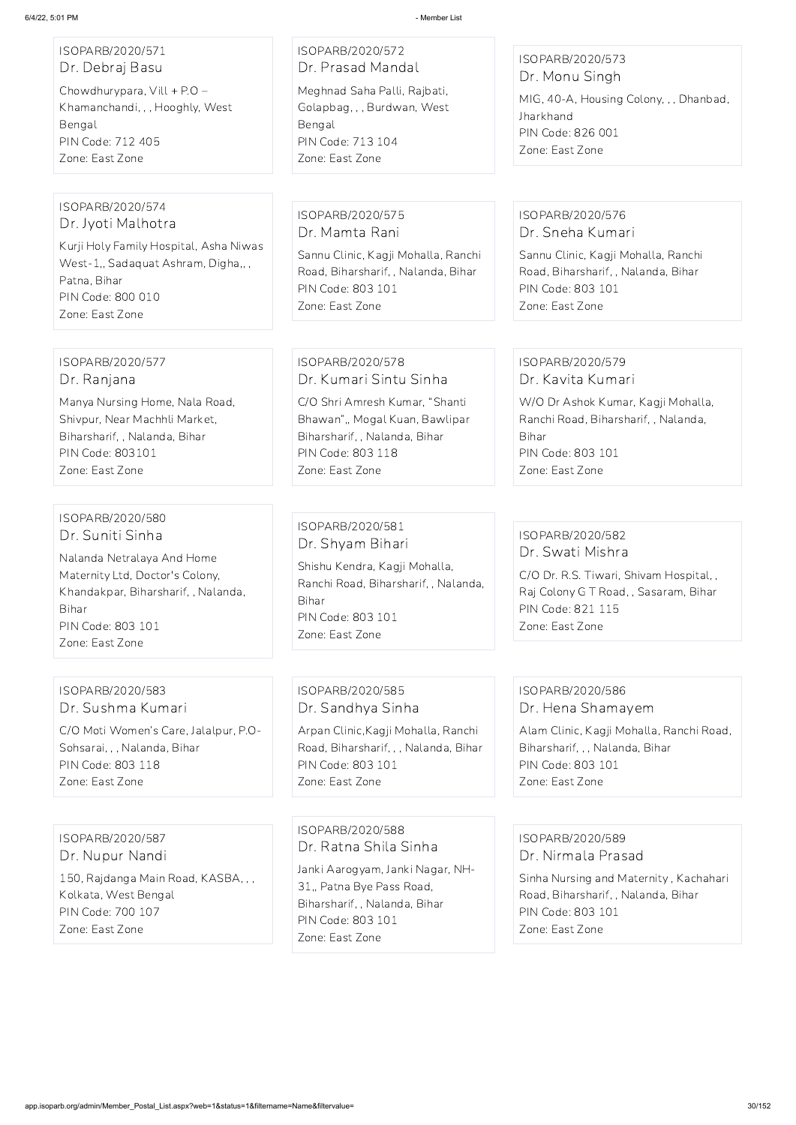#### ISOPARB/2020/571 Dr. Debraj Basu

Chowdhurypara, Vill + P.O – Khamanchandi, , , Hooghly, West Bengal PIN Code: 712 405 Zone: East Zone

#### ISOPARB/2020/572 Dr. Prasad Mandal

Meghnad Saha Palli, Rajbati, Golapbag, , , Burdwan, West Bengal PIN Code: 713 104 Zone: East Zone

#### ISOPARB/2020/573 Dr. Monu Singh

MIG, 40-A, Housing Colony, , , Dhanbad, Jharkhand PIN Code: 826 001 Zone: East Zone

#### ISOPARB/2020/574 Dr. Jyoti Malhotra

Kurji Holy Family Hospital, Asha Niwas West-1,, Sadaquat Ashram, Digha,, , Patna, Bihar PIN Code: 800 010 Zone: East Zone

ISOPARB/2020/575 Dr. Mamta Rani Sannu Clinic, Kagji Mohalla, Ranchi Road, Biharsharif, , Nalanda, Bihar PIN Code: 803 101

Zone: East Zone

### ISOPARB/2020/576 Dr. Sneha Kumari

Sannu Clinic, Kagji Mohalla, Ranchi Road, Biharsharif, , Nalanda, Bihar PIN Code: 803 101 Zone: East Zone

#### ISOPARB/2020/577 Dr. Ranjana

Manya Nursing Home, Nala Road, Shivpur, Near Machhli Market, Biharsharif, , Nalanda, Bihar PIN Code: 803101 Zone: East Zone

#### ISOPARB/2020/578 Dr. Kumari Sintu Sinha

C/O Shri Amresh Kumar, "Shanti Bhawan",, Mogal Kuan, Bawlipar Biharsharif, , Nalanda, Bihar PIN Code: 803 118 Zone: East Zone

#### ISOPARB/2020/579 Dr. Kavita Kumari

W/O Dr Ashok Kumar, Kagji Mohalla, Ranchi Road, Biharsharif, , Nalanda, Bihar PIN Code: 803 101 Zone: East Zone

#### ISOPARB/2020/580 Dr. Suniti Sinha

Nalanda Netralaya And Home Maternity Ltd, Doctor's Colony, Khandakpar, Biharsharif, , Nalanda, Bihar PIN Code: 803 101 Zone: East Zone

#### ISOPARB/2020/581 Dr. Shyam Bihari

Shishu Kendra, Kagji Mohalla, Ranchi Road, Biharsharif, , Nalanda, Bihar PIN Code: 803 101 Zone: East Zone

#### ISOPARB/2020/582 Dr. Swati Mishra

C/O Dr. R.S. Tiwari, Shivam Hospital, , Raj Colony G T Road, , Sasaram, Bihar PIN Code: 821 115 Zone: East Zone

#### ISOPARB/2020/583 Dr. Sushma Kumari

C/O Moti Women's Care, Jalalpur, P.O-Sohsarai, , , Nalanda, Bihar PIN Code: 803 118 Zone: East Zone

### ISOPARB/2020/585 Dr. Sandhya Sinha

Arpan Clinic,Kagji Mohalla, Ranchi Road, Biharsharif, , , Nalanda, Bihar PIN Code: 803 101 Zone: East Zone

#### ISOPARB/2020/586 Dr. Hena Shamayem

Alam Clinic, Kagji Mohalla, Ranchi Road, Biharsharif, , , Nalanda, Bihar PIN Code: 803 101 Zone: East Zone

ISOPARB/2020/587

#### Dr. Nupur Nandi

150, Rajdanga Main Road, KASBA, , , Kolkata, West Bengal PIN Code: 700 107 Zone: East Zone

ISOPARB/2020/588 Dr. Ratna Shila Sinha

Janki Aarogyam, Janki Nagar, NH-31,, Patna Bye Pass Road, Biharsharif, , Nalanda, Bihar PIN Code: 803 101 Zone: East Zone

#### ISOPARB/2020/589

#### Dr. Nirmala Prasad

Sinha Nursing and Maternity , Kachahari Road, Biharsharif, , Nalanda, Bihar PIN Code: 803 101 Zone: East Zone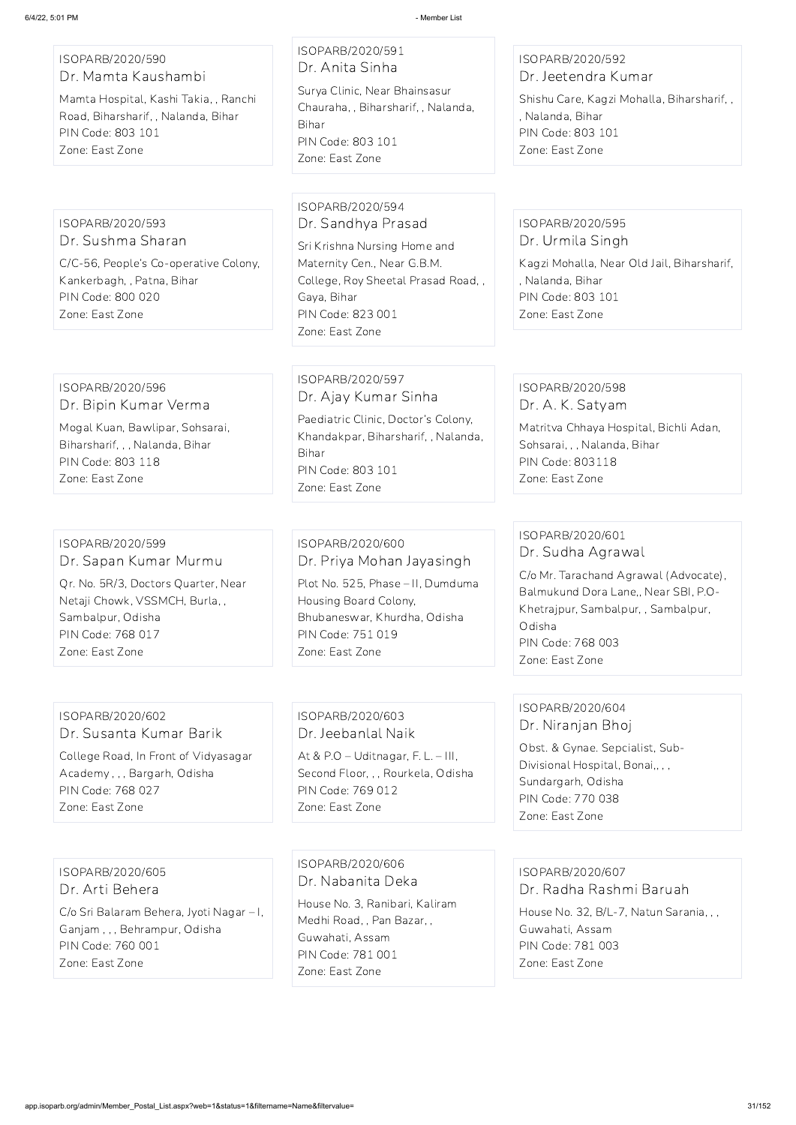#### ISOPARB/2020/590 Dr. Mamta Kaushambi

Mamta Hospital, Kashi Takia, , Ranchi Road, Biharsharif, , Nalanda, Bihar PIN Code: 803 101 Zone: East Zone

# ISOPARB/2020/591 Dr. Anita Sinha

Surya Clinic, Near Bhainsasur Chauraha, , Biharsharif, , Nalanda, Bihar PIN Code: 803 101 Zone: East Zone

#### ISOPARB/2020/592 Dr. Jeetendra Kumar

Shishu Care, Kagzi Mohalla, Biharsharif, , , Nalanda, Bihar PIN Code: 803 101 Zone: East Zone

#### ISOPARB/2020/593 Dr. Sushma Sharan

C/C-56, People's Co-operative Colony, Kankerbagh, , Patna, Bihar PIN Code: 800 020 Zone: East Zone

#### ISOPARB/2020/594 Dr. Sandhya Prasad

Sri Krishna Nursing Home and Maternity Cen., Near G.B.M. College, Roy Sheetal Prasad Road, , Gaya, Bihar PIN Code: 823 001 Zone: East Zone

#### ISOPARB/2020/595 Dr. Urmila Singh

Kagzi Mohalla, Near Old Jail, Biharsharif, , Nalanda, Bihar PIN Code: 803 101 Zone: East Zone

#### ISOPARB/2020/596 Dr. Bipin Kumar Verma

Mogal Kuan, Bawlipar, Sohsarai, Biharsharif, , , Nalanda, Bihar PIN Code: 803 118 Zone: East Zone

#### ISOPARB/2020/597 Dr. Ajay Kumar Sinha

Paediatric Clinic, Doctor's Colony, Khandakpar, Biharsharif, , Nalanda, Bihar PIN Code: 803 101 Zone: East Zone

#### ISOPARB/2020/598 Dr. A. K. Satyam

Matritva Chhaya Hospital, Bichli Adan, Sohsarai, , , Nalanda, Bihar PIN Code: 803118 Zone: East Zone

#### ISOPARB/2020/599 Dr. Sapan Kumar Murmu

Qr. No. 5R/3, Doctors Quarter, Near Netaji Chowk, VSSMCH, Burla, , Sambalpur, Odisha PIN Code: 768 017 Zone: East Zone

#### ISOPARB/2020/600 Dr. Priya Mohan Jayasingh

Plot No. 525, Phase – II, Dumduma Housing Board Colony, Bhubaneswar, Khurdha, Odisha PIN Code: 751 019 Zone: East Zone

#### ISOPARB/2020/601 Dr. Sudha Agrawal

C/o Mr. Tarachand Agrawal (Advocate), Balmukund Dora Lane,, Near SBI, P.O-Khetrajpur, Sambalpur, , Sambalpur, Odisha PIN Code: 768 003 Zone: East Zone

#### ISOPARB/2020/602 Dr. Susanta Kumar Barik

College Road, In Front of Vidyasagar Academy , , , Bargarh, Odisha PIN Code: 768 027 Zone: East Zone

#### ISOPARB/2020/603 Dr. Jeebanlal Naik

At & P.O – Uditnagar, F. L. – III, Second Floor, , , Rourkela, Odisha PIN Code: 769 012 Zone: East Zone

### ISOPARB/2020/604 Dr. Niranjan Bhoj

Obst. & Gynae. Sepcialist, Sub-Divisional Hospital, Bonai,, , , Sundargarh, Odisha PIN Code: 770 038 Zone: East Zone

ISOPARB/2020/605 Dr. Arti Behera

C/o Sri Balaram Behera, Jyoti Nagar – I, Ganjam , , , Behrampur, Odisha PIN Code: 760 001 Zone: East Zone

ISOPARB/2020/606 Dr. Nabanita Deka

House No. 3, Ranibari, Kaliram Medhi Road, , Pan Bazar, , Guwahati, Assam PIN Code: 781 001 Zone: East Zone

ISOPARB/2020/607 Dr. Radha Rashmi Baruah House No. 32, B/L-7, Natun Sarania, , , Guwahati, Assam PIN Code: 781 003 Zone: East Zone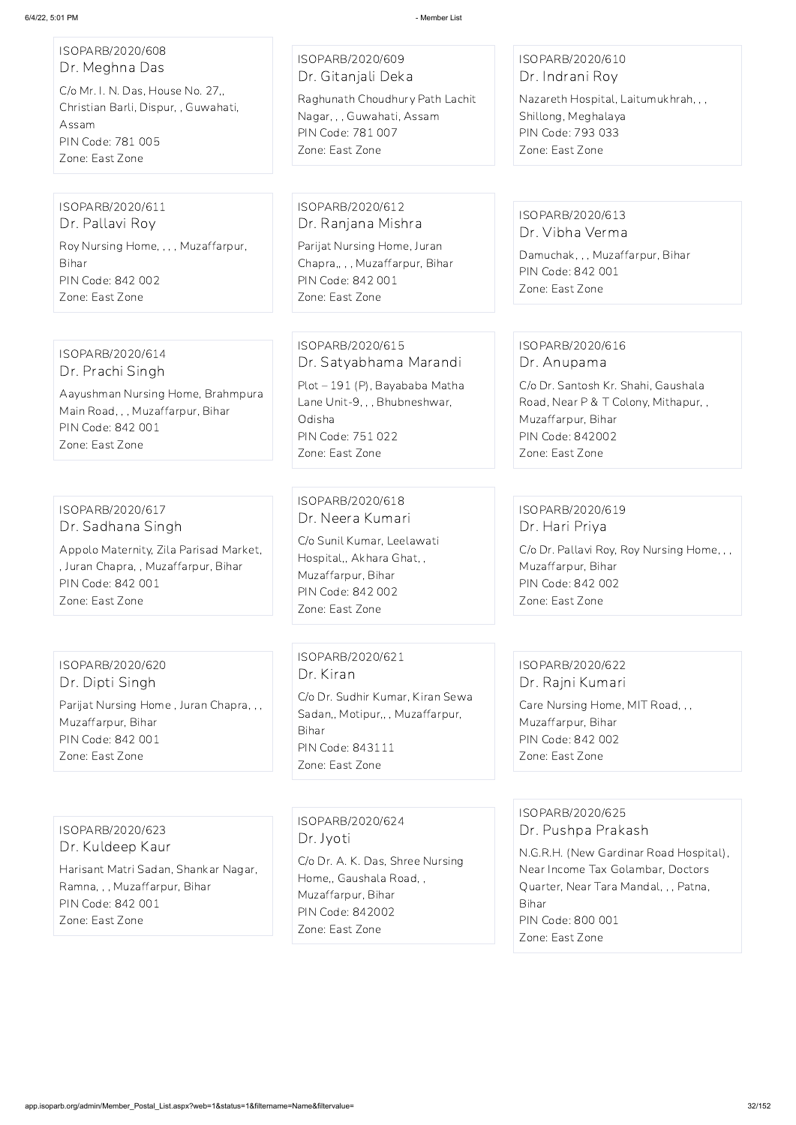| ISOPARB/2020/608<br>Dr. Meghna Das<br>C/o Mr. I. N. Das, House No. 27,,<br>Christian Barli, Dispur, , Guwahati,<br>Assam<br>PIN Code: 781 005<br>Zone: East Zone | ISOPARB/2020/609<br>Dr. Gitanjali Deka<br>Raghunath Choudhury Path Lachit<br>Nagar, , , Guwahati, Assam<br>PIN Code: 781 007<br>Zone: East Zone                 | ISOPARB/2020/610<br>Dr. Indrani Roy<br>Nazareth Hospital, Laitumukhrah, , ,<br>Shillong, Meghalaya<br>PIN Code: 793 033<br>Zone: East Zone                                        |
|------------------------------------------------------------------------------------------------------------------------------------------------------------------|-----------------------------------------------------------------------------------------------------------------------------------------------------------------|-----------------------------------------------------------------------------------------------------------------------------------------------------------------------------------|
| ISOPARB/2020/611<br>Dr. Pallavi Roy<br>Roy Nursing Home, , , , Muzaffarpur,<br>Bihar<br>PIN Code: 842 002<br>Zone: East Zone                                     | ISOPARB/2020/612<br>Dr. Ranjana Mishra<br>Parijat Nursing Home, Juran<br>Chapra,,,, Muzaffarpur, Bihar<br>PIN Code: 842 001<br>Zone: East Zone                  | ISOPARB/2020/613<br>Dr. Vibha Verma<br>Damuchak, , , Muzaffarpur, Bihar<br>PIN Code: 842 001<br>Zone: East Zone                                                                   |
| ISOPARB/2020/614<br>Dr. Prachi Singh<br>Aayushman Nursing Home, Brahmpura<br>Main Road, , , Muzaffarpur, Bihar<br>PIN Code: 842 001<br>Zone: East Zone           | ISOPARB/2020/615<br>Dr. Satyabhama Marandi<br>Plot - 191 (P), Bayababa Matha<br>Lane Unit-9, , , Bhubneshwar,<br>Odisha<br>PIN Code: 751 022<br>Zone: East Zone | ISOPARB/2020/616<br>Dr. Anupama<br>C/o Dr. Santosh Kr. Shahi, Gaushala<br>Road, Near P & T Colony, Mithapur,,<br>Muzaffarpur, Bihar<br><b>PIN Code: 842002</b><br>Zone: East Zone |
| ISOPARB/2020/617<br>Dr. Sadhana Singh<br>Appolo Maternity, Zila Parisad Market,<br>, Juran Chapra, , Muzaffarpur, Bihar<br>PIN Code: 842 001<br>Zone: East Zone  | ISOPARB/2020/618<br>Dr. Neera Kumari<br>C/o Sunil Kumar, Leelawati<br>Hospital,, Akhara Ghat,,<br>Muzaffarpur, Bihar<br>PIN Code: 842 002<br>Zone: East Zone    | ISOPARB/2020/619<br>Dr. Hari Priya<br>C/o Dr. Pallavi Roy, Roy Nursing Home, , ,<br>Muzaffarpur, Bihar<br>PIN Code: 842 002<br>Zone: East Zone                                    |
| ISOPARB/2020/620<br>Dr. Dipti Singh<br>Parijat Nursing Home, Juran Chapra, ,,<br>Muzaffarpur, Bihar<br>PIN Code: 842 001<br>Zone: East Zone                      | ISOPARB/2020/621<br>Dr. Kiran<br>C/o Dr. Sudhir Kumar, Kiran Sewa<br>Sadan,, Motipur,,, Muzaffarpur,<br>Bihar<br><b>PIN Code: 843111</b><br>Zone: East Zone     | ISOPARB/2020/622<br>Dr. Rajni Kumari<br>Care Nursing Home, MIT Road, , ,<br>Muzaffarpur, Bihar<br>PIN Code: 842 002<br>Zone: East Zone                                            |

ISOPARB/2020/623 Dr. Kuldeep Kaur

Harisant Matri Sadan, Shankar Nagar, Ramna, , , Muzaffarpur, Bihar PIN Code: 842 001 Zone: East Zone

ISOPARB/2020/624 Dr. Jyoti

C/o Dr. A. K. Das, Shree Nursing Home,, Gaushala Road, , Muzaffarpur, Bihar PIN Code: 842002 Zone: East Zone

ISOPARB/2020/625 Dr. Pushpa Prakash N.G.R.H. (New Gardinar Road Hospital), Near Income Tax Golambar, Doctors Quarter, Near Tara Mandal, , , Patna, Bihar PIN Code: 800 001 Zone: East Zone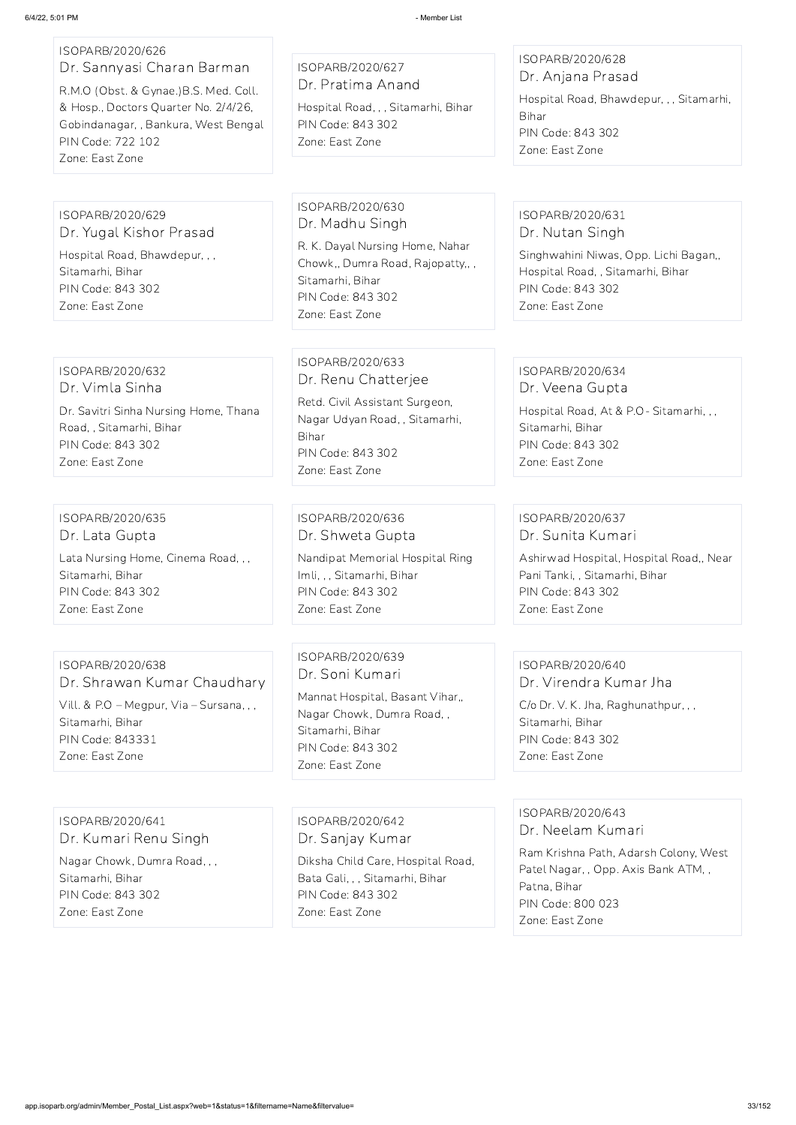# ISOPARB/2020/626 Dr. Sannyasi Charan Barman R.M.O (Obst. & Gynae.)B.S. Med. Coll. & Hosp., Doctors Quarter No. 2/4/26, Gobindanagar, , Bankura, West Bengal PIN Code: 722 102 Zone: East Zone

ISOPARB/2020/627 Dr. Pratima Anand

Hospital Road, , , Sitamarhi, Bihar PIN Code: 843 302 Zone: East Zone

ISOPARB/2020/628 Dr. Anjana Prasad

Hospital Road, Bhawdepur, , , Sitamarhi, Bihar PIN Code: 843 302 Zone: East Zone

ISOPARB/2020/629 Dr. Yugal Kishor Prasad Hospital Road, Bhawdepur, , , Sitamarhi, Bihar PIN Code: 843 302 Zone: East Zone

ISOPARB/2020/630 Dr. Madhu Singh

R. K. Dayal Nursing Home, Nahar Chowk,, Dumra Road, Rajopatty,, , Sitamarhi, Bihar PIN Code: 843 302 Zone: East Zone

# ISOPARB/2020/631 Dr. Nutan Singh

Singhwahini Niwas, Opp. Lichi Bagan,, Hospital Road, , Sitamarhi, Bihar PIN Code: 843 302 Zone: East Zone

#### ISOPARB/2020/632 Dr. Vimla Sinha

Dr. Savitri Sinha Nursing Home, Thana Road, , Sitamarhi, Bihar PIN Code: 843 302 Zone: East Zone

#### ISOPARB/2020/633 Dr. Renu Chatterjee

Retd. Civil Assistant Surgeon, Nagar Udyan Road, , Sitamarhi, Bihar PIN Code: 843 302 Zone: East Zone

#### ISOPARB/2020/634 Dr. Veena Gupta

Hospital Road, At & P.O- Sitamarhi, , , Sitamarhi, Bihar PIN Code: 843 302 Zone: East Zone

ISOPARB/2020/635 Dr. Lata Gupta Lata Nursing Home, Cinema Road, , , Sitamarhi, Bihar

PIN Code: 843 302 Zone: East Zone

#### ISOPARB/2020/636 Dr. Shweta Gupta

Nandipat Memorial Hospital Ring Imli, , , Sitamarhi, Bihar PIN Code: 843 302 Zone: East Zone

#### ISOPARB/2020/637 Dr. Sunita Kumari

Ashirwad Hospital, Hospital Road,, Near Pani Tanki, , Sitamarhi, Bihar PIN Code: 843 302 Zone: East Zone

#### ISOPARB/2020/638 Dr. Shrawan Kumar Chaudhary Vill. & P.O – Megpur, Via – Sursana, , , Sitamarhi, Bihar PIN Code: 843331 Zone: East Zone

ISOPARB/2020/639 Dr. Soni Kumari

Mannat Hospital, Basant Vihar,, Nagar Chowk, Dumra Road, , Sitamarhi, Bihar PIN Code: 843 302 Zone: East Zone

# ISOPARB/2020/640

Dr. Virendra Kumar Jha C/o Dr. V. K. Jha, Raghunathpur, , , Sitamarhi, Bihar PIN Code: 843 302 Zone: East Zone

ISOPARB/2020/641 Dr. Kumari Renu Singh

Nagar Chowk, Dumra Road, , , Sitamarhi, Bihar PIN Code: 843 302 Zone: East Zone

ISOPARB/2020/642 Dr. Sanjay Kumar

Diksha Child Care, Hospital Road, Bata Gali, , , Sitamarhi, Bihar PIN Code: 843 302 Zone: East Zone

#### ISOPARB/2020/643 Dr. Neelam Kumari

Ram Krishna Path, Adarsh Colony, West Patel Nagar, , Opp. Axis Bank ATM, , Patna, Bihar PIN Code: 800 023 Zone: East Zone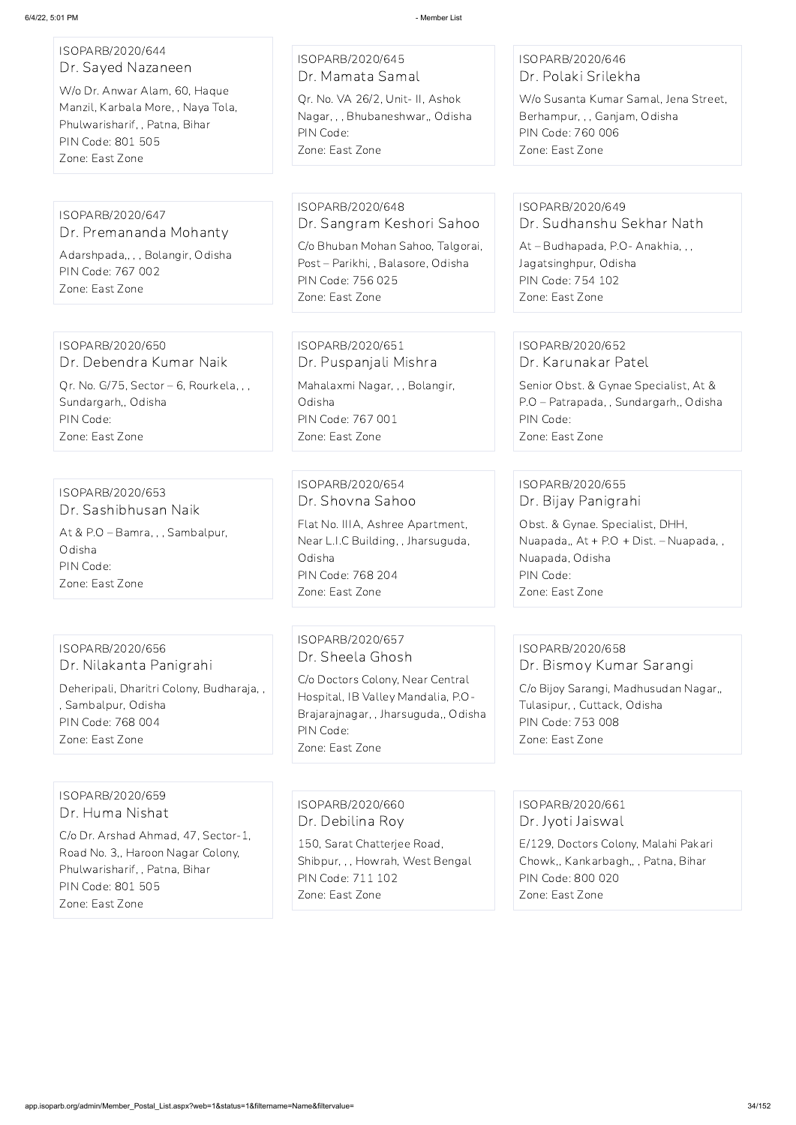| ISOPARB/2020/644<br>Dr. Sayed Nazaneen<br>W/o Dr. Anwar Alam, 60, Haque<br>Manzil, Karbala More, , Naya Tola,<br>Phulwarisharif, , Patna, Bihar<br>PIN Code: 801 505<br>Zone: East Zone | ISOPARB/2020/645<br>Dr. Mamata Samal<br>Qr. No. VA 26/2, Unit- II, Ashok<br>Nagar, , , Bhubaneshwar,, Odisha<br>PIN Code:<br>Zone: East Zone   | ISOPARB/2020/646<br>Dr. Polaki Srilekha<br>W/o Susanta Kumar Samal, Jena Street.<br>Berhampur, , , Ganjam, Odisha<br>PIN Code: 760 006<br>Zone: East Zone |
|-----------------------------------------------------------------------------------------------------------------------------------------------------------------------------------------|------------------------------------------------------------------------------------------------------------------------------------------------|-----------------------------------------------------------------------------------------------------------------------------------------------------------|
|                                                                                                                                                                                         |                                                                                                                                                |                                                                                                                                                           |
| ISOPARB/2020/647<br>Dr. Premananda Mohanty                                                                                                                                              | ISOPARB/2020/648<br>Dr. Sangram Keshori Sahoo                                                                                                  | ISOPARB/2020/649<br>Dr. Sudhanshu Sekhar Nath                                                                                                             |
| Adarshpada,, , , Bolangir, Odisha<br>PIN Code: 767 002<br>Zone: East Zone                                                                                                               | C/o Bhuban Mohan Sahoo, Talgorai,<br>Post - Parikhi, , Balasore, Odisha<br>PIN Code: 756 025<br>Zone: East Zone                                | At - Budhapada, P.O - Anakhia, , ,<br>Jagatsinghpur, Odisha<br>PIN Code: 754 102<br>Zone: East Zone                                                       |
|                                                                                                                                                                                         |                                                                                                                                                |                                                                                                                                                           |
| ISOPARB/2020/650<br>Dr. Debendra Kumar Naik                                                                                                                                             | ISOPARB/2020/651<br>Dr. Puspanjali Mishra                                                                                                      | ISOPARB/2020/652<br>Dr. Karunakar Patel                                                                                                                   |
| Qr. No. G/75, Sector - 6, Rourkela, , ,<br>Sundargarh,, Odisha<br>PIN Code:<br>Zone: East Zone                                                                                          | Mahalaxmi Nagar, , , Bolangir,<br>Odisha<br>PIN Code: 767 001<br>Zone: East Zone                                                               | Senior Obst. & Gynae Specialist, At &<br>P.O - Patrapada, , Sundargarh,, Odisha<br>PIN Code:<br>Zone: East Zone                                           |
|                                                                                                                                                                                         |                                                                                                                                                |                                                                                                                                                           |
| ISOPARB/2020/653<br>Dr. Sashibhusan Naik                                                                                                                                                | ISOPARB/2020/654<br>Dr. Shovna Sahoo                                                                                                           | ISOPARB/2020/655<br>Dr. Bijay Panigrahi                                                                                                                   |
| At & P.O - Bamra, , , Sambalpur,<br>Odisha<br>PIN Code:<br>Zone: East Zone                                                                                                              | Flat No. IIIA, Ashree Apartment,<br>Near L.I.C Building, , Jharsuguda,<br>Odisha<br>PIN Code: 768 204<br>Zone: East Zone                       | Obst. & Gynae. Specialist, DHH,<br>Nuapada,, At + P.O + Dist. - Nuapada,,<br>Nuapada, Odisha<br>PIN Code:<br>Zone: East Zone                              |
|                                                                                                                                                                                         |                                                                                                                                                |                                                                                                                                                           |
| ISOPARB/2020/656<br>Dr. Nilakanta Panigrahi                                                                                                                                             | ISOPARB/2020/657<br>Dr. Sheela Ghosh                                                                                                           | ISOPARB/2020/658<br>Dr. Bismoy Kumar Sarangi                                                                                                              |
| Deheripali, Dharitri Colony, Budharaja,,<br>, Sambalpur, Odisha<br>PIN Code: 768 004<br>Zone: East Zone                                                                                 | C/o Doctors Colony, Near Central<br>Hospital, IB Valley Mandalia, P.O-<br>Brajarajnagar, , Jharsuguda,, Odisha<br>PIN Code:<br>Zone: East Zone | C/o Bijoy Sarangi, Madhusudan Nagar,,<br>Tulasipur, , Cuttack, Odisha<br>PIN Code: 753 008<br>Zone: East Zone                                             |

#### ISOPARB/2020/659 Dr. Huma Nishat

C/o Dr. Arshad Ahmad, 47, Sector-1, Road No. 3,, Haroon Nagar Colony, Phulwarisharif, , Patna, Bihar PIN Code: 801 505 Zone: East Zone

ISOPARB/2020/660 Dr. Debilina Roy 150, Sarat Chatterjee Road,

Shibpur, , , Howrah, West Bengal PIN Code: 711 102 Zone: East Zone

ISOPARB/2020/661 Dr. Jyoti Jaiswal

E/129, Doctors Colony, Malahi Pakari

Chowk,, Kankarbagh,, , Patna, Bihar PIN Code: 800 020 Zone: East Zone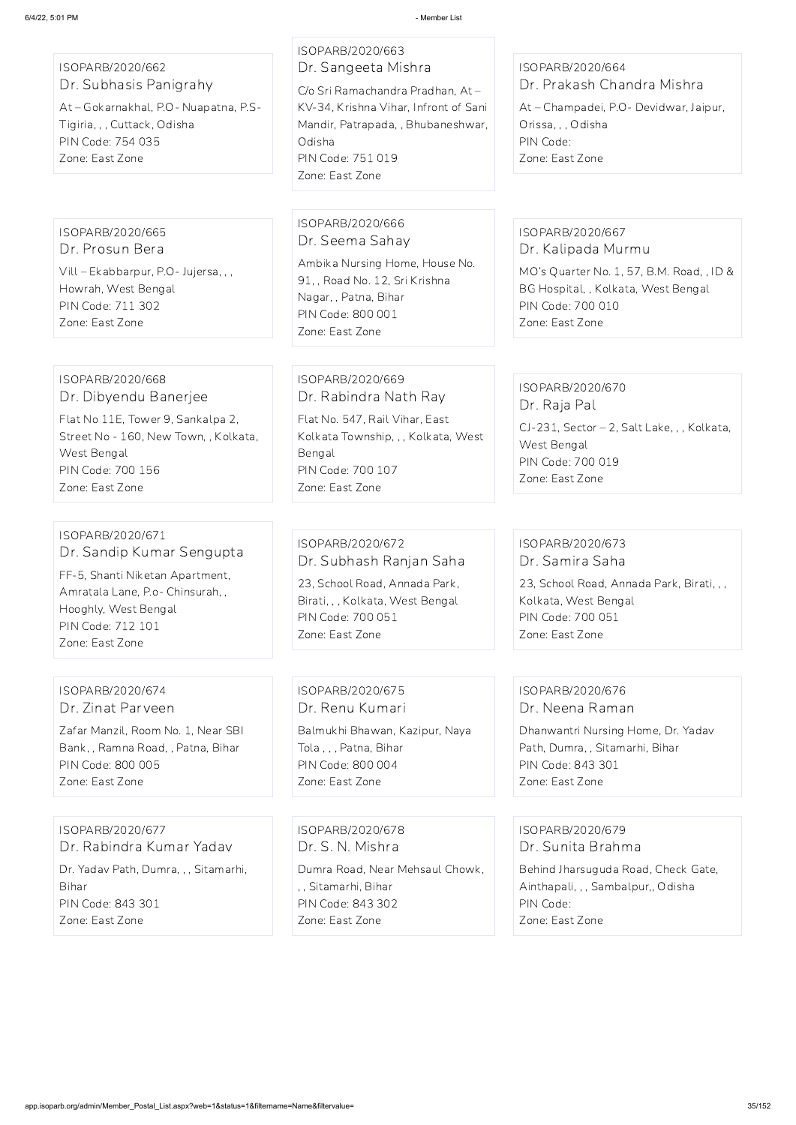ISOPARB/2020/662 Dr. Subhasis Panigrahy

At – Gokarnakhal, P.O- Nuapatna, P.S-Tigiria, , , Cuttack, Odisha PIN Code: 754 035 Zone: East Zone

ISOPARB/2020/663 Dr. Sangeeta Mishra

C/o Sri Ramachandra Pradhan, At – KV-34, Krishna Vihar, Infront of Sani Mandir, Patrapada, , Bhubaneshwar, Odisha PIN Code: 751 019 Zone: East Zone

### ISOPARB/2020/664 Dr. Prakash Chandra Mishra

At – Champadei, P.O- Devidwar, Jaipur, Orissa, , , Odisha PIN Code: Zone: East Zone

ISOPARB/2020/665 Dr. Prosun Bera Vill – Ekabbarpur, P.O- Jujersa, , ,

Howrah, West Bengal PIN Code: 711 302 Zone: East Zone

#### ISOPARB/2020/666 Dr. Seema Sahay

Ambika Nursing Home, House No. 91, , Road No. 12, Sri Krishna Nagar, , Patna, Bihar PIN Code: 800 001 Zone: East Zone

#### ISOPARB/2020/667 Dr. Kalipada Murmu

MO's Quarter No. 1, 57, B.M. Road, , ID & BG Hospital, , Kolkata, West Bengal PIN Code: 700 010 Zone: East Zone

#### ISOPARB/2020/668 Dr. Dibyendu Banerjee

Flat No 11E, Tower 9, Sankalpa 2, Street No - 160, New Town, , Kolkata, West Bengal PIN Code: 700 156 Zone: East Zone

#### ISOPARB/2020/669 Dr. Rabindra Nath Ray

Flat No. 547, Rail Vihar, East Kolkata Township, , , Kolkata, West Bengal PIN Code: 700 107 Zone: East Zone

#### ISOPARB/2020/670 Dr. Raja Pal

CJ-231, Sector – 2, Salt Lake, , , Kolkata, West Bengal PIN Code: 700 019 Zone: East Zone

### ISOPARB/2020/671 Dr. Sandip Kumar Sengupta

FF-5, Shanti Niketan Apartment, Amratala Lane, P.o- Chinsurah, , Hooghly, West Bengal PIN Code: 712 101 Zone: East Zone

#### ISOPARB/2020/672 Dr. Subhash Ranjan Saha

23, School Road, Annada Park, Birati, , , Kolkata, West Bengal PIN Code: 700 051 Zone: East Zone

#### ISOPARB/2020/673 Dr. Samira Saha

23, School Road, Annada Park, Birati, , , Kolkata, West Bengal PIN Code: 700 051 Zone: East Zone

#### ISOPARB/2020/674 Dr. Zinat Parveen

Zafar Manzil, Room No. 1, Near SBI Bank, , Ramna Road, , Patna, Bihar PIN Code: 800 005 Zone: East Zone

ISOPARB/2020/675 Dr. Renu Kumari

Balmukhi Bhawan, Kazipur, Naya Tola , , , Patna, Bihar PIN Code: 800 004 Zone: East Zone

#### ISOPARB/2020/676 Dr. Neena Raman

Dhanwantri Nursing Home, Dr. Yadav Path, Dumra, , Sitamarhi, Bihar PIN Code: 843 301 Zone: East Zone

ISOPARB/2020/677 Dr. Rabindra Kumar Yadav

Dr. Yadav Path, Dumra, , , Sitamarhi, Bihar PIN Code: 843 301

Zone: East Zone

ISOPARB/2020/678 Dr. S. N. Mishra

Dumra Road, Near Mehsaul Chowk, , , Sitamarhi, Bihar PIN Code: 843 302 Zone: East Zone

ISOPARB/2020/679 Dr. Sunita Brahma

Behind Jharsuguda Road, Check Gate, Ainthapali, , , Sambalpur,, Odisha PIN Code: Zone: East Zone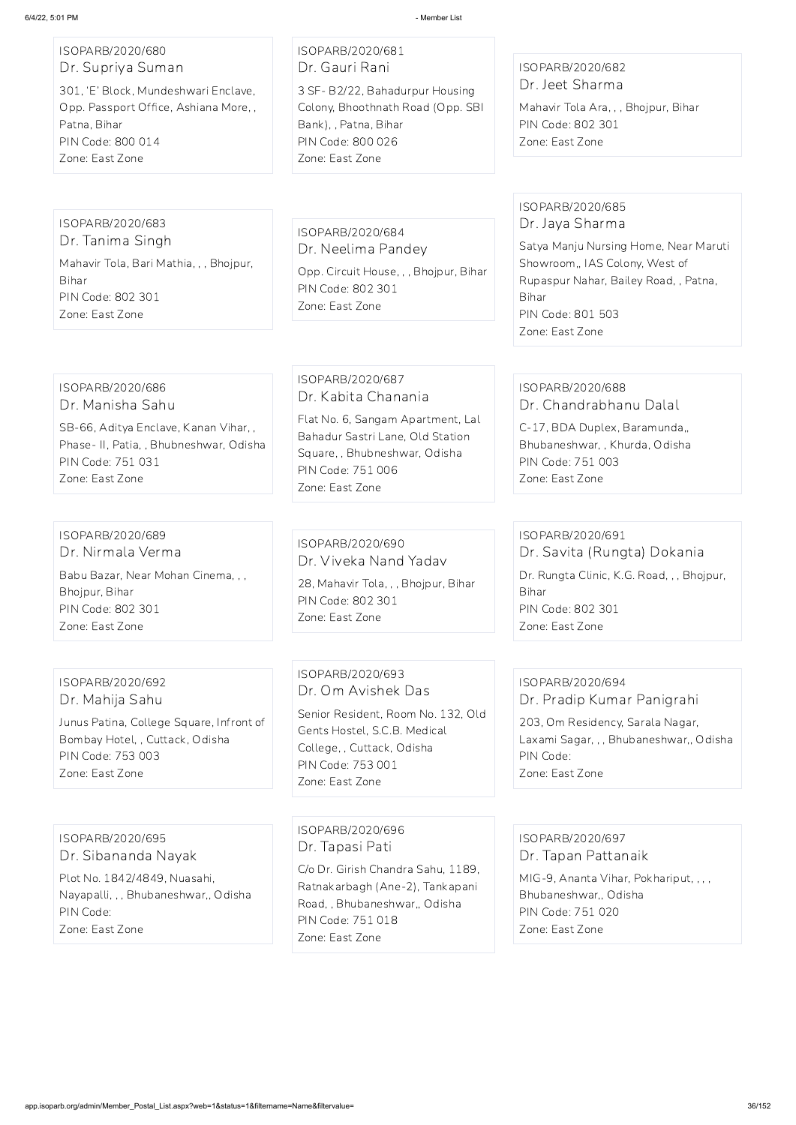# ISOPARB/2020/680 Dr. Supriya Suman

301, 'E' Block, Mundeshwari Enclave, Opp. Passport Office, Ashiana More, , Patna, Bihar PIN Code: 800 014 Zone: East Zone

#### ISOPARB/2020/681 Dr. Gauri Rani 3 SF- B2/22, Bahadurpur Housing Colony, Bhoothnath Road (Opp. SBI Bank), , Patna, Bihar PIN Code: 800 026 Zone: East Zone

#### ISOPARB/2020/682 Dr. Jeet Sharma

Mahavir Tola Ara, , , Bhojpur, Bihar PIN Code: 802 301 Zone: East Zone

#### ISOPARB/2020/683

Dr. Tanima Singh Mahavir Tola, Bari Mathia, , , Bhojpur, Bihar PIN Code: 802 301 Zone: East Zone

ISOPARB/2020/684 Dr. Neelima Pandey Opp. Circuit House, , , Bhojpur, Bihar PIN Code: 802 301 Zone: East Zone

#### ISOPARB/2020/685 Dr. Jaya Sharma

Satya Manju Nursing Home, Near Maruti Showroom,, IAS Colony, West of Rupaspur Nahar, Bailey Road, , Patna, Bihar PIN Code: 801 503 Zone: East Zone

#### ISOPARB/2020/686 Dr. Manisha Sahu

SB-66, Aditya Enclave, Kanan Vihar, , Phase- II, Patia, , Bhubneshwar, Odisha PIN Code: 751 031 Zone: East Zone

#### ISOPARB/2020/687 Dr. Kabita Chanania

Flat No. 6, Sangam Apartment, Lal Bahadur Sastri Lane, Old Station Square, , Bhubneshwar, Odisha PIN Code: 751 006 Zone: East Zone

#### ISOPARB/2020/688 Dr. Chandrabhanu Dalal

C-17, BDA Duplex, Baramunda,, Bhubaneshwar, , Khurda, Odisha PIN Code: 751 003 Zone: East Zone

#### ISOPARB/2020/689 Dr. Nirmala Verma Babu Bazar, Near Mohan Cinema, , , Bhojpur, Bihar PIN Code: 802 301 Zone: East Zone

#### ISOPARB/2020/690 Dr. Viveka Nand Yadav

28, Mahavir Tola, , , Bhojpur, Bihar PIN Code: 802 301 Zone: East Zone

### ISOPARB/2020/691 Dr. Savita (Rungta) Dokania Dr. Rungta Clinic, K.G. Road, , , Bhojpur, Bihar PIN Code: 802 301 Zone: East Zone

#### ISOPARB/2020/692 Dr. Mahija Sahu

Junus Patina, College Square, Infront of Bombay Hotel, , Cuttack, Odisha PIN Code: 753 003 Zone: East Zone

ISOPARB/2020/693 Dr. Om Avishek Das

Senior Resident, Room No. 132, Old Gents Hostel, S.C.B. Medical College, , Cuttack, Odisha PIN Code: 753 001 Zone: East Zone

# ISOPARB/2020/694 Dr. Pradip Kumar Panigrahi

203, Om Residency, Sarala Nagar, Laxami Sagar, , , Bhubaneshwar,, Odisha PIN Code: Zone: East Zone

ISOPARB/2020/695

Dr. Sibananda Nayak

Plot No. 1842/4849, Nuasahi, Nayapalli, , , Bhubaneshwar,, Odisha PIN Code:

Zone: East Zone

ISOPARB/2020/696 Dr. Tapasi Pati

C/o Dr. Girish Chandra Sahu, 1189, Ratnakarbagh (Ane-2), Tankapani Road, , Bhubaneshwar,, Odisha PIN Code: 751 018 Zone: East Zone

ISOPARB/2020/697

#### Dr. Tapan Pattanaik

MIG-9, Ananta Vihar, Pokhariput, , , , Bhubaneshwar,, Odisha PIN Code: 751 020 Zone: East Zone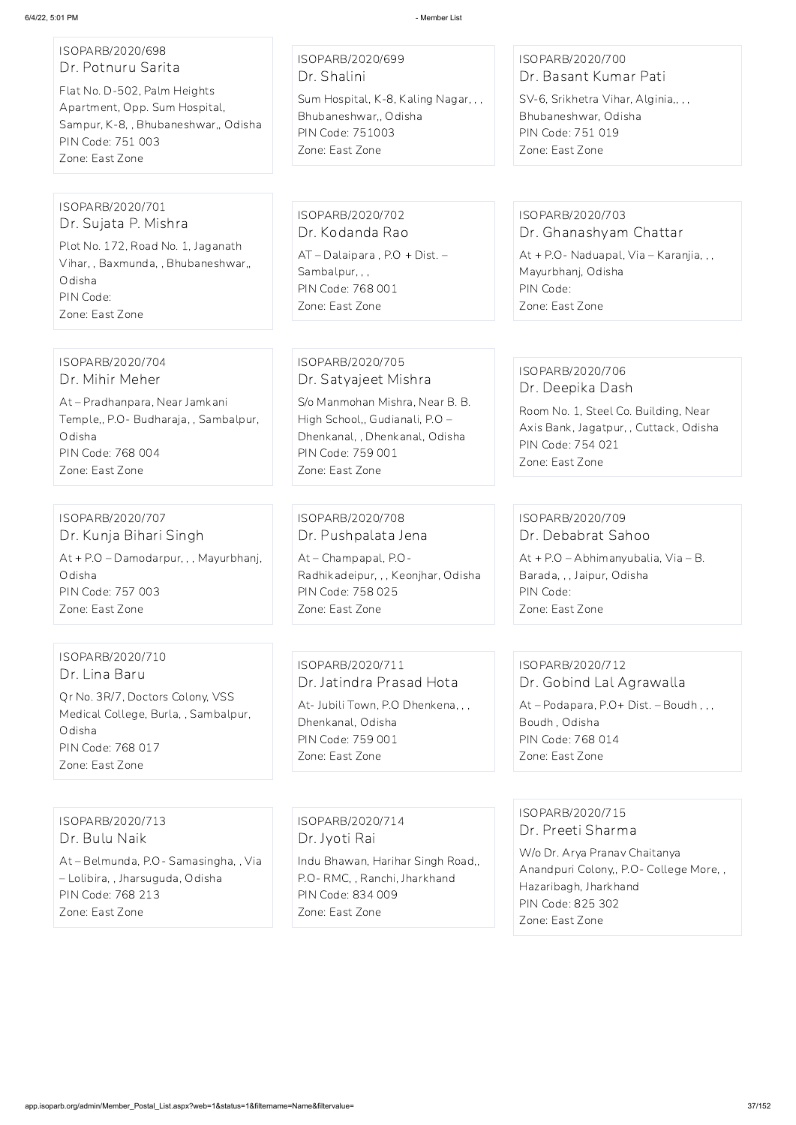## ISOPARB/2020/698 Dr. Potnuru Sarita

Flat No. D-502, Palm Heights Apartment, Opp. Sum Hospital, Sampur, K-8, , Bhubaneshwar,, Odisha PIN Code: 751 003 Zone: East Zone

## ISOPARB/2020/699 Dr. Shalini

Sum Hospital, K-8, Kaling Nagar, , , Bhubaneshwar,, Odisha PIN Code: 751003 Zone: East Zone

## ISOPARB/2020/700 Dr. Basant Kumar Pati

SV-6, Srikhetra Vihar, Alginia,, , , Bhubaneshwar, Odisha PIN Code: 751 019 Zone: East Zone

#### ISOPARB/2020/701 Dr. Sujata P. Mishra

Plot No. 172, Road No. 1, Jaganath Vihar, , Baxmunda, , Bhubaneshwar,, Odisha PIN Code: Zone: East Zone

ISOPARB/2020/702 Dr. Kodanda Rao AT – Dalaipara , P.O + Dist. – Sambalpur, , , PIN Code: 768 001 Zone: East Zone

## ISOPARB/2020/703

Dr. Ghanashyam Chattar

At + P.O- Naduapal, Via – Karanjia, , , Mayurbhanj, Odisha PIN Code: Zone: East Zone

#### ISOPARB/2020/704 Dr. Mihir Meher

At – Pradhanpara, Near Jamkani Temple,, P.O- Budharaja, , Sambalpur, Odisha PIN Code: 768 004 Zone: East Zone

ISOPARB/2020/705 Dr. Satyajeet Mishra

S/o Manmohan Mishra, Near B. B. High School,, Gudianali, P.O – Dhenkanal, , Dhenkanal, Odisha PIN Code: 759 001 Zone: East Zone

## ISOPARB/2020/706 Dr. Deepika Dash

Room No. 1, Steel Co. Building, Near Axis Bank, Jagatpur, , Cuttack, Odisha PIN Code: 754 021 Zone: East Zone

#### ISOPARB/2020/707 Dr. Kunja Bihari Singh

At + P.O – Damodarpur, , , Mayurbhanj, Odisha PIN Code: 757 003 Zone: East Zone

## ISOPARB/2020/708 Dr. Pushpalata Jena

At – Champapal, P.O-Radhikadeipur, , , Keonjhar, Odisha PIN Code: 758 025 Zone: East Zone

## ISOPARB/2020/709 Dr. Debabrat Sahoo

At + P.O – Abhimanyubalia, Via – B. Barada, , , Jaipur, Odisha PIN Code: Zone: East Zone

## ISOPARB/2020/710 Dr. Lina Baru

Qr No. 3R/7, Doctors Colony, VSS Medical College, Burla, , Sambalpur, Odisha PIN Code: 768 017 Zone: East Zone

## ISOPARB/2020/711 Dr. Jatindra Prasad Hota

At- Jubili Town, P.O Dhenkena, , , Dhenkanal, Odisha PIN Code: 759 001 Zone: East Zone

#### ISOPARB/2020/712 Dr. Gobind Lal Agrawalla

At – Podapara, P.O+ Dist. – Boudh , , , Boudh , Odisha PIN Code: 768 014 Zone: East Zone

ISOPARB/2020/713 Dr. Bulu Naik

At – Belmunda, P.O- Samasingha, , Via

– Lolibira, , Jharsuguda, Odisha PIN Code: 768 213 Zone: East Zone

ISOPARB/2020/714 Dr. Jyoti Rai

Indu Bhawan, Harihar Singh Road,, P.O- RMC, , Ranchi, Jharkhand PIN Code: 834 009 Zone: East Zone

# ISOPARB/2020/715 Dr. Preeti Sharma

W/o Dr. Arya Pranav Chaitanya Anandpuri Colony,, P.O- College More, , Hazaribagh, Jharkhand PIN Code: 825 302 Zone: East Zone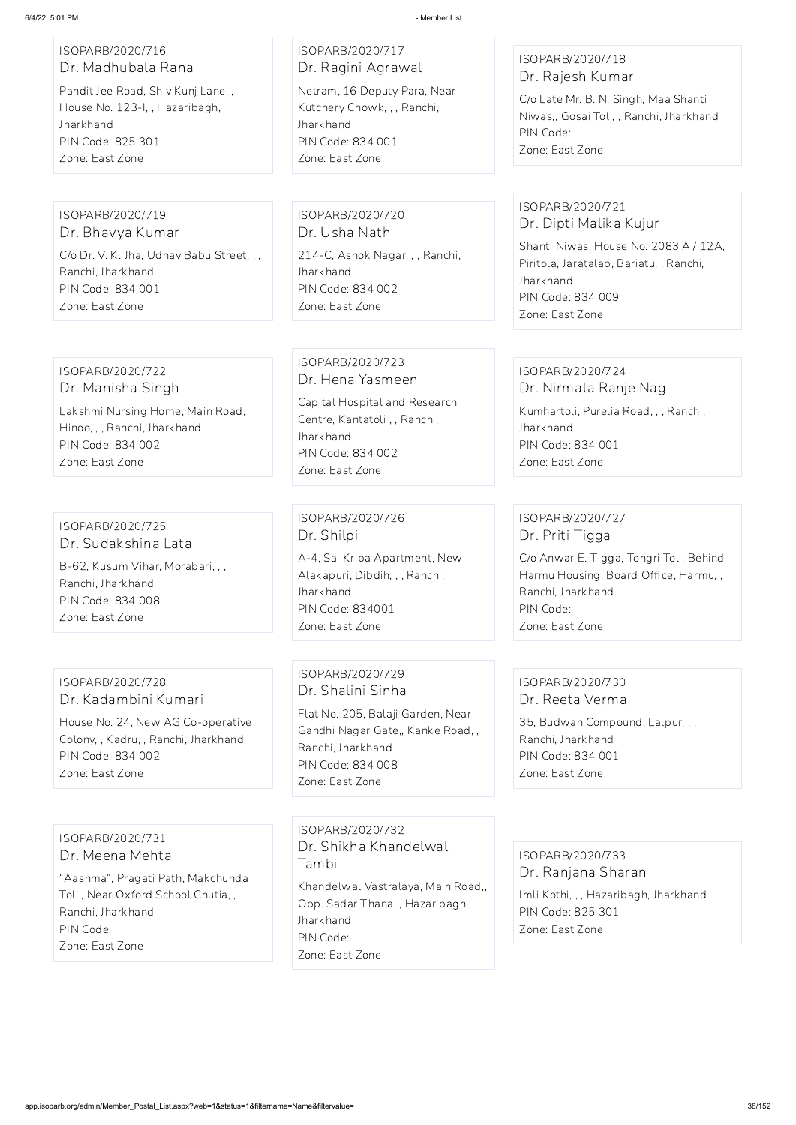#### ISOPARB/2020/716 Dr. Madhubala Rana

Pandit Jee Road, Shiv Kunj Lane, , House No. 123-I, , Hazaribagh, Jharkhand PIN Code: 825 301 Zone: East Zone

ISOPARB/2020/717 Dr. Ragini Agrawal Netram, 16 Deputy Para, Near Kutchery Chowk, , , Ranchi, **Jharkhand** PIN Code: 834 001 Zone: East Zone

## ISOPARB/2020/718 Dr. Rajesh Kumar

C/o Late Mr. B. N. Singh, Maa Shanti Niwas,, Gosai Toli, , Ranchi, Jharkhand PIN Code: Zone: East Zone

## ISOPARB/2020/719

Dr. Bhavya Kumar C/o Dr. V. K. Jha, Udhav Babu Street, , , Ranchi, Jharkhand PIN Code: 834 001 Zone: East Zone

ISOPARB/2020/720 Dr. Usha Nath 214-C, Ashok Nagar, , , Ranchi, **Jharkhand** PIN Code: 834 002 Zone: East Zone

## ISOPARB/2020/721 Dr. Dipti Malika Kujur

Shanti Niwas, House No. 2083 A / 12A, Piritola, Jaratalab, Bariatu, , Ranchi, Jharkhand PIN Code: 834 009 Zone: East Zone

#### ISOPARB/2020/722 Dr. Manisha Singh

Lakshmi Nursing Home, Main Road, Hinoo, , , Ranchi, Jharkhand PIN Code: 834 002 Zone: East Zone

## ISOPARB/2020/723 Dr. Hena Yasmeen

Capital Hospital and Research Centre, Kantatoli , , Ranchi, Jharkhand PIN Code: 834 002 Zone: East Zone

# ISOPARB/2020/724

Dr. Nirmala Ranje Nag Kumhartoli, Purelia Road, , , Ranchi, Jharkhand PIN Code: 834 001

Zone: East Zone

## ISOPARB/2020/725 Dr. Sudakshina Lata

B-62, Kusum Vihar, Morabari, , , Ranchi, Jharkhand PIN Code: 834 008 Zone: East Zone

## ISOPARB/2020/726 Dr. Shilpi

A-4, Sai Kripa Apartment, New Alakapuri, Dibdih, , , Ranchi, **Jharkhand** PIN Code: 834001 Zone: East Zone

## ISOPARB/2020/727 Dr. Priti Tigga

C/o Anwar E. Tigga, Tongri Toli, Behind Harmu Housing, Board Office, Harmu, , Ranchi, Jharkhand PIN Code: Zone: East Zone

## ISOPARB/2020/728 Dr. Kadambini Kumari

House No. 24, New AG Co-operative Colony, , Kadru, , Ranchi, Jharkhand PIN Code: 834 002 Zone: East Zone

ISOPARB/2020/729 Dr. Shalini Sinha

Flat No. 205, Balaji Garden, Near Gandhi Nagar Gate,, Kanke Road, , Ranchi, Jharkhand PIN Code: 834 008 Zone: East Zone

#### ISOPARB/2020/730 Dr. Reeta Verma

35, Budwan Compound, Lalpur, , , Ranchi, Jharkhand PIN Code: 834 001 Zone: East Zone

#### ISOPARB/2020/731

Dr. Meena Mehta

"Aashma", Pragati Path, Makchunda Toli,, Near Oxford School Chutia, , Ranchi, Jharkhand PIN Code: Zone: East Zone

ISOPARB/2020/732 Dr. Shikha Khandelwal Tambi

Khandelwal Vastralaya, Main Road,, Opp. Sadar Thana, , Hazaribagh, Jharkhand PIN Code:

Zone: East Zone

ISOPARB/2020/733 Dr. Ranjana Sharan

Imli Kothi, , , Hazaribagh, Jharkhand PIN Code: 825 301 Zone: East Zone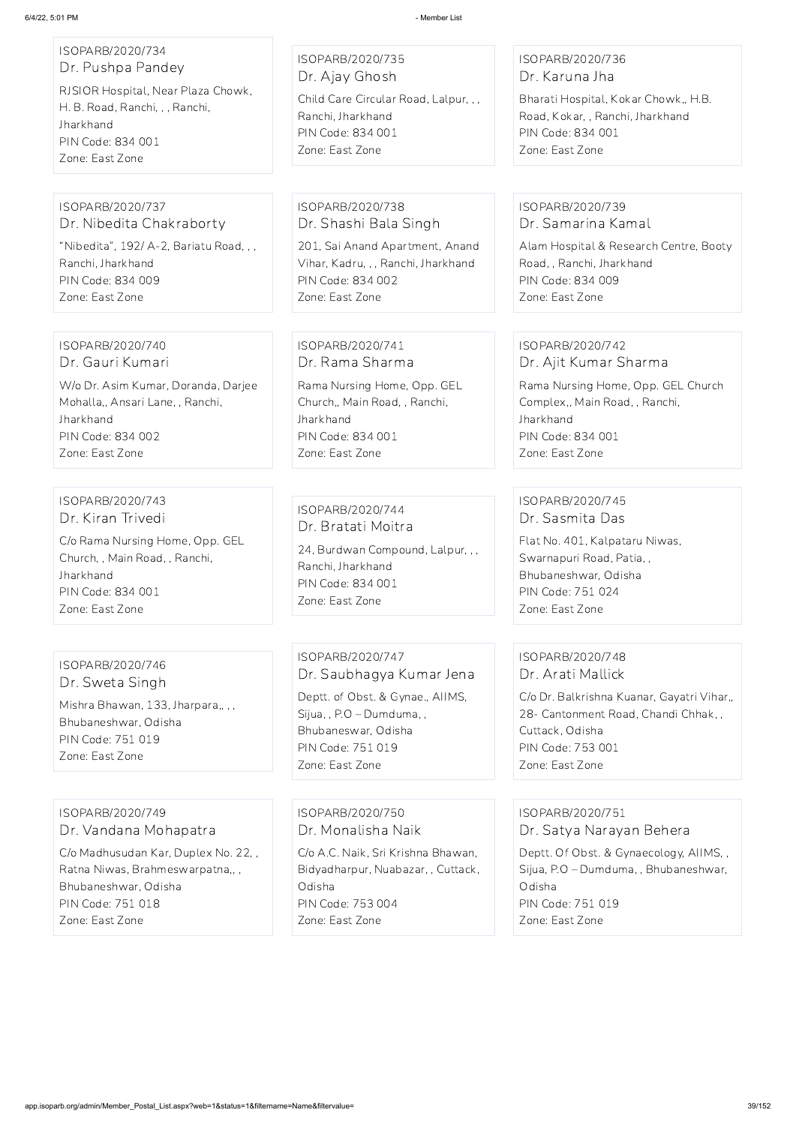| ISOPARB/2020/734<br>Dr. Pushpa Pandey<br>RJSIOR Hospital, Near Plaza Chowk,<br>H. B. Road, Ranchi, , , Ranchi,<br>Jharkhand<br>PIN Code: 834 001<br>Zone: East Zone | ISOPARB/2020/735<br>Dr. Ajay Ghosh<br>Child Care Circular Road, Lalpur, , ,<br>Ranchi, Jharkhand<br>PIN Code: 834 001<br>Zone: East Zone                                     | ISOPARB/2020/736<br>Dr. Karuna Jha<br>Bharati Hospital, Kokar Chowk,, H.B.<br>Road, Kokar,, Ranchi, Jharkhand<br>PIN Code: 834 001<br>Zone: East Zone                                  |
|---------------------------------------------------------------------------------------------------------------------------------------------------------------------|------------------------------------------------------------------------------------------------------------------------------------------------------------------------------|----------------------------------------------------------------------------------------------------------------------------------------------------------------------------------------|
|                                                                                                                                                                     |                                                                                                                                                                              |                                                                                                                                                                                        |
| ISOPARB/2020/737<br>Dr. Nibedita Chakraborty<br>"Nibedita", 192/ A-2, Bariatu Road, , ,<br>Ranchi, Jharkhand<br>PIN Code: 834 009<br>Zone: East Zone                | ISOPARB/2020/738<br>Dr. Shashi Bala Singh<br>201, Sai Anand Apartment, Anand<br>Vihar, Kadru, , , Ranchi, Jharkhand<br>PIN Code: 834 002<br>Zone: East Zone                  | ISOPARB/2020/739<br>Dr. Samarina Kamal<br>Alam Hospital & Research Centre, Booty<br>Road,, Ranchi, Jharkhand<br>PIN Code: 834 009<br>Zone: East Zone                                   |
|                                                                                                                                                                     |                                                                                                                                                                              |                                                                                                                                                                                        |
| ISOPARB/2020/740<br>Dr. Gauri Kumari                                                                                                                                | ISOPARB/2020/741<br>Dr. Rama Sharma                                                                                                                                          | ISOPARB/2020/742<br>Dr. Ajit Kumar Sharma                                                                                                                                              |
| W/o Dr. Asim Kumar, Doranda, Darjee<br>Mohalla,, Ansari Lane, , Ranchi,<br>Jharkhand<br>PIN Code: 834 002<br>Zone: East Zone                                        | Rama Nursing Home, Opp. GEL<br>Church,, Main Road,, Ranchi,<br>Jharkhand<br>PIN Code: 834 001<br>Zone: East Zone                                                             | Rama Nursing Home, Opp. GEL Church<br>Complex,, Main Road,, Ranchi,<br>Jharkhand<br>PIN Code: 834 001<br>Zone: East Zone                                                               |
|                                                                                                                                                                     |                                                                                                                                                                              |                                                                                                                                                                                        |
| ISOPARB/2020/743<br>Dr. Kiran Trivedi<br>C/o Rama Nursing Home, Opp. GEL<br>Church, , Main Road, , Ranchi,<br>Jharkhand<br>PIN Code: 834 001<br>Zone: East Zone     | ISOPARB/2020/744<br>Dr. Bratati Moitra<br>24, Burdwan Compound, Lalpur, , ,<br>Ranchi, Jharkhand<br><b>PIN Code: 834 001</b><br>Zone: East Zone                              | ISOPARB/2020/745<br>Dr. Sasmita Das<br>Flat No. 401, Kalpataru Niwas,<br>Swarnapuri Road, Patia,,<br>Bhubaneshwar, Odisha<br>PIN Code: 751 024<br>Zone: East Zone                      |
|                                                                                                                                                                     |                                                                                                                                                                              |                                                                                                                                                                                        |
| ISOPARB/2020/746<br>Dr. Sweta Singh<br>Mishra Bhawan, 133, Jharpara,,,,<br>Bhubaneshwar, Odisha<br>PIN Code: 751 019<br>Zone: East Zone                             | ISOPARB/2020/747<br>Dr. Saubhagya Kumar Jena<br>Deptt. of Obst. & Gynae., AllMS,<br>Sijua, , P.O - Dumduma, ,<br>Bhubaneswar, Odisha<br>PIN Code: 751 019<br>Zone: East Zone | ISOPARB/2020/748<br>Dr. Arati Mallick<br>C/o Dr. Balkrishna Kuanar, Gayatri Vihar,,<br>28 - Cantonment Road, Chandi Chhak,,<br>Cuttack, Odisha<br>PIN Code: 753 001<br>Zone: East Zone |
| ISOPARB/2020/749                                                                                                                                                    | ISOPARB/2020/750                                                                                                                                                             | ISOPARB/2020/751                                                                                                                                                                       |

ISOPARB/2020/749 Dr. Vandana Mohapatra

C/o Madhusudan Kar, Duplex No. 22, , Ratna Niwas, Brahmeswarpatna,, , Bhubaneshwar, Odisha PIN Code: 751 018 Zone: East Zone

Dr. Monalisha Naik C/o A.C. Naik, Sri Krishna Bhawan, Bidyadharpur, Nuabazar, , Cuttack, Odisha PIN Code: 753 004 Zone: East Zone

ISOPARB/2020/751 Dr. Satya Narayan Behera Deptt. Of Obst. & Gynaecology, AIIMS, , Sijua, P.O – Dumduma, , Bhubaneshwar, Odisha PIN Code: 751 019 Zone: East Zone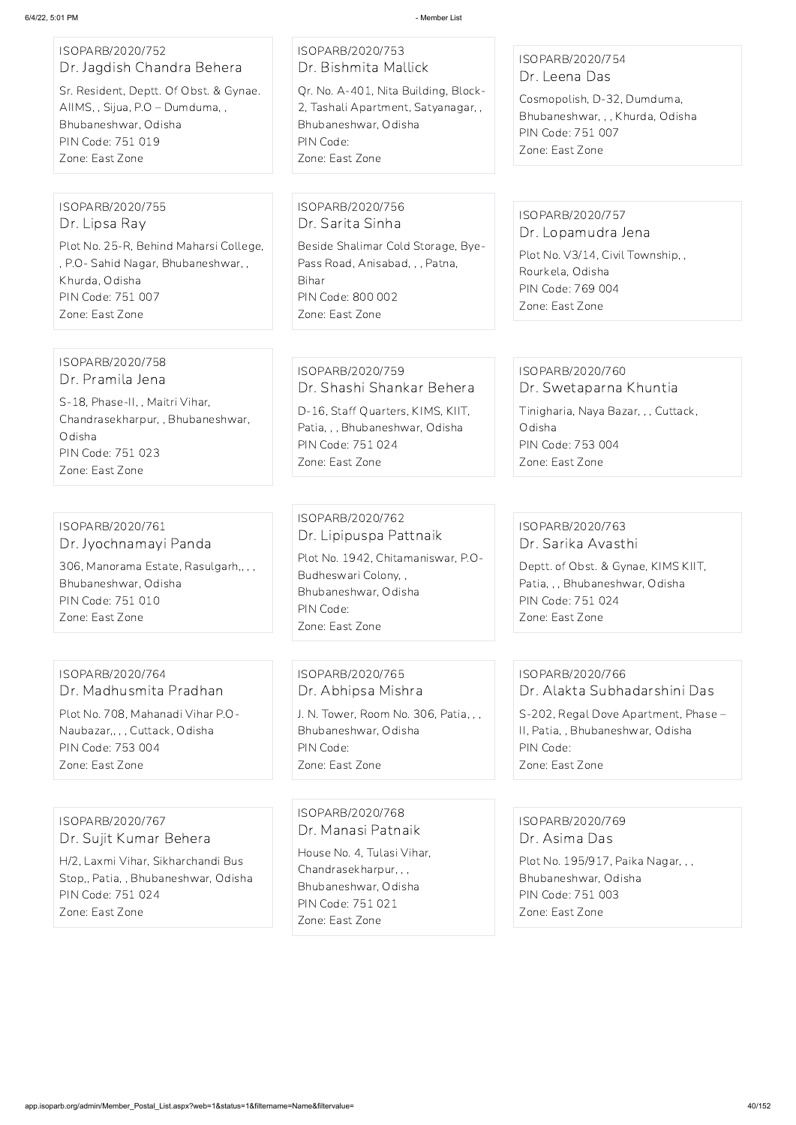| ISOPARB/2020/752           |  |
|----------------------------|--|
| Dr. Jagdish Chandra Behera |  |

Sr. Resident, Deptt. Of Obst. & Gynae. AIIMS, , Sijua, P.O – Dumduma, , Bhubaneshwar, Odisha PIN Code: 751 019 Zone: East Zone

## ISOPARB/2020/753 Dr. Bishmita Mallick Qr. No. A-401, Nita Building, Block-2, Tashali Apartment, Satyanagar, , Bhubaneshwar, Odisha

PIN Code: Zone: East Zone

## ISOPARB/2020/754 Dr. Leena Das

Cosmopolish, D-32, Dumduma, Bhubaneshwar, , , Khurda, Odisha PIN Code: 751 007 Zone: East Zone

#### ISOPARB/2020/755 Dr. Lipsa Ray

Plot No. 25-R, Behind Maharsi College, , P.O- Sahid Nagar, Bhubaneshwar, , Khurda, Odisha PIN Code: 751 007 Zone: East Zone

#### ISOPARB/2020/756 Dr. Sarita Sinha

Beside Shalimar Cold Storage, Bye-Pass Road, Anisabad, , , Patna, Bihar PIN Code: 800 002 Zone: East Zone

# ISOPARB/2020/757

Dr. Lopamudra Jena Plot No. V3/14, Civil Township, ,

Rourkela, Odisha PIN Code: 769 004 Zone: East Zone

#### ISOPARB/2020/758 Dr. Pramila Jena

S-18, Phase-II, , Maitri Vihar, Chandrasekharpur, , Bhubaneshwar, Odisha PIN Code: 751 023 Zone: East Zone

## ISOPARB/2020/759 Dr. Shashi Shankar Behera

D-16, Staff Quarters, KIMS, KIIT, Patia, , , Bhubaneshwar, Odisha PIN Code: 751 024 Zone: East Zone

# ISOPARB/2020/760

Dr. Swetaparna Khuntia

Tinigharia, Naya Bazar, , , Cuttack, Odisha PIN Code: 753 004 Zone: East Zone

## ISOPARB/2020/761 Dr. Jyochnamayi Panda

306, Manorama Estate, Rasulgarh,, , , Bhubaneshwar, Odisha PIN Code: 751 010 Zone: East Zone

## ISOPARB/2020/762 Dr. Lipipuspa Pattnaik

Plot No. 1942, Chitamaniswar, P.O-Budheswari Colony, , Bhubaneshwar, Odisha PIN Code: Zone: East Zone

## ISOPARB/2020/763 Dr. Sarika Avasthi

Deptt. of Obst. & Gynae, KIMS KIIT, Patia, , , Bhubaneshwar, Odisha PIN Code: 751 024 Zone: East Zone

## ISOPARB/2020/764 Dr. Madhusmita Pradhan Plot No. 708, Mahanadi Vihar P.O-Naubazar,, , , Cuttack, Odisha

PIN Code: 753 004 Zone: East Zone

## ISOPARB/2020/765 Dr. Abhipsa Mishra

J. N. Tower, Room No. 306, Patia, , , Bhubaneshwar, Odisha PIN Code: Zone: East Zone

#### ISOPARB/2020/766 Dr. Alakta Subhadarshini Das

S-202, Regal Dove Apartment, Phase – II, Patia, , Bhubaneshwar, Odisha PIN Code: Zone: East Zone

## ISOPARB/2020/767 Dr. Sujit Kumar Behera

H/2, Laxmi Vihar, Sikharchandi Bus Stop,, Patia, , Bhubaneshwar, Odisha PIN Code: 751 024 Zone: East Zone

ISOPARB/2020/768 Dr. Manasi Patnaik House No. 4, Tulasi Vihar, Chandrasekharpur, , , Bhubaneshwar, Odisha PIN Code: 751 021 Zone: East Zone

ISOPARB/2020/769 Dr. Asima Das

Plot No. 195/917, Paika Nagar, , , Bhubaneshwar, Odisha PIN Code: 751 003 Zone: East Zone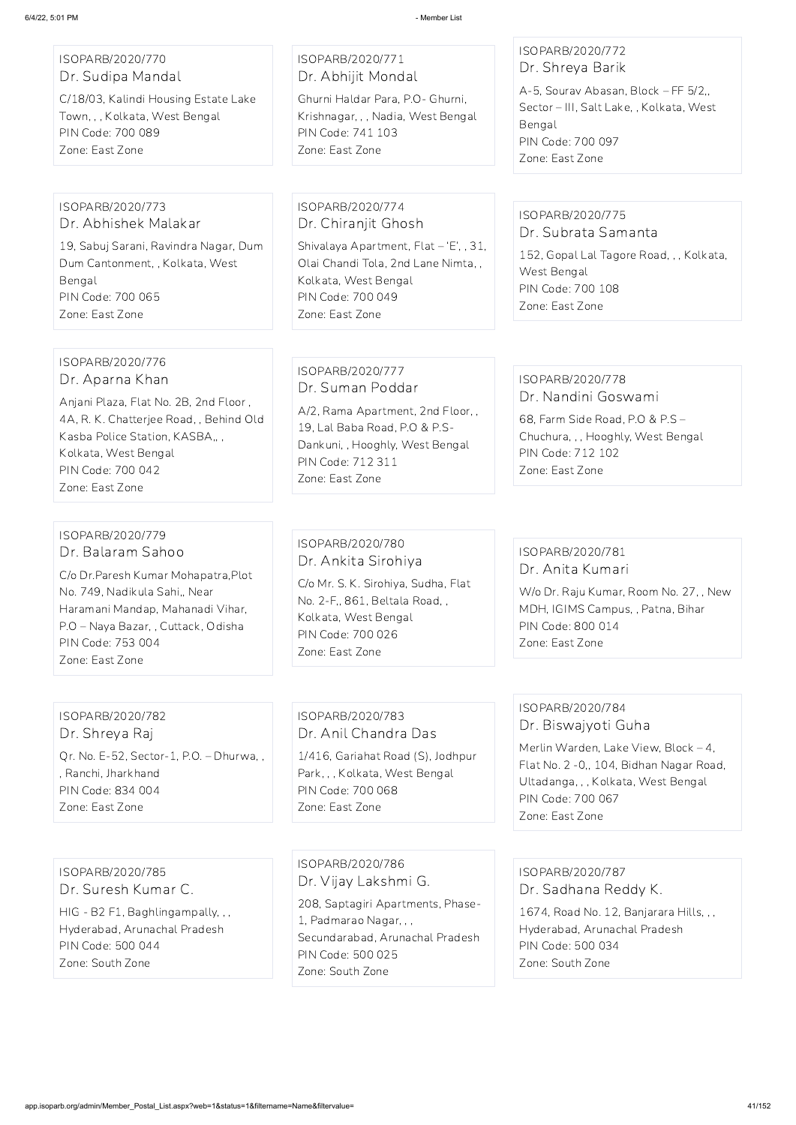## ISOPARB/2020/770 Dr. Sudipa Mandal

C/18/03, Kalindi Housing Estate Lake Town, , , Kolkata, West Bengal PIN Code: 700 089 Zone: East Zone

### ISOPARB/2020/771 Dr. Abhijit Mondal

Ghurni Haldar Para, P.O- Ghurni, Krishnagar, , , Nadia, West Bengal PIN Code: 741 103 Zone: East Zone

#### ISOPARB/2020/772 Dr. Shreya Barik

A-5, Sourav Abasan, Block – FF 5/2,, Sector – III, Salt Lake, , Kolkata, West Bengal PIN Code: 700 097 Zone: East Zone

#### ISOPARB/2020/773 Dr. Abhishek Malakar

19, Sabuj Sarani, Ravindra Nagar, Dum Dum Cantonment, , Kolkata, West Bengal PIN Code: 700 065 Zone: East Zone

#### ISOPARB/2020/774 Dr. Chiranjit Ghosh

Shivalaya Apartment, Flat – 'E', , 31, Olai Chandi Tola, 2nd Lane Nimta, , Kolkata, West Bengal PIN Code: 700 049 Zone: East Zone

#### ISOPARB/2020/775 Dr. Subrata Samanta

152, Gopal Lal Tagore Road, , , Kolkata, West Bengal PIN Code: 700 108 Zone: East Zone

#### ISOPARB/2020/776 Dr. Aparna Khan

Anjani Plaza, Flat No. 2B, 2nd Floor , 4A, R. K. Chatterjee Road, , Behind Old Kasba Police Station, KASBA,, , Kolkata, West Bengal PIN Code: 700 042 Zone: East Zone

## ISOPARB/2020/777 Dr. Suman Poddar

A/2, Rama Apartment, 2nd Floor, , 19, Lal Baba Road, P.O & P.S-Dankuni, , Hooghly, West Bengal PIN Code: 712 311 Zone: East Zone

#### ISOPARB/2020/778 Dr. Nandini Goswami

68, Farm Side Road, P.O & P.S – Chuchura, , , Hooghly, West Bengal PIN Code: 712 102 Zone: East Zone

#### ISOPARB/2020/779 Dr. Balaram Sahoo

C/o Dr.Paresh Kumar Mohapatra,Plot No. 749, Nadikula Sahi,, Near Haramani Mandap, Mahanadi Vihar, P.O – Naya Bazar, , Cuttack, Odisha PIN Code: 753 004 Zone: East Zone

## ISOPARB/2020/780 Dr. Ankita Sirohiya

C/o Mr. S. K. Sirohiya, Sudha, Flat No. 2-F,, 861, Beltala Road, , Kolkata, West Bengal PIN Code: 700 026 Zone: East Zone

## ISOPARB/2020/781 Dr. Anita Kumari

W/o Dr. Raju Kumar, Room No. 27, , New MDH, IGIMS Campus, , Patna, Bihar PIN Code: 800 014 Zone: East Zone

#### ISOPARB/2020/782 Dr. Shreya Raj

Qr. No. E-52, Sector-1, P.O. – Dhurwa, , , Ranchi, Jharkhand PIN Code: 834 004 Zone: East Zone

## ISOPARB/2020/783 Dr. Anil Chandra Das

1/416, Gariahat Road (S), Jodhpur Park, , , Kolkata, West Bengal PIN Code: 700 068 Zone: East Zone

## ISOPARB/2020/784 Dr. Biswajyoti Guha

Merlin Warden, Lake View, Block – 4, Flat No. 2 -0,, 104, Bidhan Nagar Road, Ultadanga, , , Kolkata, West Bengal PIN Code: 700 067 Zone: East Zone

ISOPARB/2020/785 Dr. Suresh Kumar C. HIG - B2 F1, Baghlingampally, , , Hyderabad, Arunachal Pradesh PIN Code: 500 044 Zone: South Zone

ISOPARB/2020/786 Dr. Vijay Lakshmi G. 208, Saptagiri Apartments, Phase-1, Padmarao Nagar, , ,

Secundarabad, Arunachal Pradesh PIN Code: 500 025

Zone: South Zone

ISOPARB/2020/787 Dr. Sadhana Reddy K.

1674, Road No. 12, Banjarara Hills, , ,

Hyderabad, Arunachal Pradesh

PIN Code: 500 034

Zone: South Zone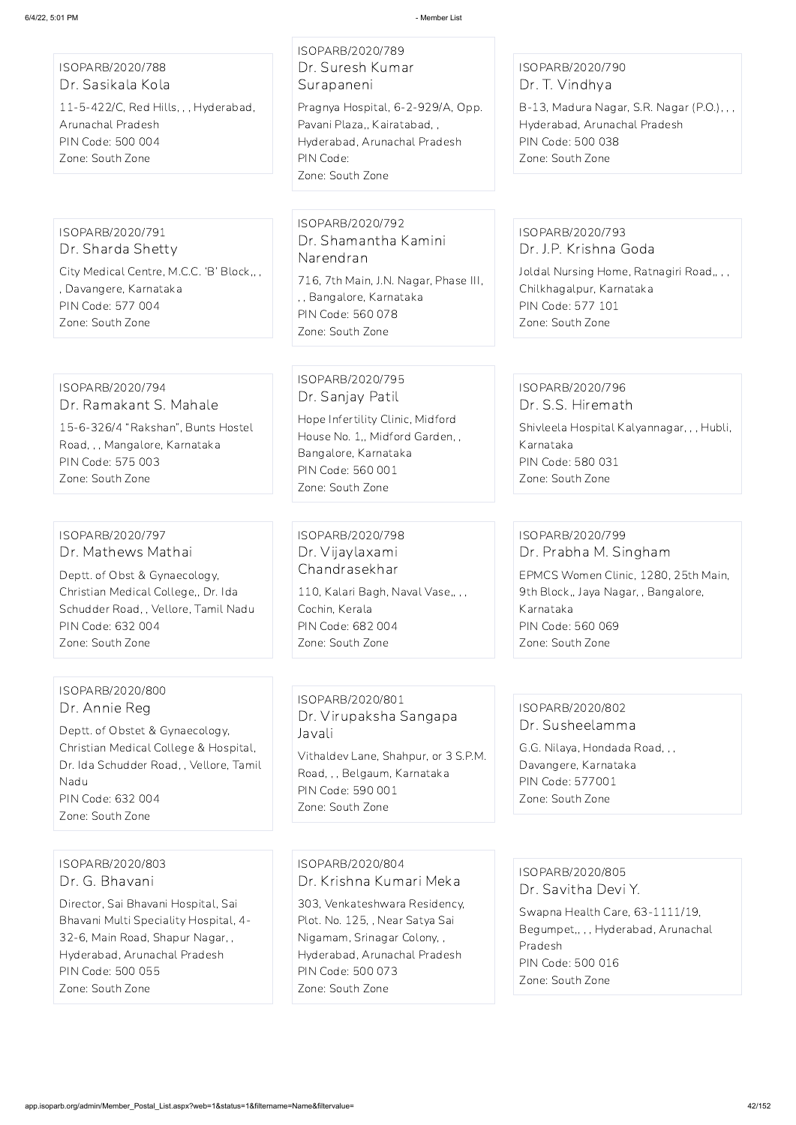ISOPARB/2020/788 Dr. Sasikala Kola 11-5-422/C, Red Hills, , , Hyderabad, Arunachal Pradesh PIN Code: 500 004 Zone: South Zone

## ISOPARB/2020/789 Dr. Suresh Kumar Surapaneni

Pragnya Hospital, 6-2-929/A, Opp. Pavani Plaza,, Kairatabad, , Hyderabad, Arunachal Pradesh PIN Code: Zone: South Zone

## ISOPARB/2020/790 Dr. T. Vindhya

B-13, Madura Nagar, S.R. Nagar (P.O.), , , Hyderabad, Arunachal Pradesh PIN Code: 500 038 Zone: South Zone

ISOPARB/2020/791 Dr. Sharda Shetty City Medical Centre, M.C.C. 'B' Block,, , , Davangere, Karnataka PIN Code: 577 004 Zone: South Zone

> ISOPARB/2020/796 Dr. S.S. Hiremath

ISOPARB/2020/792 Dr. Shamantha Kamini Narendran

716, 7th Main, J.N. Nagar, Phase III, , , Bangalore, Karnataka PIN Code: 560 078 Zone: South Zone

ISOPARB/2020/793 Dr. J.P. Krishna Goda

Joldal Nursing Home, Ratnagiri Road,, , , Chilkhagalpur, Karnataka PIN Code: 577 101 Zone: South Zone

ISOPARB/2020/794 Dr. Ramakant S. Mahale

15-6-326/4 "Rakshan", Bunts Hostel Road, , , Mangalore, Karnataka PIN Code: 575 003 Zone: South Zone

ISOPARB/2020/795 Dr. Sanjay Patil

Hope Infertility Clinic, Midford House No. 1,, Midford Garden, , Bangalore, Karnataka PIN Code: 560 001 Zone: South Zone

Shivleela Hospital Kalyannagar, , , Hubli, Karnataka PIN Code: 580 031 Zone: South Zone

ISOPARB/2020/797 Dr. Mathews Mathai

Deptt. of Obst & Gynaecology, Christian Medical College,, Dr. Ida Schudder Road, , Vellore, Tamil Nadu PIN Code: 632 004 Zone: South Zone

ISOPARB/2020/798 Dr. Vijaylaxami Chandrasekhar

110, Kalari Bagh, Naval Vase,, , , Cochin, Kerala PIN Code: 682 004 Zone: South Zone

ISOPARB/2020/799 Dr. Prabha M. Singham EPMCS Women Clinic, 1280, 25th Main, 9th Block,, Jaya Nagar, , Bangalore, Karnataka PIN Code: 560 069 Zone: South Zone

ISOPARB/2020/800 Dr. Annie Reg

Deptt. of Obstet & Gynaecology, Christian Medical College & Hospital, Dr. Ida Schudder Road, , Vellore, Tamil Nadu PIN Code: 632 004 Zone: South Zone

ISOPARB/2020/801 Dr. Virupaksha Sangapa Javali

Vithaldev Lane, Shahpur, or 3 S.P.M. Road, , , Belgaum, Karnataka PIN Code: 590 001 Zone: South Zone

## ISOPARB/2020/802 Dr. Susheelamma

G.G. Nilaya, Hondada Road, , , Davangere, Karnataka PIN Code: 577001 Zone: South Zone

ISOPARB/2020/803 Dr. G. Bhavani

Director, Sai Bhavani Hospital, Sai Bhavani Multi Speciality Hospital, 4- 32-6, Main Road, Shapur Nagar, , Hyderabad, Arunachal Pradesh PIN Code: 500 055 Zone: South Zone

ISOPARB/2020/804 Dr. Krishna Kumari Meka

303, Venkateshwara Residency, Plot. No. 125, , Near Satya Sai Nigamam, Srinagar Colony, , Hyderabad, Arunachal Pradesh PIN Code: 500 073 Zone: South Zone

ISOPARB/2020/805 Dr. Savitha Devi Y.

Swapna Health Care, 63-1111/19, Begumpet,, , , Hyderabad, Arunachal Pradesh PIN Code: 500 016 Zone: South Zone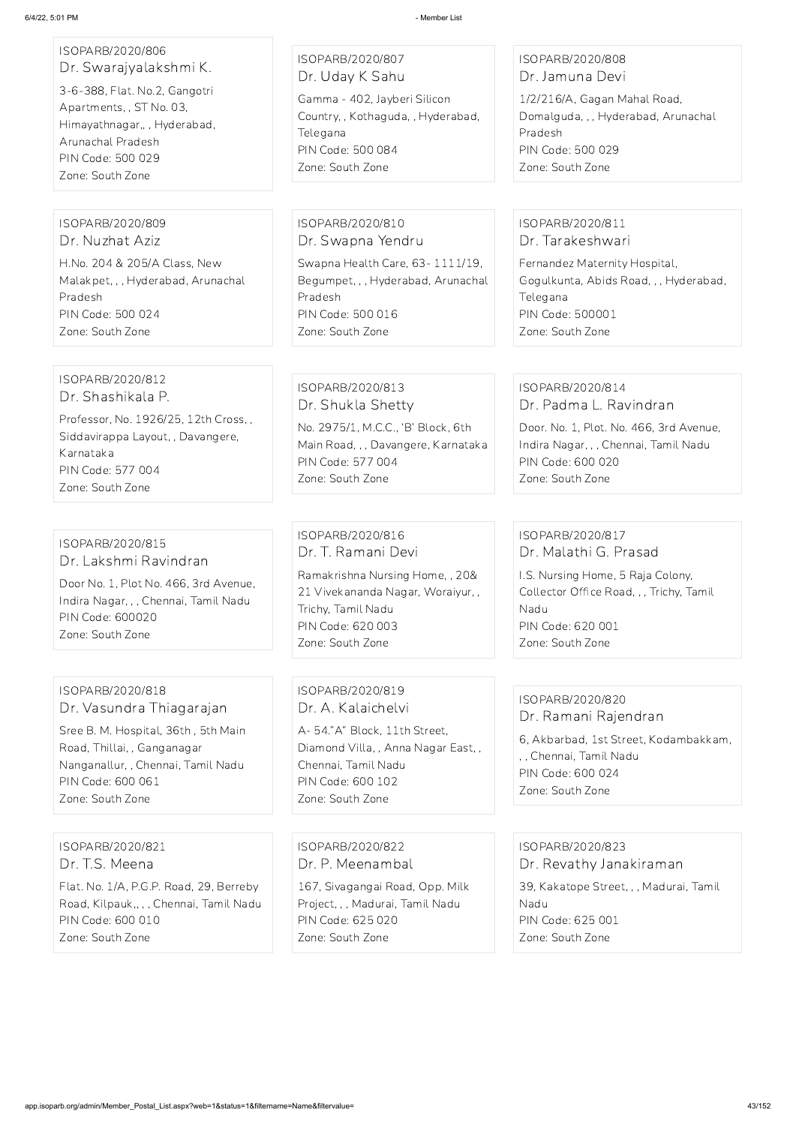# ISOPARB/2020/806 Dr. Swarajyalakshmi K.

3-6-388, Flat. No.2, Gangotri Apartments, , ST No. 03, Himayathnagar,, , Hyderabad, Arunachal Pradesh PIN Code: 500 029 Zone: South Zone

ISOPARB/2020/807 Dr. Uday K Sahu Gamma - 402, Jayberi Silicon Country, , Kothaguda, , Hyderabad, **Telegana** PIN Code: 500 084 Zone: South Zone

#### ISOPARB/2020/808 Dr. Jamuna Devi

1/2/216/A, Gagan Mahal Road, Domalguda, , , Hyderabad, Arunachal Pradesh PIN Code: 500 029 Zone: South Zone

#### ISOPARB/2020/809 Dr. Nuzhat Aziz

H.No. 204 & 205/A Class, New Malakpet, , , Hyderabad, Arunachal Pradesh PIN Code: 500 024 Zone: South Zone

#### ISOPARB/2020/810 Dr. Swapna Yendru

Swapna Health Care, 63- 1111/19, Begumpet, , , Hyderabad, Arunachal Pradesh PIN Code: 500 016 Zone: South Zone

#### ISOPARB/2020/811 Dr. Tarakeshwari

Fernandez Maternity Hospital, Gogulkunta, Abids Road, , , Hyderabad, Telegana PIN Code: 500001 Zone: South Zone

#### ISOPARB/2020/812 Dr. Shashikala P.

Professor, No. 1926/25, 12th Cross, , Siddavirappa Layout, , Davangere, Karnataka PIN Code: 577 004 Zone: South Zone

#### ISOPARB/2020/813 Dr. Shukla Shetty

No. 2975/1, M.C.C., 'B' Block, 6th Main Road, , , Davangere, Karnataka PIN Code: 577 004 Zone: South Zone

## ISOPARB/2020/814 Dr. Padma L. Ravindran

Door. No. 1, Plot. No. 466, 3rd Avenue, Indira Nagar, , , Chennai, Tamil Nadu PIN Code: 600 020 Zone: South Zone

#### ISOPARB/2020/815 Dr. Lakshmi Ravindran

Door No. 1, Plot No. 466, 3rd Avenue, Indira Nagar, , , Chennai, Tamil Nadu PIN Code: 600020 Zone: South Zone

ISOPARB/2020/816 Dr. T. Ramani Devi Ramakrishna Nursing Home, , 20& 21 Vivekananda Nagar, Woraiyur, , Trichy, Tamil Nadu PIN Code: 620 003 Zone: South Zone

## ISOPARB/2020/817 Dr. Malathi G. Prasad

I.S. Nursing Home, 5 Raja Colony, Collector Office Road, , , Trichy, Tamil Nadu PIN Code: 620 001 Zone: South Zone

#### ISOPARB/2020/818 Dr. Vasundra Thiagarajan

Sree B. M. Hospital, 36th , 5th Main Road, Thillai, , Ganganagar Nanganallur, , Chennai, Tamil Nadu PIN Code: 600 061 Zone: South Zone

ISOPARB/2020/819 Dr. A. Kalaichelvi

A- 54."A" Block, 11th Street, Diamond Villa, , Anna Nagar East, , Chennai, Tamil Nadu PIN Code: 600 102 Zone: South Zone

## ISOPARB/2020/820 Dr. Ramani Rajendran

6, Akbarbad, 1st Street, Kodambakkam, , , Chennai, Tamil Nadu PIN Code: 600 024 Zone: South Zone

ISOPARB/2020/821

Dr. T.S. Meena

Flat. No. 1/A, P.G.P. Road, 29, Berreby Road, Kilpauk,, , , Chennai, Tamil Nadu PIN Code: 600 010 Zone: South Zone

ISOPARB/2020/822 Dr. P. Meenambal

167, Sivagangai Road, Opp. Milk Project, , , Madurai, Tamil Nadu PIN Code: 625 020 Zone: South Zone

ISOPARB/2020/823

Dr. Revathy Janakiraman

39, Kakatope Street, , , Madurai, Tamil Nadu PIN Code: 625 001 Zone: South Zone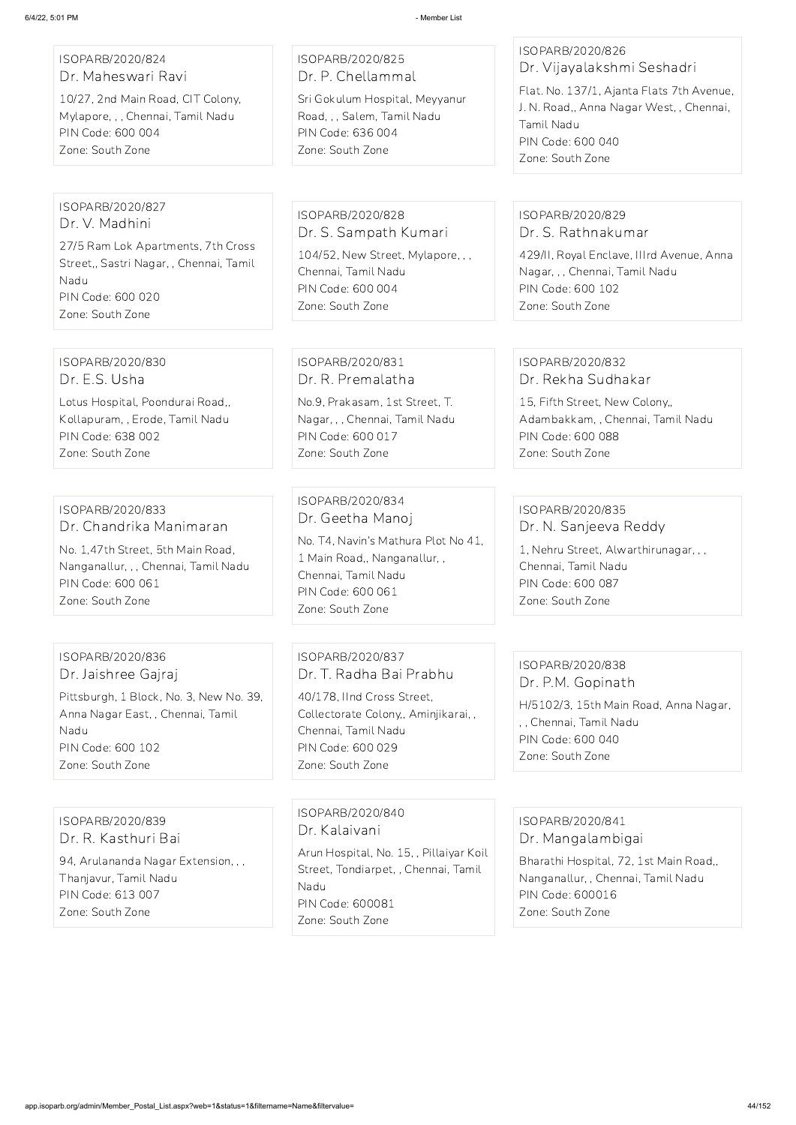#### ISOPARB/2020/824 Dr. Maheswari Ravi

10/27, 2nd Main Road, CIT Colony, Mylapore, , , Chennai, Tamil Nadu PIN Code: 600 004 Zone: South Zone

ISOPARB/2020/825 Dr. P. Chellammal

Sri Gokulum Hospital, Meyyanur Road, , , Salem, Tamil Nadu PIN Code: 636 004 Zone: South Zone

## ISOPARB/2020/826 Dr. Vijayalakshmi Seshadri

Flat. No. 137/1, Ajanta Flats 7th Avenue, J. N. Road,, Anna Nagar West, , Chennai, Tamil Nadu PIN Code: 600 040 Zone: South Zone

#### ISOPARB/2020/827 Dr. V. Madhini

27/5 Ram Lok Apartments, 7th Cross Street,, Sastri Nagar, , Chennai, Tamil Nadu PIN Code: 600 020 Zone: South Zone

ISOPARB/2020/828 Dr. S. Sampath Kumari 104/52, New Street, Mylapore, , , Chennai, Tamil Nadu PIN Code: 600 004 Zone: South Zone

## ISOPARB/2020/829 Dr. S. Rathnakumar

429/II, Royal Enclave, IIIrd Avenue, Anna Nagar, , , Chennai, Tamil Nadu PIN Code: 600 102 Zone: South Zone

#### ISOPARB/2020/830 Dr. E.S. Usha

Lotus Hospital, Poondurai Road,, Kollapuram, , Erode, Tamil Nadu PIN Code: 638 002 Zone: South Zone

## ISOPARB/2020/831 Dr. R. Premalatha

No.9, Prakasam, 1st Street, T. Nagar, , , Chennai, Tamil Nadu PIN Code: 600 017 Zone: South Zone

# ISOPARB/2020/832

Dr. Rekha Sudhakar

15, Fifth Street, New Colony,, Adambakkam, , Chennai, Tamil Nadu PIN Code: 600 088 Zone: South Zone

## ISOPARB/2020/833 Dr. Chandrika Manimaran

No. 1,47th Street, 5th Main Road, Nanganallur, , , Chennai, Tamil Nadu PIN Code: 600 061 Zone: South Zone

#### ISOPARB/2020/834 Dr. Geetha Manoj

No. T4, Navin's Mathura Plot No 41, 1 Main Road,, Nanganallur, , Chennai, Tamil Nadu PIN Code: 600 061 Zone: South Zone

## ISOPARB/2020/835 Dr. N. Sanjeeva Reddy

1, Nehru Street, Alwarthirunagar, , , Chennai, Tamil Nadu PIN Code: 600 087 Zone: South Zone

#### ISOPARB/2020/836 Dr. Jaishree Gajraj

Pittsburgh, 1 Block, No. 3, New No. 39, Anna Nagar East, , Chennai, Tamil Nadu PIN Code: 600 102 Zone: South Zone

ISOPARB/2020/837 Dr. T. Radha Bai Prabhu

40/178, IInd Cross Street, Collectorate Colony,, Aminjikarai, , Chennai, Tamil Nadu PIN Code: 600 029 Zone: South Zone

#### ISOPARB/2020/838 Dr. P.M. Gopinath

H/5102/3, 15th Main Road, Anna Nagar, , , Chennai, Tamil Nadu PIN Code: 600 040 Zone: South Zone

## ISOPARB/2020/839 Dr. R. Kasthuri Bai

94, Arulananda Nagar Extension, , , Thanjavur, Tamil Nadu PIN Code: 613 007 Zone: South Zone

ISOPARB/2020/840 Dr. Kalaivani

Arun Hospital, No. 15, , Pillaiyar Koil Street, Tondiarpet, , Chennai, Tamil Nadu PIN Code: 600081 Zone: South Zone

ISOPARB/2020/841 Dr. Mangalambigai

Bharathi Hospital, 72, 1st Main Road,, Nanganallur, , Chennai, Tamil Nadu PIN Code: 600016 Zone: South Zone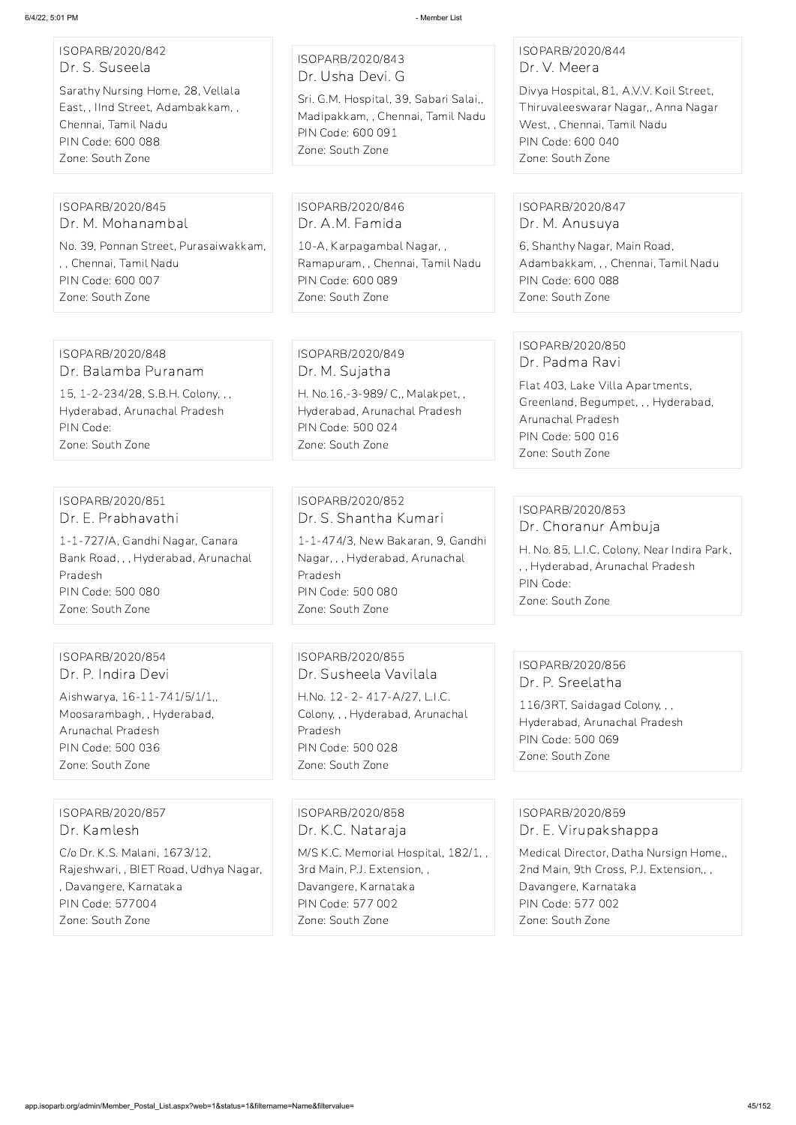| ISOPARB/2020/842<br>Dr. S. Suseela<br>Sarathy Nursing Home, 28, Vellala<br>East, , IInd Street, Adambakkam, ,<br>Chennai, Tamil Nadu<br>PIN Code: 600 088<br>Zone: South Zone | ISOPARB/2020/843<br>Dr. Usha Devi. G<br>Sri. G.M. Hospital, 39, Sabari Salai,,<br>Madipakkam, , Chennai, Tamil Nadu<br>PIN Code: 600 091<br>Zone: South Zone          | ISOPARB/2020/844<br>Dr. V. Meera<br>Divya Hospital, 81, A.V.V. Koil Street,<br>Thiruvaleeswarar Nagar,, Anna Nagar<br>West,, Chennai, Tamil Nadu<br>PIN Code: 600 040<br>Zone: South Zone |
|-------------------------------------------------------------------------------------------------------------------------------------------------------------------------------|-----------------------------------------------------------------------------------------------------------------------------------------------------------------------|-------------------------------------------------------------------------------------------------------------------------------------------------------------------------------------------|
| ISOPARB/2020/845<br>Dr. M. Mohanambal<br>No. 39, Ponnan Street, Purasaiwakkam,<br>,, Chennai, Tamil Nadu<br>PIN Code: 600 007<br>Zone: South Zone                             | ISOPARB/2020/846<br>Dr. A.M. Famida<br>10-A, Karpagambal Nagar,,<br>Ramapuram, , Chennai, Tamil Nadu<br>PIN Code: 600 089<br>Zone: South Zone                         | ISOPARB/2020/847<br>Dr. M. Anusuya<br>6, Shanthy Nagar, Main Road,<br>Adambakkam, , , Chennai, Tamil Nadu<br>PIN Code: 600 088<br>Zone: South Zone                                        |
| ISOPARB/2020/848<br>Dr. Balamba Puranam<br>15, 1-2-234/28, S.B.H. Colony, , ,<br>Hyderabad, Arunachal Pradesh<br>PIN Code:<br>Zone: South Zone                                | ISOPARB/2020/849<br>Dr. M. Sujatha<br>H. No.16,-3-989/ C,, Malakpet,,<br>Hyderabad, Arunachal Pradesh<br>PIN Code: 500 024<br>Zone: South Zone                        | ISOPARB/2020/850<br>Dr. Padma Ravi<br>Flat 403, Lake Villa Apartments,<br>Greenland, Begumpet, , , Hyderabad,<br>Arunachal Pradesh<br>PIN Code: 500 016<br>Zone: South Zone               |
| ISOPARB/2020/851<br>Dr. E. Prabhavathi<br>1-1-727/A, Gandhi Nagar, Canara<br>Bank Road, , , Hyderabad, Arunachal<br>Pradesh<br>PIN Code: 500 080<br>Zone: South Zone          | ISOPARB/2020/852<br>Dr. S. Shantha Kumari<br>1-1-474/3, New Bakaran, 9, Gandhi<br>Nagar, , , Hyderabad, Arunachal<br>Pradesh<br>PIN Code: 500 080<br>Zone: South Zone | ISOPARB/2020/853<br>Dr. Choranur Ambuja<br>H. No. 85, L.I.C. Colony, Near Indira Park,<br>,, Hyderabad, Arunachal Pradesh<br>PIN Code:<br>Zone: South Zone                                |
| ISOPARB/2020/854<br>Dr. P. Indira Devi<br>Aishwarya, 16-11-741/5/1/1,<br>Moosarambagh, Hyderabad,<br>Arunachal Pradesh<br>PIN Code: 500 036<br>Zone: South Zone               | ISOPARB/2020/855<br>Dr. Susheela Vavilala<br>H.No. 12-2-417-A/27, L.I.C.<br>Colony, , , Hyderabad, Arunachal<br>Pradesh<br>PIN Code: 500 028<br>Zone: South Zone      | ISOPARB/2020/856<br>Dr. P. Sreelatha<br>116/3RT, Saidagad Colony, , ,<br>Hyderabad, Arunachal Pradesh<br>PIN Code: 500 069<br>Zone: South Zone                                            |
| ISOPARB/2020/857                                                                                                                                                              | ISOPARB/2020/858                                                                                                                                                      | ISOPARB/2020/859                                                                                                                                                                          |

Dr. Kamlesh

C/o Dr. K.S. Malani, 1673/12, Rajeshwari, , BIET Road, Udhya Nagar, , Davangere, Karnataka PIN Code: 577004 Zone: South Zone

Dr. K.C. Nataraja

M/S K.C. Memorial Hospital, 182/1, , 3rd Main, P.J. Extension, , Davangere, Karnataka PIN Code: 577 002 Zone: South Zone

ISOPARB/2020/859 Dr. E. Virupakshappa

Medical Director, Datha Nursign Home,, 2nd Main, 9th Cross, P.J. Extension,, , Davangere, Karnataka PIN Code: 577 002 Zone: South Zone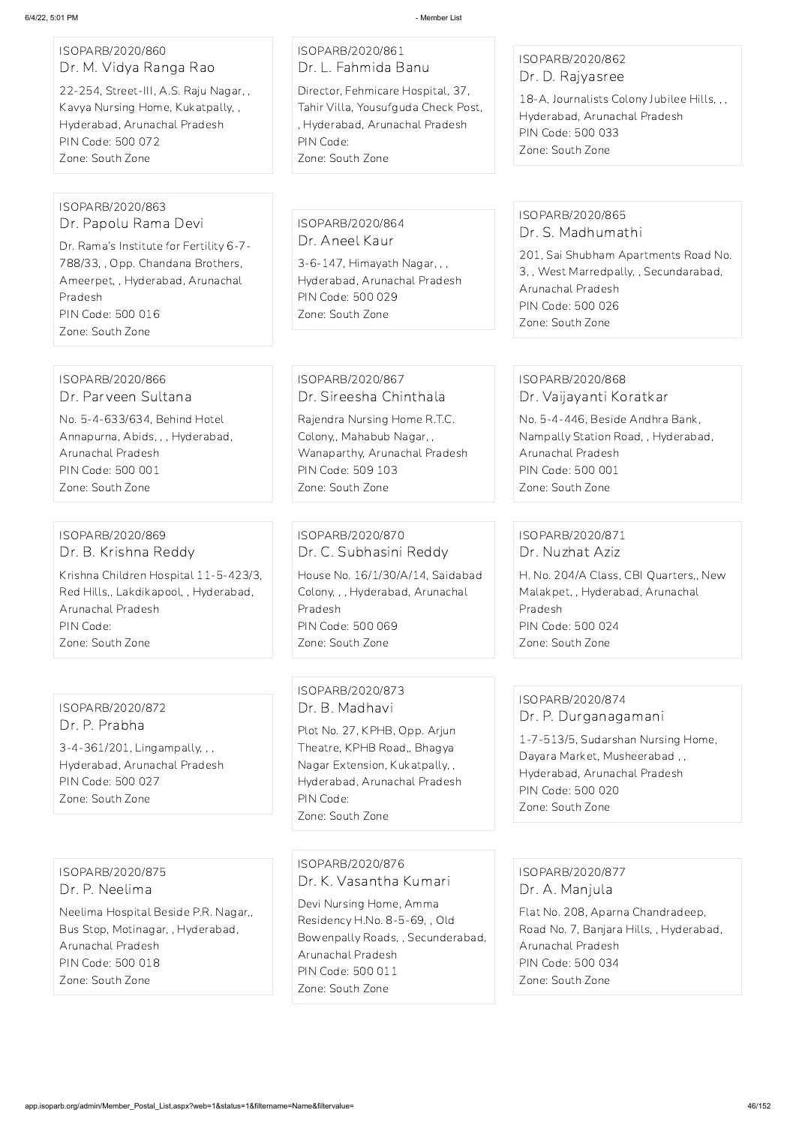#### ISOPARB/2020/860 Dr. M. Vidya Ranga Rao

22-254, Street-III, A.S. Raju Nagar, , Kavya Nursing Home, Kukatpally, , Hyderabad, Arunachal Pradesh PIN Code: 500 072 Zone: South Zone

## ISOPARB/2020/861 Dr. L. Fahmida Banu

Director, Fehmicare Hospital, 37, Tahir Villa, Yousufguda Check Post, , Hyderabad, Arunachal Pradesh PIN Code: Zone: South Zone

## ISOPARB/2020/862 Dr. D. Rajyasree

18-A, Journalists Colony Jubilee Hills, , , Hyderabad, Arunachal Pradesh PIN Code: 500 033 Zone: South Zone

#### ISOPARB/2020/863 Dr. Papolu Rama Devi

Dr. Rama's Institute for Fertility 6-7- 788/33, , Opp. Chandana Brothers, Ameerpet, , Hyderabad, Arunachal Pradesh PIN Code: 500 016 Zone: South Zone

ISOPARB/2020/864 Dr. Aneel Kaur

3-6-147, Himayath Nagar, , , Hyderabad, Arunachal Pradesh PIN Code: 500 029 Zone: South Zone

### ISOPARB/2020/865 Dr. S. Madhumathi

201, Sai Shubham Apartments Road No. 3, , West Marredpally, , Secundarabad, Arunachal Pradesh PIN Code: 500 026 Zone: South Zone

#### ISOPARB/2020/866 Dr. Parveen Sultana

No. 5-4-633/634, Behind Hotel Annapurna, Abids, , , Hyderabad, Arunachal Pradesh PIN Code: 500 001 Zone: South Zone

## ISOPARB/2020/867 Dr. Sireesha Chinthala

Rajendra Nursing Home R.T.C. Colony,, Mahabub Nagar, , Wanaparthy, Arunachal Pradesh PIN Code: 509 103 Zone: South Zone

#### ISOPARB/2020/868 Dr. Vaijayanti Koratkar

No. 5-4-446, Beside Andhra Bank, Nampally Station Road, , Hyderabad, Arunachal Pradesh PIN Code: 500 001 Zone: South Zone

#### ISOPARB/2020/869 Dr. B. Krishna Reddy

Krishna Children Hospital 11-5-423/3, Red Hills,, Lakdikapool, , Hyderabad, Arunachal Pradesh PIN Code: Zone: South Zone

ISOPARB/2020/870 Dr. C. Subhasini Reddy House No. 16/1/30/A/14, Saidabad Colony, , , Hyderabad, Arunachal Pradesh PIN Code: 500 069 Zone: South Zone

## ISOPARB/2020/871 Dr. Nuzhat Aziz

H. No. 204/A Class, CBI Quarters,, New Malakpet, , Hyderabad, Arunachal Pradesh PIN Code: 500 024 Zone: South Zone

ISOPARB/2020/872 Dr. P. Prabha

3-4-361/201, Lingampally, , , Hyderabad, Arunachal Pradesh PIN Code: 500 027 Zone: South Zone

## ISOPARB/2020/873 Dr. B. Madhavi

Plot No. 27, KPHB, Opp. Arjun Theatre, KPHB Road,, Bhagya Nagar Extension, Kukatpally, , Hyderabad, Arunachal Pradesh PIN Code: Zone: South Zone

## ISOPARB/2020/874 Dr. P. Durganagamani

1-7-513/5, Sudarshan Nursing Home, Dayara Market, Musheerabad , , Hyderabad, Arunachal Pradesh PIN Code: 500 020 Zone: South Zone

ISOPARB/2020/875 Dr. P. Neelima

Neelima Hospital Beside P.R. Nagar,, Bus Stop, Motinagar, , Hyderabad, Arunachal Pradesh PIN Code: 500 018 Zone: South Zone

ISOPARB/2020/876 Dr. K. Vasantha Kumari

Devi Nursing Home, Amma Residency H.No. 8-5-69, , Old Bowenpally Roads, , Secunderabad, Arunachal Pradesh PIN Code: 500 011 Zone: South Zone

ISOPARB/2020/877 Dr. A. Manjula

Flat No. 208, Aparna Chandradeep, Road No. 7, Banjara Hills, , Hyderabad, Arunachal Pradesh PIN Code: 500 034 Zone: South Zone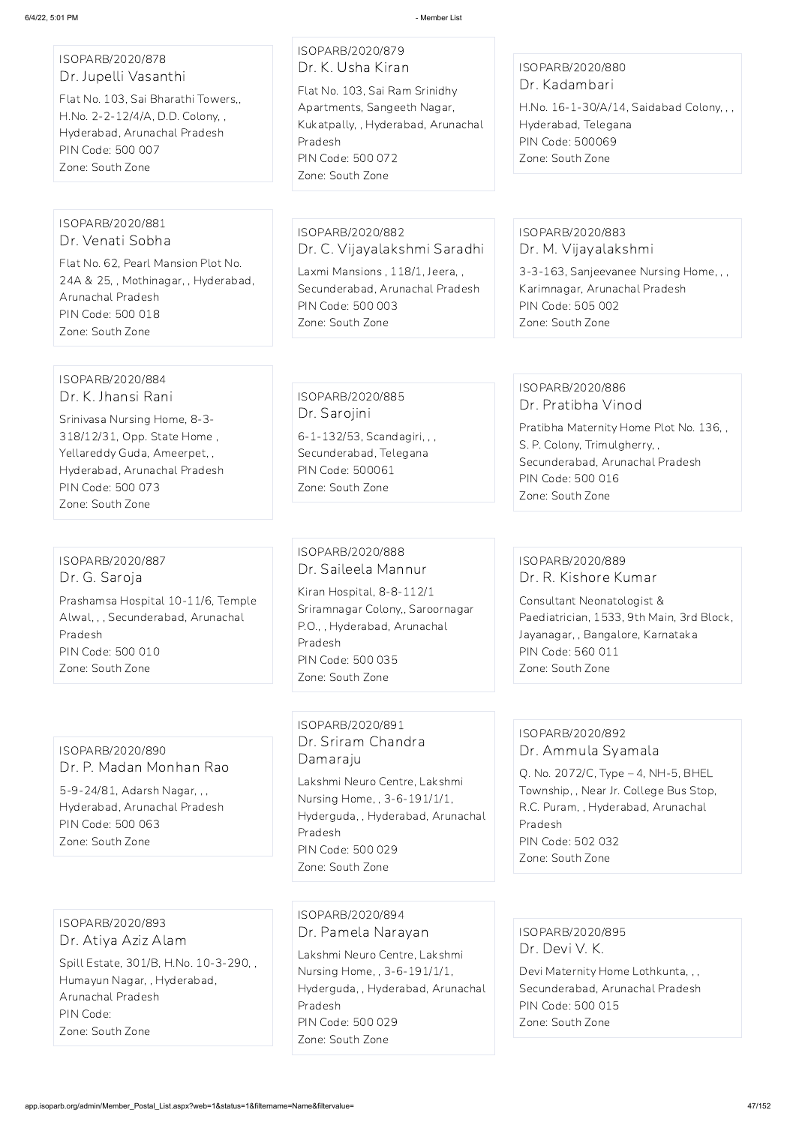ISOPARB/2020/878 Dr. Jupelli Vasanthi

Flat No. 103, Sai Bharathi Towers,, H.No. 2-2-12/4/A, D.D. Colony, , Hyderabad, Arunachal Pradesh PIN Code: 500 007 Zone: South Zone

ISOPARB/2020/879 Dr. K. Usha Kiran Flat No. 103, Sai Ram Srinidhy Apartments, Sangeeth Nagar, Kukatpally, , Hyderabad, Arunachal

Pradesh PIN Code: 500 072 Zone: South Zone

## ISOPARB/2020/880 Dr. Kadambari

H.No. 16-1-30/A/14, Saidabad Colony, , , Hyderabad, Telegana PIN Code: 500069 Zone: South Zone

#### ISOPARB/2020/881 Dr. Venati Sobha

Flat No. 62, Pearl Mansion Plot No. 24A & 25, , Mothinagar, , Hyderabad, Arunachal Pradesh PIN Code: 500 018 Zone: South Zone

ISOPARB/2020/882 Dr. C. Vijayalakshmi Saradhi

Laxmi Mansions , 118/1, Jeera, , Secunderabad, Arunachal Pradesh PIN Code: 500 003 Zone: South Zone

## ISOPARB/2020/883 Dr. M. Vijayalakshmi

3-3-163, Sanjeevanee Nursing Home, , , Karimnagar, Arunachal Pradesh PIN Code: 505 002 Zone: South Zone

#### ISOPARB/2020/884 Dr. K. Jhansi Rani

Srinivasa Nursing Home, 8-3- 318/12/31, Opp. State Home , Yellareddy Guda, Ameerpet, , Hyderabad, Arunachal Pradesh PIN Code: 500 073 Zone: South Zone

ISOPARB/2020/885 Dr. Sarojini 6-1-132/53, Scandagiri, , , Secunderabad, Telegana PIN Code: 500061 Zone: South Zone

## ISOPARB/2020/886 Dr. Pratibha Vinod

Pratibha Maternity Home Plot No. 136, , S. P. Colony, Trimulgherry, , Secunderabad, Arunachal Pradesh PIN Code: 500 016 Zone: South Zone

## ISOPARB/2020/887 Dr. G. Saroja

Prashamsa Hospital 10-11/6, Temple Alwal, , , Secunderabad, Arunachal Pradesh PIN Code: 500 010 Zone: South Zone

## ISOPARB/2020/888 Dr. Saileela Mannur

Kiran Hospital, 8-8-112/1 Sriramnagar Colony,, Saroornagar P.O., , Hyderabad, Arunachal Pradesh PIN Code: 500 035 Zone: South Zone

#### ISOPARB/2020/889 Dr. R. Kishore Kumar

Consultant Neonatologist & Paediatrician, 1533, 9th Main, 3rd Block, Jayanagar, , Bangalore, Karnataka PIN Code: 560 011 Zone: South Zone

ISOPARB/2020/890 Dr. P. Madan Monhan Rao

5-9-24/81, Adarsh Nagar, , , Hyderabad, Arunachal Pradesh PIN Code: 500 063 Zone: South Zone

## ISOPARB/2020/891 Dr. Sriram Chandra Damaraju

Lakshmi Neuro Centre, Lakshmi Nursing Home, , 3-6-191/1/1, Hyderguda, , Hyderabad, Arunachal Pradesh PIN Code: 500 029 Zone: South Zone

## ISOPARB/2020/892 Dr. Ammula Syamala

Q. No. 2072/C, Type – 4, NH-5, BHEL Township, , Near Jr. College Bus Stop, R.C. Puram, , Hyderabad, Arunachal Pradesh PIN Code: 502 032

Zone: South Zone

ISOPARB/2020/893 Dr. Atiya Aziz Alam Spill Estate, 301/B, H.No. 10-3-290, , Humayun Nagar, , Hyderabad, Arunachal Pradesh PIN Code: Zone: South Zone

ISOPARB/2020/894 Dr. Pamela Narayan Lakshmi Neuro Centre, Lakshmi Nursing Home, , 3-6-191/1/1, Hyderguda, , Hyderabad, Arunachal Pradesh PIN Code: 500 029 Zone: South Zone

ISOPARB/2020/895 Dr. Devi V. K. Devi Maternity Home Lothkunta, , , Secunderabad, Arunachal Pradesh PIN Code: 500 015 Zone: South Zone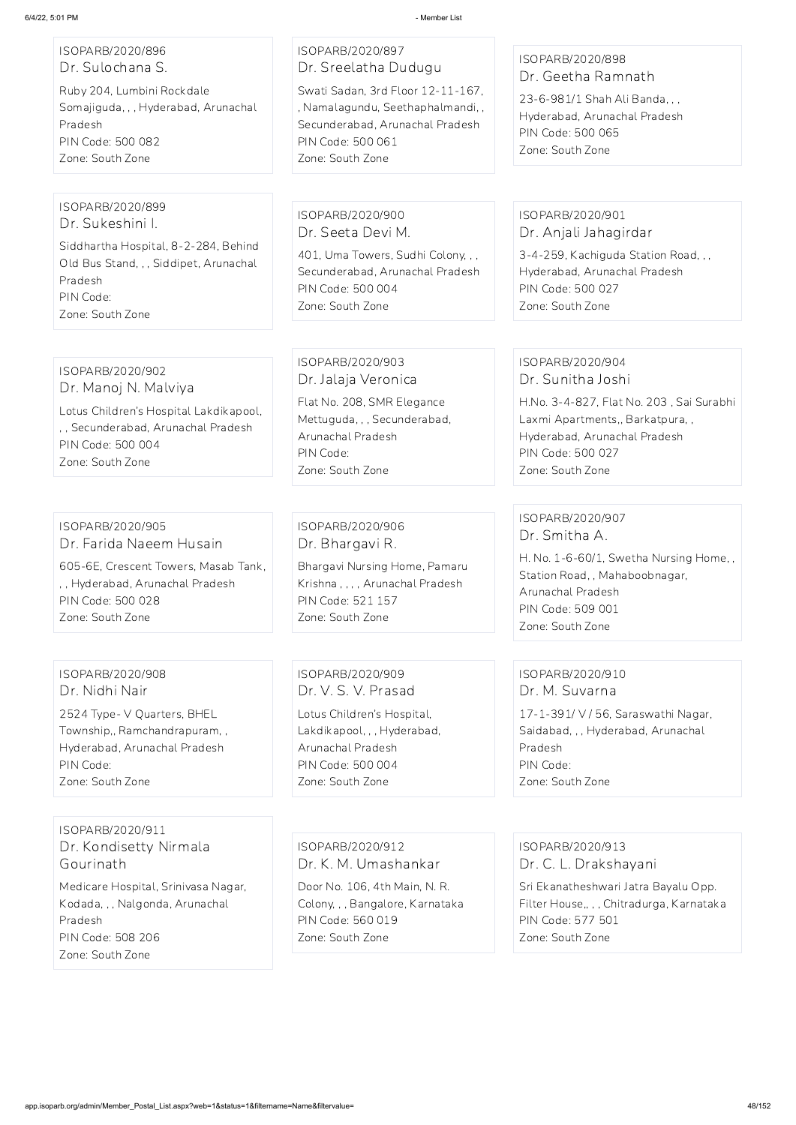ISOPARB/2020/896 Dr. Sulochana S.

Ruby 204, Lumbini Rockdale Somajiguda, , , Hyderabad, Arunachal Pradesh PIN Code: 500 082 Zone: South Zone

### ISOPARB/2020/897 Dr. Sreelatha Dudugu

Swati Sadan, 3rd Floor 12-11-167, , Namalagundu, Seethaphalmandi, , Secunderabad, Arunachal Pradesh PIN Code: 500 061 Zone: South Zone

## ISOPARB/2020/898 Dr. Geetha Ramnath

23-6-981/1 Shah Ali Banda, , , Hyderabad, Arunachal Pradesh PIN Code: 500 065 Zone: South Zone

#### ISOPARB/2020/899 Dr. Sukeshini I.

Siddhartha Hospital, 8-2-284, Behind Old Bus Stand, , , Siddipet, Arunachal Pradesh PIN Code: Zone: South Zone

ISOPARB/2020/900 Dr. Seeta Devi M.

401, Uma Towers, Sudhi Colony, , , Secunderabad, Arunachal Pradesh PIN Code: 500 004 Zone: South Zone

## ISOPARB/2020/901 Dr. Anjali Jahagirdar

3-4-259, Kachiguda Station Road, , , Hyderabad, Arunachal Pradesh PIN Code: 500 027 Zone: South Zone

## ISOPARB/2020/902 Dr. Manoj N. Malviya

Lotus Children's Hospital Lakdikapool, , , Secunderabad, Arunachal Pradesh PIN Code: 500 004 Zone: South Zone

#### ISOPARB/2020/903 Dr. Jalaja Veronica

Flat No. 208, SMR Elegance Mettuguda, , , Secunderabad, Arunachal Pradesh PIN Code: Zone: South Zone

## ISOPARB/2020/904 Dr. Sunitha Joshi

H.No. 3-4-827, Flat No. 203 , Sai Surabhi Laxmi Apartments,, Barkatpura, , Hyderabad, Arunachal Pradesh PIN Code: 500 027 Zone: South Zone

## ISOPARB/2020/905 Dr. Farida Naeem Husain

605-6E, Crescent Towers, Masab Tank, , , Hyderabad, Arunachal Pradesh PIN Code: 500 028 Zone: South Zone

## ISOPARB/2020/906 Dr. Bhargavi R.

Bhargavi Nursing Home, Pamaru Krishna , , , , Arunachal Pradesh PIN Code: 521 157 Zone: South Zone

## ISOPARB/2020/907 Dr. Smitha A.

H. No. 1-6-60/1, Swetha Nursing Home, , Station Road, , Mahaboobnagar, Arunachal Pradesh PIN Code: 509 001 Zone: South Zone

## ISOPARB/2020/908 Dr. Nidhi Nair

2524 Type- V Quarters, BHEL Township,, Ramchandrapuram, , Hyderabad, Arunachal Pradesh PIN Code: Zone: South Zone

ISOPARB/2020/909 Dr. V. S. V. Prasad

Lotus Children's Hospital, Lakdikapool, , , Hyderabad, Arunachal Pradesh PIN Code: 500 004 Zone: South Zone

## ISOPARB/2020/910 Dr. M. Suvarna

17-1-391/ V / 56, Saraswathi Nagar, Saidabad, , , Hyderabad, Arunachal Pradesh PIN Code: Zone: South Zone

ISOPARB/2020/911 Dr. Kondisetty Nirmala Gourinath

Medicare Hospital, Srinivasa Nagar, Kodada, , , Nalgonda, Arunachal Pradesh PIN Code: 508 206 Zone: South Zone

ISOPARB/2020/912

Dr. K. M. Umashankar

Door No. 106, 4th Main, N. R. Colony, , , Bangalore, Karnataka PIN Code: 560 019 Zone: South Zone

ISOPARB/2020/913

Dr. C. L. Drakshayani

Sri Ekanatheshwari Jatra Bayalu Opp. Filter House,, , , Chitradurga, Karnataka PIN Code: 577 501 Zone: South Zone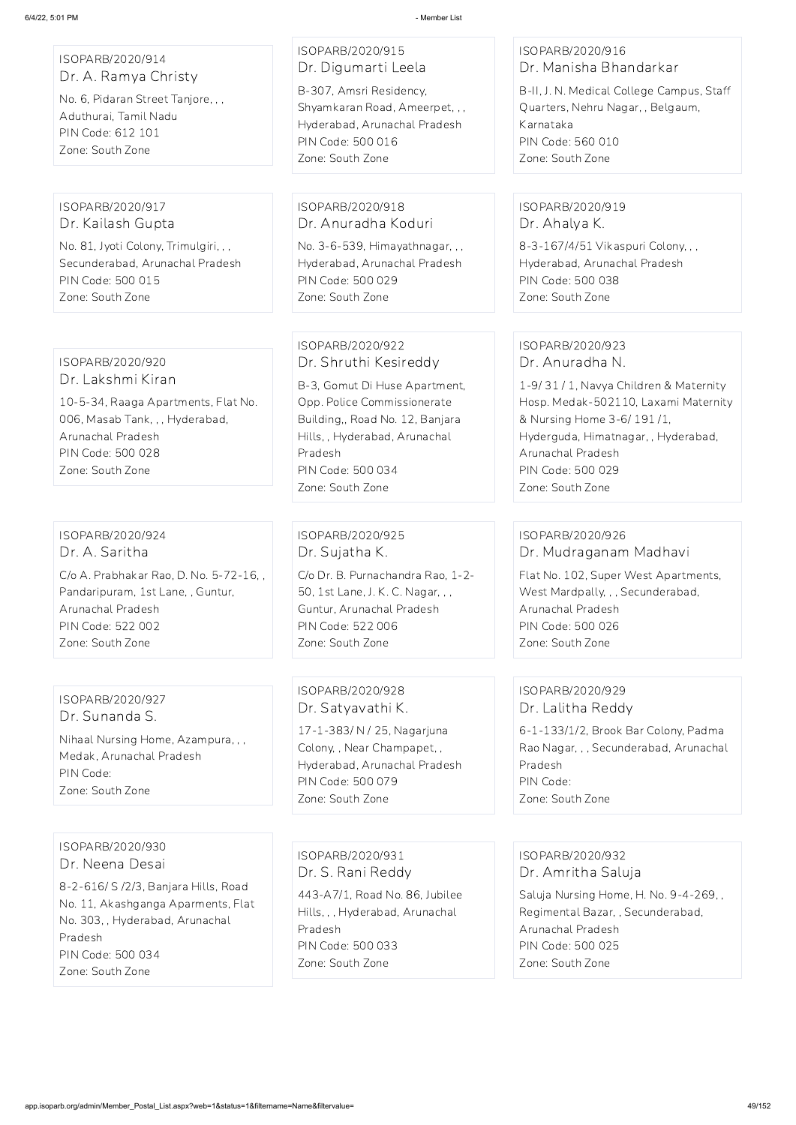| ISOPARB/2020/914<br>Dr. A. Ramya Christy<br>No. 6, Pidaran Street Tanjore, , ,<br>Aduthurai, Tamil Nadu<br>PIN Code: 612 101<br>Zone: South Zone                              | ISOPARB/2020/915<br>Dr. Digumarti Leela<br>B-307, Amsri Residency,<br>Shyamkaran Road, Ameerpet, , ,<br>Hyderabad, Arunachal Pradesh<br>PIN Code: 500 016<br>Zone: South Zone                                                    | ISOPARB/2020/916<br>Dr. Manisha Bhandarkar<br>B-II, J. N. Medical College Campus, Staff<br>Quarters, Nehru Nagar, , Belgaum,<br>Karnataka<br>PIN Code: 560 010<br>Zone: South Zone                                                                    |
|-------------------------------------------------------------------------------------------------------------------------------------------------------------------------------|----------------------------------------------------------------------------------------------------------------------------------------------------------------------------------------------------------------------------------|-------------------------------------------------------------------------------------------------------------------------------------------------------------------------------------------------------------------------------------------------------|
| ISOPARB/2020/917                                                                                                                                                              | ISOPARB/2020/918                                                                                                                                                                                                                 | ISOPARB/2020/919                                                                                                                                                                                                                                      |
| Dr. Kailash Gupta                                                                                                                                                             | Dr. Anuradha Koduri                                                                                                                                                                                                              | Dr. Ahalya K.                                                                                                                                                                                                                                         |
| No. 81, Jyoti Colony, Trimulgiri, , ,                                                                                                                                         | No. 3-6-539, Himayathnagar, , ,                                                                                                                                                                                                  | 8-3-167/4/51 Vikaspuri Colony, , ,                                                                                                                                                                                                                    |
| Secunderabad, Arunachal Pradesh                                                                                                                                               | Hyderabad, Arunachal Pradesh                                                                                                                                                                                                     | Hyderabad, Arunachal Pradesh                                                                                                                                                                                                                          |
| PIN Code: 500 015                                                                                                                                                             | PIN Code: 500 029                                                                                                                                                                                                                | PIN Code: 500 038                                                                                                                                                                                                                                     |
| Zone: South Zone                                                                                                                                                              | Zone: South Zone                                                                                                                                                                                                                 | Zone: South Zone                                                                                                                                                                                                                                      |
| ISOPARB/2020/920<br>Dr. Lakshmi Kiran<br>10-5-34, Raaga Apartments, Flat No.<br>006, Masab Tank, , , Hyderabad,<br>Arunachal Pradesh<br>PIN Code: 500 028<br>Zone: South Zone | ISOPARB/2020/922<br>Dr. Shruthi Kesireddy<br>B-3, Gomut Di Huse Apartment,<br>Opp. Police Commissionerate<br>Building,, Road No. 12, Banjara<br>Hills,, Hyderabad, Arunachal<br>Pradesh<br>PIN Code: 500 034<br>Zone: South Zone | ISOPARB/2020/923<br>Dr. Anuradha N.<br>1-9/31/1, Navya Children & Maternity<br>Hosp. Medak-502110, Laxami Maternity<br>& Nursing Home 3-6/191/1,<br>Hyderguda, Himatnagar, , Hyderabad,<br>Arunachal Pradesh<br>PIN Code: 500 029<br>Zone: South Zone |
| ISOPARB/2020/924                                                                                                                                                              | ISOPARB/2020/925                                                                                                                                                                                                                 | ISOPARB/2020/926                                                                                                                                                                                                                                      |
| Dr. A. Saritha                                                                                                                                                                | Dr. Sujatha K.                                                                                                                                                                                                                   | Dr. Mudraganam Madhavi                                                                                                                                                                                                                                |
| C/o A. Prabhakar Rao, D. No. 5-72-16,,                                                                                                                                        | C/o Dr. B. Purnachandra Rao, 1-2-                                                                                                                                                                                                | Flat No. 102, Super West Apartments,                                                                                                                                                                                                                  |
| Pandaripuram, 1st Lane, , Guntur,                                                                                                                                             | 50, 1st Lane, J. K. C. Nagar, , ,                                                                                                                                                                                                | West Mardpally, , , Secunderabad,                                                                                                                                                                                                                     |
| Arunachal Pradesh                                                                                                                                                             | Guntur, Arunachal Pradesh                                                                                                                                                                                                        | Arunachal Pradesh                                                                                                                                                                                                                                     |
| PIN Code: 522 002                                                                                                                                                             | PIN Code: 522 006                                                                                                                                                                                                                | PIN Code: 500 026                                                                                                                                                                                                                                     |
| Zone: South Zone                                                                                                                                                              | Zone: South Zone                                                                                                                                                                                                                 | Zone: South Zone                                                                                                                                                                                                                                      |
| ISOPARB/2020/927                                                                                                                                                              | ISOPARB/2020/928                                                                                                                                                                                                                 | ISOPARB/2020/929                                                                                                                                                                                                                                      |
| Dr. Sunanda S.                                                                                                                                                                | Dr. Satyavathi K.                                                                                                                                                                                                                | Dr. Lalitha Reddy                                                                                                                                                                                                                                     |
| Nihaal Nursing Home, Azampura, , ,                                                                                                                                            | 17-1-383/ N / 25, Nagarjuna                                                                                                                                                                                                      | 6-1-133/1/2, Brook Bar Colony, Padma                                                                                                                                                                                                                  |
| Medak, Arunachal Pradesh                                                                                                                                                      | Colony, , Near Champapet, ,                                                                                                                                                                                                      | Rao Nagar, , , Secunderabad, Arunachal                                                                                                                                                                                                                |
| PIN Code:                                                                                                                                                                     | Hyderabad, Arunachal Pradesh                                                                                                                                                                                                     | Pradesh                                                                                                                                                                                                                                               |
| Zone: South Zone                                                                                                                                                              | PIN Code: 500 079                                                                                                                                                                                                                | PIN Code:                                                                                                                                                                                                                                             |

Zone: South Zone

Zone: South Zone

ISOPARB/2020/930

Dr. Neena Desai

8-2-616/ S /2/3, Banjara Hills, Road No. 11, Akashganga Aparments, Flat No. 303, , Hyderabad, Arunachal Pradesh PIN Code: 500 034 Zone: South Zone

ISOPARB/2020/931 Dr. S. Rani Reddy

443-A7/1, Road No. 86, Jubilee Hills, , , Hyderabad, Arunachal Pradesh PIN Code: 500 033 Zone: South Zone

ISOPARB/2020/932 Dr. Amritha Saluja

Saluja Nursing Home, H. No. 9-4-269, , Regimental Bazar, , Secunderabad, Arunachal Pradesh PIN Code: 500 025 Zone: South Zone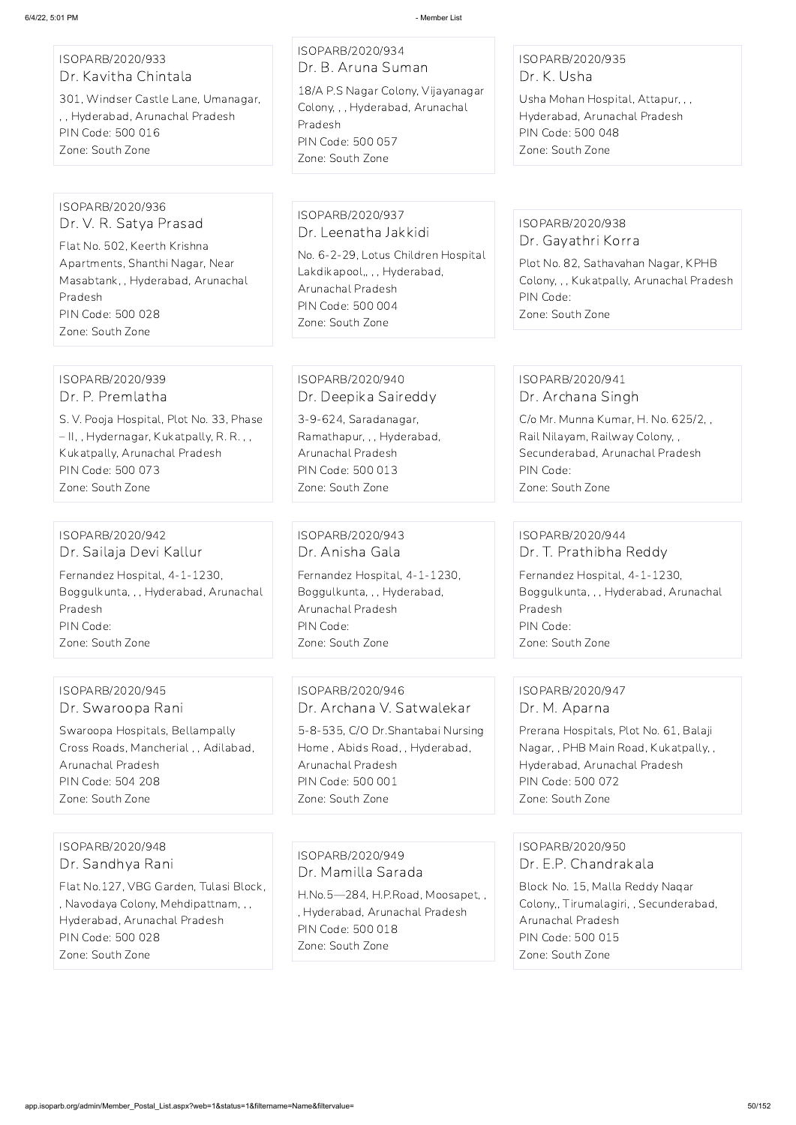| ISOPARB/2020/933     |  |
|----------------------|--|
| Dr. Kavitha Chintala |  |

301, Windser Castle Lane, Umanagar, , , Hyderabad, Arunachal Pradesh PIN Code: 500 016 Zone: South Zone

## ISOPARB/2020/934 Dr. B. Aruna Suman 18/A P.S Nagar Colony, Vijayanagar Colony, , , Hyderabad, Arunachal Pradesh PIN Code: 500 057 Zone: South Zone

## ISOPARB/2020/935 Dr. K. Usha

Usha Mohan Hospital, Attapur, , , Hyderabad, Arunachal Pradesh PIN Code: 500 048 Zone: South Zone

#### ISOPARB/2020/936 Dr. V. R. Satya Prasad

Flat No. 502, Keerth Krishna Apartments, Shanthi Nagar, Near Masabtank, , Hyderabad, Arunachal Pradesh PIN Code: 500 028 Zone: South Zone

ISOPARB/2020/937 Dr. Leenatha Jakkidi No. 6-2-29, Lotus Children Hospital Lakdikapool,, , , Hyderabad, Arunachal Pradesh PIN Code: 500 004 Zone: South Zone

## ISOPARB/2020/938 Dr. Gayathri Korra

Plot No. 82, Sathavahan Nagar, KPHB Colony, , , Kukatpally, Arunachal Pradesh PIN Code: Zone: South Zone

#### ISOPARB/2020/939 Dr. P. Premlatha

S. V. Pooja Hospital, Plot No. 33, Phase – II, , Hydernagar, Kukatpally, R. R. , , Kukatpally, Arunachal Pradesh PIN Code: 500 073 Zone: South Zone

## ISOPARB/2020/940 Dr. Deepika Saireddy

3-9-624, Saradanagar, Ramathapur, , , Hyderabad, Arunachal Pradesh PIN Code: 500 013 Zone: South Zone

#### ISOPARB/2020/941 Dr. Archana Singh

C/o Mr. Munna Kumar, H. No. 625/2, , Rail Nilayam, Railway Colony, , Secunderabad, Arunachal Pradesh PIN Code: Zone: South Zone

## ISOPARB/2020/942 Dr. Sailaja Devi Kallur Fernandez Hospital, 4-1-1230, Boggulkunta, , , Hyderabad, Arunachal Pradesh PIN Code: Zone: South Zone

ISOPARB/2020/943 Dr. Anisha Gala Fernandez Hospital, 4-1-1230, Boggulkunta, , , Hyderabad, Arunachal Pradesh PIN Code: Zone: South Zone

ISOPARB/2020/944 Dr. T. Prathibha Reddy

Fernandez Hospital, 4-1-1230, Boggulkunta, , , Hyderabad, Arunachal Pradesh PIN Code: Zone: South Zone

## ISOPARB/2020/945 Dr. Swaroopa Rani

Swaroopa Hospitals, Bellampally Cross Roads, Mancherial , , Adilabad, Arunachal Pradesh PIN Code: 504 208 Zone: South Zone

ISOPARB/2020/946 Dr. Archana V. Satwalekar

5-8-535, C/O Dr.Shantabai Nursing Home , Abids Road, , Hyderabad, Arunachal Pradesh PIN Code: 500 001 Zone: South Zone

## ISOPARB/2020/947 Dr. M. Aparna

Prerana Hospitals, Plot No. 61, Balaji Nagar, , PHB Main Road, Kukatpally, , Hyderabad, Arunachal Pradesh PIN Code: 500 072 Zone: South Zone

ISOPARB/2020/948

Dr. Sandhya Rani

Flat No.127, VBG Garden, Tulasi Block, , Navodaya Colony, Mehdipattnam, , , Hyderabad, Arunachal Pradesh PIN Code: 500 028 Zone: South Zone

ISOPARB/2020/949 Dr. Mamilla Sarada

H.No.5—284, H.P.Road, Moosapet, , , Hyderabad, Arunachal Pradesh PIN Code: 500 018 Zone: South Zone

#### ISOPARB/2020/950

Dr. E.P. Chandrakala

Block No. 15, Malla Reddy Naqar Colony,, Tirumalagiri, , Secunderabad, Arunachal Pradesh PIN Code: 500 015 Zone: South Zone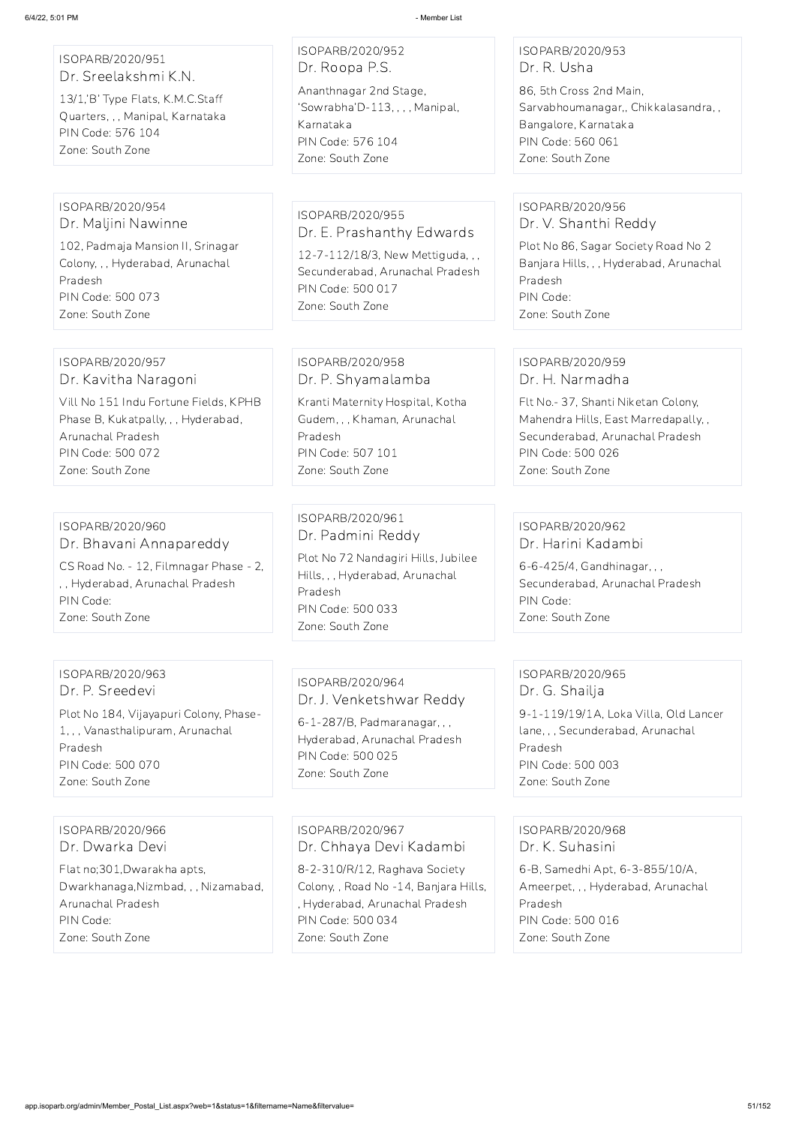| ISOPARB/2020/951<br>Dr. Sreelakshmi K.N.<br>13/1,'B' Type Flats, K.M.C.Staff<br>Quarters, , , Manipal, Karnataka<br>PIN Code: 576 104<br>Zone: South Zone                              | ISOPARB/2020/952<br>Dr. Roopa P.S.<br>Ananthnagar 2nd Stage,<br>'Sowrabha'D-113, , , , Manipal,<br>Karnataka<br>PIN Code: 576 104<br>Zone: South Zone             | ISOPARB/2020/953<br>Dr. R. Usha<br>86, 5th Cross 2nd Main,<br>Sarvabhoumanagar,, Chikkalasandra,,<br>Bangalore, Karnataka<br>PIN Code: 560 061<br>Zone: South Zone                             |
|----------------------------------------------------------------------------------------------------------------------------------------------------------------------------------------|-------------------------------------------------------------------------------------------------------------------------------------------------------------------|------------------------------------------------------------------------------------------------------------------------------------------------------------------------------------------------|
|                                                                                                                                                                                        |                                                                                                                                                                   |                                                                                                                                                                                                |
| ISOPARB/2020/954<br>Dr. Maljini Nawinne<br>102, Padmaja Mansion II, Srinagar<br>Colony, , , Hyderabad, Arunachal<br>Pradesh<br>PIN Code: 500 073<br>Zone: South Zone                   | ISOPARB/2020/955<br>Dr. E. Prashanthy Edwards<br>12-7-112/18/3, New Mettiguda, , ,<br>Secunderabad, Arunachal Pradesh<br>PIN Code: 500 017<br>Zone: South Zone    | ISOPARB/2020/956<br>Dr. V. Shanthi Reddy<br>Plot No 86, Sagar Society Road No 2<br>Banjara Hills, , , Hyderabad, Arunachal<br>Pradesh<br>PIN Code:<br>Zone: South Zone                         |
|                                                                                                                                                                                        |                                                                                                                                                                   |                                                                                                                                                                                                |
| ISOPARB/2020/957<br>Dr. Kavitha Naragoni<br>Vill No 151 Indu Fortune Fields, KPHB<br>Phase B, Kukatpally, , , Hyderabad,<br>Arunachal Pradesh<br>PIN Code: 500 072<br>Zone: South Zone | ISOPARB/2020/958<br>Dr. P. Shyamalamba<br>Kranti Maternity Hospital, Kotha<br>Gudem, , , Khaman, Arunachal<br>Pradesh<br>PIN Code: 507 101<br>Zone: South Zone    | ISOPARB/2020/959<br>Dr. H. Narmadha<br>Flt No.- 37, Shanti Niketan Colony,<br>Mahendra Hills, East Marredapally, ,<br>Secunderabad, Arunachal Pradesh<br>PIN Code: 500 026<br>Zone: South Zone |
|                                                                                                                                                                                        |                                                                                                                                                                   |                                                                                                                                                                                                |
| ISOPARB/2020/960<br>Dr. Bhavani Annapareddy<br>CS Road No. - 12, Filmnagar Phase - 2,<br>,, Hyderabad, Arunachal Pradesh<br>PIN Code:<br>Zone: South Zone                              | ISOPARB/2020/961<br>Dr. Padmini Reddy<br>Plot No 72 Nandagiri Hills, Jubilee<br>Hills,,, Hyderabad, Arunachal<br>Pradesh<br>PIN Code: 500 033<br>Zone: South Zone | ISOPARB/2020/962<br>Dr. Harini Kadambi<br>6-6-425/4, Gandhinagar, , ,<br>Secunderabad, Arunachal Pradesh<br>PIN Code:<br>Zone: South Zone                                                      |
|                                                                                                                                                                                        |                                                                                                                                                                   |                                                                                                                                                                                                |
| ISOPARB/2020/963<br>Dr. P. Sreedevi<br>Plot No 184, Vijayapuri Colony, Phase-<br>1, , , Vanasthalipuram, Arunachal                                                                     | ISOPARB/2020/964<br>Dr. J. Venketshwar Reddy<br>6-1-287/B, Padmaranagar, , ,                                                                                      | ISOPARB/2020/965<br>Dr. G. Shailja<br>9-1-119/19/1A, Loka Villa, Old Lancer<br>lane, , , Secunderabad, Arunachal                                                                               |

1, , , Vanasthalipuram, Arunachal Pradesh PIN Code: 500 070 Zone: South Zone

Hyderabad, Arunachal Pradesh

PIN Code: 500 025 Zone: South Zone

Pradesh

PIN Code: 500 003 Zone: South Zone

ISOPARB/2020/966 Dr. Dwarka Devi

Flat no;301,Dwarakha apts, Dwarkhanaga,Nizmbad, , , Nizamabad, Arunachal Pradesh PIN Code: Zone: South Zone

ISOPARB/2020/967 Dr. Chhaya Devi Kadambi

8-2-310/R/12, Raghava Society Colony, , Road No -14, Banjara Hills, , Hyderabad, Arunachal Pradesh PIN Code: 500 034 Zone: South Zone

ISOPARB/2020/968 Dr. K. Suhasini

6-B, Samedhi Apt, 6-3-855/10/A, Ameerpet, , , Hyderabad, Arunachal Pradesh PIN Code: 500 016 Zone: South Zone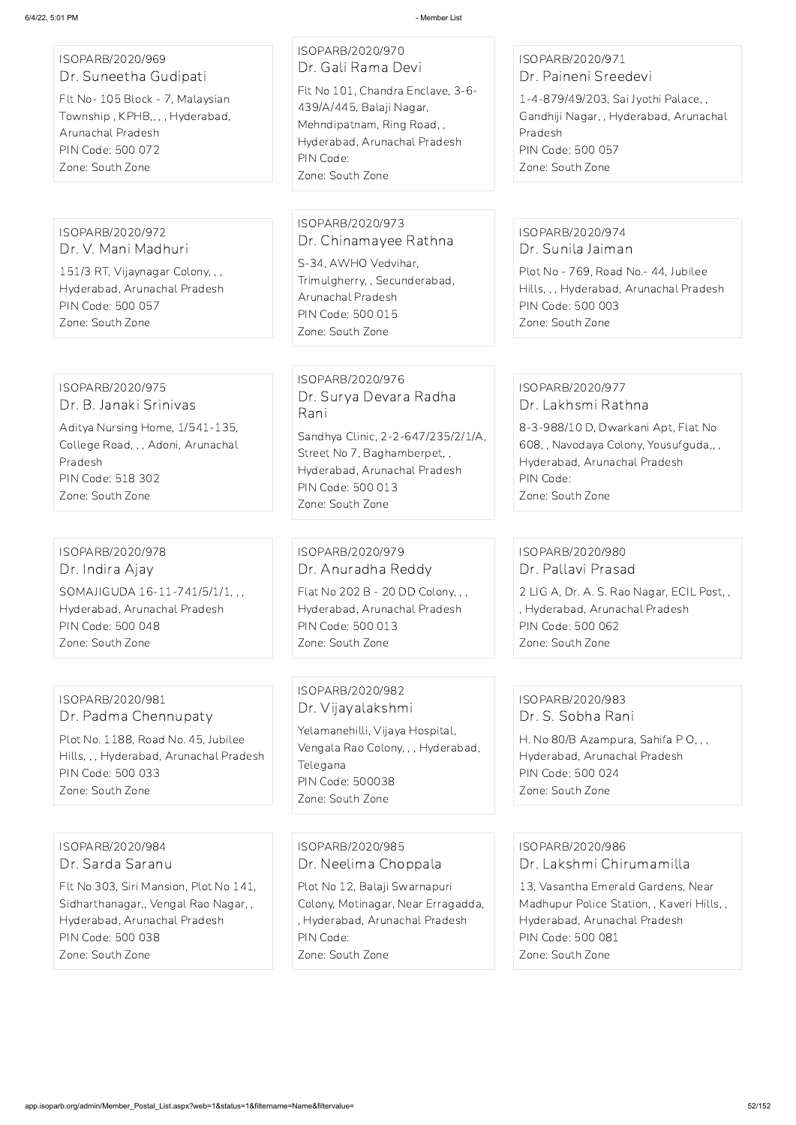#### ISOPARB/2020/969 Dr. Suneetha Gudipati

Flt No- 105 Block - 7, Malaysian Township , KPHB,, , , Hyderabad, Arunachal Pradesh PIN Code: 500 072 Zone: South Zone

ISOPARB/2020/970 Dr. Gali Rama Devi Flt No 101, Chandra Enclave, 3-6- 439/A/445, Balaji Nagar,

Mehndipatnam, Ring Road, , Hyderabad, Arunachal Pradesh PIN Code: Zone: South Zone

## ISOPARB/2020/971 Dr. Paineni Sreedevi

1-4-879/49/203, Sai Jyothi Palace, , Gandhiji Nagar, , Hyderabad, Arunachal Pradesh PIN Code: 500 057 Zone: South Zone

ISOPARB/2020/972 Dr. V. Mani Madhuri

151/3 RT, Vijaynagar Colony, , , Hyderabad, Arunachal Pradesh PIN Code: 500 057 Zone: South Zone

## ISOPARB/2020/973 Dr. Chinamayee Rathna

S-34, AWHO Vedvihar, Trimulgherry, , Secunderabad, Arunachal Pradesh PIN Code: 500 015 Zone: South Zone

#### ISOPARB/2020/974 Dr. Sunila Jaiman

Plot No - 769, Road No.- 44, Jubilee Hills, , , Hyderabad, Arunachal Pradesh PIN Code: 500 003 Zone: South Zone

#### ISOPARB/2020/975 Dr. B. Janaki Srinivas

Aditya Nursing Home, 1/541-135, College Road, , , Adoni, Arunachal Pradesh PIN Code: 518 302 Zone: South Zone

ISOPARB/2020/976 Dr. Surya Devara Radha Rani

Sandhya Clinic, 2-2-647/235/2/1/A, Street No 7, Baghamberpet, , Hyderabad, Arunachal Pradesh PIN Code: 500 013 Zone: South Zone

#### ISOPARB/2020/977 Dr. Lakhsmi Rathna

8-3-988/10 D, Dwarkani Apt, Flat No 608, , Navodaya Colony, Yousufguda,, , Hyderabad, Arunachal Pradesh PIN Code: Zone: South Zone

## ISOPARB/2020/978 Dr. Indira Ajay SOMAJIGUDA 16-11-741/5/1/1, , , Hyderabad, Arunachal Pradesh PIN Code: 500 048 Zone: South Zone

ISOPARB/2020/979 Dr. Anuradha Reddy

Flat No 202 B - 20 DD Colony, , , Hyderabad, Arunachal Pradesh PIN Code: 500 013 Zone: South Zone

## ISOPARB/2020/980 Dr. Pallavi Prasad

2 LIG A, Dr. A. S. Rao Nagar, ECIL Post, , , Hyderabad, Arunachal Pradesh PIN Code: 500 062 Zone: South Zone

## ISOPARB/2020/981 Dr. Padma Chennupaty

Plot No. 1188, Road No. 45, Jubilee Hills, , , Hyderabad, Arunachal Pradesh PIN Code: 500 033 Zone: South Zone

ISOPARB/2020/982 Dr. Vijayalakshmi

Yelamanehilli, Vijaya Hospital, Vengala Rao Colony, , , Hyderabad, Telegana PIN Code: 500038 Zone: South Zone

## ISOPARB/2020/983 Dr. S. Sobha Rani

H. No 80/B Azampura, Sahifa P O, , , Hyderabad, Arunachal Pradesh PIN Code: 500 024 Zone: South Zone

ISOPARB/2020/984 Dr. Sarda Saranu

Flt No 303, Siri Mansion, Plot No 141, Sidharthanagar,, Vengal Rao Nagar, , Hyderabad, Arunachal Pradesh PIN Code: 500 038 Zone: South Zone

ISOPARB/2020/985 Dr. Neelima Choppala

Plot No 12, Balaji Swarnapuri Colony, Motinagar, Near Erragadda, , Hyderabad, Arunachal Pradesh PIN Code: Zone: South Zone

ISOPARB/2020/986

Dr. Lakshmi Chirumamilla

13, Vasantha Emerald Gardens, Near Madhupur Police Station, , Kaveri Hills, , Hyderabad, Arunachal Pradesh PIN Code: 500 081 Zone: South Zone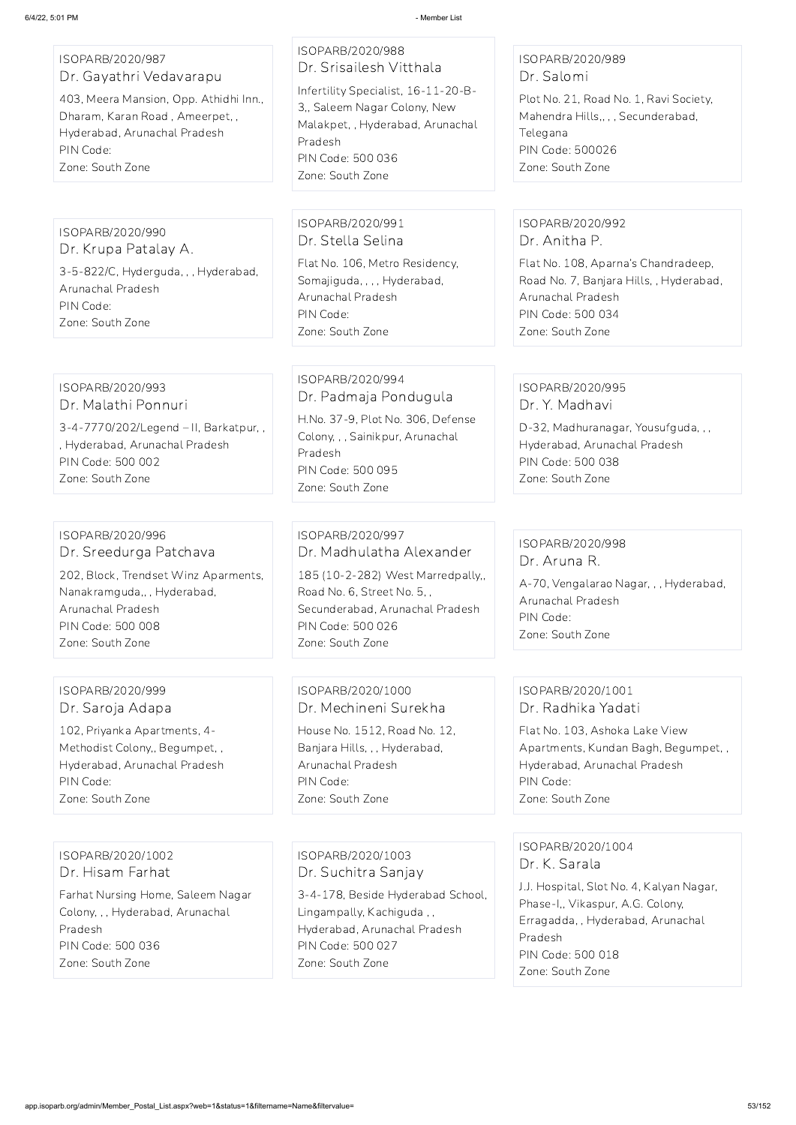ISOPARB/2020/987 Dr. Gayathri Vedavarapu

403, Meera Mansion, Opp. Athidhi Inn., Dharam, Karan Road , Ameerpet, , Hyderabad, Arunachal Pradesh PIN Code: Zone: South Zone

## ISOPARB/2020/988 Dr. Srisailesh Vitthala Infertility Specialist, 16-11-20-B-3,, Saleem Nagar Colony, New Malakpet, , Hyderabad, Arunachal Pradesh PIN Code: 500 036 Zone: South Zone

## ISOPARB/2020/989 Dr. Salomi

Plot No. 21, Road No. 1, Ravi Society, Mahendra Hills,, , , Secunderabad, Telegana PIN Code: 500026 Zone: South Zone

## ISOPARB/2020/990

Dr. Krupa Patalay A. 3-5-822/C, Hyderguda, , , Hyderabad, Arunachal Pradesh PIN Code: Zone: South Zone

#### ISOPARB/2020/991 Dr. Stella Selina

Flat No. 106, Metro Residency, Somajiguda, , , , Hyderabad, Arunachal Pradesh PIN Code: Zone: South Zone

## ISOPARB/2020/992 Dr. Anitha P.

Flat No. 108, Aparna's Chandradeep, Road No. 7, Banjara Hills, , Hyderabad, Arunachal Pradesh PIN Code: 500 034 Zone: South Zone

#### ISOPARB/2020/993 Dr. Malathi Ponnuri

3-4-7770/202/Legend – II, Barkatpur, , , Hyderabad, Arunachal Pradesh PIN Code: 500 002 Zone: South Zone

## ISOPARB/2020/994 Dr. Padmaja Pondugula

H.No. 37-9, Plot No. 306, Defense Colony, , , Sainikpur, Arunachal Pradesh PIN Code: 500 095 Zone: South Zone

## ISOPARB/2020/995 Dr. Y. Madhavi

D-32, Madhuranagar, Yousufguda, , , Hyderabad, Arunachal Pradesh PIN Code: 500 038 Zone: South Zone

#### ISOPARB/2020/996 Dr. Sreedurga Patchava

202, Block, Trendset Winz Aparments, Nanakramguda,, , Hyderabad, Arunachal Pradesh PIN Code: 500 008 Zone: South Zone

## ISOPARB/2020/997 Dr. Madhulatha Alexander 185 (10-2-282) West Marredpally,, Road No. 6, Street No. 5, , Secunderabad, Arunachal Pradesh PIN Code: 500 026 Zone: South Zone

## ISOPARB/2020/998 Dr. Aruna R.

A-70, Vengalarao Nagar, , , Hyderabad, Arunachal Pradesh PIN Code: Zone: South Zone

## ISOPARB/2020/999 Dr. Saroja Adapa

102, Priyanka Apartments, 4- Methodist Colony,, Begumpet, , Hyderabad, Arunachal Pradesh PIN Code: Zone: South Zone

ISOPARB/2020/1000 Dr. Mechineni Surekha

House No. 1512, Road No. 12, Banjara Hills, , , Hyderabad, Arunachal Pradesh PIN Code: Zone: South Zone

## ISOPARB/2020/1001 Dr. Radhika Yadati

Flat No. 103, Ashoka Lake View Apartments, Kundan Bagh, Begumpet, , Hyderabad, Arunachal Pradesh PIN Code: Zone: South Zone

ISOPARB/2020/1002 Dr. Hisam Farhat

Farhat Nursing Home, Saleem Nagar Colony, , , Hyderabad, Arunachal Pradesh PIN Code: 500 036 Zone: South Zone

ISOPARB/2020/1003 Dr. Suchitra Sanjay

3-4-178, Beside Hyderabad School, Lingampally, Kachiguda , , Hyderabad, Arunachal Pradesh PIN Code: 500 027 Zone: South Zone

#### ISOPARB/2020/1004

Dr. K. Sarala

J.J. Hospital, Slot No. 4, Kalyan Nagar, Phase-I,, Vikaspur, A.G. Colony, Erragadda, , Hyderabad, Arunachal Pradesh PIN Code: 500 018 Zone: South Zone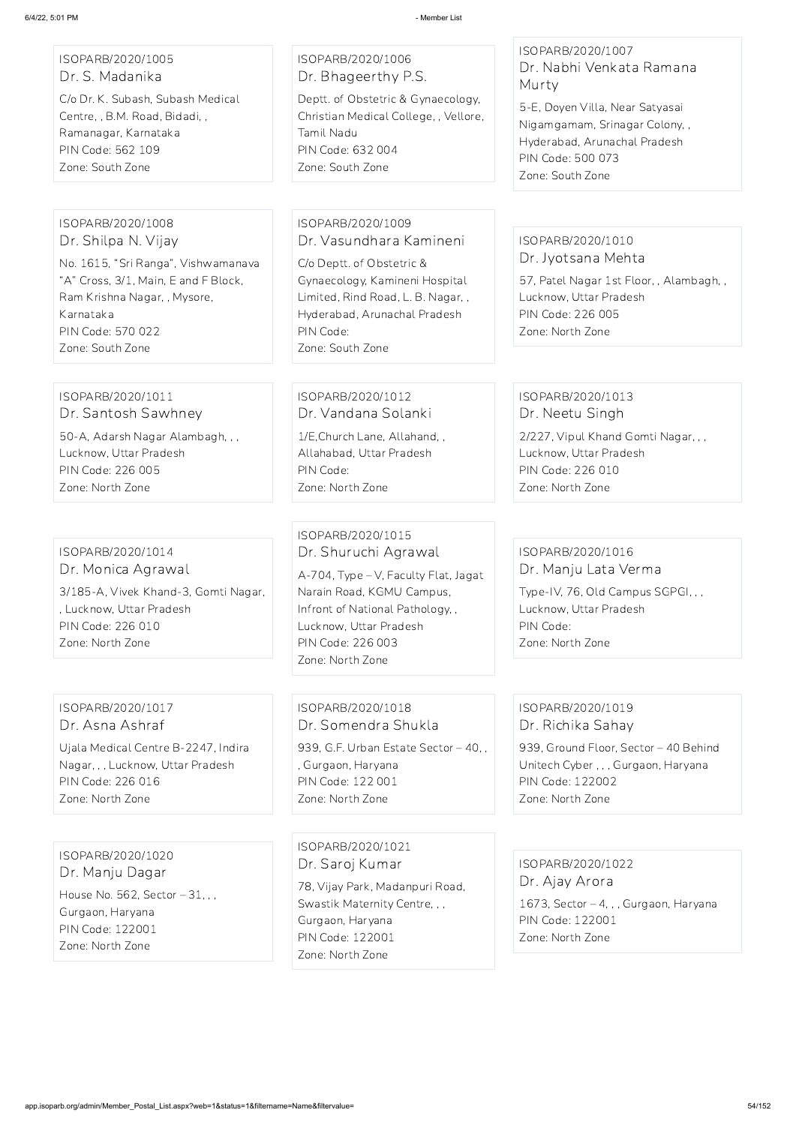#### ISOPARB/2020/1005 Dr. S. Madanika

C/o Dr. K. Subash, Subash Medical Centre, , B.M. Road, Bidadi, , Ramanagar, Karnataka PIN Code: 562 109 Zone: South Zone

#### ISOPARB/2020/1006 Dr. Bhageerthy P.S.

Deptt. of Obstetric & Gynaecology, Christian Medical College, , Vellore, Tamil Nadu PIN Code: 632 004 Zone: South Zone

#### ISOPARB/2020/1007 Dr. Nabhi Venkata Ramana Murty

5-E, Doyen Villa, Near Satyasai Nigamgamam, Srinagar Colony, , Hyderabad, Arunachal Pradesh PIN Code: 500 073 Zone: South Zone

#### ISOPARB/2020/1008 Dr. Shilpa N. Vijay

No. 1615, "Sri Ranga", Vishwamanava "A" Cross, 3/1, Main, E and F Block, Ram Krishna Nagar, , Mysore, Karnataka PIN Code: 570 022 Zone: South Zone

## ISOPARB/2020/1009 Dr. Vasundhara Kamineni

C/o Deptt. of Obstetric & Gynaecology, Kamineni Hospital Limited, Rind Road, L. B. Nagar, , Hyderabad, Arunachal Pradesh PIN Code: Zone: South Zone

## ISOPARB/2020/1010 Dr. Jyotsana Mehta

57, Patel Nagar 1st Floor, , Alambagh, , Lucknow, Uttar Pradesh PIN Code: 226 005 Zone: North Zone

939, G.F. Urban Estate Sector - 40,, , Gurgaon, Haryana PIN Code: 122 001 Zone: North Zone

#### ISOPARB/2020/1011 Dr. Santosh Sawhney

50-A, Adarsh Nagar Alambagh, , , Lucknow, Uttar Pradesh PIN Code: 226 005 Zone: North Zone

### ISOPARB/2020/1012 Dr. Vandana Solanki

1/E,Church Lane, Allahand, , Allahabad, Uttar Pradesh PIN Code: Zone: North Zone

## ISOPARB/2020/1013 Dr. Neetu Singh

2/227, Vipul Khand Gomti Nagar, , , Lucknow, Uttar Pradesh PIN Code: 226 010 Zone: North Zone

## ISOPARB/2020/1014 Dr. Monica Agrawal

3/185-A, Vivek Khand-3, Gomti Nagar, , Lucknow, Uttar Pradesh PIN Code: 226 010 Zone: North Zone

## ISOPARB/2020/1015 Dr. Shuruchi Agrawal

A-704, Type – V, Faculty Flat, Jagat Narain Road, KGMU Campus, Infront of National Pathology, , Lucknow, Uttar Pradesh PIN Code: 226 003 Zone: North Zone

## ISOPARB/2020/1016 Dr. Manju Lata Verma

Type-IV, 76, Old Campus SGPGI, , , Lucknow, Uttar Pradesh PIN Code: Zone: North Zone

## ISOPARB/2020/1017 Dr. Asna Ashraf

Ujala Medical Centre B-2247, Indira Nagar, , , Lucknow, Uttar Pradesh PIN Code: 226 016 Zone: North Zone

## ISOPARB/2020/1018 Dr. Somendra Shukla

## ISOPARB/2020/1019 Dr. Richika Sahay

939, Ground Floor, Sector – 40 Behind Unitech Cyber , , , Gurgaon, Haryana PIN Code: 122002 Zone: North Zone

ISOPARB/2020/1020 Dr. Manju Dagar House No. 562, Sector – 31, , , Gurgaon, Haryana PIN Code: 122001 Zone: North Zone

#### ISOPARB/2020/1021

Dr. Saroj Kumar

78, Vijay Park, Madanpuri Road, Swastik Maternity Centre, , , Gurgaon, Haryana PIN Code: 122001 Zone: North Zone

ISOPARB/2020/1022 Dr. Ajay Arora 1673, Sector – 4, , , Gurgaon, Haryana PIN Code: 122001 Zone: North Zone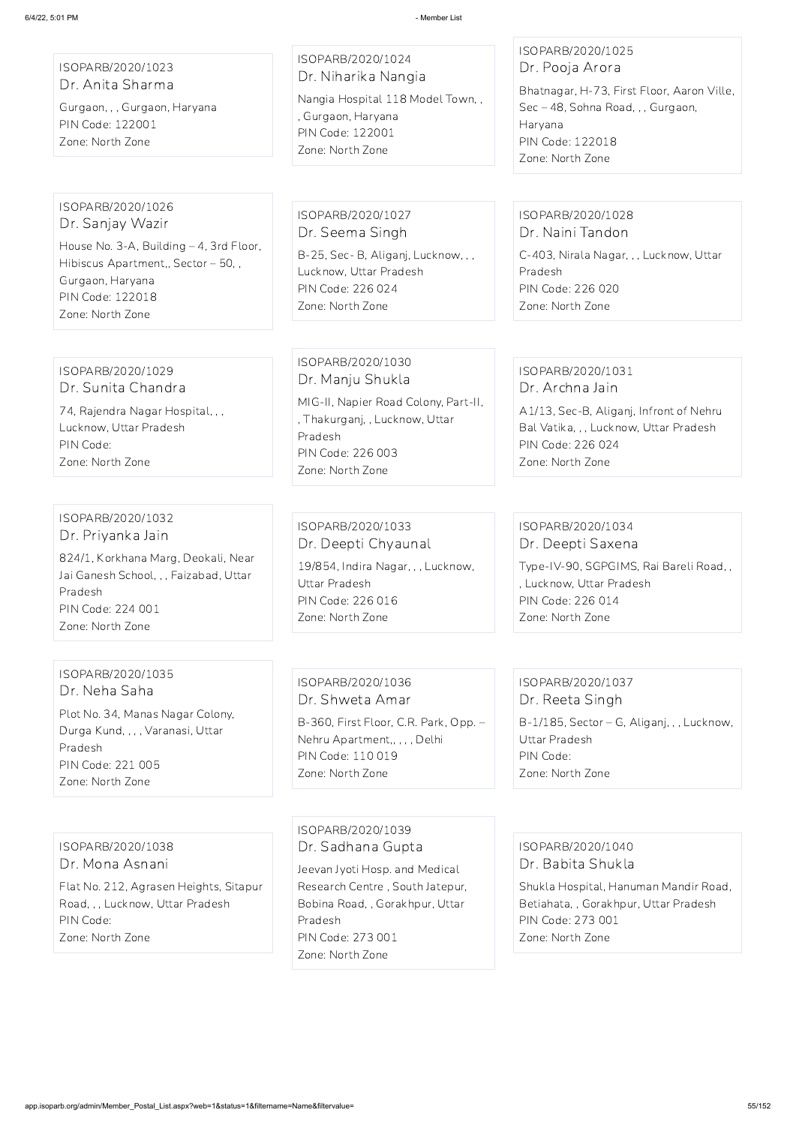ISOPARB/2020/1023 Dr. Anita Sharma

Gurgaon, , , Gurgaon, Haryana PIN Code: 122001 Zone: North Zone

# ISOPARB/2020/1024

Dr. Niharika Nangia Nangia Hospital 118 Model Town, , , Gurgaon, Haryana PIN Code: 122001 Zone: North Zone

## ISOPARB/2020/1025 Dr. Pooja Arora

Bhatnagar, H-73, First Floor, Aaron Ville, Sec – 48, Sohna Road, , , Gurgaon, Haryana PIN Code: 122018 Zone: North Zone

#### ISOPARB/2020/1026 Dr. Sanjay Wazir

House No. 3-A, Building – 4, 3rd Floor, Hibiscus Apartment,, Sector – 50, , Gurgaon, Haryana PIN Code: 122018 Zone: North Zone

ISOPARB/2020/1027 Dr. Seema Singh B-25, Sec- B, Aliganj, Lucknow, , , Lucknow, Uttar Pradesh PIN Code: 226 024 Zone: North Zone

## ISOPARB/2020/1028 Dr. Naini Tandon

C-403, Nirala Nagar, , , Lucknow, Uttar Pradesh PIN Code: 226 020 Zone: North Zone

#### ISOPARB/2020/1029 Dr. Sunita Chandra

74, Rajendra Nagar Hospital, , , Lucknow, Uttar Pradesh PIN Code: Zone: North Zone

ISOPARB/2020/1030 Dr. Manju Shukla MIG-II, Napier Road Colony, Part-II, , Thakurganj, , Lucknow, Uttar Pradesh PIN Code: 226 003 Zone: North Zone

## ISOPARB/2020/1031 Dr. Archna Jain

A1/13, Sec-B, Aliganj, Infront of Nehru Bal Vatika, , , Lucknow, Uttar Pradesh PIN Code: 226 024 Zone: North Zone

#### ISOPARB/2020/1032 Dr. Priyanka Jain

824/1, Korkhana Marg, Deokali, Near Jai Ganesh School, , , Faizabad, Uttar Pradesh PIN Code: 224 001 Zone: North Zone

## ISOPARB/2020/1033 Dr. Deepti Chyaunal

19/854, Indira Nagar, , , Lucknow, Uttar Pradesh PIN Code: 226 016 Zone: North Zone

## ISOPARB/2020/1034 Dr. Deepti Saxena

Type-IV-90, SGPGIMS, Rai Bareli Road, , , Lucknow, Uttar Pradesh PIN Code: 226 014 Zone: North Zone

#### ISOPARB/2020/1035 Dr. Neha Saha

Plot No. 34, Manas Nagar Colony, Durga Kund, , , , Varanasi, Uttar Pradesh PIN Code: 221 005 Zone: North Zone

ISOPARB/2020/1036 Dr. Shweta Amar

B-360, First Floor, C.R. Park, Opp. – Nehru Apartment,, , , , Delhi PIN Code: 110 019 Zone: North Zone

## ISOPARB/2020/1037 Dr. Reeta Singh

B-1/185, Sector – G, Aliganj, , , Lucknow, Uttar Pradesh PIN Code: Zone: North Zone

ISOPARB/2020/1038 Dr. Mona Asnani

Flat No. 212, Agrasen Heights, Sitapur Road, , , Lucknow, Uttar Pradesh PIN Code:

Zone: North Zone

ISOPARB/2020/1039 Dr. Sadhana Gupta

Jeevan Jyoti Hosp. and Medical Research Centre , South Jatepur, Bobina Road, , Gorakhpur, Uttar Pradesh PIN Code: 273 001

Zone: North Zone

ISOPARB/2020/1040

Dr. Babita Shukla

Shukla Hospital, Hanuman Mandir Road, Betiahata, , Gorakhpur, Uttar Pradesh PIN Code: 273 001 Zone: North Zone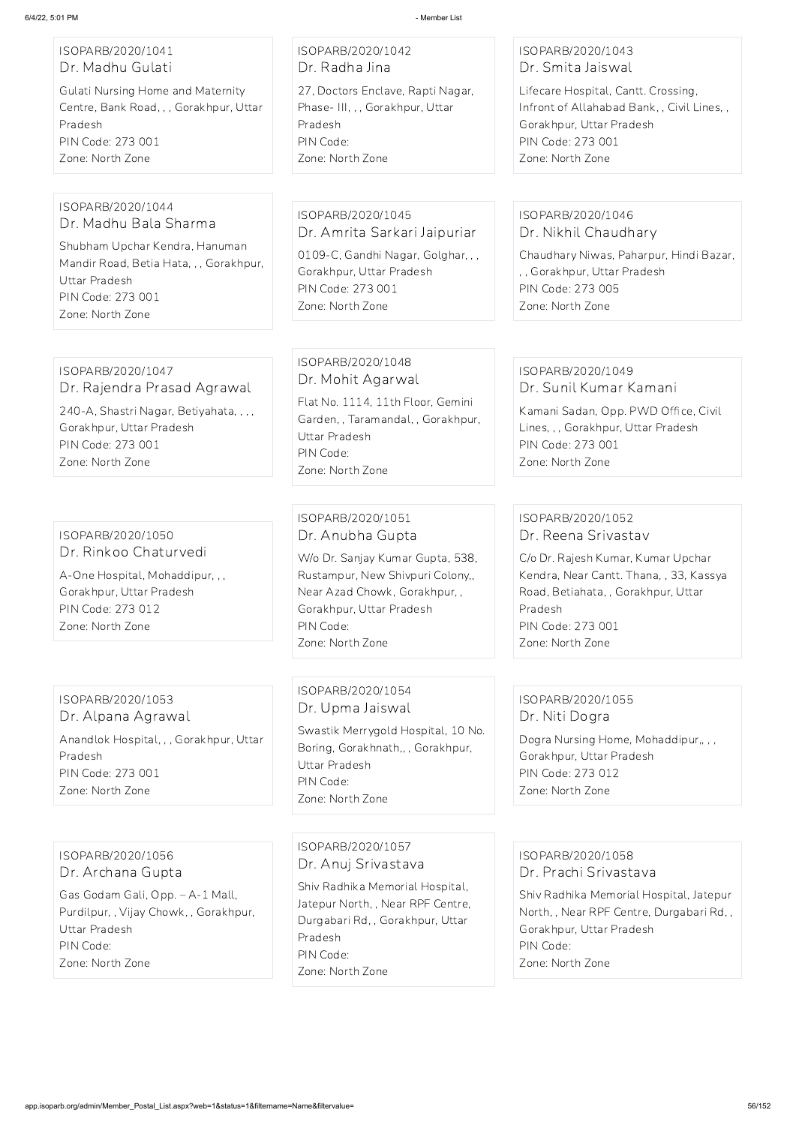## ISOPARB/2020/1041 Dr. Madhu Gulati

Gulati Nursing Home and Maternity Centre, Bank Road, , , Gorakhpur, Uttar Pradesh PIN Code: 273 001 Zone: North Zone

## ISOPARB/2020/1042 Dr. Radha Jina

27, Doctors Enclave, Rapti Nagar, Phase- III, , , Gorakhpur, Uttar Pradesh PIN Code: Zone: North Zone

## ISOPARB/2020/1043 Dr. Smita Jaiswal

Lifecare Hospital, Cantt. Crossing, Infront of Allahabad Bank, , Civil Lines, , Gorakhpur, Uttar Pradesh PIN Code: 273 001 Zone: North Zone

#### ISOPARB/2020/1044 Dr. Madhu Bala Sharma

Shubham Upchar Kendra, Hanuman Mandir Road, Betia Hata, , , Gorakhpur, Uttar Pradesh PIN Code: 273 001 Zone: North Zone

ISOPARB/2020/1045 Dr. Amrita Sarkari Jaipuriar

0109-C, Gandhi Nagar, Golghar, , , Gorakhpur, Uttar Pradesh PIN Code: 273 001 Zone: North Zone

## ISOPARB/2020/1046 Dr. Nikhil Chaudhary

Chaudhary Niwas, Paharpur, Hindi Bazar, , , Gorakhpur, Uttar Pradesh PIN Code: 273 005 Zone: North Zone

## ISOPARB/2020/1047 Dr. Rajendra Prasad Agrawal

240-A, Shastri Nagar, Betiyahata, , , , Gorakhpur, Uttar Pradesh PIN Code: 273 001

Zone: North Zone

Dogra Nursing Home, Mohaddipur,,,, Gorakhpur, Uttar Pradesh PIN Code: 273 012 Zone: North Zone

## ISOPARB/2020/1048 Dr. Mohit Agarwal

Flat No. 1114, 11th Floor, Gemini Garden, , Taramandal, , Gorakhpur, Uttar Pradesh PIN Code: Zone: North Zone

#### ISOPARB/2020/1049 Dr. Sunil Kumar Kamani

Kamani Sadan, Opp. PWD Office, Civil Lines, , , Gorakhpur, Uttar Pradesh PIN Code: 273 001 Zone: North Zone

ISOPARB/2020/1050 Dr. Rinkoo Chaturvedi

A-One Hospital, Mohaddipur, , , Gorakhpur, Uttar Pradesh PIN Code: 273 012 Zone: North Zone

## ISOPARB/2020/1051 Dr. Anubha Gupta

W/o Dr. Sanjay Kumar Gupta, 538, Rustampur, New Shivpuri Colony,, Near Azad Chowk, Gorakhpur, , Gorakhpur, Uttar Pradesh PIN Code: Zone: North Zone

## ISOPARB/2020/1052 Dr. Reena Srivastav

C/o Dr. Rajesh Kumar, Kumar Upchar Kendra, Near Cantt. Thana, , 33, Kassya Road, Betiahata, , Gorakhpur, Uttar Pradesh PIN Code: 273 001 Zone: North Zone

#### ISOPARB/2020/1053 Dr. Alpana Agrawal

Anandlok Hospital, , , Gorakhpur, Uttar Pradesh PIN Code: 273 001 Zone: North Zone

## ISOPARB/2020/1054 Dr. Upma Jaiswal

Swastik Merrygold Hospital, 10 No. Boring, Gorakhnath,, , Gorakhpur, Uttar Pradesh PIN Code: Zone: North Zone

## ISOPARB/2020/1055 Dr. Niti Dogra

ISOPARB/2020/1056 Dr. Archana Gupta Gas Godam Gali, Opp. – A-1 Mall, Purdilpur, , Vijay Chowk, , Gorakhpur,

Uttar Pradesh

PIN Code:

Zone: North Zone

#### ISOPARB/2020/1057

Dr. Anuj Srivastava

Shiv Radhika Memorial Hospital, Jatepur North, , Near RPF Centre, Durgabari Rd, , Gorakhpur, Uttar Pradesh PIN Code: Zone: North Zone

ISOPARB/2020/1058 Dr. Prachi Srivastava

Shiv Radhika Memorial Hospital, Jatepur North, , Near RPF Centre, Durgabari Rd, , Gorakhpur, Uttar Pradesh PIN Code:

Zone: North Zone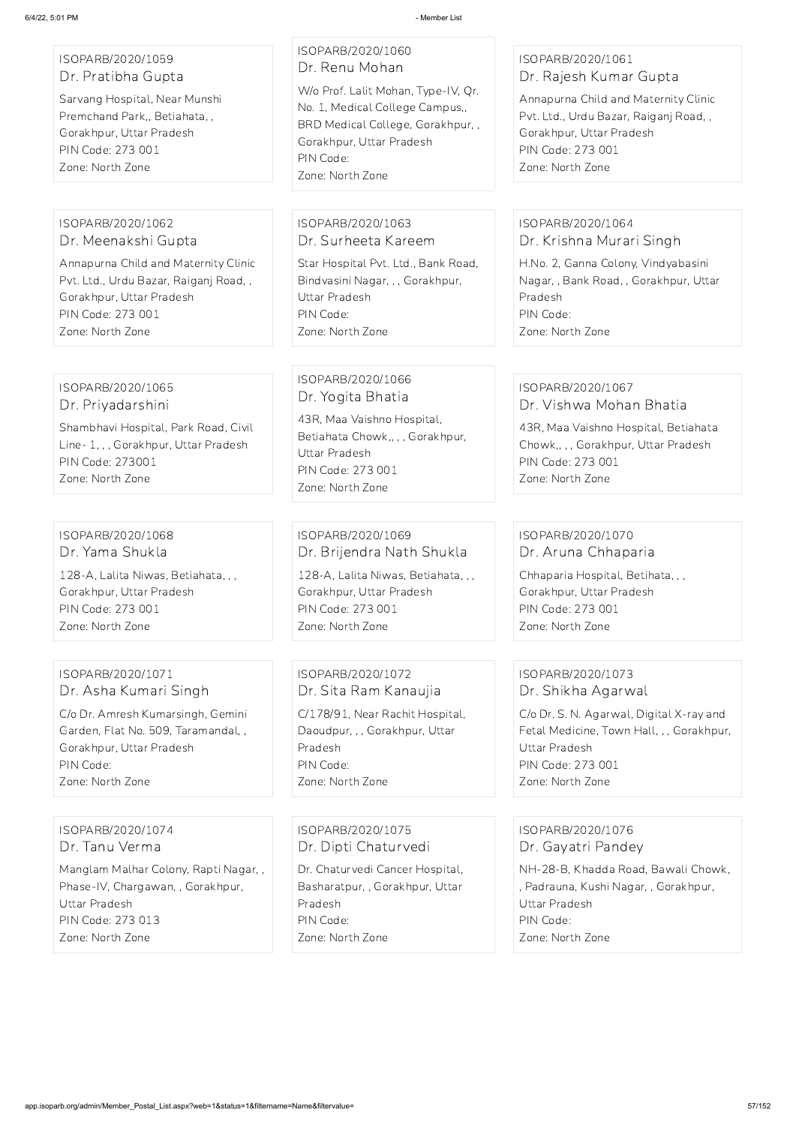#### ISOPARB/2020/1059 Dr. Pratibha Gupta

Sarvang Hospital, Near Munshi Premchand Park,, Betiahata, , Gorakhpur, Uttar Pradesh PIN Code: 273 001 Zone: North Zone

## ISOPARB/2020/1060 Dr. Renu Mohan

W/o Prof. Lalit Mohan, Type-IV, Qr. No. 1, Medical College Campus,, BRD Medical College, Gorakhpur, , Gorakhpur, Uttar Pradesh PIN Code: Zone: North Zone

## ISOPARB/2020/1061 Dr. Rajesh Kumar Gupta

Annapurna Child and Maternity Clinic Pvt. Ltd., Urdu Bazar, Raiganj Road, , Gorakhpur, Uttar Pradesh PIN Code: 273 001 Zone: North Zone

#### ISOPARB/2020/1062 Dr. Meenakshi Gupta

Annapurna Child and Maternity Clinic Pvt. Ltd., Urdu Bazar, Raiganj Road, , Gorakhpur, Uttar Pradesh PIN Code: 273 001 Zone: North Zone

## ISOPARB/2020/1063 Dr. Surheeta Kareem

Star Hospital Pvt. Ltd., Bank Road, Bindvasini Nagar, , , Gorakhpur, Uttar Pradesh PIN Code: Zone: North Zone

#### ISOPARB/2020/1064 Dr. Krishna Murari Singh

H.No. 2, Ganna Colony, Vindyabasini Nagar, , Bank Road, , Gorakhpur, Uttar Pradesh PIN Code: Zone: North Zone

#### ISOPARB/2020/1065 Dr. Priyadarshini

Shambhavi Hospital, Park Road, Civil Line- 1, , , Gorakhpur, Uttar Pradesh PIN Code: 273001 Zone: North Zone

## ISOPARB/2020/1066 Dr. Yogita Bhatia

43R, Maa Vaishno Hospital, Betiahata Chowk,, , , Gorakhpur, Uttar Pradesh PIN Code: 273 001 Zone: North Zone

#### ISOPARB/2020/1067 Dr. Vishwa Mohan Bhatia

43R, Maa Vaishno Hospital, Betiahata Chowk,, , , Gorakhpur, Uttar Pradesh PIN Code: 273 001 Zone: North Zone

#### ISOPARB/2020/1068 Dr. Yama Shukla

128-A, Lalita Niwas, Betiahata, , , Gorakhpur, Uttar Pradesh PIN Code: 273 001 Zone: North Zone

## ISOPARB/2020/1069 Dr. Brijendra Nath Shukla

128-A, Lalita Niwas, Betiahata, , , Gorakhpur, Uttar Pradesh PIN Code: 273 001 Zone: North Zone

## ISOPARB/2020/1070 Dr. Aruna Chhaparia

Chhaparia Hospital, Betihata, , , Gorakhpur, Uttar Pradesh PIN Code: 273 001 Zone: North Zone

## ISOPARB/2020/1071 Dr. Asha Kumari Singh

C/o Dr. Amresh Kumarsingh, Gemini Garden, Flat No. 509, Taramandal, , Gorakhpur, Uttar Pradesh PIN Code: Zone: North Zone

ISOPARB/2020/1072 Dr. Sita Ram Kanaujia C/178/91, Near Rachit Hospital, Daoudpur, , , Gorakhpur, Uttar Pradesh PIN Code: Zone: North Zone

## ISOPARB/2020/1073 Dr. Shikha Agarwal

C/o Dr. S. N. Agarwal, Digital X-ray and Fetal Medicine, Town Hall, , , Gorakhpur, Uttar Pradesh PIN Code: 273 001 Zone: North Zone

ISOPARB/2020/1074 Dr. Tanu Verma

Manglam Malhar Colony, Rapti Nagar, , Phase-IV, Chargawan, , Gorakhpur, Uttar Pradesh PIN Code: 273 013 Zone: North Zone

ISOPARB/2020/1075 Dr. Dipti Chaturvedi

Dr. Chaturvedi Cancer Hospital, Basharatpur, , Gorakhpur, Uttar Pradesh PIN Code: Zone: North Zone

ISOPARB/2020/1076 Dr. Gayatri Pandey

NH-28-B, Khadda Road, Bawali Chowk, , Padrauna, Kushi Nagar, , Gorakhpur, Uttar Pradesh PIN Code: Zone: North Zone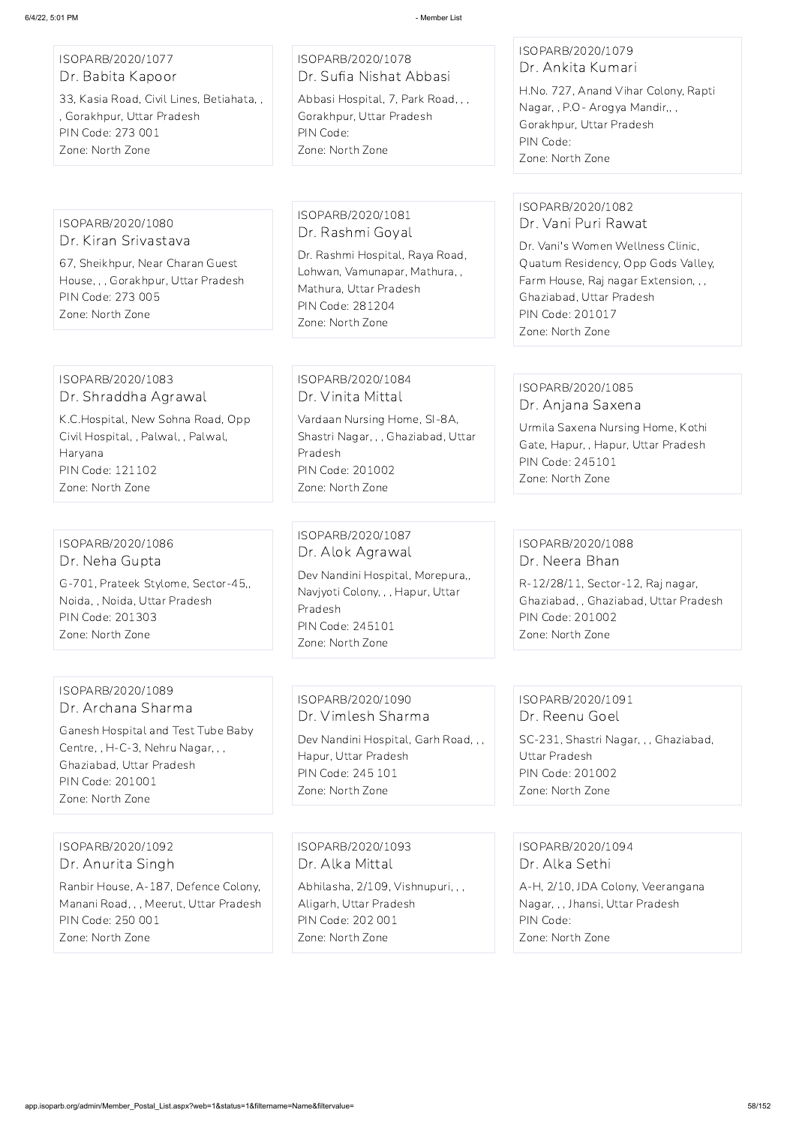#### ISOPARB/2020/1077 Dr. Babita Kapoor

33, Kasia Road, Civil Lines, Betiahata, , , Gorakhpur, Uttar Pradesh PIN Code: 273 001 Zone: North Zone

## ISOPARB/2020/1078 Dr. Sufia Nishat Abbasi

Abbasi Hospital, 7, Park Road, , , Gorakhpur, Uttar Pradesh PIN Code: Zone: North Zone

## ISOPARB/2020/1079 Dr. Ankita Kumari

H.No. 727, Anand Vihar Colony, Rapti Nagar, , P.O- Arogya Mandir,, , Gorakhpur, Uttar Pradesh PIN Code: Zone: North Zone

#### ISOPARB/2020/1080 Dr. Kiran Srivastava

67, Sheikhpur, Near Charan Guest House, , , Gorakhpur, Uttar Pradesh PIN Code: 273 005 Zone: North Zone

ISOPARB/2020/1081 Dr. Rashmi Goyal

Dr. Rashmi Hospital, Raya Road, Lohwan, Vamunapar, Mathura, , Mathura, Uttar Pradesh PIN Code: 281204 Zone: North Zone

## ISOPARB/2020/1082 Dr. Vani Puri Rawat

Dr. Vani's Women Wellness Clinic, Quatum Residency, Opp Gods Valley, Farm House, Raj nagar Extension, , , Ghaziabad, Uttar Pradesh PIN Code: 201017 Zone: North Zone

#### ISOPARB/2020/1083 Dr. Shraddha Agrawal

K.C.Hospital, New Sohna Road, Opp Civil Hospital, , Palwal, , Palwal, Haryana PIN Code: 121102 Zone: North Zone

ISOPARB/2020/1084 Dr. Vinita Mittal

Vardaan Nursing Home, SI-8A, Shastri Nagar, , , Ghaziabad, Uttar Pradesh PIN Code: 201002 Zone: North Zone

#### ISOPARB/2020/1085 Dr. Anjana Saxena

Urmila Saxena Nursing Home, Kothi Gate, Hapur, , Hapur, Uttar Pradesh PIN Code: 245101 Zone: North Zone

#### ISOPARB/2020/1086 Dr. Neha Gupta

G-701, Prateek Stylome, Sector-45,, Noida, , Noida, Uttar Pradesh PIN Code: 201303 Zone: North Zone

## ISOPARB/2020/1087 Dr. Alok Agrawal Dev Nandini Hospital, Morepura,,

Navjyoti Colony, , , Hapur, Uttar Pradesh PIN Code: 245101 Zone: North Zone

## ISOPARB/2020/1088 Dr. Neera Bhan

R-12/28/11, Sector-12, Raj nagar, Ghaziabad, , Ghaziabad, Uttar Pradesh PIN Code: 201002 Zone: North Zone

## ISOPARB/2020/1089 Dr. Archana Sharma

Ganesh Hospital and Test Tube Baby Centre, , H-C-3, Nehru Nagar, , , Ghaziabad, Uttar Pradesh PIN Code: 201001 Zone: North Zone

## ISOPARB/2020/1090 Dr. Vimlesh Sharma

Dev Nandini Hospital, Garh Road, , , Hapur, Uttar Pradesh PIN Code: 245 101 Zone: North Zone

## ISOPARB/2020/1091 Dr. Reenu Goel SC-231, Shastri Nagar, , , Ghaziabad, Uttar Pradesh PIN Code: 201002 Zone: North Zone

ISOPARB/2020/1092

Dr. Anurita Singh

Ranbir House, A-187, Defence Colony, Manani Road, , , Meerut, Uttar Pradesh PIN Code: 250 001 Zone: North Zone

ISOPARB/2020/1093

Dr. Alka Mittal

Abhilasha, 2/109, Vishnupuri, , , Aligarh, Uttar Pradesh PIN Code: 202 001 Zone: North Zone

ISOPARB/2020/1094

Dr. Alka Sethi

A-H, 2/10, JDA Colony, Veerangana Nagar, , , Jhansi, Uttar Pradesh PIN Code: Zone: North Zone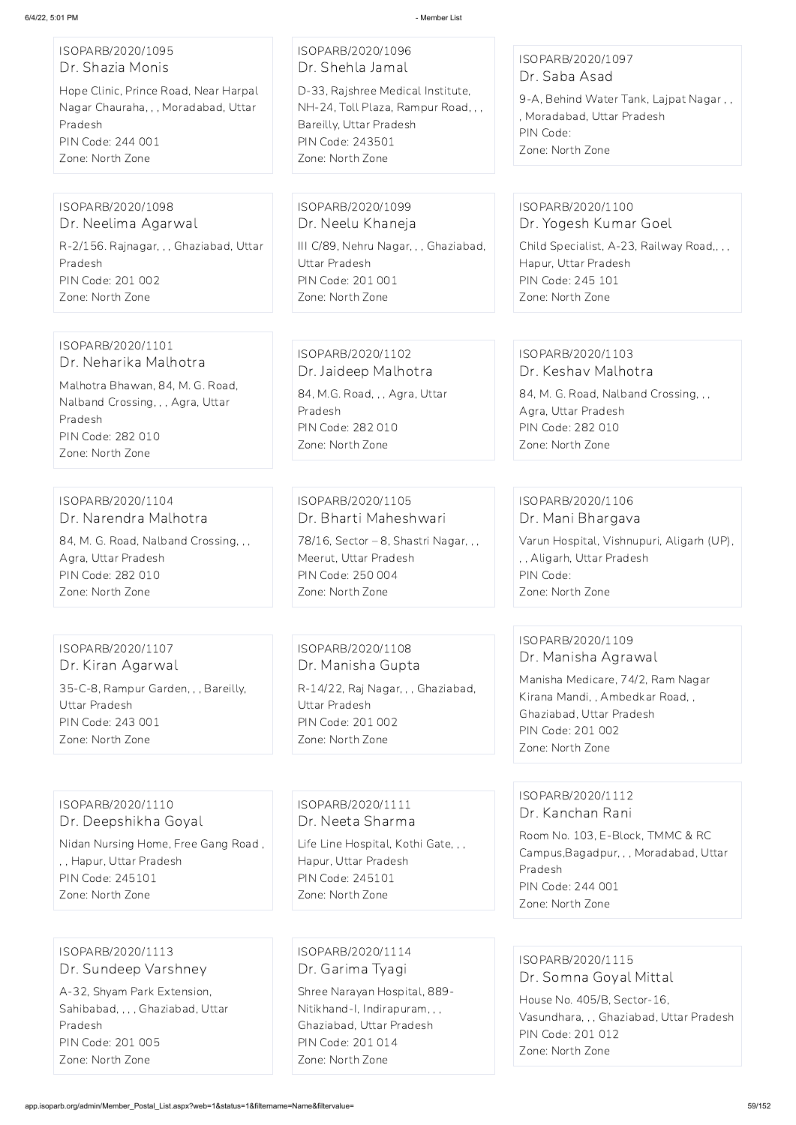| ISOPARB/2020/1095<br>Dr. Shazia Monis<br>Hope Clinic, Prince Road, Near Harpal<br>Nagar Chauraha, , , Moradabad, Uttar<br>Pradesh<br>PIN Code: 244 001<br>Zone: North Zone | ISOPARB/2020/1096<br>Dr. Shehla Jamal<br>D-33, Rajshree Medical Institute,<br>NH-24, Toll Plaza, Rampur Road, , ,<br>Bareilly, Uttar Pradesh<br>PIN Code: 243501<br>Zone: North Zone | ISOPARB/2020/1097<br>Dr. Saba Asad<br>9-A, Behind Water Tank, Lajpat Nagar,,<br>, Moradabad, Uttar Pradesh<br>PIN Code:<br>Zone: North Zone                                            |
|----------------------------------------------------------------------------------------------------------------------------------------------------------------------------|--------------------------------------------------------------------------------------------------------------------------------------------------------------------------------------|----------------------------------------------------------------------------------------------------------------------------------------------------------------------------------------|
| ISOPARB/2020/1098<br>Dr. Neelima Agarwal<br>R-2/156. Rajnagar, , , Ghaziabad, Uttar<br>Pradesh<br>PIN Code: 201 002<br>Zone: North Zone                                    | ISOPARB/2020/1099<br>Dr. Neelu Khaneja<br>III C/89, Nehru Nagar, , , Ghaziabad,<br>Uttar Pradesh<br>PIN Code: 201 001<br>Zone: North Zone                                            | ISOPARB/2020/1100<br>Dr. Yogesh Kumar Goel<br>Child Specialist, A-23, Railway Road,, , ,<br>Hapur, Uttar Pradesh<br>PIN Code: 245 101<br>Zone: North Zone                              |
| ISOPARB/2020/1101<br>Dr. Neharika Malhotra<br>Malhotra Bhawan, 84, M. G. Road,<br>Nalband Crossing, , , Agra, Uttar<br>Pradesh<br>PIN Code: 282 010<br>Zone: North Zone    | ISOPARB/2020/1102<br>Dr. Jaideep Malhotra<br>84, M.G. Road, , , Agra, Uttar<br>Pradesh<br>PIN Code: 282 010<br>Zone: North Zone                                                      | ISOPARB/2020/1103<br>Dr. Keshav Malhotra<br>84, M. G. Road, Nalband Crossing, , ,<br>Agra, Uttar Pradesh<br>PIN Code: 282 010<br>Zone: North Zone                                      |
| ISOPARB/2020/1104<br>Dr. Narendra Malhotra<br>84, M. G. Road, Nalband Crossing, , ,<br>Agra, Uttar Pradesh<br>PIN Code: 282 010<br>Zone: North Zone                        | ISOPARB/2020/1105<br>Dr. Bharti Maheshwari<br>78/16, Sector - 8, Shastri Nagar, , ,<br>Meerut, Uttar Pradesh<br>PIN Code: 250 004<br>Zone: North Zone                                | ISOPARB/2020/1106<br>Dr. Mani Bhargava<br>Varun Hospital, Vishnupuri, Aligarh (UP),<br>,, Aligarh, Uttar Pradesh<br>PIN Code:<br>Zone: North Zone                                      |
| ISOPARB/2020/1107<br>Dr. Kiran Agarwal<br>35-C-8, Rampur Garden, , , Bareilly,<br>Uttar Pradesh<br><b>PIN Code: 243 001</b><br>Zone: North Zone                            | ISOPARB/2020/1108<br>Dr. Manisha Gupta<br>R-14/22, Raj Nagar, , , Ghaziabad,<br><b>Uttar Pradesh</b><br><b>PIN Code: 201 002</b><br>Zone: North Zone                                 | ISOPARB/2020/1109<br>Dr. Manisha Agrawal<br>Manisha Medicare, 74/2, Ram Nagar<br>Kirana Mandi, , Ambedkar Road, ,<br>Ghaziabad, Uttar Pradesh<br>PIN Code: 201 002<br>Zone: North Zone |
| ISOPARB/2020/1110                                                                                                                                                          | ISOPARB/2020/1111                                                                                                                                                                    | ISOPARB/2020/1112                                                                                                                                                                      |

Dr. Deepshikha Goyal

Nidan Nursing Home, Free Gang Road ,

, , Hapur, Uttar Pradesh PIN Code: 245101 Zone: North Zone

Dr. Neeta Sharma Life Line Hospital, Kothi Gate Hapur, Uttar Pradesh PIN Code: 245101 Zone: North Zone

Dr. Kanchan Rani

Room No. 103, E-Block, TMMC & RC

Campus,Bagadpur, , , Moradabad, Uttar Pradesh PIN Code: 244 001 Zone: North Zone

ISOPARB/2020/1113 Dr. Sundeep Varshney A-32, Shyam Park Extension, Sahibabad, , , , Ghaziabad, Uttar Pradesh PIN Code: 201 005 Zone: North Zone

ISOPARB/2020/1114 Dr. Garima Tyagi Shree Narayan Hospital, 889- Nitikhand-I, Indirapuram, , , Ghaziabad, Uttar Pradesh PIN Code: 201 014 Zone: North Zone

ISOPARB/2020/1115 Dr. Somna Goyal Mittal House No. 405/B, Sector-16, Vasundhara, , , Ghaziabad, Uttar Pradesh PIN Code: 201 012 Zone: North Zone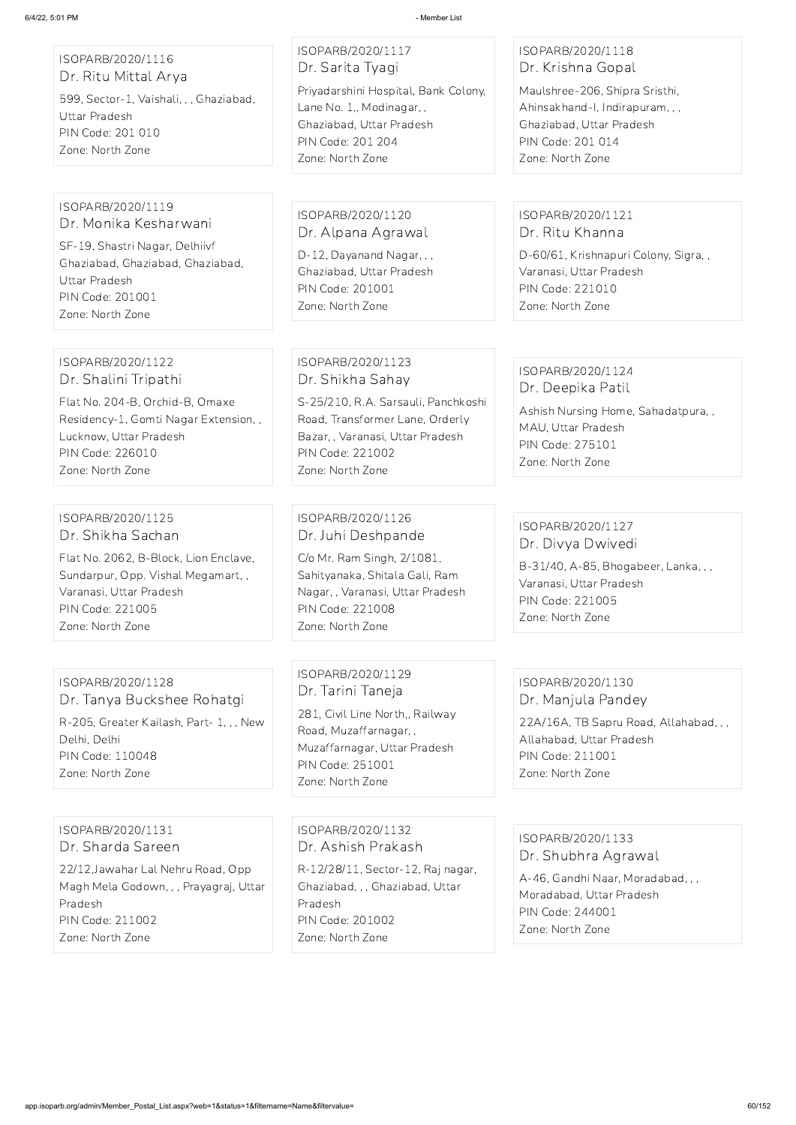| ISOPARB/2020/1116<br>Dr. Ritu Mittal Arya |
|-------------------------------------------|
| 599, Sector-1, Vaishali, , , Ghaziabad,   |
| Uttar Pradesh                             |
| PIN Code: 201 010                         |
| Zone: North Zone                          |
|                                           |

ISOPARB/2020/1117 Dr. Sarita Tyagi Priyadarshini Hospital, Bank Colony, Lane No. 1,, Modinagar, , Ghaziabad, Uttar Pradesh PIN Code: 201 204 Zone: North Zone

## ISOPARB/2020/1118 Dr. Krishna Gopal

Maulshree-206, Shipra Sristhi, Ahinsakhand-I, Indirapuram, , , Ghaziabad, Uttar Pradesh PIN Code: 201 014 Zone: North Zone

#### ISOPARB/2020/1119 Dr. Monika Kesharwani

SF-19, Shastri Nagar, Delhiivf Ghaziabad, Ghaziabad, Ghaziabad, Uttar Pradesh PIN Code: 201001 Zone: North Zone

ISOPARB/2020/1120 Dr. Alpana Agrawal

D-12, Dayanand Nagar, , , Ghaziabad, Uttar Pradesh PIN Code: 201001 Zone: North Zone

## ISOPARB/2020/1121 Dr. Ritu Khanna

D-60/61, Krishnapuri Colony, Sigra, , Varanasi, Uttar Pradesh PIN Code: 221010 Zone: North Zone

#### ISOPARB/2020/1122 Dr. Shalini Tripathi

Flat No. 204-B, Orchid-B, Omaxe Residency-1, Gomti Nagar Extension, , Lucknow, Uttar Pradesh PIN Code: 226010 Zone: North Zone

ISOPARB/2020/1123 Dr. Shikha Sahay

S-25/210, R.A. Sarsauli, Panchkoshi Road, Transformer Lane, Orderly Bazar, , Varanasi, Uttar Pradesh PIN Code: 221002 Zone: North Zone

#### ISOPARB/2020/1124 Dr. Deepika Patil

Ashish Nursing Home, Sahadatpura, , MAU, Uttar Pradesh PIN Code: 275101 Zone: North Zone

#### ISOPARB/2020/1125 Dr. Shikha Sachan

Flat No. 2062, B-Block, Lion Enclave, Sundarpur, Opp. Vishal Megamart, , Varanasi, Uttar Pradesh PIN Code: 221005 Zone: North Zone

ISOPARB/2020/1126 Dr. Juhi Deshpande

C/o Mr. Ram Singh, 2/1081, Sahityanaka, Shitala Gali, Ram Nagar, , Varanasi, Uttar Pradesh PIN Code: 221008 Zone: North Zone

## ISOPARB/2020/1127 Dr. Divya Dwivedi

B-31/40, A-85, Bhogabeer, Lanka, , , Varanasi, Uttar Pradesh PIN Code: 221005 Zone: North Zone

## ISOPARB/2020/1128

Dr. Tanya Buckshee Rohatgi R-205, Greater Kailash, Part- 1, , , New Delhi, Delhi PIN Code: 110048 Zone: North Zone

ISOPARB/2020/1129 Dr. Tarini Taneja

281, Civil Line North,, Railway Road, Muzaffarnagar, , Muzaffarnagar, Uttar Pradesh PIN Code: 251001 Zone: North Zone

#### ISOPARB/2020/1130 Dr. Manjula Pandey

22A/16A, TB Sapru Road, Allahabad, , , Allahabad, Uttar Pradesh PIN Code: 211001 Zone: North Zone

#### ISOPARB/2020/1131 Dr. Sharda Sareen

22/12,Jawahar Lal Nehru Road, Opp Magh Mela Godown, , , Prayagraj, Uttar Pradesh PIN Code: 211002 Zone: North Zone

ISOPARB/2020/1132 Dr. Ashish Prakash

R-12/28/11, Sector-12, Raj nagar, Ghaziabad, , , Ghaziabad, Uttar Pradesh PIN Code: 201002 Zone: North Zone

ISOPARB/2020/1133

#### Dr. Shubhra Agrawal

A-46, Gandhi Naar, Moradabad, , , Moradabad, Uttar Pradesh PIN Code: 244001 Zone: North Zone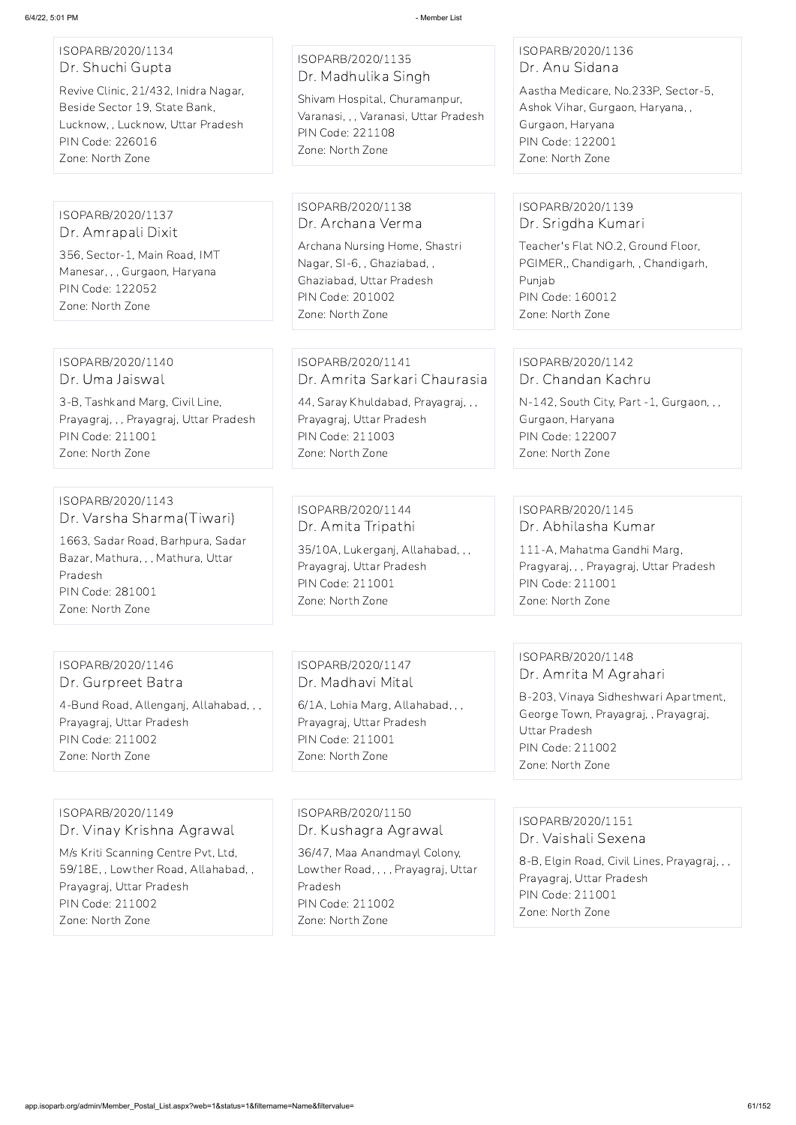| ISOPARB/2020/1134 |  |
|-------------------|--|
| Dr. Shuchi Gupta  |  |

Revive Clinic, 21/432, Inidra Nagar, Beside Sector 19, State Bank, Lucknow, , Lucknow, Uttar Pradesh PIN Code: 226016 Zone: North Zone

ISOPARB/2020/1135 Dr. Madhulika Singh

Shivam Hospital, Churamanpur, Varanasi, , , Varanasi, Uttar Pradesh PIN Code: 221108 Zone: North Zone

ISOPARB/2020/1136 Dr. Anu Sidana

Aastha Medicare, No.233P, Sector-5, Ashok Vihar, Gurgaon, Haryana, , Gurgaon, Haryana PIN Code: 122001 Zone: North Zone

ISOPARB/2020/1137 Dr. Amrapali Dixit 356, Sector-1, Main Road, IMT Manesar, , , Gurgaon, Haryana PIN Code: 122052 Zone: North Zone

ISOPARB/2020/1138 Dr. Archana Verma

Archana Nursing Home, Shastri Nagar, SI-6, , Ghaziabad, , Ghaziabad, Uttar Pradesh PIN Code: 201002 Zone: North Zone

## ISOPARB/2020/1139 Dr. Srigdha Kumari

Teacher's Flat NO.2, Ground Floor, PGIMER,, Chandigarh, , Chandigarh, Punjab PIN Code: 160012 Zone: North Zone

ISOPARB/2020/1140 Dr. Uma Jaiswal

3-B, Tashkand Marg, Civil Line, Prayagraj, , , Prayagraj, Uttar Pradesh PIN Code: 211001 Zone: North Zone

## ISOPARB/2020/1141 Dr. Amrita Sarkari Chaurasia

44, Saray Khuldabad, Prayagraj, , , Prayagraj, Uttar Pradesh PIN Code: 211003 Zone: North Zone

#### ISOPARB/2020/1142 Dr. Chandan Kachru

N-142, South City, Part -1, Gurgaon, , , Gurgaon, Haryana PIN Code: 122007 Zone: North Zone

#### ISOPARB/2020/1143 Dr. Varsha Sharma(Tiwari)

1663, Sadar Road, Barhpura, Sadar Bazar, Mathura, , , Mathura, Uttar Pradesh PIN Code: 281001 Zone: North Zone

ISOPARB/2020/1144 Dr. Amita Tripathi

35/10A, Lukerganj, Allahabad, , , Prayagraj, Uttar Pradesh PIN Code: 211001 Zone: North Zone

## ISOPARB/2020/1145 Dr. Abhilasha Kumar

111-A, Mahatma Gandhi Marg, Pragyaraj, , , Prayagraj, Uttar Pradesh PIN Code: 211001 Zone: North Zone

#### ISOPARB/2020/1146 Dr. Gurpreet Batra

4-Bund Road, Allenganj, Allahabad, , , Prayagraj, Uttar Pradesh PIN Code: 211002 Zone: North Zone

ISOPARB/2020/1147 Dr. Madhavi Mital

6/1A, Lohia Marg, Allahabad, , , Prayagraj, Uttar Pradesh PIN Code: 211001 Zone: North Zone

## ISOPARB/2020/1148 Dr. Amrita M Agrahari

B-203, Vinaya Sidheshwari Apartment, George Town, Prayagraj, , Prayagraj, Uttar Pradesh PIN Code: 211002 Zone: North Zone

ISOPARB/2020/1149 Dr. Vinay Krishna Agrawal M/s Kriti Scanning Centre Pvt, Ltd, 59/18E, , Lowther Road, Allahabad, , Prayagraj, Uttar Pradesh PIN Code: 211002 Zone: North Zone

ISOPARB/2020/1150 Dr. Kushagra Agrawal 36/47, Maa Anandmayl Colony, Lowther Road, , , , Prayagraj, Uttar Pradesh PIN Code: 211002 Zone: North Zone

ISOPARB/2020/1151 Dr. Vaishali Sexena

8-B, Elgin Road, Civil Lines, Prayagraj, , , Prayagraj, Uttar Pradesh PIN Code: 211001 Zone: North Zone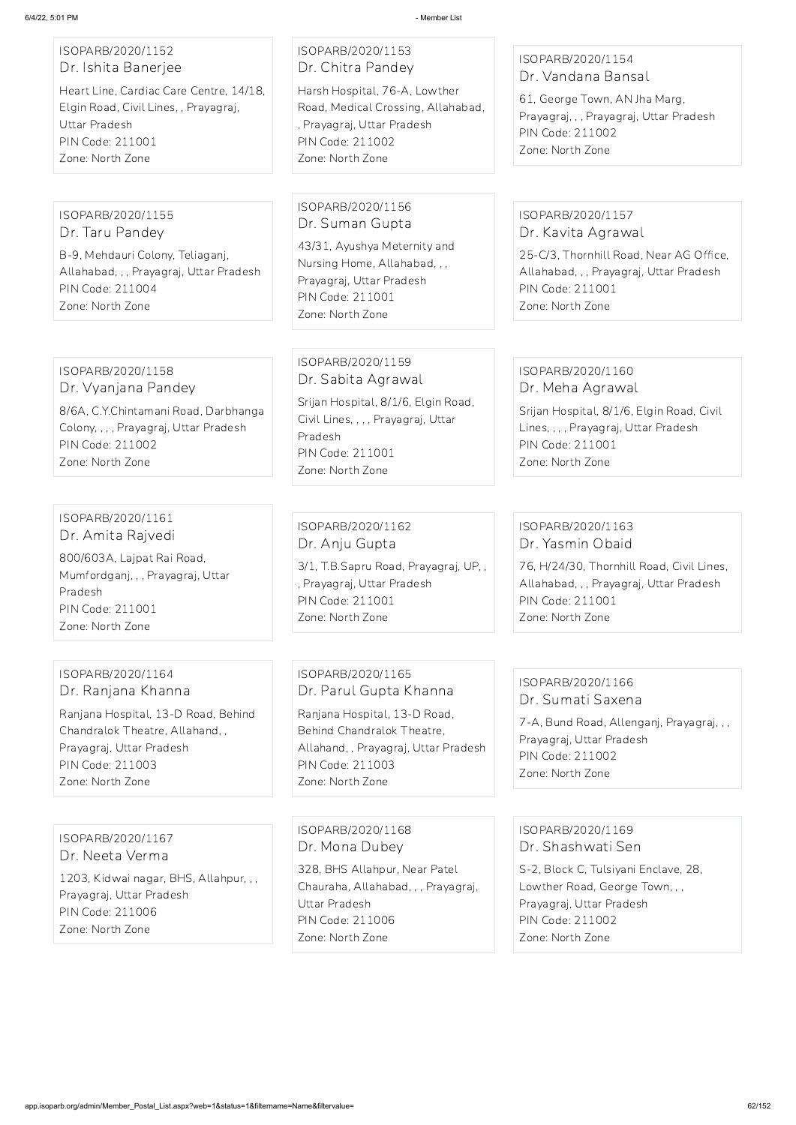## ISOPARB/2020/1152 Dr. Ishita Banerjee

Heart Line, Cardiac Care Centre, 14/18, Elgin Road, Civil Lines, , Prayagraj, Uttar Pradesh PIN Code: 211001 Zone: North Zone

## ISOPARB/2020/1153 Dr. Chitra Pandey

Harsh Hospital, 76-A, Lowther Road, Medical Crossing, Allahabad, , Prayagraj, Uttar Pradesh PIN Code: 211002 Zone: North Zone

## ISOPARB/2020/1154 Dr. Vandana Bansal

61, George Town, AN Jha Marg, Prayagraj, , , Prayagraj, Uttar Pradesh PIN Code: 211002 Zone: North Zone

## ISOPARB/2020/1155 Dr. Taru Pandey

B-9, Mehdauri Colony, Teliaganj, Allahabad, , , Prayagraj, Uttar Pradesh PIN Code: 211004 Zone: North Zone

### ISOPARB/2020/1156 Dr. Suman Gupta

43/31, Ayushya Meternity and Nursing Home, Allahabad, , , Prayagraj, Uttar Pradesh PIN Code: 211001 Zone: North Zone

## ISOPARB/2020/1157 Dr. Kavita Agrawal

25-C/3, Thornhill Road, Near AG Office, Allahabad, , , Prayagraj, Uttar Pradesh PIN Code: 211001 Zone: North Zone

## ISOPARB/2020/1158 Dr. Vyanjana Pandey

8/6A, C.Y.Chintamani Road, Darbhanga Colony, , , , Prayagraj, Uttar Pradesh PIN Code: 211002 Zone: North Zone

## ISOPARB/2020/1159 Dr. Sabita Agrawal

Srijan Hospital, 8/1/6, Elgin Road, Civil Lines, , , , Prayagraj, Uttar Pradesh PIN Code: 211001 Zone: North Zone

## ISOPARB/2020/1160 Dr. Meha Agrawal

Srijan Hospital, 8/1/6, Elgin Road, Civil Lines, , , , Prayagraj, Uttar Pradesh PIN Code: 211001 Zone: North Zone

## ISOPARB/2020/1161 Dr. Amita Rajvedi

800/603A, Lajpat Rai Road, Mumfordganj, , , Prayagraj, Uttar Pradesh PIN Code: 211001 Zone: North Zone

## ISOPARB/2020/1162 Dr. Anju Gupta

3/1, T.B.Sapru Road, Prayagraj, UP, , , Prayagraj, Uttar Pradesh PIN Code: 211001 Zone: North Zone

## ISOPARB/2020/1163 Dr. Yasmin Obaid

76, H/24/30, Thornhill Road, Civil Lines, Allahabad, , , Prayagraj, Uttar Pradesh PIN Code: 211001 Zone: North Zone

## ISOPARB/2020/1164 Dr. Ranjana Khanna

Ranjana Hospital, 13-D Road, Behind Chandralok Theatre, Allahand, , Prayagraj, Uttar Pradesh PIN Code: 211003 Zone: North Zone

## ISOPARB/2020/1165 Dr. Parul Gupta Khanna

Ranjana Hospital, 13-D Road, Behind Chandralok Theatre, Allahand, , Prayagraj, Uttar Pradesh PIN Code: 211003 Zone: North Zone

## ISOPARB/2020/1166 Dr. Sumati Saxena

7-A, Bund Road, Allenganj, Prayagraj, , , Prayagraj, Uttar Pradesh PIN Code: 211002 Zone: North Zone

ISOPARB/2020/1167

#### Dr. Neeta Verma

1203, Kidwai nagar, BHS, Allahpur, , , Prayagraj, Uttar Pradesh PIN Code: 211006 Zone: North Zone

ISOPARB/2020/1168 Dr. Mona Dubey

328, BHS Allahpur, Near Patel Chauraha, Allahabad, , , Prayagraj, Uttar Pradesh PIN Code: 211006 Zone: North Zone

ISOPARB/2020/1169 Dr. Shashwati Sen

S-2, Block C, Tulsiyani Enclave, 28, Lowther Road, George Town, , , Prayagraj, Uttar Pradesh PIN Code: 211002 Zone: North Zone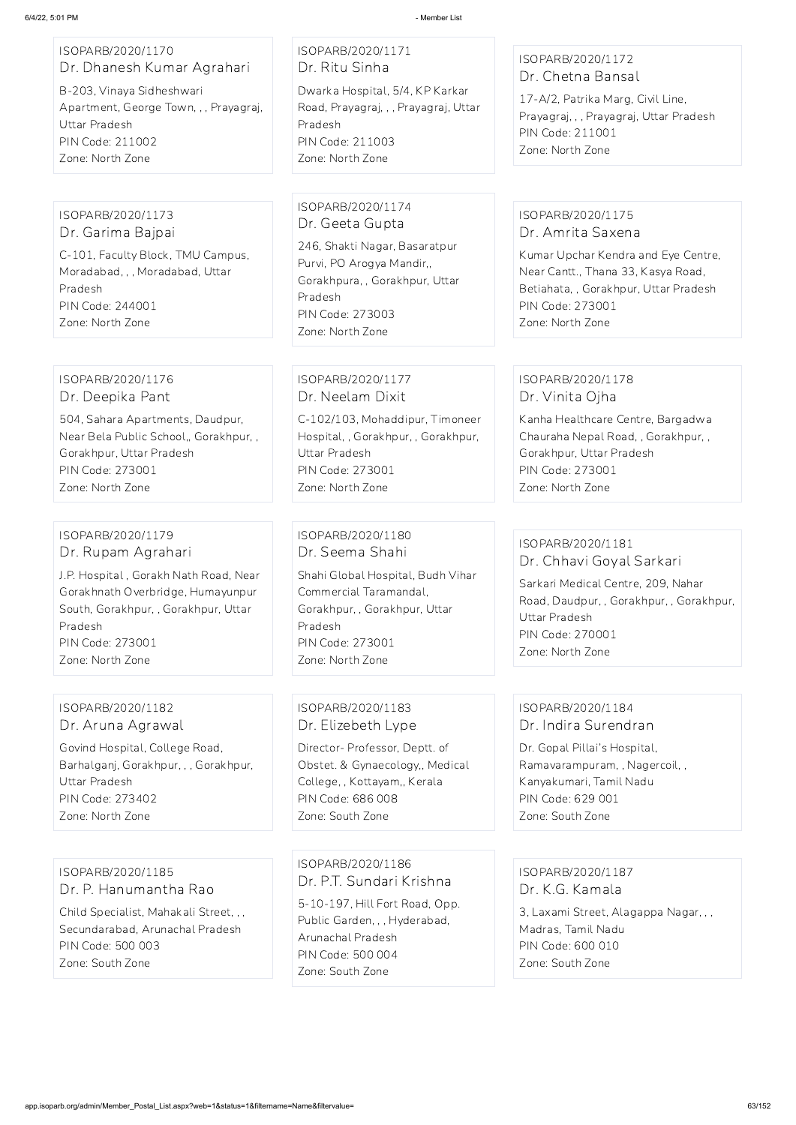ISOPARB/2020/1170 Dr. Dhanesh Kumar Agrahari

B-203, Vinaya Sidheshwari Apartment, George Town, , , Prayagraj, Uttar Pradesh PIN Code: 211002 Zone: North Zone

## ISOPARB/2020/1171 Dr. Ritu Sinha

Dwarka Hospital, 5/4, KP Karkar Road, Prayagraj, , , Prayagraj, Uttar Pradesh PIN Code: 211003 Zone: North Zone

## ISOPARB/2020/1172 Dr. Chetna Bansal

17-A/2, Patrika Marg, Civil Line, Prayagraj, , , Prayagraj, Uttar Pradesh PIN Code: 211001 Zone: North Zone

ISOPARB/2020/1173 Dr. Garima Bajpai

C-101, Faculty Block, TMU Campus, Moradabad, , , Moradabad, Uttar Pradesh PIN Code: 244001 Zone: North Zone

ISOPARB/2020/1174 Dr. Geeta Gupta

246, Shakti Nagar, Basaratpur Purvi, PO Arogya Mandir,, Gorakhpura, , Gorakhpur, Uttar Pradesh PIN Code: 273003 Zone: North Zone

## ISOPARB/2020/1175 Dr. Amrita Saxena

Kumar Upchar Kendra and Eye Centre, Near Cantt., Thana 33, Kasya Road, Betiahata, , Gorakhpur, Uttar Pradesh PIN Code: 273001 Zone: North Zone

ISOPARB/2020/1176 Dr. Deepika Pant

504, Sahara Apartments, Daudpur, Near Bela Public School,, Gorakhpur, , Gorakhpur, Uttar Pradesh PIN Code: 273001 Zone: North Zone

ISOPARB/2020/1177 Dr. Neelam Dixit

C-102/103, Mohaddipur, Timoneer Hospital, , Gorakhpur, , Gorakhpur, Uttar Pradesh PIN Code: 273001 Zone: North Zone

## ISOPARB/2020/1178 Dr. Vinita Ojha

Kanha Healthcare Centre, Bargadwa Chauraha Nepal Road, , Gorakhpur, , Gorakhpur, Uttar Pradesh PIN Code: 273001 Zone: North Zone

#### ISOPARB/2020/1179 Dr. Rupam Agrahari

J.P. Hospital , Gorakh Nath Road, Near Gorakhnath Overbridge, Humayunpur South, Gorakhpur, , Gorakhpur, Uttar Pradesh PIN Code: 273001 Zone: North Zone

ISOPARB/2020/1180 Dr. Seema Shahi

Shahi Global Hospital, Budh Vihar Commercial Taramandal, Gorakhpur, , Gorakhpur, Uttar Pradesh PIN Code: 273001 Zone: North Zone

## ISOPARB/2020/1181 Dr. Chhavi Goyal Sarkari

Sarkari Medical Centre, 209, Nahar Road, Daudpur, , Gorakhpur, , Gorakhpur, Uttar Pradesh PIN Code: 270001 Zone: North Zone

ISOPARB/2020/1182 Dr. Aruna Agrawal

Govind Hospital, College Road, Barhalganj, Gorakhpur, , , Gorakhpur, Uttar Pradesh PIN Code: 273402 Zone: North Zone

## ISOPARB/2020/1183 Dr. Elizebeth Lype

Director- Professor, Deptt. of Obstet. & Gynaecology,, Medical College, , Kottayam,, Kerala PIN Code: 686 008 Zone: South Zone

## ISOPARB/2020/1184 Dr. Indira Surendran

Dr. Gopal Pillai's Hospital, Ramavarampuram, , Nagercoil, , Kanyakumari, Tamil Nadu PIN Code: 629 001 Zone: South Zone

ISOPARB/2020/1185 Dr. P. Hanumantha Rao Child Specialist, Mahakali Street, , , Secundarabad, Arunachal Pradesh PIN Code: 500 003 Zone: South Zone

ISOPARB/2020/1186 Dr. P.T. Sundari Krishna 5-10-197, Hill Fort Road, Opp. Public Garden, , , Hyderabad, Arunachal Pradesh PIN Code: 500 004

Zone: South Zone

ISOPARB/2020/1187 Dr. K.G. Kamala

3, Laxami Street, Alagappa Nagar, , , Madras, Tamil Nadu PIN Code: 600 010 Zone: South Zone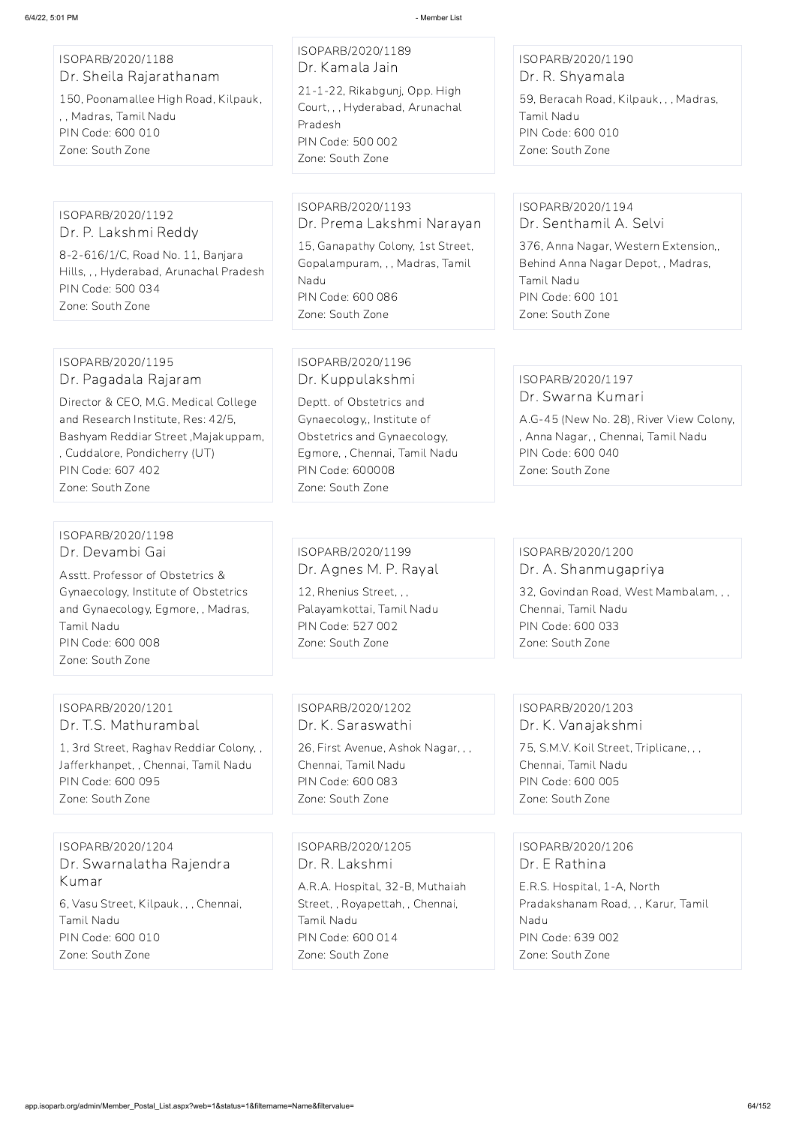ISOPARB/2020/1188 Dr. Sheila Rajarathanam

150, Poonamallee High Road, Kilpauk, , , Madras, Tamil Nadu PIN Code: 600 010 Zone: South Zone

# ISOPARB/2020/1189 Dr. Kamala Jain

21-1-22, Rikabgunj, Opp. High Court, , , Hyderabad, Arunachal Pradesh PIN Code: 500 002 Zone: South Zone

#### ISOPARB/2020/1190 Dr. R. Shyamala

59, Beracah Road, Kilpauk, , , Madras, Tamil Nadu PIN Code: 600 010 Zone: South Zone

ISOPARB/2020/1192 Dr. P. Lakshmi Reddy

8-2-616/1/C, Road No. 11, Banjara Hills, , , Hyderabad, Arunachal Pradesh PIN Code: 500 034 Zone: South Zone

#### ISOPARB/2020/1193 Dr. Prema Lakshmi Narayan

15, Ganapathy Colony, 1st Street, Gopalampuram, , , Madras, Tamil Nadu PIN Code: 600 086 Zone: South Zone

#### ISOPARB/2020/1194 Dr. Senthamil A. Selvi

376, Anna Nagar, Western Extension,, Behind Anna Nagar Depot, , Madras, Tamil Nadu PIN Code: 600 101 Zone: South Zone

#### ISOPARB/2020/1195 Dr. Pagadala Rajaram

Director & CEO, M.G. Medical College and Research Institute, Res: 42/5, Bashyam Reddiar Street ,Majakuppam, , Cuddalore, Pondicherry (UT) PIN Code: 607 402 Zone: South Zone

## ISOPARB/2020/1196 Dr. Kuppulakshmi

Deptt. of Obstetrics and Gynaecology,, Institute of Obstetrics and Gynaecology, Egmore, , Chennai, Tamil Nadu PIN Code: 600008 Zone: South Zone

#### ISOPARB/2020/1197 Dr. Swarna Kumari

A.G-45 (New No. 28), River View Colony, , Anna Nagar, , Chennai, Tamil Nadu PIN Code: 600 040 Zone: South Zone

## ISOPARB/2020/1198 Dr. Devambi Gai

Asstt. Professor of Obstetrics & Gynaecology, Institute of Obstetrics and Gynaecology, Egmore, , Madras, Tamil Nadu PIN Code: 600 008 Zone: South Zone

## ISOPARB/2020/1199 Dr. Agnes M. P. Rayal

12, Rhenius Street, , , Palayamkottai, Tamil Nadu PIN Code: 527 002 Zone: South Zone

## ISOPARB/2020/1200 Dr. A. Shanmugapriya 32, Govindan Road, West Mambalam, , , Chennai, Tamil Nadu PIN Code: 600 033

Zone: South Zone

#### ISOPARB/2020/1201 Dr. T.S. Mathurambal

1, 3rd Street, Raghav Reddiar Colony, , Jafferkhanpet, , Chennai, Tamil Nadu PIN Code: 600 095 Zone: South Zone

## ISOPARB/2020/1202 Dr. K. Saraswathi

26, First Avenue, Ashok Nagar, , , Chennai, Tamil Nadu PIN Code: 600 083 Zone: South Zone

## ISOPARB/2020/1203 Dr. K. Vanajakshmi

75, S.M.V. Koil Street, Triplicane, , , Chennai, Tamil Nadu PIN Code: 600 005 Zone: South Zone

ISOPARB/2020/1204 Dr. Swarnalatha Rajendra Kumar

6, Vasu Street, Kilpauk, , , Chennai, Tamil Nadu PIN Code: 600 010 Zone: South Zone

#### ISOPARB/2020/1205

Dr. R. Lakshmi

A.R.A. Hospital, 32-B, Muthaiah Street, , Royapettah, , Chennai, Tamil Nadu PIN Code: 600 014 Zone: South Zone

ISOPARB/2020/1206

Dr. E Rathina

E.R.S. Hospital, 1-A, North Pradakshanam Road, , , Karur, Tamil Nadu PIN Code: 639 002 Zone: South Zone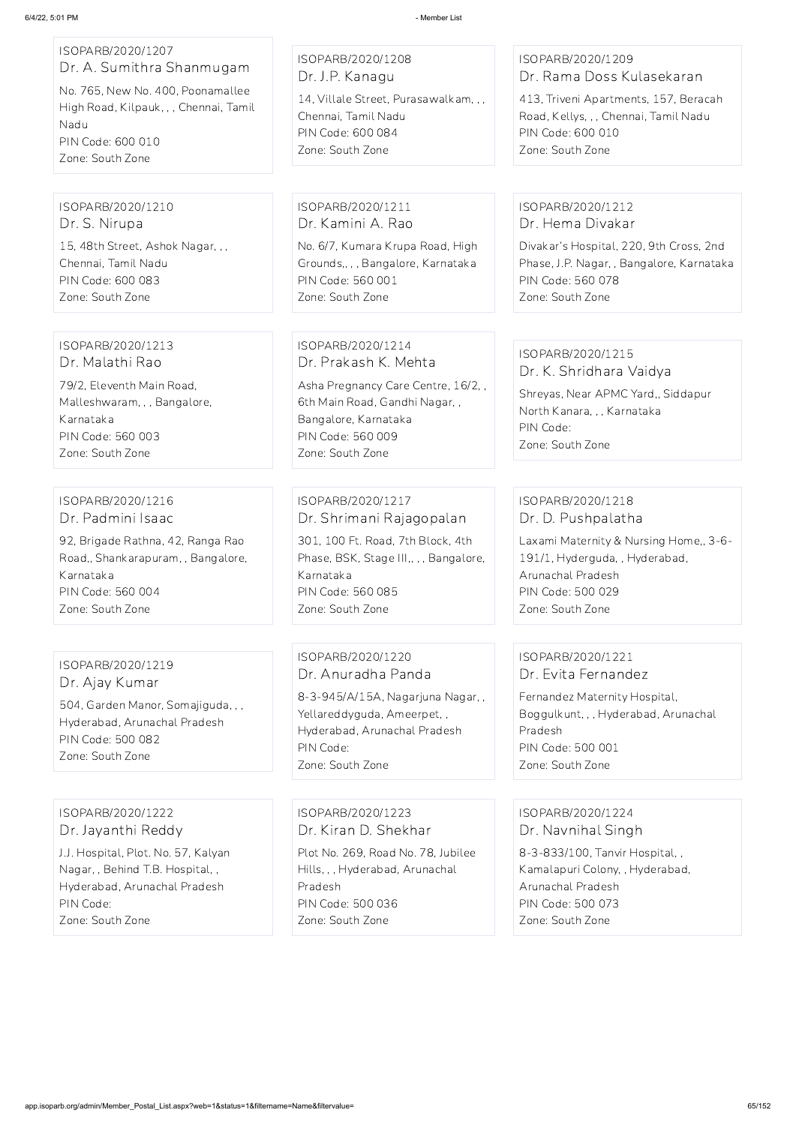| ISOPARB/2020/1207<br>Dr. A. Sumithra Shanmugam<br>No. 765, New No. 400, Poonamallee<br>High Road, Kilpauk, , , Chennai, Tamil<br>Nadu<br>PIN Code: 600 010<br>Zone: South Zone | ISOPARB/2020/1208<br>Dr. J.P. Kanagu<br>14, Villale Street, Purasawalkam, , ,<br>Chennai, Tamil Nadu<br>PIN Code: 600 084<br>Zone: South Zone                                      | ISOPARB/2020/1209<br>Dr. Rama Doss Kulasekaran<br>413, Triveni Apartments, 157, Beracah<br>Road, Kellys, , , Chennai, Tamil Nadu<br>PIN Code: 600 010<br>Zone: South Zone         |
|--------------------------------------------------------------------------------------------------------------------------------------------------------------------------------|------------------------------------------------------------------------------------------------------------------------------------------------------------------------------------|-----------------------------------------------------------------------------------------------------------------------------------------------------------------------------------|
| ISOPARB/2020/1210<br>Dr. S. Nirupa<br>15, 48th Street, Ashok Nagar, , ,<br>Chennai, Tamil Nadu<br>PIN Code: 600 083<br>Zone: South Zone                                        | ISOPARB/2020/1211<br>Dr. Kamini A. Rao<br>No. 6/7, Kumara Krupa Road, High<br>Grounds,,,, Bangalore, Karnataka<br>PIN Code: 560 001<br>Zone: South Zone                            | ISOPARB/2020/1212<br>Dr. Hema Divakar<br>Divakar's Hospital, 220, 9th Cross, 2nd<br>Phase, J.P. Nagar, , Bangalore, Karnataka<br>PIN Code: 560 078<br>Zone: South Zone            |
| ISOPARB/2020/1213<br>Dr. Malathi Rao<br>79/2, Eleventh Main Road,<br>Malleshwaram, , , Bangalore,<br>Karnataka<br>PIN Code: 560 003<br>Zone: South Zone                        | ISOPARB/2020/1214<br>Dr. Prakash K. Mehta<br>Asha Pregnancy Care Centre, 16/2,,<br>6th Main Road, Gandhi Nagar,,<br>Bangalore, Karnataka<br>PIN Code: 560 009<br>Zone: South Zone  | ISOPARB/2020/1215<br>Dr. K. Shridhara Vaidya<br>Shreyas, Near APMC Yard,, Siddapur<br>North Kanara, , , Karnataka<br>PIN Code:<br>Zone: South Zone                                |
| ISOPARB/2020/1216<br>Dr. Padmini Isaac<br>92, Brigade Rathna, 42, Ranga Rao<br>Road,, Shankarapuram, , Bangalore,<br>Karnataka<br>PIN Code: 560 004<br>Zone: South Zone        | ISOPARB/2020/1217<br>Dr. Shrimani Rajagopalan<br>301, 100 Ft. Road, 7th Block, 4th<br>Phase, BSK, Stage III,, , , Bangalore,<br>Karnataka<br>PIN Code: 560 085<br>Zone: South Zone | ISOPARB/2020/1218<br>Dr. D. Pushpalatha<br>Laxami Maternity & Nursing Home,, 3-6-<br>191/1, Hyderguda, , Hyderabad,<br>Arunachal Pradesh<br>PIN Code: 500 029<br>Zone: South Zone |
| ISOPARB/2020/1219<br>Dr. Ajay Kumar<br>504, Garden Manor, Somajiguda, , ,<br>Hyderabad, Arunachal Pradesh<br>PIN Code: 500 082<br>Zone: South Zone                             | ISOPARB/2020/1220<br>Dr. Anuradha Panda<br>8-3-945/A/15A, Nagarjuna Nagar,,<br>Yellareddyguda, Ameerpet,,<br>Hyderabad, Arunachal Pradesh<br>PIN Code:<br>Zone: South Zone         | ISOPARB/2020/1221<br>Dr. Evita Fernandez<br>Fernandez Maternity Hospital,<br>Boggulkunt, , , Hyderabad, Arunachal<br>Pradesh<br>PIN Code: 500 001<br>Zone: South Zone             |

ISOPARB/2020/1222 Dr. Jayanthi Reddy

J.J. Hospital, Plot. No. 57, Kalyan Nagar, , Behind T.B. Hospital, , Hyderabad, Arunachal Pradesh PIN Code: Zone: South Zone

ISOPARB/2020/1223

Dr. Kiran D. Shekhar Plot No. 269, Road No. 78, Jubilee Hills, , , Hyderabad, Arunachal Pradesh PIN Code: 500 036 Zone: South Zone

ISOPARB/2020/1224 Dr. Navnihal Singh

8-3-833/100, Tanvir Hospital, , Kamalapuri Colony, , Hyderabad, Arunachal Pradesh PIN Code: 500 073 Zone: South Zone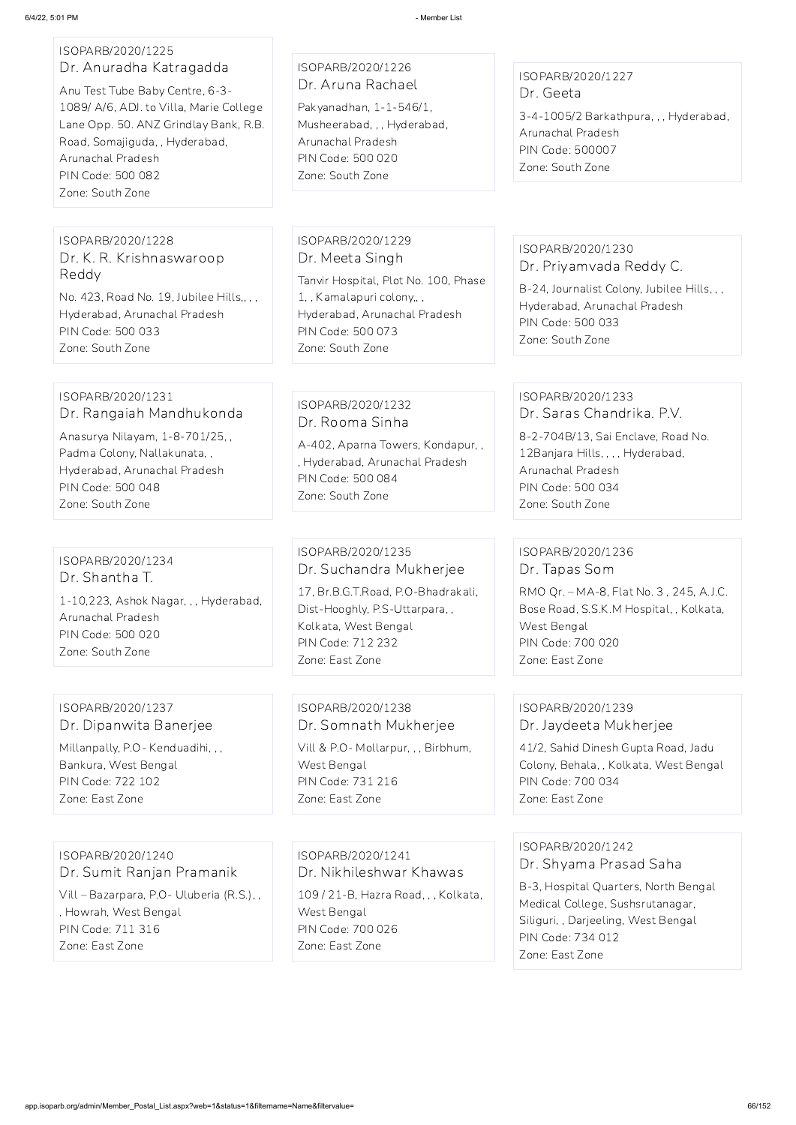#### ISOPARB/2020/1225 Dr. Anuradha Katragadda

Anu Test Tube Baby Centre, 6-3- 1089/ A/6, ADJ. to Villa, Marie College Lane Opp. 50. ANZ Grindlay Bank, R.B. Road, Somajiguda, , Hyderabad, Arunachal Pradesh PIN Code: 500 082 Zone: South Zone

## ISOPARB/2020/1226 Dr. Aruna Rachael

Pakyanadhan, 1-1-546/1, Musheerabad, , , Hyderabad, Arunachal Pradesh PIN Code: 500 020 Zone: South Zone

## ISOPARB/2020/1227 Dr. Geeta

3-4-1005/2 Barkathpura, , , Hyderabad, Arunachal Pradesh PIN Code: 500007 Zone: South Zone

ISOPARB/2020/1228 Dr. K. R. Krishnaswaroop Reddy

No. 423, Road No. 19, Jubilee Hills,, , , Hyderabad, Arunachal Pradesh PIN Code: 500 033 Zone: South Zone

#### ISOPARB/2020/1229 Dr. Meeta Singh

Tanvir Hospital, Plot No. 100, Phase 1, , Kamalapuri colony,, , Hyderabad, Arunachal Pradesh PIN Code: 500 073 Zone: South Zone

## ISOPARB/2020/1230 Dr. Priyamvada Reddy C.

B-24, Journalist Colony, Jubilee Hills, , , Hyderabad, Arunachal Pradesh PIN Code: 500 033 Zone: South Zone

#### ISOPARB/2020/1231 Dr. Rangaiah Mandhukonda

Anasurya Nilayam, 1-8-701/25, , Padma Colony, Nallakunata, , Hyderabad, Arunachal Pradesh PIN Code: 500 048 Zone: South Zone

## ISOPARB/2020/1232 Dr. Rooma Sinha

A-402, Aparna Towers, Kondapur, , , Hyderabad, Arunachal Pradesh PIN Code: 500 084 Zone: South Zone

# ISOPARB/2020/1233

Dr. Saras Chandrika. P.V.

8-2-704B/13, Sai Enclave, Road No. 12Banjara Hills, , , , Hyderabad, Arunachal Pradesh PIN Code: 500 034 Zone: South Zone

# ISOPARB/2020/1234 Dr. Shantha T.

1-10,223, Ashok Nagar, , , Hyderabad, Arunachal Pradesh PIN Code: 500 020 Zone: South Zone

## ISOPARB/2020/1235 Dr. Suchandra Mukherjee

17, Br.B.G.T.Road, P.O-Bhadrakali, Dist-Hooghly, P.S-Uttarpara, , Kolkata, West Bengal PIN Code: 712 232 Zone: East Zone

# ISOPARB/2020/1236 Dr. Tapas Som

RMO Qr. – MA-8, Flat No. 3 , 245, A.J.C. Bose Road, S.S.K.M Hospital, , Kolkata, West Bengal PIN Code: 700 020 Zone: East Zone

## ISOPARB/2020/1237 Dr. Dipanwita Banerjee

Millanpally, P.O- Kenduadihi, , , Bankura, West Bengal PIN Code: 722 102 Zone: East Zone

## ISOPARB/2020/1238 Dr. Somnath Mukherjee

Vill & P.O- Mollarpur, , , Birbhum, West Bengal PIN Code: 731 216 Zone: East Zone

## ISOPARB/2020/1239 Dr. Jaydeeta Mukherjee

41/2, Sahid Dinesh Gupta Road, Jadu Colony, Behala, , Kolkata, West Bengal PIN Code: 700 034 Zone: East Zone

ISOPARB/2020/1240 Dr. Sumit Ranjan Pramanik Vill – Bazarpara, P.O- Uluberia (R.S.), , , Howrah, West Bengal PIN Code: 711 316 Zone: East Zone

ISOPARB/2020/1241 Dr. Nikhileshwar Khawas 109 / 21-B, Hazra Road, , , Kolkata, West Bengal PIN Code: 700 026 Zone: East Zone

#### ISOPARB/2020/1242

Dr. Shyama Prasad Saha

B-3, Hospital Quarters, North Bengal Medical College, Sushsrutanagar, Siliguri, , Darjeeling, West Bengal PIN Code: 734 012 Zone: East Zone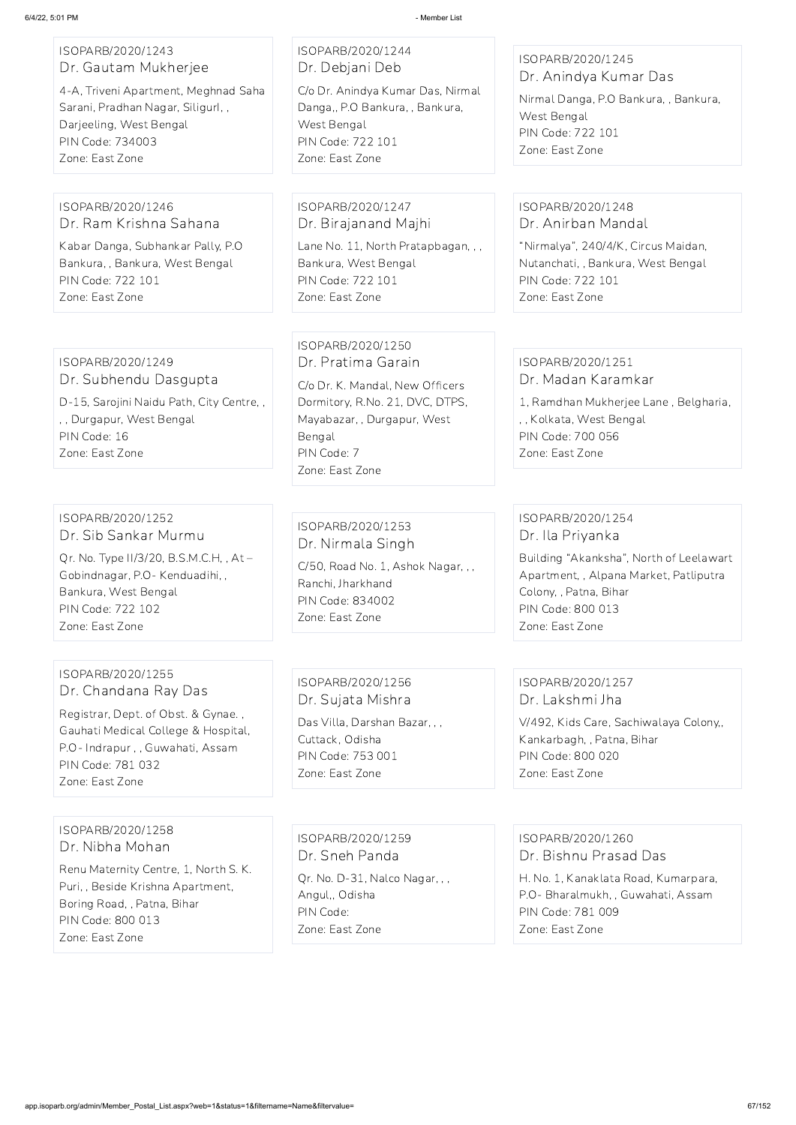| ISOPARB/2020/1243<br>Dr. Gautam Mukherjee<br>4-A, Triveni Apartment, Meghnad Saha                                                                     | ISOPARB/2020/1244<br>Dr. Debjani Deb<br>C/o Dr. Anindya Kumar Das, Nirmal                                                                                                                | ISOPARB/2020/1245<br>Dr. Anindya Kumar Das                                                                                                          |
|-------------------------------------------------------------------------------------------------------------------------------------------------------|------------------------------------------------------------------------------------------------------------------------------------------------------------------------------------------|-----------------------------------------------------------------------------------------------------------------------------------------------------|
| Sarani, Pradhan Nagar, Siligurl,,<br>Darjeeling, West Bengal<br>PIN Code: 734003<br>Zone: East Zone                                                   | Danga,, P.O Bankura,, Bankura,<br>West Bengal<br><b>PIN Code: 722 101</b><br>Zone: East Zone                                                                                             | Nirmal Danga, P.O Bankura, , Bankura,<br>West Bengal<br><b>PIN Code: 722 101</b><br>Zone: East Zone                                                 |
|                                                                                                                                                       |                                                                                                                                                                                          |                                                                                                                                                     |
| ISOPARB/2020/1246<br>Dr. Ram Krishna Sahana                                                                                                           | ISOPARB/2020/1247<br>Dr. Birajanand Majhi                                                                                                                                                | ISOPARB/2020/1248<br>Dr. Anirban Mandal                                                                                                             |
| Kabar Danga, Subhankar Pally, P.O.<br>Bankura, , Bankura, West Bengal<br><b>PIN Code: 722 101</b>                                                     | Lane No. 11, North Pratapbagan, , ,<br>Bankura, West Bengal<br>PIN Code: 722 101                                                                                                         | "Nirmalya", 240/4/K, Circus Maidan,<br>Nutanchati, , Bankura, West Bengal<br>PIN Code: 722 101                                                      |
| Zone: East Zone                                                                                                                                       | Zone: East Zone                                                                                                                                                                          | Zone: East Zone                                                                                                                                     |
| ISOPARB/2020/1249<br>Dr. Subhendu Dasgupta<br>D-15, Sarojini Naidu Path, City Centre,,<br>,, Durgapur, West Bengal<br>PIN Code: 16<br>Zone: East Zone | ISOPARB/2020/1250<br>Dr. Pratima Garain<br>C/o Dr. K. Mandal, New Officers<br>Dormitory, R.No. 21, DVC, DTPS,<br>Mayabazar, , Durgapur, West<br>Bengal<br>PIN Code: 7<br>Zone: East Zone | ISOPARB/2020/1251<br>Dr. Madan Karamkar<br>1, Ramdhan Mukherjee Lane, Belgharia,<br>,, Kolkata, West Bengal<br>PIN Code: 700 056<br>Zone: East Zone |
|                                                                                                                                                       |                                                                                                                                                                                          |                                                                                                                                                     |
| ISOPARB/2020/1252<br>Dr. Sib Sankar Murmu                                                                                                             | ISOPARB/2020/1253<br>Dr. Nirmala Singh                                                                                                                                                   | ISOPARB/2020/1254<br>Dr. Ila Priyanka                                                                                                               |
| Qr. No. Type II/3/20, B.S.M.C.H,, At -<br>Gobindnagar, P.O - Kenduadihi, ,<br>Bankura, West Bengal<br>PIN Code: 722 102<br>Zone: East Zone            | C/50, Road No. 1, Ashok Nagar, , ,<br>Ranchi, Jharkhand<br>PIN Code: 834002<br>Zone: East Zone                                                                                           | Building "Akanksha", North of Leelawart<br>Apartment,, Alpana Market, Patliputra<br>Colony, , Patna, Bihar<br>PIN Code: 800 013<br>Zone: East Zone  |
|                                                                                                                                                       |                                                                                                                                                                                          |                                                                                                                                                     |
| ISOPARB/2020/1255<br>Dr. Chandana Ray Das                                                                                                             | ISOPARB/2020/1256<br>Dr. Sujata Mishra                                                                                                                                                   | ISOPARB/2020/1257<br>Dr. Lakshmi Jha                                                                                                                |

Registrar, Dept. of Obst. & Gynae. , Gauhati Medical College & Hospital, P.O- Indrapur , , Guwahati, Assam PIN Code: 781 032 Zone: East Zone

Das Villa, Darshan Bazar, , ,

Cuttack, Odisha PIN Code: 753 001

Zone: East Zone

V/492, Kids Care, Sachiwalaya Colony,,

Kankarbagh, , Patna, Bihar

PIN Code: 800 020

Zone: East Zone

ISOPARB/2020/1258 Dr. Nibha Mohan

Renu Maternity Centre, 1, North S. K. Puri, , Beside Krishna Apartment, Boring Road, , Patna, Bihar PIN Code: 800 013 Zone: East Zone

ISOPARB/2020/1259

Dr. Sneh Panda

Qr. No. D-31, Nalco Nagar, , , Angul,, Odisha PIN Code: Zone: East Zone

ISOPARB/2020/1260

Dr. Bishnu Prasad Das

H. No. 1, Kanaklata Road, Kumarpara, P.O- Bharalmukh, , Guwahati, Assam PIN Code: 781 009 Zone: East Zone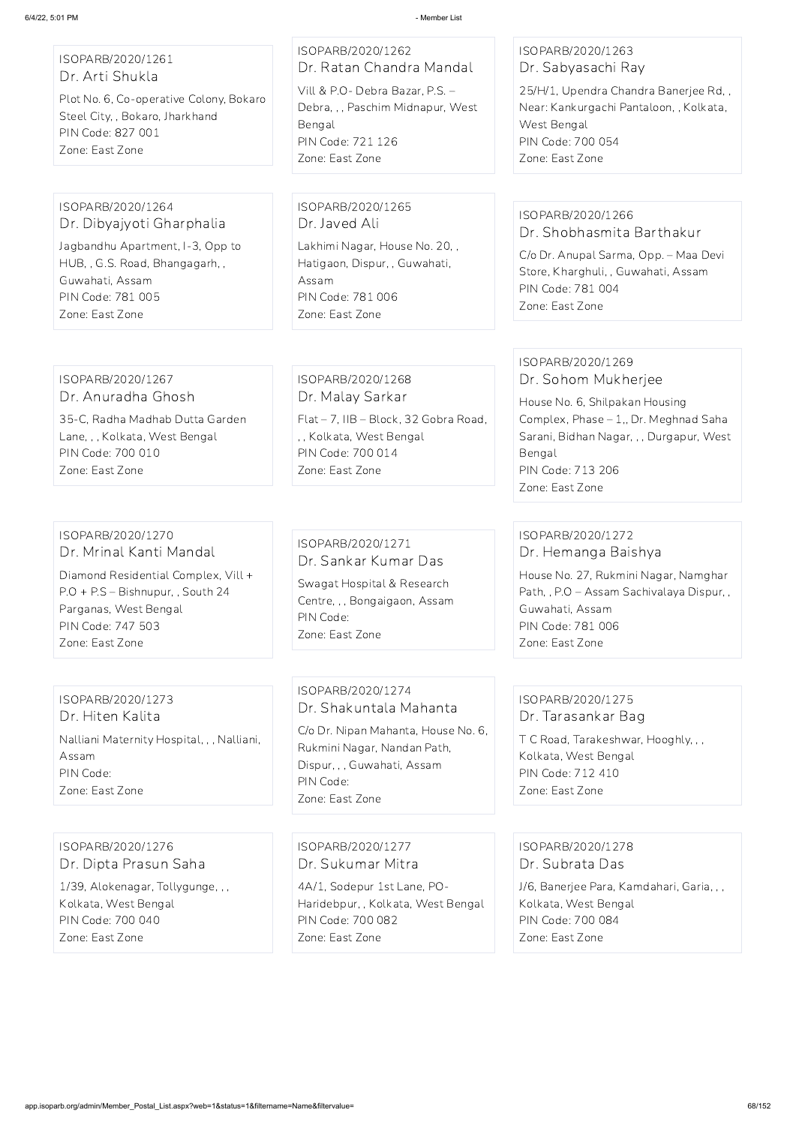## ISOPARB/2020/1261 Dr. Arti Shukla

Plot No. 6, Co-operative Colony, Bokaro Steel City, , Bokaro, Jharkhand PIN Code: 827 001 Zone: East Zone

ISOPARB/2020/1262 Dr. Ratan Chandra Mandal Vill & P.O- Debra Bazar, P.S. – Debra, , , Paschim Midnapur, West Bengal PIN Code: 721 126 Zone: East Zone

#### ISOPARB/2020/1263 Dr. Sabyasachi Ray

25/H/1, Upendra Chandra Banerjee Rd, , Near: Kankurgachi Pantaloon, , Kolkata, West Bengal PIN Code: 700 054 Zone: East Zone

#### ISOPARB/2020/1264 Dr. Dibyajyoti Gharphalia

Jagbandhu Apartment, I-3, Opp to HUB, , G.S. Road, Bhangagarh, , Guwahati, Assam PIN Code: 781 005 Zone: East Zone

ISOPARB/2020/1265 Dr. Javed Ali Lakhimi Nagar, House No. 20, , Hatigaon, Dispur, , Guwahati, Assam PIN Code: 781 006 Zone: East Zone

## ISOPARB/2020/1266 Dr. Shobhasmita Barthakur

C/o Dr. Anupal Sarma, Opp. – Maa Devi Store, Kharghuli, , Guwahati, Assam PIN Code: 781 004 Zone: East Zone

#### ISOPARB/2020/1267 Dr. Anuradha Ghosh

35-C, Radha Madhab Dutta Garden Lane, , , Kolkata, West Bengal PIN Code: 700 010 Zone: East Zone

ISOPARB/2020/1268 Dr. Malay Sarkar Flat – 7, IIB – Block, 32 Gobra Road, , , Kolkata, West Bengal PIN Code: 700 014 Zone: East Zone

#### ISOPARB/2020/1269 Dr. Sohom Mukherjee

House No. 6, Shilpakan Housing Complex, Phase – 1,, Dr. Meghnad Saha Sarani, Bidhan Nagar, , , Durgapur, West Bengal PIN Code: 713 206 Zone: East Zone

#### ISOPARB/2020/1270 Dr. Mrinal Kanti Mandal

Diamond Residential Complex, Vill + P.O + P.S – Bishnupur, , South 24 Parganas, West Bengal PIN Code: 747 503 Zone: East Zone

## ISOPARB/2020/1271 Dr. Sankar Kumar Das

Swagat Hospital & Research Centre, , , Bongaigaon, Assam PIN Code: Zone: East Zone

## ISOPARB/2020/1272 Dr. Hemanga Baishya

House No. 27, Rukmini Nagar, Namghar Path, , P.O – Assam Sachivalaya Dispur, , Guwahati, Assam PIN Code: 781 006 Zone: East Zone

## ISOPARB/2020/1273 Dr. Hiten Kalita Nalliani Maternity Hospital, , , Nalliani, Assam PIN Code: Zone: East Zone

## ISOPARB/2020/1274 Dr. Shakuntala Mahanta

C/o Dr. Nipan Mahanta, House No. 6, Rukmini Nagar, Nandan Path, Dispur, , , Guwahati, Assam PIN Code: Zone: East Zone

## ISOPARB/2020/1275 Dr. Tarasankar Bag

T C Road, Tarakeshwar, Hooghly, , , Kolkata, West Bengal PIN Code: 712 410 Zone: East Zone

ISOPARB/2020/1276

Dr. Dipta Prasun Saha

1/39, Alokenagar, Tollygunge, , , Kolkata, West Bengal PIN Code: 700 040 Zone: East Zone

ISOPARB/2020/1277

Dr. Sukumar Mitra

4A/1, Sodepur 1st Lane, PO-Haridebpur, , Kolkata, West Bengal PIN Code: 700 082 Zone: East Zone

ISOPARB/2020/1278

Dr. Subrata Das

J/6, Banerjee Para, Kamdahari, Garia, , , Kolkata, West Bengal PIN Code: 700 084 Zone: East Zone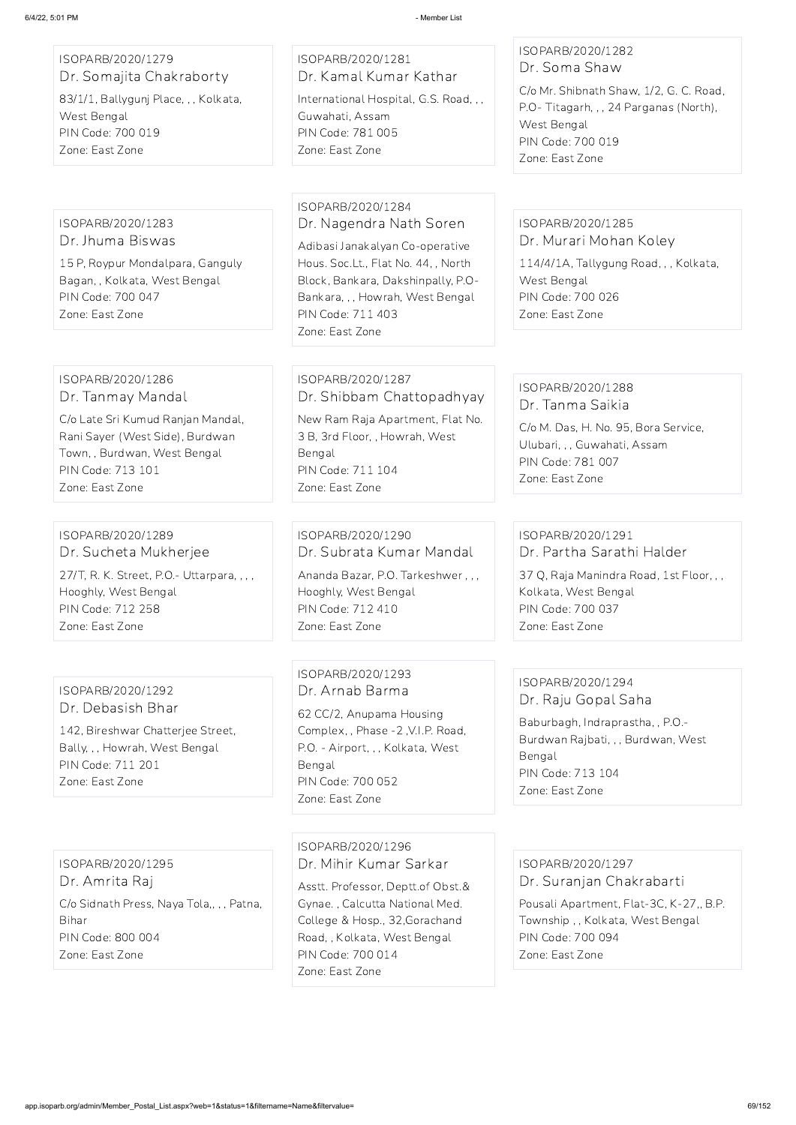## ISOPARB/2020/1279 Dr. Somajita Chakraborty

83/1/1, Ballygunj Place, , , Kolkata, West Bengal PIN Code: 700 019 Zone: East Zone

## ISOPARB/2020/1281 Dr. Kamal Kumar Kathar International Hospital, G.S. Road, , , Guwahati, Assam PIN Code: 781 005 Zone: East Zone

## ISOPARB/2020/1282 Dr. Soma Shaw

C/o Mr. Shibnath Shaw, 1/2, G. C. Road, P.O- Titagarh, , , 24 Parganas (North), West Bengal PIN Code: 700 019 Zone: East Zone

#### ISOPARB/2020/1283 Dr. Jhuma Biswas

15 P, Roypur Mondalpara, Ganguly Bagan, , Kolkata, West Bengal PIN Code: 700 047 Zone: East Zone

### ISOPARB/2020/1284 Dr. Nagendra Nath Soren

Adibasi Janakalyan Co-operative Hous. Soc.Lt., Flat No. 44, , North Block, Bankara, Dakshinpally, P.O-Bankara, , , Howrah, West Bengal PIN Code: 711 403 Zone: East Zone

#### ISOPARB/2020/1285 Dr. Murari Mohan Koley

114/4/1A, Tallygung Road, , , Kolkata, West Bengal PIN Code: 700 026 Zone: East Zone

#### ISOPARB/2020/1286 Dr. Tanmay Mandal

C/o Late Sri Kumud Ranjan Mandal, Rani Sayer (West Side), Burdwan Town, , Burdwan, West Bengal PIN Code: 713 101 Zone: East Zone

## ISOPARB/2020/1287 Dr. Shibbam Chattopadhyay

New Ram Raja Apartment, Flat No. 3 B, 3rd Floor, , Howrah, West Bengal PIN Code: 711 104 Zone: East Zone

## ISOPARB/2020/1288 Dr. Tanma Saikia

C/o M. Das, H. No. 95, Bora Service, Ulubari, , , Guwahati, Assam PIN Code: 781 007 Zone: East Zone

#### ISOPARB/2020/1289 Dr. Sucheta Mukherjee

27/T, R. K. Street, P.O.- Uttarpara, , , , Hooghly, West Bengal PIN Code: 712 258 Zone: East Zone

## ISOPARB/2020/1290 Dr. Subrata Kumar Mandal

Ananda Bazar, P.O. Tarkeshwer , , , Hooghly, West Bengal PIN Code: 712 410 Zone: East Zone

## ISOPARB/2020/1291 Dr. Partha Sarathi Halder

37 Q, Raja Manindra Road, 1st Floor, , , Kolkata, West Bengal PIN Code: 700 037 Zone: East Zone

## ISOPARB/2020/1292 Dr. Debasish Bhar

142, Bireshwar Chatterjee Street, Bally, , , Howrah, West Bengal PIN Code: 711 201 Zone: East Zone

## ISOPARB/2020/1293 Dr. Arnab Barma

62 CC/2, Anupama Housing Complex, , Phase -2 ,V.I.P. Road, P.O. - Airport, , , Kolkata, West Bengal PIN Code: 700 052 Zone: East Zone

## ISOPARB/2020/1294 Dr. Raju Gopal Saha

Baburbagh, Indraprastha, , P.O.- Burdwan Rajbati, , , Burdwan, West Bengal PIN Code: 713 104 Zone: East Zone

ISOPARB/2020/1295 Dr. Amrita Raj C/o Sidnath Press, Naya Tola,, , , Patna, Bihar PIN Code: 800 004 Zone: East Zone

#### ISOPARB/2020/1296

Dr. Mihir Kumar Sarkar

Asstt. Professor, Deptt.of Obst.& Gynae. , Calcutta National Med. College & Hosp., 32,Gorachand Road, , Kolkata, West Bengal PIN Code: 700 014 Zone: East Zone

ISOPARB/2020/1297 Dr. Suranjan Chakrabarti

Pousali Apartment, Flat-3C, K-27,, B.P. Township , , Kolkata, West Bengal PIN Code: 700 094 Zone: East Zone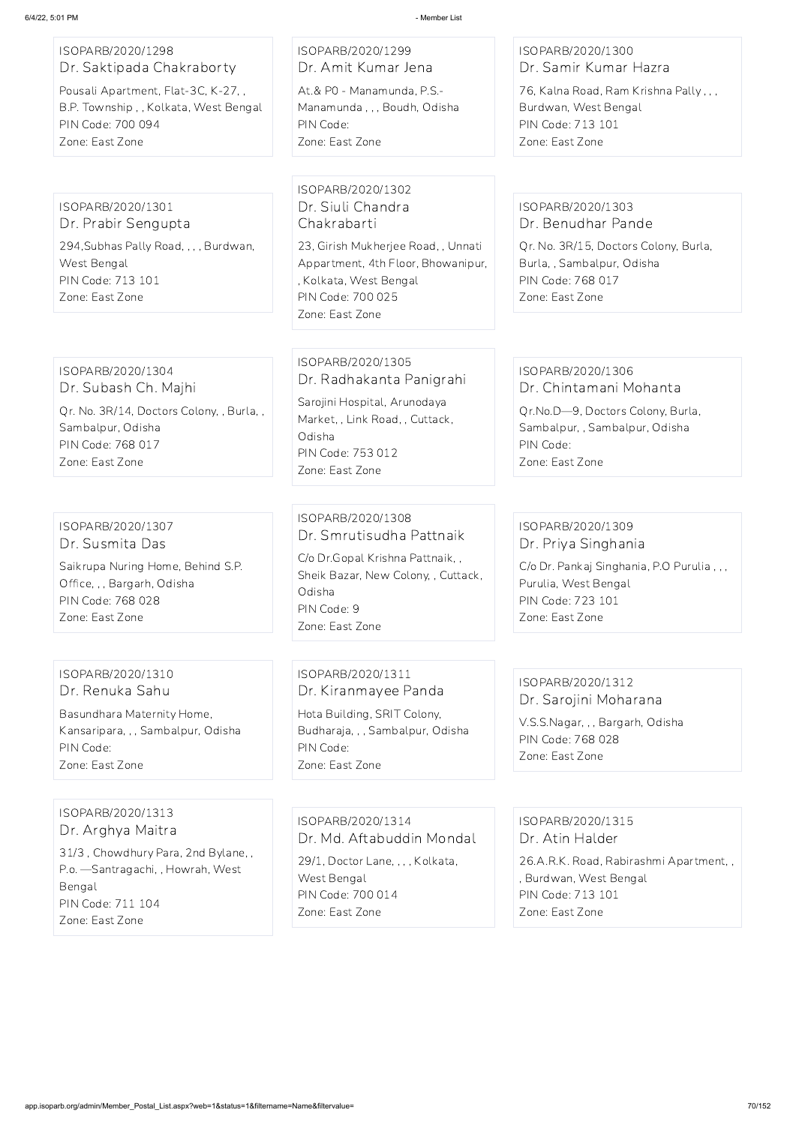#### ISOPARB/2020/1298 Dr. Saktipada Chakraborty

Pousali Apartment, Flat-3C, K-27, , B.P. Township , , Kolkata, West Bengal PIN Code: 700 094 Zone: East Zone

ISOPARB/2020/1299 Dr. Amit Kumar Jena

At.& P0 - Manamunda, P.S.- Manamunda , , , Boudh, Odisha PIN Code: Zone: East Zone

ISOPARB/2020/1300 Dr. Samir Kumar Hazra

76, Kalna Road, Ram Krishna Pally , , , Burdwan, West Bengal PIN Code: 713 101 Zone: East Zone

#### ISOPARB/2020/1301 Dr. Prabir Sengupta

294,Subhas Pally Road, , , , Burdwan, West Bengal PIN Code: 713 101 Zone: East Zone

ISOPARB/2020/1302 Dr. Siuli Chandra Chakrabarti

23, Girish Mukherjee Road, , Unnati Appartment, 4th Floor, Bhowanipur, , Kolkata, West Bengal PIN Code: 700 025 Zone: East Zone

## ISOPARB/2020/1303 Dr. Benudhar Pande

Qr. No. 3R/15, Doctors Colony, Burla, Burla, , Sambalpur, Odisha PIN Code: 768 017 Zone: East Zone

#### ISOPARB/2020/1304 Dr. Subash Ch. Majhi

Qr. No. 3R/14, Doctors Colony, , Burla, , Sambalpur, Odisha PIN Code: 768 017 Zone: East Zone

## ISOPARB/2020/1305 Dr. Radhakanta Panigrahi

Sarojini Hospital, Arunodaya Market, , Link Road, , Cuttack, Odisha PIN Code: 753 012 Zone: East Zone

#### ISOPARB/2020/1306 Dr. Chintamani Mohanta

Qr.No.D—9, Doctors Colony, Burla, Sambalpur, , Sambalpur, Odisha PIN Code: Zone: East Zone

#### ISOPARB/2020/1307 Dr. Susmita Das

Saikrupa Nuring Home, Behind S.P. Office, , , Bargarh, Odisha PIN Code: 768 028 Zone: East Zone

## ISOPARB/2020/1308 Dr. Smrutisudha Pattnaik

C/o Dr.Gopal Krishna Pattnaik, , Sheik Bazar, New Colony, , Cuttack, Odisha PIN Code: 9 Zone: East Zone

## ISOPARB/2020/1309 Dr. Priya Singhania

C/o Dr. Pankaj Singhania, P.O Purulia , , , Purulia, West Bengal PIN Code: 723 101 Zone: East Zone

## ISOPARB/2020/1310 Dr. Renuka Sahu

Basundhara Maternity Home, Kansaripara, , , Sambalpur, Odisha PIN Code: Zone: East Zone

ISOPARB/2020/1311 Dr. Kiranmayee Panda

Hota Building, SRIT Colony, Budharaja, , , Sambalpur, Odisha PIN Code: Zone: East Zone

#### ISOPARB/2020/1312 Dr. Sarojini Moharana

V.S.S.Nagar, , , Bargarh, Odisha PIN Code: 768 028 Zone: East Zone

# ISOPARB/2020/1313 Dr. Arghya Maitra

31/3 , Chowdhury Para, 2nd Bylane, , P.o. —Santragachi, , Howrah, West Bengal PIN Code: 711 104 Zone: East Zone

ISOPARB/2020/1314 Dr. Md. Aftabuddin Mondal

29/1, Doctor Lane, , , , Kolkata, West Bengal PIN Code: 700 014 Zone: East Zone

## ISOPARB/2020/1315 Dr. Atin Halder

26.A.R.K. Road, Rabirashmi Apartment, , , Burdwan, West Bengal PIN Code: 713 101 Zone: East Zone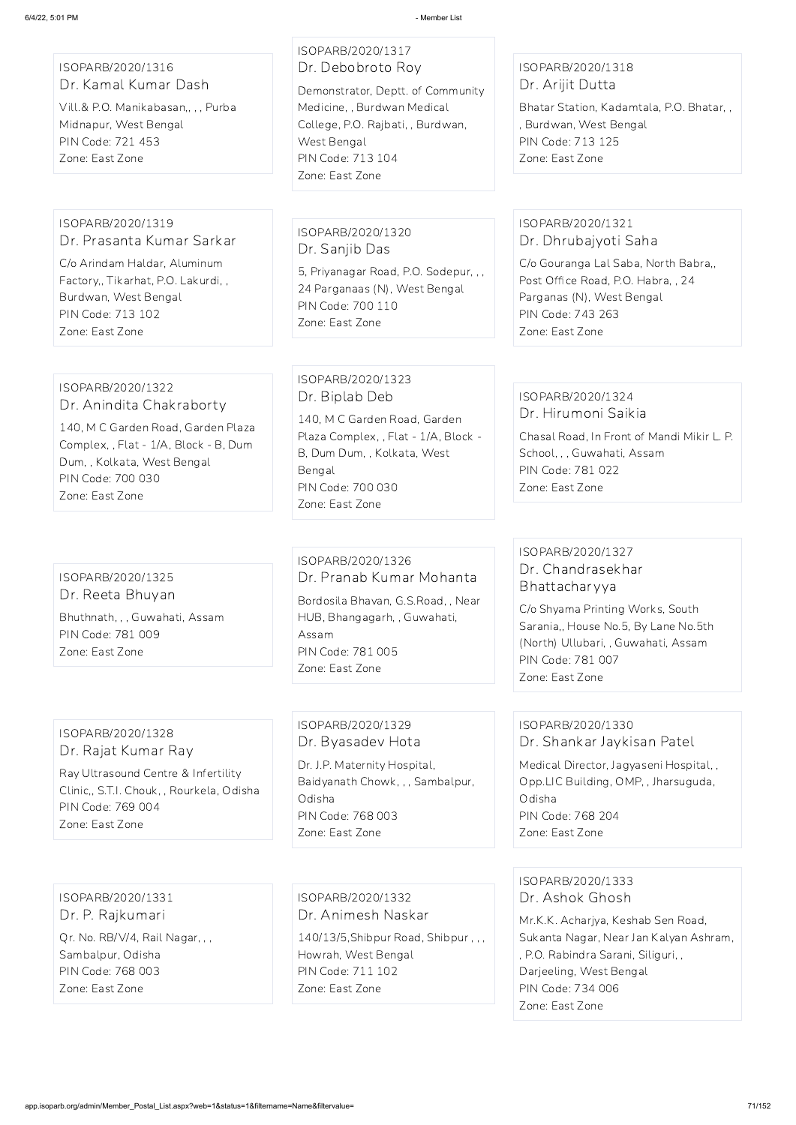ISOPARB/2020/1316 Dr. Kamal Kumar Dash

Vill.& P.O. Manikabasan,, , , Purba Midnapur, West Bengal PIN Code: 721 453 Zone: East Zone

## ISOPARB/2020/1317 Dr. Debobroto Roy

Demonstrator, Deptt. of Community Medicine, , Burdwan Medical College, P.O. Rajbati, , Burdwan, West Bengal PIN Code: 713 104 Zone: East Zone

## ISOPARB/2020/1318 Dr. Arijit Dutta

Bhatar Station, Kadamtala, P.O. Bhatar, , , Burdwan, West Bengal PIN Code: 713 125 Zone: East Zone

#### ISOPARB/2020/1319 Dr. Prasanta Kumar Sarkar

C/o Arindam Haldar, Aluminum Factory,, Tikarhat, P.O. Lakurdi, , Burdwan, West Bengal PIN Code: 713 102 Zone: East Zone

## ISOPARB/2020/1320 Dr. Sanjib Das

5, Priyanagar Road, P.O. Sodepur, , , 24 Parganaas (N), West Bengal PIN Code: 700 110 Zone: East Zone

## ISOPARB/2020/1321 Dr. Dhrubajyoti Saha

C/o Gouranga Lal Saba, North Babra,, Post Office Road, P.O. Habra, , 24 Parganas (N), West Bengal PIN Code: 743 263 Zone: East Zone

## ISOPARB/2020/1322 Dr. Anindita Chakraborty

140, M C Garden Road, Garden Plaza Complex, , Flat - 1/A, Block - B, Dum Dum, , Kolkata, West Bengal PIN Code: 700 030 Zone: East Zone

## ISOPARB/2020/1323 Dr. Biplab Deb

140, M C Garden Road, Garden Plaza Complex, , Flat - 1/A, Block - B, Dum Dum, , Kolkata, West Bengal PIN Code: 700 030 Zone: East Zone

## ISOPARB/2020/1324 Dr. Hirumoni Saikia

Chasal Road, In Front of Mandi Mikir L. P. School, , , Guwahati, Assam PIN Code: 781 022 Zone: East Zone

## ISOPARB/2020/1325 Dr. Reeta Bhuyan

Bhuthnath, , , Guwahati, Assam PIN Code: 781 009 Zone: East Zone

## ISOPARB/2020/1326 Dr. Pranab Kumar Mohanta

Bordosila Bhavan, G.S.Road, , Near HUB, Bhangagarh, , Guwahati, Assam PIN Code: 781 005 Zone: East Zone

## ISOPARB/2020/1327 Dr. Chandrasekhar Bhattacharyya

C/o Shyama Printing Works, South Sarania,, House No.5, By Lane No.5th (North) Ullubari, , Guwahati, Assam PIN Code: 781 007 Zone: East Zone

## ISOPARB/2020/1328 Dr. Rajat Kumar Ray

Ray Ultrasound Centre & Infertility Clinic,, S.T.I. Chouk, , Rourkela, Odisha PIN Code: 769 004 Zone: East Zone

## ISOPARB/2020/1329 Dr. Byasadev Hota

Dr. J.P. Maternity Hospital, Baidyanath Chowk, , , Sambalpur, Odisha PIN Code: 768 003 Zone: East Zone

## ISOPARB/2020/1330 Dr. Shankar Jaykisan Patel

Medical Director, Jagyaseni Hospital, , Opp.LIC Building, OMP, , Jharsuguda, Odisha PIN Code: 768 204 Zone: East Zone

ISOPARB/2020/1331 Dr. P. Rajkumari Qr. No. RB/V/4, Rail Nagar, , , Sambalpur, Odisha PIN Code: 768 003 Zone: East Zone

ISOPARB/2020/1332 Dr. Animesh Naskar

140/13/5,Shibpur Road, Shibpur , , , Howrah, West Bengal PIN Code: 711 102 Zone: East Zone

ISOPARB/2020/1333 Dr. Ashok Ghosh Mr.K.K. Acharjya, Keshab Sen Road, Sukanta Nagar, Near Jan Kalyan Ashram, , P.O. Rabindra Sarani, Siliguri, , Darjeeling, West Bengal PIN Code: 734 006 Zone: East Zone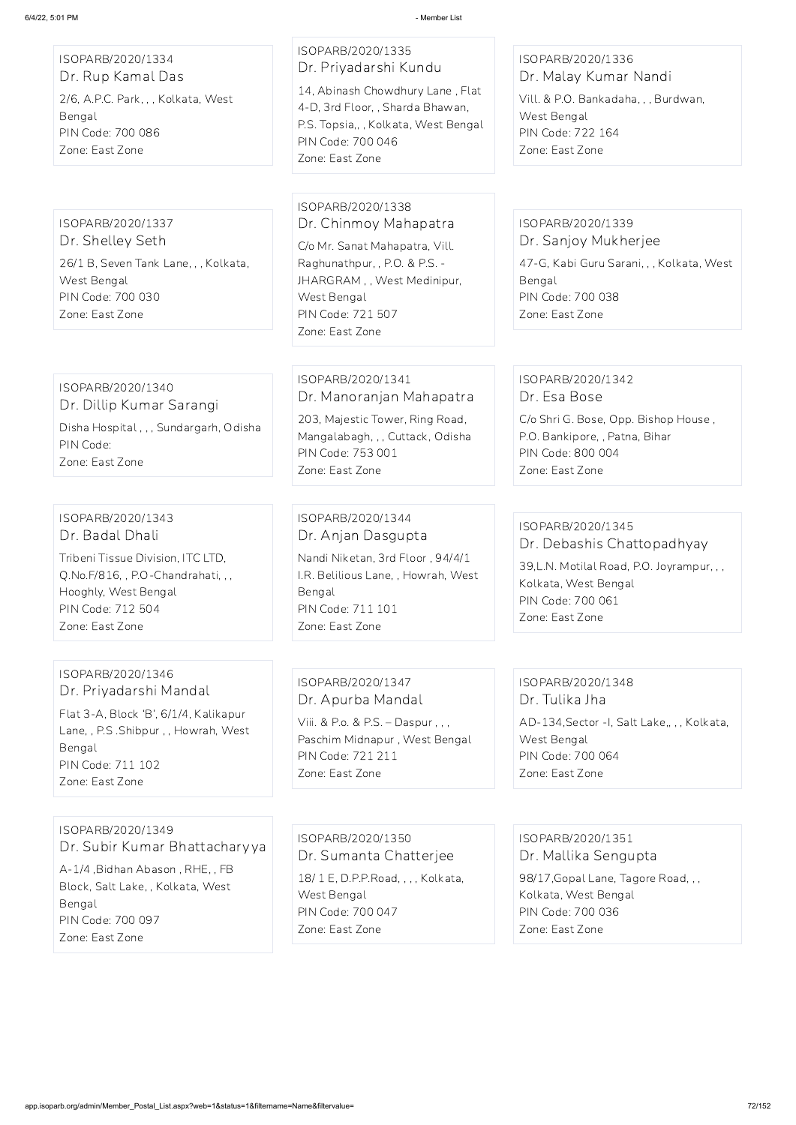ISOPARB/2020/1334 Dr. Rup Kamal Das 2/6, A.P.C. Park, , , Kolkata, West Bengal PIN Code: 700 086 Zone: East Zone

ISOPARB/2020/1335 Dr. Priyadarshi Kundu

14, Abinash Chowdhury Lane , Flat 4-D, 3rd Floor, , Sharda Bhawan, P.S. Topsia,, , Kolkata, West Bengal PIN Code: 700 046 Zone: East Zone

ISOPARB/2020/1336 Dr. Malay Kumar Nandi

Vill. & P.O. Bankadaha, , , Burdwan, West Bengal PIN Code: 722 164 Zone: East Zone

ISOPARB/2020/1337 Dr. Shelley Seth

26/1 B, Seven Tank Lane, , , Kolkata, West Bengal PIN Code: 700 030 Zone: East Zone

ISOPARB/2020/1338 Dr. Chinmoy Mahapatra

C/o Mr. Sanat Mahapatra, Vill. Raghunathpur, , P.O. & P.S. - JHARGRAM , , West Medinipur, West Bengal PIN Code: 721 507 Zone: East Zone

#### ISOPARB/2020/1339 Dr. Sanjoy Mukherjee

47-G, Kabi Guru Sarani, , , Kolkata, West Bengal PIN Code: 700 038 Zone: East Zone

ISOPARB/2020/1340 Dr. Dillip Kumar Sarangi Disha Hospital , , , Sundargarh, Odisha PIN Code: Zone: East Zone

ISOPARB/2020/1341 Dr. Manoranjan Mahapatra

203, Majestic Tower, Ring Road, Mangalabagh, , , Cuttack, Odisha PIN Code: 753 001 Zone: East Zone

#### ISOPARB/2020/1342 Dr. Esa Bose

C/o Shri G. Bose, Opp. Bishop House , P.O. Bankipore, , Patna, Bihar PIN Code: 800 004 Zone: East Zone

## ISOPARB/2020/1343 Dr. Badal Dhali

Tribeni Tissue Division, ITC LTD, Q.No.F/816, , P.O-Chandrahati, , , Hooghly, West Bengal PIN Code: 712 504 Zone: East Zone

ISOPARB/2020/1344 Dr. Anjan Dasgupta

Nandi Niketan, 3rd Floor , 94/4/1 I.R. Belilious Lane, , Howrah, West Bengal PIN Code: 711 101 Zone: East Zone

## ISOPARB/2020/1345 Dr. Debashis Chattopadhyay

39,L.N. Motilal Road, P.O. Joyrampur, , , Kolkata, West Bengal PIN Code: 700 061 Zone: East Zone

## ISOPARB/2020/1346 Dr. Priyadarshi Mandal

Flat 3-A, Block 'B', 6/1/4, Kalikapur Lane, , P.S .Shibpur , , Howrah, West Bengal PIN Code: 711 102 Zone: East Zone

ISOPARB/2020/1347 Dr. Apurba Mandal

Viii. & P.o. & P.S. – Daspur , , , Paschim Midnapur , West Bengal PIN Code: 721 211 Zone: East Zone

## ISOPARB/2020/1348 Dr. Tulika Jha

AD-134,Sector -I, Salt Lake,, , , Kolkata, West Bengal PIN Code: 700 064 Zone: East Zone

ISOPARB/2020/1349 Dr. Subir Kumar Bhattacharyya

A-1/4 ,Bidhan Abason , RHE, , FB Block, Salt Lake, , Kolkata, West Bengal PIN Code: 700 097 Zone: East Zone

ISOPARB/2020/1350

Dr. Sumanta Chatterjee

18/ 1 E, D.P.P.Road, , , , Kolkata, West Bengal PIN Code: 700 047 Zone: East Zone

ISOPARB/2020/1351

Dr. Mallika Sengupta

98/17,Gopal Lane, Tagore Road, , , Kolkata, West Bengal PIN Code: 700 036 Zone: East Zone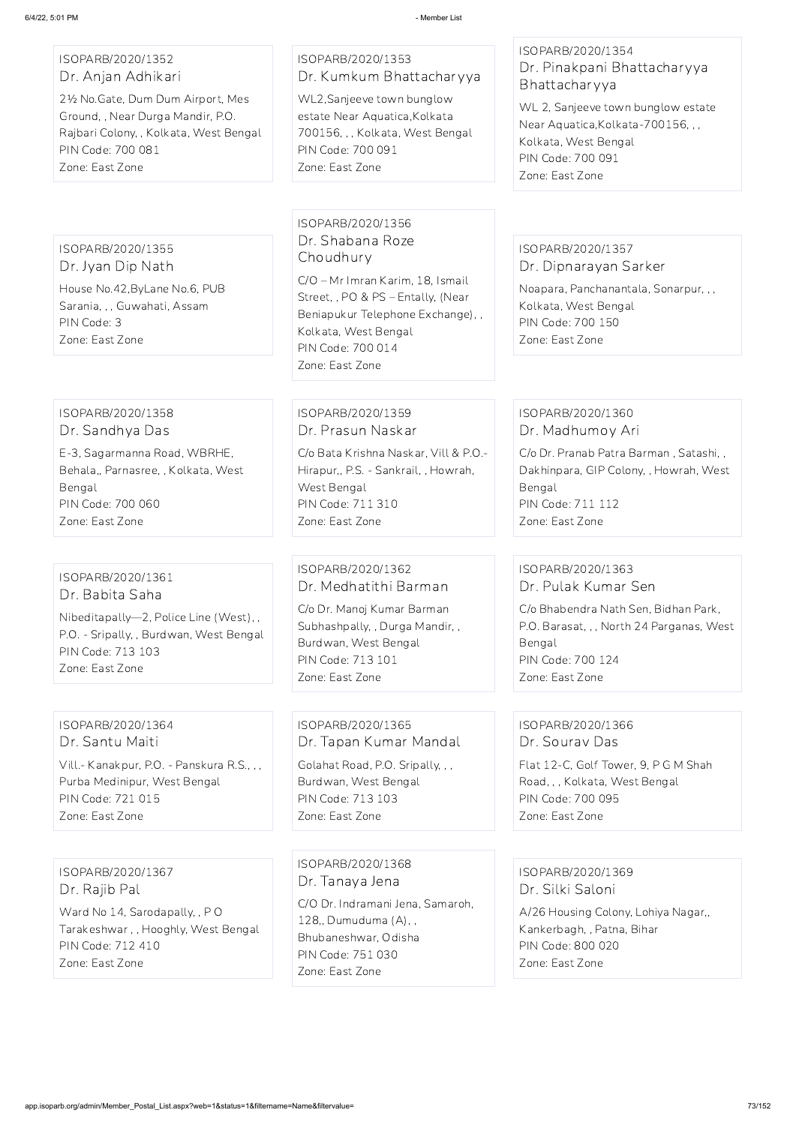### ISOPARB/2020/1352 Dr. Anjan Adhikari

2½ No.Gate, Dum Dum Airport, Mes Ground, , Near Durga Mandir, P.O. Rajbari Colony, , Kolkata, West Bengal PIN Code: 700 081 Zone: East Zone

### ISOPARB/2020/1353 Dr. Kumkum Bhattacharyya

WL2,Sanjeeve town bunglow estate Near Aquatica,Kolkata 700156, , , Kolkata, West Bengal PIN Code: 700 091 Zone: East Zone

#### ISOPARB/2020/1354 Dr. Pinakpani Bhattacharyya Bhattacharyya

WL 2, Sanjeeve town bunglow estate Near Aquatica,Kolkata-700156, , , Kolkata, West Bengal PIN Code: 700 091 Zone: East Zone

#### ISOPARB/2020/1355 Dr. Jyan Dip Nath

House No.42,ByLane No.6, PUB Sarania, , , Guwahati, Assam PIN Code: 3 Zone: East Zone

#### ISOPARB/2020/1356 Dr. Shabana Roze Choudhury

C/O – Mr Imran Karim, 18, Ismail Street, , PO & PS – Entally, (Near Beniapukur Telephone Exchange), , Kolkata, West Bengal PIN Code: 700 014 Zone: East Zone

#### ISOPARB/2020/1357 Dr. Dipnarayan Sarker

Noapara, Panchanantala, Sonarpur, , , Kolkata, West Bengal PIN Code: 700 150 Zone: East Zone

#### ISOPARB/2020/1358 Dr. Sandhya Das

E-3, Sagarmanna Road, WBRHE, Behala,, Parnasree, , Kolkata, West Bengal PIN Code: 700 060 Zone: East Zone

### ISOPARB/2020/1359 Dr. Prasun Naskar

C/o Bata Krishna Naskar, Vill & P.O.- Hirapur,, P.S. - Sankrail, , Howrah, West Bengal PIN Code: 711 310 Zone: East Zone

#### ISOPARB/2020/1360 Dr. Madhumoy Ari

C/o Dr. Pranab Patra Barman , Satashi, , Dakhinpara, GIP Colony, , Howrah, West Bengal PIN Code: 711 112 Zone: East Zone

#### ISOPARB/2020/1361 Dr. Babita Saha

Nibeditapally—2, Police Line (West), , P.O. - Sripally, , Burdwan, West Bengal PIN Code: 713 103 Zone: East Zone

### ISOPARB/2020/1362 Dr. Medhatithi Barman

C/o Dr. Manoj Kumar Barman Subhashpally, , Durga Mandir, , Burdwan, West Bengal PIN Code: 713 101 Zone: East Zone

### ISOPARB/2020/1363 Dr. Pulak Kumar Sen

C/o Bhabendra Nath Sen, Bidhan Park, P.O. Barasat, , , North 24 Parganas, West Bengal PIN Code: 700 124 Zone: East Zone

#### ISOPARB/2020/1364 Dr. Santu Maiti

Vill.- Kanakpur, P.O. - Panskura R.S., , , Purba Medinipur, West Bengal PIN Code: 721 015 Zone: East Zone

ISOPARB/2020/1365 Dr. Tapan Kumar Mandal

Golahat Road, P.O. Sripally, , , Burdwan, West Bengal PIN Code: 713 103 Zone: East Zone

### ISOPARB/2020/1366 Dr. Sourav Das

Flat 12-C, Golf Tower, 9, P G M Shah Road, , , Kolkata, West Bengal PIN Code: 700 095 Zone: East Zone

ISOPARB/2020/1367 Dr. Rajib Pal Ward No 14, Sarodapally, , P O Tarakeshwar , , Hooghly, West Bengal PIN Code: 712 410 Zone: East Zone

ISOPARB/2020/1368 Dr. Tanaya Jena C/O Dr. Indramani Jena, Samaroh, 128,, Dumuduma (A), , Bhubaneshwar, Odisha PIN Code: 751 030 Zone: East Zone

ISOPARB/2020/1369 Dr. Silki Saloni

A/26 Housing Colony, Lohiya Nagar,, Kankerbagh, , Patna, Bihar PIN Code: 800 020 Zone: East Zone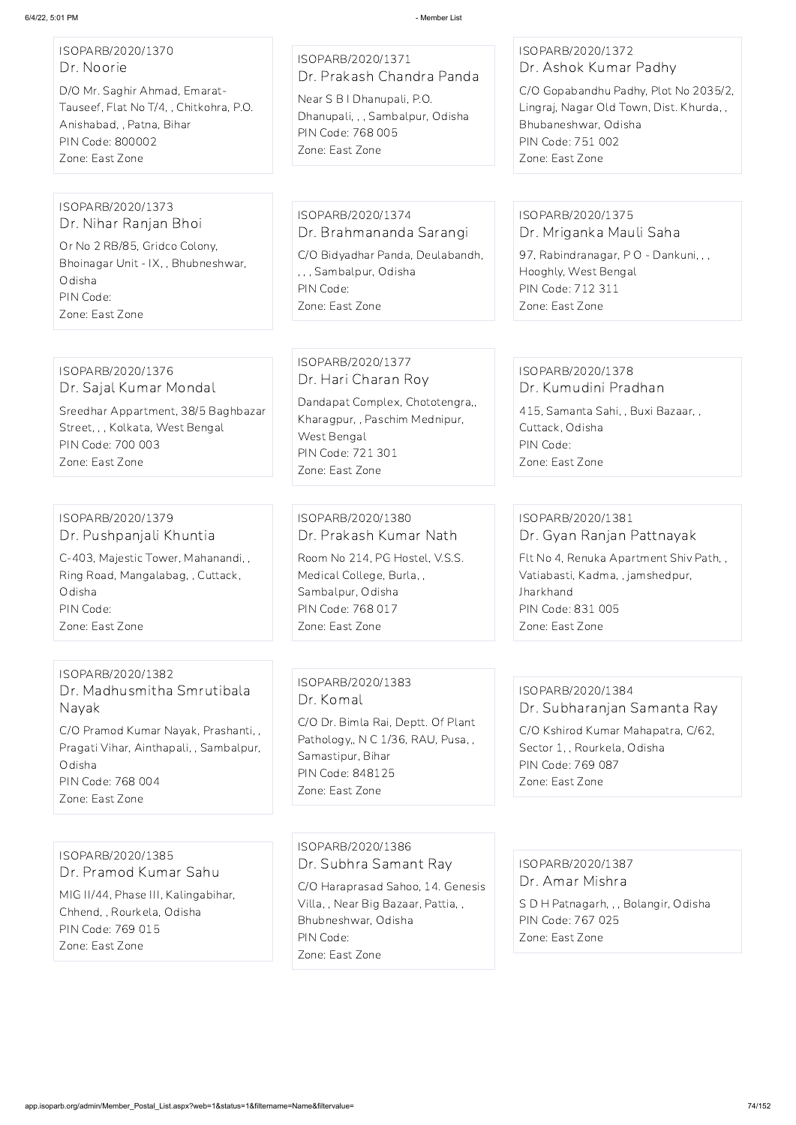## ISOPARB/2020/1370 Dr. Noorie

D/O Mr. Saghir Ahmad, Emarat-Tauseef, Flat No T/4, , Chitkohra, P.O. Anishabad, , Patna, Bihar PIN Code: 800002 Zone: East Zone

# ISOPARB/2020/1371 Dr. Prakash Chandra Panda

Near S B I Dhanupali, P.O. Dhanupali, , , Sambalpur, Odisha PIN Code: 768 005 Zone: East Zone

### ISOPARB/2020/1372 Dr. Ashok Kumar Padhy

C/O Gopabandhu Padhy, Plot No 2035/2, Lingraj, Nagar Old Town, Dist. Khurda, , Bhubaneshwar, Odisha PIN Code: 751 002 Zone: East Zone

#### ISOPARB/2020/1373 Dr. Nihar Ranjan Bhoi

Or No 2 RB/85, Gridco Colony, Bhoinagar Unit - IX, , Bhubneshwar, Odisha PIN Code: Zone: East Zone

ISOPARB/2020/1374 Dr. Brahmananda Sarangi C/O Bidyadhar Panda, Deulabandh, , , , Sambalpur, Odisha

PIN Code: Zone: East Zone

### ISOPARB/2020/1375 Dr. Mriganka Mauli Saha

97, Rabindranagar, P O - Dankuni, , , Hooghly, West Bengal PIN Code: 712 311 Zone: East Zone

#### ISOPARB/2020/1376 Dr. Sajal Kumar Mondal

Sreedhar Appartment, 38/5 Baghbazar Street, , , Kolkata, West Bengal

PIN Code: 700 003 Zone: East Zone

### ISOPARB/2020/1377 Dr. Hari Charan Roy

Dandapat Complex, Chototengra,, Kharagpur, , Paschim Mednipur, West Bengal PIN Code: 721 301 Zone: East Zone

#### ISOPARB/2020/1378 Dr. Kumudini Pradhan

415, Samanta Sahi, , Buxi Bazaar, , Cuttack, Odisha PIN Code: Zone: East Zone

#### ISOPARB/2020/1379 Dr. Pushpanjali Khuntia

C-403, Majestic Tower, Mahanandi, , Ring Road, Mangalabag, , Cuttack, Odisha PIN Code: Zone: East Zone

### ISOPARB/2020/1380 Dr. Prakash Kumar Nath

Room No 214, PG Hostel, V.S.S. Medical College, Burla, , Sambalpur, Odisha PIN Code: 768 017 Zone: East Zone

### ISOPARB/2020/1381 Dr. Gyan Ranjan Pattnayak

Flt No 4, Renuka Apartment Shiv Path, , Vatiabasti, Kadma, , jamshedpur, Jharkhand PIN Code: 831 005 Zone: East Zone

### ISOPARB/2020/1382 Dr. Madhusmitha Smrutibala Nayak

C/O Pramod Kumar Nayak, Prashanti, , Pragati Vihar, Ainthapali, , Sambalpur, Odisha PIN Code: 768 004 Zone: East Zone

### ISOPARB/2020/1383 Dr. Komal

C/O Dr. Bimla Rai, Deptt. Of Plant Pathology,, N C 1/36, RAU, Pusa,, Samastipur, Bihar PIN Code: 848125 Zone: East Zone

### ISOPARB/2020/1384 Dr. Subharanjan Samanta Ray

C/O Kshirod Kumar Mahapatra, C/62, Sector 1, , Rourkela, Odisha PIN Code: 769 087 Zone: East Zone

ISOPARB/2020/1385 Dr. Pramod Kumar Sahu

MIG II/44, Phase III, Kalingabihar, Chhend, , Rourkela, Odisha PIN Code: 769 015 Zone: East Zone

ISOPARB/2020/1386

Dr. Subhra Samant Ray

C/O Haraprasad Sahoo, 14. Genesis Villa, , Near Big Bazaar, Pattia, , Bhubneshwar, Odisha PIN Code: Zone: East Zone

ISOPARB/2020/1387 Dr. Amar Mishra S D H Patnagarh, , , Bolangir, Odisha PIN Code: 767 025 Zone: East Zone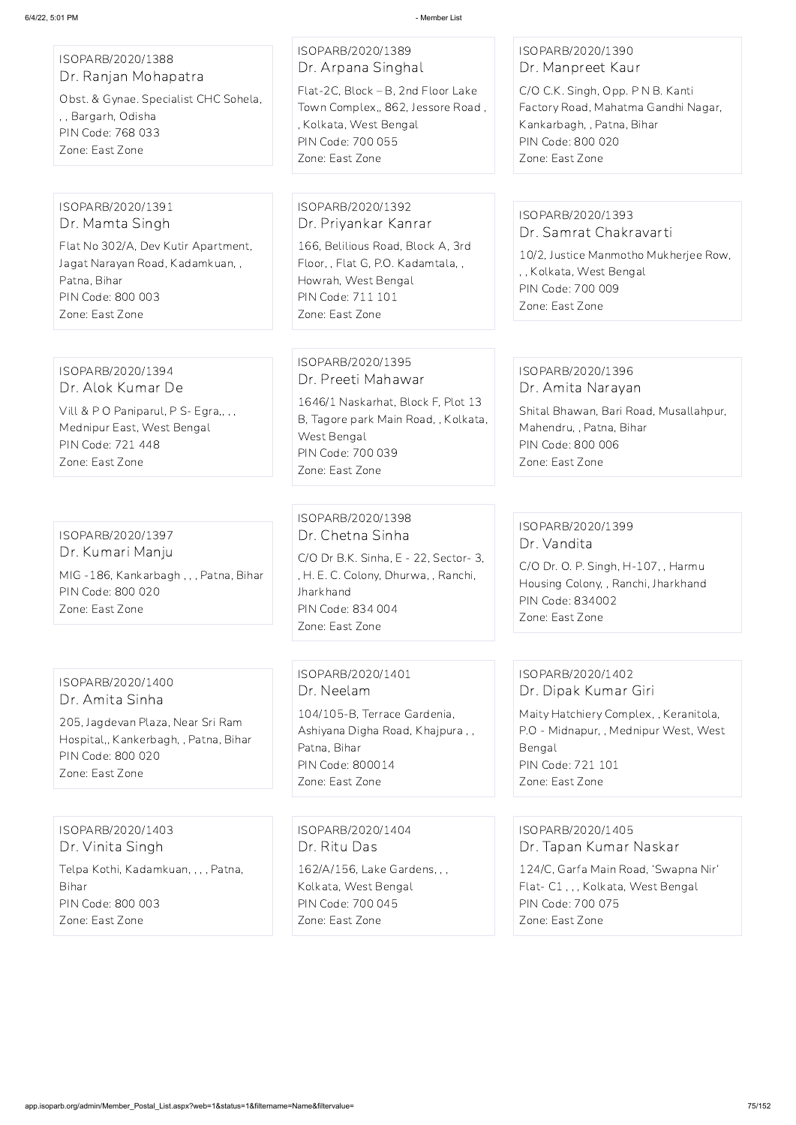| ISOPARB/2020/1388 |                      |  |
|-------------------|----------------------|--|
|                   | Dr. Ranjan Mohapatra |  |

Obst. & Gynae. Specialist CHC Sohela, , , Bargarh, Odisha PIN Code: 768 033 Zone: East Zone

ISOPARB/2020/1389 Dr. Arpana Singhal Flat-2C, Block – B, 2nd Floor Lake Town Complex,, 862, Jessore Road ,

, Kolkata, West Bengal PIN Code: 700 055 Zone: East Zone

### ISOPARB/2020/1390 Dr. Manpreet Kaur

C/O C.K. Singh, Opp. P N B. Kanti Factory Road, Mahatma Gandhi Nagar, Kankarbagh, , Patna, Bihar PIN Code: 800 020 Zone: East Zone

Vill & P O Paniparul, P S- Egra,,,, Mednipur East, West Bengal PIN Code: 721 448 Zone: East Zone

#### ISOPARB/2020/1391 Dr. Mamta Singh

Flat No 302/A, Dev Kutir Apartment, Jagat Narayan Road, Kadamkuan, , Patna, Bihar PIN Code: 800 003 Zone: East Zone

### ISOPARB/2020/1392 Dr. Priyankar Kanrar

166, Belilious Road, Block A, 3rd Floor, , Flat G, P.O. Kadamtala, , Howrah, West Bengal PIN Code: 711 101 Zone: East Zone

#### ISOPARB/2020/1393 Dr. Samrat Chakravarti

10/2, Justice Manmotho Mukherjee Row, , , Kolkata, West Bengal PIN Code: 700 009 Zone: East Zone

ISOPARB/2020/1394 Dr. Alok Kumar De

### ISOPARB/2020/1395 Dr. Preeti Mahawar

1646/1 Naskarhat, Block F, Plot 13 B, Tagore park Main Road, , Kolkata, West Bengal PIN Code: 700 039 Zone: East Zone

#### ISOPARB/2020/1396 Dr. Amita Narayan

Shital Bhawan, Bari Road, Musallahpur, Mahendru, , Patna, Bihar PIN Code: 800 006 Zone: East Zone

ISOPARB/2020/1397 Dr. Kumari Manju MIG -186, Kankarbagh , , , Patna, Bihar PIN Code: 800 020 Zone: East Zone

ISOPARB/2020/1398 Dr. Chetna Sinha

C/O Dr B.K. Sinha, E - 22, Sector- 3, , H. E. C. Colony, Dhurwa, , Ranchi, **Jharkhand** PIN Code: 834 004 Zone: East Zone

### ISOPARB/2020/1399 Dr. Vandita

C/O Dr. O. P. Singh, H-107, , Harmu Housing Colony, , Ranchi, Jharkhand PIN Code: 834002 Zone: East Zone

### ISOPARB/2020/1400 Dr. Amita Sinha

205, Jagdevan Plaza, Near Sri Ram Hospital,, Kankerbagh, , Patna, Bihar PIN Code: 800 020 Zone: East Zone

ISOPARB/2020/1401 Dr. Neelam 104/105-B, Terrace Gardenia, Ashiyana Digha Road, Khajpura , , Patna, Bihar PIN Code: 800014 Zone: East Zone

### ISOPARB/2020/1402 Dr. Dipak Kumar Giri

Maity Hatchiery Complex, , Keranitola, P.O - Midnapur, , Mednipur West, West Bengal PIN Code: 721 101 Zone: East Zone

ISOPARB/2020/1403 Dr. Vinita Singh

Telpa Kothi, Kadamkuan, , , , Patna, Bihar

PIN Code: 800 003

Zone: East Zone

ISOPARB/2020/1404 Dr. Ritu Das

162/A/156, Lake Gardens, , , Kolkata, West Bengal PIN Code: 700 045 Zone: East Zone

ISOPARB/2020/1405 Dr. Tapan Kumar Naskar

124/C, Garfa Main Road, 'Swapna Nir' Flat- C1 , , , Kolkata, West Bengal PIN Code: 700 075 Zone: East Zone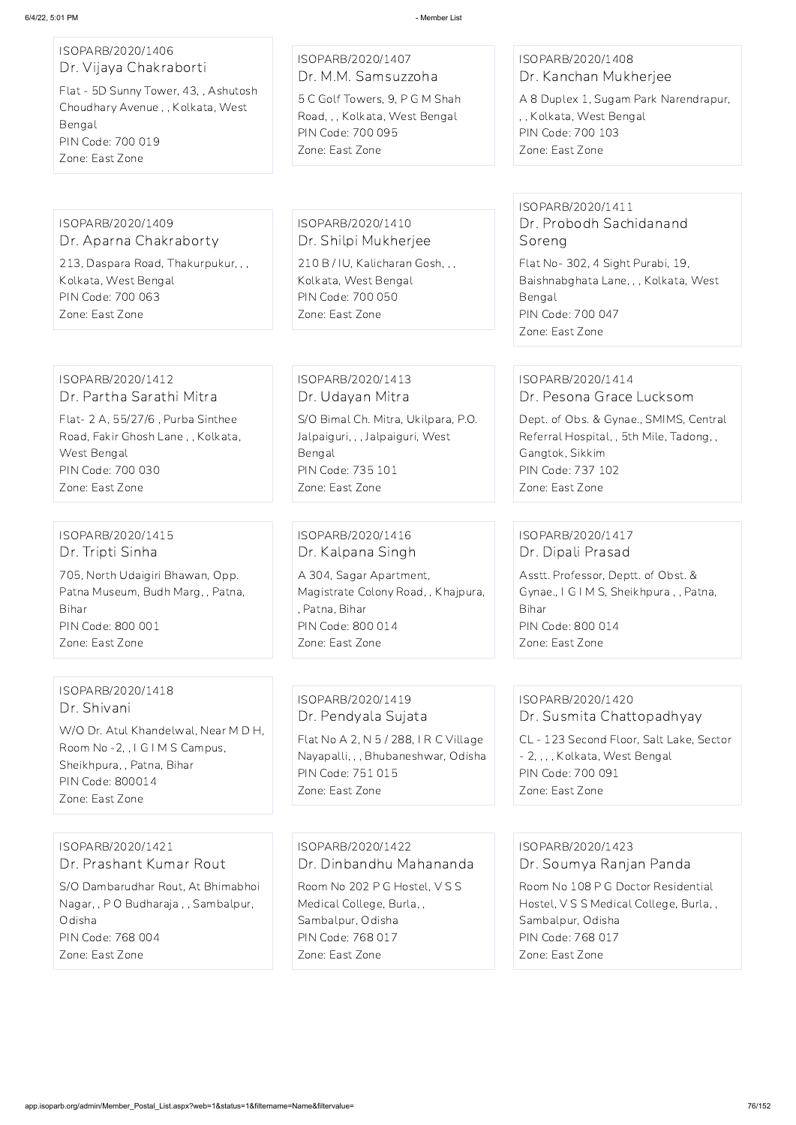#### ISOPARB/2020/1406 Dr. Vijaya Chakraborti

Flat - 5D Sunny Tower, 43, , Ashutosh Choudhary Avenue , , Kolkata, West Bengal PIN Code: 700 019 Zone: East Zone

#### ISOPARB/2020/1407 Dr. M.M. Samsuzzoha

5 C Golf Towers, 9, P G M Shah Road, , , Kolkata, West Bengal PIN Code: 700 095 Zone: East Zone

### ISOPARB/2020/1408 Dr. Kanchan Mukherjee

A 8 Duplex 1, Sugam Park Narendrapur, , , Kolkata, West Bengal PIN Code: 700 103 Zone: East Zone

#### ISOPARB/2020/1409 Dr. Aparna Chakraborty

213, Daspara Road, Thakurpukur, , , Kolkata, West Bengal PIN Code: 700 063 Zone: East Zone

ISOPARB/2020/1410 Dr. Shilpi Mukherjee

210 B / IU, Kalicharan Gosh, , , Kolkata, West Bengal PIN Code: 700 050 Zone: East Zone

### ISOPARB/2020/1411 Dr. Probodh Sachidanand Soreng

Flat No- 302, 4 Sight Purabi, 19, Baishnabghata Lane, , , Kolkata, West Bengal PIN Code: 700 047 Zone: East Zone

#### ISOPARB/2020/1412 Dr. Partha Sarathi Mitra

W/O Dr. Atul Khandelwal, Near M D H, Room No -2, , I G I M S Campus, Sheikhpura, , Patna, Bihar PIN Code: 800014 Zone: East Zone

Flat- 2 A, 55/27/6 , Purba Sinthee Road, Fakir Ghosh Lane , , Kolkata, West Bengal PIN Code: 700 030 Zone: East Zone

ISOPARB/2020/1413 Dr. Udayan Mitra S/O Bimal Ch. Mitra, Ukilpara, P.O.

Jalpaiguri, , , Jalpaiguri, West Bengal PIN Code: 735 101 Zone: East Zone

#### ISOPARB/2020/1414 Dr. Pesona Grace Lucksom

Dept. of Obs. & Gynae., SMIMS, Central Referral Hospital, , 5th Mile, Tadong, , Gangtok, Sikkim PIN Code: 737 102 Zone: East Zone

### ISOPARB/2020/1415 Dr. Tripti Sinha

705, North Udaigiri Bhawan, Opp. Patna Museum, Budh Marg, , Patna, Bihar PIN Code: 800 001 Zone: East Zone

ISOPARB/2020/1416 Dr. Kalpana Singh

A 304, Sagar Apartment, Magistrate Colony Road, , Khajpura, , Patna, Bihar PIN Code: 800 014 Zone: East Zone

### ISOPARB/2020/1417 Dr. Dipali Prasad

Asstt. Professor, Deptt. of Obst. & Gynae., I G I M S, Sheikhpura , , Patna, Bihar PIN Code: 800 014 Zone: East Zone

#### ISOPARB/2020/1418 Dr. Shivani

### ISOPARB/2020/1419 Dr. Pendyala Sujata

Flat No A 2, N 5 / 288, I R C Village Nayapalli, , , Bhubaneshwar, Odisha PIN Code: 751 015 Zone: East Zone

## ISOPARB/2020/1420 Dr. Susmita Chattopadhyay

CL - 123 Second Floor, Salt Lake, Sector - 2, , , , Kolkata, West Bengal PIN Code: 700 091 Zone: East Zone

ISOPARB/2020/1421

Dr. Prashant Kumar Rout

S/O Dambarudhar Rout, At Bhimabhoi Nagar, , P O Budharaja , , Sambalpur, Odisha PIN Code: 768 004 Zone: East Zone

ISOPARB/2020/1422

Dr. Dinbandhu Mahananda

Room No 202 P G Hostel, V S S Medical College, Burla, , Sambalpur, Odisha PIN Code: 768 017 Zone: East Zone

ISOPARB/2020/1423 Dr. Soumya Ranjan Panda

Room No 108 P G Doctor Residential Hostel, V S S Medical College, Burla, , Sambalpur, Odisha PIN Code: 768 017 Zone: East Zone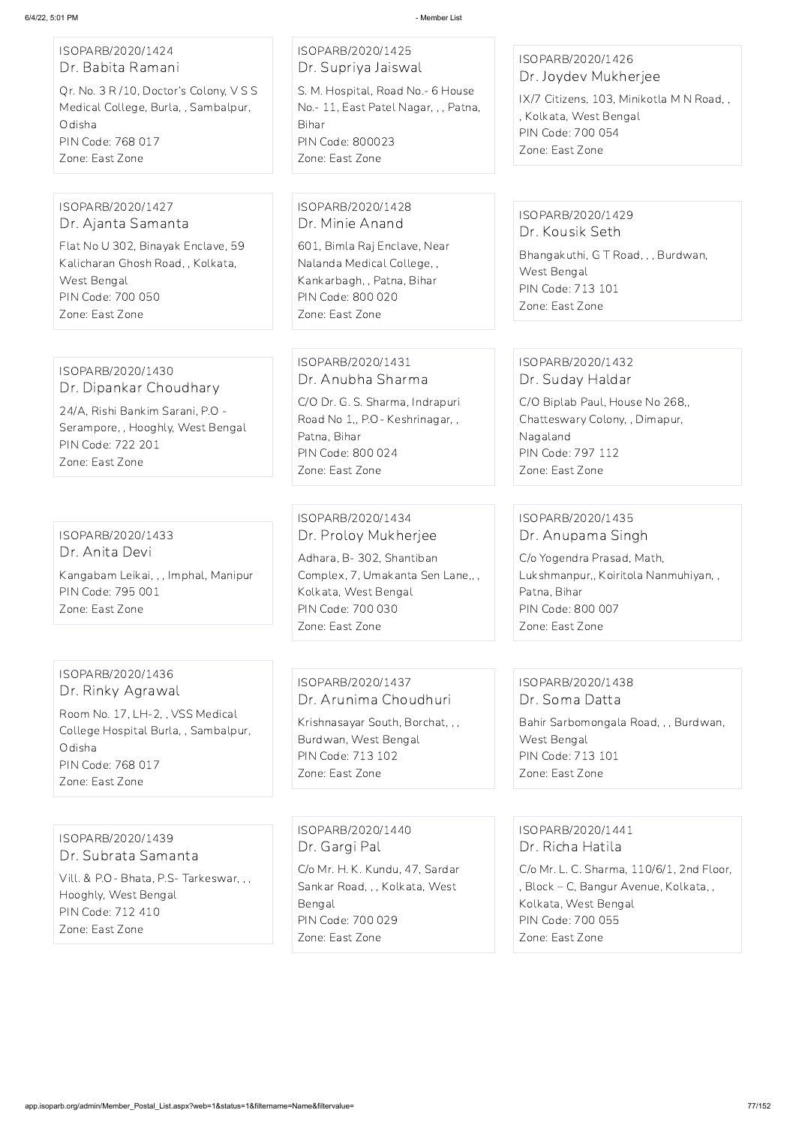| ISOPARB/2020/1424<br>Dr. Babita Ramani |
|----------------------------------------|
| Qr. No. 3 R/10, Doctor's Colony, VSS   |
| Medical College, Burla, , Sambalpur,   |
| Odisha                                 |
| PIN Code: 768 017                      |
| Zone: East Zone                        |
|                                        |

ISOPARB/2020/1425 Dr. Supriya Jaiswal S. M. Hospital, Road No.- 6 House

No.- 11, East Patel Nagar, , , Patna, Bihar PIN Code: 800023 Zone: East Zone

### ISOPARB/2020/1426 Dr. Joydev Mukherjee

IX/7 Citizens, 103, Minikotla M N Road, , , Kolkata, West Bengal PIN Code: 700 054 Zone: East Zone

#### ISOPARB/2020/1427 Dr. Ajanta Samanta

Flat No U 302, Binayak Enclave, 59 Kalicharan Ghosh Road, , Kolkata, West Bengal PIN Code: 700 050 Zone: East Zone

ISOPARB/2020/1428 Dr. Minie Anand

601, Bimla Raj Enclave, Near Nalanda Medical College, , Kankarbagh, , Patna, Bihar PIN Code: 800 020 Zone: East Zone

### ISOPARB/2020/1429 Dr. Kousik Seth

Bhangakuthi, G T Road, , , Burdwan, West Bengal PIN Code: 713 101 Zone: East Zone

#### ISOPARB/2020/1430 Dr. Dipankar Choudhary

24/A, Rishi Bankim Sarani, P.O - Serampore, , Hooghly, West Bengal PIN Code: 722 201 Zone: East Zone

ISOPARB/2020/1431 Dr. Anubha Sharma

C/O Dr. G. S. Sharma, Indrapuri Road No 1,, P.O- Keshrinagar, , Patna, Bihar PIN Code: 800 024 Zone: East Zone

### ISOPARB/2020/1432 Dr. Suday Haldar

C/O Biplab Paul, House No 268,, Chatteswary Colony, , Dimapur, Nagaland PIN Code: 797 112 Zone: East Zone

ISOPARB/2020/1433 Dr. Anita Devi Kangabam Leikai, , , Imphal, Manipur PIN Code: 795 001 Zone: East Zone

ISOPARB/2020/1434 Dr. Proloy Mukherjee

Adhara, B- 302, Shantiban Complex, 7, Umakanta Sen Lane,, , Kolkata, West Bengal PIN Code: 700 030 Zone: East Zone

### ISOPARB/2020/1435 Dr. Anupama Singh

C/o Yogendra Prasad, Math, Lukshmanpur,, Koiritola Nanmuhiyan, , Patna, Bihar PIN Code: 800 007 Zone: East Zone

## ISOPARB/2020/1436 Dr. Rinky Agrawal

Room No. 17, LH-2, , VSS Medical College Hospital Burla, , Sambalpur, Odisha PIN Code: 768 017 Zone: East Zone

ISOPARB/2020/1437 Dr. Arunima Choudhuri

Krishnasayar South, Borchat, , , Burdwan, West Bengal PIN Code: 713 102 Zone: East Zone

#### ISOPARB/2020/1438 Dr. Soma Datta

Bahir Sarbomongala Road, , , Burdwan, West Bengal PIN Code: 713 101 Zone: East Zone

#### ISOPARB/2020/1439

#### Dr. Subrata Samanta

Vill. & P.O- Bhata, P.S- Tarkeswar, , , Hooghly, West Bengal PIN Code: 712 410 Zone: East Zone

ISOPARB/2020/1440 Dr. Gargi Pal

C/o Mr. H. K. Kundu, 47, Sardar Sankar Road, , , Kolkata, West Bengal PIN Code: 700 029 Zone: East Zone

ISOPARB/2020/1441 Dr. Richa Hatila

C/o Mr. L. C. Sharma, 110/6/1, 2nd Floor, , Block – C, Bangur Avenue, Kolkata, , Kolkata, West Bengal PIN Code: 700 055 Zone: East Zone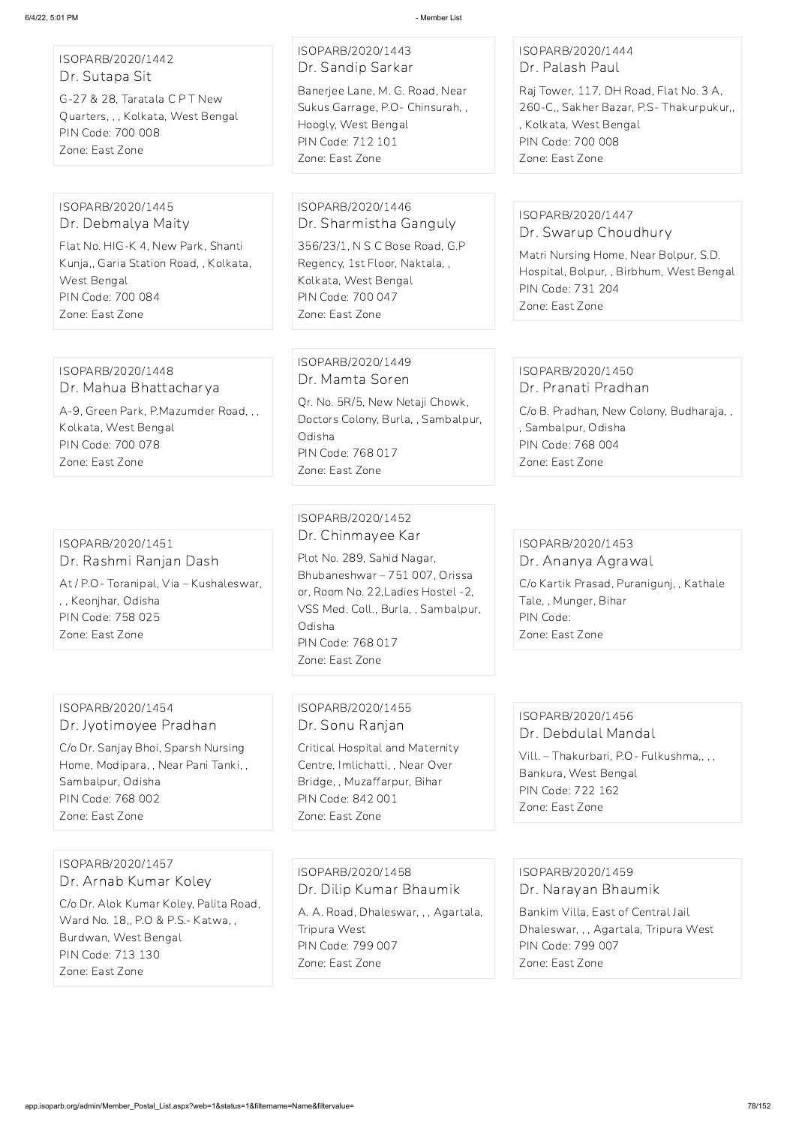| ISOPARB/2020/1442 |  |
|-------------------|--|
| Dr. Sutapa Sit    |  |

G-27 & 28, Taratala C P T New Quarters, , , Kolkata, West Bengal PIN Code: 700 008 Zone: East Zone

# ISOPARB/2020/1443 Dr. Sandip Sarkar

Banerjee Lane, M. G. Road, Near Sukus Garrage, P.O- Chinsurah, , Hoogly, West Bengal PIN Code: 712 101 Zone: East Zone

### ISOPARB/2020/1444 Dr. Palash Paul

Raj Tower, 117, DH Road, Flat No. 3 A, 260-C,, Sakher Bazar, P.S- Thakurpukur,, , Kolkata, West Bengal PIN Code: 700 008 Zone: East Zone

#### ISOPARB/2020/1445 Dr. Debmalya Maity

Flat No. HIG-K 4, New Park, Shanti Kunja,, Garia Station Road, , Kolkata, West Bengal PIN Code: 700 084 Zone: East Zone

#### ISOPARB/2020/1446 Dr. Sharmistha Ganguly

356/23/1, N S C Bose Road, G.P Regency, 1st Floor, Naktala, , Kolkata, West Bengal PIN Code: 700 047 Zone: East Zone

### ISOPARB/2020/1447 Dr. Swarup Choudhury

Matri Nursing Home, Near Bolpur, S.D. Hospital, Bolpur, , Birbhum, West Bengal PIN Code: 731 204 Zone: East Zone

#### ISOPARB/2020/1448 Dr. Mahua Bhattacharya

A-9, Green Park, P.Mazumder Road, , , Kolkata, West Bengal PIN Code: 700 078 Zone: East Zone

### ISOPARB/2020/1449 Dr. Mamta Soren Qr. No. 5R/5, New Netaji Chowk, Doctors Colony, Burla, , Sambalpur, Odisha PIN Code: 768 017

Zone: East Zone

#### ISOPARB/2020/1450 Dr. Pranati Pradhan

C/o B. Pradhan, New Colony, Budharaja, , , Sambalpur, Odisha PIN Code: 768 004 Zone: East Zone

#### ISOPARB/2020/1451 Dr. Rashmi Ranjan Dash

At / P.O- Toranipal, Via – Kushaleswar, , , Keonjhar, Odisha PIN Code: 758 025 Zone: East Zone

### ISOPARB/2020/1452 Dr. Chinmayee Kar

Plot No. 289, Sahid Nagar, Bhubaneshwar – 751 007, Orissa or, Room No. 22,Ladies Hostel -2, VSS Med. Coll., Burla, , Sambalpur, Odisha PIN Code: 768 017 Zone: East Zone

### ISOPARB/2020/1453 Dr. Ananya Agrawal

C/o Kartik Prasad, Puranigunj, , Kathale Tale, , Munger, Bihar PIN Code: Zone: East Zone

### ISOPARB/2020/1454 Dr. Jyotimoyee Pradhan

C/o Dr. Sanjay Bhoi, Sparsh Nursing Home, Modipara, , Near Pani Tanki, , Sambalpur, Odisha PIN Code: 768 002 Zone: East Zone

### ISOPARB/2020/1455 Dr. Sonu Ranjan

Critical Hospital and Maternity Centre, Imlichatti, , Near Over Bridge, , Muzaffarpur, Bihar PIN Code: 842 001 Zone: East Zone

### ISOPARB/2020/1456 Dr. Debdulal Mandal

Vill. – Thakurbari, P.O- Fulkushma,, , , Bankura, West Bengal PIN Code: 722 162 Zone: East Zone

ISOPARB/2020/1457 Dr. Arnab Kumar Koley

C/o Dr. Alok Kumar Koley, Palita Road, Ward No. 18,, P.O & P.S.- Katwa, , Burdwan, West Bengal PIN Code: 713 130 Zone: East Zone

ISOPARB/2020/1458 Dr. Dilip Kumar Bhaumik

A. A. Road, Dhaleswar, , , Agartala, Tripura West PIN Code: 799 007 Zone: East Zone

ISOPARB/2020/1459 Dr. Narayan Bhaumik

Bankim Villa, East of Central Jail Dhaleswar, , , Agartala, Tripura West PIN Code: 799 007 Zone: East Zone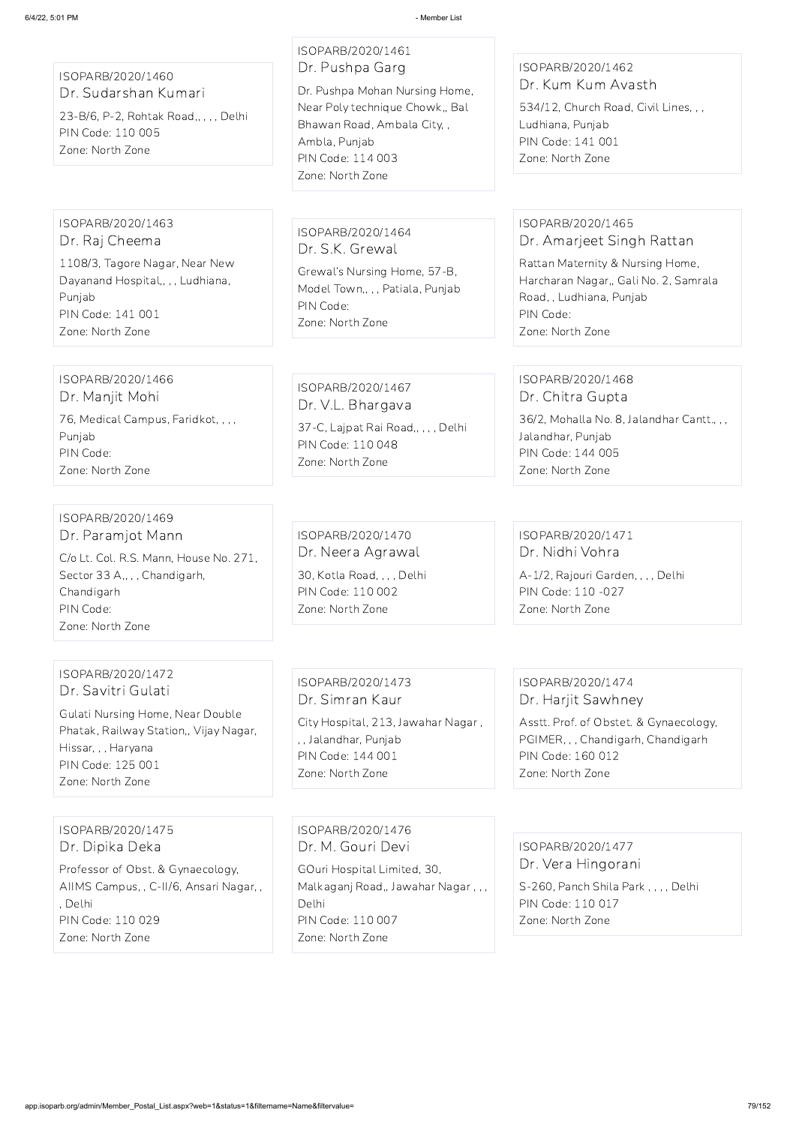ISOPARB/2020/1460 Dr. Sudarshan Kumari

23-B/6, P-2, Rohtak Road,, , , , Delhi PIN Code: 110 005 Zone: North Zone

ISOPARB/2020/1461 Dr. Pushpa Garg Dr. Pushpa Mohan Nursing Home,

Near Poly technique Chowk,, Bal Bhawan Road, Ambala City, , Ambla, Punjab PIN Code: 114 003 Zone: North Zone

ISOPARB/2020/1462 Dr. Kum Kum Avasth

534/12, Church Road, Civil Lines, , , Ludhiana, Punjab PIN Code: 141 001 Zone: North Zone

ISOPARB/2020/1463 Dr. Raj Cheema

1108/3, Tagore Nagar, Near New Dayanand Hospital,,,, Ludhiana, Punjab PIN Code: 141 001 Zone: North Zone

ISOPARB/2020/1464 Dr. S.K. Grewal

Grewal's Nursing Home, 57-B, Model Town,, , , Patiala, Punjab PIN Code: Zone: North Zone

ISOPARB/2020/1465 Dr. Amarjeet Singh Rattan

Rattan Maternity & Nursing Home, Harcharan Nagar,, Gali No. 2, Samrala Road, , Ludhiana, Punjab PIN Code: Zone: North Zone

ISOPARB/2020/1466 Dr. Manjit Mohi 76, Medical Campus, Faridkot, , , , Punjab PIN Code: Zone: North Zone

ISOPARB/2020/1467 Dr. V.L. Bhargava 37-C, Lajpat Rai Road,, , , , Delhi PIN Code: 110 048 Zone: North Zone

ISOPARB/2020/1468 Dr. Chitra Gupta

36/2, Mohalla No. 8, Jalandhar Cantt., , , Jalandhar, Punjab PIN Code: 144 005 Zone: North Zone

ISOPARB/2020/1469 Dr. Paramjot Mann

C/o Lt. Col. R.S. Mann, House No. 271, Sector 33 A,, , , Chandigarh, Chandigarh PIN Code: Zone: North Zone

ISOPARB/2020/1470 Dr. Neera Agrawal 30, Kotla Road, , , , Delhi PIN Code: 110 002 Zone: North Zone

ISOPARB/2020/1471 Dr. Nidhi Vohra

A-1/2, Rajouri Garden, , , , Delhi PIN Code: 110 -027 Zone: North Zone

ISOPARB/2020/1472 Dr. Savitri Gulati

Gulati Nursing Home, Near Double Phatak, Railway Station,, Vijay Nagar, Hissar, , , Haryana PIN Code: 125 001 Zone: North Zone

ISOPARB/2020/1473 Dr. Simran Kaur City Hospital, 213, Jawahar Nagar , , , Jalandhar, Punjab PIN Code: 144 001 Zone: North Zone

ISOPARB/2020/1474 Dr. Harjit Sawhney

Asstt. Prof. of Obstet. & Gynaecology, PGIMER, , , Chandigarh, Chandigarh PIN Code: 160 012 Zone: North Zone

ISOPARB/2020/1475 Dr. Dipika Deka

Professor of Obst. & Gynaecology, AIIMS Campus, , C-II/6, Ansari Nagar, , , Delhi PIN Code: 110 029 Zone: North Zone

ISOPARB/2020/1476 Dr. M. Gouri Devi

GOuri Hospital Limited, 30, Malkaganj Road,, Jawahar Nagar , , , Delhi PIN Code: 110 007 Zone: North Zone

ISOPARB/2020/1477

Dr. Vera Hingorani

S-260, Panch Shila Park , , , , Delhi PIN Code: 110 017 Zone: North Zone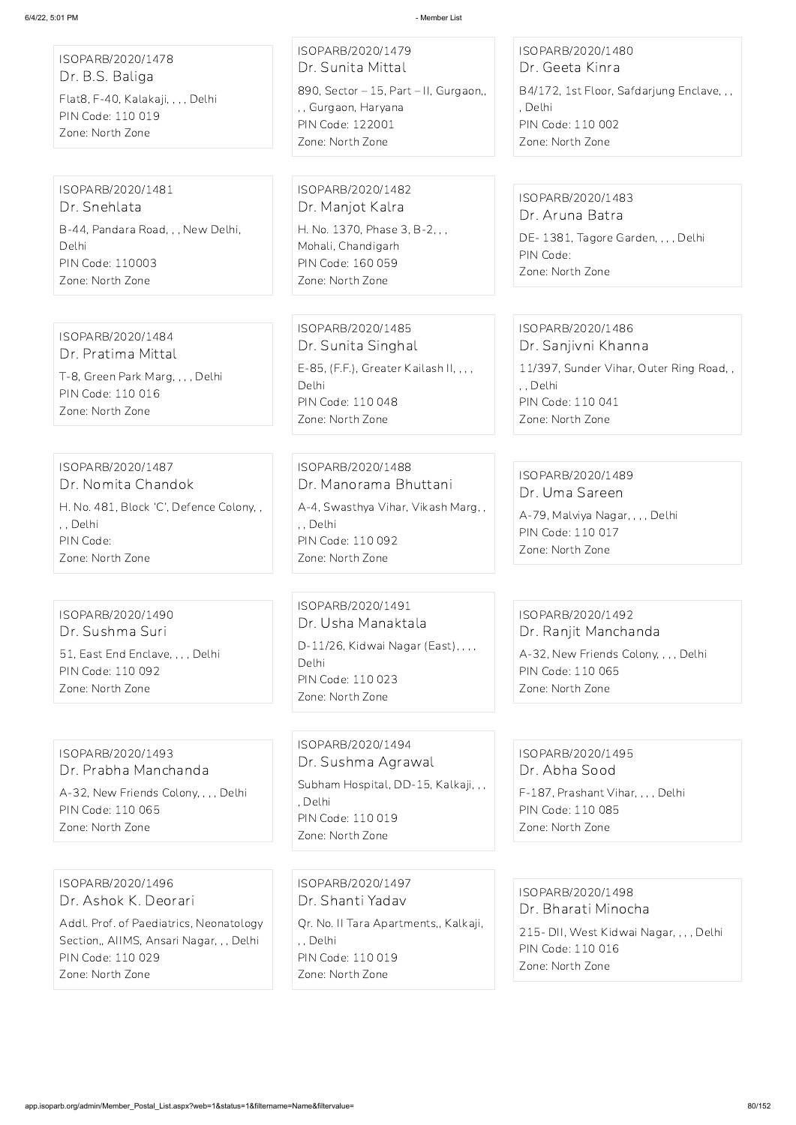ISOPARB/2020/1480 Dr. Geeta Kinra

DE- 1381, Tagore Garden, , , , Delhi PIN Code: Zone: North Zone

B4/172, 1st Floor, Safdarjung Enclave, , , , Delhi PIN Code: 110 002 Zone: North Zone

ISOPARB/2020/1483 Dr. Aruna Batra

| ISOPARB/2020/1479<br>Dr. Sunita Mittal<br>890, Sector - 15, Part - II, Gurgaon,,<br>,, Gurgaon, Haryana<br><b>PIN Code: 122001</b><br>Zone: North Zone |
|--------------------------------------------------------------------------------------------------------------------------------------------------------|
| ISOPARB/2020/1482<br>Dr. Manjot Kalra                                                                                                                  |
| H. No. 1370, Phase 3, B-2, , ,<br>Mohali, Chandigarh<br>PIN Code: 160 059<br>Zone: North Zone                                                          |
|                                                                                                                                                        |
| ISOPARB/2020/1485<br>Dr. Sunita Singhal                                                                                                                |
| E-85, (F.F.), Greater Kailash II, , , ,<br>Delhi<br>PIN Code: 110 048<br>Zone: North Zone                                                              |
|                                                                                                                                                        |
| ISOPARB/2020/1488<br>Dr. Manorama Bhuttani                                                                                                             |
| A-4, Swasthya Vihar, Vikash Marg,,<br>. Delhi<br><b>PIN Code: 110 092</b><br>Zone: North Zone                                                          |
|                                                                                                                                                        |
| ISOPARB/2020/1491<br>Dr. Usha Manaktala                                                                                                                |
| D-11/26, Kidwai Nagar (East), , , ,<br>Delhi<br><b>PIN Code: 110 023</b>                                                                               |
|                                                                                                                                                        |

ISOPARB/2020/1486 Dr. Sanjivni Khanna 11/397, Sunder Vihar, Outer Ring Road, , , , Delhi PIN Code: 110 041 Zone: North Zone

ISOPARB/2020/1489 Dr. Uma Sareen

A-79, Malviya Nagar, , , , Delhi PIN Code: 110 017 Zone: North Zone

ISOPARB/2020/1492 Dr. Ranjit Manchanda

A-32, New Friends Colony, , , , Delhi PIN Code: 110 065 Zone: North Zone

ISOPARB/2020/1493 Dr. Prabha Manchanda

A-32, New Friends Colony, , , , Delhi PIN Code: 110 065 Zone: North Zone

ISOPARB/2020/1494 Dr. Sushma Agrawal Subham Hospital, DD-15, Kalkaji, , , , Delhi PIN Code: 110 019 Zone: North Zone

ISOPARB/2020/1495 Dr. Abha Sood F-187, Prashant Vihar, , , , Delhi PIN Code: 110 085 Zone: North Zone

ISOPARB/2020/1496 Dr. Ashok K. Deorari Addl. Prof. of Paediatrics, Neonatology Section,, AIIMS, Ansari Nagar, , , Delhi PIN Code: 110 029 Zone: North Zone

ISOPARB/2020/1497 Dr. Shanti Yadav Qr. No. II Tara Apartments,, Kalkaji, , , Delhi PIN Code: 110 019 Zone: North Zone

ISOPARB/2020/1498 Dr. Bharati Minocha 215- DII, West Kidwai Nagar, , , , Delhi PIN Code: 110 016 Zone: North Zone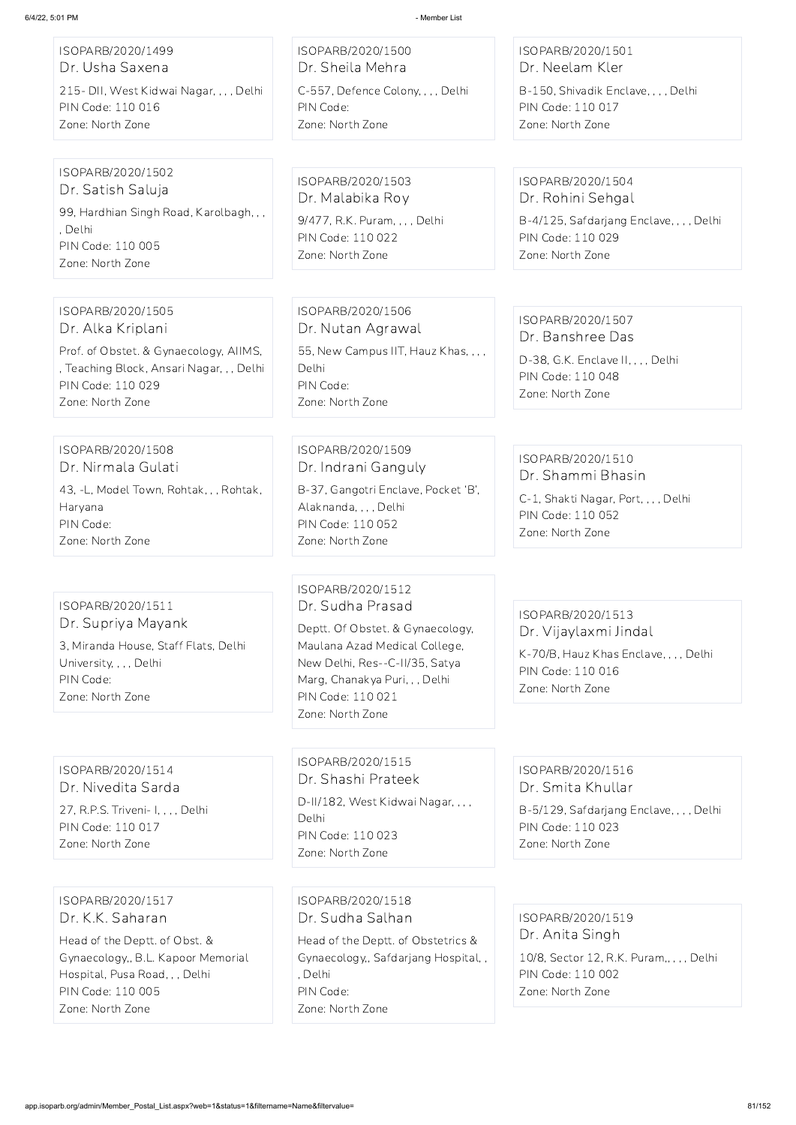ISOPARB/2020/1499 Dr. Usha Saxena 215- DII, West Kidwai Nagar, , , , Delhi PIN Code: 110 016 Zone: North Zone

ISOPARB/2020/1500 Dr. Sheila Mehra C-557, Defence Colony, , , , Delhi PIN Code: Zone: North Zone

ISOPARB/2020/1501 Dr. Neelam Kler

B-150, Shivadik Enclave, , , , Delhi PIN Code: 110 017 Zone: North Zone

ISOPARB/2020/1502 Dr. Satish Saluja 99, Hardhian Singh Road, Karolbagh, , , , Delhi PIN Code: 110 005 Zone: North Zone

ISOPARB/2020/1503 Dr. Malabika Roy 9/477, R.K. Puram, , , , Delhi PIN Code: 110 022 Zone: North Zone

ISOPARB/2020/1504 Dr. Rohini Sehgal

B-4/125, Safdarjang Enclave, , , , Delhi PIN Code: 110 029 Zone: North Zone

ISOPARB/2020/1505 Dr. Alka Kriplani

Prof. of Obstet. & Gynaecology, AIIMS, , Teaching Block, Ansari Nagar, , , Delhi

PIN Code: 110 029 Zone: North Zone

ISOPARB/2020/1506 Dr. Nutan Agrawal 55, New Campus IIT, Hauz Khas, , , , Delhi PIN Code: Zone: North Zone

ISOPARB/2020/1507 Dr. Banshree Das

D-II/182, West Kidwai Nagar, , , , Delhi PIN Code: 110 023 Zone: North Zone

D-38, G.K. Enclave II, , , , Delhi PIN Code: 110 048 Zone: North Zone

ISOPARB/2020/1508 Dr. Nirmala Gulati 43, -L, Model Town, Rohtak, , , Rohtak, Haryana PIN Code: Zone: North Zone

ISOPARB/2020/1509

Dr. Indrani Ganguly B-37, Gangotri Enclave, Pocket 'B', Alaknanda, , , , Delhi PIN Code: 110 052 Zone: North Zone

ISOPARB/2020/1510 Dr. Shammi Bhasin

C-1, Shakti Nagar, Port, , , , Delhi PIN Code: 110 052 Zone: North Zone

ISOPARB/2020/1511 Dr. Supriya Mayank 3, Miranda House, Staff Flats, Delhi University, , , , Delhi PIN Code: Zone: North Zone

ISOPARB/2020/1512 Dr. Sudha Prasad

Deptt. Of Obstet. & Gynaecology, Maulana Azad Medical College, New Delhi, Res--C-II/35, Satya Marg, Chanakya Puri, , , Delhi PIN Code: 110 021 Zone: North Zone

ISOPARB/2020/1513 Dr. Vijaylaxmi Jindal

K-70/B, Hauz Khas Enclave, , , , Delhi PIN Code: 110 016 Zone: North Zone

ISOPARB/2020/1514 Dr. Nivedita Sarda

27, R.P.S. Triveni- I, , , , Delhi PIN Code: 110 017 Zone: North Zone

ISOPARB/2020/1515 Dr. Shashi Prateek

#### ISOPARB/2020/1516 Dr. Smita Khullar

B-5/129, Safdarjang Enclave, , , , Delhi PIN Code: 110 023 Zone: North Zone

ISOPARB/2020/1517 Dr. K.K. Saharan

Head of the Deptt. of Obst. & Gynaecology,, B.L. Kapoor Memorial Hospital, Pusa Road, , , Delhi PIN Code: 110 005 Zone: North Zone

ISOPARB/2020/1518 Dr. Sudha Salhan

Head of the Deptt. of Obstetrics & Gynaecology,, Safdarjang Hospital, , , Delhi PIN Code: Zone: North Zone

ISOPARB/2020/1519 Dr. Anita Singh 10/8, Sector 12, R.K. Puram,, , , , Delhi PIN Code: 110 002 Zone: North Zone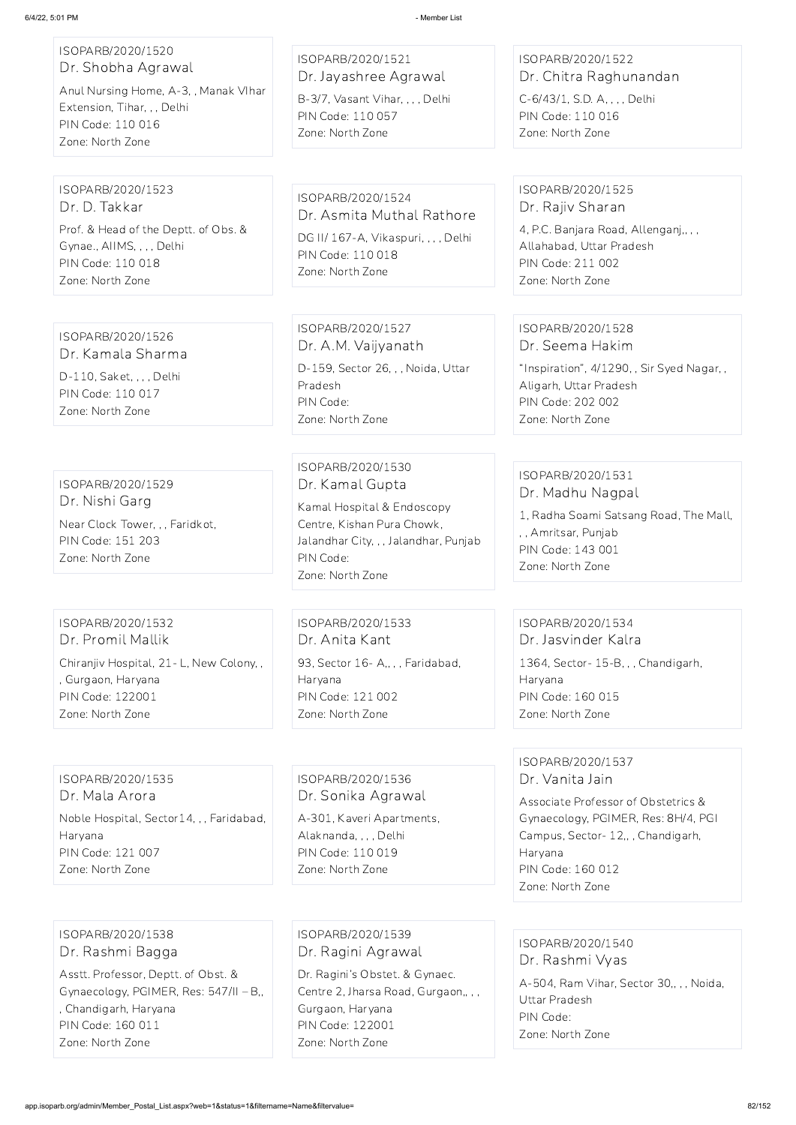| ISOPARB/2020/1520  |  |  |
|--------------------|--|--|
| Dr. Shobha Agrawal |  |  |

Anul Nursing Home, A-3, , Manak VIhar Extension, Tihar, , , Delhi PIN Code: 110 016 Zone: North Zone

ISOPARB/2020/1521 Dr. Jayashree Agrawal

B-3/7, Vasant Vihar, , , , Delhi PIN Code: 110 057 Zone: North Zone

### ISOPARB/2020/1522 Dr. Chitra Raghunandan

C-6/43/1, S.D. A, , , , Delhi PIN Code: 110 016 Zone: North Zone

### ISOPARB/2020/1523 Dr. D. Takkar Prof. & Head of the Deptt. of Obs. &

Gynae., AIIMS, , , , Delhi PIN Code: 110 018 Zone: North Zone

ISOPARB/2020/1524 Dr. Asmita Muthal Rathore DG II/ 167-A, Vikaspuri, , , , Delhi PIN Code: 110 018 Zone: North Zone

#### ISOPARB/2020/1525 Dr. Rajiv Sharan

4, P.C. Banjara Road, Allenganj,, , , Allahabad, Uttar Pradesh PIN Code: 211 002 Zone: North Zone

ISOPARB/2020/1526

Dr. Kamala Sharma D-110, Saket, , , , Delhi PIN Code: 110 017 Zone: North Zone

ISOPARB/2020/1527 Dr. A.M. Vaijyanath D-159, Sector 26, , , Noida, Uttar Pradesh PIN Code: Zone: North Zone

#### ISOPARB/2020/1528 Dr. Seema Hakim

"Inspiration", 4/1290, , Sir Syed Nagar, , Aligarh, Uttar Pradesh PIN Code: 202 002 Zone: North Zone

## ISOPARB/2020/1529 Dr. Nishi Garg Near Clock Tower, , , Faridkot, PIN Code: 151 203

Zone: North Zone

ISOPARB/2020/1530 Dr. Kamal Gupta

Kamal Hospital & Endoscopy Centre, Kishan Pura Chowk, Jalandhar City, , , Jalandhar, Punjab PIN Code: Zone: North Zone

#### ISOPARB/2020/1531 Dr. Madhu Nagpal

1, Radha Soami Satsang Road, The Mall, , , Amritsar, Punjab PIN Code: 143 001 Zone: North Zone

ISOPARB/2020/1532 Dr. Promil Mallik Chiranjiv Hospital, 21- L, New Colony, , , Gurgaon, Haryana PIN Code: 122001 Zone: North Zone

ISOPARB/2020/1533 Dr. Anita Kant 93, Sector 16-A,,,, Faridabad, Haryana PIN Code: 121 002 Zone: North Zone

### ISOPARB/2020/1534 Dr. Jasvinder Kalra

1364, Sector- 15-B, , , Chandigarh, Haryana PIN Code: 160 015 Zone: North Zone

### ISOPARB/2020/1535 Dr. Mala Arora Noble Hospital, Sector14, , , Faridabad, Haryana

PIN Code: 121 007 Zone: North Zone

ISOPARB/2020/1536 Dr. Sonika Agrawal

A-301, Kaveri Apartments, Alaknanda, , , , Delhi PIN Code: 110 019 Zone: North Zone

### ISOPARB/2020/1537 Dr. Vanita Jain

Associate Professor of Obstetrics & Gynaecology, PGIMER, Res: 8H/4, PGI Campus, Sector- 12,, , Chandigarh, Haryana PIN Code: 160 012 Zone: North Zone

ISOPARB/2020/1538 Dr. Rashmi Bagga

Asstt. Professor, Deptt. of Obst. & Gynaecology, PGIMER, Res: 547/II – B,, , Chandigarh, Haryana PIN Code: 160 011 Zone: North Zone

ISOPARB/2020/1539 Dr. Ragini Agrawal

Dr. Ragini's Obstet. & Gynaec. Centre 2, Jharsa Road, Gurgaon,, , , Gurgaon, Haryana PIN Code: 122001 Zone: North Zone

ISOPARB/2020/1540 Dr. Rashmi Vyas

A-504, Ram Vihar, Sector 30,, , , Noida, Uttar Pradesh PIN Code: Zone: North Zone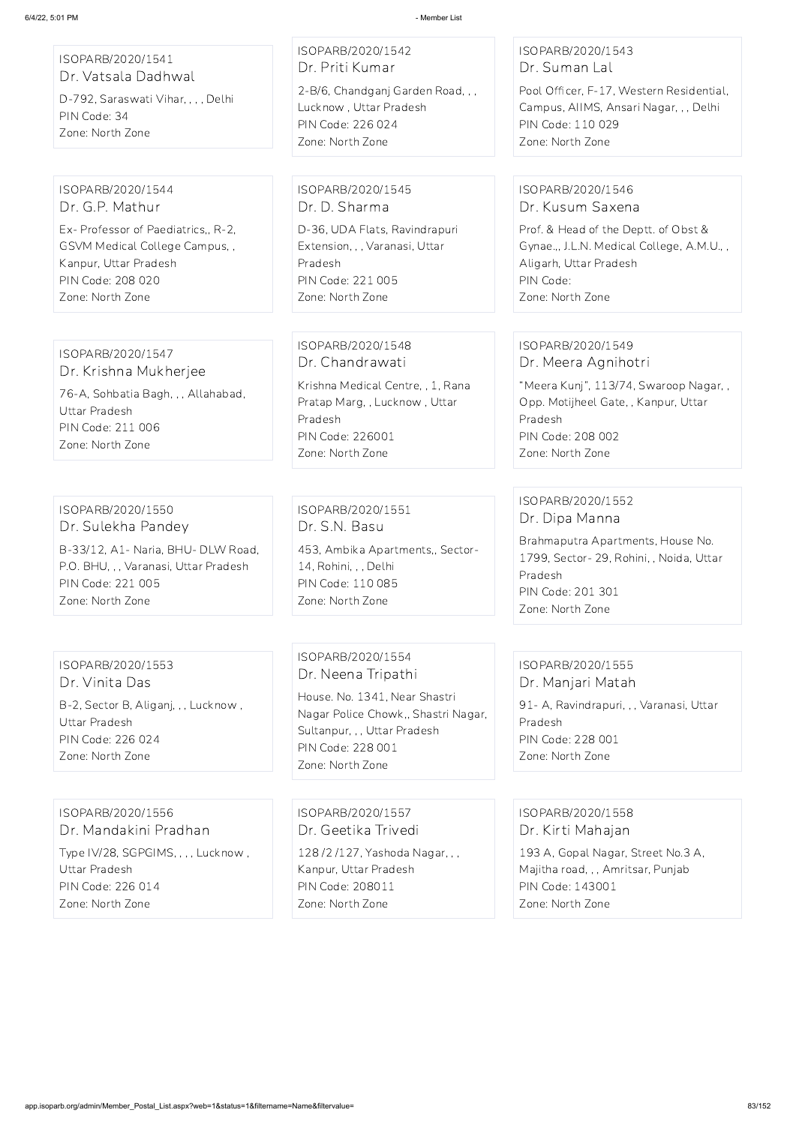ISOPARB/2020/1541

Dr. Vatsala Dadhwal

D-792, Saraswati Vihar, , , , Delhi

PIN Code: 34

Zone: North Zone

ISOPARB/2020/1542 Dr. Priti Kumar

2-B/6, Chandganj Garden Road, , , Lucknow , Uttar Pradesh PIN Code: 226 024 Zone: North Zone

ISOPARB/2020/1543 Dr. Suman Lal

Pool Officer, F-17, Western Residential, Campus, AIIMS, Ansari Nagar, , , Delhi PIN Code: 110 029 Zone: North Zone

ISOPARB/2020/1544

Dr. G.P. Mathur

Ex- Professor of Paediatrics,, R-2, GSVM Medical College Campus, ,

Kanpur, Uttar Pradesh PIN Code: 208 020 Zone: North Zone

ISOPARB/2020/1545 Dr. D. Sharma

D-36, UDA Flats, Ravindrapuri Extension, , , Varanasi, Uttar Pradesh PIN Code: 221 005 Zone: North Zone

#### ISOPARB/2020/1546 Dr. Kusum Saxena

Prof. & Head of the Deptt. of Obst & Gynae.,, J.L.N. Medical College, A.M.U., , Aligarh, Uttar Pradesh PIN Code: Zone: North Zone

### ISOPARB/2020/1547 Dr. Krishna Mukherjee 76-A, Sohbatia Bagh, , , Allahabad,

Uttar Pradesh PIN Code: 211 006 Zone: North Zone

ISOPARB/2020/1548 Dr. Chandrawati Krishna Medical Centre, , 1, Rana Pratap Marg, , Lucknow , Uttar Pradesh PIN Code: 226001 Zone: North Zone

#### ISOPARB/2020/1549 Dr. Meera Agnihotri

"Meera Kunj", 113/74, Swaroop Nagar, , Opp. Motijheel Gate, , Kanpur, Uttar Pradesh PIN Code: 208 002 Zone: North Zone

### ISOPARB/2020/1550 Dr. Sulekha Pandey

B-33/12, A1- Naria, BHU- DLW Road, P.O. BHU, , , Varanasi, Uttar Pradesh PIN Code: 221 005 Zone: North Zone

ISOPARB/2020/1551 Dr. S.N. Basu

453, Ambika Apartments,, Sector-14, Rohini, , , Delhi PIN Code: 110 085 Zone: North Zone

### ISOPARB/2020/1552 Dr. Dipa Manna

Brahmaputra Apartments, House No. 1799, Sector- 29, Rohini, , Noida, Uttar Pradesh PIN Code: 201 301 Zone: North Zone

### ISOPARB/2020/1553 Dr. Vinita Das

B-2, Sector B, Aliganj, , , Lucknow , Uttar Pradesh PIN Code: 226 024 Zone: North Zone

ISOPARB/2020/1554 Dr. Neena Tripathi

House. No. 1341, Near Shastri Nagar Police Chowk,, Shastri Nagar, Sultanpur, , , Uttar Pradesh PIN Code: 228 001 Zone: North Zone

ISOPARB/2020/1555 Dr. Manjari Matah 91 - A, Ravindrapuri, , , Varanasi, Uttar Pradesh PIN Code: 228 001 Zone: North Zone

ISOPARB/2020/1556 Dr. Mandakini Pradhan Type IV/28, SGPGIMS, , , , Lucknow , Uttar Pradesh PIN Code: 226 014 Zone: North Zone

ISOPARB/2020/1557 Dr. Geetika Trivedi 128 /2 /127, Yashoda Nagar, , , Kanpur, Uttar Pradesh PIN Code: 208011 Zone: North Zone

ISOPARB/2020/1558 Dr. Kirti Mahajan 193 A, Gopal Nagar, Street No.3 A, Majitha road, , , Amritsar, Punjab PIN Code: 143001 Zone: North Zone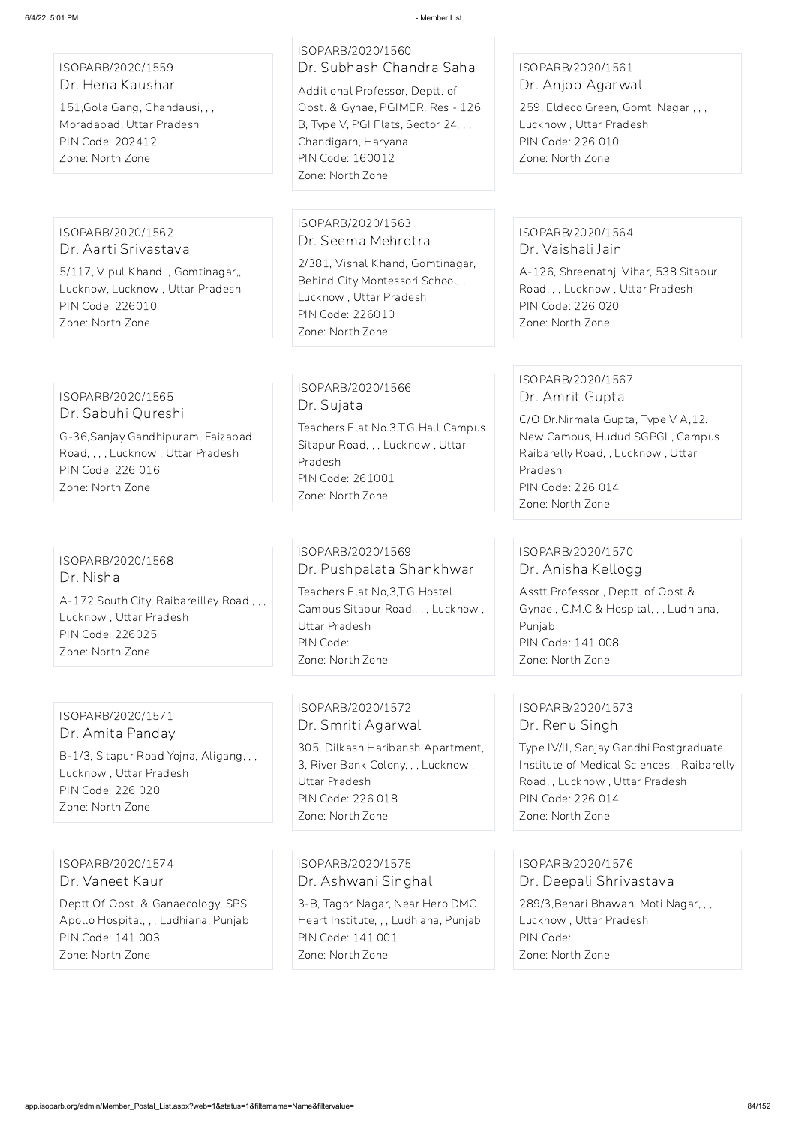ISOPARB/2020/1559 Dr. Hena Kaushar

151,Gola Gang, Chandausi, , , Moradabad, Uttar Pradesh PIN Code: 202412 Zone: North Zone

# ISOPARB/2020/1560 Dr. Subhash Chandra Saha

Additional Professor, Deptt. of Obst. & Gynae, PGIMER, Res - 126 B, Type V, PGI Flats, Sector 24, , , Chandigarh, Haryana PIN Code: 160012 Zone: North Zone

### ISOPARB/2020/1561 Dr. Anjoo Agarwal

259, Eldeco Green, Gomti Nagar , , , Lucknow , Uttar Pradesh PIN Code: 226 010 Zone: North Zone

ISOPARB/2020/1562 Dr. Aarti Srivastava

5/117, Vipul Khand, , Gomtinagar,, Lucknow, Lucknow , Uttar Pradesh PIN Code: 226010 Zone: North Zone

ISOPARB/2020/1563 Dr. Seema Mehrotra

2/381, Vishal Khand, Gomtinagar, Behind City Montessori School, , Lucknow , Uttar Pradesh PIN Code: 226010 Zone: North Zone

### ISOPARB/2020/1564 Dr. Vaishali Jain

A-126, Shreenathji Vihar, 538 Sitapur Road, , , Lucknow , Uttar Pradesh PIN Code: 226 020 Zone: North Zone

### ISOPARB/2020/1565 Dr. Sabuhi Qureshi

G-36,Sanjay Gandhipuram, Faizabad Road, , , , Lucknow , Uttar Pradesh PIN Code: 226 016 Zone: North Zone

### ISOPARB/2020/1566 Dr. Sujata

Teachers Flat No.3.T.G.Hall Campus Sitapur Road, , , Lucknow , Uttar Pradesh PIN Code: 261001 Zone: North Zone

### ISOPARB/2020/1567 Dr. Amrit Gupta

C/O Dr.Nirmala Gupta, Type V A,12. New Campus, Hudud SGPGI , Campus Raibarelly Road, , Lucknow , Uttar Pradesh PIN Code: 226 014 Zone: North Zone

### ISOPARB/2020/1568 Dr. Nisha

A-172,South City, Raibareilley Road , , , Lucknow , Uttar Pradesh PIN Code: 226025 Zone: North Zone

## ISOPARB/2020/1569 Dr. Pushpalata Shankhwar

Teachers Flat No,3,T.G Hostel Campus Sitapur Road,, , , Lucknow , Uttar Pradesh PIN Code: Zone: North Zone

### ISOPARB/2020/1570 Dr. Anisha Kellogg

Asstt.Professor , Deptt. of Obst.& Gynae., C.M.C.& Hospital, , , Ludhiana, Punjab PIN Code: 141 008 Zone: North Zone

#### ISOPARB/2020/1571 Dr. Amita Panday

B-1/3, Sitapur Road Yojna, Aligang, , , Lucknow , Uttar Pradesh PIN Code: 226 020 Zone: North Zone

### ISOPARB/2020/1572 Dr. Smriti Agarwal

305, Dilkash Haribansh Apartment, 3, River Bank Colony, , , Lucknow , Uttar Pradesh PIN Code: 226 018 Zone: North Zone

### ISOPARB/2020/1573 Dr. Renu Singh

Type IV/II, Sanjay Gandhi Postgraduate Institute of Medical Sciences, , Raibarelly Road, , Lucknow , Uttar Pradesh PIN Code: 226 014 Zone: North Zone

ISOPARB/2020/1574 Dr. Vaneet Kaur

Deptt.Of Obst. & Ganaecology, SPS Apollo Hospital, , , Ludhiana, Punjab PIN Code: 141 003 Zone: North Zone

ISOPARB/2020/1575 Dr. Ashwani Singhal

3-B, Tagor Nagar, Near Hero DMC Heart Institute, , , Ludhiana, Punjab PIN Code: 141 001 Zone: North Zone

ISOPARB/2020/1576 Dr. Deepali Shrivastava

289/3,Behari Bhawan. Moti Nagar, , , Lucknow , Uttar Pradesh PIN Code: Zone: North Zone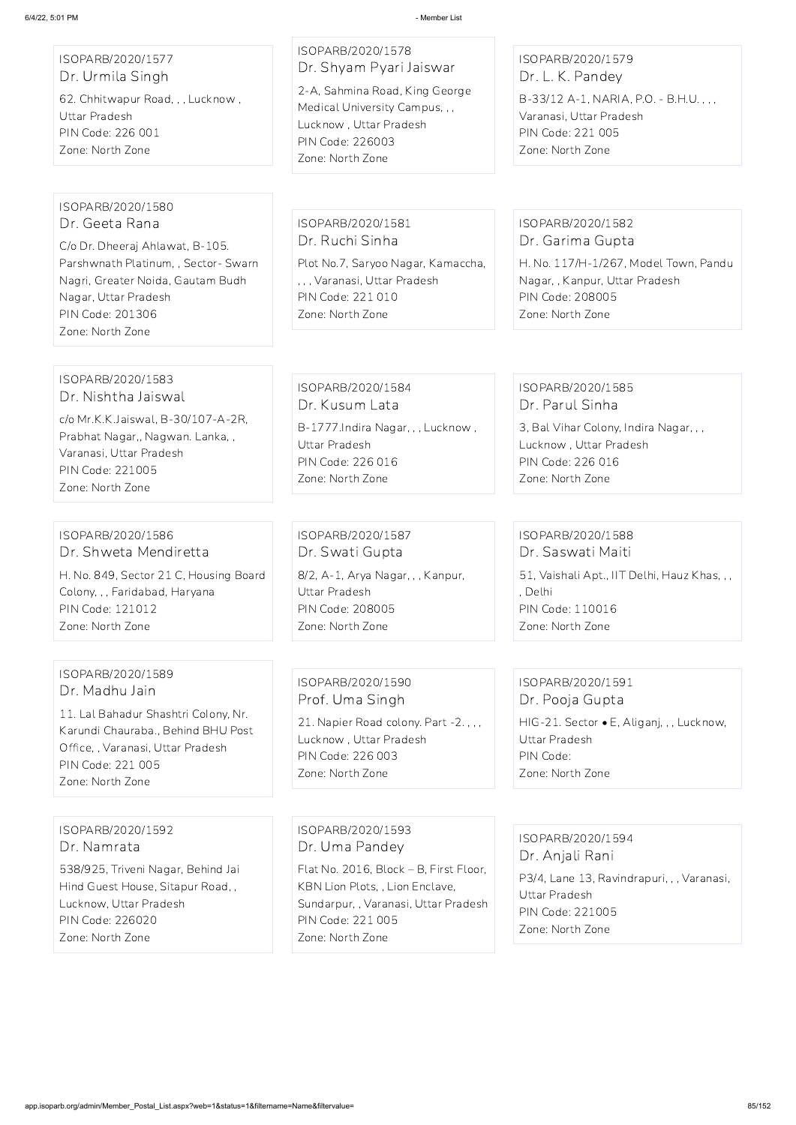ISOPARB/2020/1577 Dr. Urmila Singh 62. Chhitwapur Road, , , Lucknow , Uttar Pradesh PIN Code: 226 001 Zone: North Zone

ISOPARB/2020/1578 Dr. Shyam Pyari Jaiswar 2-A, Sahmina Road, King George Medical University Campus, , , Lucknow , Uttar Pradesh PIN Code: 226003

Zone: North Zone

### ISOPARB/2020/1579 Dr. L. K. Pandey

B-33/12 A-1, NARIA, P.O. - B.H.U. , , , Varanasi, Uttar Pradesh PIN Code: 221 005 Zone: North Zone

### ISOPARB/2020/1580 Dr. Geeta Rana

C/o Dr. Dheeraj Ahlawat, B-105. Parshwnath Platinum, , Sector- Swarn Nagri, Greater Noida, Gautam Budh Nagar, Uttar Pradesh PIN Code: 201306 Zone: North Zone

#### ISOPARB/2020/1581 Dr. Ruchi Sinha

Plot No.7, Saryoo Nagar, Kamaccha, , , , Varanasi, Uttar Pradesh PIN Code: 221 010 Zone: North Zone

### ISOPARB/2020/1582 Dr. Garima Gupta

H. No. 117/H-1/267, Model Town, Pandu Nagar, , Kanpur, Uttar Pradesh PIN Code: 208005 Zone: North Zone

#### ISOPARB/2020/1583 Dr. Nishtha Jaiswal

c/o Mr.K.K.Jaiswal, B-30/107-A-2R, Prabhat Nagar,, Nagwan. Lanka, , Varanasi, Uttar Pradesh PIN Code: 221005 Zone: North Zone

ISOPARB/2020/1584 Dr. Kusum Lata B-1777.Indira Nagar, , , Lucknow , Uttar Pradesh PIN Code: 226 016 Zone: North Zone

### ISOPARB/2020/1585 Dr. Parul Sinha

P3/4, Lane 13, Ravindrapuri, , , Varanasi, Uttar Pradesh PIN Code: 221005 Zone: North Zone

3, Bal Vihar Colony, Indira Nagar, , , Lucknow , Uttar Pradesh PIN Code: 226 016 Zone: North Zone

#### ISOPARB/2020/1586 Dr. Shweta Mendiretta

H. No. 849, Sector 21 C, Housing Board Colony, , , Faridabad, Haryana PIN Code: 121012 Zone: North Zone

ISOPARB/2020/1587 Dr. Swati Gupta 8/2, A-1, Arya Nagar, , , Kanpur, Uttar Pradesh PIN Code: 208005 Zone: North Zone

ISOPARB/2020/1588 Dr. Saswati Maiti 51, Vaishali Apt., IIT Delhi, Hauz Khas, , , , Delhi

PIN Code: 110016 Zone: North Zone

### ISOPARB/2020/1589 Dr. Madhu Jain

11. Lal Bahadur Shashtri CoIony, Nr. Karundi Chauraba., Behind BHU Post Office, , Varanasi, Uttar Pradesh PIN Code: 221 005 Zone: North Zone

ISOPARB/2020/1590 Prof. Uma Singh

21. Napier Road colony. Part -2. , , , Lucknow , Uttar Pradesh PIN Code: 226 003 Zone: North Zone

## ISOPARB/2020/1591 Dr. Pooja Gupta HIG-21. Sector • E, Aliganj, , , Lucknow,

Uttar Pradesh PIN Code: Zone: North Zone

ISOPARB/2020/1592 Dr. Namrata

538/925, Triveni Nagar, Behind Jai Hind Guest House, Sitapur Road, , Lucknow, Uttar Pradesh PIN Code: 226020 Zone: North Zone

ISOPARB/2020/1593 Dr. Uma Pandey

Flat No. 2016, Block – B, First Floor, KBN Lion Plots, , Lion Enclave, Sundarpur, , Varanasi, Uttar Pradesh PIN Code: 221 005 Zone: North Zone

ISOPARB/2020/1594

Dr. Anjali Rani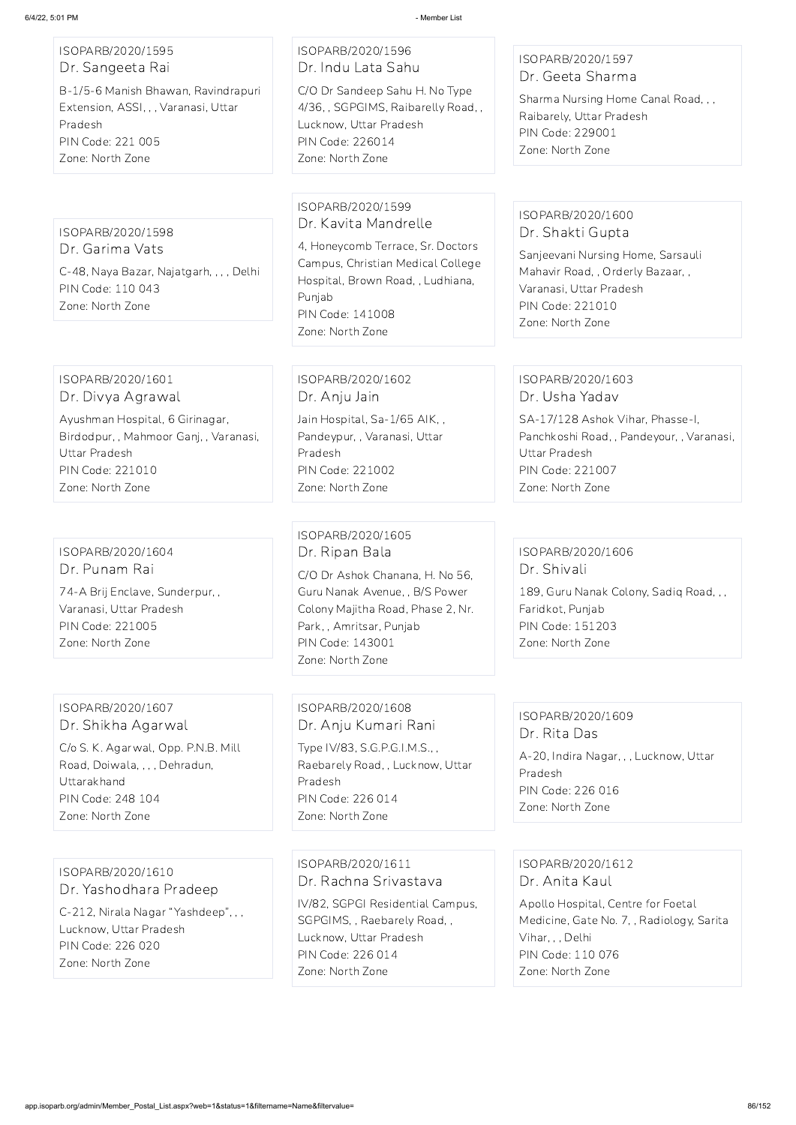ISOPARB/2020/1595 Dr. Sangeeta Rai

B-1/5-6 Manish Bhawan, Ravindrapuri Extension, ASSI, , , Varanasi, Uttar Pradesh PIN Code: 221 005 Zone: North Zone

### ISOPARB/2020/1596 Dr. Indu Lata Sahu

C/O Dr Sandeep Sahu H. No Type 4/36, , SGPGIMS, Raibarelly Road, , Lucknow, Uttar Pradesh PIN Code: 226014 Zone: North Zone

#### ISOPARB/2020/1597 Dr. Geeta Sharma

Sharma Nursing Home Canal Road, , , Raibarely, Uttar Pradesh PIN Code: 229001 Zone: North Zone

ISOPARB/2020/1598 Dr. Garima Vats C-48, Naya Bazar, Najatgarh, , , , Delhi PIN Code: 110 043 Zone: North Zone

ISOPARB/2020/1599 Dr. Kavita Mandrelle

4, Honeycomb Terrace, Sr. Doctors Campus, Christian Medical College Hospital, Brown Road, , Ludhiana, Punjab PIN Code: 141008 Zone: North Zone

### ISOPARB/2020/1600 Dr. Shakti Gupta

Sanjeevani Nursing Home, Sarsauli Mahavir Road, , Orderly Bazaar, , Varanasi, Uttar Pradesh PIN Code: 221010 Zone: North Zone

#### ISOPARB/2020/1601 Dr. Divya Agrawal

Ayushman Hospital, 6 Girinagar, Birdodpur, , Mahmoor Ganj, , Varanasi, Uttar Pradesh PIN Code: 221010 Zone: North Zone

ISOPARB/2020/1602 Dr. Anju Jain

Jain Hospital, Sa-1/65 AIK, , Pandeypur, , Varanasi, Uttar Pradesh PIN Code: 221002 Zone: North Zone

#### ISOPARB/2020/1603 Dr. Usha Yadav

SA-17/128 Ashok Vihar, Phasse-I, Panchkoshi Road, , Pandeyour, , Varanasi, Uttar Pradesh PIN Code: 221007 Zone: North Zone

### ISOPARB/2020/1604 Dr. Punam Rai 74-A Brij Enclave, Sunderpur, , Varanasi, Uttar Pradesh PIN Code: 221005 Zone: North Zone

ISOPARB/2020/1605 Dr. Ripan Bala

C/O Dr Ashok Chanana, H. No 56, Guru Nanak Avenue, , B/S Power Colony Majitha Road, Phase 2, Nr. Park, , Amritsar, Punjab PIN Code: 143001 Zone: North Zone

ISOPARB/2020/1606 Dr. Shivali 189, Guru Nanak Colony, Sadiq Road, , , Faridkot, Punjab PIN Code: 151203 Zone: North Zone

ISOPARB/2020/1607 Dr. Shikha Agarwal

C/o S. K. Agarwal, Opp. P.N.B. Mill Road, Doiwala, , , , Dehradun, Uttarakhand PIN Code: 248 104 Zone: North Zone

ISOPARB/2020/1608 Dr. Anju Kumari Rani

Type IV/83, S.G.P.G.I.M.S., , Raebarely Road, , Lucknow, Uttar Pradesh PIN Code: 226 014 Zone: North Zone

ISOPARB/2020/1609 Dr. Rita Das A-20, Indira Nagar, , , Lucknow, Uttar Pradesh PIN Code: 226 016 Zone: North Zone

ISOPARB/2020/1610 Dr. Yashodhara Pradeep C-212, Nirala Nagar "Yashdeep", , , Lucknow, Uttar Pradesh PIN Code: 226 020 Zone: North Zone

ISOPARB/2020/1611 Dr. Rachna Srivastava

IV/82, SGPGI Residential Campus, SGPGIMS, , Raebarely Road, , Lucknow, Uttar Pradesh PIN Code: 226 014 Zone: North Zone

ISOPARB/2020/1612 Dr. Anita Kaul

Apollo Hospital, Centre for Foetal Medicine, Gate No. 7, , Radiology, Sarita Vihar, , , Delhi PIN Code: 110 076 Zone: North Zone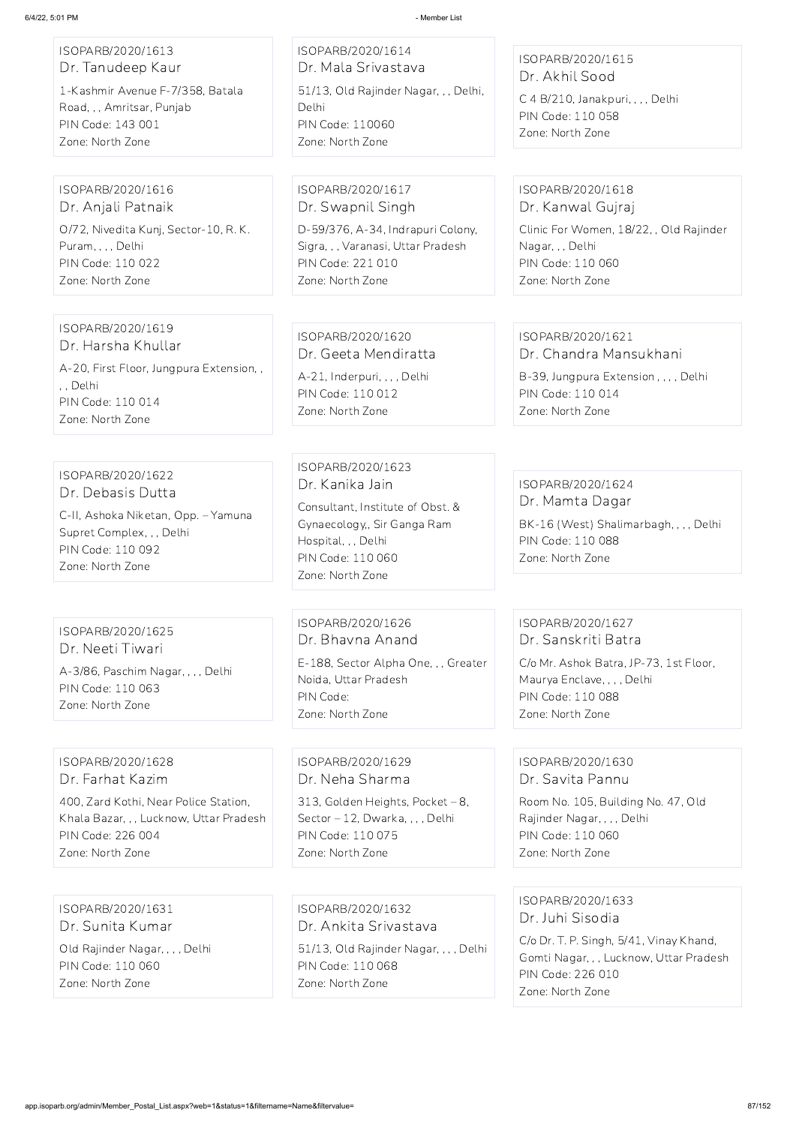| ISOPARB/2020/1613<br>Dr. Tanudeep Kaur                                                                                          | ISOPARB/2020/1614<br>Dr. Mala Srivastava                                                                                                            | ISOPARB/2020/1615                                                                                                       |
|---------------------------------------------------------------------------------------------------------------------------------|-----------------------------------------------------------------------------------------------------------------------------------------------------|-------------------------------------------------------------------------------------------------------------------------|
| 1-Kashmir Avenue F-7/358, Batala<br>Road, , , Amritsar, Punjab<br>PIN Code: 143 001<br>Zone: North Zone                         | 51/13, Old Rajinder Nagar, , , Delhi,<br>Delhi<br><b>PIN Code: 110060</b><br>Zone: North Zone                                                       | Dr. Akhil Sood<br>C 4 B/210, Janakpuri, , , , Delhi<br>PIN Code: 110 058<br>Zone: North Zone                            |
| ISOPARB/2020/1616                                                                                                               | ISOPARB/2020/1617                                                                                                                                   | ISOPARB/2020/1618                                                                                                       |
| Dr. Anjali Patnaik                                                                                                              | Dr. Swapnil Singh                                                                                                                                   | Dr. Kanwal Gujraj                                                                                                       |
| O/72, Nivedita Kunj, Sector-10, R. K.<br>Puram, , , , Delhi<br>PIN Code: 110 022<br>Zone: North Zone                            | D-59/376, A-34, Indrapuri Colony,<br>Sigra, ,, Varanasi, Uttar Pradesh<br><b>PIN Code: 221 010</b><br>Zone: North Zone                              | Clinic For Women, 18/22, , Old Rajinder<br>Nagar, , , Delhi<br>PIN Code: 110 060<br>Zone: North Zone                    |
| ISOPARB/2020/1619                                                                                                               |                                                                                                                                                     |                                                                                                                         |
| Dr. Harsha Khullar                                                                                                              | ISOPARB/2020/1620<br>Dr. Geeta Mendiratta                                                                                                           | ISOPARB/2020/1621<br>Dr. Chandra Mansukhani                                                                             |
| A-20, First Floor, Jungpura Extension,,                                                                                         |                                                                                                                                                     |                                                                                                                         |
| , , Delhi                                                                                                                       | A-21, Inderpuri, , , , Delhi<br>PIN Code: 110 012                                                                                                   | B-39, Jungpura Extension, , , , Delhi<br>PIN Code: 110 014                                                              |
| PIN Code: 110 014<br>Zone: North Zone                                                                                           | Zone: North Zone                                                                                                                                    | Zone: North Zone                                                                                                        |
| ISOPARB/2020/1622<br>Dr. Debasis Dutta<br>C-II, Ashoka Niketan, Opp. - Yamuna<br>Supret Complex, , , Delhi<br>PIN Code: 110 092 | ISOPARB/2020/1623<br>Dr. Kanika Jain<br>Consultant, Institute of Obst. &<br>Gynaecology,, Sir Ganga Ram<br>Hospital, , , Delhi<br>PIN Code: 110 060 | ISOPARB/2020/1624<br>Dr. Mamta Dagar<br>BK-16 (West) Shalimarbagh, , , , Delhi<br>PIN Code: 110 088<br>Zone: North Zone |
| Zone: North Zone                                                                                                                | Zone: North Zone                                                                                                                                    |                                                                                                                         |
| ISOPARB/2020/1625<br>Dr. Neeti Tiwari                                                                                           | ISOPARB/2020/1626<br>Dr. Bhavna Anand                                                                                                               | ISOPARB/2020/1627<br>Dr. Sanskriti Batra                                                                                |
| A-3/86, Paschim Nagar, , , , Delhi                                                                                              | E-188, Sector Alpha One, , , Greater                                                                                                                | C/o Mr. Ashok Batra, JP-73, 1st Floor,                                                                                  |
| PIN Code: 110 063                                                                                                               | Noida, Uttar Pradesh<br>PIN Code:                                                                                                                   | Maurya Enclave, , , , Delhi<br>PIN Code: 110 088                                                                        |
| Zone: North Zone                                                                                                                | Zone: North Zone                                                                                                                                    | Zone: North Zone                                                                                                        |
|                                                                                                                                 |                                                                                                                                                     |                                                                                                                         |
| ISOPARB/2020/1628                                                                                                               | ISOPARB/2020/1629                                                                                                                                   | ISOPARB/2020/1630                                                                                                       |
| Dr. Farhat Kazim                                                                                                                | Dr. Neha Sharma                                                                                                                                     | Dr. Savita Pannu                                                                                                        |
| 400, Zard Kothi, Near Police Station,                                                                                           | 313, Golden Heights, Pocket - 8,                                                                                                                    | Room No. 105, Building No. 47, Old                                                                                      |

Khala Bazar, , , Lucknow, Uttar Pradesh PIN Code: 226 004

Sector – 12, Dwarka, , , , Delhi PIN Code: 110 075

Zone: North Zone

Rajinder Nagar, , , , Delhi PIN Code: 110 060 Zone: North Zone

ISOPARB/2020/1631 Dr. Sunita Kumar Old Rajinder Nagar, , , , Delhi PIN Code: 110 060 Zone: North Zone

ISOPARB/2020/1632 Dr. Ankita Srivastava 51/13, Old Rajinder Nagar, , , , Delhi PIN Code: 110 068 Zone: North Zone

ISOPARB/2020/1633 Dr. Juhi Sisodia

C/o Dr. T. P. Singh, 5/41, Vinay Khand, Gomti Nagar, , , Lucknow, Uttar Pradesh PIN Code: 226 010 Zone: North Zone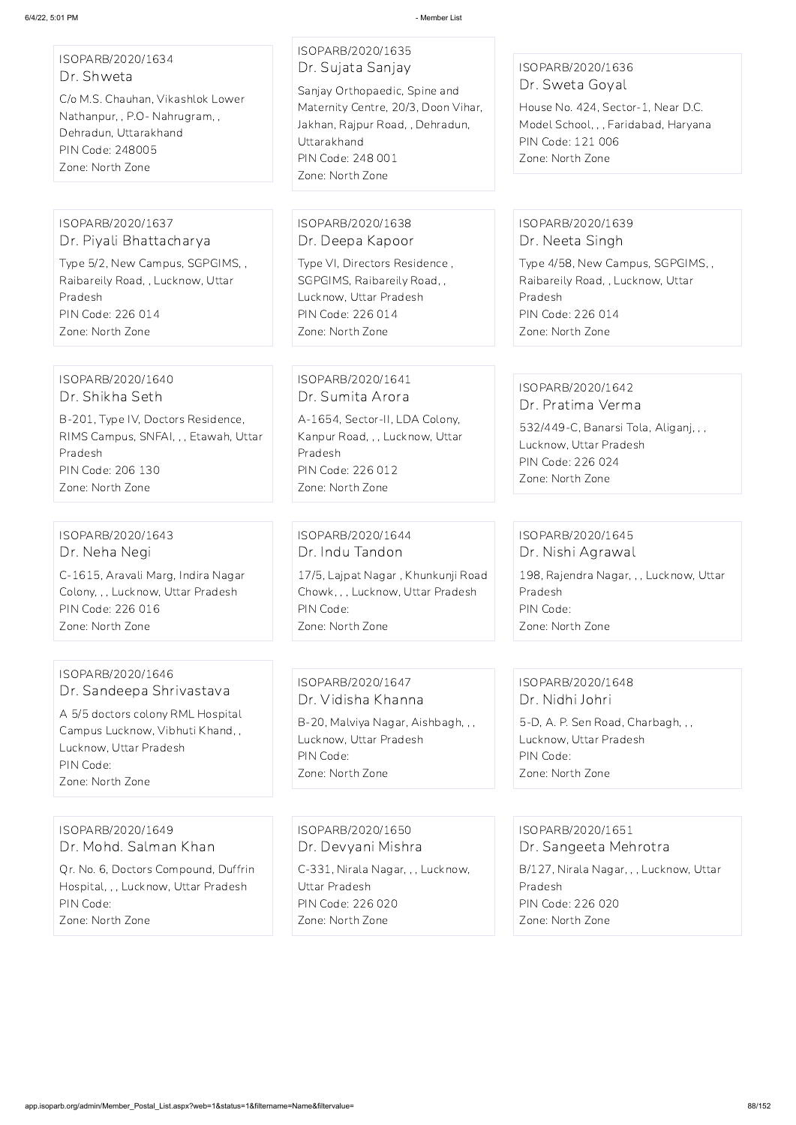ISOPARB/2020/1634 Dr. Shweta

C/o M.S. Chauhan, Vikashlok Lower Nathanpur, , P.O- Nahrugram, , Dehradun, Uttarakhand PIN Code: 248005 Zone: North Zone

### ISOPARB/2020/1635 Dr. Sujata Sanjay

Sanjay Orthopaedic, Spine and Maternity Centre, 20/3, Doon Vihar, Jakhan, Rajpur Road, , Dehradun, Uttarakhand PIN Code: 248 001 Zone: North Zone

### ISOPARB/2020/1636 Dr. Sweta Goyal

House No. 424, Sector-1, Near D.C. Model School, , , Faridabad, Haryana PIN Code: 121 006 Zone: North Zone

### ISOPARB/2020/1637 Dr. Piyali Bhattacharya

Type 5/2, New Campus, SGPGIMS, , Raibareily Road, , Lucknow, Uttar Pradesh PIN Code: 226 014 Zone: North Zone

### ISOPARB/2020/1638 Dr. Deepa Kapoor

Type VI, Directors Residence , SGPGIMS, Raibareily Road, , Lucknow, Uttar Pradesh PIN Code: 226 014 Zone: North Zone

### ISOPARB/2020/1639 Dr. Neeta Singh

Type 4/58, New Campus, SGPGIMS, , Raibareily Road, , Lucknow, Uttar Pradesh PIN Code: 226 014 Zone: North Zone

### ISOPARB/2020/1640 Dr. Shikha Seth

B-201, Type IV, Doctors Residence, RIMS Campus, SNFAI, , , Etawah, Uttar Pradesh PIN Code: 206 130 Zone: North Zone

### ISOPARB/2020/1641 Dr. Sumita Arora

A-1654, Sector-II, LDA Colony, Kanpur Road, , , Lucknow, Uttar Pradesh PIN Code: 226 012 Zone: North Zone

#### ISOPARB/2020/1642 Dr. Pratima Verma

532/449-C, Banarsi Tola, Aliganj, , , Lucknow, Uttar Pradesh PIN Code: 226 024 Zone: North Zone

### ISOPARB/2020/1643 Dr. Neha Negi

C-1615, Aravali Marg, Indira Nagar Colony, , , Lucknow, Uttar Pradesh PIN Code: 226 016 Zone: North Zone

### ISOPARB/2020/1644 Dr. Indu Tandon 17/5, Lajpat Nagar , Khunkunji Road Chowk, , , Lucknow, Uttar Pradesh PIN Code: Zone: North Zone

### ISOPARB/2020/1645 Dr. Nishi Agrawal

198, Rajendra Nagar, , , Lucknow, Uttar Pradesh PIN Code: Zone: North Zone

### ISOPARB/2020/1646 Dr. Sandeepa Shrivastava

A 5/5 doctors colony RML Hospital Campus Lucknow, Vibhuti Khand, , Lucknow, Uttar Pradesh PIN Code: Zone: North Zone

### ISOPARB/2020/1647 Dr. Vidisha Khanna

B-20, Malviya Nagar, Aishbagh, , , Lucknow, Uttar Pradesh PIN Code: Zone: North Zone

## ISOPARB/2020/1648 Dr. Nidhi Johri

5-D, A. P. Sen Road, Charbagh, , , Lucknow, Uttar Pradesh PIN Code: Zone: North Zone

ISOPARB/2020/1649 Dr. Mohd. Salman Khan

Qr. No. 6, Doctors Compound, Duffrin Hospital, , , Lucknow, Uttar Pradesh PIN Code:

Zone: North Zone

ISOPARB/2020/1650 Dr. Devyani Mishra

C-331, Nirala Nagar, , , Lucknow, Uttar Pradesh PIN Code: 226 020 Zone: North Zone

ISOPARB/2020/1651 Dr. Sangeeta Mehrotra B/127, Nirala Nagar, , , Lucknow, Uttar Pradesh PIN Code: 226 020 Zone: North Zone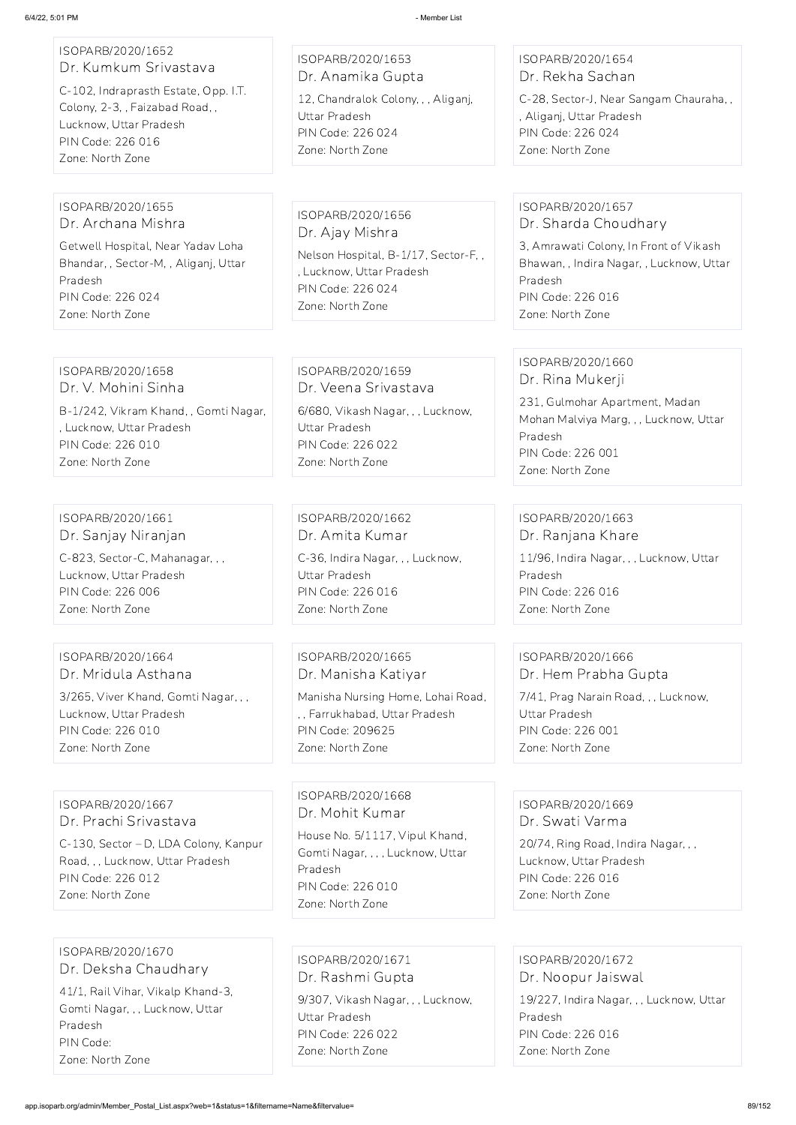| ISOPARB/2020/1652<br>Dr. Kumkum Srivastava                                                                                                                                | ISOPARB/2020/1653<br>Dr. Anamika Gupta                                                                                                           | ISOPARB/2020/1654<br>Dr. Rekha Sachan                                                                                                                                               |
|---------------------------------------------------------------------------------------------------------------------------------------------------------------------------|--------------------------------------------------------------------------------------------------------------------------------------------------|-------------------------------------------------------------------------------------------------------------------------------------------------------------------------------------|
| C-102, Indraprasth Estate, Opp. I.T.<br>Colony, 2-3, , Faizabad Road, ,<br>Lucknow, Uttar Pradesh<br>PIN Code: 226 016<br>Zone: North Zone                                | 12, Chandralok Colony, , , Aliganj,<br>Uttar Pradesh<br>PIN Code: 226 024<br>Zone: North Zone                                                    | C-28, Sector-J, Near Sangam Chauraha,,<br>, Aliganj, Uttar Pradesh<br>PIN Code: 226 024<br>Zone: North Zone                                                                         |
|                                                                                                                                                                           |                                                                                                                                                  |                                                                                                                                                                                     |
| ISOPARB/2020/1655<br>Dr. Archana Mishra<br>Getwell Hospital, Near Yadav Loha<br>Bhandar, , Sector-M, , Aliganj, Uttar<br>Pradesh<br>PIN Code: 226 024<br>Zone: North Zone | ISOPARB/2020/1656<br>Dr. Ajay Mishra<br>Nelson Hospital, B-1/17, Sector-F,,<br>, Lucknow, Uttar Pradesh<br>PIN Code: 226 024<br>Zone: North Zone | ISOPARB/2020/1657<br>Dr. Sharda Choudhary<br>3, Amrawati Colony, In Front of Vikash<br>Bhawan, , Indira Nagar, , Lucknow, Uttar<br>Pradesh<br>PIN Code: 226 016<br>Zone: North Zone |
|                                                                                                                                                                           |                                                                                                                                                  |                                                                                                                                                                                     |
| ISOPARB/2020/1658<br>Dr. V. Mohini Sinha                                                                                                                                  | ISOPARB/2020/1659<br>Dr. Veena Srivastava                                                                                                        | ISOPARB/2020/1660<br>Dr. Rina Mukerji                                                                                                                                               |
| B-1/242, Vikram Khand, , Gomti Nagar,<br>, Lucknow, Uttar Pradesh<br>PIN Code: 226 010<br>Zone: North Zone                                                                | 6/680, Vikash Nagar, , , Lucknow,<br>Uttar Pradesh<br>PIN Code: 226 022<br>Zone: North Zone                                                      | 231, Gulmohar Apartment, Madan<br>Mohan Malviya Marg, , , Lucknow, Uttar<br>Pradesh<br>PIN Code: 226 001<br>Zone: North Zone                                                        |
|                                                                                                                                                                           |                                                                                                                                                  |                                                                                                                                                                                     |
| ISOPARB/2020/1661<br>Dr. Sanjay Niranjan                                                                                                                                  | ISOPARB/2020/1662<br>Dr. Amita Kumar                                                                                                             | ISOPARB/2020/1663<br>Dr. Ranjana Khare                                                                                                                                              |
| C-823, Sector-C, Mahanagar, ,,<br>Lucknow, Uttar Pradesh<br>PIN Code: 226 006<br>Zone: North Zone                                                                         | C-36, Indira Nagar, , , Lucknow,<br>Uttar Pradesh<br>PIN Code: 226 016<br>Zone: North Zone                                                       | 11/96, Indira Nagar, , , Lucknow, Uttar<br>Pradesh<br>PIN Code: 226 016<br>Zone: North Zone                                                                                         |
|                                                                                                                                                                           |                                                                                                                                                  |                                                                                                                                                                                     |
| ISOPARB/2020/1664<br>Dr. Mridula Asthana                                                                                                                                  | ISOPARB/2020/1665<br>Dr. Manisha Katiyar                                                                                                         | ISOPARB/2020/1666<br>Dr. Hem Prabha Gupta                                                                                                                                           |
| 3/265, Viver Khand, Gomti Nagar, , ,<br>Lucknow, Uttar Pradesh<br>PIN Code: 226 010                                                                                       | Manisha Nursing Home, Lohai Road,<br>,, Farrukhabad, Uttar Pradesh<br>PIN Code: 209625                                                           | 7/41, Prag Narain Road, , , Lucknow,<br>Uttar Pradesh<br>PIN Code: 226 001                                                                                                          |

Zone: North Zone

Zone: North Zone

Zone: North Zone

# ISOPARB/2020/1667 Dr. Prachi Srivastava

C-130, Sector – D, LDA Colony, Kanpur

Road, , , Lucknow, Uttar Pradesh PIN Code: 226 012 Zone: North Zone

ISOPARB/2020/1668 Dr. Mohit Kumar

House No. 5/1117, Vipul Khand, Gomti Nagar, , , , Lucknow, Uttar Pradesh PIN Code: 226 010

Zone: North Zone

ISOPARB/2020/1669 Dr. Swati Varma 20/74, Ring Road, Indira Nagar, , ,

Lucknow, Uttar Pradesh PIN Code: 226 016 Zone: North Zone

ISOPARB/2020/1670 Dr. Deksha Chaudhary

41/1, Rail Vihar, Vikalp Khand-3, Gomti Nagar, , , Lucknow, Uttar Pradesh PIN Code: Zone: North Zone

ISOPARB/2020/1671 Dr. Rashmi Gupta 9/307, Vikash Nagar, , , Lucknow, Uttar Pradesh PIN Code: 226 022 Zone: North Zone

ISOPARB/2020/1672 Dr. Noopur Jaiswal

19/227, Indira Nagar, , , Lucknow, Uttar Pradesh PIN Code: 226 016

Zone: North Zone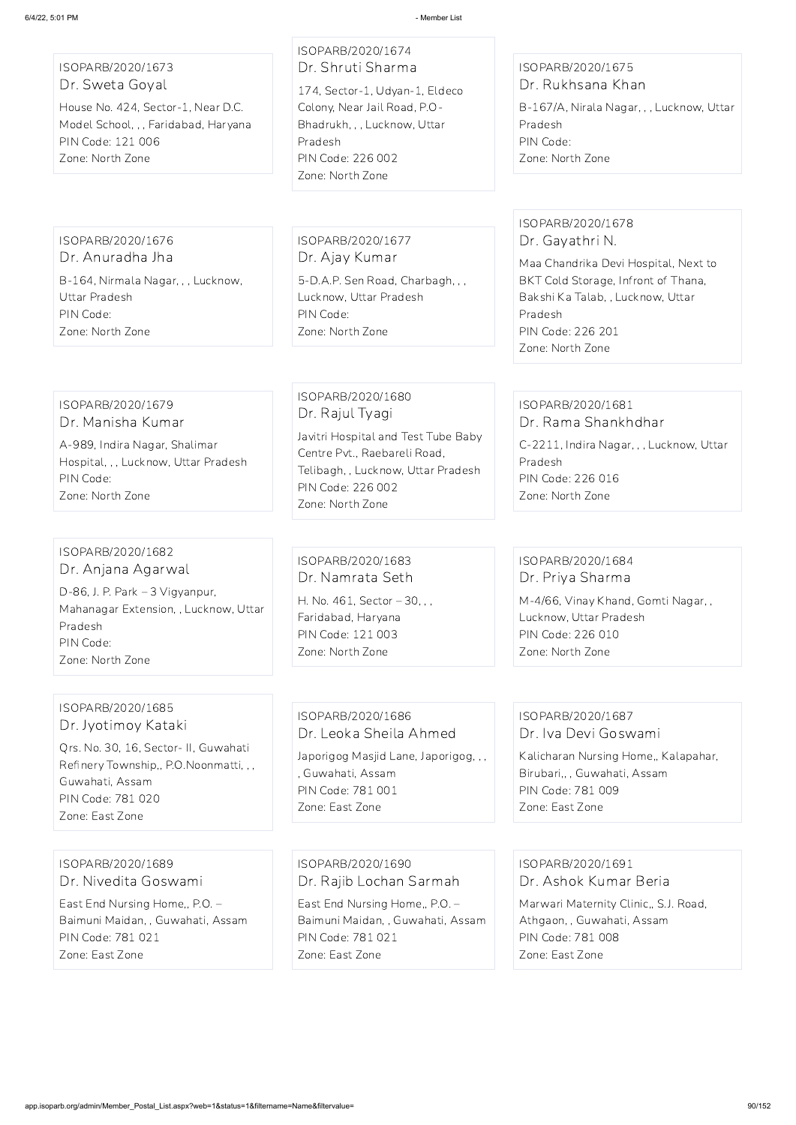ISOPARB/2020/1673 Dr. Sweta Goyal

House No. 424, Sector-1, Near D.C. Model School, , , Faridabad, Haryana PIN Code: 121 006 Zone: North Zone

ISOPARB/2020/1674 Dr. Shruti Sharma 174, Sector-1, Udyan-1, Eldeco Colony, Near Jail Road, P.O-Bhadrukh, , , Lucknow, Uttar Pradesh PIN Code: 226 002 Zone: North Zone

### ISOPARB/2020/1675 Dr. Rukhsana Khan

B-167/A, Nirala Nagar, , , Lucknow, Uttar Pradesh PIN Code: Zone: North Zone

ISOPARB/2020/1676 Dr. Anuradha Jha

B-164, Nirmala Nagar, , , Lucknow, Uttar Pradesh PIN Code: Zone: North Zone

ISOPARB/2020/1677 Dr. Ajay Kumar

5-D.A.P. Sen Road, Charbagh, , , Lucknow, Uttar Pradesh PIN Code: Zone: North Zone

### ISOPARB/2020/1678 Dr. Gayathri N.

Maa Chandrika Devi Hospital, Next to BKT Cold Storage, Infront of Thana, Bakshi Ka Talab, , Lucknow, Uttar Pradesh PIN Code: 226 201 Zone: North Zone

#### ISOPARB/2020/1679 Dr. Manisha Kumar

A-989, Indira Nagar, Shalimar Hospital, , , Lucknow, Uttar Pradesh PIN Code: Zone: North Zone

## ISOPARB/2020/1680 Dr. Rajul Tyagi

Javitri Hospital and Test Tube Baby Centre Pvt., Raebareli Road, Telibagh, , Lucknow, Uttar Pradesh PIN Code: 226 002 Zone: North Zone

#### ISOPARB/2020/1681 Dr. Rama Shankhdhar

C-2211, Indira Nagar, , , Lucknow, Uttar Pradesh PIN Code: 226 016 Zone: North Zone

#### ISOPARB/2020/1682 Dr. Anjana Agarwal

D-86, J. P. Park – 3 Vigyanpur, Mahanagar Extension, , Lucknow, Uttar Pradesh PIN Code: Zone: North Zone

### ISOPARB/2020/1683 Dr. Namrata Seth

H. No. 461, Sector – 30, , , Faridabad, Haryana PIN Code: 121 003 Zone: North Zone

### ISOPARB/2020/1684 Dr. Priya Sharma

M-4/66, Vinay Khand, Gomti Nagar, , Lucknow, Uttar Pradesh PIN Code: 226 010 Zone: North Zone

### ISOPARB/2020/1685 Dr. Jyotimoy Kataki

Qrs. No. 30, 16, Sector- II, Guwahati Refinery Township,, P.O.Noonmatti, , , Guwahati, Assam PIN Code: 781 020 Zone: East Zone

### ISOPARB/2020/1686 Dr. Leoka Sheila Ahmed

Japorigog Masjid Lane, Japorigog, , , , Guwahati, Assam PIN Code: 781 001 Zone: East Zone

#### ISOPARB/2020/1687 Dr. Iva Devi Goswami

Kalicharan Nursing Home,, Kalapahar, Birubari,, , Guwahati, Assam PIN Code: 781 009 Zone: East Zone

ISOPARB/2020/1689 Dr. Nivedita Goswami

East End Nursing Home,, P.O. – Baimuni Maidan, , Guwahati, Assam PIN Code: 781 021 Zone: East Zone

ISOPARB/2020/1690 Dr. Rajib Lochan Sarmah

East End Nursing Home,, P.O. – Baimuni Maidan, , Guwahati, Assam PIN Code: 781 021 Zone: East Zone

ISOPARB/2020/1691 Dr. Ashok Kumar Beria

Marwari Maternity Clinic,, S.J. Road, Athgaon, , Guwahati, Assam PIN Code: 781 008 Zone: East Zone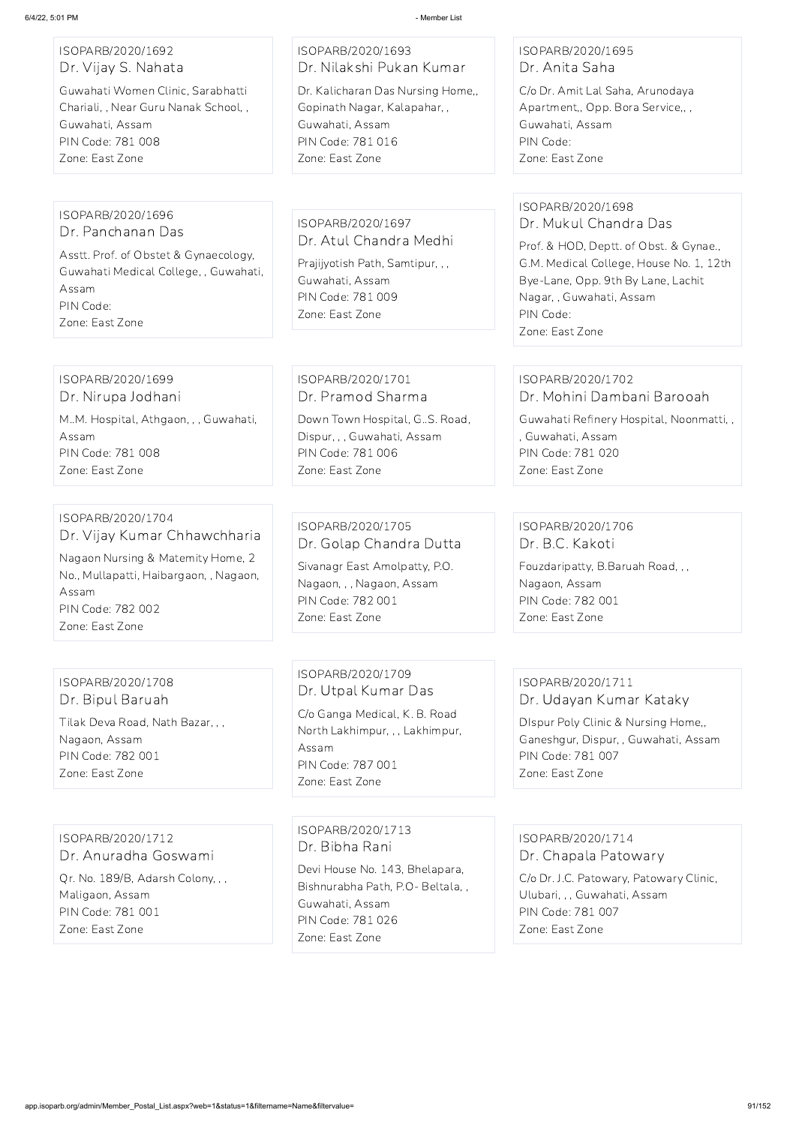### ISOPARB/2020/1692 Dr. Vijay S. Nahata

Guwahati Women Clinic, Sarabhatti Chariali, , Near Guru Nanak School, , Guwahati, Assam PIN Code: 781 008 Zone: East Zone

# ISOPARB/2020/1693 Dr. Nilakshi Pukan Kumar

Dr. Kalicharan Das Nursing Home,, Gopinath Nagar, Kalapahar, , Guwahati, Assam PIN Code: 781 016 Zone: East Zone

### ISOPARB/2020/1695 Dr. Anita Saha

C/o Dr. Amit Lal Saha, Arunodaya Apartment,, Opp. Bora Service,, , Guwahati, Assam PIN Code: Zone: East Zone

#### ISOPARB/2020/1696 Dr. Panchanan Das

Asstt. Prof. of Obstet & Gynaecology, Guwahati Medical College, , Guwahati, Assam PIN Code: Zone: East Zone

ISOPARB/2020/1697 Dr. Atul Chandra Medhi

Prajijyotish Path, Samtipur, , , Guwahati, Assam PIN Code: 781 009 Zone: East Zone

### ISOPARB/2020/1698 Dr. Mukul Chandra Das

Prof. & HOD, Deptt. of Obst. & Gynae., G.M. Medical College, House No. 1, 12th Bye-Lane, Opp. 9th By Lane, Lachit Nagar, , Guwahati, Assam PIN Code: Zone: East Zone

#### ISOPARB/2020/1699 Dr. Nirupa Jodhani

M..M. Hospital, Athgaon, , , Guwahati, Assam PIN Code: 781 008 Zone: East Zone

### ISOPARB/2020/1701 Dr. Pramod Sharma

Down Town Hospital, G..S. Road, Dispur, , , Guwahati, Assam PIN Code: 781 006 Zone: East Zone

#### ISOPARB/2020/1702 Dr. Mohini Dambani Barooah

Guwahati Refinery Hospital, Noonmatti, , , Guwahati, Assam PIN Code: 781 020 Zone: East Zone

#### ISOPARB/2020/1704 Dr. Vijay Kumar Chhawchharia

Nagaon Nursing & Matemity Home, 2 No., Mullapatti, Haibargaon, , Nagaon, Assam PIN Code: 782 002 Zone: East Zone

## ISOPARB/2020/1705 Dr. Golap Chandra Dutta

Sivanagr East Amolpatty, P.O. Nagaon, , , Nagaon, Assam PIN Code: 782 001 Zone: East Zone

### ISOPARB/2020/1706 Dr. B.C. Kakoti

Fouzdaripatty, B.Baruah Road, , , Nagaon, Assam PIN Code: 782 001 Zone: East Zone

# ISOPARB/2020/1708 Dr. Bipul Baruah Tilak Deva Road, Nath Bazar, , , Nagaon, Assam

PIN Code: 782 001 Zone: East Zone

ISOPARB/2020/1709 Dr. Utpal Kumar Das C/o Ganga Medical, K. B. Road North Lakhimpur, , , Lakhimpur, Assam PIN Code: 787 001 Zone: East Zone

### ISOPARB/2020/1711 Dr. Udayan Kumar Kataky

DIspur Poly Clinic & Nursing Home,, Ganeshgur, Dispur, , Guwahati, Assam PIN Code: 781 007 Zone: East Zone

ISOPARB/2020/1712

#### Dr. Anuradha Goswami

Qr. No. 189/B, Adarsh Colony, , , Maligaon, Assam PIN Code: 781 001 Zone: East Zone

ISOPARB/2020/1713 Dr. Bibha Rani

Devi House No. 143, Bhelapara, Bishnurabha Path, P.O- Beltala, , Guwahati, Assam PIN Code: 781 026 Zone: East Zone

ISOPARB/2020/1714

Dr. Chapala Patowary

C/o Dr. J.C. Patowary, Patowary Clinic, Ulubari, , , Guwahati, Assam PIN Code: 781 007 Zone: East Zone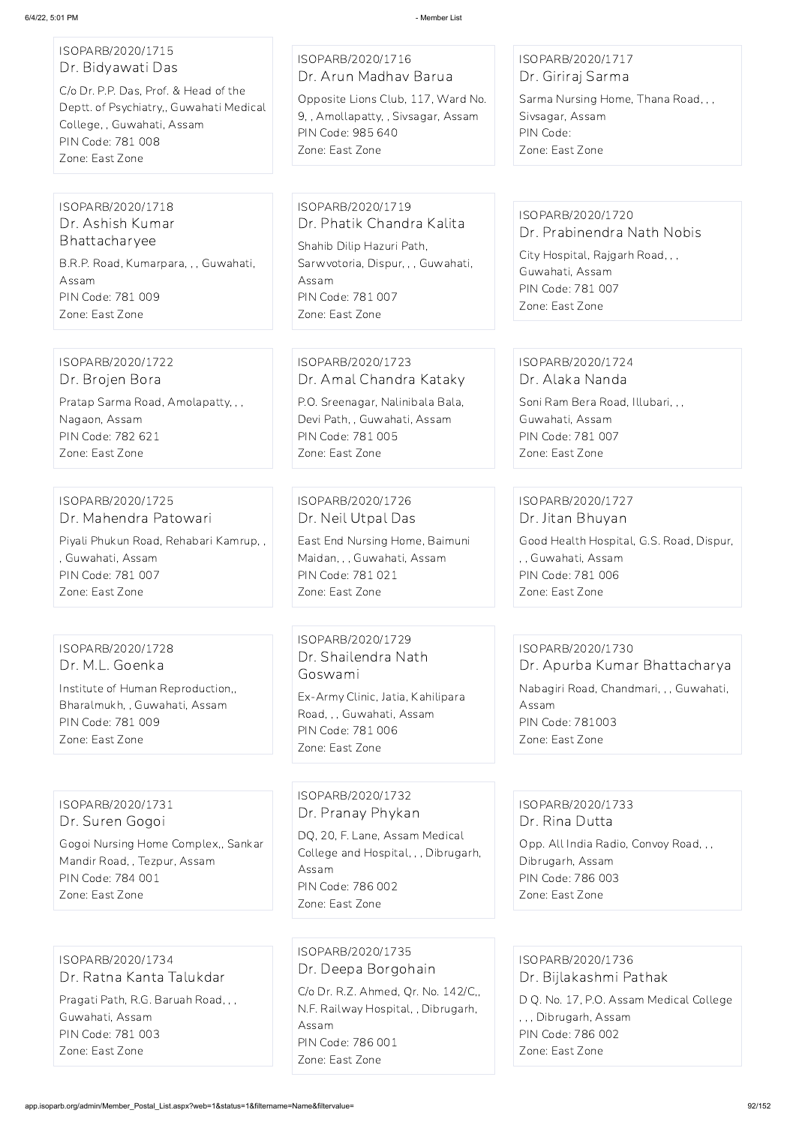## ISOPARB/2020/1715 Dr. Bidyawati Das

C/o Dr. P.P. Das, Prof. & Head of the Deptt. of Psychiatry,, Guwahati Medical College, , Guwahati, Assam PIN Code: 781 008 Zone: East Zone

#### ISOPARB/2020/1716 Dr. Arun Madhav Barua

Opposite Lions Club, 117, Ward No. 9, , Amollapatty, , Sivsagar, Assam PIN Code: 985 640 Zone: East Zone

### ISOPARB/2020/1717 Dr. Giriraj Sarma

Sarma Nursing Home, Thana Road, , , Sivsagar, Assam PIN Code: Zone: East Zone

#### ISOPARB/2020/1718 Dr. Ashish Kumar Bhattacharyee

B.R.P. Road, Kumarpara, , , Guwahati, Assam PIN Code: 781 009 Zone: East Zone

## ISOPARB/2020/1719 Dr. Phatik Chandra Kalita

Shahib Dilip Hazuri Path, Sarwvotoria, Dispur, , , Guwahati, Assam PIN Code: 781 007 Zone: East Zone

#### ISOPARB/2020/1720 Dr. Prabinendra Nath Nobis

City Hospital, Rajgarh Road, , , Guwahati, Assam PIN Code: 781 007 Zone: East Zone

## ISOPARB/2020/1722

Dr. Brojen Bora

Pratap Sarma Road, Amolapatty, , , Nagaon, Assam PIN Code: 782 621 Zone: East Zone

### ISOPARB/2020/1723 Dr. Amal Chandra Kataky

P.O. Sreenagar, Nalinibala Bala, Devi Path, , Guwahati, Assam PIN Code: 781 005 Zone: East Zone

#### ISOPARB/2020/1724 Dr. Alaka Nanda

Soni Ram Bera Road, Illubari, , , Guwahati, Assam PIN Code: 781 007 Zone: East Zone

#### ISOPARB/2020/1725 Dr. Mahendra Patowari

Piyali Phukun Road, Rehabari Kamrup, , , Guwahati, Assam PIN Code: 781 007 Zone: East Zone

### ISOPARB/2020/1726 Dr. Neil Utpal Das

East End Nursing Home, Baimuni Maidan, , , Guwahati, Assam PIN Code: 781 021 Zone: East Zone

### ISOPARB/2020/1727 Dr. Jitan Bhuyan

Good Health Hospital, G.S. Road, Dispur, , , Guwahati, Assam PIN Code: 781 006 Zone: East Zone

### ISOPARB/2020/1728 Dr. M.L. Goenka

Institute of Human Reproduction,, Bharalmukh, , Guwahati, Assam PIN Code: 781 009 Zone: East Zone

### ISOPARB/2020/1729 Dr. Shailendra Nath Goswami

Ex-Army Clinic, Jatia, Kahilipara Road, , , Guwahati, Assam PIN Code: 781 006 Zone: East Zone

#### ISOPARB/2020/1730 Dr. Apurba Kumar Bhattacharya

Nabagiri Road, Chandmari, , , Guwahati, Assam PIN Code: 781003 Zone: East Zone

### ISOPARB/2020/1731 Dr. Suren Gogoi

Gogoi Nursing Home Complex,, Sankar

Mandir Road, , Tezpur, Assam PIN Code: 784 001 Zone: East Zone

### ISOPARB/2020/1732 Dr. Pranay Phykan

DQ, 20, F. Lane, Assam Medical College and Hospital, , , Dibrugarh, Assam PIN Code: 786 002 Zone: East Zone

#### ISOPARB/2020/1733 Dr. Rina Dutta

Opp. All India Radio, Convoy Road, , ,

Dibrugarh, Assam PIN Code: 786 003 Zone: East Zone

ISOPARB/2020/1734 Dr. Ratna Kanta Talukdar Pragati Path, R.G. Baruah Road, , , Guwahati, Assam

PIN Code: 781 003

Zone: East Zone

ISOPARB/2020/1735 Dr. Deepa Borgohain C/o Dr. R.Z. Ahmed, Qr. No. 142/C,, N.F. Railway Hospital, , Dibrugarh, Assam PIN Code: 786 001 Zone: East Zone

ISOPARB/2020/1736 Dr. Bijlakashmi Pathak D Q. No. 17, P.O. Assam Medical College , , , Dibrugarh, Assam PIN Code: 786 002 Zone: East Zone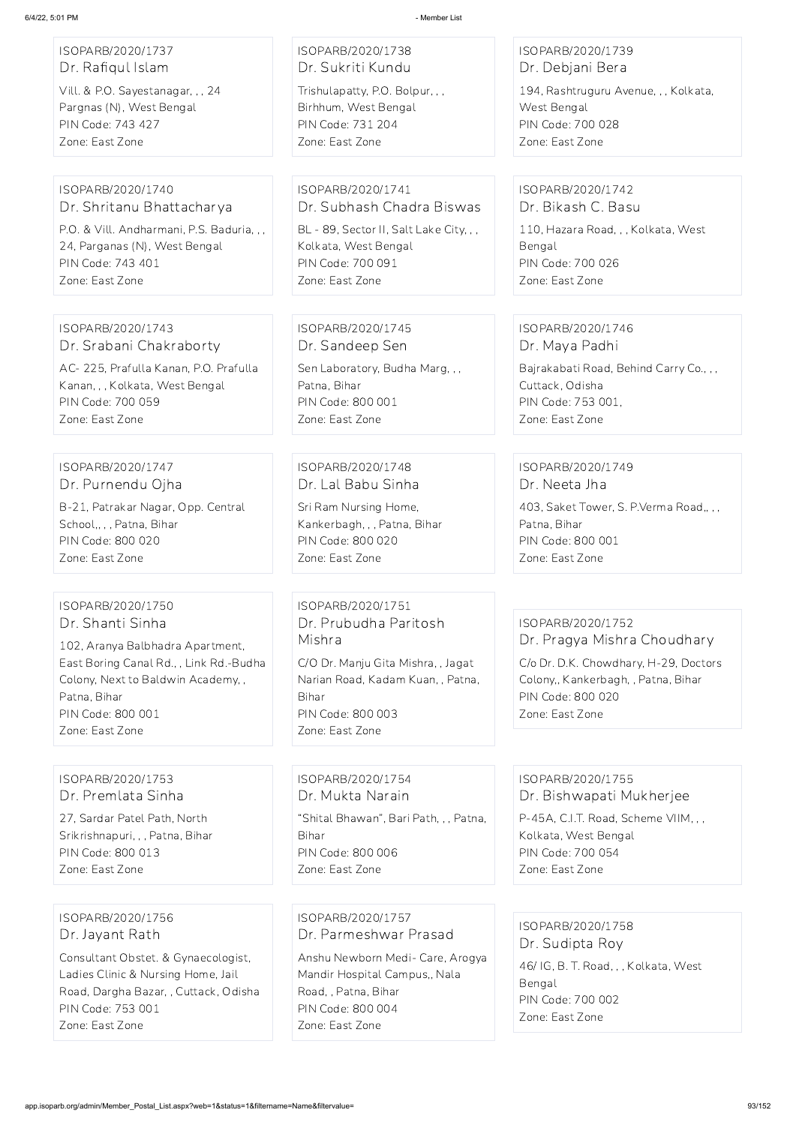| ISOPARB/2020/1737                                      | ISOPARB/2020/1738<br>Dr. Sukriti Kundu  | ISOPARB/2020/1739                                         |
|--------------------------------------------------------|-----------------------------------------|-----------------------------------------------------------|
| Dr. Rafiqul Islam<br>Vill. & P.O. Sayestanagar, , , 24 | Trishulapatty, P.O. Bolpur, , ,         | Dr. Debjani Bera<br>194, Rashtruguru Avenue, , , Kolkata, |
| Pargnas (N), West Bengal                               | Birhhum, West Bengal                    | West Bengal                                               |
| PIN Code: 743 427                                      | PIN Code: 731 204                       | PIN Code: 700 028                                         |
| Zone: East Zone                                        | Zone: East Zone                         | Zone: East Zone                                           |
| ISOPARB/2020/1740                                      | ISOPARB/2020/1741                       | ISOPARB/2020/1742                                         |
| Dr. Shritanu Bhattacharya                              | Dr. Subhash Chadra Biswas               | Dr. Bikash C. Basu                                        |
| P.O. & Vill. Andharmani, P.S. Baduria, , ,             | BL - 89, Sector II, Salt Lake City, , , | 110, Hazara Road, , , Kolkata, West                       |
| 24, Parganas (N), West Bengal                          | Kolkata, West Bengal                    | Bengal                                                    |
| PIN Code: 743 401<br>Zone: East Zone                   | PIN Code: 700 091<br>Zone: East Zone    | PIN Code: 700 026<br>Zone: East Zone                      |
|                                                        |                                         |                                                           |
| ISOPARB/2020/1743                                      | ISOPARB/2020/1745                       | ISOPARB/2020/1746                                         |
| Dr. Srabani Chakraborty                                | Dr. Sandeep Sen                         | Dr. Maya Padhi                                            |
| AC-225, Prafulla Kanan, P.O. Prafulla                  | Sen Laboratory, Budha Marg, , ,         | Bajrakabati Road, Behind Carry Co., , ,                   |
| Kanan, , , Kolkata, West Bengal                        | Patna, Bihar                            | Cuttack, Odisha                                           |
| PIN Code: 700 059                                      | <b>PIN Code: 800 001</b>                | PIN Code: 753 001,                                        |
| Zone: East Zone                                        | Zone: East Zone                         | Zone: East Zone                                           |
| ISOPARB/2020/1747                                      | ISOPARB/2020/1748                       | ISOPARB/2020/1749                                         |
| Dr. Purnendu Ojha                                      | Dr. Lal Babu Sinha                      | Dr. Neeta Jha                                             |
| B-21, Patrakar Nagar, Opp. Central                     | Sri Ram Nursing Home,                   | 403, Saket Tower, S. P. Verma Road,, , ,                  |
| School,,,, Patna, Bihar                                | Kankerbagh, , , Patna, Bihar            | Patna, Bihar                                              |
| PIN Code: 800 020                                      | PIN Code: 800 020                       | PIN Code: 800 001                                         |
| Zone: East Zone                                        | Zone: East Zone                         | Zone: East Zone                                           |
| ISOPARB/2020/1750                                      | ISOPARB/2020/1751                       |                                                           |
| Dr. Shanti Sinha                                       | Dr. Prubudha Paritosh                   | ISOPARB/2020/1752                                         |
| 102, Aranya Balbhadra Apartment,                       | Mishra                                  | Dr. Pragya Mishra Choudhary                               |
| East Boring Canal Rd., , Link Rd.-Budha                | C/O Dr. Manju Gita Mishra, , Jagat      | C/o Dr. D.K. Chowdhary, H-29, Doctors                     |
| Colony, Next to Baldwin Academy,,                      | Narian Road, Kadam Kuan, , Patna,       | Colony,, Kankerbagh, , Patna, Bihar                       |
| Patna, Bihar<br>PIN Code: 800 001                      | Bihar<br><b>PIN Code: 800 003</b>       | PIN Code: 800 020<br>Zone: East Zone                      |
| Zone: East Zone                                        | Zone: East Zone                         |                                                           |
|                                                        |                                         |                                                           |
| ISOPARB/2020/1753                                      | ISOPARB/2020/1754                       | ISOPARB/2020/1755                                         |
| Dr. Premlata Sinha                                     | Dr. Mukta Narain                        | Dr. Bishwapati Mukherjee                                  |
| 27, Sardar Patel Path, North                           | "Shital Bhawan", Bari Path, , , Patna,  | P-45A, C.I.T. Road, Scheme VIIM, , ,                      |

Srikrishnapuri, , , Patna, Bihar

PIN Code: 800 013

Zone: East Zone

Bihar

PIN Code: 800 006

Zone: East Zone

Kolkata, West Bengal

PIN Code: 700 054 Zone: East Zone

ISOPARB/2020/1756 Dr. Jayant Rath

Consultant Obstet. & Gynaecologist, Ladies Clinic & Nursing Home, Jail Road, Dargha Bazar, , Cuttack, Odisha PIN Code: 753 001 Zone: East Zone

ISOPARB/2020/1757 Dr. Parmeshwar Prasad Anshu Newborn Medi- Care, Arogya Mandir Hospital Campus,, Nala Road, , Patna, Bihar PIN Code: 800 004 Zone: East Zone

ISOPARB/2020/1758 Dr. Sudipta Roy 46/ IG, B. T. Road, , , Kolkata, West Bengal PIN Code: 700 002 Zone: East Zone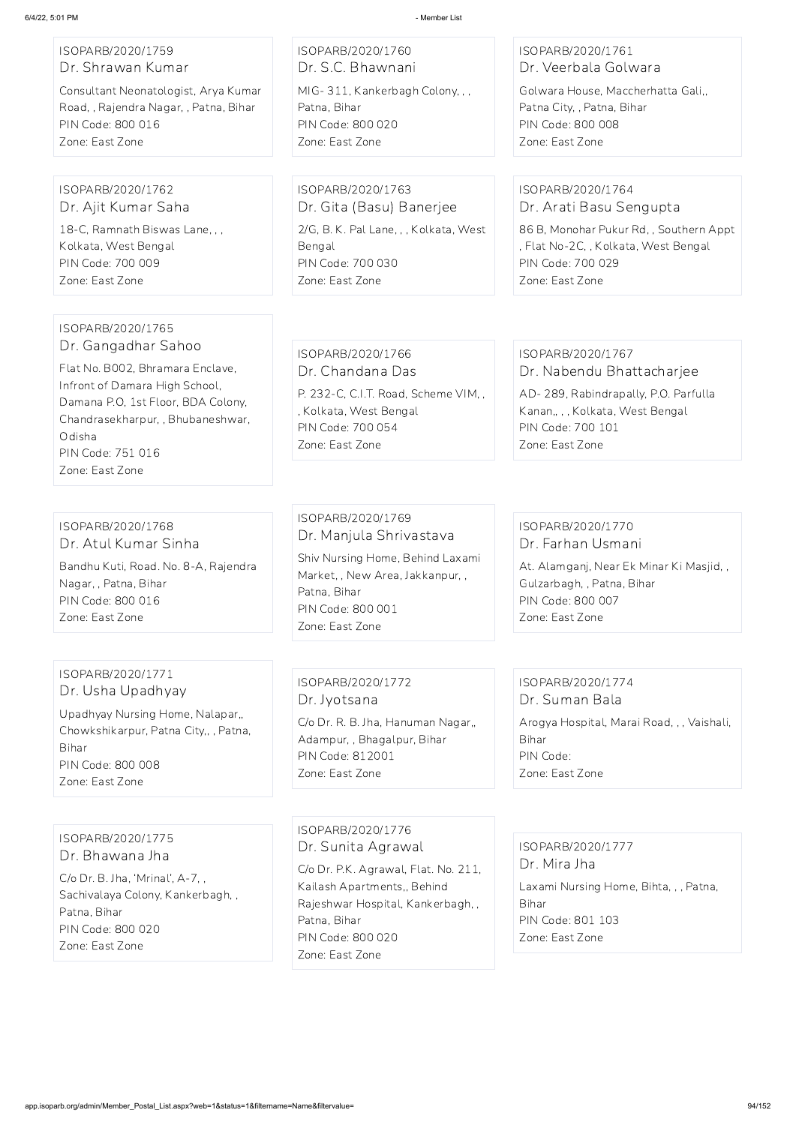#### ISOPARB/2020/1759 Dr. Shrawan Kumar

Consultant Neonatologist, Arya Kumar Road, , Rajendra Nagar, , Patna, Bihar PIN Code: 800 016 Zone: East Zone

ISOPARB/2020/1760 Dr. S.C. Bhawnani MIG- 311, Kankerbagh Colony, , , Patna, Bihar PIN Code: 800 020 Zone: East Zone

### ISOPARB/2020/1761 Dr. Veerbala Golwara

Golwara House, Maccherhatta Gali,, Patna City, , Patna, Bihar PIN Code: 800 008 Zone: East Zone

#### ISOPARB/2020/1762 Dr. Ajit Kumar Saha

18-C, Ramnath Biswas Lane, , , Kolkata, West Bengal PIN Code: 700 009 Zone: East Zone

ISOPARB/2020/1763 Dr. Gita (Basu) Banerjee 2/G, B. K. Pal Lane, , , Kolkata, West Bengal PIN Code: 700 030 Zone: East Zone

### ISOPARB/2020/1764 Dr. Arati Basu Sengupta

86 B, Monohar Pukur Rd, , Southern Appt , Flat No-2C, , Kolkata, West Bengal PIN Code: 700 029 Zone: East Zone

#### ISOPARB/2020/1765 Dr. Gangadhar Sahoo

Flat No. B002, Bhramara Enclave, Infront of Damara High School, Damana P.O, 1st Floor, BDA Colony, Chandrasekharpur, , Bhubaneshwar, Odisha PIN Code: 751 016 Zone: East Zone

ISOPARB/2020/1766 Dr. Chandana Das

P. 232-C, C.I.T. Road, Scheme VIM, , , Kolkata, West Bengal PIN Code: 700 054 Zone: East Zone

#### ISOPARB/2020/1767 Dr. Nabendu Bhattacharjee

AD- 289, Rabindrapally, P.O. Parfulla Kanan,, , , Kolkata, West Bengal PIN Code: 700 101 Zone: East Zone

### ISOPARB/2020/1768 Dr. Atul Kumar Sinha

Bandhu Kuti, Road. No. 8-A, Rajendra Nagar, , Patna, Bihar PIN Code: 800 016 Zone: East Zone

## ISOPARB/2020/1769 Dr. Manjula Shrivastava

Shiv Nursing Home, Behind Laxami Market, , New Area, Jakkanpur, , Patna, Bihar PIN Code: 800 001 Zone: East Zone

### ISOPARB/2020/1770 Dr. Farhan Usmani

At. Alamganj, Near Ek Minar Ki Masjid, , Gulzarbagh, , Patna, Bihar PIN Code: 800 007 Zone: East Zone

#### ISOPARB/2020/1771 Dr. Usha Upadhyay

Upadhyay Nursing Home, Nalapar,, Chowkshikarpur, Patna City,, , Patna, Bihar PIN Code: 800 008 Zone: East Zone

#### ISOPARB/2020/1772 Dr. Jyotsana

C/o Dr. R. B. Jha, Hanuman Nagar,, Adampur, , Bhagalpur, Bihar PIN Code: 812001 Zone: East Zone

### ISOPARB/2020/1774 Dr. Suman Bala

Arogya Hospital, Marai Road, , , Vaishali, Bihar PIN Code: Zone: East Zone

#### Dr. Bhawana Jha

C/o Dr. B. Jha, 'Mrinal', A-7, , Sachivalaya Colony, Kankerbagh, , Patna, Bihar PIN Code: 800 020 Zone: East Zone

ISOPARB/2020/1776 Dr. Sunita Agrawal

C/o Dr. P.K. Agrawal, Flat. No. 211, Kailash Apartments,, Behind Rajeshwar Hospital, Kankerbagh, , Patna, Bihar PIN Code: 800 020

Zone: East Zone

ISOPARB/2020/1777

Dr. Mira Jha

Laxami Nursing Home, Bihta, , , Patna, Bihar PIN Code: 801 103 Zone: East Zone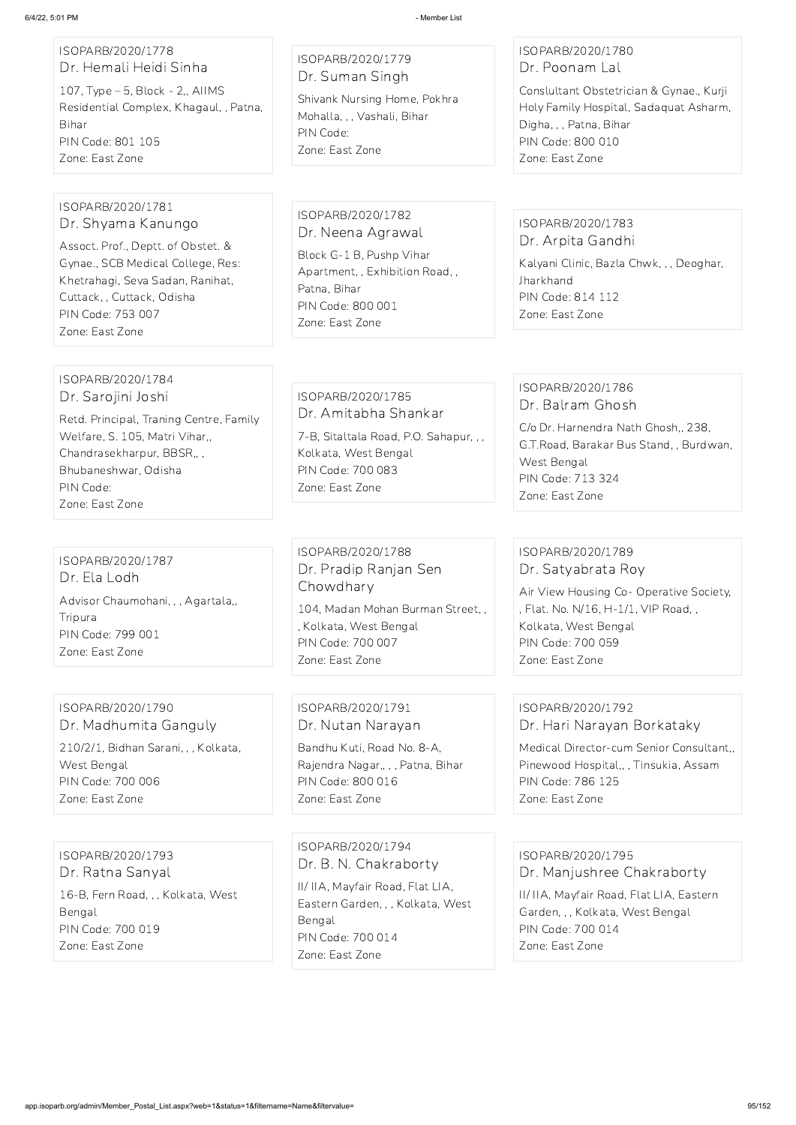### ISOPARB/2020/1778 Dr. Hemali Heidi Sinha

107, Type – 5, Block - 2,, AIIMS Residential Complex, Khagaul, , Patna, Bihar PIN Code: 801 105 Zone: East Zone

ISOPARB/2020/1779 Dr. Suman Singh

Shivank Nursing Home, Pokhra Mohalla, , , Vashali, Bihar PIN Code: Zone: East Zone

### ISOPARB/2020/1780 Dr. Poonam Lal

Conslultant Obstetrician & Gynae., Kurji Holy Family Hospital, Sadaquat Asharm, Digha, , , Patna, Bihar PIN Code: 800 010 Zone: East Zone

#### ISOPARB/2020/1781 Dr. Shyama Kanungo

Assoct. Prof., Deptt. of Obstet. & Gynae., SCB Medical College, Res: Khetrahagi, Seva Sadan, Ranihat, Cuttack, , Cuttack, Odisha PIN Code: 753 007 Zone: East Zone

ISOPARB/2020/1782 Dr. Neena Agrawal Block G-1 B, Pushp Vihar Apartment, , Exhibition Road, , Patna, Bihar PIN Code: 800 001 Zone: East Zone

#### ISOPARB/2020/1783 Dr. Arpita Gandhi

Kalyani Clinic, Bazla Chwk, , , Deoghar, Jharkhand PIN Code: 814 112 Zone: East Zone

### ISOPARB/2020/1784 Dr. Sarojini Joshi

Retd. Principal, Traning Centre, Family Welfare, S. 105, Matri Vihar,, Chandrasekharpur, BBSR,, , Bhubaneshwar, Odisha PIN Code: Zone: East Zone

#### ISOPARB/2020/1785 Dr. Amitabha Shankar

7-B, Sitaltala Road, P.O. Sahapur, , , Kolkata, West Bengal PIN Code: 700 083 Zone: East Zone

### ISOPARB/2020/1786 Dr. Balram Ghosh

C/o Dr. Harnendra Nath Ghosh,, 238, G.T.Road, Barakar Bus Stand, , Burdwan, West Bengal PIN Code: 713 324 Zone: East Zone

### ISOPARB/2020/1787 Dr. Ela Lodh Advisor Chaumohani, , , Agartala,, Tripura PIN Code: 799 001 Zone: East Zone

ISOPARB/2020/1788 Dr. Pradip Ranjan Sen Chowdhary

104, Madan Mohan Burman Street, , , Kolkata, West Bengal PIN Code: 700 007 Zone: East Zone

### ISOPARB/2020/1789 Dr. Satyabrata Roy

Air View Housing Co- Operative Society, , Flat. No. N/16, H-1/1, VIP Road, , Kolkata, West Bengal PIN Code: 700 059 Zone: East Zone

### ISOPARB/2020/1790 Dr. Madhumita Ganguly 210/2/1, Bidhan Sarani, , , Kolkata, West Bengal PIN Code: 700 006 Zone: East Zone

### ISOPARB/2020/1791 Dr. Nutan Narayan

Bandhu Kuti, Road No. 8-A, Rajendra Nagar,, , , Patna, Bihar PIN Code: 800 016 Zone: East Zone

## ISOPARB/2020/1792 Dr. Hari Narayan Borkataky

Medical Director-cum Senior Consultant,, Pinewood Hospital,, , Tinsukia, Assam PIN Code: 786 125 Zone: East Zone

ISOPARB/2020/1793 Dr. Ratna Sanyal

16-B, Fern Road, , , Kolkata, West Bengal PIN Code: 700 019 Zone: East Zone

ISOPARB/2020/1794 Dr. B. N. Chakraborty

II/ IIA, Mayfair Road, Flat LIA, Eastern Garden, , , Kolkata, West Bengal PIN Code: 700 014 Zone: East Zone

ISOPARB/2020/1795 Dr. Manjushree Chakraborty

II/ IIA, Mayfair Road, Flat LIA, Eastern Garden, , , Kolkata, West Bengal PIN Code: 700 014 Zone: East Zone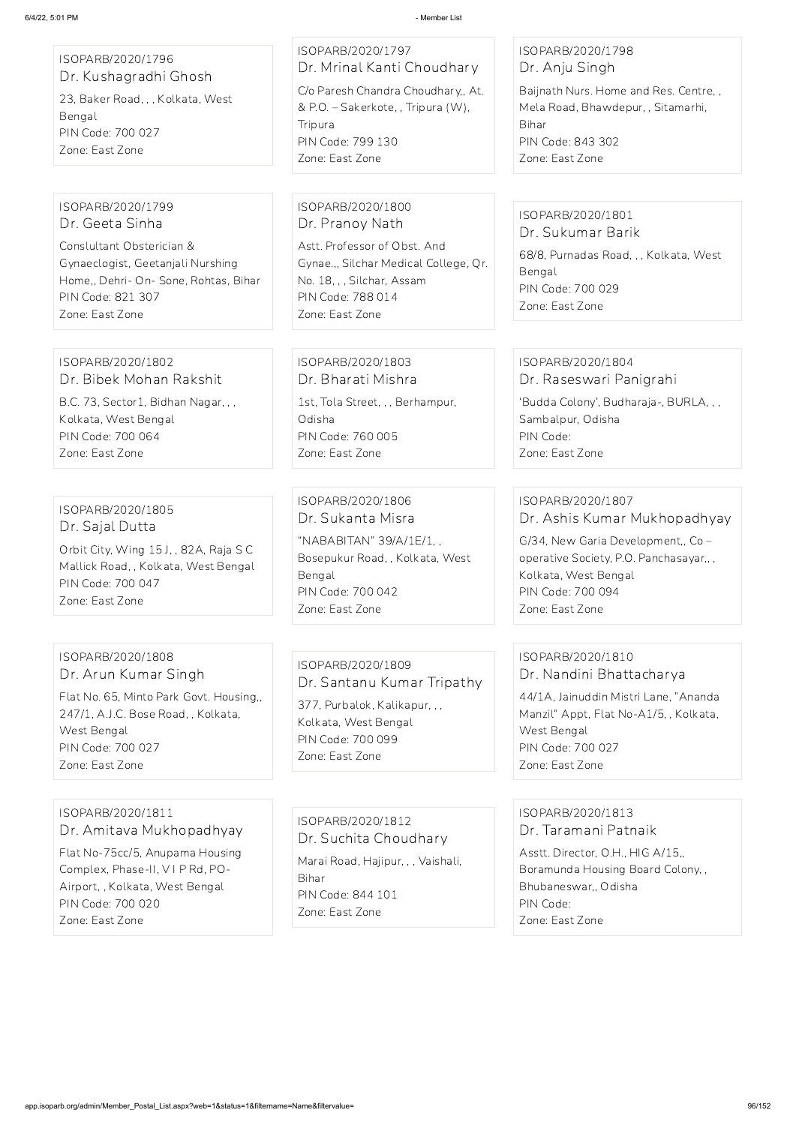Choudhary houdhary,, At.  $T$ ripura  $(W)$ , ISOPARB/2020/1798 Dr. Anju Singh Baijnath Nurs. Home and Res. Centre, , Mela Road, Bhawdepur, , Sitamarhi, Bihar PIN Code: 843 302 Zone: East Zone

> ISOPARB/2020/1801 Dr. Sukumar Barik

68/8, Purnadas Road, , , Kolkata, West Bengal PIN Code: 700 029 Zone: East Zone

| 6/4/22, 5:01 PM                                                                                                                                             | - Member List                                                                                                                                                                  |
|-------------------------------------------------------------------------------------------------------------------------------------------------------------|--------------------------------------------------------------------------------------------------------------------------------------------------------------------------------|
| ISOPARB/2020/1796<br>Dr. Kushagradhi Ghosh<br>23, Baker Road, , , Kolkata, West<br>Bengal<br>PIN Code: 700 027<br>Zone: East Zone                           | ISOPARB/2020/1797<br>Dr. Mrinal Kanti Choudhary<br>C/o Paresh Chandra Choudhary,, At.<br>& P.O. - Sakerkote, , Tripura (W),<br>Tripura<br>PIN Code: 799 130<br>Zone: East Zone |
| ISOPARB/2020/1799                                                                                                                                           | ISOPARB/2020/1800                                                                                                                                                              |
| Dr. Geeta Sinha                                                                                                                                             | Dr. Pranoy Nath                                                                                                                                                                |
| Conslultant Obsterician &                                                                                                                                   | Astt. Professor of Obst. And                                                                                                                                                   |
| Gynaeclogist, Geetanjali Nurshing                                                                                                                           | Gynae.,, Silchar Medical College, Qr.                                                                                                                                          |
| Home,, Dehri- On- Sone, Rohtas, Bihar                                                                                                                       | No. 18, , , Silchar, Assam                                                                                                                                                     |
| PIN Code: 821 307                                                                                                                                           | PIN Code: 788 014                                                                                                                                                              |
| Zone: East Zone                                                                                                                                             | Zone: East Zone                                                                                                                                                                |
| ISOPARB/2020/1802                                                                                                                                           | ISOPARB/2020/1803                                                                                                                                                              |
| Dr. Bibek Mohan Rakshit                                                                                                                                     | Dr. Bharati Mishra                                                                                                                                                             |
| B.C. 73, Sector1, Bidhan Nagar, , ,                                                                                                                         | 1st, Tola Street, , , Berhampur,                                                                                                                                               |
| Kolkata, West Bengal                                                                                                                                        | Odisha                                                                                                                                                                         |
| PIN Code: 700 064                                                                                                                                           | PIN Code: 760 005                                                                                                                                                              |
| Zone: East Zone                                                                                                                                             | Zone: East Zone                                                                                                                                                                |
| ISOPARB/2020/1805<br>Dr. Sajal Dutta<br>Orbit City, Wing 15J,, 82A, Raja SC<br>Mallick Road, , Kolkata, West Bengal<br>PIN Code: 700 047<br>Zone: East Zone | ISOPARB/2020/1806<br>Dr. Sukanta Misra<br>"NABABITAN" 39/A/1E/1,,<br>Bosepukur Road, , Kolkata, West<br>Bengal<br>PIN Code: 700 042<br>Zone: East Zone                         |
| ISOPARB/2020/1808                                                                                                                                           | ISOPARB/2020/1809                                                                                                                                                              |
| Dr. Arun Kumar Singh                                                                                                                                        | Dr. Santanu Kumar Tripathy                                                                                                                                                     |
| Flat No. 65, Minto Park Govt. Housing,,                                                                                                                     | 377, Purbalok, Kalikapur, ,,                                                                                                                                                   |
| 247/1, A.J.C. Bose Road, , Kolkata,                                                                                                                         | Kolkata, West Bengal                                                                                                                                                           |

#### ISOPARB/2020/1804 Dr. Raseswari Panigrahi

'Budda Colony', Budharaja-, BURLA, , , Sambalpur, Odisha PIN Code: Zone: East Zone

ISOPARB/2020/1807 Dr. Ashis Kumar Mukhopadhyay

G/34, New Garia Development,, Co – operative Society, P.O. Panchasayar,, , Kolkata, West Bengal PIN Code: 700 094 Zone: East Zone

West Bengal PIN Code: 700 027 Zone: East Zone

PIN Code: 700 099 Zone: East Zone

### ISOPARB/2020/1810 Dr. Nandini Bhattacharya

44/1A, Jainuddin Mistri Lane, "Ananda Manzil" Appt, Flat No-A1/5, , Kolkata, West Bengal PIN Code: 700 027 Zone: East Zone

ISOPARB/2020/1811 Dr. Amitava Mukhopadhyay Flat No-75cc/5, Anupama Housing Complex, Phase-II, V I P Rd, PO-Airport, , Kolkata, West Bengal PIN Code: 700 020 Zone: East Zone

ISOPARB/2020/1812

Dr. Suchita Choudhary

Marai Road, Hajipur, , , Vaishali, Bihar PIN Code: 844 101 Zone: East Zone

## ISOPARB/2020/1813 Dr. Taramani Patnaik

Asstt. Director, O.H., HIG A/15,, Boramunda Housing Board Colony, , Bhubaneswar,, Odisha PIN Code: Zone: East Zone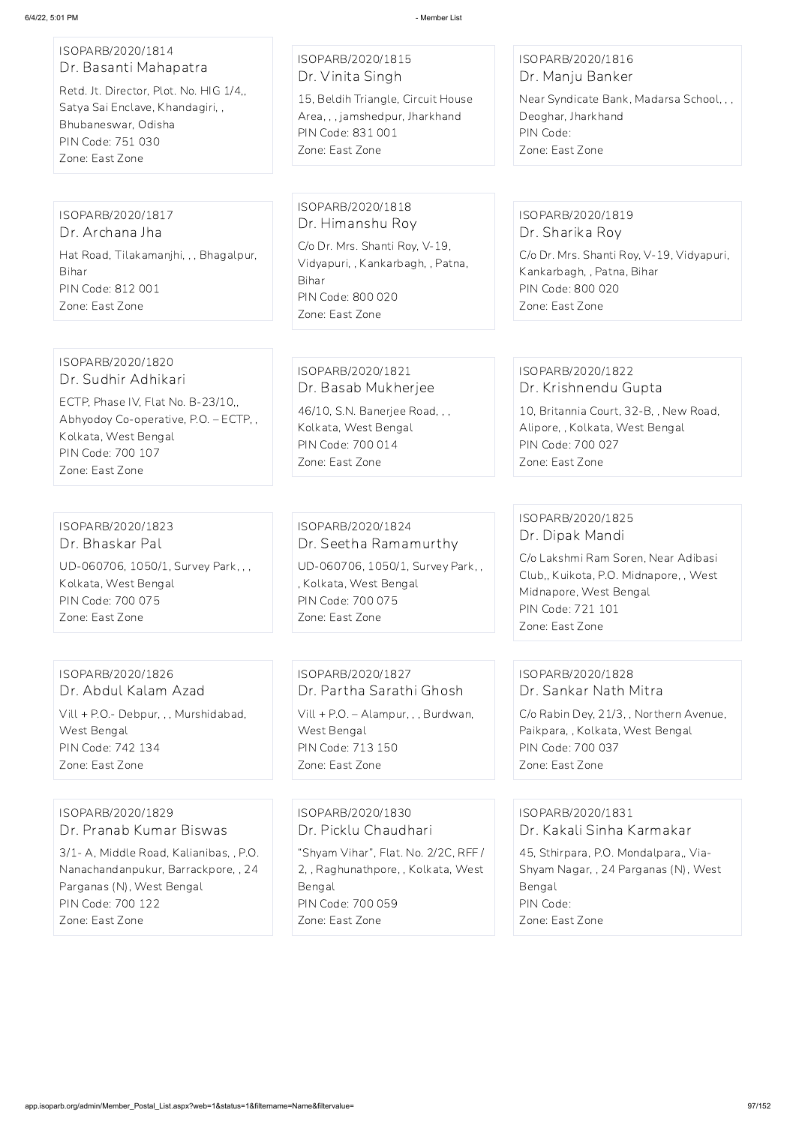#### ISOPARB/2020/1814 Dr. Basanti Mahapatra

Retd. Jt. Director, Plot. No. HIG 1/4,, Satya Sai Enclave, Khandagiri, , Bhubaneswar, Odisha PIN Code: 751 030 Zone: East Zone

ISOPARB/2020/1815 Dr. Vinita Singh

15, Beldih Triangle, Circuit House Area, , , jamshedpur, Jharkhand PIN Code: 831 001 Zone: East Zone

#### ISOPARB/2020/1816 Dr. Manju Banker

Near Syndicate Bank, Madarsa School, , , Deoghar, Jharkhand PIN Code: Zone: East Zone

ISOPARB/2020/1817 Dr. Archana Jha Hat Road, Tilakamanjhi, , , Bhagalpur, Bihar PIN Code: 812 001 Zone: East Zone

ISOPARB/2020/1818 Dr. Himanshu Roy

C/o Dr. Mrs. Shanti Roy, V-19, Vidyapuri, , Kankarbagh, , Patna, Bihar PIN Code: 800 020 Zone: East Zone

ISOPARB/2020/1819 Dr. Sharika Roy

C/o Dr. Mrs. Shanti Roy, V-19, Vidyapuri, Kankarbagh, , Patna, Bihar PIN Code: 800 020 Zone: East Zone

#### ISOPARB/2020/1820 Dr. Sudhir Adhikari

ECTP, Phase IV, Flat No. B-23/10,, Abhyodoy Co-operative, P.O. – ECTP, , Kolkata, West Bengal PIN Code: 700 107 Zone: East Zone

ISOPARB/2020/1821 Dr. Basab Mukherjee

46/10, S.N. Banerjee Road, , , Kolkata, West Bengal PIN Code: 700 014 Zone: East Zone

### ISOPARB/2020/1822 Dr. Krishnendu Gupta

10, Britannia Court, 32-B, , New Road, Alipore, , Kolkata, West Bengal PIN Code: 700 027 Zone: East Zone

ISOPARB/2020/1823 Dr. Bhaskar Pal

UD-060706, 1050/1, Survey Park, , , Kolkata, West Bengal PIN Code: 700 075 Zone: East Zone

ISOPARB/2020/1824 Dr. Seetha Ramamurthy

UD-060706, 1050/1, Survey Park, , , Kolkata, West Bengal PIN Code: 700 075 Zone: East Zone

ISOPARB/2020/1825 Dr. Dipak Mandi

C/o Lakshmi Ram Soren, Near Adibasi Club,, Kuikota, P.O. Midnapore, , West Midnapore, West Bengal PIN Code: 721 101 Zone: East Zone

ISOPARB/2020/1826 Dr. Abdul Kalam Azad Vill + P.O.- Debpur, , , Murshidabad, West Bengal PIN Code: 742 134 Zone: East Zone

ISOPARB/2020/1827 Dr. Partha Sarathi Ghosh Vill + P.O. – Alampur, , , Burdwan, West Bengal PIN Code: 713 150 Zone: East Zone

### ISOPARB/2020/1828 Dr. Sankar Nath Mitra

C/o Rabin Dey, 21/3, , Northern Avenue, Paikpara, , Kolkata, West Bengal PIN Code: 700 037 Zone: East Zone

# ISOPARB/2020/1829 Dr. Pranab Kumar Biswas

3/1- A, Middle Road, Kalianibas, , P.O. Nanachandanpukur, Barrackpore, , 24 Parganas (N), West Bengal PIN Code: 700 122 Zone: East Zone

ISOPARB/2020/1830 Dr. Picklu Chaudhari "Shyam Vihar", Flat. No. 2/2C, RFF / 2, , Raghunathpore, , Kolkata, West Bengal PIN Code: 700 059 Zone: East Zone

# ISOPARB/2020/1831 Dr. Kakali Sinha Karmakar

45, Sthirpara, P.O. Mondalpara,, Via-Shyam Nagar, , 24 Parganas (N), West Bengal PIN Code: Zone: East Zone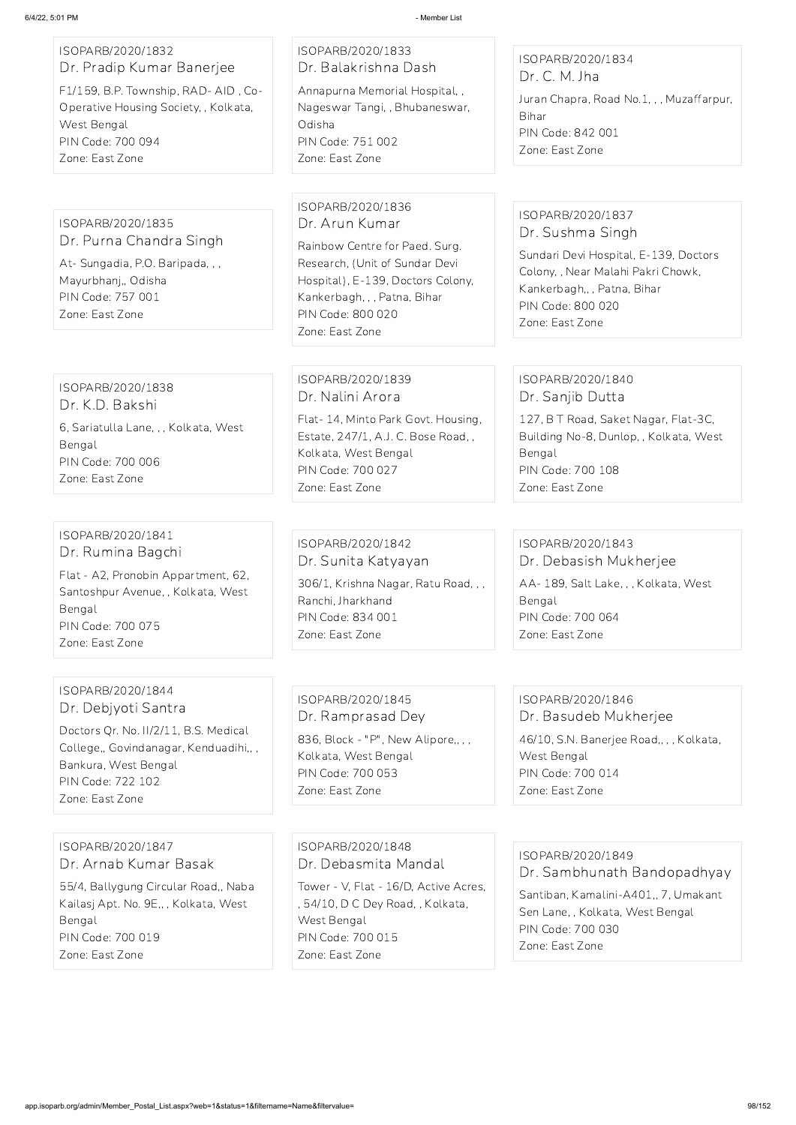### ISOPARB/2020/1832 Dr. Pradip Kumar Banerjee F1/159, B.P. Township, RAD- AID , Co-Operative Housing Society, , Kolkata, West Bengal

PIN Code: 700 094

Zone: East Zone

#### ISOPARB/2020/1833 Dr. Balakrishna Dash

Annapurna Memorial Hospital, , Nageswar Tangi, , Bhubaneswar, Odisha PIN Code: 751 002 Zone: East Zone

#### ISOPARB/2020/1834 Dr. C. M. Jha

Juran Chapra, Road No.1, , , Muzaffarpur, Bihar PIN Code: 842 001 Zone: East Zone

#### ISOPARB/2020/1835 Dr. Purna Chandra Singh

At- Sungadia, P.O. Baripada, , , Mayurbhanj,, Odisha PIN Code: 757 001 Zone: East Zone

#### ISOPARB/2020/1836 Dr. Arun Kumar

Rainbow Centre for Paed. Surg. Research, (Unit of Sundar Devi Hospital), E-139, Doctors Colony, Kankerbagh, , , Patna, Bihar PIN Code: 800 020 Zone: East Zone

### ISOPARB/2020/1837 Dr. Sushma Singh

Sundari Devi Hospital, E-139, Doctors Colony, , Near Malahi Pakri Chowk, Kankerbagh,, , Patna, Bihar PIN Code: 800 020 Zone: East Zone

## ISOPARB/2020/1838

836, Block - "P", New Alipore,,,, Kolkata, West Bengal PIN Code: 700 053 Zone: East Zone

Dr. K.D. Bakshi 6, Sariatulla Lane, , , Kolkata, West Bengal PIN Code: 700 006 Zone: East Zone

### ISOPARB/2020/1839 Dr. Nalini Arora

Flat- 14, Minto Park Govt. Housing, Estate, 247/1, A.J. C. Bose Road, , Kolkata, West Bengal PIN Code: 700 027 Zone: East Zone

#### ISOPARB/2020/1840 Dr. Sanjib Dutta

127, B T Road, Saket Nagar, Flat-3C, Building No-8, Dunlop, , Kolkata, West Bengal PIN Code: 700 108 Zone: East Zone

#### ISOPARB/2020/1841 Dr. Rumina Bagchi

Flat - A2, Pronobin Appartment, 62, Santoshpur Avenue, , Kolkata, West Bengal PIN Code: 700 075 Zone: East Zone

### ISOPARB/2020/1842 Dr. Sunita Katyayan

306/1, Krishna Nagar, Ratu Road, , , Ranchi, Jharkhand PIN Code: 834 001 Zone: East Zone

# ISOPARB/2020/1843 Dr. Debasish Mukherjee AA- 189, Salt Lake, , , Kolkata, West

Bengal PIN Code: 700 064 Zone: East Zone

### ISOPARB/2020/1844 Dr. Debjyoti Santra

Doctors Qr. No. II/2/11, B.S. Medical College,, Govindanagar, Kenduadihi,, , Bankura, West Bengal PIN Code: 722 102 Zone: East Zone

## ISOPARB/2020/1845 Dr. Ramprasad Dey

### ISOPARB/2020/1846 Dr. Basudeb Mukherjee

46/10, S.N. Banerjee Road,, , , Kolkata, West Bengal PIN Code: 700 014 Zone: East Zone

ISOPARB/2020/1847

Dr. Arnab Kumar Basak

55/4, Ballygung Circular Road,, Naba Kailasj Apt. No. 9E,, , Kolkata, West Bengal PIN Code: 700 019 Zone: East Zone

ISOPARB/2020/1848

Dr. Debasmita Mandal

Tower - V, Flat - 16/D, Active Acres, , 54/10, D C Dey Road, , Kolkata, West Bengal PIN Code: 700 015 Zone: East Zone

ISOPARB/2020/1849 Dr. Sambhunath Bandopadhyay Santiban, Kamalini-A401,, 7, Umakant Sen Lane, , Kolkata, West Bengal

PIN Code: 700 030 Zone: East Zone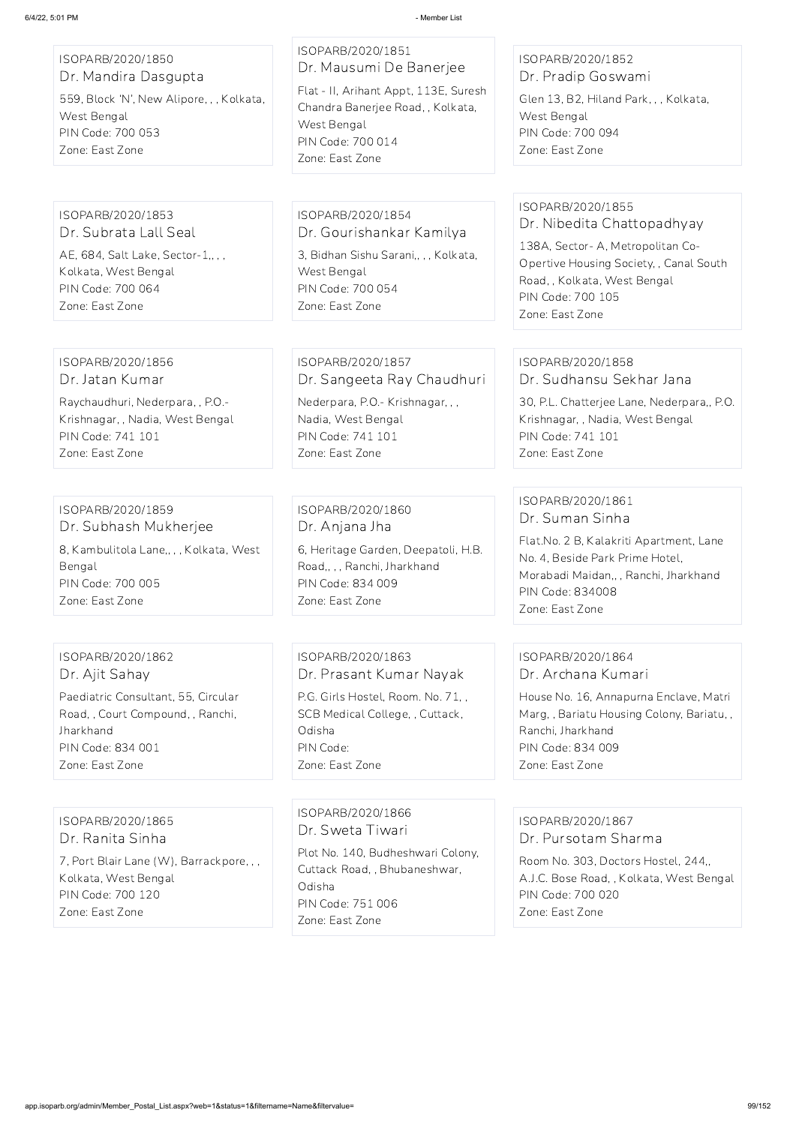| ISOPARB/2020/1850<br>Dr. Mandira Dasgupta                                                        | ISOPARB/2020/1851<br>Dr. Mausumi De Banerjee                                                 | ISOPARB/2020/1852<br>Dr. Pradip Goswami                                                                                           |
|--------------------------------------------------------------------------------------------------|----------------------------------------------------------------------------------------------|-----------------------------------------------------------------------------------------------------------------------------------|
| 559, Block 'N', New Alipore, , , Kolkata,<br>West Bengal                                         | Flat - II, Arihant Appt, 113E, Suresh<br>Chandra Banerjee Road, , Kolkata,<br>West Bengal    | Glen 13, B2, Hiland Park, , , Kolkata,<br>West Bengal                                                                             |
| PIN Code: 700 053<br>Zone: East Zone                                                             | PIN Code: 700 014<br>Zone: East Zone                                                         | PIN Code: 700 094<br>Zone: East Zone                                                                                              |
|                                                                                                  |                                                                                              |                                                                                                                                   |
| ISOPARB/2020/1853<br>Dr. Subrata Lall Seal                                                       | ISOPARB/2020/1854<br>Dr. Gourishankar Kamilya                                                | ISOPARB/2020/1855<br>Dr. Nibedita Chattopadhyay                                                                                   |
| AE, 684, Salt Lake, Sector-1,,,,<br>Kolkata, West Bengal<br>PIN Code: 700 064<br>Zone: East Zone | 3, Bidhan Sishu Sarani,, , , Kolkata,<br>West Bengal<br>PIN Code: 700 054<br>Zone: East Zone | 138A, Sector- A, Metropolitan Co-<br>Opertive Housing Society, , Canal South<br>Road, , Kolkata, West Bengal<br>PIN Code: 700 105 |
|                                                                                                  |                                                                                              | Zone: East Zone                                                                                                                   |
| ISOPARB/2020/1856                                                                                | ISOPARB/2020/1857                                                                            | ISOPARB/2020/1858                                                                                                                 |
| Dr. Jatan Kumar                                                                                  | Dr. Sangeeta Ray Chaudhuri                                                                   | Dr. Sudhansu Sekhar Jana                                                                                                          |
| Raychaudhuri, Nederpara, , P.O.-<br>Krishnagar, , Nadia, West Bengal<br><b>PIN Code: 741 101</b> | Nederpara, P.O.- Krishnagar, , ,<br>Nadia, West Bengal<br>PIN Code: 741 101                  | 30, P.L. Chatterjee Lane, Nederpara,, P.O.<br>Krishnagar, , Nadia, West Bengal<br>PIN Code: 741 101                               |
| Zone: East Zone                                                                                  | Zone: East Zone                                                                              | Zone: East Zone                                                                                                                   |
|                                                                                                  |                                                                                              | ISOPARB/2020/1861                                                                                                                 |
| ISOPARB/2020/1859<br>Dr. Subhash Mukherjee                                                       | ISOPARB/2020/1860<br>Dr. Anjana Jha                                                          | Dr. Suman Sinha                                                                                                                   |
| 8, Kambulitola Lane,,,, Kolkata, West<br>Bengal<br>PIN Code: 700 005                             | 6, Heritage Garden, Deepatoli, H.B.<br>Road,,,, Ranchi, Jharkhand<br>PIN Code: 834 009       | Flat.No. 2 B, Kalakriti Apartment, Lane<br>No. 4, Beside Park Prime Hotel,<br>Morabadi Maidan,,, Ranchi, Jharkhand                |
| Zone: East Zone                                                                                  | Zone: East Zone                                                                              | <b>PIN Code: 834008</b><br>Zone: East Zone                                                                                        |
|                                                                                                  |                                                                                              |                                                                                                                                   |
| ISOPARB/2020/1862<br>Dr. Ajit Sahay                                                              | ISOPARB/2020/1863<br>Dr. Prasant Kumar Nayak                                                 | ISOPARB/2020/1864<br>Dr. Archana Kumari                                                                                           |
| Paediatric Consultant, 55, Circular                                                              | P.G. Girls Hostel, Room. No. 71,,                                                            | House No. 16, Annapurna Enclave, Matri                                                                                            |
| Road,, Court Compound,, Ranchi,<br>Jharkhand                                                     | SCB Medical College, , Cuttack,<br>Odisha                                                    | Marg,, Bariatu Housing Colony, Bariatu,,<br>Ranchi, Jharkhand                                                                     |
| PIN Code: 834 001                                                                                | PIN Code:                                                                                    | PIN Code: 834 009                                                                                                                 |

PIN Code: 834 001 Zone: East Zone

Zone: East Zone

Zone: East Zone

ISOPARB/2020/1865 Dr. Ranita Sinha

7, Port Blair Lane (W), Barrackpore, , , Kolkata, West Bengal PIN Code: 700 120 Zone: East Zone

ISOPARB/2020/1866 Dr. Sweta Tiwari

Plot No. 140, Budheshwari Colony, Cuttack Road, , Bhubaneshwar, Odisha PIN Code: 751 006 Zone: East Zone

ISOPARB/2020/1867 Dr. Pursotam Sharma

Room No. 303, Doctors Hostel, 244,, A.J.C. Bose Road, , Kolkata, West Bengal PIN Code: 700 020 Zone: East Zone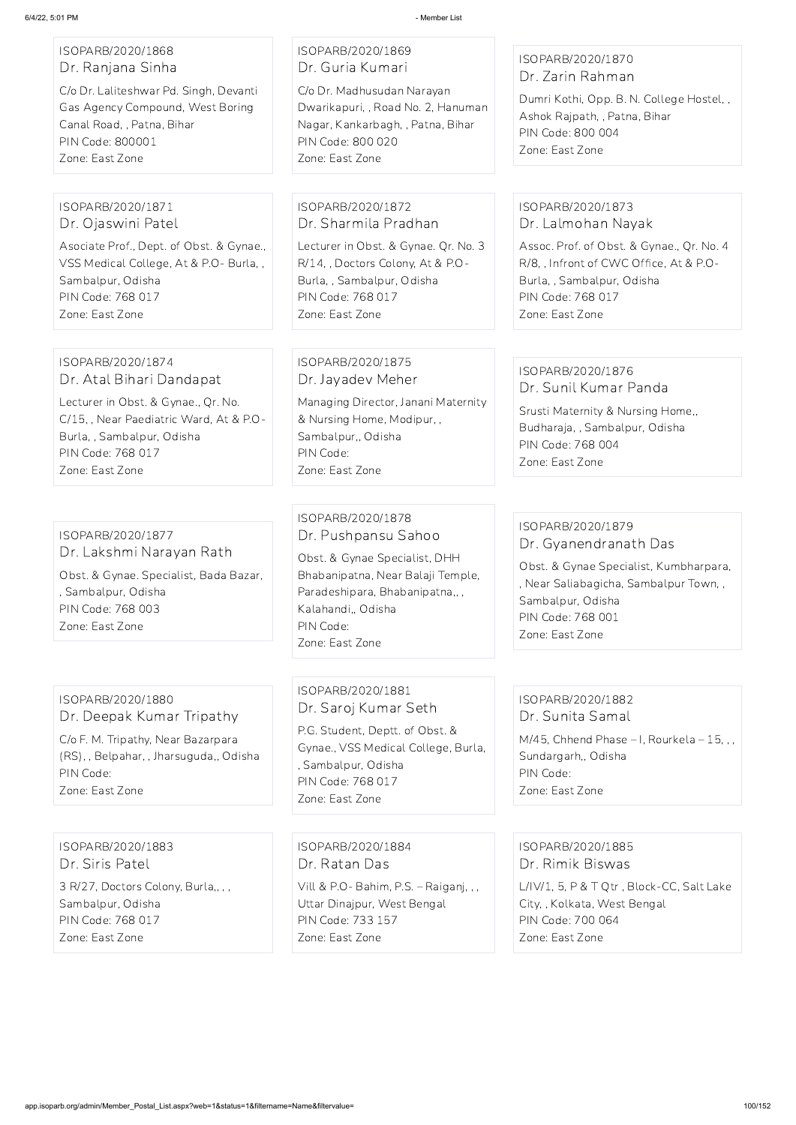### ISOPARB/2020/1868 Dr. Ranjana Sinha

C/o Dr. Laliteshwar Pd. Singh, Devanti Gas Agency Compound, West Boring Canal Road, , Patna, Bihar PIN Code: 800001 Zone: East Zone

### ISOPARB/2020/1869 Dr. Guria Kumari

C/o Dr. Madhusudan Narayan Dwarikapuri, , Road No. 2, Hanuman Nagar, Kankarbagh, , Patna, Bihar PIN Code: 800 020 Zone: East Zone

### ISOPARB/2020/1870 Dr. Zarin Rahman

Dumri Kothi, Opp. B. N. College Hostel, , Ashok Rajpath, , Patna, Bihar PIN Code: 800 004 Zone: East Zone

#### ISOPARB/2020/1871 Dr. Ojaswini Patel

Asociate Prof., Dept. of Obst. & Gynae., VSS Medical College, At & P.O- Burla, , Sambalpur, Odisha PIN Code: 768 017 Zone: East Zone

#### ISOPARB/2020/1872 Dr. Sharmila Pradhan

Lecturer in Obst. & Gynae. Qr. No. 3 R/14, , Doctors Colony, At & P.O-Burla, , Sambalpur, Odisha PIN Code: 768 017 Zone: East Zone

### ISOPARB/2020/1873 Dr. Lalmohan Nayak

Assoc. Prof. of Obst. & Gynae., Qr. No. 4 R/8, , Infront of CWC Office, At & P.O-Burla, , Sambalpur, Odisha PIN Code: 768 017 Zone: East Zone

#### ISOPARB/2020/1874 Dr. Atal Bihari Dandapat

Lecturer in Obst. & Gynae., Qr. No. C/15, , Near Paediatric Ward, At & P.O-Burla, , Sambalpur, Odisha PIN Code: 768 017 Zone: East Zone

### ISOPARB/2020/1875 Dr. Jayadev Meher

Managing Director, Janani Maternity & Nursing Home, Modipur, , Sambalpur,, Odisha PIN Code: Zone: East Zone

#### ISOPARB/2020/1876 Dr. Sunil Kumar Panda

Srusti Maternity & Nursing Home,, Budharaja, , Sambalpur, Odisha PIN Code: 768 004 Zone: East Zone

### ISOPARB/2020/1877 Dr. Lakshmi Narayan Rath Obst. & Gynae. Specialist, Bada Bazar, , Sambalpur, Odisha PIN Code: 768 003

Zone: East Zone

### ISOPARB/2020/1878 Dr. Pushpansu Sahoo

Obst. & Gynae Specialist, DHH Bhabanipatna, Near Balaji Temple, Paradeshipara, Bhabanipatna,, , Kalahandi,, Odisha PIN Code: Zone: East Zone

### ISOPARB/2020/1879 Dr. Gyanendranath Das

Obst. & Gynae Specialist, Kumbharpara, , Near Saliabagicha, Sambalpur Town, , Sambalpur, Odisha PIN Code: 768 001 Zone: East Zone

### ISOPARB/2020/1880 Dr. Deepak Kumar Tripathy

C/o F. M. Tripathy, Near Bazarpara (RS), , Belpahar, , Jharsuguda,, Odisha PIN Code: Zone: East Zone

ISOPARB/2020/1881 Dr. Saroj Kumar Seth

P.G. Student, Deptt. of Obst. & Gynae., VSS Medical College, Burla, , Sambalpur, Odisha PIN Code: 768 017 Zone: East Zone

### ISOPARB/2020/1882 Dr. Sunita Samal

M/45, Chhend Phase – I, Rourkela – 15, , , Sundargarh,, Odisha PIN Code: Zone: East Zone

ISOPARB/2020/1883 Dr. Siris Patel

3 R/27, Doctors Colony, Burla,, , , Sambalpur, Odisha PIN Code: 768 017 Zone: East Zone

#### ISOPARB/2020/1884

Dr. Ratan Das

Vill & P.O- Bahim, P.S. – Raiganj, , , Uttar Dinajpur, West Bengal PIN Code: 733 157 Zone: East Zone

ISOPARB/2020/1885

Dr. Rimik Biswas

L/IV/1, 5, P & T Qtr , Block-CC, Salt Lake City, , Kolkata, West Bengal PIN Code: 700 064 Zone: East Zone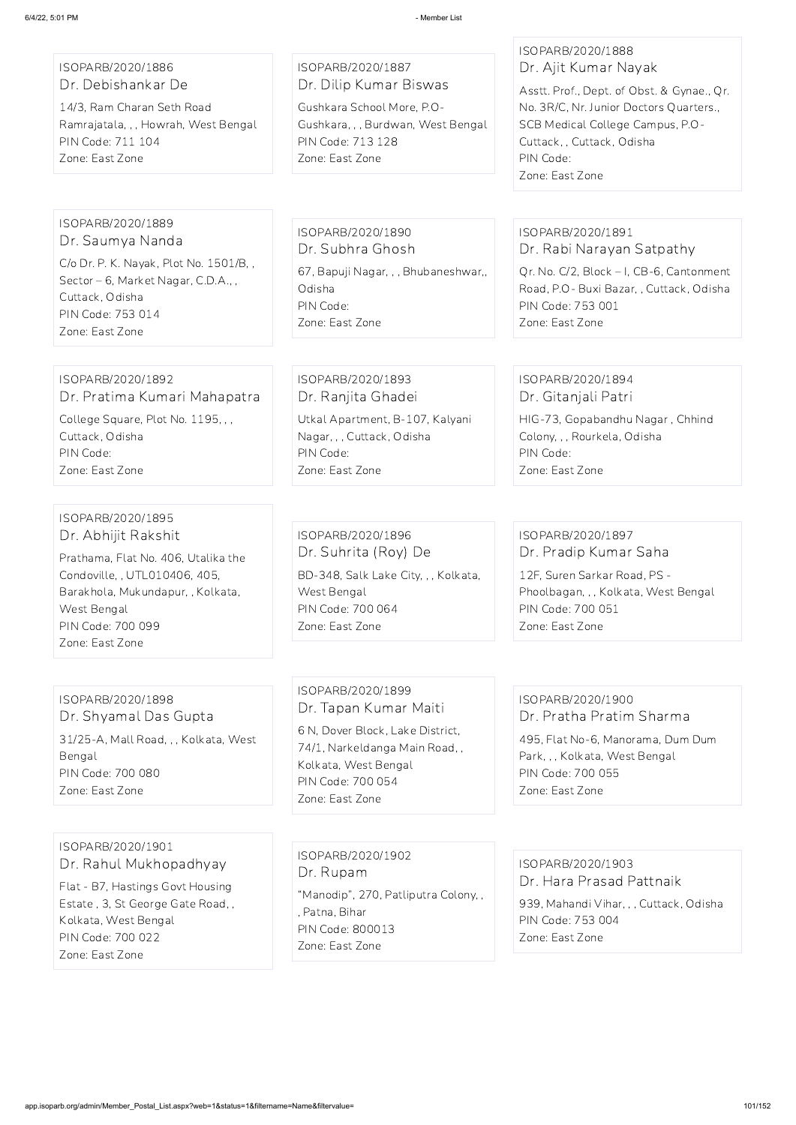### ISOPARB/2020/1886 Dr. Debishankar De

14/3, Ram Charan Seth Road Ramrajatala, , , Howrah, West Bengal PIN Code: 711 104 Zone: East Zone

### ISOPARB/2020/1887 Dr. Dilip Kumar Biswas

Gushkara School More, P.O-Gushkara, , , Burdwan, West Bengal PIN Code: 713 128 Zone: East Zone

#### ISOPARB/2020/1888 Dr. Ajit Kumar Nayak

Asstt. Prof., Dept. of Obst. & Gynae., Qr. No. 3R/C, Nr. Junior Doctors Quarters., SCB Medical College Campus, P.O-Cuttack, , Cuttack, Odisha PIN Code: Zone: East Zone

#### ISOPARB/2020/1889 Dr. Saumya Nanda

C/o Dr. P. K. Nayak, Plot No. 1501/B, , Sector – 6, Market Nagar, C.D.A., , Cuttack, Odisha PIN Code: 753 014 Zone: East Zone

### ISOPARB/2020/1890 Dr. Subhra Ghosh 67, Bapuji Nagar, , , Bhubaneshwar,, Odisha

PIN Code: Zone: East Zone

### ISOPARB/2020/1891 Dr. Rabi Narayan Satpathy

Qr. No. C/2, Block – I, CB-6, Cantonment Road, P.O- Buxi Bazar, , Cuttack, Odisha PIN Code: 753 001 Zone: East Zone

#### ISOPARB/2020/1892 Dr. Pratima Kumari Mahapatra

College Square, Plot No. 1195, , , Cuttack, Odisha PIN Code: Zone: East Zone

## ISOPARB/2020/1893 Dr. Ranjita Ghadei

Utkal Apartment, B-107, Kalyani Nagar, , , Cuttack, Odisha PIN Code: Zone: East Zone

#### ISOPARB/2020/1894 Dr. Gitanjali Patri

939, Mahandi Vihar, , , Cuttack, Odisha PIN Code: 753 004 Zone: East Zone

HIG-73, Gopabandhu Nagar , Chhind Colony, , , Rourkela, Odisha PIN Code: Zone: East Zone

#### ISOPARB/2020/1895 Dr. Abhijit Rakshit

Prathama, Flat No. 406, Utalika the Condoville, , UTL010406, 405, Barakhola, Mukundapur, , Kolkata, West Bengal PIN Code: 700 099 Zone: East Zone

### ISOPARB/2020/1896 Dr. Suhrita (Roy) De BD-348, Salk Lake City, , , Kolkata, West Bengal PIN Code: 700 064 Zone: East Zone

### ISOPARB/2020/1897 Dr. Pradip Kumar Saha

12F, Suren Sarkar Road, PS - Phoolbagan, , , Kolkata, West Bengal PIN Code: 700 051 Zone: East Zone

# ISOPARB/2020/1898 Dr. Shyamal Das Gupta

31/25-A, Mall Road, , , Kolkata, West Bengal PIN Code: 700 080 Zone: East Zone

## ISOPARB/2020/1899 Dr. Tapan Kumar Maiti

6 N, Dover Block, Lake District, 74/1, Narkeldanga Main Road, , Kolkata, West Bengal PIN Code: 700 054 Zone: East Zone

### ISOPARB/2020/1900 Dr. Pratha Pratim Sharma

495, Flat No-6, Manorama, Dum Dum Park, , , Kolkata, West Bengal PIN Code: 700 055 Zone: East Zone

ISOPARB/2020/1901

Dr. Rahul Mukhopadhyay

Flat - B7, Hastings Govt Housing Estate , 3, St George Gate Road, , Kolkata, West Bengal PIN Code: 700 022 Zone: East Zone

ISOPARB/2020/1902 Dr. Rupam

"Manodip", 270, Patliputra Colony, , , Patna, Bihar PIN Code: 800013 Zone: East Zone

ISOPARB/2020/1903 Dr. Hara Prasad Pattnaik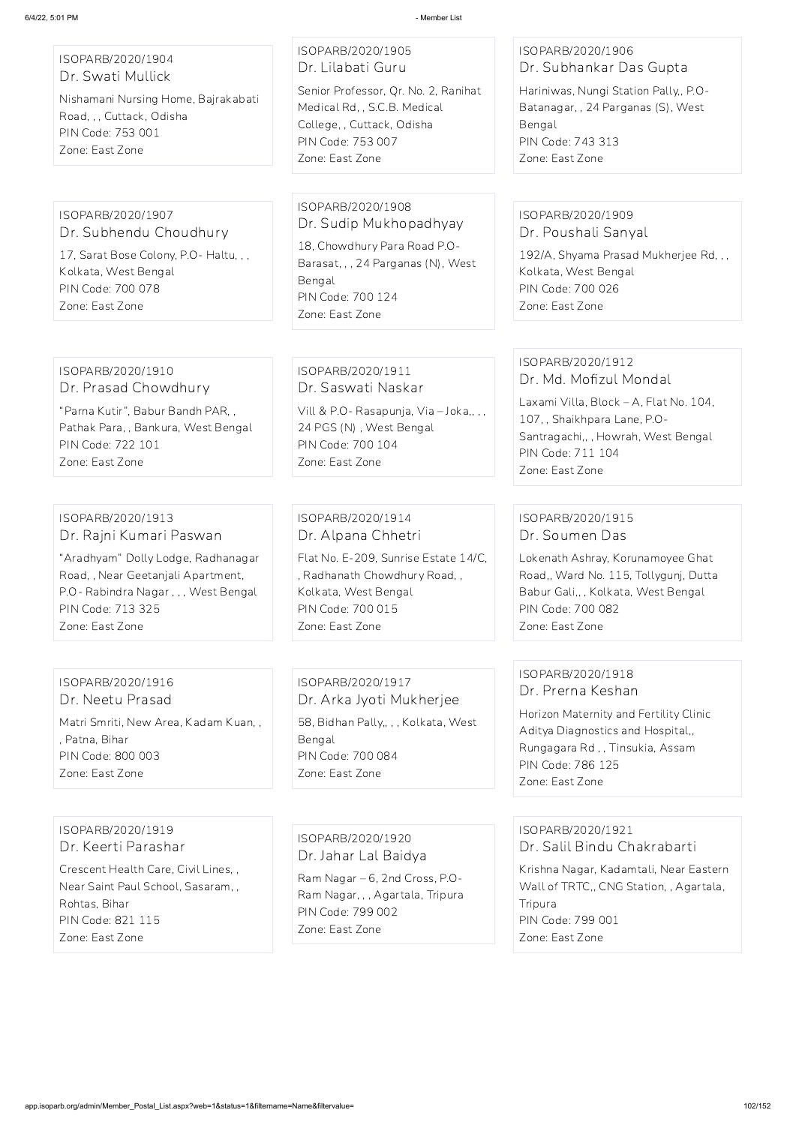| 6/4/22, 5:01 PM                                                                                                                                                                                        | - Member List                                                                                                                                                                        |                                                                                                                                                                                                   |
|--------------------------------------------------------------------------------------------------------------------------------------------------------------------------------------------------------|--------------------------------------------------------------------------------------------------------------------------------------------------------------------------------------|---------------------------------------------------------------------------------------------------------------------------------------------------------------------------------------------------|
| ISOPARB/2020/1904<br>Dr. Swati Mullick<br>Nishamani Nursing Home, Bajrakabati<br>Road, , , Cuttack, Odisha<br>PIN Code: 753 001<br>Zone: East Zone                                                     | ISOPARB/2020/1905<br>Dr. Lilabati Guru<br>Senior Professor, Qr. No. 2, Ranihat<br>Medical Rd, , S.C.B. Medical<br>College, , Cuttack, Odisha<br>PIN Code: 753 007<br>Zone: East Zone | ISOPARB/2020/1906<br>Dr. Subhankar Das Gupta<br>Hariniwas, Nungi Station Pally,, P.O-<br>Batanagar, , 24 Parganas (S), West<br>Bengal<br>PIN Code: 743 313<br>Zone: East Zone                     |
| ISOPARB/2020/1907<br>Dr. Subhendu Choudhury<br>17, Sarat Bose Colony, P.O-Haltu, , ,<br>Kolkata, West Bengal<br>PIN Code: 700 078<br>Zone: East Zone                                                   | ISOPARB/2020/1908<br>Dr. Sudip Mukhopadhyay<br>18, Chowdhury Para Road P.O-<br>Barasat, , , 24 Parganas (N), West<br>Bengal<br>PIN Code: 700 124<br>Zone: East Zone                  | ISOPARB/2020/1909<br>Dr. Poushali Sanyal<br>192/A, Shyama Prasad Mukherjee Rd, , ,<br>Kolkata, West Bengal<br>PIN Code: 700 026<br>Zone: East Zone                                                |
| ISOPARB/2020/1910<br>Dr. Prasad Chowdhury<br>"Parna Kutir", Babur Bandh PAR,,<br>Pathak Para, , Bankura, West Bengal<br>PIN Code: 722 101<br>Zone: East Zone                                           | ISOPARB/2020/1911<br>Dr. Saswati Naskar<br>Vill & P.O- Rasapunja, Via - Joka,, ,,<br>24 PGS (N), West Bengal<br>PIN Code: 700 104<br>Zone: East Zone                                 | ISOPARB/2020/1912<br>Dr. Md. Mofizul Mondal<br>Laxami Villa, Block - A, Flat No. 104,<br>107, Shaikhpara Lane, P.O-<br>Santragachi,,, Howrah, West Bengal<br>PIN Code: 711 104<br>Zone: East Zone |
| ISOPARB/2020/1913<br>Dr. Rajni Kumari Paswan<br>"Aradhyam" Dolly Lodge, Radhanagar<br>Road,, Near Geetanjali Apartment,<br>P.O- Rabindra Nagar, ,, West Bengal<br>PIN Code: 713 325<br>Zone: East Zone | ISOPARB/2020/1914<br>Dr. Alpana Chhetri<br>Flat No. E-209, Sunrise Estate 14/C,<br>, Radhanath Chowdhury Road,,<br>Kolkata, West Bengal<br>PIN Code: 700 015<br>Zone: East Zone      | ISOPARB/2020/1915<br>Dr. Soumen Das<br>Lokenath Ashray, Korunamoyee Ghat<br>Road,, Ward No. 115, Tollygunj, Dutta<br>Babur Gali,, , Kolkata, West Bengal<br>PIN Code: 700 082<br>Zone: East Zone  |

ISOPARB/2020/1916 Dr. Neetu Prasad

Matri Smriti, New Area, Kadam Kuan, ,

, Patna, Bihar

PIN Code: 800 003

Zone: East Zone

ISOPARB/2020/1917

Dr. Arka Jyoti Mukherjee

58, Bidhan Pally,, , , Kolkata, West

Bengal

PIN Code: 700 084 Zone: East Zone

### ISOPARB/2020/1918 Dr. Prerna Keshan

Horizon Maternity and Fertility Clinic Aditya Diagnostics and Hospital,, Rungagara Rd , , Tinsukia, Assam PIN Code: 786 125 Zone: East Zone

ISOPARB/2020/1919 Dr. Keerti Parashar

Crescent Health Care, Civil Lines, , Near Saint Paul School, Sasaram, , Rohtas, Bihar PIN Code: 821 115 Zone: East Zone

ISOPARB/2020/1920

Dr. Jahar Lal Baidya

Ram Nagar – 6, 2nd Cross, P.O-Ram Nagar, , , Agartala, Tripura PIN Code: 799 002 Zone: East Zone

ISOPARB/2020/1921 Dr. Salil Bindu Chakrabarti

Krishna Nagar, Kadamtali, Near Eastern Wall of TRTC,, CNG Station, , Agartala, Tripura PIN Code: 799 001 Zone: East Zone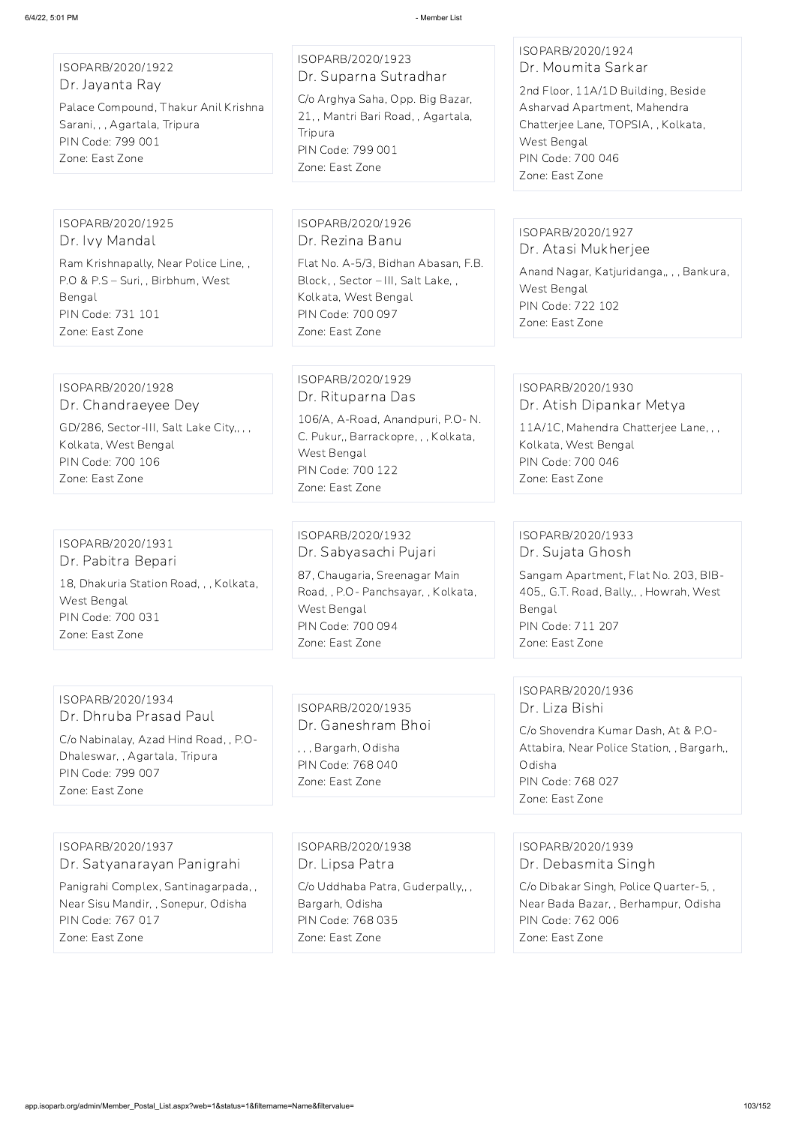ISOPARB/2020/1922 Dr. Jayanta Ray

Palace Compound, Thakur Anil Krishna Sarani, , , Agartala, Tripura PIN Code: 799 001 Zone: East Zone

ISOPARB/2020/1923 Dr. Suparna Sutradhar

C/o Arghya Saha, Opp. Big Bazar, 21, , Mantri Bari Road, , Agartala, **Tripura** PIN Code: 799 001 Zone: East Zone

ISOPARB/2020/1924 Dr. Moumita Sarkar

2nd Floor, 11A/1D Building, Beside Asharvad Apartment, Mahendra Chatterjee Lane, TOPSIA, , Kolkata, West Bengal PIN Code: 700 046 Zone: East Zone

ISOPARB/2020/1925 Dr. Ivy Mandal

Ram Krishnapally, Near Police Line, , P.O & P.S – Suri, , Birbhum, West Bengal PIN Code: 731 101 Zone: East Zone

ISOPARB/2020/1926 Dr. Rezina Banu

Flat No. A-5/3, Bidhan Abasan, F.B. Block, , Sector – III, Salt Lake, , Kolkata, West Bengal PIN Code: 700 097 Zone: East Zone

### ISOPARB/2020/1927 Dr. Atasi Mukherjee

Anand Nagar, Katjuridanga,, , , Bankura, West Bengal PIN Code: 722 102 Zone: East Zone

ISOPARB/2020/1928 Dr. Chandraeyee Dey GD/286, Sector-III, Salt Lake City,, , , Kolkata, West Bengal PIN Code: 700 106 Zone: East Zone

ISOPARB/2020/1929 Dr. Rituparna Das

106/A, A-Road, Anandpuri, P.O- N. C. Pukur,, Barrackopre, , , Kolkata, West Bengal PIN Code: 700 122 Zone: East Zone

### ISOPARB/2020/1930 Dr. Atish Dipankar Metya

11A/1C, Mahendra Chatterjee Lane, , , Kolkata, West Bengal PIN Code: 700 046 Zone: East Zone

ISOPARB/2020/1931 Dr. Pabitra Bepari

18, Dhakuria Station Road, , , Kolkata, West Bengal PIN Code: 700 031 Zone: East Zone

ISOPARB/2020/1932 Dr. Sabyasachi Pujari

87, Chaugaria, Sreenagar Main Road, , P.O- Panchsayar, , Kolkata, West Bengal PIN Code: 700 094 Zone: East Zone

### ISOPARB/2020/1933 Dr. Sujata Ghosh

Sangam Apartment, Flat No. 203, BIB-405,, G.T. Road, Bally,, , Howrah, West Bengal PIN Code: 711 207 Zone: East Zone

### ISOPARB/2020/1934 Dr. Dhruba Prasad Paul

C/o Nabinalay, Azad Hind Road, , P.O-Dhaleswar, , Agartala, Tripura PIN Code: 799 007 Zone: East Zone

ISOPARB/2020/1935 Dr. Ganeshram Bhoi

, , , Bargarh, Odisha PIN Code: 768 040 Zone: East Zone

ISOPARB/2020/1936 Dr. Liza Bishi

C/o Shovendra Kumar Dash, At & P.O-Attabira, Near Police Station, , Bargarh,, Odisha PIN Code: 768 027 Zone: East Zone

ISOPARB/2020/1937

Dr. Satyanarayan Panigrahi

Panigrahi Complex, Santinagarpada, , Near Sisu Mandir, , Sonepur, Odisha PIN Code: 767 017 Zone: East Zone

ISOPARB/2020/1938 Dr. Lipsa Patra

C/o Uddhaba Patra, Guderpally,, , Bargarh, Odisha PIN Code: 768 035 Zone: East Zone

ISOPARB/2020/1939

Dr. Debasmita Singh

C/o Dibakar Singh, Police Quarter-5, , Near Bada Bazar, , Berhampur, Odisha PIN Code: 762 006 Zone: East Zone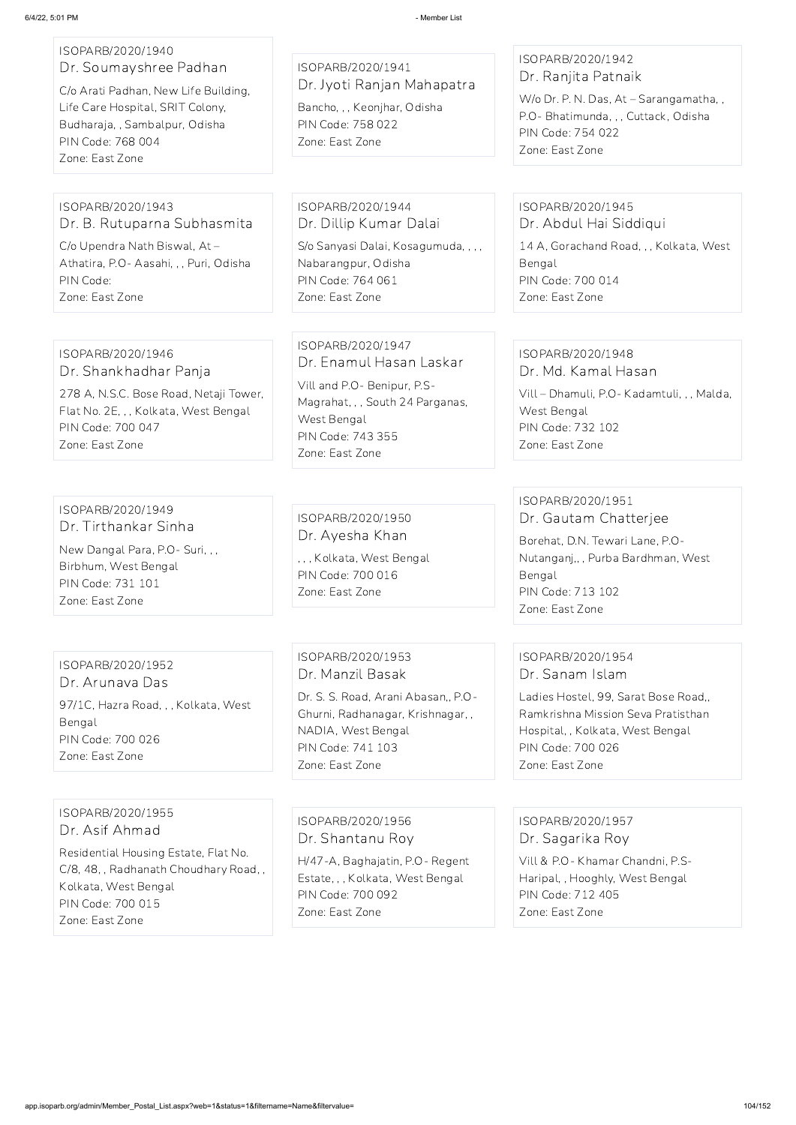| ISOPARB/2020/1940<br>Dr. Soumayshree Padhan<br>C/o Arati Padhan, New Life Building,<br>Life Care Hospital, SRIT Colony,<br>Budharaja, , Sambalpur, Odisha<br>PIN Code: 768 004<br>Zone: East Zone | ISOPARB/2020/1941<br>Dr. Jyoti Ranjan Mahapatra<br>Bancho, , , Keonjhar, Odisha<br>PIN Code: 758 022<br>Zone: East Zone                                                | ISOPARB/2020/1942<br>Dr. Ranjita Patnaik<br>W/o Dr. P. N. Das, At - Sarangamatha, ,<br>P.O- Bhatimunda, , , Cuttack, Odisha<br>PIN Code: 754 022<br>Zone: East Zone  |
|---------------------------------------------------------------------------------------------------------------------------------------------------------------------------------------------------|------------------------------------------------------------------------------------------------------------------------------------------------------------------------|----------------------------------------------------------------------------------------------------------------------------------------------------------------------|
|                                                                                                                                                                                                   |                                                                                                                                                                        |                                                                                                                                                                      |
| ISOPARB/2020/1943<br>Dr. B. Rutuparna Subhasmita                                                                                                                                                  | ISOPARB/2020/1944<br>Dr. Dillip Kumar Dalai                                                                                                                            | ISOPARB/2020/1945<br>Dr. Abdul Hai Siddiqui                                                                                                                          |
| C/o Upendra Nath Biswal, At-<br>Athatira, P.O- Aasahi, , , Puri, Odisha<br>PIN Code:<br>Zone: East Zone                                                                                           | S/o Sanyasi Dalai, Kosagumuda, , , ,<br>Nabarangpur, Odisha<br>PIN Code: 764 061<br>Zone: East Zone                                                                    | 14 A, Gorachand Road, , , Kolkata, West<br>Bengal<br>PIN Code: 700 014<br>Zone: East Zone                                                                            |
|                                                                                                                                                                                                   |                                                                                                                                                                        |                                                                                                                                                                      |
| ISOPARB/2020/1946<br>Dr. Shankhadhar Panja<br>278 A, N.S.C. Bose Road, Netaji Tower,<br>Flat No. 2E, , , Kolkata, West Bengal<br>PIN Code: 700 047<br>Zone: East Zone                             | ISOPARB/2020/1947<br>Dr. Enamul Hasan Laskar<br>Vill and P.O- Benipur, P.S-<br>Magrahat, , , South 24 Parganas,<br>West Bengal<br>PIN Code: 743 355<br>Zone: East Zone | ISOPARB/2020/1948<br>Dr. Md. Kamal Hasan<br>Vill - Dhamuli, P.O - Kadamtuli, , , Malda,<br>West Bengal<br>PIN Code: 732 102<br>Zone: East Zone                       |
|                                                                                                                                                                                                   |                                                                                                                                                                        |                                                                                                                                                                      |
| ISOPARB/2020/1949<br>Dr. Tirthankar Sinha<br>New Dangal Para, P.O - Suri, , ,<br>Birbhum, West Bengal<br>PIN Code: 731 101<br>Zone: East Zone                                                     | ISOPARB/2020/1950<br>Dr. Ayesha Khan<br>, , , Kolkata, West Bengal<br>PIN Code: 700 016<br>Zone: East Zone                                                             | ISOPARB/2020/1951<br>Dr. Gautam Chatterjee<br>Borehat, D.N. Tewari Lane, P.O-<br>Nutanganj,,, Purba Bardhman, West<br>Bengal<br>PIN Code: 713 102<br>Zone: East Zone |
|                                                                                                                                                                                                   |                                                                                                                                                                        |                                                                                                                                                                      |
| ISOPARB/2020/1952<br>Dr. Arunava Das                                                                                                                                                              | ISOPARB/2020/1953<br>Dr. Manzil Basak                                                                                                                                  | ISOPARB/2020/1954<br>Dr. Sanam Islam                                                                                                                                 |
| 97/1C, Hazra Road, , , Kolkata, West<br>Bengal                                                                                                                                                    | Dr. S. S. Road, Arani Abasan,, P.O-<br>Ghurni, Radhanagar, Krishnagar,,                                                                                                | Ladies Hostel, 99, Sarat Bose Road,<br>Ramkrishna Mission Seva Pratisthan                                                                                            |

PIN Code: 700 026 Zone: East Zone

NADIA, West Bengal PIN Code: 741 103

Zone: East Zone

Hospital, , Kolkata, West Bengal

PIN Code: 700 026 Zone: East Zone

# ISOPARB/2020/1955 Dr. Asif Ahmad

Residential Housing Estate, Flat No. C/8, 48, , Radhanath Choudhary Road, , Kolkata, West Bengal PIN Code: 700 015 Zone: East Zone

ISOPARB/2020/1956 Dr. Shantanu Roy

H/47-A, Baghajatin, P.O- Regent Estate, , , Kolkata, West Bengal PIN Code: 700 092 Zone: East Zone

ISOPARB/2020/1957 Dr. Sagarika Roy

Vill & P.O- Khamar Chandni, P.S-Haripal, , Hooghly, West Bengal PIN Code: 712 405 Zone: East Zone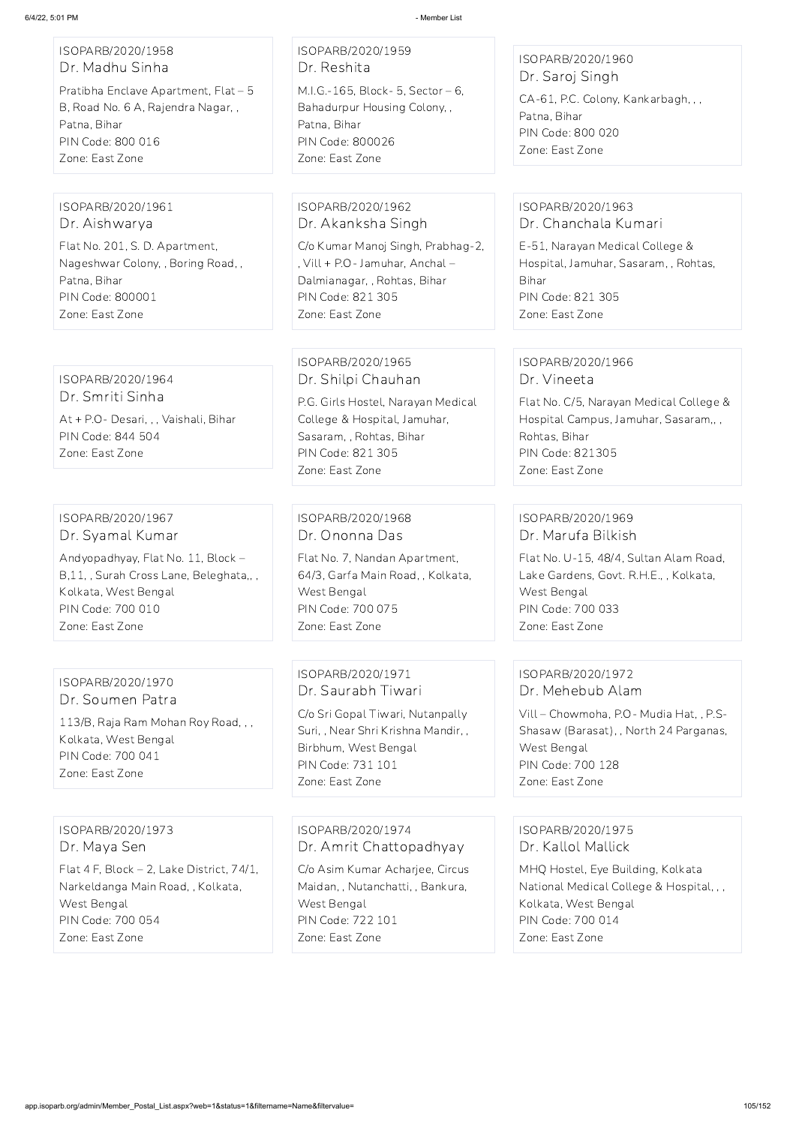### ISOPARB/2020/1958 Dr. Madhu Sinha

Pratibha Enclave Apartment, Flat – 5 B, Road No. 6 A, Rajendra Nagar, , Patna, Bihar PIN Code: 800 016 Zone: East Zone

ISOPARB/2020/1959 Dr. Reshita M.I.G.-165, Block- 5, Sector – 6, Bahadurpur Housing Colony, , Patna, Bihar PIN Code: 800026 Zone: East Zone

ISOPARB/2020/1960 Dr. Saroj Singh

CA-61, P.C. Colony, Kankarbagh, , , Patna, Bihar PIN Code: 800 020 Zone: East Zone

#### ISOPARB/2020/1961 Dr. Aishwarya

Flat No. 201, S. D. Apartment, Nageshwar Colony, , Boring Road, , Patna, Bihar PIN Code: 800001 Zone: East Zone

ISOPARB/2020/1962 Dr. Akanksha Singh

C/o Kumar Manoj Singh, Prabhag-2, , Vill + P.O- Jamuhar, Anchal – Dalmianagar, , Rohtas, Bihar PIN Code: 821 305 Zone: East Zone

#### ISOPARB/2020/1963 Dr. Chanchala Kumari

E-51, Narayan Medical College & Hospital, Jamuhar, Sasaram, , Rohtas, Bihar PIN Code: 821 305 Zone: East Zone

ISOPARB/2020/1964 Dr. Smriti Sinha At + P.O- Desari, , , Vaishali, Bihar PIN Code: 844 504 Zone: East Zone

### ISOPARB/2020/1965 Dr. Shilpi Chauhan

P.G. Girls Hostel, Narayan Medical College & Hospital, Jamuhar, Sasaram, , Rohtas, Bihar PIN Code: 821 305 Zone: East Zone

### ISOPARB/2020/1966 Dr. Vineeta

Flat No. C/5, Narayan Medical College & Hospital Campus, Jamuhar, Sasaram,, , Rohtas, Bihar PIN Code: 821305 Zone: East Zone

### ISOPARB/2020/1967 Dr. Syamal Kumar

Andyopadhyay, Flat No. 11, Block – B,11, , Surah Cross Lane, Beleghata,, , Kolkata, West Bengal PIN Code: 700 010 Zone: East Zone

### ISOPARB/2020/1968 Dr. Ononna Das

Flat No. 7, Nandan Apartment, 64/3, Garfa Main Road, , Kolkata, West Bengal PIN Code: 700 075 Zone: East Zone

### ISOPARB/2020/1969 Dr. Marufa Bilkish

Flat No. U-15, 48/4, Sultan Alam Road, Lake Gardens, Govt. R.H.E., , Kolkata, West Bengal PIN Code: 700 033 Zone: East Zone

#### ISOPARB/2020/1970 Dr. Soumen Patra

113/B, Raja Ram Mohan Roy Road, , , Kolkata, West Bengal PIN Code: 700 041 Zone: East Zone

ISOPARB/2020/1971 Dr. Saurabh Tiwari

C/o Sri Gopal Tiwari, Nutanpally Suri, , Near Shri Krishna Mandir, , Birbhum, West Bengal PIN Code: 731 101 Zone: East Zone

### ISOPARB/2020/1972 Dr. Mehebub Alam

Vill – Chowmoha, P.O- Mudia Hat, , P.S-Shasaw (Barasat), , North 24 Parganas, West Bengal PIN Code: 700 128 Zone: East Zone

### ISOPARB/2020/1973 Dr. Maya Sen

Flat 4 F, Block – 2, Lake District, 74/1, Narkeldanga Main Road, , Kolkata, West Bengal PIN Code: 700 054 Zone: East Zone

ISOPARB/2020/1974 Dr. Amrit Chattopadhyay

C/o Asim Kumar Acharjee, Circus Maidan, , Nutanchatti, , Bankura, West Bengal PIN Code: 722 101 Zone: East Zone

ISOPARB/2020/1975 Dr. Kallol Mallick

MHQ Hostel, Eye Building, Kolkata National Medical College & Hospital, , , Kolkata, West Bengal PIN Code: 700 014 Zone: East Zone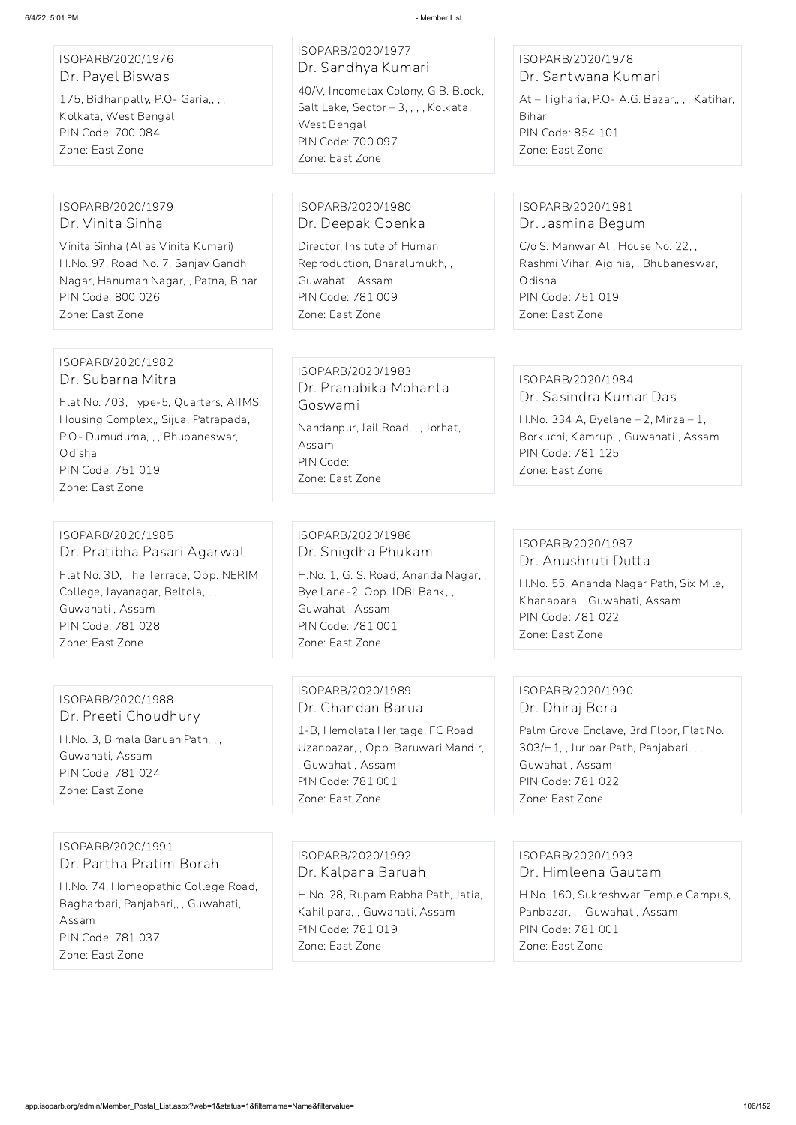| ISOPARB/2020/1976<br>Dr. Payel Biswas<br>175, Bidhanpally, P.O- Garia,,,,<br>Kolkata, West Bengal<br>PIN Code: 700 084<br>Zone: East Zone                                                                    | ISOPARB/2020/1977<br>Dr. Sandhya Kumari<br>40/V, Incometax Colony, G.B. Block,<br>Salt Lake, Sector - 3, , , , Kolkata,<br>West Bengal<br>PIN Code: 700 097<br>Zone: East Zone | ISOPARB/2020/1978<br>Dr. Santwana Kumari<br>At-Tigharia, P.O-A.G. Bazar,,,, Katihar,<br>Bihar<br>PIN Code: 854 101<br>Zone: East Zone                                      |
|--------------------------------------------------------------------------------------------------------------------------------------------------------------------------------------------------------------|--------------------------------------------------------------------------------------------------------------------------------------------------------------------------------|----------------------------------------------------------------------------------------------------------------------------------------------------------------------------|
| ISOPARB/2020/1979<br>Dr. Vinita Sinha<br>Vinita Sinha (Alias Vinita Kumari)<br>H.No. 97, Road No. 7, Sanjay Gandhi<br>Nagar, Hanuman Nagar, , Patna, Bihar<br>PIN Code: 800 026<br>Zone: East Zone           | ISOPARB/2020/1980<br>Dr. Deepak Goenka<br>Director, Insitute of Human<br>Reproduction, Bharalumukh,,<br>Guwahati, Assam<br>PIN Code: 781 009<br>Zone: East Zone                | ISOPARB/2020/1981<br>Dr. Jasmina Begum<br>C/o S. Manwar Ali, House No. 22,,<br>Rashmi Vihar, Aiginia, , Bhubaneswar,<br>Odisha<br>PIN Code: 751 019<br>Zone: East Zone     |
| ISOPARB/2020/1982<br>Dr. Subarna Mitra<br>Flat No. 703, Type-5, Quarters, AIIMS,<br>Housing Complex,, Sijua, Patrapada,<br>P.O- Dumuduma, , , Bhubaneswar,<br>Odisha<br>PIN Code: 751 019<br>Zone: East Zone | ISOPARB/2020/1983<br>Dr. Pranabika Mohanta<br>Goswami<br>Nandanpur, Jail Road, , , Jorhat,<br>Assam<br>PIN Code:<br>Zone: East Zone                                            | ISOPARB/2020/1984<br>Dr. Sasindra Kumar Das<br>H.No. 334 A, Byelane $- 2$ , Mirza $- 1$ , ,<br>Borkuchi, Kamrup, , Guwahati, Assam<br>PIN Code: 781 125<br>Zone: East Zone |
| ISOPARB/2020/1985<br>Dr. Pratibha Pasari Agarwal<br>Flat No. 3D, The Terrace, Opp. NERIM<br>College, Jayanagar, Beltola, , ,<br>Guwahati, Assam<br>PIN Code: 781 028<br>Zone: East Zone                      | ISOPARB/2020/1986<br>Dr. Snigdha Phukam<br>H.No. 1, G. S. Road, Ananda Nagar,,<br>Bye Lane-2, Opp. IDBI Bank,,<br>Guwahati, Assam<br>PIN Code: 781 001<br>Zone: East Zone      | ISOPARB/2020/1987<br>Dr. Anushruti Dutta<br>H.No. 55, Ananda Nagar Path, Six Mile,<br>Khanapara,, Guwahati, Assam<br>PIN Code: 781 022<br>Zone: East Zone                  |

ISOPARB/2020/1988 Dr. Preeti Choudhury

H.No. 3, Bimala Baruah Path, , , Guwahati, Assam PIN Code: 781 024 Zone: East Zone

ISOPARB/2020/1989 Dr. Chandan Barua

1-B, Hemolata Heritage, FC Road Uzanbazar, , Opp. Baruwari Mandir, , Guwahati, Assam PIN Code: 781 001 Zone: East Zone

ISOPARB/2020/1990 Dr. Dhiraj Bora

Palm Grove Enclave, 3rd Floor, Flat No. 303/H1, , Juripar Path, Panjabari, , , Guwahati, Assam PIN Code: 781 022 Zone: East Zone

ISOPARB/2020/1991

Dr. Partha Pratim Borah

H.No. 74, Homeopathic College Road, Bagharbari, Panjabari,, , Guwahati, Assam PIN Code: 781 037 Zone: East Zone

ISOPARB/2020/1992 Dr. Kalpana Baruah

H.No. 28, Rupam Rabha Path, Jatia, Kahilipara, , Guwahati, Assam PIN Code: 781 019 Zone: East Zone

ISOPARB/2020/1993 Dr. Himleena Gautam

H.No. 160, Sukreshwar Temple Campus, Panbazar, , , Guwahati, Assam PIN Code: 781 001 Zone: East Zone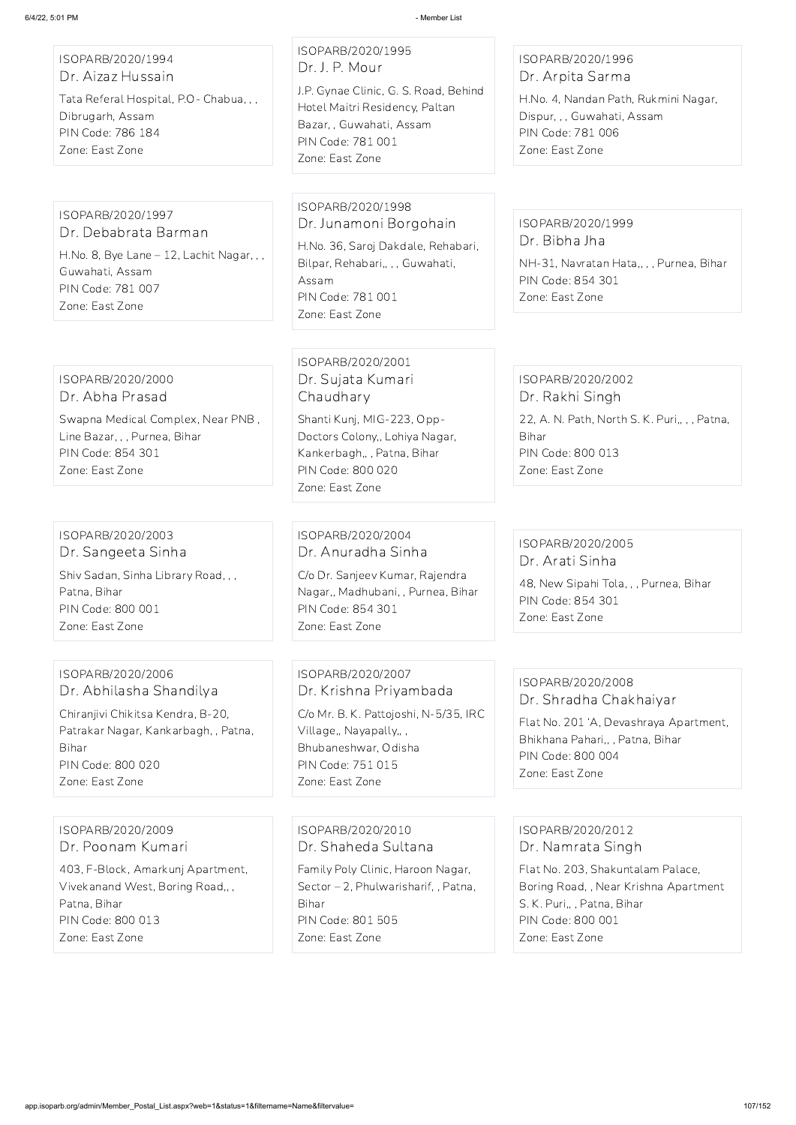ISOPARB/2020/1994 Dr. Aizaz Hussain

Tata Referal Hospital, P.O- Chabua, , , Dibrugarh, Assam PIN Code: 786 184 Zone: East Zone

ISOPARB/2020/1995 Dr. J. P. Mour J.P. Gynae Clinic, G. S. Road, Behind Hotel Maitri Residency, Paltan Bazar, , Guwahati, Assam PIN Code: 781 001

Zone: East Zone

#### ISOPARB/2020/1996 Dr. Arpita Sarma

H.No. 4, Nandan Path, Rukmini Nagar, Dispur, , , Guwahati, Assam PIN Code: 781 006 Zone: East Zone

ISOPARB/2020/1997 Dr. Debabrata Barman

H.No. 8, Bye Lane – 12, Lachit Nagar, , , Guwahati, Assam PIN Code: 781 007 Zone: East Zone

ISOPARB/2020/1998 Dr. Junamoni Borgohain

H.No. 36, Saroj Dakdale, Rehabari, Bilpar, Rehabari,, , , Guwahati, Assam PIN Code: 781 001 Zone: East Zone

ISOPARB/2020/1999 Dr. Bibha Jha

NH-31, Navratan Hata,, , , Purnea, Bihar PIN Code: 854 301 Zone: East Zone

ISOPARB/2020/2000 Dr. Abha Prasad

Swapna Medical Complex, Near PNB , Line Bazar, , , Purnea, Bihar PIN Code: 854 301 Zone: East Zone

ISOPARB/2020/2001 Dr. Sujata Kumari Chaudhary

Shanti Kunj, MIG-223, Opp-Doctors Colony,, Lohiya Nagar, Kankerbagh,, , Patna, Bihar PIN Code: 800 020 Zone: East Zone

ISOPARB/2020/2002 Dr. Rakhi Singh 22, A. N. Path, North S. K. Puri,, , , Patna, Bihar PIN Code: 800 013 Zone: East Zone

ISOPARB/2020/2003 Dr. Sangeeta Sinha

Shiv Sadan, Sinha Library Road, , , Patna, Bihar PIN Code: 800 001 Zone: East Zone

ISOPARB/2020/2004 Dr. Anuradha Sinha

C/o Dr. Sanjeev Kumar, Rajendra Nagar,, Madhubani, , Purnea, Bihar PIN Code: 854 301 Zone: East Zone

ISOPARB/2020/2005 Dr. Arati Sinha

48, New Sipahi Tola, , , Purnea, Bihar PIN Code: 854 301 Zone: East Zone

ISOPARB/2020/2006 Dr. Abhilasha Shandilya

Chiranjivi Chikitsa Kendra, B-20, Patrakar Nagar, Kankarbagh, , Patna, Bihar PIN Code: 800 020 Zone: East Zone

ISOPARB/2020/2007 Dr. Krishna Priyambada

C/o Mr. B. K. Pattojoshi, N-5/35, IRC Village,, Nayapally,, , Bhubaneshwar, Odisha PIN Code: 751 015 Zone: East Zone

ISOPARB/2020/2008 Dr. Shradha Chakhaiyar

Flat No. 201 'A, Devashraya Apartment, Bhikhana Pahari,, , Patna, Bihar PIN Code: 800 004 Zone: East Zone

ISOPARB/2020/2009 Dr. Poonam Kumari

403, F-Block, Amarkunj Apartment, Vivekanand West, Boring Road,, , Patna, Bihar PIN Code: 800 013 Zone: East Zone

ISOPARB/2020/2010 Dr. Shaheda Sultana

Family Poly Clinic, Haroon Nagar, Sector – 2, Phulwarisharif, , Patna, Bihar PIN Code: 801 505 Zone: East Zone

ISOPARB/2020/2012 Dr. Namrata Singh

Flat No. 203, Shakuntalam Palace, Boring Road, , Near Krishna Apartment S. K. Puri,, , Patna, Bihar PIN Code: 800 001 Zone: East Zone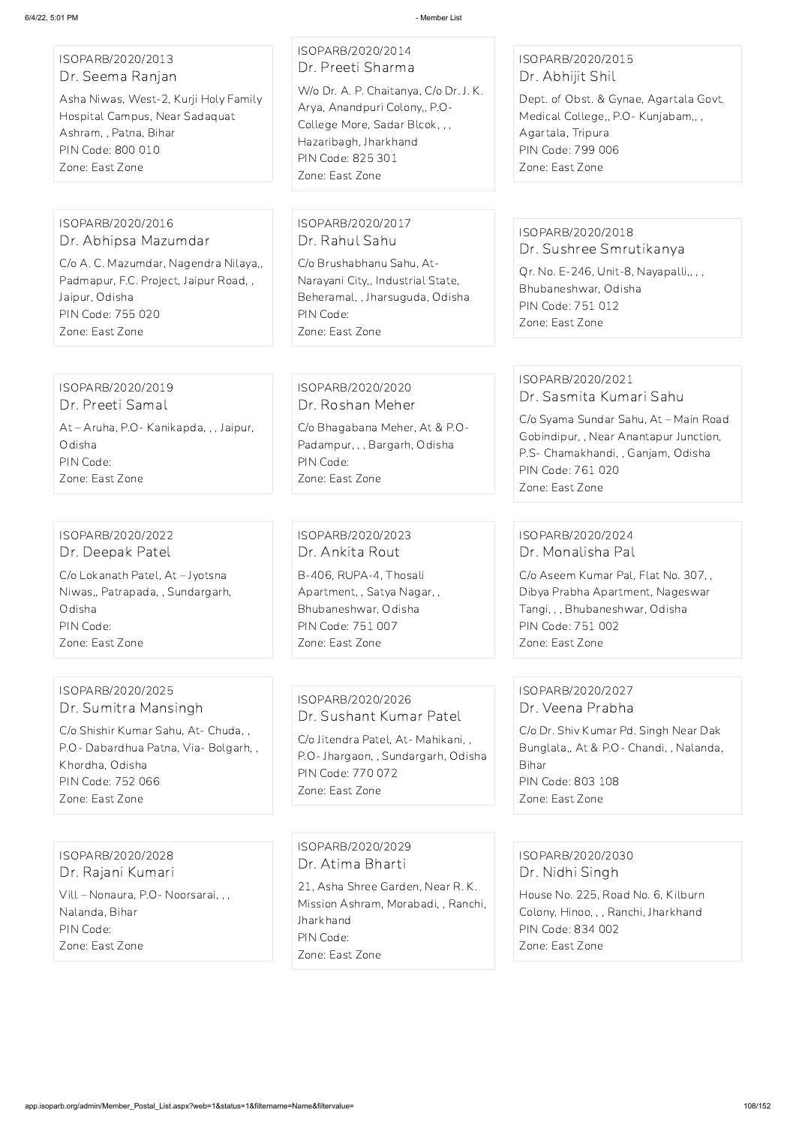ISOPARB/2020/2013 Dr. Seema Ranjan

Asha Niwas, West-2, Kurji Holy Family Hospital Campus, Near Sadaquat Ashram, , Patna, Bihar PIN Code: 800 010 Zone: East Zone

## ISOPARB/2020/2014 Dr. Preeti Sharma

W/o Dr. A. P. Chaitanya, C/o Dr. J. K. Arya, Anandpuri Colony,, P.O-College More, Sadar Blcok, , , Hazaribagh, Jharkhand PIN Code: 825 301 Zone: East Zone

#### ISOPARB/2020/2015 Dr. Abhijit Shil

Dept. of Obst. & Gynae, Agartala Govt. Medical College,, P.O- Kunjabam,, , Agartala, Tripura PIN Code: 799 006 Zone: East Zone

#### ISOPARB/2020/2016 Dr. Abhipsa Mazumdar

C/o A. C. Mazumdar, Nagendra Nilaya,, Padmapur, F.C. Project, Jaipur Road, , Jaipur, Odisha PIN Code: 755 020 Zone: East Zone

ISOPARB/2020/2017 Dr. Rahul Sahu

C/o Brushabhanu Sahu, At-Narayani City,, Industrial State, Beheramal, , Jharsuguda, Odisha PIN Code: Zone: East Zone

### ISOPARB/2020/2018 Dr. Sushree Smrutikanya

Qr. No. E-246, Unit-8, Nayapalli,, , , Bhubaneshwar, Odisha PIN Code: 751 012 Zone: East Zone

ISOPARB/2020/2019 Dr. Preeti Samal At – Aruha, P.O- Kanikapda, , , Jaipur, Odisha PIN Code: Zone: East Zone

#### ISOPARB/2020/2020 Dr. Roshan Meher

C/o Bhagabana Meher, At & P.O-Padampur, , , Bargarh, Odisha PIN Code: Zone: East Zone

#### ISOPARB/2020/2021 Dr. Sasmita Kumari Sahu

C/o Syama Sundar Sahu, At – Main Road Gobindipur, , Near Anantapur Junction, P.S- Chamakhandi, , Ganjam, Odisha PIN Code: 761 020 Zone: East Zone

# ISOPARB/2020/2022 Dr. Deepak Patel

C/o Lokanath Patel, At – Jyotsna Niwas,, Patrapada, , Sundargarh, Odisha PIN Code: Zone: East Zone

ISOPARB/2020/2023 Dr. Ankita Rout B-406, RUPA-4, Thosali Apartment, , Satya Nagar, , Bhubaneshwar, Odisha PIN Code: 751 007 Zone: East Zone

### ISOPARB/2020/2024 Dr. Monalisha Pal

C/o Aseem Kumar Pal, Flat No. 307, , Dibya Prabha Apartment, Nageswar Tangi, , , Bhubaneshwar, Odisha PIN Code: 751 002 Zone: East Zone

### ISOPARB/2020/2025 Dr. Sumitra Mansingh

C/o Shishir Kumar Sahu, At- Chuda, , P.O- Dabardhua Patna, Via- Bolgarh, , Khordha, Odisha PIN Code: 752 066 Zone: East Zone

## ISOPARB/2020/2026 Dr. Sushant Kumar Patel

C/o Jitendra Patel, At- Mahikani, , P.O- Jhargaon, , Sundargarh, Odisha PIN Code: 770 072 Zone: East Zone

### ISOPARB/2020/2027 Dr. Veena Prabha

C/o Dr. Shiv Kumar Pd. Singh Near Dak Bunglala,, At & P.O- Chandi, , Nalanda, Bihar PIN Code: 803 108 Zone: East Zone

ISOPARB/2020/2028 Dr. Rajani Kumari

Vill – Nonaura, P.O- Noorsarai, , , Nalanda, Bihar PIN Code: Zone: East Zone

ISOPARB/2020/2029 Dr. Atima Bharti

21, Asha Shree Garden, Near R. K. Mission Ashram, Morabadi, , Ranchi, **Jharkhand** PIN Code: Zone: East Zone

ISOPARB/2020/2030 Dr. Nidhi Singh

House No. 225, Road No. 6, Kilburn Colony, Hinoo, , , Ranchi, Jharkhand PIN Code: 834 002

Zone: East Zone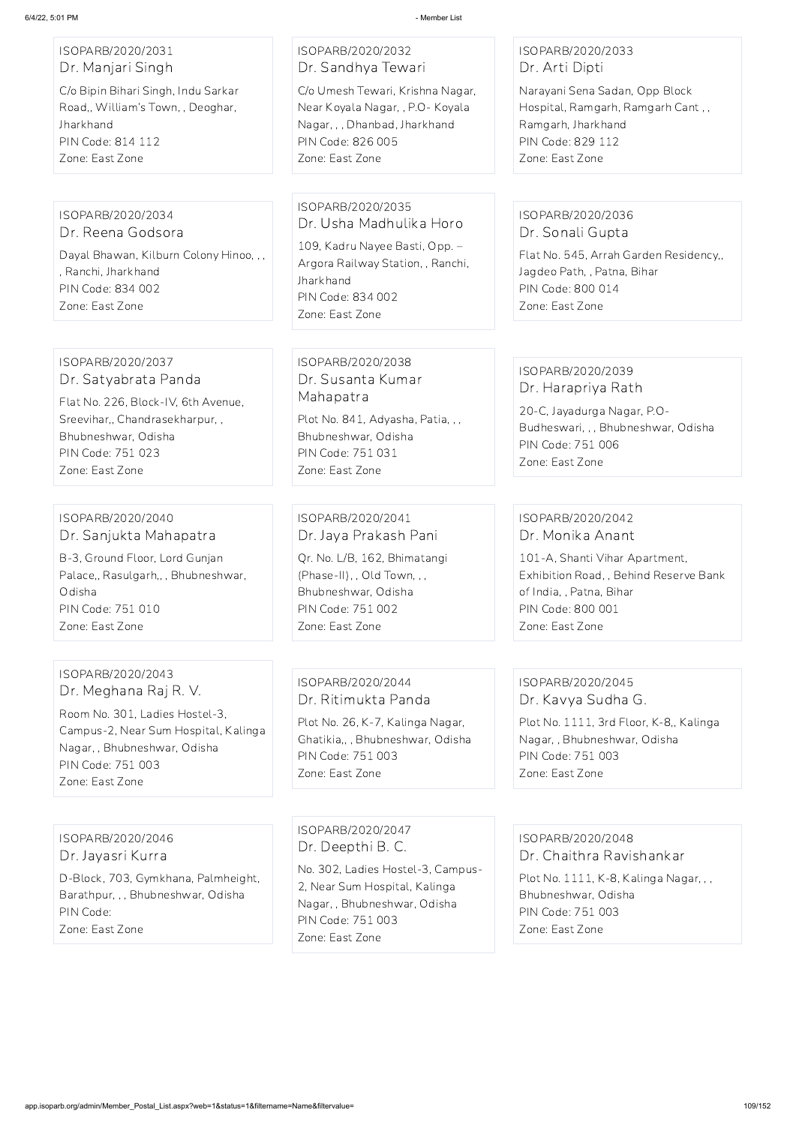## ISOPARB/2020/2031 Dr. Manjari Singh

C/o Bipin Bihari Singh, Indu Sarkar Road,, William's Town, , Deoghar, Jharkhand PIN Code: 814 112 Zone: East Zone

## ISOPARB/2020/2032 Dr. Sandhya Tewari

C/o Umesh Tewari, Krishna Nagar, Near Koyala Nagar, , P.O- Koyala Nagar, , , Dhanbad, Jharkhand PIN Code: 826 005 Zone: East Zone

## ISOPARB/2020/2033 Dr. Arti Dipti

Narayani Sena Sadan, Opp Block Hospital, Ramgarh, Ramgarh Cant , , Ramgarh, Jharkhand PIN Code: 829 112 Zone: East Zone

# ISOPARB/2020/2034

Dr. Reena Godsora Dayal Bhawan, Kilburn Colony Hinoo, , , , Ranchi, Jharkhand PIN Code: 834 002 Zone: East Zone

## ISOPARB/2020/2035 Dr. Usha Madhulika Horo

109, Kadru Nayee Basti, Opp. – Argora Railway Station, , Ranchi, **Jharkhand** PIN Code: 834 002 Zone: East Zone

## ISOPARB/2020/2036 Dr. Sonali Gupta

Flat No. 545, Arrah Garden Residency,, Jagdeo Path, , Patna, Bihar PIN Code: 800 014 Zone: East Zone

#### ISOPARB/2020/2037 Dr. Satyabrata Panda

Flat No. 226, Block-IV, 6th Avenue, Sreevihar,, Chandrasekharpur, , Bhubneshwar, Odisha PIN Code: 751 023 Zone: East Zone

## ISOPARB/2020/2038 Dr. Susanta Kumar Mahapatra

Plot No. 841, Adyasha, Patia, , , Bhubneshwar, Odisha PIN Code: 751 031 Zone: East Zone

## ISOPARB/2020/2039 Dr. Harapriya Rath

20-C, Jayadurga Nagar, P.O-Budheswari, , , Bhubneshwar, Odisha PIN Code: 751 006 Zone: East Zone

#### ISOPARB/2020/2040 Dr. Sanjukta Mahapatra

B-3, Ground Floor, Lord Gunjan Palace,, Rasulgarh,, , Bhubneshwar, Odisha PIN Code: 751 010 Zone: East Zone

ISOPARB/2020/2041 Dr. Jaya Prakash Pani

Qr. No. L/B, 162, Bhimatangi (Phase-II), , Old Town, , , Bhubneshwar, Odisha PIN Code: 751 002 Zone: East Zone

## ISOPARB/2020/2042 Dr. Monika Anant

101-A, Shanti Vihar Apartment, Exhibition Road, , Behind Reserve Bank of India, , Patna, Bihar PIN Code: 800 001 Zone: East Zone

## ISOPARB/2020/2043 Dr. Meghana Raj R. V.

Room No. 301, Ladies Hostel-3, Campus-2, Near Sum Hospital, Kalinga Nagar, , Bhubneshwar, Odisha PIN Code: 751 003 Zone: East Zone

## ISOPARB/2020/2044 Dr. Ritimukta Panda

Plot No. 26, K-7, Kalinga Nagar, Ghatikia,, , Bhubneshwar, Odisha PIN Code: 751 003 Zone: East Zone

## ISOPARB/2020/2045 Dr. Kavya Sudha G.

Plot No. 1111, 3rd Floor, K-8,, Kalinga Nagar, , Bhubneshwar, Odisha PIN Code: 751 003 Zone: East Zone

#### ISOPARB/2020/2046 Dr. Jayasri Kurra

D-Block, 703, Gymkhana, Palmheight, Barathpur, , , Bhubneshwar, Odisha PIN Code:

Zone: East Zone

## ISOPARB/2020/2047 Dr. Deepthi B. C.

No. 302, Ladies Hostel-3, Campus-2, Near Sum Hospital, Kalinga Nagar, , Bhubneshwar, Odisha PIN Code: 751 003 Zone: East Zone

ISOPARB/2020/2048

Dr. Chaithra Ravishankar

Plot No. 1111, K-8, Kalinga Nagar, , , Bhubneshwar, Odisha PIN Code: 751 003 Zone: East Zone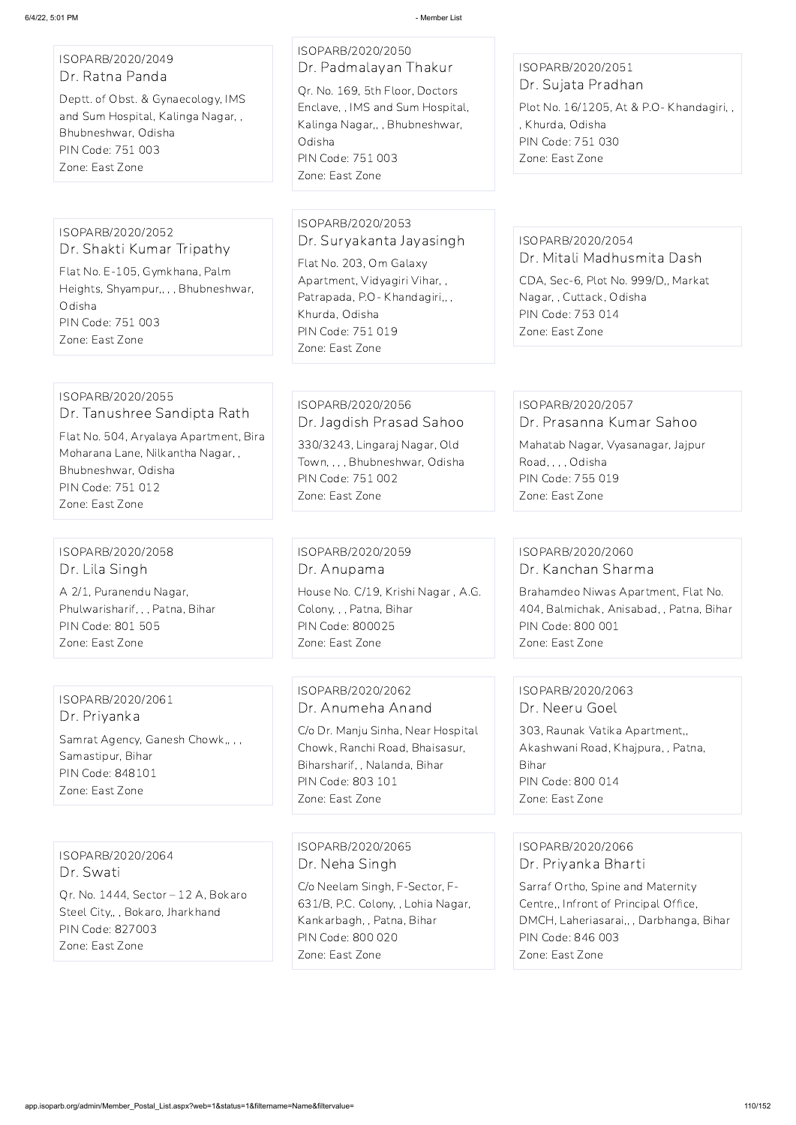### ISOPARB/2020/2049 Dr. Ratna Panda

Deptt. of Obst. & Gynaecology, IMS and Sum Hospital, Kalinga Nagar, , Bhubneshwar, Odisha PIN Code: 751 003 Zone: East Zone

## ISOPARB/2020/2050 Dr. Padmalayan Thakur Qr. No. 169, 5th Floor, Doctors Enclave, , IMS and Sum Hospital, Kalinga Nagar,, , Bhubneshwar,

Odisha PIN Code: 751 003 Zone: East Zone

## ISOPARB/2020/2051 Dr. Sujata Pradhan

Plot No. 16/1205, At & P.O- Khandagiri, , , Khurda, Odisha PIN Code: 751 030 Zone: East Zone

#### ISOPARB/2020/2052 Dr. Shakti Kumar Tripathy

Flat No. E-105, Gymkhana, Palm Heights, Shyampur,, , , Bhubneshwar, Odisha PIN Code: 751 003 Zone: East Zone

#### ISOPARB/2020/2053 Dr. Suryakanta Jayasingh

Flat No. 203, Om Galaxy Apartment, Vidyagiri Vihar, , Patrapada, P.O- Khandagiri,, , Khurda, Odisha PIN Code: 751 019 Zone: East Zone

## ISOPARB/2020/2054 Dr. Mitali Madhusmita Dash

CDA, Sec-6, Plot No. 999/D,, Markat Nagar, , Cuttack, Odisha PIN Code: 753 014 Zone: East Zone

#### ISOPARB/2020/2055 Dr. Tanushree Sandipta Rath

Flat No. 504, Aryalaya Apartment, Bira Moharana Lane, Nilkantha Nagar, , Bhubneshwar, Odisha PIN Code: 751 012 Zone: East Zone

### ISOPARB/2020/2056 Dr. Jagdish Prasad Sahoo

330/3243, Lingaraj Nagar, Old Town, , , , Bhubneshwar, Odisha PIN Code: 751 002 Zone: East Zone

#### ISOPARB/2020/2057 Dr. Prasanna Kumar Sahoo

Mahatab Nagar, Vyasanagar, Jajpur Road, , , , Odisha PIN Code: 755 019 Zone: East Zone

#### ISOPARB/2020/2058 Dr. Lila Singh

A 2/1, Puranendu Nagar, Phulwarisharif, , , Patna, Bihar PIN Code: 801 505 Zone: East Zone

ISOPARB/2020/2059 Dr. Anupama House No. C/19, Krishi Nagar , A.G. Colony, , , Patna, Bihar PIN Code: 800025 Zone: East Zone

#### ISOPARB/2020/2060 Dr. Kanchan Sharma

Brahamdeo Niwas Apartment, Flat No. 404, Balmichak, Anisabad, , Patna, Bihar PIN Code: 800 001 Zone: East Zone

## ISOPARB/2020/2061 Dr. Priyanka

Samrat Agency, Ganesh Chowk,, , , Samastipur, Bihar PIN Code: 848101 Zone: East Zone

## ISOPARB/2020/2062 Dr. Anumeha Anand

C/o Dr. Manju Sinha, Near Hospital Chowk, Ranchi Road, Bhaisasur, Biharsharif, , Nalanda, Bihar PIN Code: 803 101 Zone: East Zone

## ISOPARB/2020/2063 Dr. Neeru Goel

303, Raunak Vatika Apartment,, Akashwani Road, Khajpura, , Patna, Bihar PIN Code: 800 014 Zone: East Zone

ISOPARB/2020/2064 Dr. Swati

Qr. No. 1444, Sector – 12 A, Bokaro Steel City,, , Bokaro, Jharkhand PIN Code: 827003 Zone: East Zone

#### ISOPARB/2020/2065

Dr. Neha Singh

C/o Neelam Singh, F-Sector, F-631/B, P.C. Colony, , Lohia Nagar, Kankarbagh, , Patna, Bihar PIN Code: 800 020 Zone: East Zone

ISOPARB/2020/2066

Dr. Priyanka Bharti

Sarraf Ortho, Spine and Maternity Centre,, Infront of Principal Office, DMCH, Laheriasarai,, , Darbhanga, Bihar PIN Code: 846 003 Zone: East Zone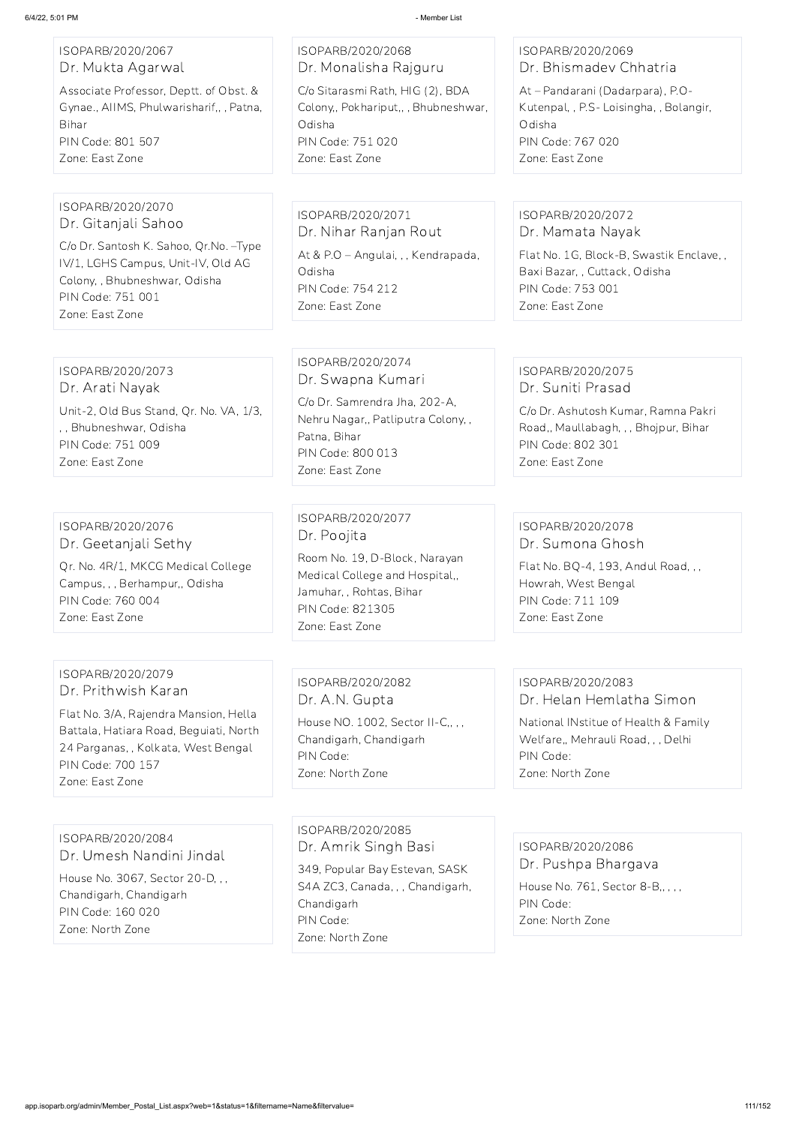#### ISOPARB/2020/2067 Dr. Mukta Agarwal

Associate Professor, Deptt. of Obst. & Gynae., AIIMS, Phulwarisharif,, , Patna, Bihar PIN Code: 801 507 Zone: East Zone

## ISOPARB/2020/2068 Dr. Monalisha Rajguru C/o Sitarasmi Rath, HIG (2), BDA Colony,, Pokhariput,, , Bhubneshwar, Odisha

PIN Code: 751 020 Zone: East Zone

## ISOPARB/2020/2069 Dr. Bhismadev Chhatria

At – Pandarani (Dadarpara), P.O-Kutenpal, , P.S- Loisingha, , Bolangir, Odisha PIN Code: 767 020 Zone: East Zone

#### ISOPARB/2020/2070 Dr. Gitanjali Sahoo

C/o Dr. Santosh K. Sahoo, Qr.No. –Type IV/1, LGHS Campus, Unit-IV, Old AG Colony, , Bhubneshwar, Odisha PIN Code: 751 001 Zone: East Zone

ISOPARB/2020/2071 Dr. Nihar Ranjan Rout At & P.O – Angulai, , , Kendrapada, Odisha PIN Code: 754 212 Zone: East Zone

## ISOPARB/2020/2072 Dr. Mamata Nayak

Flat No. 1G, Block-B, Swastik Enclave, , Baxi Bazar, , Cuttack, Odisha PIN Code: 753 001 Zone: East Zone

#### ISOPARB/2020/2073 Dr. Arati Nayak

Unit-2, Old Bus Stand, Qr. No. VA, 1/3, , , Bhubneshwar, Odisha PIN Code: 751 009 Zone: East Zone

## ISOPARB/2020/2074 Dr. Swapna Kumari

C/o Dr. Samrendra Jha, 202-A, Nehru Nagar,, Patliputra Colony, , Patna, Bihar PIN Code: 800 013 Zone: East Zone

## ISOPARB/2020/2075 Dr. Suniti Prasad

C/o Dr. Ashutosh Kumar, Ramna Pakri Road,, Maullabagh, , , Bhojpur, Bihar PIN Code: 802 301 Zone: East Zone

## ISOPARB/2020/2076 Dr. Geetanjali Sethy

Qr. No. 4R/1, MKCG Medical College Campus, , , Berhampur,, Odisha PIN Code: 760 004 Zone: East Zone

## ISOPARB/2020/2077 Dr. Poojita

Room No. 19, D-Block, Narayan Medical College and Hospital,, Jamuhar, , Rohtas, Bihar PIN Code: 821305 Zone: East Zone

## ISOPARB/2020/2078 Dr. Sumona Ghosh

Flat No. BQ-4, 193, Andul Road, , , Howrah, West Bengal PIN Code: 711 109 Zone: East Zone

## ISOPARB/2020/2079 Dr. Prithwish Karan

Flat No. 3/A, Rajendra Mansion, Hella Battala, Hatiara Road, Beguiati, North 24 Parganas, , Kolkata, West Bengal PIN Code: 700 157 Zone: East Zone

## ISOPARB/2020/2082 Dr. A.N. Gupta

House NO. 1002, Sector II-C,, , , Chandigarh, Chandigarh PIN Code: Zone: North Zone

# ISOPARB/2020/2083

Dr. Helan Hemlatha Simon

National INstitue of Health & Family Welfare,, Mehrauli Road, , , Delhi PIN Code: Zone: North Zone

## ISOPARB/2020/2084

#### Dr. Umesh Nandini Jindal

House No. 3067, Sector 20-D, , , Chandigarh, Chandigarh PIN Code: 160 020 Zone: North Zone

ISOPARB/2020/2085 Dr. Amrik Singh Basi

349, Popular Bay Estevan, SASK S4A ZC3, Canada, , , Chandigarh, Chandigarh PIN Code: Zone: North Zone

ISOPARB/2020/2086

Dr. Pushpa Bhargava

House No. 761, Sector 8-B,, , , , PIN Code: Zone: North Zone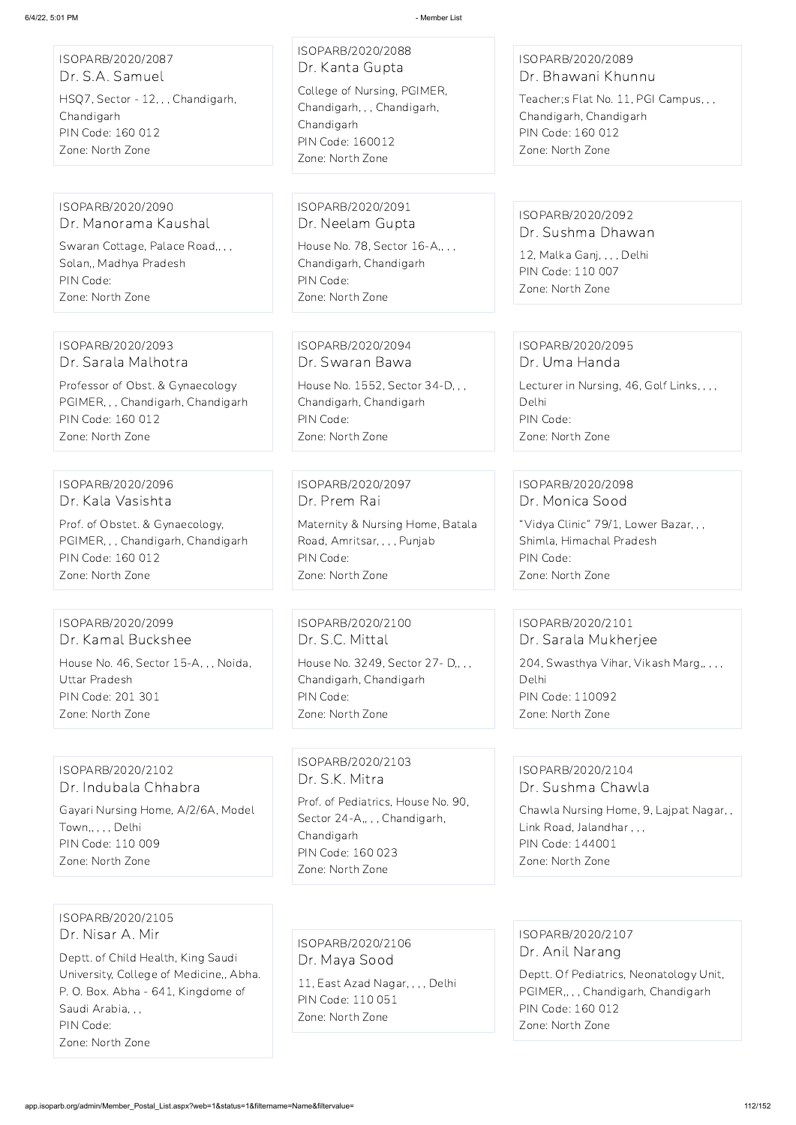| ISOPARB/2020/2087<br>Dr. S.A. Samuel<br>HSQ7, Sector - 12, , , Chandigarh,<br>Chandigarh<br>PIN Code: 160 012<br>Zone: North Zone         | ISOPARB/2020/2088<br>Dr. Kanta Gupta<br>College of Nursing, PGIMER,<br>Chandigarh, , , Chandigarh,<br>Chandigarh<br><b>PIN Code: 160012</b><br>Zone: North Zone | ISOPARB/2020/2089<br>Dr. Bhawani Khunnu<br>Teacher; s Flat No. 11, PGI Campus, , ,<br>Chandigarh, Chandigarh<br>PIN Code: 160 012<br>Zone: North Zone |
|-------------------------------------------------------------------------------------------------------------------------------------------|-----------------------------------------------------------------------------------------------------------------------------------------------------------------|-------------------------------------------------------------------------------------------------------------------------------------------------------|
| ISOPARB/2020/2090<br>Dr. Manorama Kaushal<br>Swaran Cottage, Palace Road,, , ,<br>Solan,, Madhya Pradesh<br>PIN Code:<br>Zone: North Zone | ISOPARB/2020/2091<br>Dr. Neelam Gupta<br>House No. 78, Sector 16-A,,,,<br>Chandigarh, Chandigarh<br>PIN Code:<br>Zone: North Zone                               | ISOPARB/2020/2092<br>Dr. Sushma Dhawan<br>12, Malka Ganj, , , , Delhi<br>PIN Code: 110 007<br>Zone: North Zone                                        |
| ISOPARB/2020/2093                                                                                                                         | ISOPARB/2020/2094                                                                                                                                               | ISOPARB/2020/2095                                                                                                                                     |
| Dr. Sarala Malhotra                                                                                                                       | Dr. Swaran Bawa                                                                                                                                                 | Dr. Uma Handa                                                                                                                                         |
| Professor of Obst. & Gynaecology                                                                                                          | House No. 1552, Sector 34-D, , ,                                                                                                                                | Lecturer in Nursing, 46, Golf Links, , , ,                                                                                                            |
| PGIMER, , , Chandigarh, Chandigarh                                                                                                        | Chandigarh, Chandigarh                                                                                                                                          | Delhi                                                                                                                                                 |
| PIN Code: 160 012                                                                                                                         | PIN Code:                                                                                                                                                       | PIN Code:                                                                                                                                             |
| Zone: North Zone                                                                                                                          | Zone: North Zone                                                                                                                                                | Zone: North Zone                                                                                                                                      |
| ISOPARB/2020/2096                                                                                                                         | ISOPARB/2020/2097                                                                                                                                               | ISOPARB/2020/2098                                                                                                                                     |
| Dr. Kala Vasishta                                                                                                                         | Dr. Prem Rai                                                                                                                                                    | Dr. Monica Sood                                                                                                                                       |
| Prof. of Obstet. & Gynaecology,                                                                                                           | Maternity & Nursing Home, Batala                                                                                                                                | "Vidya Clinic" 79/1, Lower Bazar, , ,                                                                                                                 |
| PGIMER, , , Chandigarh, Chandigarh                                                                                                        | Road, Amritsar, , , , Punjab                                                                                                                                    | Shimla, Himachal Pradesh                                                                                                                              |
| PIN Code: 160 012                                                                                                                         | PIN Code:                                                                                                                                                       | PIN Code:                                                                                                                                             |
| Zone: North Zone                                                                                                                          | Zone: North Zone                                                                                                                                                | Zone: North Zone                                                                                                                                      |
| ISOPARB/2020/2099                                                                                                                         | ISOPARB/2020/2100                                                                                                                                               | ISOPARB/2020/2101                                                                                                                                     |
| Dr. Kamal Buckshee                                                                                                                        | Dr. S.C. Mittal                                                                                                                                                 | Dr. Sarala Mukherjee                                                                                                                                  |
| House No. 46, Sector 15-A, ,, Noida,                                                                                                      | House No. 3249, Sector 27- D,,,,                                                                                                                                | 204, Swasthya Vihar, Vikash Marg,,,,,                                                                                                                 |
| <b>Uttar Pradesh</b>                                                                                                                      | Chandigarh, Chandigarh                                                                                                                                          | Delhi                                                                                                                                                 |
| <b>PIN Code: 201 301</b>                                                                                                                  | PIN Code:                                                                                                                                                       | <b>PIN Code: 110092</b>                                                                                                                               |
| Zone: North Zone                                                                                                                          | Zone: North Zone                                                                                                                                                | Zone: North Zone                                                                                                                                      |
| ISOPARB/2020/2102                                                                                                                         | ISOPARB/2020/2103                                                                                                                                               | ISOPARB/2020/2104                                                                                                                                     |
| Dr. Indubala Chhabra                                                                                                                      | Dr. S.K. Mitra                                                                                                                                                  | Dr. Sushma Chawla                                                                                                                                     |

Gayari Nursing Home, A/2/6A, Model Town,, , , , Delhi PIN Code: 110 009

#### Zone: North Zone

Prof. of Pediatrics, House No. 90,

Sector 24-A,,,, Chandigarh,

Chandigarh

PIN Code: 160 023 Zone: North Zone

Chawla Nursing Home, 9, Lajpat Nagar, ,

Link Road, Jalandhar , , ,

PIN Code: 144001 Zone: North Zone

ISOPARB/2020/2105 Dr. Nisar A. Mir

Deptt. of Child Health, King Saudi University, College of Medicine,, Abha. P. O. Box. Abha - 641, Kingdome of Saudi Arabia, , , PIN Code:

Zone: North Zone

ISOPARB/2020/2106 Dr. Maya Sood

11, East Azad Nagar, , , , Delhi PIN Code: 110 051 Zone: North Zone

ISOPARB/2020/2107 Dr. Anil Narang

Deptt. Of Pediatrics, Neonatology Unit, PGIMER,, , , Chandigarh, Chandigarh PIN Code: 160 012 Zone: North Zone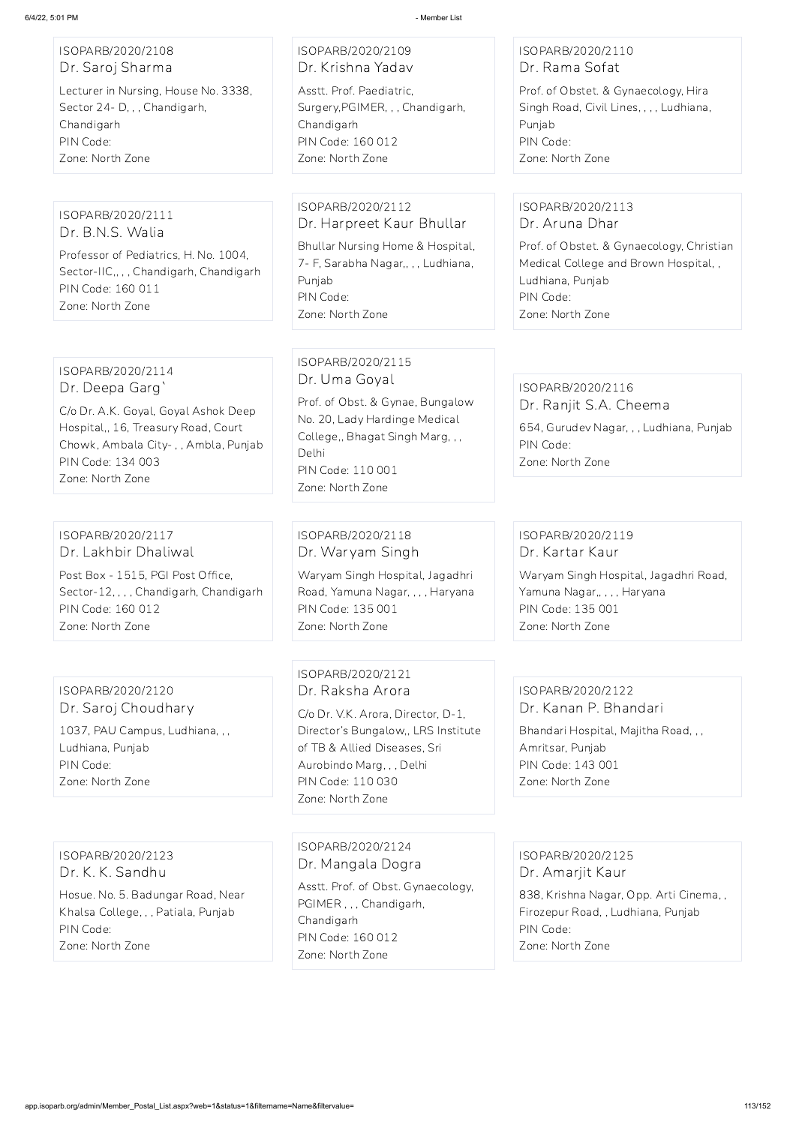| ISOPARB/2020/2108 |  |
|-------------------|--|
| Dr. Saroj Sharma  |  |

Lecturer in Nursing, House No. 3338, Sector 24- D, , , Chandigarh, Chandigarh PIN Code: Zone: North Zone

## ISOPARB/2020/2109 Dr. Krishna Yadav

Asstt. Prof. Paediatric, Surgery,PGIMER, , , Chandigarh, Chandigarh PIN Code: 160 012 Zone: North Zone

## ISOPARB/2020/2110 Dr. Rama Sofat

Prof. of Obstet. & Gynaecology, Hira Singh Road, Civil Lines, , , , Ludhiana, Punjab PIN Code: Zone: North Zone

#### ISOPARB/2020/2111 Dr. B.N.S. Walia

Professor of Pediatrics, H. No. 1004, Sector-IIC,, , , Chandigarh, Chandigarh PIN Code: 160 011 Zone: North Zone

#### ISOPARB/2020/2112 Dr. Harpreet Kaur Bhullar

Bhullar Nursing Home & Hospital, 7- F, Sarabha Nagar,, , , Ludhiana, Punjab PIN Code: Zone: North Zone

## ISOPARB/2020/2113 Dr. Aruna Dhar

Prof. of Obstet. & Gynaecology, Christian Medical College and Brown Hospital, , Ludhiana, Punjab PIN Code: Zone: North Zone

## ISOPARB/2020/2114 Dr. Deepa Garg`

C/o Dr. A.K. Goyal, Goyal Ashok Deep Hospital,, 16, Treasury Road, Court Chowk, Ambala City- , , Ambla, Punjab PIN Code: 134 003 Zone: North Zone

## ISOPARB/2020/2115 Dr. Uma Goyal

Prof. of Obst. & Gynae, Bungalow No. 20, Lady Hardinge Medical College,, Bhagat Singh Marg, , , Delhi PIN Code: 110 001 Zone: North Zone

#### ISOPARB/2020/2116 Dr. Ranjit S.A. Cheema

654, Gurudev Nagar, , , Ludhiana, Punjab PIN Code: Zone: North Zone

#### ISOPARB/2020/2117 Dr. Lakhbir Dhaliwal

Post Box - 1515, PGI Post Office, Sector-12, , , , Chandigarh, Chandigarh PIN Code: 160 012 Zone: North Zone

## ISOPARB/2020/2118 Dr. Waryam Singh

Waryam Singh Hospital, Jagadhri Road, Yamuna Nagar, , , , Haryana PIN Code: 135 001 Zone: North Zone

## ISOPARB/2020/2119 Dr. Kartar Kaur

Waryam Singh Hospital, Jagadhri Road, Yamuna Nagar,, , , , Haryana PIN Code: 135 001 Zone: North Zone

ISOPARB/2020/2120 Dr. Saroj Choudhary 1037, PAU Campus, Ludhiana, , , Ludhiana, Punjab PIN Code: Zone: North Zone

## ISOPARB/2020/2121 Dr. Raksha Arora

C/o Dr. V.K. Arora, Director, D-1, Director's Bungalow,, LRS Institute of TB & Allied Diseases, Sri Aurobindo Marg, , , Delhi PIN Code: 110 030 Zone: North Zone

## ISOPARB/2020/2122 Dr. Kanan P. Bhandari

Bhandari Hospital, Majitha Road, , , Amritsar, Punjab PIN Code: 143 001 Zone: North Zone

ISOPARB/2020/2123 Dr. K. K. Sandhu

Hosue. No. 5. Badungar Road, Near Khalsa College, , , Patiala, Punjab PIN Code: Zone: North Zone

#### ISOPARB/2020/2124

Dr. Mangala Dogra

Asstt. Prof. of Obst. Gynaecology, PGIMER , , , Chandigarh, Chandigarh PIN Code: 160 012 Zone: North Zone

ISOPARB/2020/2125 Dr. Amarjit Kaur

838, Krishna Nagar, Opp. Arti Cinema, , Firozepur Road, , Ludhiana, Punjab PIN Code:

Zone: North Zone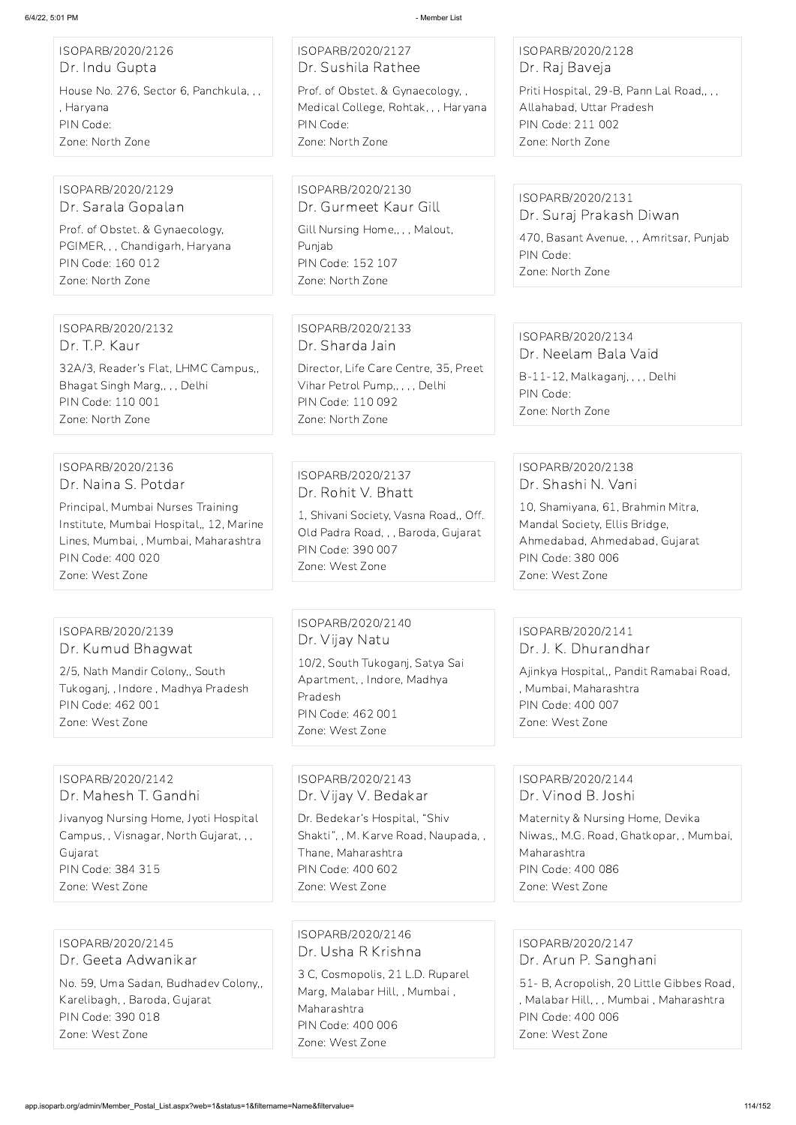ISOPARB/2020/2126 Dr. Indu Gupta House No. 276, Sector 6, Panchkula, , , , Haryana PIN Code: Zone: North Zone

ISOPARB/2020/2127 Dr. Sushila Rathee Prof. of Obstet. & Gynaecology, , Medical College, Rohtak, , , Haryana PIN Code: Zone: North Zone

ISOPARB/2020/2128 Dr. Raj Baveja

Priti Hospital, 29-B, Pann Lal Road,, , , Allahabad, Uttar Pradesh PIN Code: 211 002 Zone: North Zone

ISOPARB/2020/2129 Dr. Sarala Gopalan

Prof. of Obstet. & Gynaecology, PGIMER, , , Chandigarh, Haryana PIN Code: 160 012 Zone: North Zone

ISOPARB/2020/2130 Dr. Gurmeet Kaur Gill

Gill Nursing Home,, , , Malout, Punjab PIN Code: 152 107 Zone: North Zone

ISOPARB/2020/2131 Dr. Suraj Prakash Diwan

470, Basant Avenue, , , Amritsar, Punjab PIN Code: Zone: North Zone

ISOPARB/2020/2132 Dr. T.P. Kaur

32A/3, Reader's Flat, LHMC Campus,, Bhagat Singh Marg,, , , Delhi PIN Code: 110 001 Zone: North Zone

ISOPARB/2020/2133 Dr. Sharda Jain Director, Life Care Centre, 35, Preet

Vihar Petrol Pump,, , , , Delhi PIN Code: 110 092 Zone: North Zone

ISOPARB/2020/2134 Dr. Neelam Bala Vaid

B-11-12, Malkaganj, , , , Delhi PIN Code: Zone: North Zone

ISOPARB/2020/2136 Dr. Naina S. Potdar

Principal, Mumbai Nurses Training Institute, Mumbai Hospital,, 12, Marine Lines, Mumbai, , Mumbai, Maharashtra PIN Code: 400 020 Zone: West Zone

ISOPARB/2020/2137 Dr. Rohit V. Bhatt

1, Shivani Society, Vasna Road,, Off. Old Padra Road, , , Baroda, Gujarat PIN Code: 390 007 Zone: West Zone

ISOPARB/2020/2138 Dr. Shashi N. Vani

10, Shamiyana, 61, Brahmin Mitra, Mandal Society, Ellis Bridge, Ahmedabad, Ahmedabad, Gujarat PIN Code: 380 006 Zone: West Zone

## ISOPARB/2020/2139 Dr. Kumud Bhagwat

2/5, Nath Mandir Colony,, South Tukoganj, , Indore , Madhya Pradesh PIN Code: 462 001 Zone: West Zone

ISOPARB/2020/2140 Dr. Vijay Natu

10/2, South Tukoganj, Satya Sai Apartment, , Indore, Madhya Pradesh PIN Code: 462 001 Zone: West Zone

## ISOPARB/2020/2141 Dr. J. K. Dhurandhar

Ajinkya Hospital,, Pandit Ramabai Road, , Mumbai, Maharashtra PIN Code: 400 007 Zone: West Zone

## ISOPARB/2020/2142 Dr. Mahesh T. Gandhi

Jivanyog Nursing Home, Jyoti Hospital Campus, , Visnagar, North Gujarat, , , Gujarat PIN Code: 384 315 Zone: West Zone

ISOPARB/2020/2143 Dr. Vijay V. Bedakar

Dr. Bedekar's Hospital, "Shiv Shakti", , M. Karve Road, Naupada, , Thane, Maharashtra PIN Code: 400 602 Zone: West Zone

## ISOPARB/2020/2144 Dr. Vinod B. Joshi

Maternity & Nursing Home, Devika Niwas,, M.G. Road, Ghatkopar, , Mumbai, Maharashtra PIN Code: 400 086 Zone: West Zone

ISOPARB/2020/2145

Dr. Geeta Adwanikar

No. 59, Uma Sadan, Budhadev Colony,, Karelibagh, , Baroda, Gujarat PIN Code: 390 018 Zone: West Zone

ISOPARB/2020/2146 Dr. Usha R Krishna

> 3 C, Cosmopolis, 21 L.D. Ruparel Marg, Malabar Hill, , Mumbai , Maharashtra PIN Code: 400 006 Zone: West Zone

ISOPARB/2020/2147 Dr. Arun P. Sanghani

51- B, Acropolish, 20 Little Gibbes Road, , Malabar Hill, , , Mumbai , Maharashtra PIN Code: 400 006 Zone: West Zone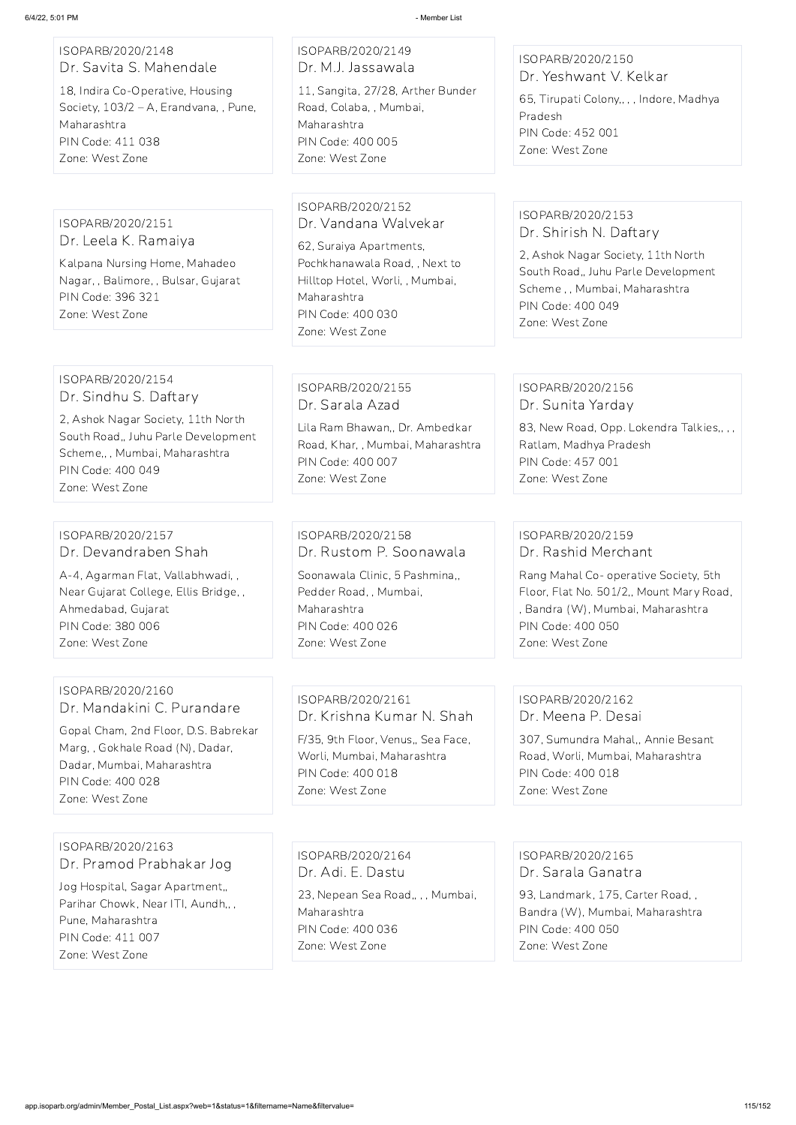#### ISOPARB/2020/2148 Dr. Savita S. Mahendale

18, Indira Co-Operative, Housing Society, 103/2 – A, Erandvana, , Pune, Maharashtra PIN Code: 411 038 Zone: West Zone

ISOPARB/2020/2149 Dr. M.J. Jassawala

11, Sangita, 27/28, Arther Bunder Road, Colaba, , Mumbai, Maharashtra PIN Code: 400 005 Zone: West Zone

## ISOPARB/2020/2150 Dr. Yeshwant V. Kelkar

65, Tirupati Colony,, , , Indore, Madhya Pradesh PIN Code: 452 001 Zone: West Zone

#### ISOPARB/2020/2151 Dr. Leela K. Ramaiya

Kalpana Nursing Home, Mahadeo Nagar, , Balimore, , Bulsar, Gujarat PIN Code: 396 321 Zone: West Zone

#### ISOPARB/2020/2152 Dr. Vandana Walvekar

83, New Road, Opp. Lokendra Talkies., , , Ratlam, Madhya Pradesh PIN Code: 457 001 Zone: West Zone

62, Suraiya Apartments, Pochkhanawala Road, , Next to Hilltop Hotel, Worli, , Mumbai, Maharashtra PIN Code: 400 030 Zone: West Zone

## ISOPARB/2020/2153 Dr. Shirish N. Daftary

2, Ashok Nagar Society, 11th North South Road,, Juhu Parle Development Scheme , , Mumbai, Maharashtra PIN Code: 400 049 Zone: West Zone

#### ISOPARB/2020/2154 Dr. Sindhu S. Daftary

2, Ashok Nagar Society, 11th North South Road,, Juhu Parle Development Scheme,, , Mumbai, Maharashtra PIN Code: 400 049 Zone: West Zone

## ISOPARB/2020/2155 Dr. Sarala Azad

Lila Ram Bhawan,, Dr. Ambedkar Road, Khar, , Mumbai, Maharashtra PIN Code: 400 007 Zone: West Zone

## ISOPARB/2020/2156 Dr. Sunita Yarday

#### ISOPARB/2020/2157 Dr. Devandraben Shah

A-4, Agarman Flat, Vallabhwadi, , Near Gujarat College, Ellis Bridge, , Ahmedabad, Gujarat PIN Code: 380 006 Zone: West Zone

ISOPARB/2020/2158 Dr. Rustom P. Soonawala

Soonawala Clinic, 5 Pashmina,, Pedder Road, , Mumbai, Maharashtra PIN Code: 400 026 Zone: West Zone

## ISOPARB/2020/2159 Dr. Rashid Merchant

Rang Mahal Co- operative Society, 5th Floor, Flat No. 501/2,, Mount Mary Road, , Bandra (W), Mumbai, Maharashtra PIN Code: 400 050 Zone: West Zone

## ISOPARB/2020/2160 Dr. Mandakini C. Purandare

Gopal Cham, 2nd Floor, D.S. Babrekar Marg, , Gokhale Road (N), Dadar, Dadar, Mumbai, Maharashtra PIN Code: 400 028 Zone: West Zone

## ISOPARB/2020/2161 Dr. Krishna Kumar N. Shah

F/35, 9th Floor, Venus,, Sea Face, Worli, Mumbai, Maharashtra PIN Code: 400 018 Zone: West Zone

## ISOPARB/2020/2162 Dr. Meena P. Desai

307, Sumundra Mahal,, Annie Besant Road, Worli, Mumbai, Maharashtra PIN Code: 400 018 Zone: West Zone

ISOPARB/2020/2163

Dr. Pramod Prabhakar Jog

Jog Hospital, Sagar Apartment,, Parihar Chowk, Near ITI, Aundh,,, Pune, Maharashtra PIN Code: 411 007 Zone: West Zone

ISOPARB/2020/2164 Dr. Adi. E. Dastu

23, Nepean Sea Road,, , , Mumbai, Maharashtra PIN Code: 400 036 Zone: West Zone

ISOPARB/2020/2165 Dr. Sarala Ganatra

93, Landmark, 175, Carter Road, , Bandra (W), Mumbai, Maharashtra PIN Code: 400 050

Zone: West Zone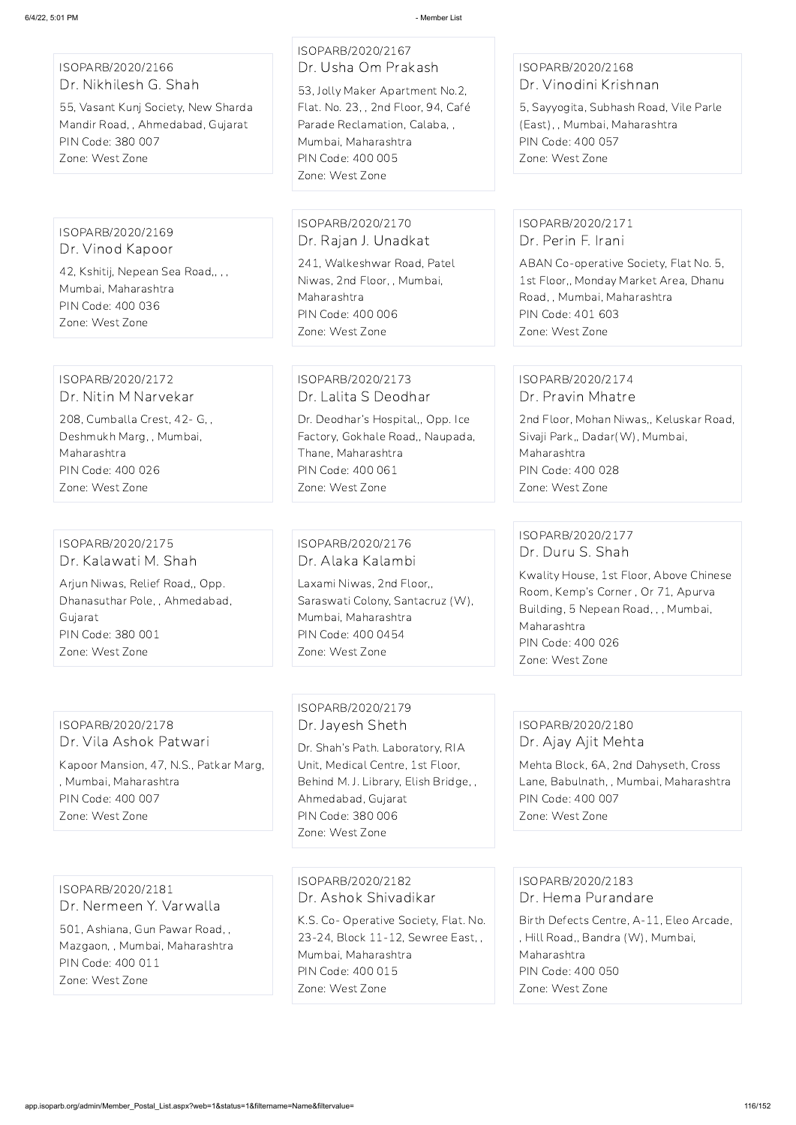ISOPARB/2020/2166 Dr. Nikhilesh G. Shah

55, Vasant Kunj Society, New Sharda Mandir Road, , Ahmedabad, Gujarat PIN Code: 380 007 Zone: West Zone

# ISOPARB/2020/2167

Dr. Usha Om Prakash 53, Jolly Maker Apartment No.2, Flat. No. 23, , 2nd Floor, 94, Café Parade Reclamation, Calaba Mumbai, Maharashtra PIN Code: 400 005 Zone: West Zone

## ISOPARB/2020/2168 Dr. Vinodini Krishnan

5, Sayyogita, Subhash Road, Vile Parle (East), , Mumbai, Maharashtra PIN Code: 400 057 Zone: West Zone

ISOPARB/2020/2169 Dr. Vinod Kapoor

42, Kshitij, Nepean Sea Road,, , , Mumbai, Maharashtra PIN Code: 400 036 Zone: West Zone

ISOPARB/2020/2170 Dr. Rajan J. Unadkat

241, Walkeshwar Road, Patel Niwas, 2nd Floor, , Mumbai, Maharashtra PIN Code: 400 006 Zone: West Zone

## ISOPARB/2020/2171 Dr. Perin F. Irani

ABAN Co-operative Society, Flat No. 5, 1st Floor,, Monday Market Area, Dhanu Road, , Mumbai, Maharashtra PIN Code: 401 603 Zone: West Zone

#### ISOPARB/2020/2172 Dr. Nitin M Narvekar

208, Cumballa Crest, 42- G, , Deshmukh Marg, , Mumbai, Maharashtra PIN Code: 400 026 Zone: West Zone

## ISOPARB/2020/2173 Dr. Lalita S Deodhar

Dr. Deodhar's Hospital,, Opp. Ice Factory, Gokhale Road,, Naupada, Thane, Maharashtra PIN Code: 400 061 Zone: West Zone

#### ISOPARB/2020/2174 Dr. Pravin Mhatre

2nd Floor, Mohan Niwas,, Keluskar Road, Sivaji Park,, Dadar(W), Mumbai, Maharashtra PIN Code: 400 028 Zone: West Zone

#### ISOPARB/2020/2175 Dr. Kalawati M. Shah

Arjun Niwas, Relief Road,, Opp. Dhanasuthar Pole, , Ahmedabad, Gujarat PIN Code: 380 001 Zone: West Zone

## ISOPARB/2020/2176 Dr. Alaka Kalambi

Laxami Niwas, 2nd Floor,, Saraswati Colony, Santacruz (W), Mumbai, Maharashtra PIN Code: 400 0454 Zone: West Zone

## ISOPARB/2020/2177 Dr. Duru S. Shah

Kwality House, 1st Floor, Above Chinese Room, Kemp's Corner , Or 71, Apurva Building, 5 Nepean Road, , , Mumbai, Maharashtra PIN Code: 400 026 Zone: West Zone

#### ISOPARB/2020/2178 Dr. Vila Ashok Patwari

Kapoor Mansion, 47, N.S., Patkar Marg, , Mumbai, Maharashtra PIN Code: 400 007 Zone: West Zone

## ISOPARB/2020/2179 Dr. Jayesh Sheth

Dr. Shah's Path. Laboratory, RIA Unit, Medical Centre, 1st Floor, Behind M. J. Library, Elish Bridge, , Ahmedabad, Gujarat PIN Code: 380 006 Zone: West Zone

## ISOPARB/2020/2180 Dr. Ajay Ajit Mehta

Mehta Block, 6A, 2nd Dahyseth, Cross Lane, Babulnath, , Mumbai, Maharashtra PIN Code: 400 007 Zone: West Zone

ISOPARB/2020/2181 Dr. Nermeen Y. Varwalla 501, Ashiana, Gun Pawar Road, ,

Mazgaon, , Mumbai, Maharashtra PIN Code: 400 011 Zone: West Zone

ISOPARB/2020/2182 Dr. Ashok Shivadikar

K.S. Co- Operative Society, Flat. No. 23-24, Block 11-12, Sewree East, , Mumbai, Maharashtra PIN Code: 400 015 Zone: West Zone

ISOPARB/2020/2183 Dr. Hema Purandare

Birth Defects Centre, A-11, Eleo Arcade, , Hill Road,, Bandra (W), Mumbai, Maharashtra PIN Code: 400 050 Zone: West Zone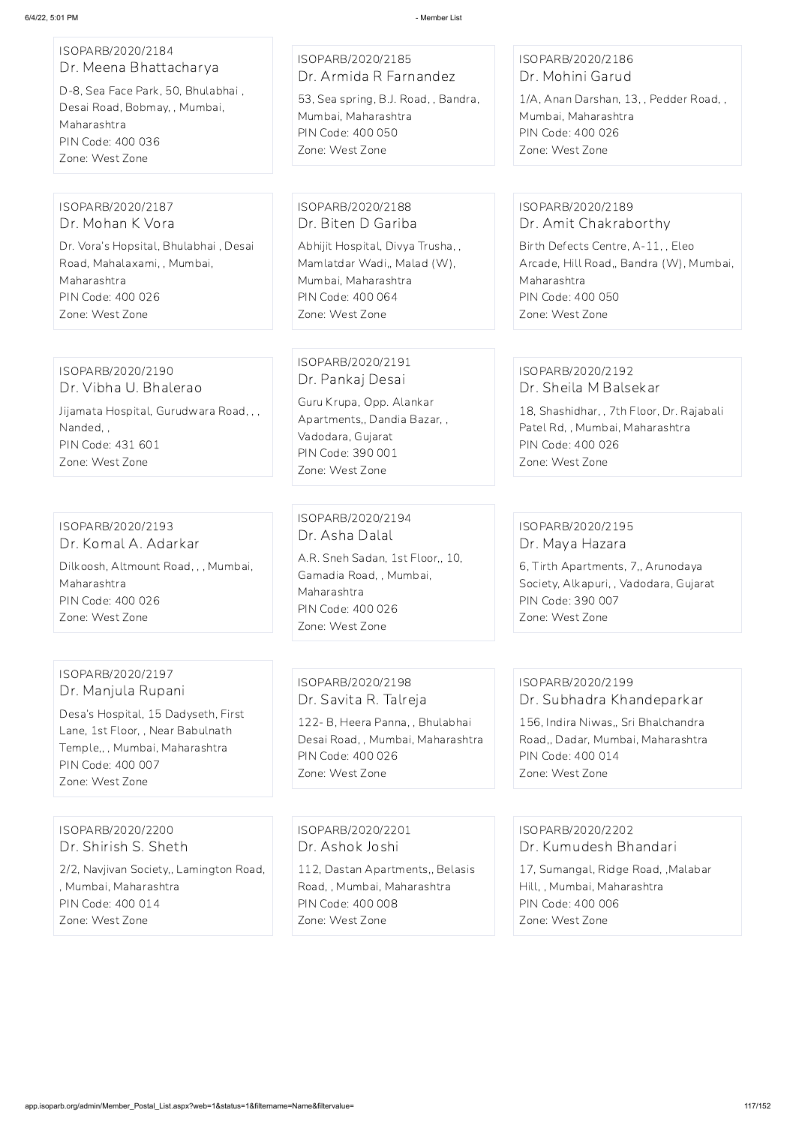| 6/4/22, 5:01 PM                                                                                                                                                           | - Member List                                                                                                                                                 |                                                                                                                                                                   |
|---------------------------------------------------------------------------------------------------------------------------------------------------------------------------|---------------------------------------------------------------------------------------------------------------------------------------------------------------|-------------------------------------------------------------------------------------------------------------------------------------------------------------------|
| ISOPARB/2020/2184<br>Dr. Meena Bhattacharya<br>D-8, Sea Face Park, 50, Bhulabhai,<br>Desai Road, Bobmay, , Mumbai,<br>Maharashtra<br>PIN Code: 400 036<br>Zone: West Zone | ISOPARB/2020/2185<br>Dr. Armida R Farnandez<br>53, Sea spring, B.J. Road, , Bandra,<br>Mumbai, Maharashtra<br>PIN Code: 400 050<br>Zone: West Zone            | ISOPARB/2020/2186<br>Dr. Mohini Garud<br>1/A, Anan Darshan, 13, , Pedder Road, ,<br>Mumbai, Maharashtra<br>PIN Code: 400 026<br>Zone: West Zone                   |
| ISOPARB/2020/2187<br>Dr. Mohan K Vora                                                                                                                                     | ISOPARB/2020/2188<br>Dr. Biten D Gariba                                                                                                                       | ISOPARB/2020/2189<br>Dr. Amit Chakraborthy                                                                                                                        |
| Dr. Vora's Hopsital, Bhulabhai, Desai<br>Road, Mahalaxami, , Mumbai,<br>Maharashtra<br>PIN Code: 400 026<br>Zone: West Zone                                               | Abhijit Hospital, Divya Trusha,,<br>Mamlatdar Wadi,, Malad (W),<br>Mumbai, Maharashtra<br>PIN Code: 400 064<br>Zone: West Zone                                | Birth Defects Centre, A-11, , Eleo<br>Arcade, Hill Road,, Bandra (W), Mumbai,<br>Maharashtra<br>PIN Code: 400 050<br>Zone: West Zone                              |
| ISOPARB/2020/2190<br>Dr. Vibha U. Bhalerao<br>Jijamata Hospital, Gurudwara Road, , ,<br>Nanded,,<br>PIN Code: 431 601<br>Zone: West Zone                                  | ISOPARB/2020/2191<br>Dr. Pankaj Desai<br>Guru Krupa, Opp. Alankar<br>Apartments,, Dandia Bazar,,<br>Vadodara, Gujarat<br>PIN Code: 390 001<br>Zone: West Zone | ISOPARB/2020/2192<br>Dr. Sheila M Balsekar<br>18, Shashidhar, , 7th Floor, Dr. Rajabali<br>Patel Rd,, Mumbai, Maharashtra<br>PIN Code: 400 026<br>Zone: West Zone |
| ISOPARB/2020/2193<br>Dr. Komal A. Adarkar<br>Dilkoosh, Altmount Road, , , Mumbai,<br>Maharashtra<br>PIN Code: 400 026<br>Zone: West Zone                                  | ISOPARB/2020/2194<br>Dr. Asha Dalal<br>A.R. Sneh Sadan, 1st Floor,, 10,<br>Gamadia Road, , Mumbai,<br>Maharashtra<br>PIN Code: 400 026<br>Zone: West Zone     | ISOPARB/2020/2195<br>Dr. Maya Hazara<br>6, Tirth Apartments, 7,, Arunodaya<br>Society, Alkapuri, , Vadodara, Gujarat<br>PIN Code: 390 007<br>Zone: West Zone      |
| ISOPARB/2020/2197<br>Dr. Manjula Rupani<br>Desa's Hospital, 15 Dadyseth, First                                                                                            | ISOPARB/2020/2198<br>Dr. Savita R. Talreja<br>122- B, Heera Panna, , Bhulabhai                                                                                | ISOPARB/2020/2199<br>Dr. Subhadra Khandeparkar<br>156, Indira Niwas,, Sri Bhalchandra                                                                             |

Lane, 1st Floor, , Near Babulnath Temple,, , Mumbai, Maharashtra PIN Code: 400 007 Zone: West Zone

Desai Road, , Mumbai, Maharashtra

PIN Code: 400 026 Zone: West Zone

Road,, Dadar, Mumbai, Maharashtra

PIN Code: 400 014

Zone: West Zone

ISOPARB/2020/2200 Dr. Shirish S. Sheth

2/2, Navjivan Society,, Lamington Road, , Mumbai, Maharashtra PIN Code: 400 014 Zone: West Zone

ISOPARB/2020/2201 Dr. Ashok Joshi

112, Dastan Apartments,, Belasis Road, , Mumbai, Maharashtra PIN Code: 400 008 Zone: West Zone

ISOPARB/2020/2202 Dr. Kumudesh Bhandari

17, Sumangal, Ridge Road, ,Malabar Hill, , Mumbai, Maharashtra PIN Code: 400 006 Zone: West Zone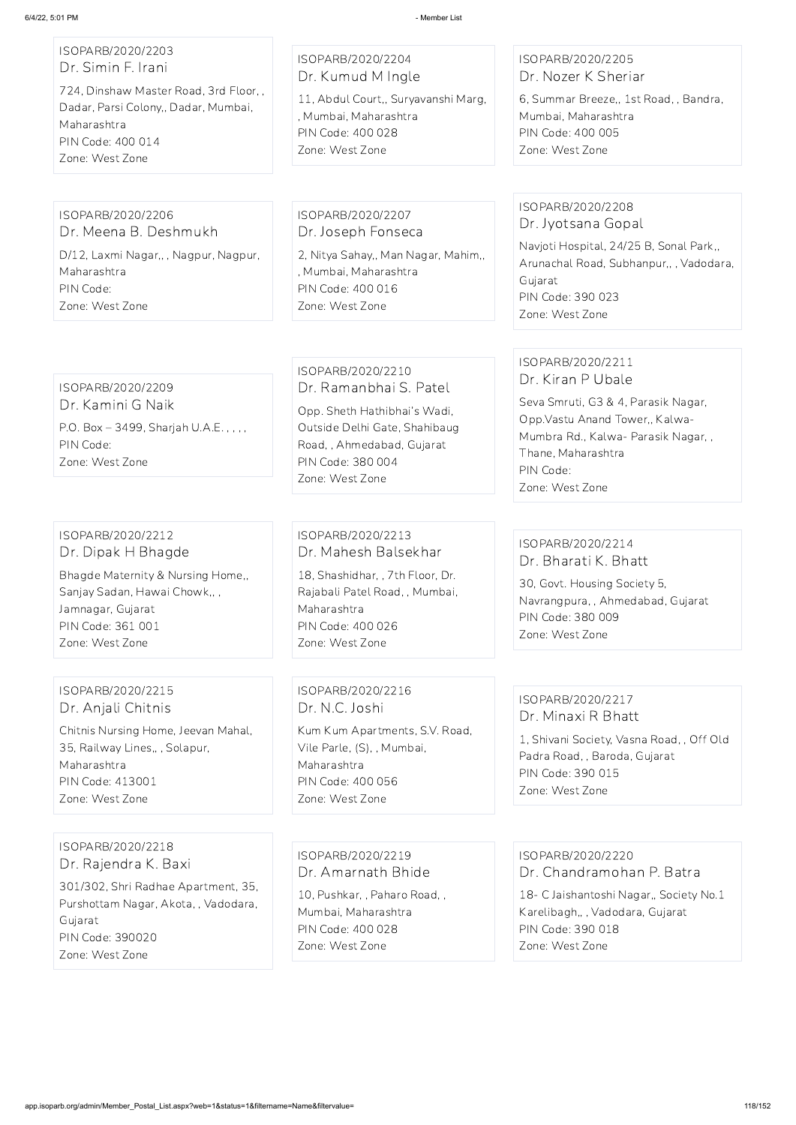## ISOPARB/2020/2203 Dr. Simin F. Irani

724, Dinshaw Master Road, 3rd Floor, , Dadar, Parsi Colony,, Dadar, Mumbai, Maharashtra PIN Code: 400 014 Zone: West Zone

## ISOPARB/2020/2204 Dr. Kumud M Ingle

11, Abdul Court,, Suryavanshi Marg, , Mumbai, Maharashtra PIN Code: 400 028 Zone: West Zone

## ISOPARB/2020/2205 Dr. Nozer K Sheriar

6, Summar Breeze,, 1st Road, , Bandra, Mumbai, Maharashtra PIN Code: 400 005 Zone: West Zone

#### ISOPARB/2020/2206 Dr. Meena B. Deshmukh

D/12, Laxmi Nagar,, , Nagpur, Nagpur, Maharashtra PIN Code: Zone: West Zone

ISOPARB/2020/2207 Dr. Joseph Fonseca 2, Nitya Sahay,, Man Nagar, Mahim,, , Mumbai, Maharashtra PIN Code: 400 016 Zone: West Zone

## ISOPARB/2020/2208 Dr. Jyotsana Gopal

Navjoti Hospital, 24/25 B, Sonal Park,, Arunachal Road, Subhanpur,, , Vadodara, Gujarat PIN Code: 390 023 Zone: West Zone

## ISOPARB/2020/2209

Dr. Kamini G Naik P.O. Box – 3499, Sharjah U.A.E. , , , , PIN Code: Zone: West Zone

## ISOPARB/2020/2210 Dr. Ramanbhai S. Patel

Opp. Sheth Hathibhai's Wadi, Outside Delhi Gate, Shahibaug Road, , Ahmedabad, Gujarat PIN Code: 380 004 Zone: West Zone

## ISOPARB/2020/2211 Dr. Kiran P Ubale

Seva Smruti, G3 & 4, Parasik Nagar, Opp.Vastu Anand Tower,, Kalwa-Mumbra Rd., Kalwa- Parasik Nagar, , Thane, Maharashtra PIN Code: Zone: West Zone

## ISOPARB/2020/2212 Dr. Dipak H Bhagde

Bhagde Maternity & Nursing Home,, Sanjay Sadan, Hawai Chowk,, , Jamnagar, Gujarat PIN Code: 361 001 Zone: West Zone

#### ISOPARB/2020/2213 Dr. Mahesh Balsekhar

18, Shashidhar, , 7th Floor, Dr. Rajabali Patel Road, , Mumbai, Maharashtra PIN Code: 400 026 Zone: West Zone

## ISOPARB/2020/2214 Dr. Bharati K. Bhatt

30, Govt. Housing Society 5, Navrangpura, , Ahmedabad, Gujarat PIN Code: 380 009 Zone: West Zone

## ISOPARB/2020/2215 Dr. Anjali Chitnis

Chitnis Nursing Home, Jeevan Mahal, 35, Railway Lines,, , Solapur, Maharashtra PIN Code: 413001 Zone: West Zone

## ISOPARB/2020/2216 Dr. N.C. Joshi

Kum Kum Apartments, S.V. Road, Vile Parle, (S), , Mumbai, Maharashtra PIN Code: 400 056 Zone: West Zone

## ISOPARB/2020/2217 Dr. Minaxi R Bhatt

1, Shivani Society, Vasna Road, , Off Old Padra Road, , Baroda, Gujarat PIN Code: 390 015 Zone: West Zone

#### ISOPARB/2020/2218

Dr. Rajendra K. Baxi

301/302, Shri Radhae Apartment, 35, Purshottam Nagar, Akota, , Vadodara, Gujarat PIN Code: 390020 Zone: West Zone

ISOPARB/2020/2219 Dr. Amarnath Bhide

10, Pushkar, , Paharo Road, , Mumbai, Maharashtra PIN Code: 400 028 Zone: West Zone

ISOPARB/2020/2220 Dr. Chandramohan P. Batra

18- C Jaishantoshi Nagar,, Society No.1 Karelibagh,, , Vadodara, Gujarat PIN Code: 390 018

Zone: West Zone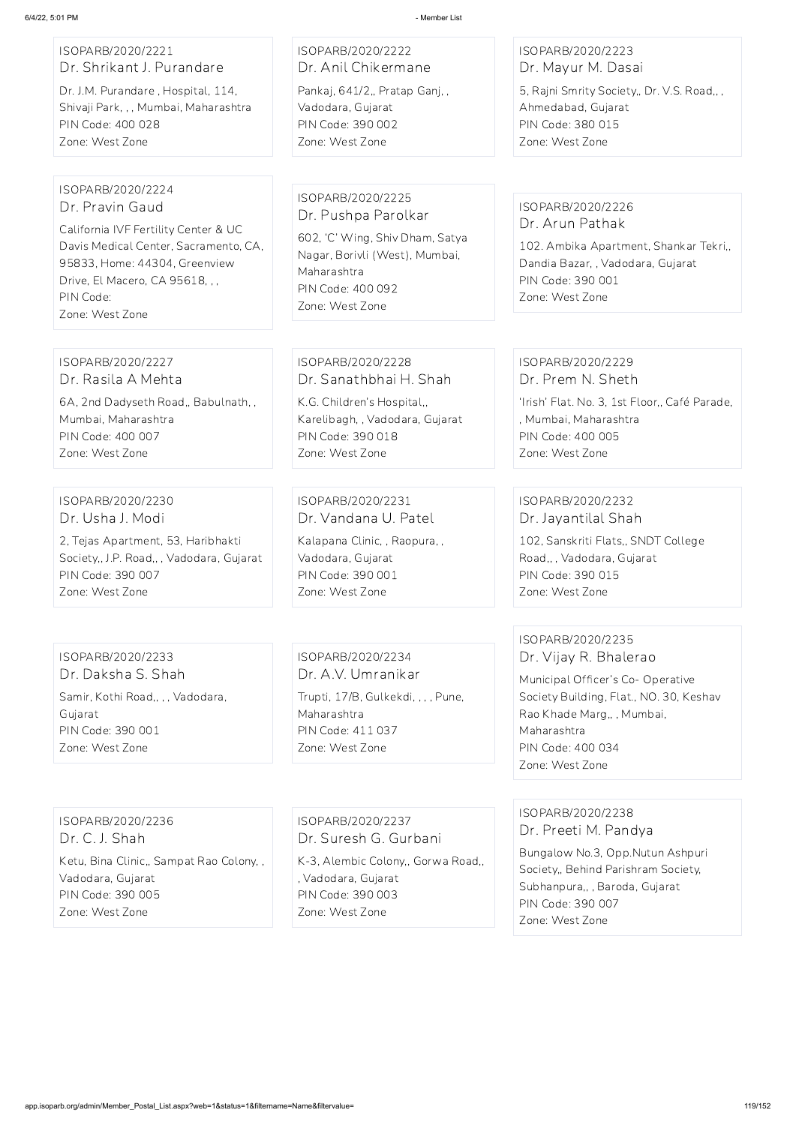| ISOPARB/2020/2221                                                                                                                                                                                                         | ISOPARB/2020/2222                                                                                                                                                    | ISOPARB/2020/2223                                                                                                                                                                                                      |
|---------------------------------------------------------------------------------------------------------------------------------------------------------------------------------------------------------------------------|----------------------------------------------------------------------------------------------------------------------------------------------------------------------|------------------------------------------------------------------------------------------------------------------------------------------------------------------------------------------------------------------------|
| Dr. Shrikant J. Purandare                                                                                                                                                                                                 | Dr. Anil Chikermane                                                                                                                                                  | Dr. Mayur M. Dasai                                                                                                                                                                                                     |
| Dr. J.M. Purandare, Hospital, 114,                                                                                                                                                                                        | Pankaj, 641/2,, Pratap Ganj,,                                                                                                                                        | 5, Rajni Smrity Society,, Dr. V.S. Road,,,                                                                                                                                                                             |
| Shivaji Park, , , Mumbai, Maharashtra                                                                                                                                                                                     | Vadodara, Gujarat                                                                                                                                                    | Ahmedabad, Gujarat                                                                                                                                                                                                     |
| PIN Code: 400 028                                                                                                                                                                                                         | PIN Code: 390 002                                                                                                                                                    | PIN Code: 380 015                                                                                                                                                                                                      |
| Zone: West Zone                                                                                                                                                                                                           | Zone: West Zone                                                                                                                                                      | Zone: West Zone                                                                                                                                                                                                        |
| ISOPARB/2020/2224<br>Dr. Pravin Gaud<br>California IVF Fertility Center & UC<br>Davis Medical Center, Sacramento, CA,<br>95833, Home: 44304, Greenview<br>Drive, El Macero, CA 95618, , ,<br>PIN Code:<br>Zone: West Zone | ISOPARB/2020/2225<br>Dr. Pushpa Parolkar<br>602, 'C' Wing, Shiv Dham, Satya<br>Nagar, Borivli (West), Mumbai,<br>Maharashtra<br>PIN Code: 400 092<br>Zone: West Zone | ISOPARB/2020/2226<br>Dr. Arun Pathak<br>102. Ambika Apartment, Shankar Tekri,,<br>Dandia Bazar, , Vadodara, Gujarat<br>PIN Code: 390 001<br>Zone: West Zone                                                            |
| ISOPARB/2020/2227                                                                                                                                                                                                         | ISOPARB/2020/2228                                                                                                                                                    | ISOPARB/2020/2229                                                                                                                                                                                                      |
| Dr. Rasila A Mehta                                                                                                                                                                                                        | Dr. Sanathbhai H. Shah                                                                                                                                               | Dr. Prem N. Sheth                                                                                                                                                                                                      |
| 6A, 2nd Dadyseth Road,, Babulnath,,                                                                                                                                                                                       | K.G. Children's Hospital,,                                                                                                                                           | 'Irish' Flat. No. 3, 1st Floor,, Café Parade,                                                                                                                                                                          |
| Mumbai, Maharashtra                                                                                                                                                                                                       | Karelibagh, , Vadodara, Gujarat                                                                                                                                      | , Mumbai, Maharashtra                                                                                                                                                                                                  |
| PIN Code: 400 007                                                                                                                                                                                                         | PIN Code: 390 018                                                                                                                                                    | PIN Code: 400 005                                                                                                                                                                                                      |
| Zone: West Zone                                                                                                                                                                                                           | Zone: West Zone                                                                                                                                                      | Zone: West Zone                                                                                                                                                                                                        |
| ISOPARB/2020/2230                                                                                                                                                                                                         | ISOPARB/2020/2231                                                                                                                                                    | ISOPARB/2020/2232                                                                                                                                                                                                      |
| Dr. Usha J. Modi                                                                                                                                                                                                          | Dr. Vandana U. Patel                                                                                                                                                 | Dr. Jayantilal Shah                                                                                                                                                                                                    |
| 2, Tejas Apartment, 53, Haribhakti                                                                                                                                                                                        | Kalapana Clinic, , Raopura, ,                                                                                                                                        | 102, Sanskriti Flats,, SNDT College                                                                                                                                                                                    |
| Society,, J.P. Road,,, Vadodara, Gujarat                                                                                                                                                                                  | Vadodara, Gujarat                                                                                                                                                    | Road,,, Vadodara, Gujarat                                                                                                                                                                                              |
| PIN Code: 390 007                                                                                                                                                                                                         | PIN Code: 390 001                                                                                                                                                    | PIN Code: 390 015                                                                                                                                                                                                      |
| Zone: West Zone                                                                                                                                                                                                           | Zone: West Zone                                                                                                                                                      | Zone: West Zone                                                                                                                                                                                                        |
| ISOPARB/2020/2233<br>Dr. Daksha S. Shah<br>Samir, Kothi Road,, , , Vadodara,<br>Gujarat<br>PIN Code: 390 001<br>Zone: West Zone                                                                                           | ISOPARB/2020/2234<br>Dr. A.V. Umranikar<br>Trupti, 17/B, Gulkekdi, , , , Pune,<br>Maharashtra<br>PIN Code: 411 037<br>Zone: West Zone                                | ISOPARB/2020/2235<br>Dr. Vijay R. Bhalerao<br>Municipal Officer's Co- Operative<br>Society Building, Flat., NO. 30, Keshav<br>Rao Khade Marg,, , Mumbai,<br>Maharashtra<br><b>PIN Code: 400 034</b><br>Zone: West Zone |

ISOPARB/2020/2236 Dr. C. J. Shah

Ketu, Bina Clinic,, Sampat Rao Colony, , Vadodara, Gujarat PIN Code: 390 005 Zone: West Zone

ISOPARB/2020/2237 Dr. Suresh G. Gurbani

K-3, Alembic Colony,, Gorwa Road,, , Vadodara, Gujarat PIN Code: 390 003 Zone: West Zone

ISOPARB/2020/2238 Dr. Preeti M. Pandya

Bungalow No.3, Opp.Nutun Ashpuri Society,, Behind Parishram Society, Subhanpura,, , Baroda, Gujarat PIN Code: 390 007 Zone: West Zone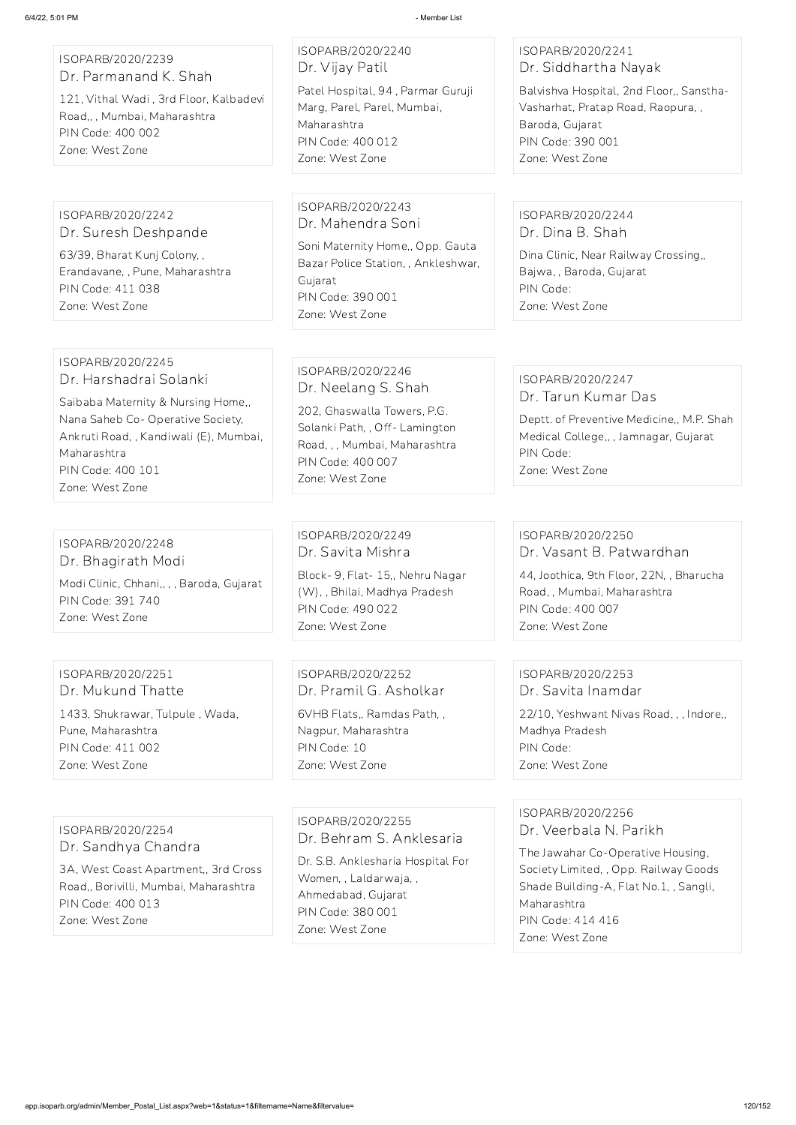ISOPARB/2020/2239 Dr. Parmanand K. Shah

121, Vithal Wadi , 3rd Floor, Kalbadevi Road,, , Mumbai, Maharashtra PIN Code: 400 002 Zone: West Zone

ISOPARB/2020/2240 Dr. Vijay Patil Patel Hospital, 94 , Parmar Guruji Marg, Parel, Parel, Mumbai, Maharashtra PIN Code: 400 012 Zone: West Zone

## ISOPARB/2020/2241 Dr. Siddhartha Nayak

Balvishva Hospital, 2nd Floor,, Sanstha-Vasharhat, Pratap Road, Raopura, , Baroda, Gujarat PIN Code: 390 001 Zone: West Zone

ISOPARB/2020/2242 Dr. Suresh Deshpande

63/39, Bharat Kunj Colony, , Erandavane, , Pune, Maharashtra PIN Code: 411 038 Zone: West Zone

ISOPARB/2020/2243 Dr. Mahendra Soni

Soni Maternity Home,, Opp. Gauta Bazar Police Station, , Ankleshwar, Gujarat PIN Code: 390 001 Zone: West Zone

## ISOPARB/2020/2244 Dr. Dina B. Shah

Dina Clinic, Near Railway Crossing,, Bajwa, , Baroda, Gujarat PIN Code: Zone: West Zone

#### ISOPARB/2020/2245 Dr. Harshadrai Solanki

Saibaba Maternity & Nursing Home,, Nana Saheb Co- Operative Society, Ankruti Road, , Kandiwali (E), Mumbai, Maharashtra PIN Code: 400 101 Zone: West Zone

ISOPARB/2020/2246 Dr. Neelang S. Shah

202, Ghaswalla Towers, P.G. Solanki Path, , Off- Lamington Road, , , Mumbai, Maharashtra PIN Code: 400 007 Zone: West Zone

## ISOPARB/2020/2247 Dr. Tarun Kumar Das

Deptt. of Preventive Medicine,, M.P. Shah Medical College,, , Jamnagar, Gujarat PIN Code: Zone: West Zone

## ISOPARB/2020/2248 Dr. Bhagirath Modi

Modi Clinic, Chhani,, , , Baroda, Gujarat PIN Code: 391 740 Zone: West Zone

ISOPARB/2020/2249 Dr. Savita Mishra Block- 9, Flat- 15,, Nehru Nagar (W), , Bhilai, Madhya Pradesh PIN Code: 490 022 Zone: West Zone

#### ISOPARB/2020/2250 Dr. Vasant B. Patwardhan

44, Joothica, 9th Floor, 22N, , Bharucha Road, , Mumbai, Maharashtra PIN Code: 400 007 Zone: West Zone

## ISOPARB/2020/2251 Dr. Mukund Thatte

1433, Shukrawar, Tulpule , Wada, Pune, Maharashtra PIN Code: 411 002 Zone: West Zone

ISOPARB/2020/2252 Dr. Pramil G. Asholkar

6VHB Flats,, Ramdas Path, , Nagpur, Maharashtra PIN Code: 10 Zone: West Zone

## ISOPARB/2020/2253 Dr. Savita Inamdar

22/10, Yeshwant Nivas Road, , , Indore,, Madhya Pradesh PIN Code: Zone: West Zone

## ISOPARB/2020/2254 Dr. Sandhya Chandra

3A, West Coast Apartment,, 3rd Cross Road,, Borivilli, Mumbai, Maharashtra PIN Code: 400 013 Zone: West Zone

ISOPARB/2020/2255 Dr. Behram S. Anklesaria

Dr. S.B. Anklesharia Hospital For Women, , Laldarwaja, , Ahmedabad, Gujarat PIN Code: 380 001 Zone: West Zone

ISOPARB/2020/2256 Dr. Veerbala N. Parikh The Jawahar Co-Operative Housing, Society Limited, , Opp. Railway Goods Shade Building-A, Flat No.1, , Sangli, Maharashtra PIN Code: 414 416 Zone: West Zone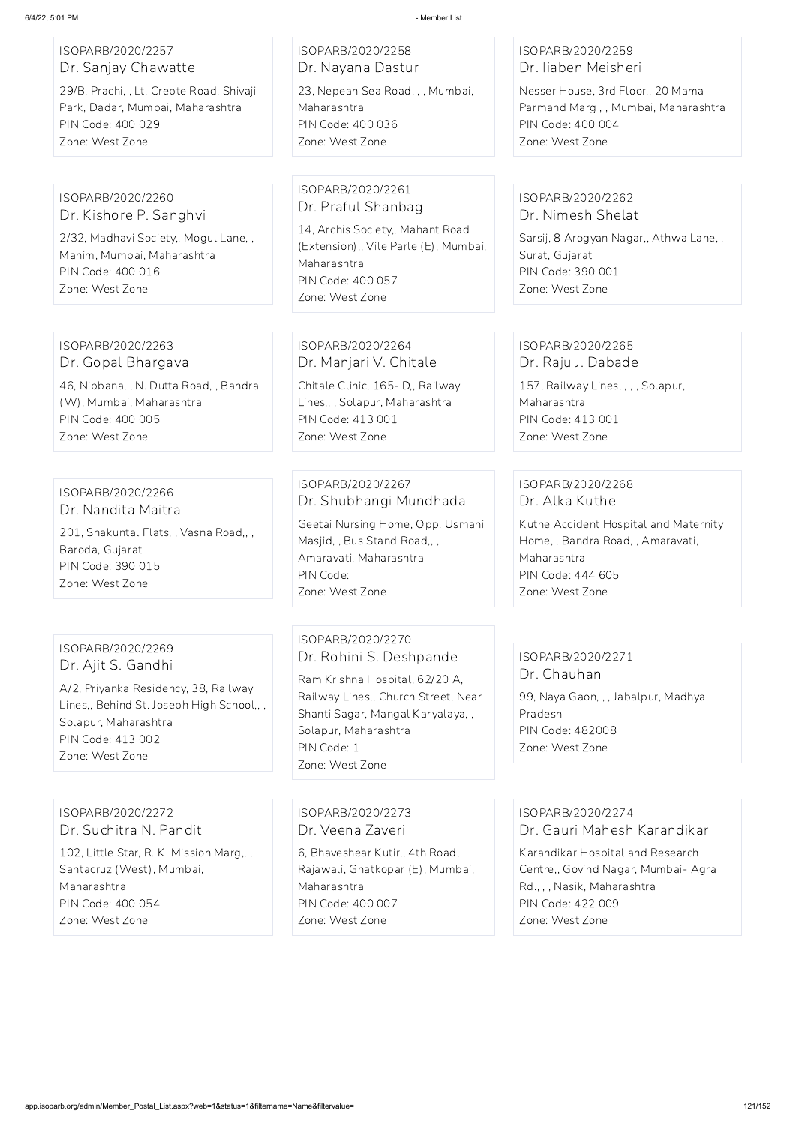| ISOPARB/2020/2257<br>Dr. Sanjay Chawatte<br>29/B, Prachi, , Lt. Crepte Road, Shivaji<br>Park, Dadar, Mumbai, Maharashtra<br>PIN Code: 400 029<br>Zone: West Zone                            | ISOPARB/2020/2258<br>Dr. Nayana Dastur<br>23, Nepean Sea Road, , , Mumbai,<br>Maharashtra<br>PIN Code: 400 036<br>Zone: West Zone                                                                                   | ISOPARB/2020/2259<br>Dr. liaben Meisheri<br>Nesser House, 3rd Floor,, 20 Mama<br>Parmand Marg,, Mumbai, Maharashtra<br>PIN Code: 400 004<br>Zone: West Zone |
|---------------------------------------------------------------------------------------------------------------------------------------------------------------------------------------------|---------------------------------------------------------------------------------------------------------------------------------------------------------------------------------------------------------------------|-------------------------------------------------------------------------------------------------------------------------------------------------------------|
|                                                                                                                                                                                             |                                                                                                                                                                                                                     |                                                                                                                                                             |
| ISOPARB/2020/2260<br>Dr. Kishore P. Sanghvi<br>2/32, Madhavi Society,, Mogul Lane,,<br>Mahim, Mumbai, Maharashtra<br>PIN Code: 400 016<br>Zone: West Zone                                   | ISOPARB/2020/2261<br>Dr. Praful Shanbag<br>14, Archis Society,, Mahant Road<br>(Extension),, Vile Parle (E), Mumbai,<br>Maharashtra<br>PIN Code: 400 057<br>Zone: West Zone                                         | ISOPARB/2020/2262<br>Dr. Nimesh Shelat<br>Sarsij, 8 Arogyan Nagar,, Athwa Lane,,<br>Surat, Gujarat<br>PIN Code: 390 001<br>Zone: West Zone                  |
|                                                                                                                                                                                             |                                                                                                                                                                                                                     |                                                                                                                                                             |
| ISOPARB/2020/2263<br>Dr. Gopal Bhargava                                                                                                                                                     | ISOPARB/2020/2264<br>Dr. Manjari V. Chitale                                                                                                                                                                         | ISOPARB/2020/2265<br>Dr. Raju J. Dabade                                                                                                                     |
| 46, Nibbana, , N. Dutta Road, , Bandra<br>(W), Mumbai, Maharashtra<br>PIN Code: 400 005<br>Zone: West Zone                                                                                  | Chitale Clinic, 165- D,, Railway<br>Lines,,, Solapur, Maharashtra<br>PIN Code: 413 001<br>Zone: West Zone                                                                                                           | 157, Railway Lines, , , , Solapur,<br>Maharashtra<br><b>PIN Code: 413 001</b><br>Zone: West Zone                                                            |
|                                                                                                                                                                                             |                                                                                                                                                                                                                     |                                                                                                                                                             |
| ISOPARB/2020/2266<br>Dr. Nandita Maitra                                                                                                                                                     | ISOPARB/2020/2267<br>Dr. Shubhangi Mundhada                                                                                                                                                                         | ISOPARB/2020/2268<br>Dr. Alka Kuthe                                                                                                                         |
| 201, Shakuntal Flats, , Vasna Road,, ,<br>Baroda, Gujarat<br>PIN Code: 390 015<br>Zone: West Zone                                                                                           | Geetai Nursing Home, Opp. Usmani<br>Masjid,, Bus Stand Road,,,<br>Amaravati, Maharashtra<br>PIN Code:<br>Zone: West Zone                                                                                            | Kuthe Accident Hospital and Maternity<br>Home, , Bandra Road, , Amaravati,<br>Maharashtra<br>PIN Code: 444 605<br>Zone: West Zone                           |
|                                                                                                                                                                                             |                                                                                                                                                                                                                     |                                                                                                                                                             |
| ISOPARB/2020/2269<br>Dr. Ajit S. Gandhi<br>A/2, Priyanka Residency, 38, Railway<br>Lines,, Behind St. Joseph High School,,,<br>Solapur, Maharashtra<br>PIN Code: 413 002<br>Zone: West Zone | ISOPARB/2020/2270<br>Dr. Rohini S. Deshpande<br>Ram Krishna Hospital, 62/20 A,<br>Railway Lines,, Church Street, Near<br>Shanti Sagar, Mangal Karyalaya,,<br>Solapur, Maharashtra<br>PIN Code: 1<br>Zone: West Zone | ISOPARB/2020/2271<br>Dr. Chauhan<br>99, Naya Gaon, , , Jabalpur, Madhya<br>Pradesh<br><b>PIN Code: 482008</b><br>Zone: West Zone                            |

ISOPARB/2020/2272 Dr. Suchitra N. Pandit

102, Little Star, R. K. Mission Marg,, , Santacruz (West), Mumbai, Maharashtra PIN Code: 400 054 Zone: West Zone

ISOPARB/2020/2273 Dr. Veena Zaveri 6, Bhaveshear Kutir,, 4th Road, Rajawali, Ghatkopar (E), Mumbai, Maharashtra PIN Code: 400 007 Zone: West Zone

ISOPARB/2020/2274 Dr. Gauri Mahesh Karandikar Karandikar Hospital and Research Centre,, Govind Nagar, Mumbai- Agra Rd., , , Nasik, Maharashtra PIN Code: 422 009 Zone: West Zone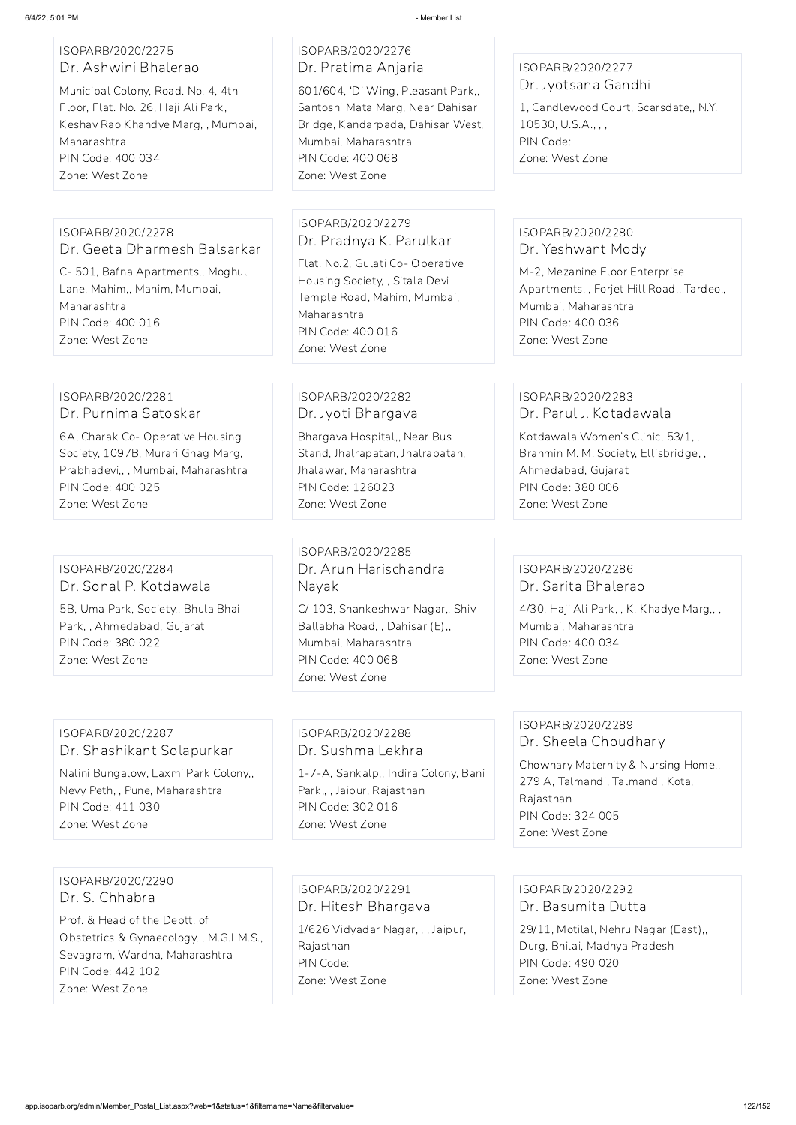#### ISOPARB/2020/2275 Dr. Ashwini Bhalerao

Municipal Colony, Road. No. 4, 4th Floor, Flat. No. 26, Haji Ali Park, Keshav Rao Khandye Marg, , Mumbai, Maharashtra PIN Code: 400 034 Zone: West Zone

ISOPARB/2020/2276 Dr. Pratima Anjaria

601/604, 'D' Wing, Pleasant Park,, Santoshi Mata Marg, Near Dahisar Bridge, Kandarpada, Dahisar West, Mumbai, Maharashtra PIN Code: 400 068 Zone: West Zone

## ISOPARB/2020/2277 Dr. Jyotsana Gandhi

1, Candlewood Court, Scarsdate,, N.Y. 10530, U.S.A., , , PIN Code: Zone: West Zone

#### ISOPARB/2020/2278 Dr. Geeta Dharmesh Balsarkar

## ISOPARB/2020/2283 Dr. Parul J. Kotadawala

C- 501, Bafna Apartments,, Moghul Lane, Mahim,, Mahim, Mumbai, Maharashtra PIN Code: 400 016 Zone: West Zone

## ISOPARB/2020/2279 Dr. Pradnya K. Parulkar

Flat. No.2, Gulati Co- Operative Housing Society, , Sitala Devi Temple Road, Mahim, Mumbai, Maharashtra PIN Code: 400 016 Zone: West Zone

## ISOPARB/2020/2280 Dr. Yeshwant Mody

M-2, Mezanine Floor Enterprise Apartments, , Forjet Hill Road,, Tardeo,, Mumbai, Maharashtra PIN Code: 400 036 Zone: West Zone

## ISOPARB/2020/2281 Dr. Purnima Satoskar

6A, Charak Co- Operative Housing Society, 1097B, Murari Ghag Marg, Prabhadevi,, , Mumbai, Maharashtra PIN Code: 400 025 Zone: West Zone

## ISOPARB/2020/2282 Dr. Jyoti Bhargava

Bhargava Hospital,, Near Bus Stand, Jhalrapatan, Jhalrapatan, Jhalawar, Maharashtra PIN Code: 126023 Zone: West Zone

Kotdawala Women's Clinic, 53/1, , Brahmin M. M. Society, Ellisbridge, , Ahmedabad, Gujarat PIN Code: 380 006 Zone: West Zone

## ISOPARB/2020/2284 Dr. Sonal P. Kotdawala

5B, Uma Park, Society,, Bhula Bhai Park, , Ahmedabad, Gujarat PIN Code: 380 022 Zone: West Zone

ISOPARB/2020/2285 Dr. Arun Harischandra Nayak

C/ 103, Shankeshwar Nagar,, Shiv Ballabha Road, , Dahisar (E),, Mumbai, Maharashtra PIN Code: 400 068 Zone: West Zone

## ISOPARB/2020/2286 Dr. Sarita Bhalerao

4/30, Haji Ali Park, , K. Khadye Marg,, , Mumbai, Maharashtra PIN Code: 400 034 Zone: West Zone

### ISOPARB/2020/2287 Dr. Shashikant Solapurkar

Nalini Bungalow, Laxmi Park Colony,, Nevy Peth, , Pune, Maharashtra PIN Code: 411 030 Zone: West Zone

ISOPARB/2020/2288 Dr. Sushma Lekhra

1-7-A, Sankalp,, Indira Colony, Bani Park,, , Jaipur, Rajasthan PIN Code: 302 016 Zone: West Zone

## ISOPARB/2020/2289 Dr. Sheela Choudhary

Chowhary Maternity & Nursing Home,, 279 A, Talmandi, Talmandi, Kota, Rajasthan PIN Code: 324 005 Zone: West Zone

ISOPARB/2020/2290 Dr. S. Chhabra Prof. & Head of the Deptt. of Obstetrics & Gynaecology, , M.G.I.M.S., Sevagram, Wardha, Maharashtra PIN Code: 442 102 Zone: West Zone

ISOPARB/2020/2291 Dr. Hitesh Bhargava

1/626 Vidyadar Nagar, , , Jaipur, Rajasthan PIN Code: Zone: West Zone

ISOPARB/2020/2292 Dr. Basumita Dutta

29/11, Motilal, Nehru Nagar (East),, Durg, Bhilai, Madhya Pradesh PIN Code: 490 020 Zone: West Zone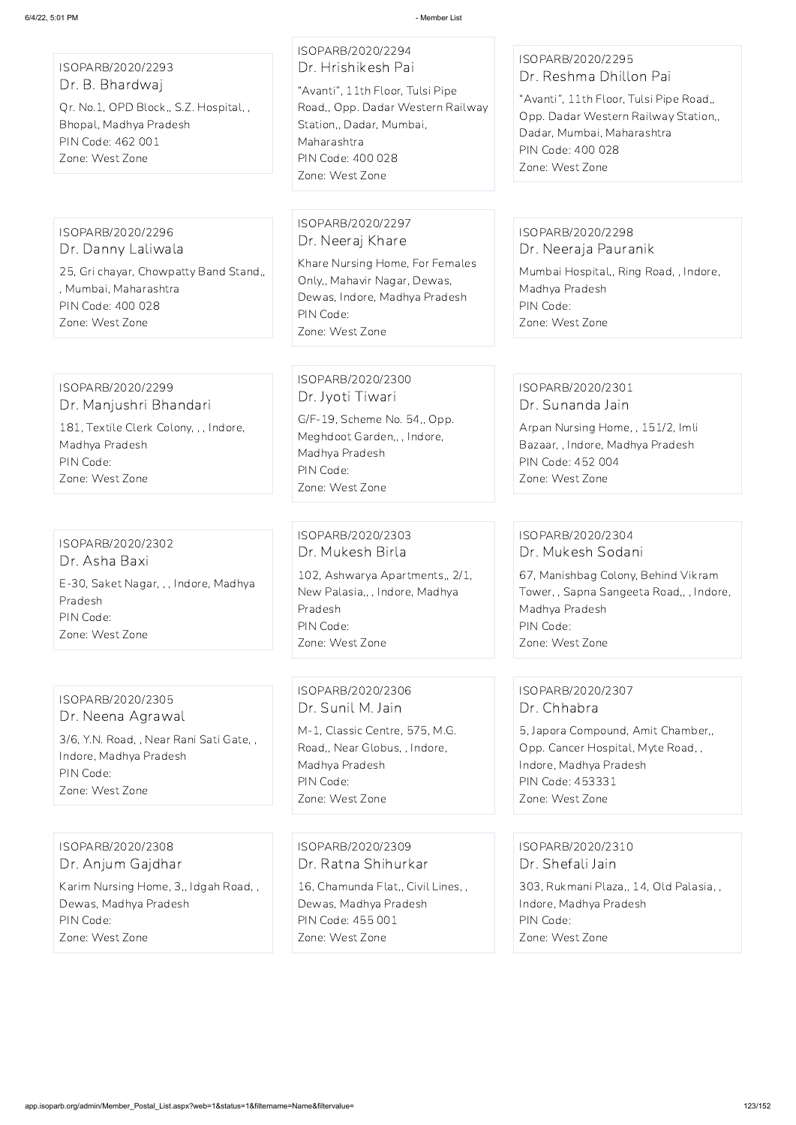ISOPARB/2020/2293 Dr. B. Bhardwaj Qr. No.1, OPD Block,, S.Z. Hospital, , Bhopal, Madhya Pradesh PIN Code: 462 001 Zone: West Zone

ISOPARB/2020/2294 Dr. Hrishikesh Pai

"Avanti", 11th Floor, Tulsi Pipe Road,, Opp. Dadar Western Railway Station,, Dadar, Mumbai, Maharashtra PIN Code: 400 028 Zone: West Zone

## ISOPARB/2020/2295 Dr. Reshma Dhillon Pai

"Avanti", 11th Floor, Tulsi Pipe Road,, Opp. Dadar Western Railway Station,, Dadar, Mumbai, Maharashtra PIN Code: 400 028 Zone: West Zone

ISOPARB/2020/2296 Dr. Danny Laliwala

25, Gri chayar, Chowpatty Band Stand,, , Mumbai, Maharashtra PIN Code: 400 028 Zone: West Zone

ISOPARB/2020/2297 Dr. Neeraj Khare

Khare Nursing Home, For Females Only,, Mahavir Nagar, Dewas, Dewas, Indore, Madhya Pradesh PIN Code: Zone: West Zone

### ISOPARB/2020/2298 Dr. Neeraja Pauranik

Mumbai Hospital,, Ring Road, , Indore, Madhya Pradesh PIN Code: Zone: West Zone

ISOPARB/2020/2299 Dr. Manjushri Bhandari

181, Textile Clerk Colony, , , Indore, Madhya Pradesh PIN Code: Zone: West Zone

ISOPARB/2020/2300 Dr. Jyoti Tiwari

G/F-19, Scheme No. 54,, Opp. Meghdoot Garden,, , Indore, Madhya Pradesh PIN Code: Zone: West Zone

## ISOPARB/2020/2301 Dr. Sunanda Jain

Arpan Nursing Home, , 151/2, Imli Bazaar, , Indore, Madhya Pradesh PIN Code: 452 004 Zone: West Zone

ISOPARB/2020/2302 Dr. Asha Baxi E-30, Saket Nagar, , , Indore, Madhya Pradesh PIN Code: Zone: West Zone

ISOPARB/2020/2303 Dr. Mukesh Birla

102, Ashwarya Apartments,, 2/1, New Palasia,, , Indore, Madhya Pradesh PIN Code: Zone: West Zone

## ISOPARB/2020/2304 Dr. Mukesh Sodani

67, Manishbag Colony, Behind Vikram Tower, , Sapna Sangeeta Road,, , Indore, Madhya Pradesh PIN Code: Zone: West Zone

ISOPARB/2020/2305 Dr. Neena Agrawal

3/6, Y.N. Road, , Near Rani Sati Gate, , Indore, Madhya Pradesh PIN Code: Zone: West Zone

ISOPARB/2020/2306 Dr. Sunil M. Jain

M-1, Classic Centre, 575, M.G. Road,, Near Globus, , Indore, Madhya Pradesh PIN Code: Zone: West Zone

## ISOPARB/2020/2307 Dr. Chhabra

5, Japora Compound, Amit Chamber,, Opp. Cancer Hospital, Myte Road, , Indore, Madhya Pradesh PIN Code: 453331 Zone: West Zone

ISOPARB/2020/2308

Dr. Anjum Gajdhar

Karim Nursing Home, 3,, Idgah Road, , Dewas, Madhya Pradesh PIN Code: Zone: West Zone

ISOPARB/2020/2309 Dr. Ratna Shihurkar

16, Chamunda Flat,, Civil Lines, , Dewas, Madhya Pradesh PIN Code: 455 001 Zone: West Zone

ISOPARB/2020/2310 Dr. Shefali Jain

303, Rukmani Plaza,, 14, Old Palasia, , Indore, Madhya Pradesh PIN Code: Zone: West Zone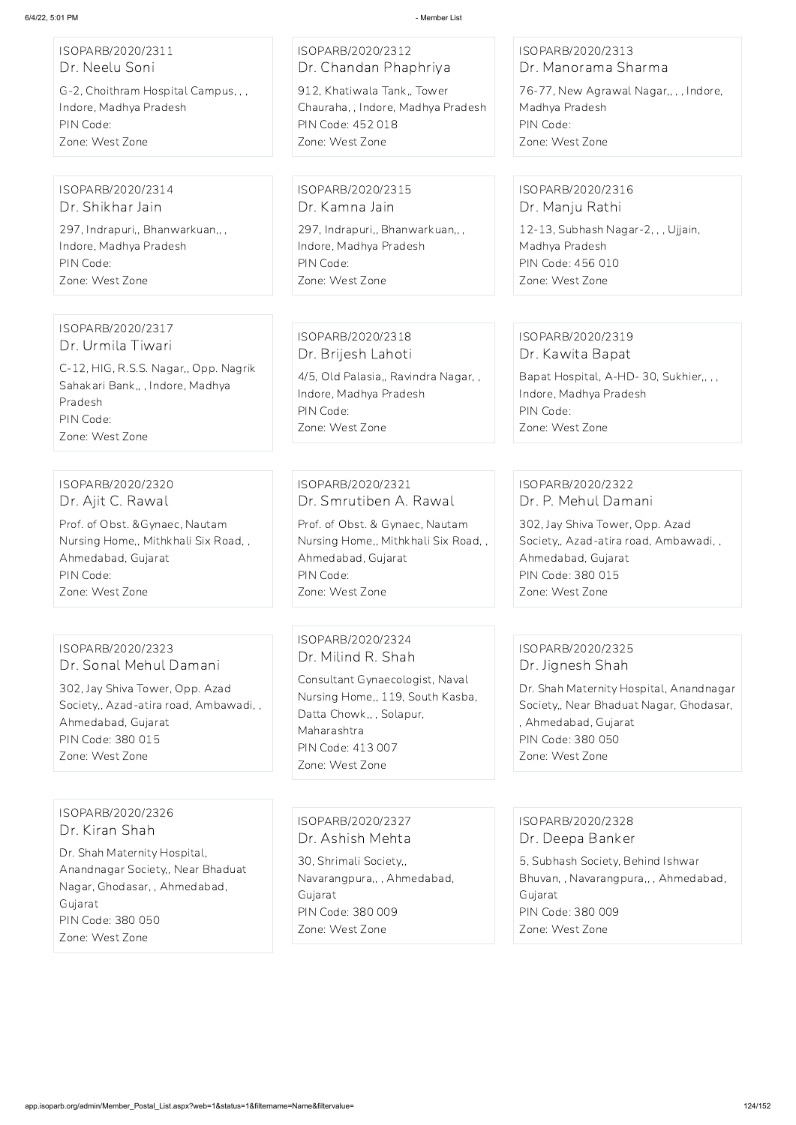| ISOPARB/2020/2311                                                                                                                                                                     | ISOPARB/2020/2312                                                                                                                                                                                | ISOPARB/2020/2313                                                                                                                                                                           |
|---------------------------------------------------------------------------------------------------------------------------------------------------------------------------------------|--------------------------------------------------------------------------------------------------------------------------------------------------------------------------------------------------|---------------------------------------------------------------------------------------------------------------------------------------------------------------------------------------------|
| Dr. Neelu Soni                                                                                                                                                                        | Dr. Chandan Phaphriya                                                                                                                                                                            | Dr. Manorama Sharma                                                                                                                                                                         |
| G-2, Choithram Hospital Campus, , ,                                                                                                                                                   | 912, Khatiwala Tank,, Tower                                                                                                                                                                      | 76-77, New Agrawal Nagar,,,, Indore,                                                                                                                                                        |
| Indore, Madhya Pradesh                                                                                                                                                                | Chauraha, , Indore, Madhya Pradesh                                                                                                                                                               | Madhya Pradesh                                                                                                                                                                              |
| PIN Code:                                                                                                                                                                             | PIN Code: 452 018                                                                                                                                                                                | PIN Code:                                                                                                                                                                                   |
| Zone: West Zone                                                                                                                                                                       | Zone: West Zone                                                                                                                                                                                  | Zone: West Zone                                                                                                                                                                             |
| ISOPARB/2020/2314                                                                                                                                                                     | ISOPARB/2020/2315                                                                                                                                                                                | ISOPARB/2020/2316                                                                                                                                                                           |
| Dr. Shikhar Jain                                                                                                                                                                      | Dr. Kamna Jain                                                                                                                                                                                   | Dr. Manju Rathi                                                                                                                                                                             |
| 297, Indrapuri,, Bhanwarkuan,,,                                                                                                                                                       | 297, Indrapuri,, Bhanwarkuan,,,                                                                                                                                                                  | 12-13, Subhash Nagar-2, , , Ujjain,                                                                                                                                                         |
| Indore, Madhya Pradesh                                                                                                                                                                | Indore, Madhya Pradesh                                                                                                                                                                           | Madhya Pradesh                                                                                                                                                                              |
| PIN Code:                                                                                                                                                                             | PIN Code:                                                                                                                                                                                        | PIN Code: 456 010                                                                                                                                                                           |
| Zone: West Zone                                                                                                                                                                       | Zone: West Zone                                                                                                                                                                                  | Zone: West Zone                                                                                                                                                                             |
| ISOPARB/2020/2317<br>Dr. Urmila Tiwari<br>C-12, HIG, R.S.S. Nagar,, Opp. Nagrik<br>Sahakari Bank,,, Indore, Madhya<br>Pradesh<br>PIN Code:<br>Zone: West Zone                         | ISOPARB/2020/2318<br>Dr. Brijesh Lahoti<br>4/5, Old Palasia,, Ravindra Nagar,,<br>Indore, Madhya Pradesh<br>PIN Code:<br>Zone: West Zone                                                         | ISOPARB/2020/2319<br>Dr. Kawita Bapat<br>Bapat Hospital, A-HD-30, Sukhier,,,,<br>Indore, Madhya Pradesh<br>PIN Code:<br>Zone: West Zone                                                     |
| ISOPARB/2020/2320                                                                                                                                                                     | ISOPARB/2020/2321                                                                                                                                                                                | ISOPARB/2020/2322                                                                                                                                                                           |
| Dr. Ajit C. Rawal                                                                                                                                                                     | Dr. Smrutiben A. Rawal                                                                                                                                                                           | Dr. P. Mehul Damani                                                                                                                                                                         |
| Prof. of Obst. & Gynaec, Nautam                                                                                                                                                       | Prof. of Obst. & Gynaec, Nautam                                                                                                                                                                  | 302, Jay Shiva Tower, Opp. Azad                                                                                                                                                             |
| Nursing Home,, Mithkhali Six Road,,                                                                                                                                                   | Nursing Home,, Mithkhali Six Road,,                                                                                                                                                              | Society,, Azad-atira road, Ambawadi,,                                                                                                                                                       |
| Ahmedabad, Gujarat                                                                                                                                                                    | Ahmedabad, Gujarat                                                                                                                                                                               | Ahmedabad, Gujarat                                                                                                                                                                          |
| PIN Code:                                                                                                                                                                             | PIN Code:                                                                                                                                                                                        | PIN Code: 380 015                                                                                                                                                                           |
| Zone: West Zone                                                                                                                                                                       | Zone: West Zone                                                                                                                                                                                  | Zone: West Zone                                                                                                                                                                             |
| ISOPARB/2020/2323<br>Dr. Sonal Mehul Damani<br>302, Jay Shiva Tower, Opp. Azad<br>Society,, Azad-atira road, Ambawadi,,<br>Ahmedabad, Gujarat<br>PIN Code: 380 015<br>Zone: West Zone | ISOPARB/2020/2324<br>Dr. Milind R. Shah<br>Consultant Gynaecologist, Naval<br>Nursing Home,, 119, South Kasba,<br>Datta Chowk,,, Solapur,<br>Maharashtra<br>PIN Code: 413 007<br>Zone: West Zone | ISOPARB/2020/2325<br>Dr. Jignesh Shah<br>Dr. Shah Maternity Hospital, Anandnagar<br>Society,, Near Bhaduat Nagar, Ghodasar,<br>, Ahmedabad, Gujarat<br>PIN Code: 380 050<br>Zone: West Zone |

ISOPARB/2020/2326 Dr. Kiran Shah

Dr. Shah Maternity Hospital, Anandnagar Society,, Near Bhaduat Nagar, Ghodasar, , Ahmedabad, Gujarat PIN Code: 380 050 Zone: West Zone

ISOPARB/2020/2327 Dr. Ashish Mehta

30, Shrimali Society,, Navarangpura,, , Ahmedabad, Gujarat PIN Code: 380 009 Zone: West Zone

ISOPARB/2020/2328 Dr. Deepa Banker

5, Subhash Society, Behind Ishwar Bhuvan, , Navarangpura,, , Ahmedabad, Gujarat PIN Code: 380 009 Zone: West Zone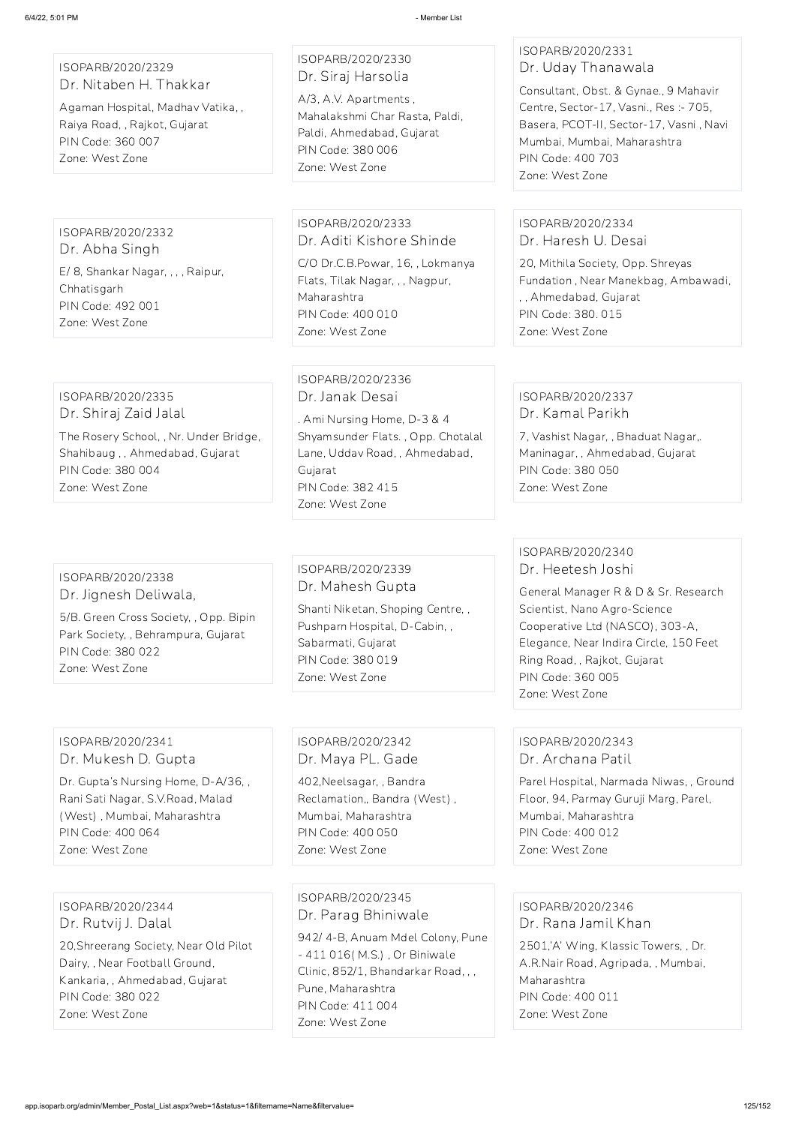#### ISOPARB/2020/2329 Dr. Nitaben H. Thakkar

Agaman Hospital, Madhav Vatika, , Raiya Road, , Rajkot, Gujarat PIN Code: 360 007 Zone: West Zone

## ISOPARB/2020/2330 Dr. Siraj Harsolia

A/3, A.V. Apartments , Mahalakshmi Char Rasta, Paldi, Paldi, Ahmedabad, Gujarat PIN Code: 380 006 Zone: West Zone

## ISOPARB/2020/2331 Dr. Uday Thanawala

Consultant, Obst. & Gynae., 9 Mahavir Centre, Sector-17, Vasni., Res :- 705, Basera, PCOT-II, Sector-17, Vasni , Navi Mumbai, Mumbai, Maharashtra PIN Code: 400 703 Zone: West Zone

ISOPARB/2020/2332 Dr. Abha Singh E/ 8, Shankar Nagar, , , , Raipur, Chhatisgarh PIN Code: 492 001 Zone: West Zone

ISOPARB/2020/2333 Dr. Aditi Kishore Shinde

C/O Dr.C.B.Powar, 16, , Lokmanya Flats, Tilak Nagar, , , Nagpur, Maharashtra PIN Code: 400 010 Zone: West Zone

## ISOPARB/2020/2334 Dr. Haresh U. Desai

20, Mithila Society, Opp. Shreyas Fundation , Near Manekbag, Ambawadi, , , Ahmedabad, Gujarat PIN Code: 380. 015 Zone: West Zone

## ISOPARB/2020/2335 Dr. Shiraj Zaid Jalal

The Rosery School, , Nr. Under Bridge, Shahibaug , , Ahmedabad, Gujarat PIN Code: 380 004 Zone: West Zone

## ISOPARB/2020/2336 Dr. Janak Desai

. Ami Nursing Home, D-3 & 4 Shyamsunder Flats. , Opp. Chotalal Lane, Uddav Road, , Ahmedabad, Gujarat PIN Code: 382 415 Zone: West Zone

## ISOPARB/2020/2337 Dr. Kamal Parikh

7, Vashist Nagar, , Bhaduat Nagar,. Maninagar, , Ahmedabad, Gujarat PIN Code: 380 050 Zone: West Zone

#### ISOPARB/2020/2338 Dr. Jignesh Deliwala,

5/B. Green Cross Society, , Opp. Bipin Park Society, , Behrampura, Gujarat PIN Code: 380 022 Zone: West Zone

## ISOPARB/2020/2339 Dr. Mahesh Gupta

Shanti Niketan, Shoping Centre, , Pushparn Hospital, D-Cabin, , Sabarmati, Gujarat PIN Code: 380 019 Zone: West Zone

## ISOPARB/2020/2340 Dr. Heetesh Joshi

General Manager R & D & Sr. Research Scientist, Nano Agro-Science Cooperative Ltd (NASCO), 303-A, Elegance, Near Indira Circle, 150 Feet Ring Road, , Rajkot, Gujarat PIN Code: 360 005 Zone: West Zone

## ISOPARB/2020/2341 Dr. Mukesh D. Gupta

Dr. Gupta's Nursing Home, D-A/36, , Rani Sati Nagar, S.V.Road, Malad (West) , Mumbai, Maharashtra PIN Code: 400 064

Zone: West Zone

#### ISOPARB/2020/2342 Dr. Maya PL. Gade

402,Neelsagar, , Bandra Reclamation,, Bandra (West) , Mumbai, Maharashtra PIN Code: 400 050 Zone: West Zone

## ISOPARB/2020/2343 Dr. Archana Patil

Parel Hospital, Narmada Niwas, , Ground Floor, 94, Parmay Guruji Marg, Parel, Mumbai, Maharashtra PIN Code: 400 012

Zone: West Zone

ISOPARB/2020/2344 Dr. Rutvij J. Dalal

20,Shreerang Society, Near Old Pilot Dairy, , Near Football Ground, Kankaria, , Ahmedabad, Gujarat PIN Code: 380 022 Zone: West Zone

ISOPARB/2020/2345 Dr. Parag Bhiniwale

942/ 4-B, Anuam Mdel Colony, Pune - 411 016( M.S.) , Or Biniwale Clinic, 852/1, Bhandarkar Road, , , Pune, Maharashtra PIN Code: 411 004 Zone: West Zone

ISOPARB/2020/2346 Dr. Rana Jamil Khan 2501,'A' Wing, Klassic Towers, , Dr. A.R.Nair Road, Agripada, , Mumbai, Maharashtra

PIN Code: 400 011

Zone: West Zone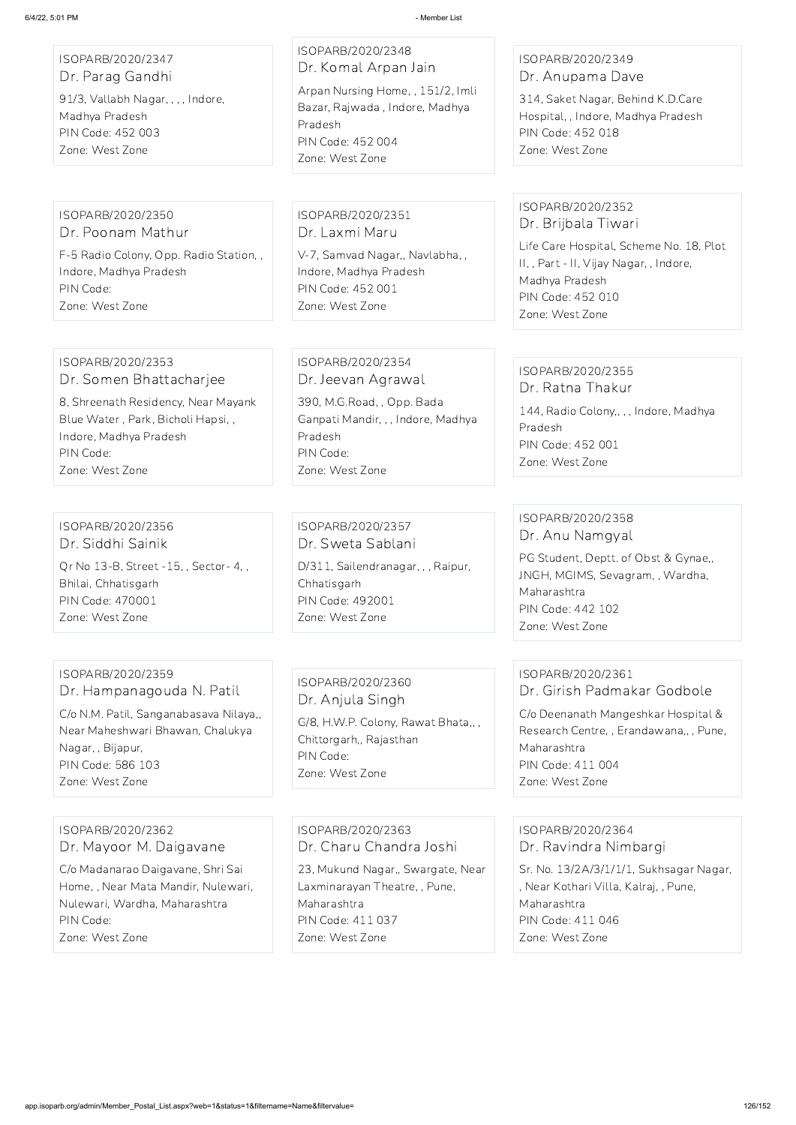| ISOPARB/2020/2347<br>Dr. Parag Gandhi<br>91/3, Vallabh Nagar, , , , Indore,<br>Madhya Pradesh<br>PIN Code: 452 003<br>Zone: West Zone | ISOPARB/2020/2348<br>Dr. Komal Arpan Jain<br>Arpan Nursing Home, , 151/2, Imli<br>Bazar, Rajwada, Indore, Madhya<br>Pradesh<br>PIN Code: 452 004 | ISOPARB/2020/2349<br>Dr. Anupama Dave<br>314, Saket Nagar, Behind K.D.Care<br>Hospital,, Indore, Madhya Pradesh<br>PIN Code: 452 018<br>Zone: West Zone |
|---------------------------------------------------------------------------------------------------------------------------------------|--------------------------------------------------------------------------------------------------------------------------------------------------|---------------------------------------------------------------------------------------------------------------------------------------------------------|
|                                                                                                                                       | Zone: West Zone                                                                                                                                  |                                                                                                                                                         |
| ISOPARB/2020/2350<br>Dr. Poonam Mathur                                                                                                | ISOPARB/2020/2351<br>Dr. Laxmi Maru                                                                                                              | ISOPARB/2020/2352<br>Dr. Brijbala Tiwari<br>Life Care Hospital, Scheme No. 18, Plot                                                                     |
| F-5 Radio Colony, Opp. Radio Station,,<br>Indore, Madhya Pradesh<br>PIN Code:<br>Zone: West Zone                                      | V-7, Samvad Nagar,, Navlabha,,<br>Indore, Madhya Pradesh<br>PIN Code: 452 001<br>Zone: West Zone                                                 | II,, Part - II, Vijay Nagar,, Indore,<br>Madhya Pradesh<br>PIN Code: 452 010<br>Zone: West Zone                                                         |
|                                                                                                                                       |                                                                                                                                                  |                                                                                                                                                         |
| ISOPARB/2020/2353<br>Dr. Somen Bhattacharjee                                                                                          | ISOPARB/2020/2354<br>Dr. Jeevan Agrawal                                                                                                          | ISOPARB/2020/2355<br>Dr. Ratna Thakur                                                                                                                   |
| 8, Shreenath Residency, Near Mayank<br>Blue Water, Park, Bicholi Hapsi,,<br>Indore, Madhya Pradesh<br>PIN Code:<br>Zone: West Zone    | 390, M.G.Road, , Opp. Bada<br>Ganpati Mandir, , , Indore, Madhya<br>Pradesh<br>PIN Code:<br>Zone: West Zone                                      | 144, Radio Colony,, , , Indore, Madhya<br>Pradesh<br>PIN Code: 452 001<br>Zone: West Zone                                                               |
|                                                                                                                                       |                                                                                                                                                  |                                                                                                                                                         |
| ISOPARB/2020/2356<br>Dr. Siddhi Sainik                                                                                                | ISOPARB/2020/2357<br>Dr. Sweta Sablani                                                                                                           | ISOPARB/2020/2358<br>Dr. Anu Namgyal                                                                                                                    |
| Qr No 13-B, Street -15, , Sector- 4, ,<br>Bhilai, Chhatisgarh<br>PIN Code: 470001<br>Zone: West Zone                                  | D/311, Sailendranagar, , , Raipur,<br>Chhatisgarh<br>PIN Code: 492001<br>Zone: West Zone                                                         | PG Student, Deptt. of Obst & Gynae,,<br>JNGH, MGIMS, Sevagram, , Wardha,<br>Maharashtra<br>PIN Code: 442 102<br>Zone: West Zone                         |
|                                                                                                                                       |                                                                                                                                                  |                                                                                                                                                         |
| ISOPARB/2020/2359<br>Dr. Hampanagouda N. Patil                                                                                        | ISOPARB/2020/2360<br>Dr. Anjula Singh                                                                                                            | ISOPARB/2020/2361<br>Dr. Girish Padmakar Godbole                                                                                                        |
| C/o N.M. Patil, Sanganabasava Nilaya,,<br>Near Maheshwari Bhawan, Chalukya<br>Nagar, , Bijapur,                                       | G/8, H.W.P. Colony, Rawat Bhata,,,<br>Chittorgarh,, Rajasthan                                                                                    | C/o Deenanath Mangeshkar Hospital &<br>Research Centre, , Erandawana,, , Pune,<br>Maharashtra                                                           |

PIN Code: 586 103 Zone: West Zone

PIN Code:

Zone: West Zone

PIN Code: 411 004 Zone: West Zone

ISOPARB/2020/2362 Dr. Mayoor M. Daigavane

C/o Madanarao Daigavane, Shri Sai Home, , Near Mata Mandir, Nulewari, Nulewari, Wardha, Maharashtra PIN Code:

Zone: West Zone

ISOPARB/2020/2363 Dr. Charu Chandra Joshi

23, Mukund Nagar,, Swargate, Near Laxminarayan Theatre, , Pune, Maharashtra PIN Code: 411 037 Zone: West Zone

ISOPARB/2020/2364 Dr. Ravindra Nimbargi

Sr. No. 13/2A/3/1/1/1, Sukhsagar Nagar, , Near Kothari Villa, Kalraj, , Pune, Maharashtra PIN Code: 411 046 Zone: West Zone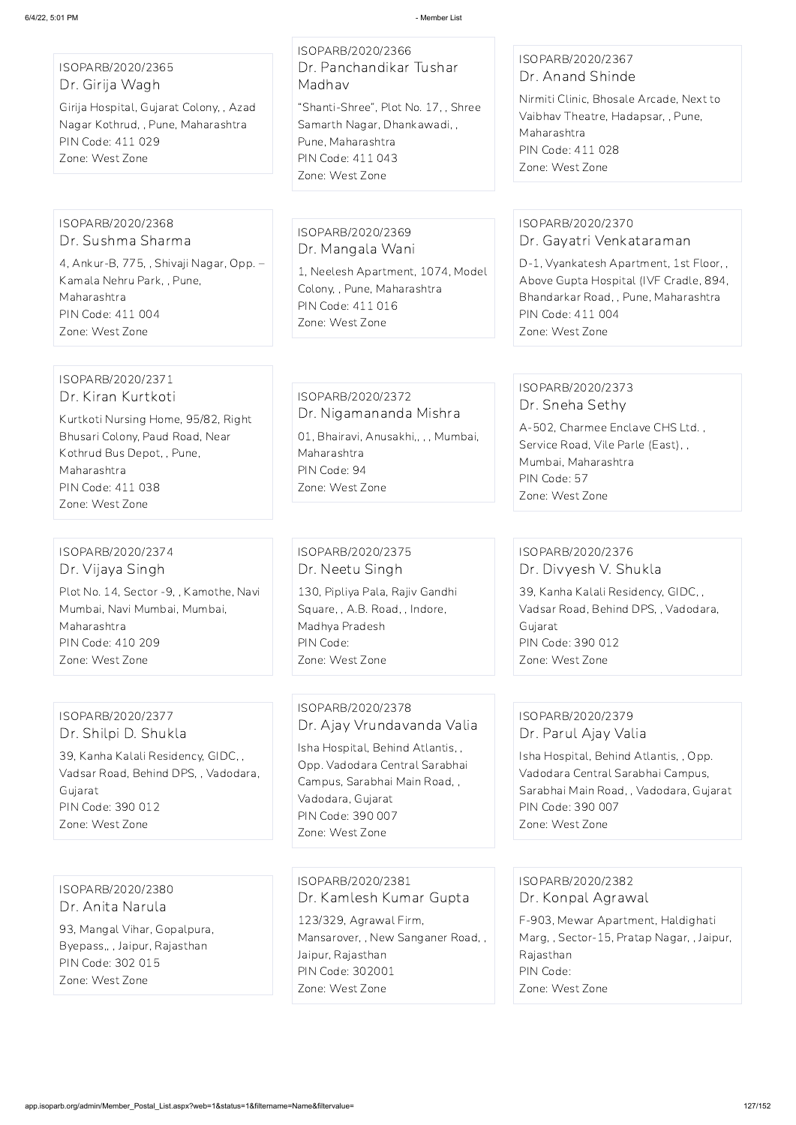ISOPARB/2020/2365 Dr. Girija Wagh

Girija Hospital, Gujarat Colony, , Azad Nagar Kothrud, , Pune, Maharashtra PIN Code: 411 029 Zone: West Zone

ISOPARB/2020/2366 Dr. Panchandikar Tushar Madhav

"Shanti-Shree", Plot No. 17, , Shree Samarth Nagar, Dhankawadi, , Pune, Maharashtra PIN Code: 411 043 Zone: West Zone

## ISOPARB/2020/2367 Dr. Anand Shinde

Nirmiti Clinic, Bhosale Arcade, Next to Vaibhav Theatre, Hadapsar, , Pune, Maharashtra PIN Code: 411 028 Zone: West Zone

#### ISOPARB/2020/2368 Dr. Sushma Sharma

4, Ankur-B, 775, , Shivaji Nagar, Opp. – Kamala Nehru Park, , Pune, Maharashtra PIN Code: 411 004 Zone: West Zone

## ISOPARB/2020/2369 Dr. Mangala Wani

1, Neelesh Apartment, 1074, Model Colony, , Pune, Maharashtra PIN Code: 411 016 Zone: West Zone

## ISOPARB/2020/2370 Dr. Gayatri Venkataraman

D-1, Vyankatesh Apartment, 1st Floor, , Above Gupta Hospital (IVF Cradle, 894, Bhandarkar Road, , Pune, Maharashtra PIN Code: 411 004 Zone: West Zone

#### ISOPARB/2020/2371 Dr. Kiran Kurtkoti

Kurtkoti Nursing Home, 95/82, Right Bhusari Colony, Paud Road, Near Kothrud Bus Depot, , Pune, Maharashtra PIN Code: 411 038 Zone: West Zone

## ISOPARB/2020/2372 Dr. Nigamananda Mishra

01, Bhairavi, Anusakhi,, , , Mumbai, Maharashtra PIN Code: 94 Zone: West Zone

## ISOPARB/2020/2373 Dr. Sneha Sethy

A-502, Charmee Enclave CHS Ltd. , Service Road, Vile Parle (East), , Mumbai, Maharashtra PIN Code: 57 Zone: West Zone

## ISOPARB/2020/2374 Dr. Vijaya Singh

Plot No. 14, Sector -9, , Kamothe, Navi Mumbai, Navi Mumbai, Mumbai, Maharashtra PIN Code: 410 209 Zone: West Zone

## ISOPARB/2020/2375 Dr. Neetu Singh 130, Pipliya Pala, Rajiv Gandhi Square, , A.B. Road, , Indore, Madhya Pradesh PIN Code: Zone: West Zone

## ISOPARB/2020/2376 Dr. Divyesh V. Shukla

39, Kanha Kalali Residency, GIDC, , Vadsar Road, Behind DPS, , Vadodara, Gujarat PIN Code: 390 012 Zone: West Zone

## ISOPARB/2020/2377 Dr. Shilpi D. Shukla

39, Kanha Kalali Residency, GIDC, , Vadsar Road, Behind DPS, , Vadodara, Gujarat PIN Code: 390 012 Zone: West Zone

## ISOPARB/2020/2378 Dr. Ajay Vrundavanda Valia

Isha Hospital, Behind Atlantis, , Opp. Vadodara Central Sarabhai Campus, Sarabhai Main Road, , Vadodara, Gujarat PIN Code: 390 007 Zone: West Zone

## ISOPARB/2020/2379 Dr. Parul Ajay Valia

Isha Hospital, Behind Atlantis, , Opp. Vadodara Central Sarabhai Campus, Sarabhai Main Road, , Vadodara, Gujarat PIN Code: 390 007 Zone: West Zone

ISOPARB/2020/2380 Dr. Anita Narula

93, Mangal Vihar, Gopalpura, Byepass,, , Jaipur, Rajasthan PIN Code: 302 015 Zone: West Zone

ISOPARB/2020/2381 Dr. Kamlesh Kumar Gupta 123/329, Agrawal Firm, Mansarover, , New Sanganer Road, , Jaipur, Rajasthan PIN Code: 302001 Zone: West Zone

ISOPARB/2020/2382 Dr. Konpal Agrawal F-903, Mewar Apartment, Haldighati Marg, , Sector-15, Pratap Nagar, , Jaipur, Rajasthan PIN Code: Zone: West Zone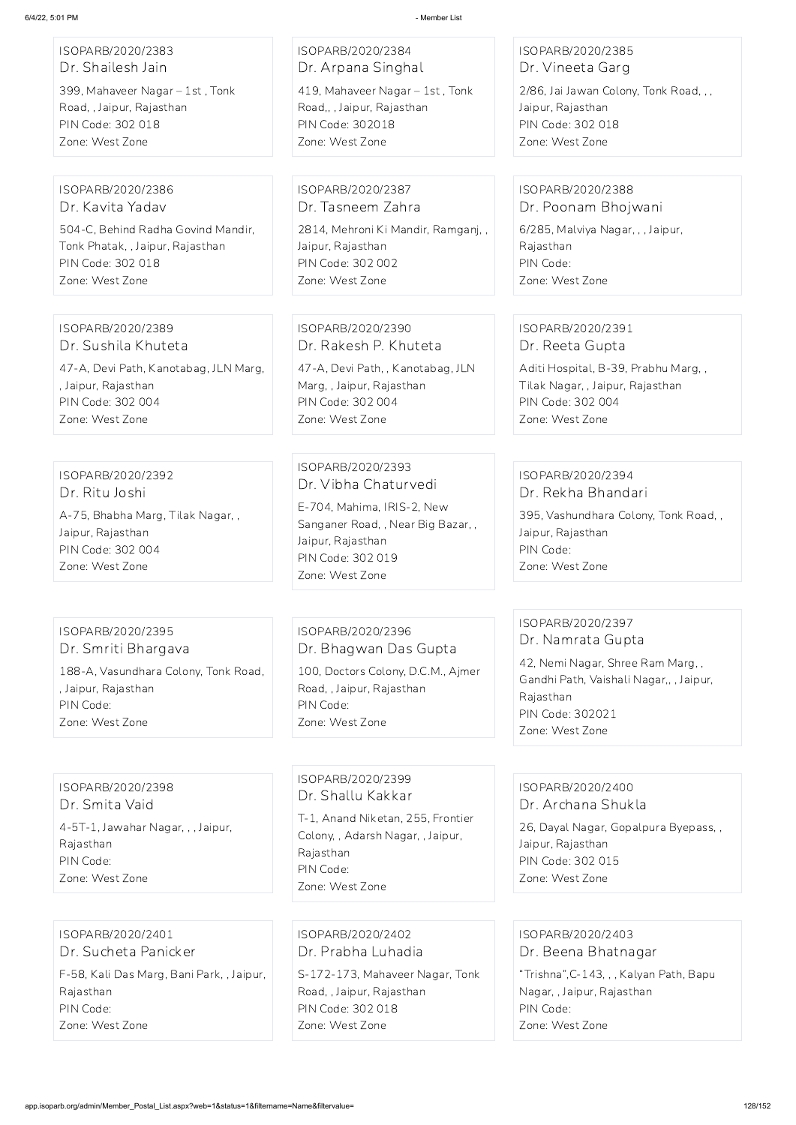| ISOPARB/2020/2383 |  |
|-------------------|--|
| Dr. Shailesh Jain |  |

399, Mahaveer Nagar – 1st , Tonk Road, , Jaipur, Rajasthan PIN Code: 302 018 Zone: West Zone

## ISOPARB/2020/2384 Dr. Arpana Singhal 419, Mahaveer Nagar – 1st , Tonk

Road,, , Jaipur, Rajasthan PIN Code: 302018 Zone: West Zone

## ISOPARB/2020/2385 Dr. Vineeta Garg

2/86, Jai Jawan Colony, Tonk Road, , , Jaipur, Rajasthan PIN Code: 302 018 Zone: West Zone

#### ISOPARB/2020/2386 Dr. Kavita Yadav

504-C, Behind Radha Govind Mandir, Tonk Phatak, , Jaipur, Rajasthan PIN Code: 302 018 Zone: West Zone

ISOPARB/2020/2387 Dr. Tasneem Zahra

2814, Mehroni Ki Mandir, Ramganj, , Jaipur, Rajasthan PIN Code: 302 002 Zone: West Zone

#### ISOPARB/2020/2388 Dr. Poonam Bhojwani

6/285, Malviya Nagar, , , Jaipur, Rajasthan PIN Code: Zone: West Zone

### ISOPARB/2020/2389 Dr. Sushila Khuteta

47-A, Devi Path, Kanotabag, JLN Marg, , Jaipur, Rajasthan PIN Code: 302 004 Zone: West Zone

## ISOPARB/2020/2390 Dr. Rakesh P. Khuteta

47-A, Devi Path, , Kanotabag, JLN Marg, , Jaipur, Rajasthan PIN Code: 302 004 Zone: West Zone

## ISOPARB/2020/2391 Dr. Reeta Gupta

Aditi Hospital, B-39, Prabhu Marg, , Tilak Nagar, , Jaipur, Rajasthan PIN Code: 302 004 Zone: West Zone

# ISOPARB/2020/2392 Dr. Ritu Joshi

A-75, Bhabha Marg, Tilak Nagar, , Jaipur, Rajasthan PIN Code: 302 004 Zone: West Zone

## ISOPARB/2020/2393 Dr. Vibha Chaturvedi

E-704, Mahima, IRIS-2, New Sanganer Road, , Near Big Bazar, , Jaipur, Rajasthan PIN Code: 302 019 Zone: West Zone

#### ISOPARB/2020/2394 Dr. Rekha Bhandari

395, Vashundhara Colony, Tonk Road, , Jaipur, Rajasthan PIN Code: Zone: West Zone

#### ISOPARB/2020/2395 Dr. Smriti Bhargava

188-A, Vasundhara Colony, Tonk Road, , Jaipur, Rajasthan PIN Code: Zone: West Zone

## ISOPARB/2020/2396 Dr. Bhagwan Das Gupta

100, Doctors Colony, D.C.M., Ajmer Road, , Jaipur, Rajasthan PIN Code: Zone: West Zone

## ISOPARB/2020/2397 Dr. Namrata Gupta

42, Nemi Nagar, Shree Ram Marg, , Gandhi Path, Vaishali Nagar,, , Jaipur, Rajasthan PIN Code: 302021 Zone: West Zone

#### ISOPARB/2020/2398 Dr. Smita Vaid

4-5T-1, Jawahar Nagar, , , Jaipur, Rajasthan

PIN Code: Zone: West Zone

## ISOPARB/2020/2399 Dr. Shallu Kakkar

T-1, Anand Niketan, 255, Frontier Colony, , Adarsh Nagar, , Jaipur, Rajasthan PIN Code: Zone: West Zone

#### ISOPARB/2020/2400 Dr. Archana Shukla

26, Dayal Nagar, Gopalpura Byepass, , Jaipur, Rajasthan PIN Code: 302 015 Zone: West Zone

ISOPARB/2020/2401 Dr. Sucheta Panicker

F-58, Kali Das Marg, Bani Park, , Jaipur, Rajasthan PIN Code: Zone: West Zone

ISOPARB/2020/2402 Dr. Prabha Luhadia

S-172-173, Mahaveer Nagar, Tonk Road, , Jaipur, Rajasthan PIN Code: 302 018 Zone: West Zone

ISOPARB/2020/2403 Dr. Beena Bhatnagar "Trishna",C-143, , , Kalyan Path, Bapu

Nagar, , Jaipur, Rajasthan

PIN Code:

Zone: West Zone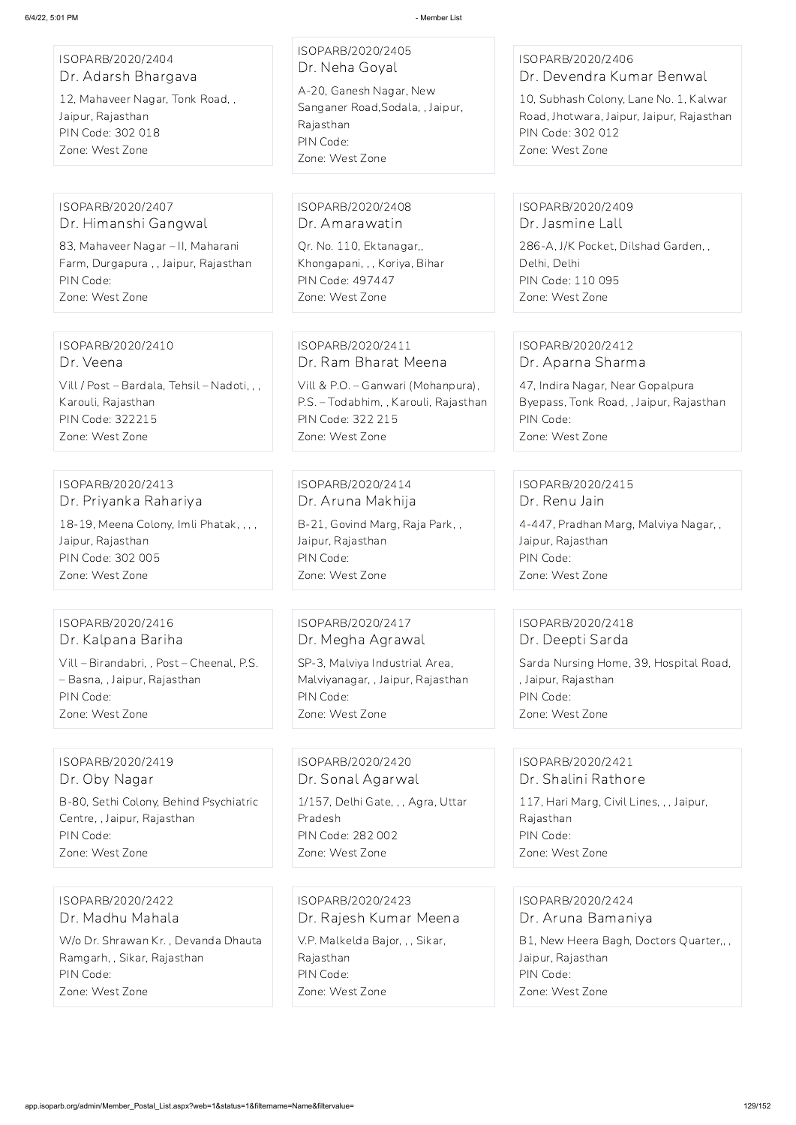| ISOPARB/2020/2404<br>Dr. Adarsh Bhargava<br>12, Mahaveer Nagar, Tonk Road,,<br>Jaipur, Rajasthan<br>PIN Code: 302 018<br>Zone: West Zone | ISOPARB/2020/2405<br>Dr. Neha Goyal<br>A-20, Ganesh Nagar, New<br>Sanganer Road, Sodala, , Jaipur,<br>Rajasthan<br>PIN Code:<br>Zone: West Zone | ISOPARB/2020/2406<br>Dr. Devendra Kumar Benwal<br>10, Subhash Colony, Lane No. 1, Kalwar<br>Road, Jhotwara, Jaipur, Jaipur, Rajasthan<br>PIN Code: 302 012<br>Zone: West Zone |
|------------------------------------------------------------------------------------------------------------------------------------------|-------------------------------------------------------------------------------------------------------------------------------------------------|-------------------------------------------------------------------------------------------------------------------------------------------------------------------------------|
| ISOPARB/2020/2407                                                                                                                        | ISOPARB/2020/2408                                                                                                                               | ISOPARB/2020/2409                                                                                                                                                             |
| Dr. Himanshi Gangwal                                                                                                                     | Dr. Amarawatin                                                                                                                                  | Dr. Jasmine Lall                                                                                                                                                              |
| 83, Mahaveer Nagar - II, Maharani                                                                                                        | Qr. No. 110, Ektanagar,,                                                                                                                        | 286-A, J/K Pocket, Dilshad Garden,,                                                                                                                                           |
| Farm, Durgapura,, Jaipur, Rajasthan                                                                                                      | Khongapani, , , Koriya, Bihar                                                                                                                   | Delhi, Delhi                                                                                                                                                                  |
| PIN Code:                                                                                                                                | <b>PIN Code: 497447</b>                                                                                                                         | PIN Code: 110 095                                                                                                                                                             |
| Zone: West Zone                                                                                                                          | Zone: West Zone                                                                                                                                 | Zone: West Zone                                                                                                                                                               |
| ISOPARB/2020/2410                                                                                                                        | ISOPARB/2020/2411                                                                                                                               | ISOPARB/2020/2412                                                                                                                                                             |
| Dr. Veena                                                                                                                                | Dr. Ram Bharat Meena                                                                                                                            | Dr. Aparna Sharma                                                                                                                                                             |
| Vill / Post - Bardala, Tehsil - Nadoti, , ,                                                                                              | Vill & P.O. - Ganwari (Mohanpura),                                                                                                              | 47, Indira Nagar, Near Gopalpura                                                                                                                                              |
| Karouli, Rajasthan                                                                                                                       | P.S. - Todabhim, , Karouli, Rajasthan                                                                                                           | Byepass, Tonk Road, , Jaipur, Rajasthan                                                                                                                                       |
| <b>PIN Code: 322215</b>                                                                                                                  | PIN Code: 322 215                                                                                                                               | PIN Code:                                                                                                                                                                     |
| Zone: West Zone                                                                                                                          | Zone: West Zone                                                                                                                                 | Zone: West Zone                                                                                                                                                               |
| ISOPARB/2020/2413                                                                                                                        | ISOPARB/2020/2414                                                                                                                               | ISOPARB/2020/2415                                                                                                                                                             |
| Dr. Priyanka Rahariya                                                                                                                    | Dr. Aruna Makhija                                                                                                                               | Dr. Renu Jain                                                                                                                                                                 |
| 18-19, Meena Colony, Imli Phatak, , , ,                                                                                                  | B-21, Govind Marg, Raja Park,,                                                                                                                  | 4-447, Pradhan Marg, Malviya Nagar,,                                                                                                                                          |
| Jaipur, Rajasthan                                                                                                                        | Jaipur, Rajasthan                                                                                                                               | Jaipur, Rajasthan                                                                                                                                                             |
| PIN Code: 302 005                                                                                                                        | PIN Code:                                                                                                                                       | PIN Code:                                                                                                                                                                     |
| Zone: West Zone                                                                                                                          | Zone: West Zone                                                                                                                                 | Zone: West Zone                                                                                                                                                               |
| ISOPARB/2020/2416                                                                                                                        | ISOPARB/2020/2417                                                                                                                               | ISOPARB/2020/2418                                                                                                                                                             |
| Dr. Kalpana Bariha                                                                                                                       | Dr. Megha Agrawal                                                                                                                               | Dr. Deepti Sarda                                                                                                                                                              |
| Vill - Birandabri, , Post - Cheenal, P.S.                                                                                                | SP-3, Malviya Industrial Area,                                                                                                                  | Sarda Nursing Home, 39, Hospital Road,                                                                                                                                        |
| - Basna, , Jaipur, Rajasthan                                                                                                             | Malviyanagar, , Jaipur, Rajasthan                                                                                                               | , Jaipur, Rajasthan                                                                                                                                                           |
| PIN Code:                                                                                                                                | PIN Code:                                                                                                                                       | PIN Code:                                                                                                                                                                     |
| Zone: West Zone                                                                                                                          | Zone: West Zone                                                                                                                                 | Zone: West Zone                                                                                                                                                               |
| ISOPARB/2020/2419                                                                                                                        | ISOPARB/2020/2420                                                                                                                               | ISOPARB/2020/2421                                                                                                                                                             |
| Dr. Oby Nagar                                                                                                                            | Dr. Sonal Agarwal                                                                                                                               | Dr. Shalini Rathore                                                                                                                                                           |
| B-80, Sethi Colony, Behind Psychiatric                                                                                                   | 1/157, Delhi Gate, , , Agra, Uttar                                                                                                              | 117, Hari Marg, Civil Lines, , , Jaipur,                                                                                                                                      |
| Centre, , Jaipur, Rajasthan                                                                                                              | Pradesh                                                                                                                                         | Rajasthan                                                                                                                                                                     |

PIN Code:

Zone: West Zone

PIN Code: 282 002

Zone: West Zone

Rajasthan PIN Code:

Zone: West Zone

ISOPARB/2020/2422 Dr. Madhu Mahala

W/o Dr. Shrawan Kr. , Devanda Dhauta Ramgarh, , Sikar, Rajasthan PIN Code: Zone: West Zone

ISOPARB/2020/2423 Dr. Rajesh Kumar Meena V.P. Malkelda Bajor, , , Sikar, Rajasthan PIN Code: Zone: West Zone

ISOPARB/2020/2424 Dr. Aruna Bamaniya

B1, New Heera Bagh, Doctors Quarter,, , Jaipur, Rajasthan PIN Code: Zone: West Zone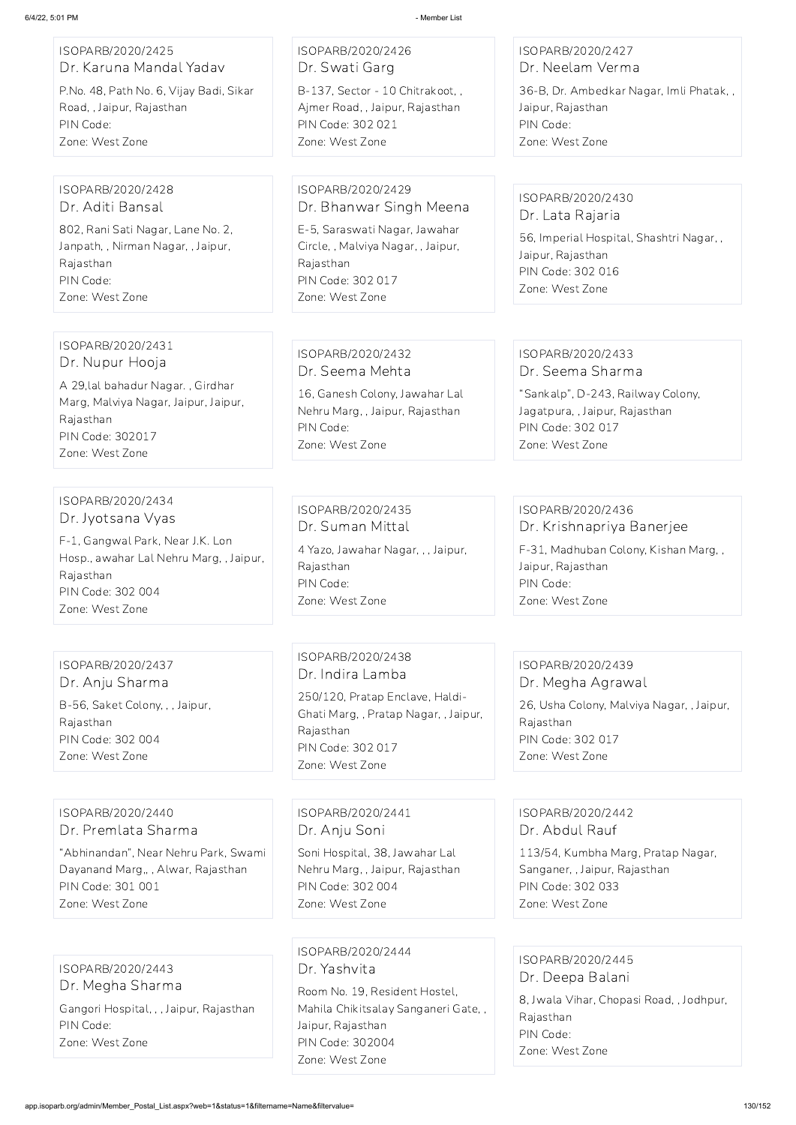| ISOPARB/2020/2425<br>Dr. Karuna Mandal Yadav<br>P.No. 48, Path No. 6, Vijay Badi, Sikar<br>Road, , Jaipur, Rajasthan<br>PIN Code:<br>Zone: West Zone                         | ISOPARB/2020/2426<br>Dr. Swati Garg<br>B-137, Sector - 10 Chitrakoot,,<br>Ajmer Road, , Jaipur, Rajasthan<br>PIN Code: 302 021<br>Zone: West Zone                        | ISOPARB/2020/2427<br>Dr. Neelam Verma<br>36-B, Dr. Ambedkar Nagar, Imli Phatak,,<br>Jaipur, Rajasthan<br>PIN Code:<br>Zone: West Zone                |
|------------------------------------------------------------------------------------------------------------------------------------------------------------------------------|--------------------------------------------------------------------------------------------------------------------------------------------------------------------------|------------------------------------------------------------------------------------------------------------------------------------------------------|
| ISOPARB/2020/2428<br>Dr. Aditi Bansal<br>802, Rani Sati Nagar, Lane No. 2,<br>Janpath,, Nirman Nagar,, Jaipur,<br>Rajasthan<br>PIN Code:<br>Zone: West Zone                  | ISOPARB/2020/2429<br>Dr. Bhanwar Singh Meena<br>E-5, Saraswati Nagar, Jawahar<br>Circle, , Malviya Nagar, , Jaipur,<br>Rajasthan<br>PIN Code: 302 017<br>Zone: West Zone | ISOPARB/2020/2430<br>Dr. Lata Rajaria<br>56, Imperial Hospital, Shashtri Nagar,,<br>Jaipur, Rajasthan<br>PIN Code: 302 016<br>Zone: West Zone        |
| ISOPARB/2020/2431<br>Dr. Nupur Hooja<br>A 29, lal bahadur Nagar., Girdhar<br>Marg, Malviya Nagar, Jaipur, Jaipur,<br>Rajasthan<br><b>PIN Code: 302017</b><br>Zone: West Zone | ISOPARB/2020/2432<br>Dr. Seema Mehta<br>16, Ganesh Colony, Jawahar Lal<br>Nehru Marg, , Jaipur, Rajasthan<br>PIN Code:<br>Zone: West Zone                                | ISOPARB/2020/2433<br>Dr. Seema Sharma<br>"Sankalp", D-243, Railway Colony,<br>Jagatpura, , Jaipur, Rajasthan<br>PIN Code: 302 017<br>Zone: West Zone |
| ISOPARB/2020/2434<br>Dr. Jyotsana Vyas<br>F-1, Gangwal Park, Near J.K. Lon<br>Hosp., awahar Lal Nehru Marg, , Jaipur,<br>Rajasthan<br>PIN Code: 302 004<br>Zone: West Zone   | ISOPARB/2020/2435<br>Dr. Suman Mittal<br>4 Yazo, Jawahar Nagar, , , Jaipur,<br>Rajasthan<br>PIN Code:<br>Zone: West Zone                                                 | ISOPARB/2020/2436<br>Dr. Krishnapriya Banerjee<br>F-31, Madhuban Colony, Kishan Marg,,<br>Jaipur, Rajasthan<br>PIN Code:<br>Zone: West Zone          |
| ISOPARB/2020/2437<br>Dr. Anju Sharma<br>B-56, Saket Colony, , , Jaipur,<br>Rajasthan<br>PIN Code: 302 004<br>Zone: West Zone                                                 | ISOPARB/2020/2438<br>Dr. Indira Lamba<br>250/120, Pratap Enclave, Haldi-<br>Ghati Marg,, Pratap Nagar,, Jaipur,<br>Rajasthan<br>PIN Code: 302 017<br>Zone: West Zone     | ISOPARB/2020/2439<br>Dr. Megha Agrawal<br>26, Usha Colony, Malviya Nagar, , Jaipur,<br>Rajasthan<br>PIN Code: 302 017<br>Zone: West Zone             |

ISOPARB/2020/2440 Dr. Premlata Sharma

"Abhinandan", Near Nehru Park, Swami Dayanand Marg,, , Alwar, Rajasthan PIN Code: 301 001 Zone: West Zone

ISOPARB/2020/2441

Dr. Anju Soni

Soni Hospital, 38, Jawahar Lal Nehru Marg, , Jaipur, Rajasthan PIN Code: 302 004 Zone: West Zone

ISOPARB/2020/2442 Dr. Abdul Rauf

113/54, Kumbha Marg, Pratap Nagar, Sanganer, , Jaipur, Rajasthan PIN Code: 302 033 Zone: West Zone

ISOPARB/2020/2443 Dr. Megha Sharma

Gangori Hospital, , , Jaipur, Rajasthan PIN Code:

Zone: West Zone

ISOPARB/2020/2444 Dr. Yashvita

Room No. 19, Resident Hostel, Mahila Chikitsalay Sanganeri Gate, , Jaipur, Rajasthan PIN Code: 302004 Zone: West Zone

ISOPARB/2020/2445 Dr. Deepa Balani 8, Jwala Vihar, Chopasi Road, , Jodhpur,

Rajasthan PIN Code: Zone: West Zone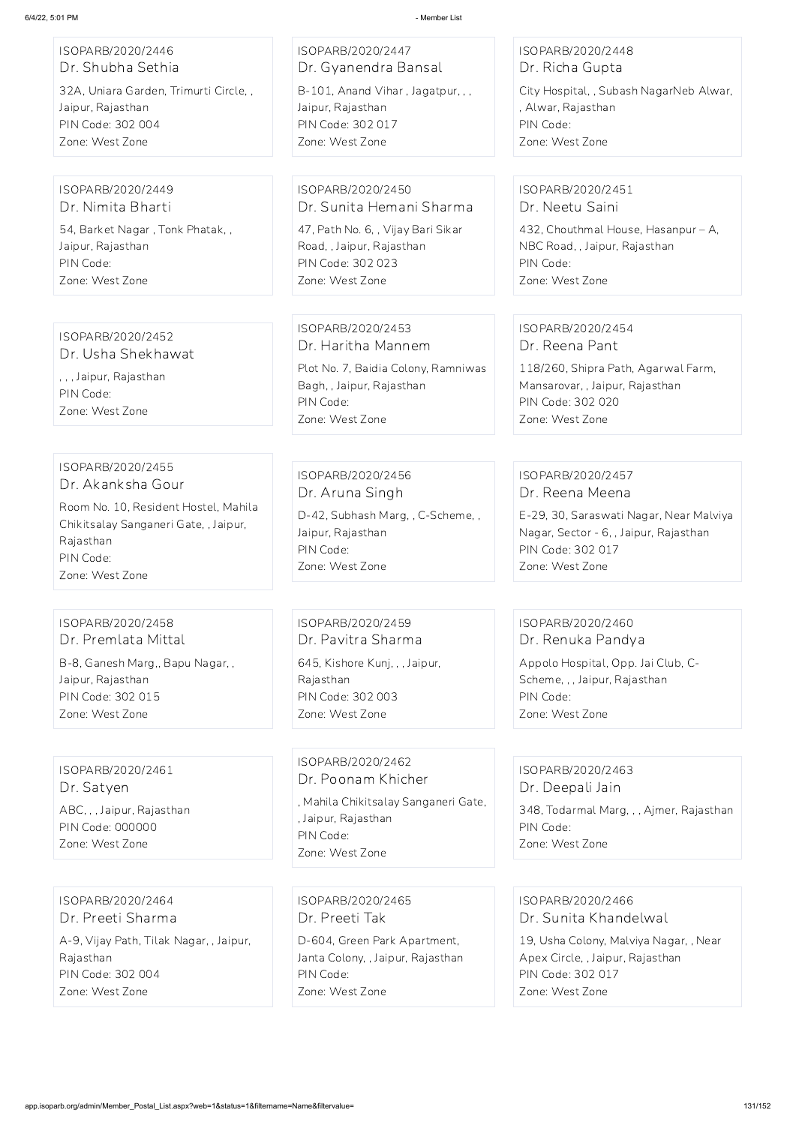| ISOPARB/2020/2446<br>Dr. Shubha Sethia                                                                                     | ISOPARB/2020/2447<br>Dr. Gyanendra Bansal                                                                              | ISOPARB/2020/2448<br>Dr. Richa Gupta                                                                                                    |
|----------------------------------------------------------------------------------------------------------------------------|------------------------------------------------------------------------------------------------------------------------|-----------------------------------------------------------------------------------------------------------------------------------------|
| 32A, Uniara Garden, Trimurti Circle,,<br>Jaipur, Rajasthan<br>PIN Code: 302 004<br>Zone: West Zone                         | B-101, Anand Vihar, Jagatpur, ,,<br>Jaipur, Rajasthan<br>PIN Code: 302 017<br>Zone: West Zone                          | City Hospital, , Subash NagarNeb Alwar,<br>, Alwar, Rajasthan<br>PIN Code:<br>Zone: West Zone                                           |
| ISOPARB/2020/2449<br>Dr. Nimita Bharti                                                                                     | ISOPARB/2020/2450<br>Dr. Sunita Hemani Sharma                                                                          | ISOPARB/2020/2451<br>Dr. Neetu Saini                                                                                                    |
| 54, Barket Nagar, Tonk Phatak,,<br>Jaipur, Rajasthan<br>PIN Code:<br>Zone: West Zone                                       | 47, Path No. 6, , Vijay Bari Sikar<br>Road, , Jaipur, Rajasthan<br>PIN Code: 302 023<br>Zone: West Zone                | 432, Chouthmal House, Hasanpur - A,<br>NBC Road, , Jaipur, Rajasthan<br>PIN Code:<br>Zone: West Zone                                    |
| ISOPARB/2020/2452                                                                                                          | ISOPARB/2020/2453                                                                                                      | ISOPARB/2020/2454                                                                                                                       |
| Dr. Usha Shekhawat<br>, , , Jaipur, Rajasthan<br>PIN Code:<br>Zone: West Zone                                              | Dr. Haritha Mannem<br>Plot No. 7, Baidia Colony, Ramniwas<br>Bagh, , Jaipur, Rajasthan<br>PIN Code:<br>Zone: West Zone | Dr. Reena Pant<br>118/260, Shipra Path, Agarwal Farm,<br>Mansarovar, , Jaipur, Rajasthan<br><b>PIN Code: 302 020</b><br>Zone: West Zone |
|                                                                                                                            |                                                                                                                        |                                                                                                                                         |
| ISOPARB/2020/2455<br>Dr. Akanksha Gour                                                                                     | ISOPARB/2020/2456<br>Dr. Aruna Singh                                                                                   | ISOPARB/2020/2457<br>Dr. Reena Meena                                                                                                    |
| Room No. 10, Resident Hostel, Mahila<br>Chikitsalay Sanganeri Gate, , Jaipur,<br>Rajasthan<br>PIN Code:<br>Zone: West Zone | D-42, Subhash Marg, , C-Scheme, ,<br>Jaipur, Rajasthan<br>PIN Code:<br>Zone: West Zone                                 | E-29, 30, Saraswati Nagar, Near Malviya<br>Nagar, Sector - 6, , Jaipur, Rajasthan<br>PIN Code: 302 017<br>Zone: West Zone               |
|                                                                                                                            |                                                                                                                        |                                                                                                                                         |
| ISOPARB/2020/2458<br>Dr. Premlata Mittal                                                                                   | ISOPARB/2020/2459<br>Dr. Pavitra Sharma                                                                                | ISOPARB/2020/2460<br>Dr. Renuka Pandya                                                                                                  |
| B-8, Ganesh Marg,, Bapu Nagar,,<br>Jaipur, Rajasthan<br>PIN Code: 302 015<br>Zone: West Zone                               | 645, Kishore Kunj, , , Jaipur,<br>Rajasthan<br>PIN Code: 302 003<br>Zone: West Zone                                    | Appolo Hospital, Opp. Jai Club, C-<br>Scheme, , , Jaipur, Rajasthan<br>PIN Code:<br>Zone: West Zone                                     |
|                                                                                                                            |                                                                                                                        |                                                                                                                                         |
| ISOPARB/2020/2461<br>Dr. Satyen                                                                                            | ISOPARB/2020/2462<br>Dr. Poonam Khicher<br>, Mahila Chikitsalay Sanganeri Gate,                                        | ISOPARB/2020/2463<br>Dr. Deepali Jain                                                                                                   |

ABC, , , Jaipur, Rajasthan PIN Code: 000000 Zone: West Zone

, Jaipur, Rajasthan PIN Code:

Zone: West Zone

348, Todarmal Marg, , , Ajmer, Rajasthan PIN Code: Zone: West Zone

ISOPARB/2020/2464 Dr. Preeti Sharma

A-9, Vijay Path, Tilak Nagar, , Jaipur, Rajasthan PIN Code: 302 004 Zone: West Zone

ISOPARB/2020/2465 Dr. Preeti Tak

D-604, Green Park Apartment, Janta Colony, , Jaipur, Rajasthan PIN Code: Zone: West Zone

ISOPARB/2020/2466 Dr. Sunita Khandelwal

19, Usha Colony, Malviya Nagar, , Near Apex Circle, , Jaipur, Rajasthan PIN Code: 302 017 Zone: West Zone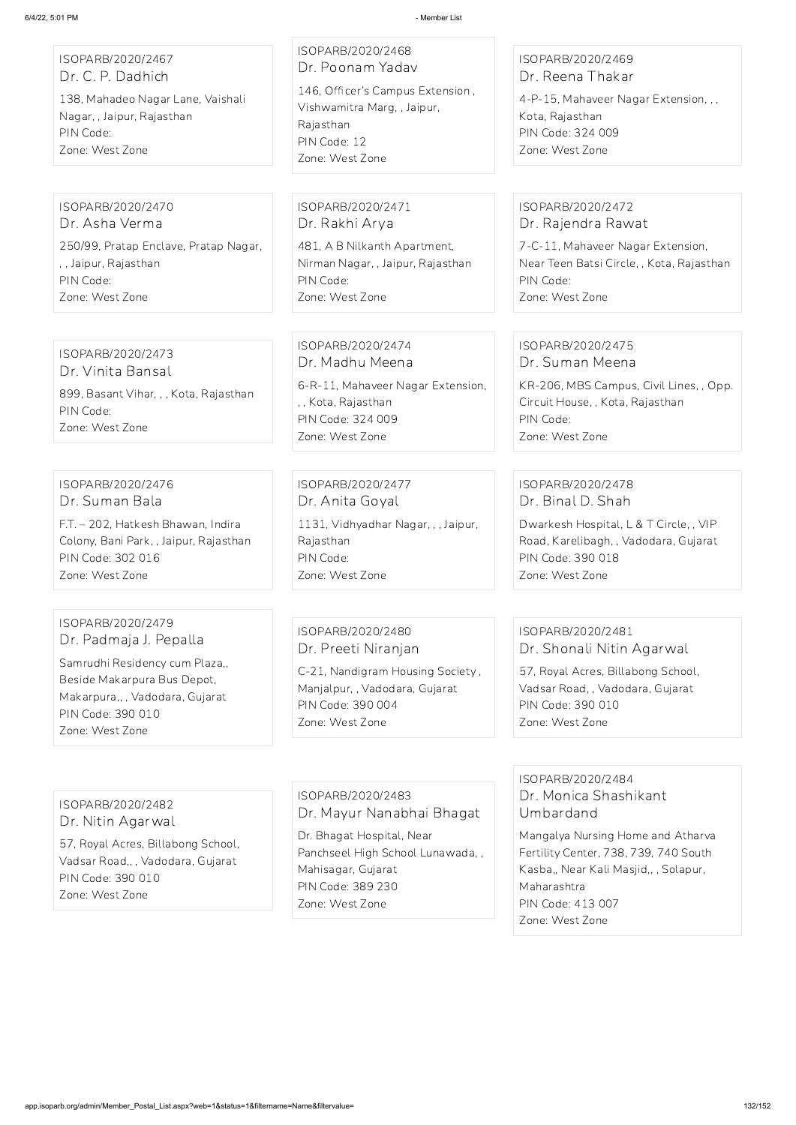| ISOPARB/2020/2467<br>Dr. C. P. Dadhich<br>138, Mahadeo Nagar Lane, Vaishali<br>Nagar, , Jaipur, Rajasthan<br>PIN Code:<br>Zone: West Zone                                              | ISOPARB/2020/2468<br>Dr. Poonam Yadav<br>146, Officer's Campus Extension,<br>Vishwamitra Marg, , Jaipur,<br>Rajasthan<br>PIN Code: 12<br>Zone: West Zone | ISOPARB/2020/2469<br>Dr. Reena Thakar<br>4-P-15, Mahaveer Nagar Extension, , ,<br>Kota, Rajasthan<br>PIN Code: 324 009<br>Zone: West Zone                         |
|----------------------------------------------------------------------------------------------------------------------------------------------------------------------------------------|----------------------------------------------------------------------------------------------------------------------------------------------------------|-------------------------------------------------------------------------------------------------------------------------------------------------------------------|
| ISOPARB/2020/2470<br>Dr. Asha Verma<br>250/99, Pratap Enclave, Pratap Nagar,<br>, , Jaipur, Rajasthan<br>PIN Code:<br>Zone: West Zone                                                  | ISOPARB/2020/2471<br>Dr. Rakhi Arya<br>481, A B Nilkanth Apartment,<br>Nirman Nagar, , Jaipur, Rajasthan<br>PIN Code:<br>Zone: West Zone                 | ISOPARB/2020/2472<br>Dr. Rajendra Rawat<br>7-C-11, Mahaveer Nagar Extension,<br>Near Teen Batsi Circle, , Kota, Rajasthan<br>PIN Code:<br>Zone: West Zone         |
| ISOPARB/2020/2473<br>Dr. Vinita Bansal<br>899, Basant Vihar, , , Kota, Rajasthan<br>PIN Code:<br>Zone: West Zone                                                                       | ISOPARB/2020/2474<br>Dr. Madhu Meena<br>6-R-11, Mahaveer Nagar Extension,<br>,, Kota, Rajasthan<br>PIN Code: 324 009<br>Zone: West Zone                  | ISOPARB/2020/2475<br>Dr. Suman Meena<br>KR-206, MBS Campus, Civil Lines, , Opp.<br>Circuit House, , Kota, Rajasthan<br>PIN Code:<br>Zone: West Zone               |
| ISOPARB/2020/2476<br>Dr. Suman Bala<br>F.T. - 202, Hatkesh Bhawan, Indira<br>Colony, Bani Park, , Jaipur, Rajasthan<br>PIN Code: 302 016<br>Zone: West Zone                            | ISOPARB/2020/2477<br>Dr. Anita Goyal<br>1131, Vidhyadhar Nagar, , , Jaipur,<br>Rajasthan<br>PIN Code:<br>Zone: West Zone                                 | ISOPARB/2020/2478<br>Dr. Binal D. Shah<br>Dwarkesh Hospital, L & T Circle, , VIP<br>Road, Karelibagh, , Vadodara, Gujarat<br>PIN Code: 390 018<br>Zone: West Zone |
| ISOPARB/2020/2479<br>Dr. Padmaja J. Pepalla<br>Samrudhi Residency cum Plaza,,<br>Beside Makarpura Bus Depot,<br>Makarpura,,, Vadodara, Gujarat<br>PIN Code: 390 010<br>Zone: West Zone | ISOPARB/2020/2480<br>Dr. Preeti Niranjan<br>C-21, Nandigram Housing Society,<br>Manjalpur,, Vadodara, Gujarat<br>PIN Code: 390 004<br>Zone: West Zone    | ISOPARB/2020/2481<br>Dr. Shonali Nitin Agarwal<br>57, Royal Acres, Billabong School,<br>Vadsar Road,, Vadodara, Gujarat<br>PIN Code: 390 010<br>Zone: West Zone   |
|                                                                                                                                                                                        |                                                                                                                                                          | ISOPARB/2020/2484                                                                                                                                                 |

ISOPARB/2020/2482 Dr. Nitin Agarwal

57, Royal Acres, Billabong School,

Vadsar Road,, , Vadodara, Gujarat PIN Code: 390 010 Zone: West Zone

ISOPARB/2020/2483 Dr. Mayur Nanabhai Bhagat

Dr. Bhagat Hospital, Near Panchseel High School Lunawada, , Mahisagar, Gujarat PIN Code: 389 230 Zone: West Zone

Dr. Monica Shashikant Umbardand

Mangalya Nursing Home and Atharva Fertility Center, 738, 739, 740 South Kasba,, Near Kali Masjid,, , Solapur, Maharashtra PIN Code: 413 007 Zone: West Zone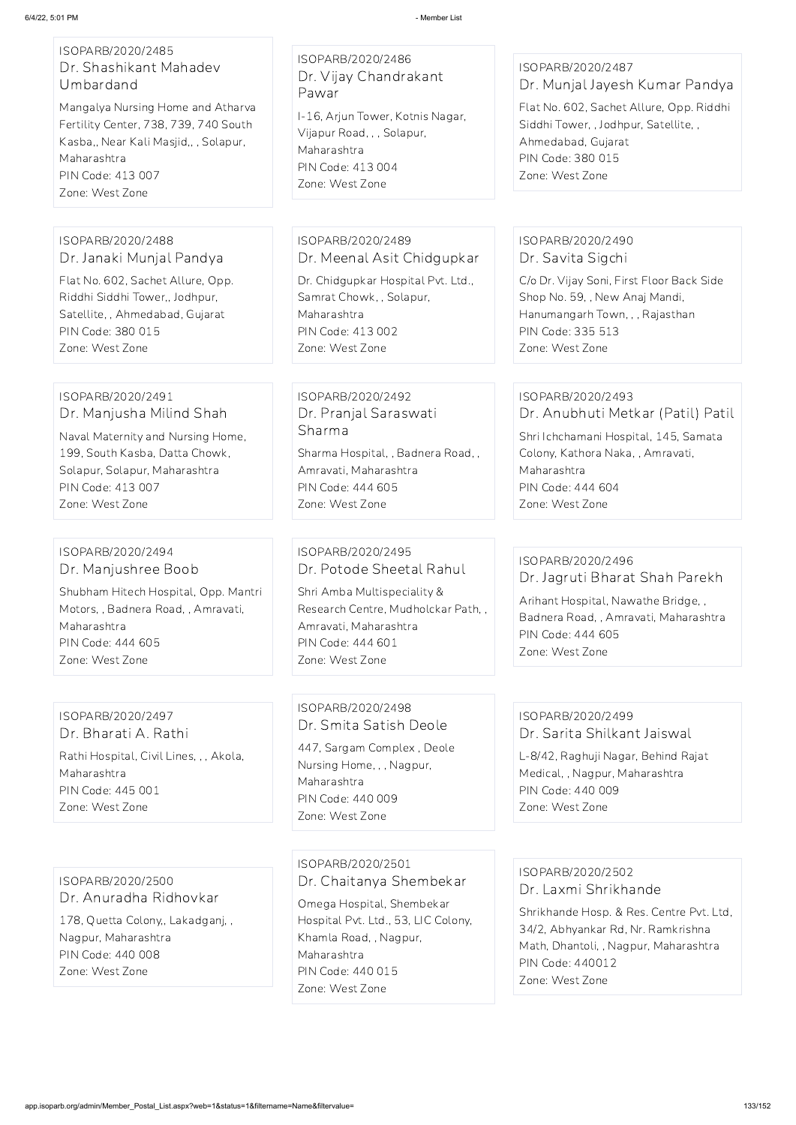#### ISOPARB/2020/2485 Dr. Shashikant Mahadev Umbardand

Mangalya Nursing Home and Atharva Fertility Center, 738, 739, 740 South Kasba,, Near Kali Masjid,, , Solapur, Maharashtra PIN Code: 413 007 Zone: West Zone

## ISOPARB/2020/2486 Dr. Vijay Chandrakant Pawar

I-16, Arjun Tower, Kotnis Nagar, Vijapur Road, , , Solapur, Maharashtra PIN Code: 413 004 Zone: West Zone

# ISOPARB/2020/2487

Dr. Munjal Jayesh Kumar Pandya

Flat No. 602, Sachet Allure, Opp. Riddhi Siddhi Tower, , Jodhpur, Satellite, , Ahmedabad, Gujarat PIN Code: 380 015 Zone: West Zone

#### ISOPARB/2020/2488 Dr. Janaki Munjal Pandya

Flat No. 602, Sachet Allure, Opp. Riddhi Siddhi Tower,, Jodhpur, Satellite, , Ahmedabad, Gujarat PIN Code: 380 015 Zone: West Zone

## ISOPARB/2020/2489 Dr. Meenal Asit Chidgupkar

Dr. Chidgupkar Hospital Pvt. Ltd., Samrat Chowk, , Solapur, Maharashtra PIN Code: 413 002 Zone: West Zone

## ISOPARB/2020/2490 Dr. Savita Sigchi

C/o Dr. Vijay Soni, First Floor Back Side Shop No. 59, , New Anaj Mandi, Hanumangarh Town, , , Rajasthan PIN Code: 335 513 Zone: West Zone

### ISOPARB/2020/2491 Dr. Manjusha Milind Shah

Naval Maternity and Nursing Home, 199, South Kasba, Datta Chowk, Solapur, Solapur, Maharashtra PIN Code: 413 007 Zone: West Zone

# ISOPARB/2020/2492 Dr. Pranjal Saraswati Sharma

Sharma Hospital, , Badnera Road, , Amravati, Maharashtra PIN Code: 444 605 Zone: West Zone

## ISOPARB/2020/2493 Dr. Anubhuti Metkar (Patil) Patil

Shri Ichchamani Hospital, 145, Samata Colony, Kathora Naka, , Amravati, Maharashtra PIN Code: 444 604 Zone: West Zone

#### ISOPARB/2020/2494 Dr. Manjushree Boob

Shubham Hitech Hospital, Opp. Mantri Motors, , Badnera Road, , Amravati, Maharashtra PIN Code: 444 605 Zone: West Zone

## ISOPARB/2020/2495 Dr. Potode Sheetal Rahul

Shri Amba Multispeciality & Research Centre, Mudholckar Path, , Amravati, Maharashtra PIN Code: 444 601 Zone: West Zone

## ISOPARB/2020/2496 Dr. Jagruti Bharat Shah Parekh

Arihant Hospital, Nawathe Bridge, , Badnera Road, , Amravati, Maharashtra PIN Code: 444 605 Zone: West Zone

## ISOPARB/2020/2497 Dr. Bharati A. Rathi

Rathi Hospital, Civil Lines, , , Akola, Maharashtra PIN Code: 445 001 Zone: West Zone

## ISOPARB/2020/2498 Dr. Smita Satish Deole

447, Sargam Complex , Deole Nursing Home, , , Nagpur, Maharashtra PIN Code: 440 009 Zone: West Zone

## ISOPARB/2020/2499 Dr. Sarita Shilkant Jaiswal

L-8/42, Raghuji Nagar, Behind Rajat Medical, , Nagpur, Maharashtra PIN Code: 440 009 Zone: West Zone

ISOPARB/2020/2500 Dr. Anuradha Ridhovkar 178, Quetta Colony,, Lakadganj, , Nagpur, Maharashtra PIN Code: 440 008 Zone: West Zone

ISOPARB/2020/2501 Dr. Chaitanya Shembekar

Omega Hospital, Shembekar Hospital Pvt. Ltd., 53, LIC Colony, Khamla Road, , Nagpur, Maharashtra PIN Code: 440 015 Zone: West Zone

ISOPARB/2020/2502 Dr. Laxmi Shrikhande

Shrikhande Hosp. & Res. Centre Pvt. Ltd, 34/2, Abhyankar Rd, Nr. Ramkrishna Math, Dhantoli, , Nagpur, Maharashtra PIN Code: 440012 Zone: West Zone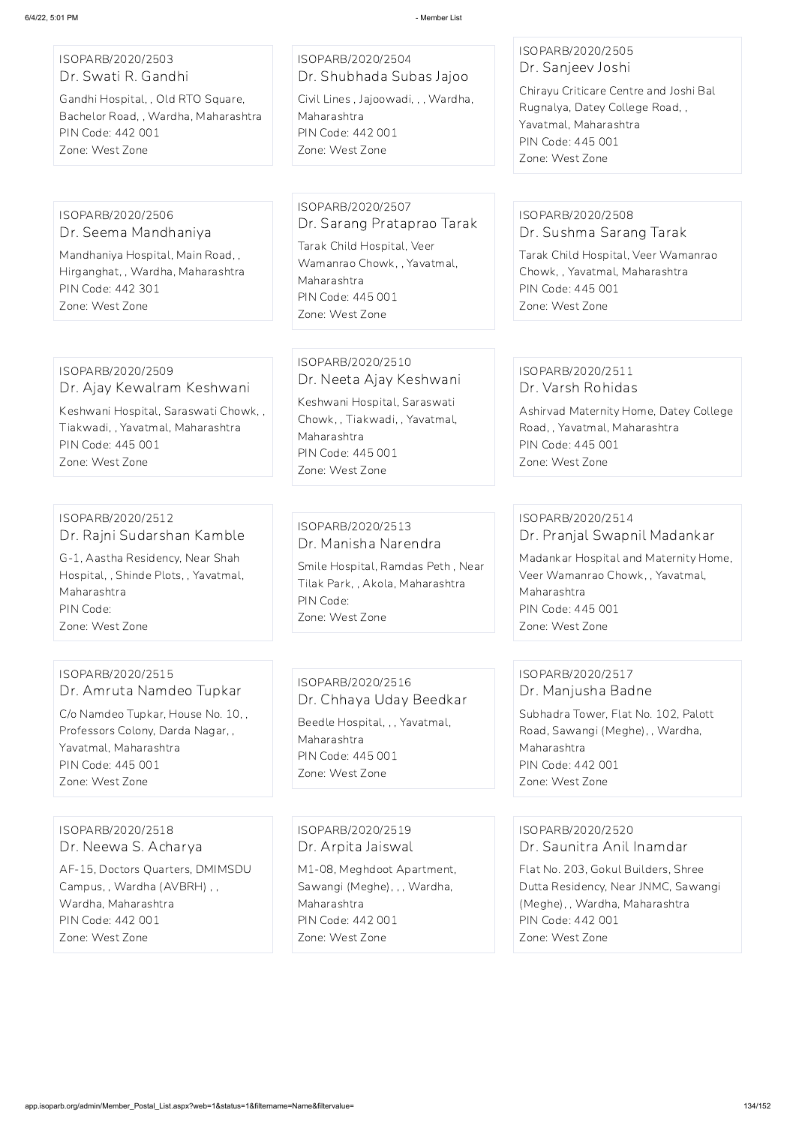#### ISOPARB/2020/2503 Dr. Swati R. Gandhi

Gandhi Hospital, , Old RTO Square, Bachelor Road, , Wardha, Maharashtra PIN Code: 442 001 Zone: West Zone

# ISOPARB/2020/2504 Dr. Shubhada Subas Jajoo

Civil Lines , Jajoowadi, , , Wardha, Maharashtra PIN Code: 442 001 Zone: West Zone

### ISOPARB/2020/2505 Dr. Sanjeev Joshi

Chirayu Criticare Centre and Joshi Bal Rugnalya, Datey College Road, , Yavatmal, Maharashtra PIN Code: 445 001 Zone: West Zone

#### ISOPARB/2020/2506 Dr. Seema Mandhaniya

Mandhaniya Hospital, Main Road, , Hirganghat, , Wardha, Maharashtra PIN Code: 442 301 Zone: West Zone

## ISOPARB/2020/2507 Dr. Sarang Prataprao Tarak

Tarak Child Hospital, Veer Wamanrao Chowk, , Yavatmal, Maharashtra PIN Code: 445 001 Zone: West Zone

## ISOPARB/2020/2508 Dr. Sushma Sarang Tarak

Tarak Child Hospital, Veer Wamanrao Chowk, , Yavatmal, Maharashtra PIN Code: 445 001 Zone: West Zone

## ISOPARB/2020/2509

Dr. Ajay Kewalram Keshwani

Keshwani Hospital, Saraswati Chowk, , Tiakwadi, , Yavatmal, Maharashtra PIN Code: 445 001 Zone: West Zone

#### ISOPARB/2020/2510 Dr. Neeta Ajay Keshwani

Keshwani Hospital, Saraswati Chowk, , Tiakwadi, , Yavatmal, Maharashtra PIN Code: 445 001 Zone: West Zone

#### ISOPARB/2020/2511 Dr. Varsh Rohidas

Ashirvad Maternity Home, Datey College Road, , Yavatmal, Maharashtra PIN Code: 445 001 Zone: West Zone

#### ISOPARB/2020/2512 Dr. Rajni Sudarshan Kamble

G-1, Aastha Residency, Near Shah Hospital, , Shinde Plots, , Yavatmal, Maharashtra PIN Code: Zone: West Zone

## ISOPARB/2020/2513 Dr. Manisha Narendra

Smile Hospital, Ramdas Peth , Near Tilak Park, , Akola, Maharashtra PIN Code: Zone: West Zone

## ISOPARB/2020/2514 Dr. Pranjal Swapnil Madankar

Madankar Hospital and Maternity Home, Veer Wamanrao Chowk, , Yavatmal, Maharashtra PIN Code: 445 001 Zone: West Zone

## ISOPARB/2020/2515 Dr. Amruta Namdeo Tupkar

C/o Namdeo Tupkar, House No. 10, , Professors Colony, Darda Nagar, , Yavatmal, Maharashtra PIN Code: 445 001 Zone: West Zone

## ISOPARB/2020/2516 Dr. Chhaya Uday Beedkar Beedle Hospital, , , Yavatmal,

Maharashtra PIN Code: 445 001 Zone: West Zone

## ISOPARB/2020/2517 Dr. Manjusha Badne

Subhadra Tower, Flat No. 102, Palott Road, Sawangi (Meghe), , Wardha, Maharashtra PIN Code: 442 001 Zone: West Zone

ISOPARB/2020/2518 Dr. Neewa S. Acharya

AF-15, Doctors Quarters, DMIMSDU Campus, , Wardha (AVBRH) , , Wardha, Maharashtra PIN Code: 442 001 Zone: West Zone

ISOPARB/2020/2519 Dr. Arpita Jaiswal

M1-08, Meghdoot Apartment, Sawangi (Meghe), , , Wardha, Maharashtra PIN Code: 442 001 Zone: West Zone

ISOPARB/2020/2520 Dr. Saunitra Anil Inamdar

Flat No. 203, Gokul Builders, Shree Dutta Residency, Near JNMC, Sawangi (Meghe), , Wardha, Maharashtra PIN Code: 442 001 Zone: West Zone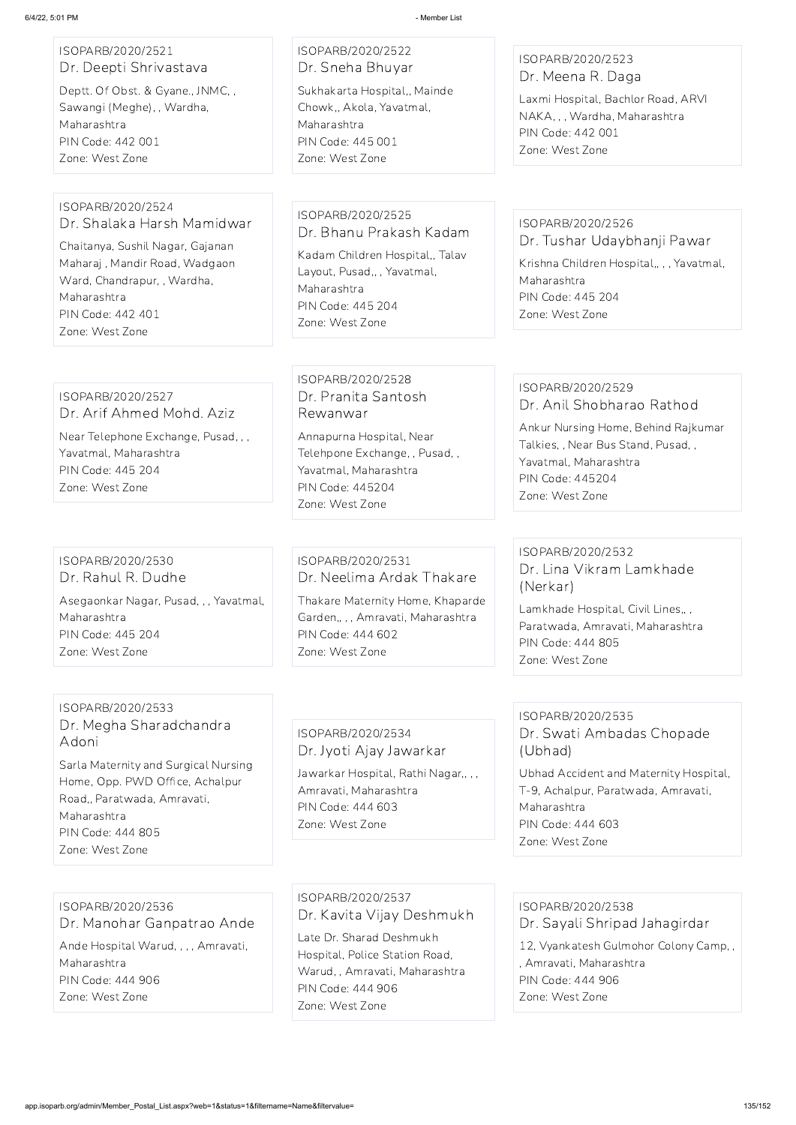## ISOPARB/2020/2521 Dr. Deepti Shrivastava

Deptt. Of Obst. & Gyane., JNMC, , Sawangi (Meghe), , Wardha, Maharashtra PIN Code: 442 001 Zone: West Zone

# ISOPARB/2020/2522 Dr. Sneha Bhuyar

Sukhakarta Hospital,, Mainde Chowk,, Akola, Yavatmal, Maharashtra PIN Code: 445 001 Zone: West Zone

#### ISOPARB/2020/2523 Dr. Meena R. Daga

Laxmi Hospital, Bachlor Road, ARVI NAKA, , , Wardha, Maharashtra PIN Code: 442 001 Zone: West Zone

Krishna Children Hospital,,,, Yavatmal, Maharashtra PIN Code: 445 204 Zone: West Zone

#### ISOPARB/2020/2524 Dr. Shalaka Harsh Mamidwar

Chaitanya, Sushil Nagar, Gajanan Maharaj , Mandir Road, Wadgaon Ward, Chandrapur, , Wardha, Maharashtra PIN Code: 442 401 Zone: West Zone

## ISOPARB/2020/2525 Dr. Bhanu Prakash Kadam Kadam Children Hospital,, Talav Layout, Pusad,, , Yavatmal, Maharashtra PIN Code: 445 204 Zone: West Zone

# ISOPARB/2020/2526

Dr. Tushar Udaybhanji Pawar

## ISOPARB/2020/2527 Dr. Arif Ahmed Mohd. Aziz

Near Telephone Exchange, Pusad, , , Yavatmal, Maharashtra PIN Code: 445 204 Zone: West Zone

## ISOPARB/2020/2528 Dr. Pranita Santosh Rewanwar

Annapurna Hospital, Near Telehpone Exchange, , Pusad, , Yavatmal, Maharashtra PIN Code: 445204 Zone: West Zone

## ISOPARB/2020/2529 Dr. Anil Shobharao Rathod

Ankur Nursing Home, Behind Rajkumar Talkies, , Near Bus Stand, Pusad, , Yavatmal, Maharashtra PIN Code: 445204 Zone: West Zone

## ISOPARB/2020/2530 Dr. Rahul R. Dudhe

Asegaonkar Nagar, Pusad, , , Yavatmal, Maharashtra PIN Code: 445 204 Zone: West Zone

## ISOPARB/2020/2531 Dr. Neelima Ardak Thakare

Thakare Maternity Home, Khaparde Garden,, , , Amravati, Maharashtra PIN Code: 444 602 Zone: West Zone

## ISOPARB/2020/2532 Dr. Lina Vikram Lamkhade (Nerkar)

Lamkhade Hospital, Civil Lines,, , Paratwada, Amravati, Maharashtra PIN Code: 444 805 Zone: West Zone

#### ISOPARB/2020/2533 Dr. Megha Sharadchandra Adoni

Sarla Maternity and Surgical Nursing Home, Opp. PWD Office, Achalpur Road,, Paratwada, Amravati, Maharashtra PIN Code: 444 805 Zone: West Zone

## ISOPARB/2020/2534 Dr. Jyoti Ajay Jawarkar

Jawarkar Hospital, Rathi Nagar,, , , Amravati, Maharashtra PIN Code: 444 603 Zone: West Zone

## ISOPARB/2020/2535 Dr. Swati Ambadas Chopade (Ubhad)

Ubhad Accident and Maternity Hospital, T-9, Achalpur, Paratwada, Amravati, Maharashtra PIN Code: 444 603 Zone: West Zone

ISOPARB/2020/2536 Dr. Manohar Ganpatrao Ande Ande Hospital Warud, , , , Amravati, Maharashtra PIN Code: 444 906 Zone: West Zone

ISOPARB/2020/2537 Dr. Kavita Vijay Deshmukh Late Dr. Sharad Deshmukh

Hospital, Police Station Road, Warud, , Amravati, Maharashtra PIN Code: 444 906 Zone: West Zone

ISOPARB/2020/2538 Dr. Sayali Shripad Jahagirdar 12, Vyankatesh Gulmohor Colony Camp, , , Amravati, Maharashtra PIN Code: 444 906 Zone: West Zone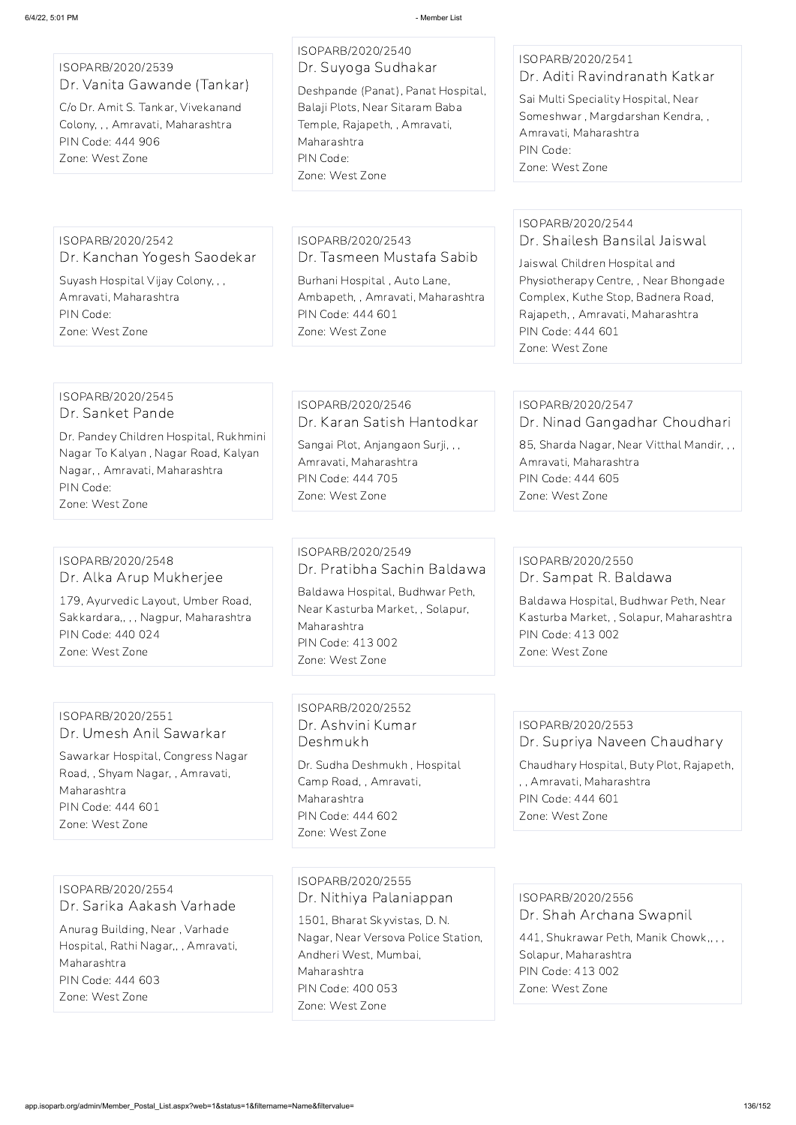## ISOPARB/2020/2539 Dr. Vanita Gawande (Tankar)

C/o Dr. Amit S. Tankar, Vivekanand Colony, , , Amravati, Maharashtra PIN Code: 444 906 Zone: West Zone

## ISOPARB/2020/2540 Dr. Suyoga Sudhakar

Deshpande (Panat), Panat Hospital, Balaji Plots, Near Sitaram Baba Temple, Rajapeth, , Amravati, Maharashtra PIN Code: Zone: West Zone

## ISOPARB/2020/2541 Dr. Aditi Ravindranath Katkar

Sai Multi Speciality Hospital, Near Someshwar , Margdarshan Kendra, , Amravati, Maharashtra PIN Code: Zone: West Zone

## ISOPARB/2020/2542 Dr. Kanchan Yogesh Saodekar

Suyash Hospital Vijay Colony, , , Amravati, Maharashtra PIN Code: Zone: West Zone

## ISOPARB/2020/2543 Dr. Tasmeen Mustafa Sabib

Burhani Hospital , Auto Lane, Ambapeth, , Amravati, Maharashtra PIN Code: 444 601 Zone: West Zone

## ISOPARB/2020/2544 Dr. Shailesh Bansilal Jaiswal

Jaiswal Children Hospital and Physiotherapy Centre, , Near Bhongade Complex, Kuthe Stop, Badnera Road, Rajapeth, , Amravati, Maharashtra PIN Code: 444 601 Zone: West Zone

#### ISOPARB/2020/2545 Dr. Sanket Pande

Dr. Pandey Children Hospital, Rukhmini Nagar To Kalyan , Nagar Road, Kalyan Nagar, , Amravati, Maharashtra PIN Code: Zone: West Zone

## ISOPARB/2020/2546 Dr. Karan Satish Hantodkar

Sangai Plot, Anjangaon Surji, , , Amravati, Maharashtra PIN Code: 444 705 Zone: West Zone

# ISOPARB/2020/2547

Dr. Ninad Gangadhar Choudhari

85, Sharda Nagar, Near Vitthal Mandir, , , Amravati, Maharashtra PIN Code: 444 605 Zone: West Zone

## ISOPARB/2020/2548 Dr. Alka Arup Mukherjee

179, Ayurvedic Layout, Umber Road, Sakkardara,, , , Nagpur, Maharashtra PIN Code: 440 024 Zone: West Zone

## ISOPARB/2020/2549 Dr. Pratibha Sachin Baldawa

Baldawa Hospital, Budhwar Peth, Near Kasturba Market, , Solapur, Maharashtra PIN Code: 413 002 Zone: West Zone

## ISOPARB/2020/2550 Dr. Sampat R. Baldawa

Baldawa Hospital, Budhwar Peth, Near Kasturba Market, , Solapur, Maharashtra PIN Code: 413 002 Zone: West Zone

## ISOPARB/2020/2551 Dr. Umesh Anil Sawarkar

Sawarkar Hospital, Congress Nagar Road, , Shyam Nagar, , Amravati, Maharashtra PIN Code: 444 601 Zone: West Zone

## ISOPARB/2020/2552 Dr. Ashvini Kumar Deshmukh

Dr. Sudha Deshmukh , Hospital Camp Road, , Amravati, Maharashtra PIN Code: 444 602 Zone: West Zone

## ISOPARB/2020/2553 Dr. Supriya Naveen Chaudhary

Chaudhary Hospital, Buty Plot, Rajapeth, , , Amravati, Maharashtra PIN Code: 444 601 Zone: West Zone

ISOPARB/2020/2554 Dr. Sarika Aakash Varhade Anurag Building, Near , Varhade Hospital, Rathi Nagar,, , Amravati, Maharashtra PIN Code: 444 603 Zone: West Zone

ISOPARB/2020/2555 Dr. Nithiya Palaniappan 1501, Bharat Skyvistas, D. N. Nagar, Near Versova Police Station, Andheri West, Mumbai, Maharashtra PIN Code: 400 053 Zone: West Zone

ISOPARB/2020/2556 Dr. Shah Archana Swapnil

441, Shukrawar Peth, Manik Chowk,, , , Solapur, Maharashtra PIN Code: 413 002 Zone: West Zone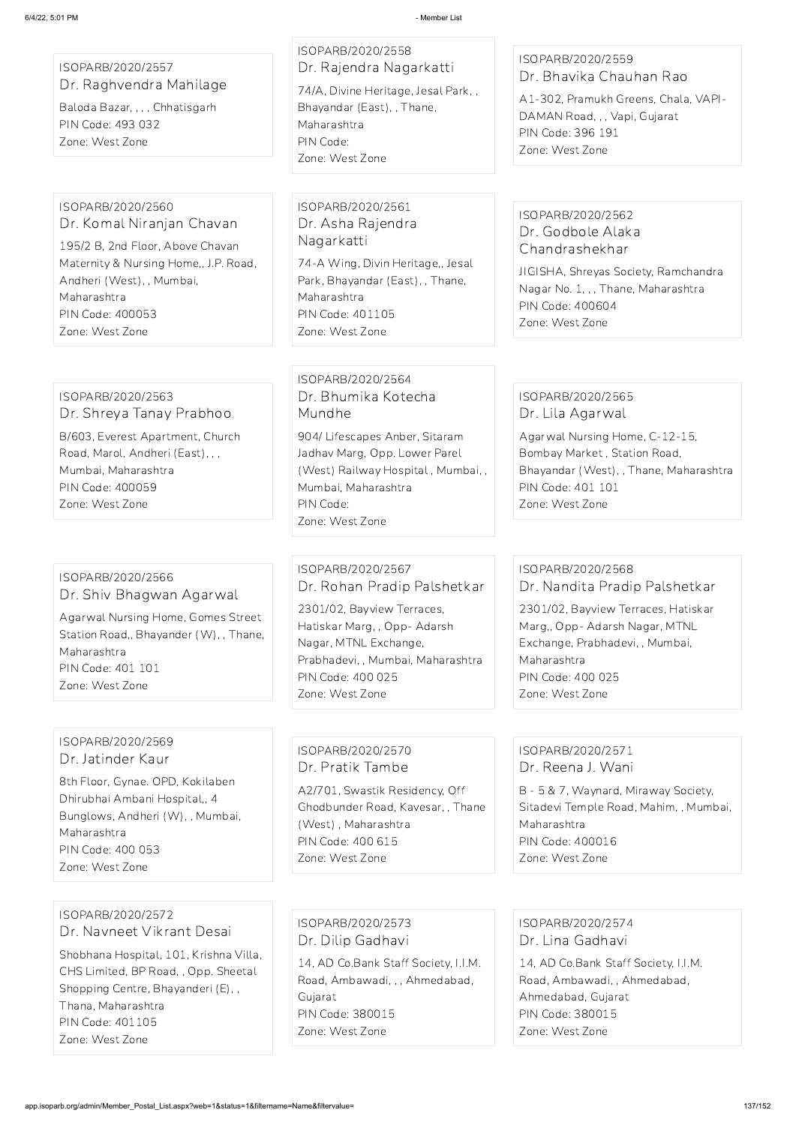ISOPARB/2020/2557 Dr. Raghvendra Mahilage

Baloda Bazar, , , , Chhatisgarh PIN Code: 493 032 Zone: West Zone

ISOPARB/2020/2558 Dr. Rajendra Nagarkatti 74/A, Divine Heritage, Jesal Park, , Bhayandar (East), , Thane, Maharashtra PIN Code: Zone: West Zone

## ISOPARB/2020/2559 Dr. Bhavika Chauhan Rao

A1-302, Pramukh Greens, Chala, VAPI-DAMAN Road, , , Vapi, Gujarat PIN Code: 396 191 Zone: West Zone

## ISOPARB/2020/2560 Dr. Komal Niranjan Chavan

195/2 B, 2nd Floor, Above Chavan Maternity & Nursing Home,, J.P. Road, Andheri (West), , Mumbai, Maharashtra PIN Code: 400053 Zone: West Zone

ISOPARB/2020/2561 Dr. Asha Rajendra Nagarkatti

74-A Wing, Divin Heritage,, Jesal Park, Bhayandar (East), , Thane, Maharashtra PIN Code: 401105 Zone: West Zone

## ISOPARB/2020/2562 Dr. Godbole Alaka Chandrashekhar

JIGISHA, Shreyas Society, Ramchandra Nagar No. 1, , , Thane, Maharashtra PIN Code: 400604 Zone: West Zone

### ISOPARB/2020/2563 Dr. Shreya Tanay Prabhoo

B/603, Everest Apartment, Church Road, Marol, Andheri (East), , , Mumbai, Maharashtra PIN Code: 400059 Zone: West Zone

ISOPARB/2020/2564 Dr. Bhumika Kotecha Mundhe

904/ Lifescapes Anber, Sitaram Jadhav Marg, Opp. Lower Parel (West) Railway Hospital , Mumbai, , Mumbai, Maharashtra PIN Code: Zone: West Zone

## ISOPARB/2020/2565 Dr. Lila Agarwal

Agarwal Nursing Home, C-12-15, Bombay Market , Station Road, Bhayandar (West), , Thane, Maharashtra PIN Code: 401 101 Zone: West Zone

#### ISOPARB/2020/2566 Dr. Shiv Bhagwan Agarwal

Agarwal Nursing Home, Gomes Street Station Road,, Bhayander (W), , Thane, Maharashtra PIN Code: 401 101 Zone: West Zone

ISOPARB/2020/2567 Dr. Rohan Pradip Palshetkar

2301/02, Bayview Terraces, Hatiskar Marg, , Opp- Adarsh Nagar, MTNL Exchange, Prabhadevi, , Mumbai, Maharashtra PIN Code: 400 025 Zone: West Zone

## ISOPARB/2020/2568 Dr. Nandita Pradip Palshetkar

2301/02, Bayview Terraces, Hatiskar Marg,, Opp- Adarsh Nagar, MTNL Exchange, Prabhadevi, , Mumbai, Maharashtra PIN Code: 400 025 Zone: West Zone

#### ISOPARB/2020/2569 Dr. Jatinder Kaur

8th Floor, Gynae. OPD, Kokilaben Dhirubhai Ambani Hospital,, 4 Bunglows, Andheri (W), , Mumbai, Maharashtra

PIN Code: 400 053

Zone: West Zone

## ISOPARB/2020/2570 Dr. Pratik Tambe

A2/701, Swastik Residency, Off Ghodbunder Road, Kavesar, , Thane (West) , Maharashtra PIN Code: 400 615

Zone: West Zone

## ISOPARB/2020/2571 Dr. Reena J. Wani

B - 5 & 7, Waynard, Miraway Society, Sitadevi Temple Road, Mahim, , Mumbai, Maharashtra PIN Code: 400016

Zone: West Zone

ISOPARB/2020/2572 Dr. Navneet Vikrant Desai Shobhana Hospital, 101, Krishna Villa, CHS Limited, BP Road, , Opp. Sheetal Shopping Centre, Bhayanderi (E), , Thana, Maharashtra PIN Code: 401105 Zone: West Zone

ISOPARB/2020/2573 Dr. Dilip Gadhavi 14, AD Co.Bank Staff Society, I.I.M. Road, Ambawadi, , , Ahmedabad, Gujarat PIN Code: 380015 Zone: West Zone

ISOPARB/2020/2574 Dr. Lina Gadhavi

14, AD Co.Bank Staff Society, I.I.M. Road, Ambawadi, , Ahmedabad, Ahmedabad, Gujarat PIN Code: 380015 Zone: West Zone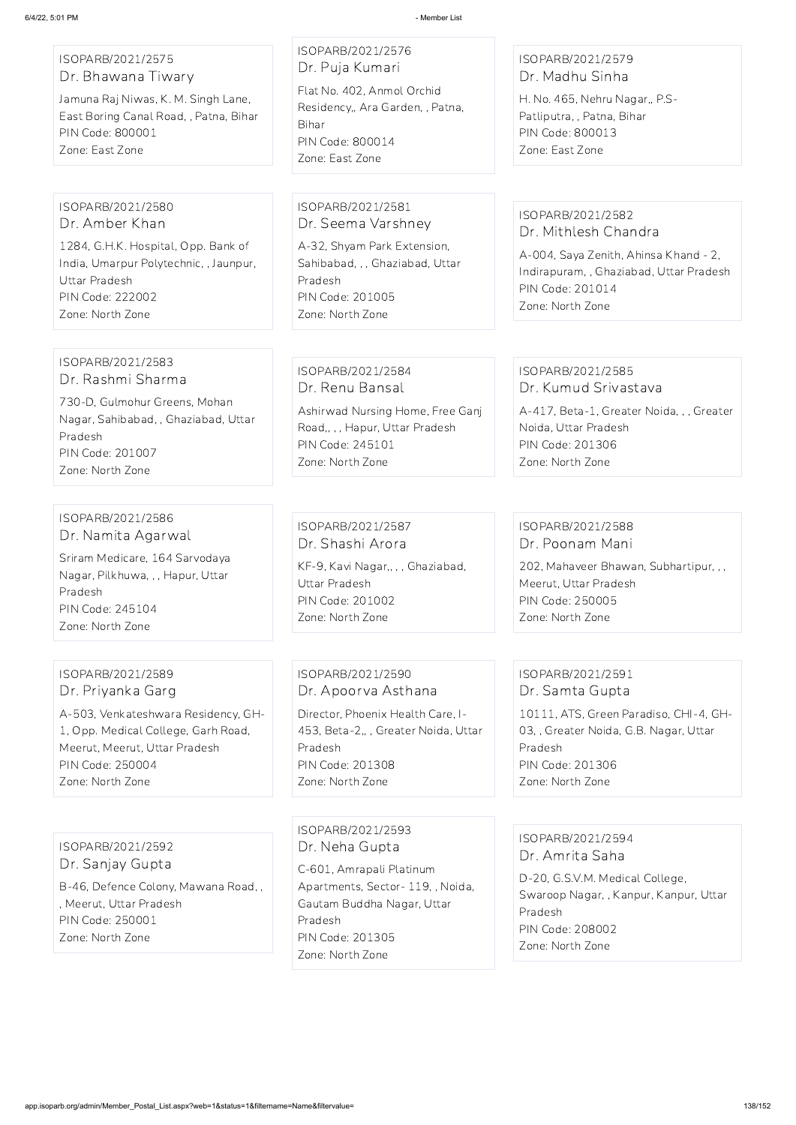ISOPARB/2021/2575 Dr. Bhawana Tiwary

Jamuna Raj Niwas, K. M. Singh Lane, East Boring Canal Road, , Patna, Bihar PIN Code: 800001 Zone: East Zone

## ISOPARB/2021/2576 Dr. Puja Kumari

Flat No. 402, Anmol Orchid Residency,, Ara Garden, , Patna, Bihar PIN Code: 800014 Zone: East Zone

## ISOPARB/2021/2579 Dr. Madhu Sinha

H. No. 465, Nehru Nagar,, P.S-Patliputra, , Patna, Bihar PIN Code: 800013 Zone: East Zone

## ISOPARB/2021/2580 Dr. Amber Khan

1284, G.H.K. Hospital, Opp. Bank of India, Umarpur Polytechnic, , Jaunpur, Uttar Pradesh PIN Code: 222002 Zone: North Zone

ISOPARB/2021/2581 Dr. Seema Varshney

A-32, Shyam Park Extension, Sahibabad, , , Ghaziabad, Uttar Pradesh PIN Code: 201005 Zone: North Zone

KF-9, Kavi Nagar,, , , Ghaziabad, Uttar Pradesh PIN Code: 201002 Zone: North Zone

## ISOPARB/2021/2582 Dr. Mithlesh Chandra

A-004, Saya Zenith, Ahinsa Khand - 2, Indirapuram, , Ghaziabad, Uttar Pradesh PIN Code: 201014 Zone: North Zone

#### ISOPARB/2021/2583 Dr. Rashmi Sharma

730-D, Gulmohur Greens, Mohan Nagar, Sahibabad, , Ghaziabad, Uttar Pradesh PIN Code: 201007 Zone: North Zone

## ISOPARB/2021/2584 Dr. Renu Bansal

Ashirwad Nursing Home, Free Ganj Road,, , , Hapur, Uttar Pradesh PIN Code: 245101 Zone: North Zone

## ISOPARB/2021/2585 Dr. Kumud Srivastava

A-417, Beta-1, Greater Noida, , , Greater Noida, Uttar Pradesh PIN Code: 201306 Zone: North Zone

#### ISOPARB/2021/2586 Dr. Namita Agarwal

Sriram Medicare, 164 Sarvodaya Nagar, Pilkhuwa, , , Hapur, Uttar Pradesh PIN Code: 245104 Zone: North Zone

## ISOPARB/2021/2587 Dr. Shashi Arora

## ISOPARB/2021/2588 Dr. Poonam Mani

202, Mahaveer Bhawan, Subhartipur, , , Meerut, Uttar Pradesh PIN Code: 250005 Zone: North Zone

## ISOPARB/2021/2589 Dr. Priyanka Garg

A-503, Venkateshwara Residency, GH-1, Opp. Medical College, Garh Road, Meerut, Meerut, Uttar Pradesh PIN Code: 250004 Zone: North Zone

ISOPARB/2021/2590 Dr. Apoorva Asthana

Director, Phoenix Health Care, I-453, Beta-2,, , Greater Noida, Uttar Pradesh PIN Code: 201308 Zone: North Zone

## ISOPARB/2021/2591 Dr. Samta Gupta

10111, ATS, Green Paradiso, CHI-4, GH-03, , Greater Noida, G.B. Nagar, Uttar Pradesh PIN Code: 201306 Zone: North Zone

ISOPARB/2021/2592 Dr. Sanjay Gupta

B-46, Defence Colony, Mawana Road, , , Meerut, Uttar Pradesh PIN Code: 250001 Zone: North Zone

ISOPARB/2021/2593 Dr. Neha Gupta

C-601, Amrapali Platinum Apartments, Sector- 119, , Noida, Gautam Buddha Nagar, Uttar Pradesh PIN Code: 201305 Zone: North Zone

ISOPARB/2021/2594

Dr. Amrita Saha

D-20, G.S.V.M. Medical College, Swaroop Nagar, , Kanpur, Kanpur, Uttar Pradesh PIN Code: 208002 Zone: North Zone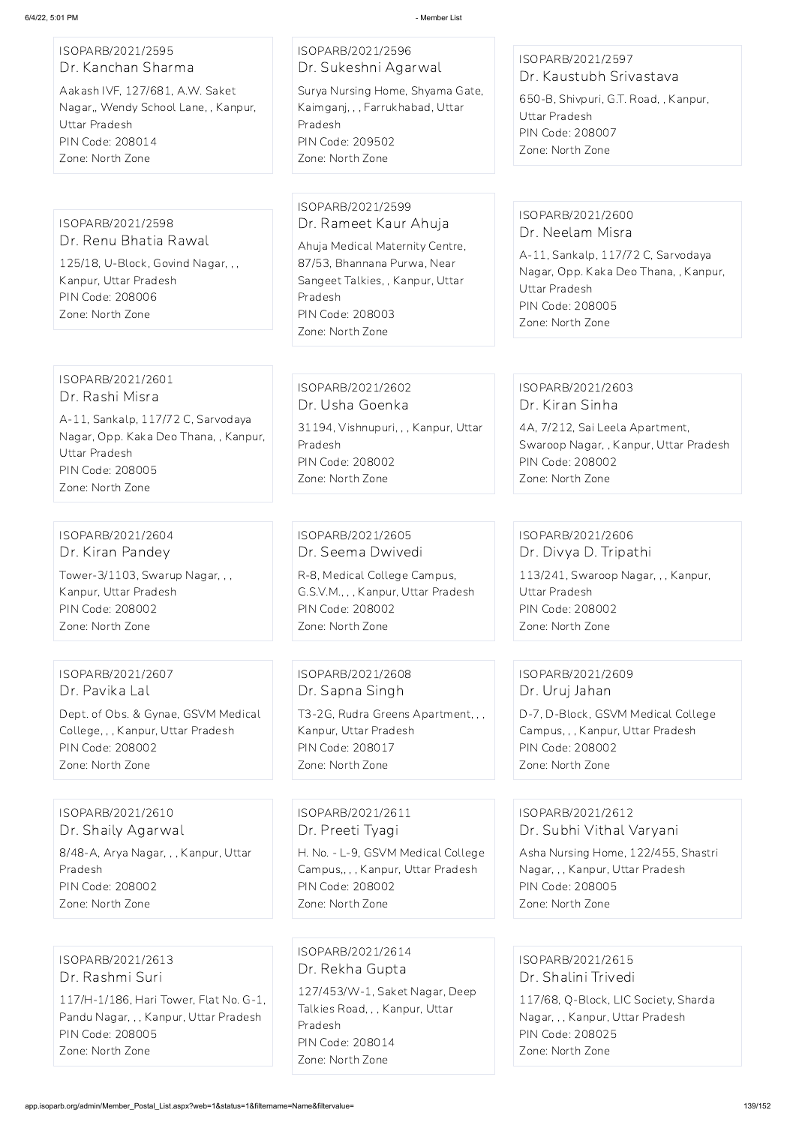## ISOPARB/2021/2595 Dr. Kanchan Sharma

Aakash IVF, 127/681, A.W. Saket Nagar,, Wendy School Lane, , Kanpur, Uttar Pradesh PIN Code: 208014 Zone: North Zone

ISOPARB/2021/2596 Dr. Sukeshni Agarwal

Surya Nursing Home, Shyama Gate, Kaimganj, , , Farrukhabad, Uttar Pradesh PIN Code: 209502 Zone: North Zone

## ISOPARB/2021/2597 Dr. Kaustubh Srivastava

650-B, Shivpuri, G.T. Road, , Kanpur, Uttar Pradesh PIN Code: 208007 Zone: North Zone

ISOPARB/2021/2598 Dr. Renu Bhatia Rawal

125/18, U-Block, Govind Nagar, , , Kanpur, Uttar Pradesh PIN Code: 208006 Zone: North Zone

ISOPARB/2021/2599 Dr. Rameet Kaur Ahuja

Ahuja Medical Maternity Centre, 87/53, Bhannana Purwa, Near Sangeet Talkies, , Kanpur, Uttar Pradesh PIN Code: 208003 Zone: North Zone

ISOPARB/2021/2600 Dr. Neelam Misra

A-11, Sankalp, 117/72 C, Sarvodaya Nagar, Opp. Kaka Deo Thana, , Kanpur, Uttar Pradesh PIN Code: 208005 Zone: North Zone

ISOPARB/2021/2601 Dr. Rashi Misra A-11, Sankalp, 117/72 C, Sarvodaya

Nagar, Opp. Kaka Deo Thana, , Kanpur, Uttar Pradesh PIN Code: 208005 Zone: North Zone

ISOPARB/2021/2602 Dr. Usha Goenka 31194, Vishnupuri, , , Kanpur, Uttar Pradesh PIN Code: 208002 Zone: North Zone

ISOPARB/2021/2603 Dr. Kiran Sinha

4A, 7/212, Sai Leela Apartment, Swaroop Nagar, , Kanpur, Uttar Pradesh PIN Code: 208002 Zone: North Zone

ISOPARB/2021/2604 Dr. Kiran Pandey Tower-3/1103, Swarup Nagar, , , Kanpur, Uttar Pradesh PIN Code: 208002 Zone: North Zone

ISOPARB/2021/2605 Dr. Seema Dwivedi R-8, Medical College Campus, G.S.V.M., , , Kanpur, Uttar Pradesh PIN Code: 208002

Zone: North Zone

ISOPARB/2021/2606 Dr. Divya D. Tripathi 113/241, Swaroop Nagar, , , Kanpur, Uttar Pradesh PIN Code: 208002 Zone: North Zone

ISOPARB/2021/2607 Dr. Pavika Lal

Dept. of Obs. & Gynae, GSVM Medical College, , , Kanpur, Uttar Pradesh PIN Code: 208002 Zone: North Zone

ISOPARB/2021/2608 Dr. Sapna Singh

T3-2G, Rudra Greens Apartment, , , Kanpur, Uttar Pradesh PIN Code: 208017 Zone: North Zone

ISOPARB/2021/2609 Dr. Uruj Jahan

D-7, D-Block, GSVM Medical College Campus, , , Kanpur, Uttar Pradesh PIN Code: 208002 Zone: North Zone

ISOPARB/2021/2610 Dr. Shaily Agarwal 8/48-A, Arya Nagar, , , Kanpur, Uttar Pradesh PIN Code: 208002 Zone: North Zone

ISOPARB/2021/2611 Dr. Preeti Tyagi H. No. - L-9, GSVM Medical College Campus,, , , Kanpur, Uttar Pradesh PIN Code: 208002 Zone: North Zone

ISOPARB/2021/2612 Dr. Subhi Vithal Varyani

Asha Nursing Home, 122/455, Shastri Nagar, , , Kanpur, Uttar Pradesh PIN Code: 208005 Zone: North Zone

ISOPARB/2021/2613 Dr. Rashmi Suri

117/H-1/186, Hari Tower, Flat No. G-1, Pandu Nagar, , , Kanpur, Uttar Pradesh PIN Code: 208005 Zone: North Zone

ISOPARB/2021/2614 Dr. Rekha Gupta

127/453/W-1, Saket Nagar, Deep Talkies Road, , , Kanpur, Uttar Pradesh PIN Code: 208014 Zone: North Zone

ISOPARB/2021/2615 Dr. Shalini Trivedi

117/68, Q-Block, LIC Society, Sharda Nagar, , , Kanpur, Uttar Pradesh PIN Code: 208025 Zone: North Zone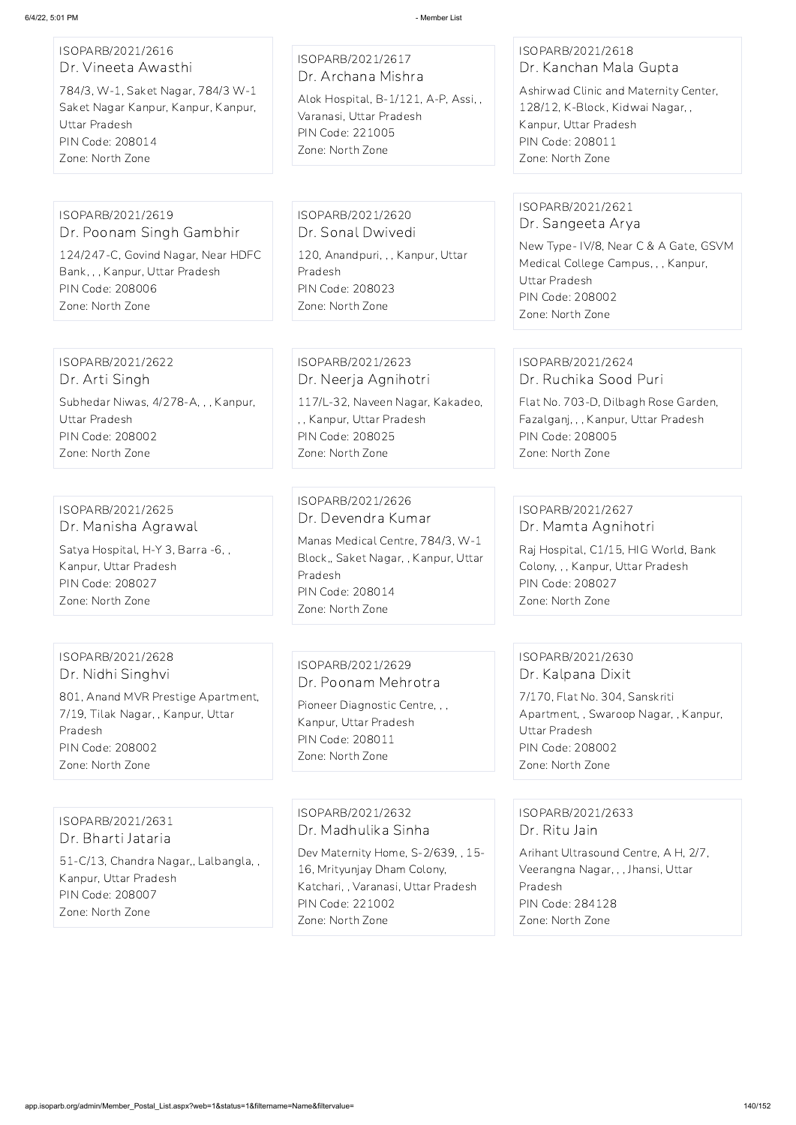| ISOPARB/2021/2616   |  |
|---------------------|--|
| Dr. Vineeta Awasthi |  |

784/3, W-1, Saket Nagar, 784/3 W-1 Saket Nagar Kanpur, Kanpur, Kanpur, Uttar Pradesh PIN Code: 208014 Zone: North Zone

ISOPARB/2021/2617 Dr. Archana Mishra

Alok Hospital, B-1/121, A-P, Assi, , Varanasi, Uttar Pradesh PIN Code: 221005 Zone: North Zone

## ISOPARB/2021/2618 Dr. Kanchan Mala Gupta

Ashirwad Clinic and Maternity Center, 128/12, K-Block, Kidwai Nagar, , Kanpur, Uttar Pradesh PIN Code: 208011 Zone: North Zone

#### ISOPARB/2021/2619 Dr. Poonam Singh Gambhir

124/247-C, Govind Nagar, Near HDFC Bank, , , Kanpur, Uttar Pradesh PIN Code: 208006 Zone: North Zone

ISOPARB/2021/2620 Dr. Sonal Dwivedi 120, Anandpuri, , , Kanpur, Uttar Pradesh PIN Code: 208023

Zone: North Zone

#### ISOPARB/2021/2621 Dr. Sangeeta Arya

New Type- IV/8, Near C & A Gate, GSVM Medical College Campus, , , Kanpur, Uttar Pradesh PIN Code: 208002 Zone: North Zone

## ISOPARB/2021/2622

Dr. Arti Singh Subhedar Niwas, 4/278-A, , , Kanpur, Uttar Pradesh PIN Code: 208002 Zone: North Zone

## ISOPARB/2021/2623 Dr. Neerja Agnihotri

117/L-32, Naveen Nagar, Kakadeo, , , Kanpur, Uttar Pradesh PIN Code: 208025 Zone: North Zone

## ISOPARB/2021/2624 Dr. Ruchika Sood Puri

Flat No. 703-D, Dilbagh Rose Garden, Fazalganj, , , Kanpur, Uttar Pradesh PIN Code: 208005 Zone: North Zone

## ISOPARB/2021/2625 Dr. Manisha Agrawal

Satya Hospital, H-Y 3, Barra -6, , Kanpur, Uttar Pradesh PIN Code: 208027 Zone: North Zone

#### ISOPARB/2021/2626 Dr. Devendra Kumar

Manas Medical Centre, 784/3, W-1 Block,, Saket Nagar, , Kanpur, Uttar Pradesh PIN Code: 208014 Zone: North Zone

## ISOPARB/2021/2627 Dr. Mamta Agnihotri

Raj Hospital, C1/15, HIG World, Bank Colony, , , Kanpur, Uttar Pradesh PIN Code: 208027 Zone: North Zone

### ISOPARB/2021/2628 Dr. Nidhi Singhvi

801, Anand MVR Prestige Apartment, 7/19, Tilak Nagar, , Kanpur, Uttar Pradesh PIN Code: 208002 Zone: North Zone

## ISOPARB/2021/2629 Dr. Poonam Mehrotra

Pioneer Diagnostic Centre, , , Kanpur, Uttar Pradesh PIN Code: 208011 Zone: North Zone

## ISOPARB/2021/2630 Dr. Kalpana Dixit

7/170, Flat No. 304, Sanskriti Apartment, , Swaroop Nagar, , Kanpur, Uttar Pradesh PIN Code: 208002 Zone: North Zone

## ISOPARB/2021/2631 Dr. Bharti Jataria

51-C/13, Chandra Nagar,, Lalbangla, , Kanpur, Uttar Pradesh PIN Code: 208007 Zone: North Zone

ISOPARB/2021/2632 Dr. Madhulika Sinha Dev Maternity Home, S-2/639, , 15- 16, Mrityunjay Dham Colony, Katchari, , Varanasi, Uttar Pradesh PIN Code: 221002 Zone: North Zone

## ISOPARB/2021/2633 Dr. Ritu Jain

Arihant Ultrasound Centre, A H, 2/7, Veerangna Nagar, , , Jhansi, Uttar Pradesh PIN Code: 284128 Zone: North Zone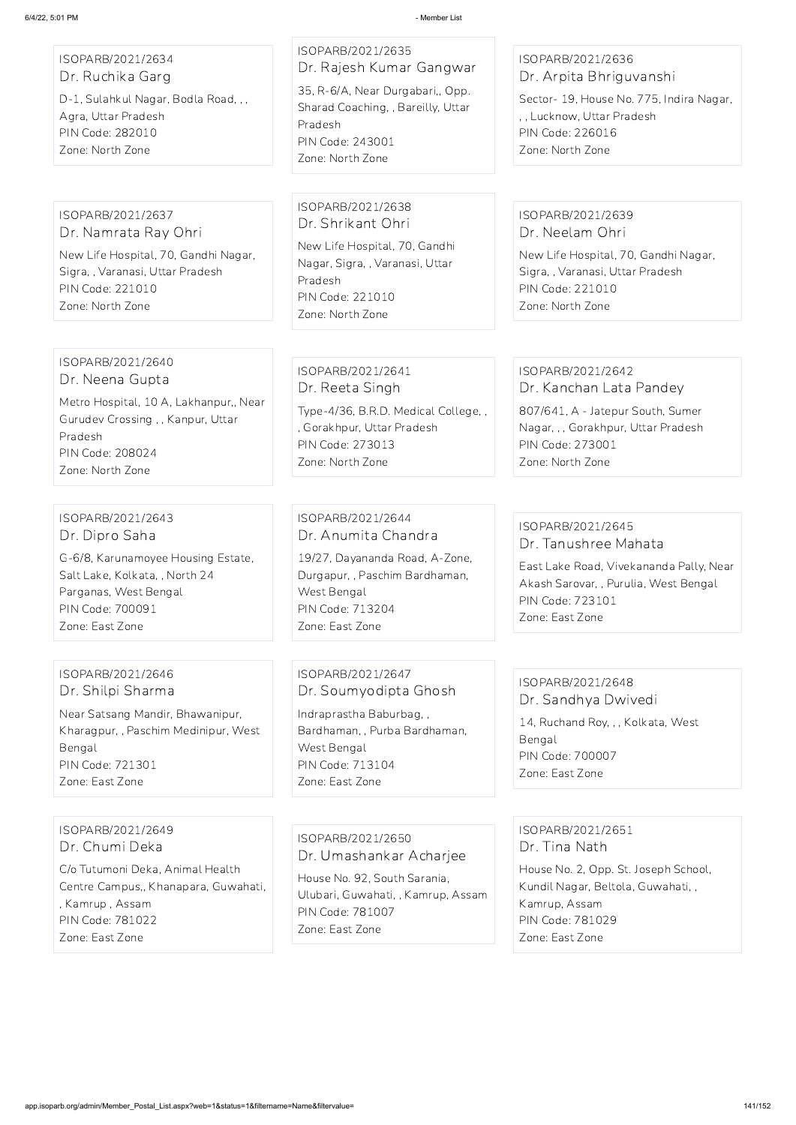### ISOPARB/2021/2634 Dr. Ruchika Garg

D-1, Sulahkul Nagar, Bodla Road, , , Agra, Uttar Pradesh PIN Code: 282010 Zone: North Zone

ISOPARB/2021/2635 Dr. Rajesh Kumar Gangwar 35, R-6/A, Near Durgabari,, Opp. Sharad Coaching, , Bareilly, Uttar Pradesh PIN Code: 243001 Zone: North Zone

## ISOPARB/2021/2636 Dr. Arpita Bhriguvanshi

Sector- 19, House No. 775, Indira Nagar, , , Lucknow, Uttar Pradesh PIN Code: 226016 Zone: North Zone

ISOPARB/2021/2637 Dr. Namrata Ray Ohri

New Life Hospital, 70, Gandhi Nagar, Sigra, , Varanasi, Uttar Pradesh PIN Code: 221010 Zone: North Zone

ISOPARB/2021/2638 Dr. Shrikant Ohri

New Life Hospital, 70, Gandhi Nagar, Sigra, , Varanasi, Uttar Pradesh PIN Code: 221010 Zone: North Zone

## ISOPARB/2021/2639 Dr. Neelam Ohri

New Life Hospital, 70, Gandhi Nagar, Sigra, , Varanasi, Uttar Pradesh PIN Code: 221010 Zone: North Zone

#### ISOPARB/2021/2640 Dr. Neena Gupta

Metro Hospital, 10 A, Lakhanpur,, Near Gurudev Crossing , , Kanpur, Uttar Pradesh PIN Code: 208024 Zone: North Zone

ISOPARB/2021/2641 Dr. Reeta Singh

Type-4/36, B.R.D. Medical College, , , Gorakhpur, Uttar Pradesh PIN Code: 273013 Zone: North Zone

## ISOPARB/2021/2642 Dr. Kanchan Lata Pandey

807/641, A - Jatepur South, Sumer Nagar, , , Gorakhpur, Uttar Pradesh PIN Code: 273001 Zone: North Zone

#### ISOPARB/2021/2643 Dr. Dipro Saha

G-6/8, Karunamoyee Housing Estate, Salt Lake, Kolkata, , North 24 Parganas, West Bengal PIN Code: 700091 Zone: East Zone

ISOPARB/2021/2644 Dr. Anumita Chandra

19/27, Dayananda Road, A-Zone, Durgapur, , Paschim Bardhaman, West Bengal PIN Code: 713204 Zone: East Zone

## ISOPARB/2021/2645 Dr. Tanushree Mahata

East Lake Road, Vivekananda Pally, Near Akash Sarovar, , Purulia, West Bengal PIN Code: 723101 Zone: East Zone

## ISOPARB/2021/2646 Dr. Shilpi Sharma

Near Satsang Mandir, Bhawanipur, Kharagpur, , Paschim Medinipur, West Bengal PIN Code: 721301 Zone: East Zone

ISOPARB/2021/2647 Dr. Soumyodipta Ghosh

Indraprastha Baburbag, , Bardhaman, , Purba Bardhaman, West Bengal PIN Code: 713104 Zone: East Zone

# ISOPARB/2021/2648 Dr. Sandhya Dwivedi 14, Ruchand Roy, , , Kolkata, West Bengal

PIN Code: 700007 Zone: East Zone

ISOPARB/2021/2649 Dr. Chumi Deka

C/o Tutumoni Deka, Animal Health Centre Campus,, Khanapara, Guwahati, , Kamrup , Assam PIN Code: 781022 Zone: East Zone

ISOPARB/2021/2650

Dr. Umashankar Acharjee

House No. 92, South Sarania, Ulubari, Guwahati, , Kamrup, Assam PIN Code: 781007 Zone: East Zone

ISOPARB/2021/2651 Dr. Tina Nath

House No. 2, Opp. St. Joseph School, Kundil Nagar, Beltola, Guwahati, , Kamrup, Assam PIN Code: 781029 Zone: East Zone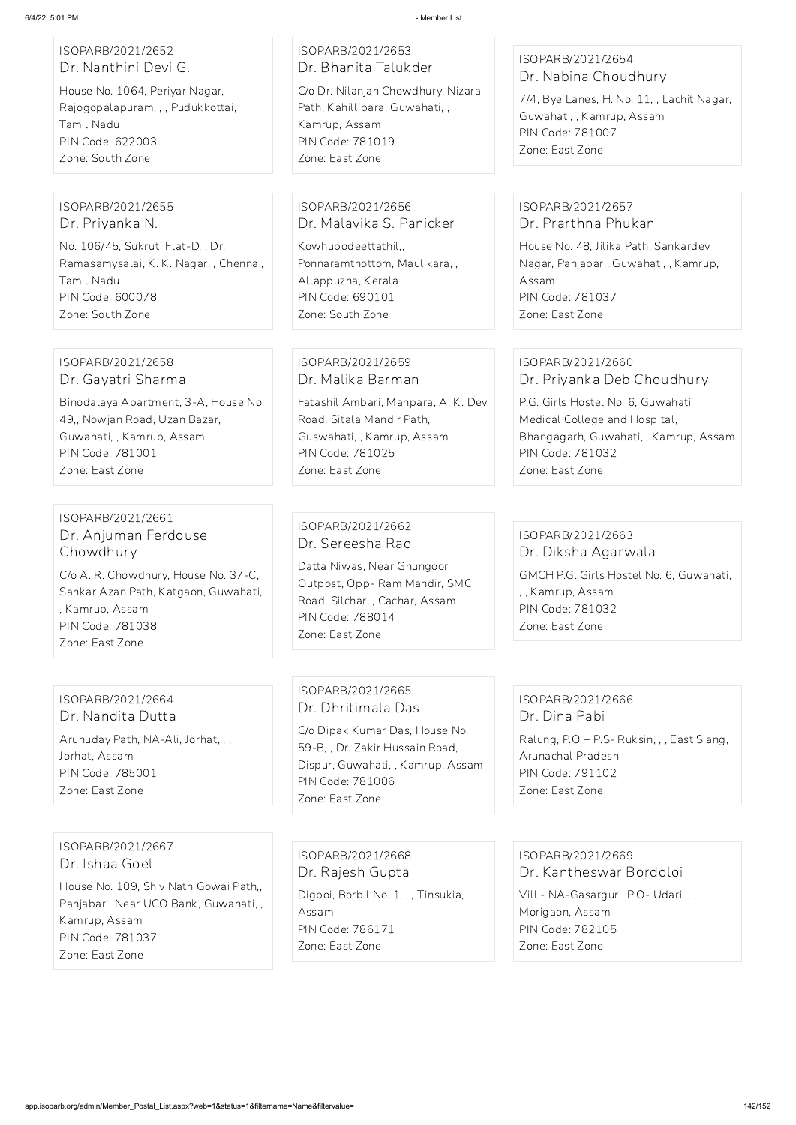| ISOPARB/2021/2652             |
|-------------------------------|
| Dr. Nanthini Devi G.          |
| Llougo No. 1064 Dorivor Nagar |

House No. 1064, Periyar Nagar, Rajogopalapuram, , , Pudukkottai, Tamil Nadu PIN Code: 622003 Zone: South Zone

## ISOPARB/2021/2653 Dr. Bhanita Talukder C/o Dr. Nilanjan Chowdhury, Nizara

Path, Kahillipara, Guwahati, , Kamrup, Assam PIN Code: 781019 Zone: East Zone

## ISOPARB/2021/2654 Dr. Nabina Choudhury

7/4, Bye Lanes, H. No. 11, , Lachit Nagar, Guwahati, , Kamrup, Assam PIN Code: 781007 Zone: East Zone

#### ISOPARB/2021/2655 Dr. Priyanka N.

No. 106/45, Sukruti Flat-D, , Dr. Ramasamysalai, K. K. Nagar, , Chennai, Tamil Nadu PIN Code: 600078 Zone: South Zone

## ISOPARB/2021/2656 Dr. Malavika S. Panicker

Kowhupodeettathil,, Ponnaramthottom, Maulikara, , Allappuzha, Kerala PIN Code: 690101 Zone: South Zone

## ISOPARB/2021/2657 Dr. Prarthna Phukan

House No. 48, Jilika Path, Sankardev Nagar, Panjabari, Guwahati, , Kamrup, Assam PIN Code: 781037 Zone: East Zone

#### ISOPARB/2021/2658 Dr. Gayatri Sharma

Binodalaya Apartment, 3-A, House No. 49,, Nowjan Road, Uzan Bazar, Guwahati, , Kamrup, Assam PIN Code: 781001 Zone: East Zone

## ISOPARB/2021/2659 Dr. Malika Barman

Fatashil Ambari, Manpara, A. K. Dev Road, Sitala Mandir Path, Guswahati, , Kamrup, Assam PIN Code: 781025 Zone: East Zone

Digboi, Borbil No. 1, , , Tinsukia, Assam PIN Code: 786171 Zone: East Zone

## ISOPARB/2021/2660 Dr. Priyanka Deb Choudhury

P.G. Girls Hostel No. 6, Guwahati Medical College and Hospital, Bhangagarh, Guwahati, , Kamrup, Assam PIN Code: 781032 Zone: East Zone

## ISOPARB/2021/2661 Dr. Anjuman Ferdouse Chowdhury

C/o A. R. Chowdhury, House No. 37-C, Sankar Azan Path, Katgaon, Guwahati, , Kamrup, Assam PIN Code: 781038 Zone: East Zone

## ISOPARB/2021/2662 Dr. Sereesha Rao

Datta Niwas, Near Ghungoor Outpost, Opp- Ram Mandir, SMC Road, Silchar, , Cachar, Assam PIN Code: 788014 Zone: East Zone

## ISOPARB/2021/2663 Dr. Diksha Agarwala GMCH P.G. Girls Hostel No. 6, Guwahati, , , Kamrup, Assam PIN Code: 781032 Zone: East Zone

## ISOPARB/2021/2664 Dr. Nandita Dutta

Arunuday Path, NA-Ali, Jorhat, , , Jorhat, Assam PIN Code: 785001 Zone: East Zone

## ISOPARB/2021/2665 Dr. Dhritimala Das

C/o Dipak Kumar Das, House No. 59-B, , Dr. Zakir Hussain Road, Dispur, Guwahati, , Kamrup, Assam PIN Code: 781006 Zone: East Zone

# ISOPARB/2021/2666 Dr. Dina Pabi

Ralung, P.O + P.S- Ruksin, , , East Siang, Arunachal Pradesh PIN Code: 791102 Zone: East Zone

ISOPARB/2021/2667

Dr. Ishaa Goel

House No. 109, Shiv Nath Gowai Path,, Panjabari, Near UCO Bank, Guwahati, , Kamrup, Assam PIN Code: 781037 Zone: East Zone

ISOPARB/2021/2668 Dr. Rajesh Gupta

ISOPARB/2021/2669 Dr. Kantheswar Bordoloi Vill - NA-Gasarguri, P.O- Udari, , ,

Morigaon, Assam PIN Code: 782105

Zone: East Zone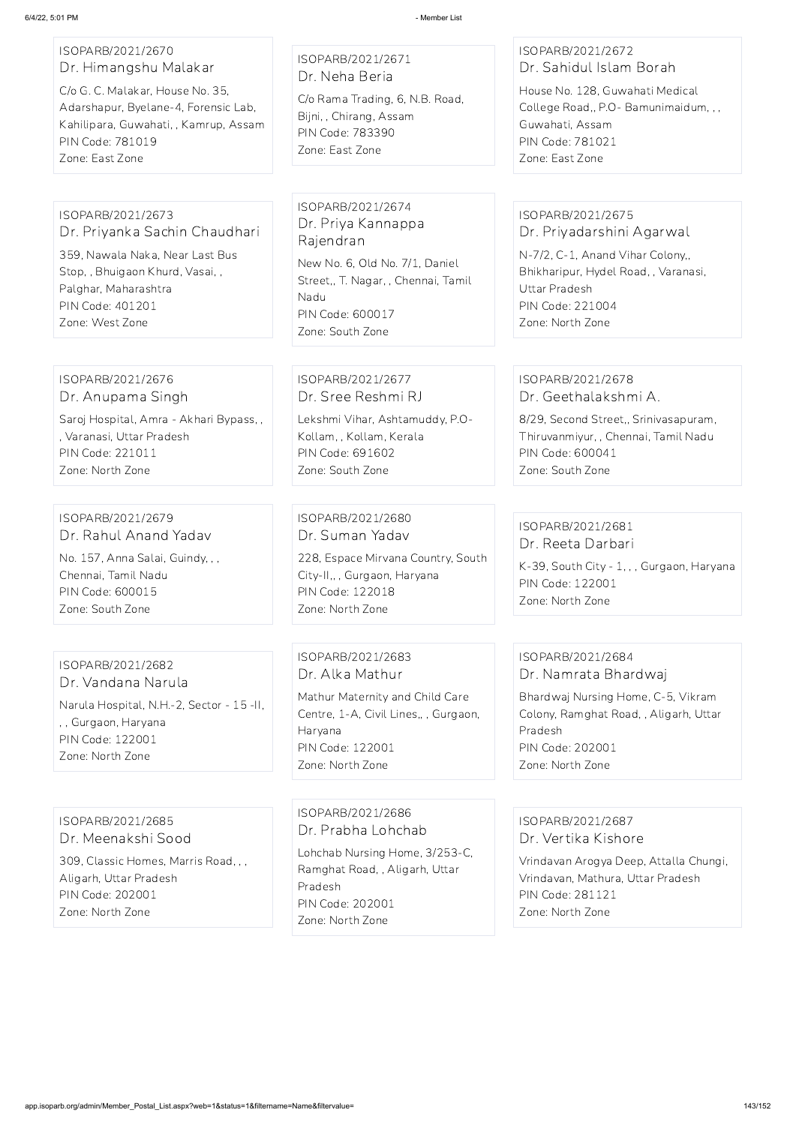## ISOPARB/2021/2670 Dr. Himangshu Malakar

C/o G. C. Malakar, House No. 35, Adarshapur, Byelane-4, Forensic Lab, Kahilipara, Guwahati, , Kamrup, Assam PIN Code: 781019 Zone: East Zone

ISOPARB/2021/2671 Dr. Neha Beria

C/o Rama Trading, 6, N.B. Road, Bijni, , Chirang, Assam PIN Code: 783390 Zone: East Zone

## ISOPARB/2021/2672 Dr. Sahidul Islam Borah

House No. 128, Guwahati Medical College Road,, P.O- Bamunimaidum, , , Guwahati, Assam PIN Code: 781021 Zone: East Zone

### ISOPARB/2021/2673 Dr. Priyanka Sachin Chaudhari

359, Nawala Naka, Near Last Bus Stop, , Bhuigaon Khurd, Vasai, , Palghar, Maharashtra PIN Code: 401201 Zone: West Zone

ISOPARB/2021/2674 Dr. Priya Kannappa Rajendran

New No. 6, Old No. 7/1, Daniel Street,, T. Nagar, , Chennai, Tamil Nadu PIN Code: 600017 Zone: South Zone

## ISOPARB/2021/2675 Dr. Priyadarshini Agarwal

N-7/2, C-1, Anand Vihar Colony,, Bhikharipur, Hydel Road, , Varanasi, Uttar Pradesh PIN Code: 221004 Zone: North Zone

#### ISOPARB/2021/2676 Dr. Anupama Singh

Saroj Hospital, Amra - Akhari Bypass, , , Varanasi, Uttar Pradesh PIN Code: 221011 Zone: North Zone

ISOPARB/2021/2677 Dr. Sree Reshmi RJ

Lekshmi Vihar, Ashtamuddy, P.O-Kollam, , Kollam, Kerala PIN Code: 691602 Zone: South Zone

## ISOPARB/2021/2678 Dr. Geethalakshmi A.

8/29, Second Street,, Srinivasapuram, Thiruvanmiyur, , Chennai, Tamil Nadu PIN Code: 600041 Zone: South Zone

#### ISOPARB/2021/2679 Dr. Rahul Anand Yadav

No. 157, Anna Salai, Guindy, , , Chennai, Tamil Nadu PIN Code: 600015 Zone: South Zone

ISOPARB/2021/2680 Dr. Suman Yadav

228, Espace Mirvana Country, South City-II,, , Gurgaon, Haryana PIN Code: 122018 Zone: North Zone

## ISOPARB/2021/2681 Dr. Reeta Darbari

K-39, South City - 1, , , Gurgaon, Haryana PIN Code: 122001 Zone: North Zone

#### ISOPARB/2021/2682 Dr. Vandana Narula

Narula Hospital, N.H.-2, Sector - 15 -II, , , Gurgaon, Haryana PIN Code: 122001 Zone: North Zone

ISOPARB/2021/2683 Dr. Alka Mathur Mathur Maternity and Child Care Centre, 1-A, Civil Lines,, , Gurgaon, Haryana PIN Code: 122001 Zone: North Zone

## ISOPARB/2021/2684 Dr. Namrata Bhardwaj

Bhardwaj Nursing Home, C-5, Vikram Colony, Ramghat Road, , Aligarh, Uttar Pradesh PIN Code: 202001 Zone: North Zone

## ISOPARB/2021/2685 Dr. Meenakshi Sood

309, Classic Homes, Marris Road, , , Aligarh, Uttar Pradesh PIN Code: 202001 Zone: North Zone

ISOPARB/2021/2686 Dr. Prabha Lohchab Lohchab Nursing Home, 3/253-C, Ramghat Road, , Aligarh, Uttar Pradesh PIN Code: 202001 Zone: North Zone

ISOPARB/2021/2687 Dr. Vertika Kishore

Vrindavan Arogya Deep, Attalla Chungi, Vrindavan, Mathura, Uttar Pradesh PIN Code: 281121 Zone: North Zone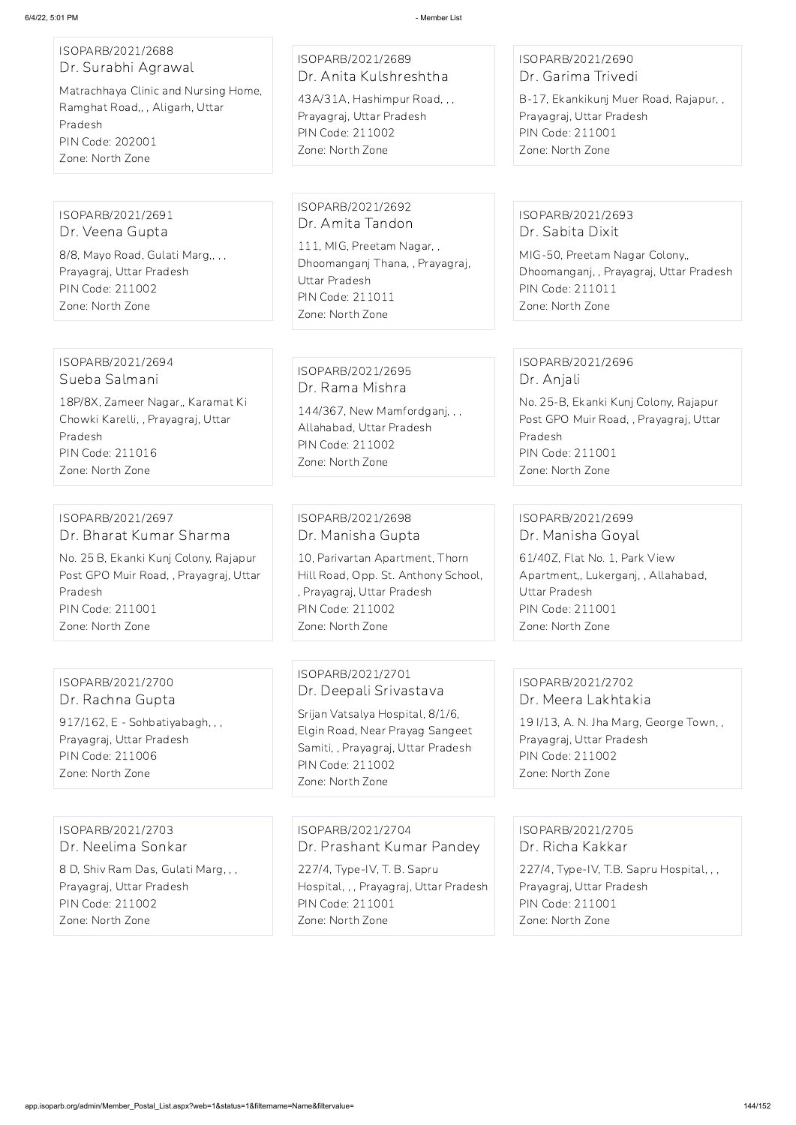## ISOPARB/2021/2688 Dr. Surabhi Agrawal

Matrachhaya Clinic and Nursing Home, Ramghat Road,, , Aligarh, Uttar Pradesh PIN Code: 202001 Zone: North Zone

ISOPARB/2021/2689 Dr. Anita Kulshreshtha

43A/31A, Hashimpur Road, , , Prayagraj, Uttar Pradesh PIN Code: 211002 Zone: North Zone

## ISOPARB/2021/2690 Dr. Garima Trivedi

B-17, Ekankikunj Muer Road, Rajapur, , Prayagraj, Uttar Pradesh PIN Code: 211001 Zone: North Zone

ISOPARB/2021/2691 Dr. Veena Gupta 8/8, Mayo Road, Gulati Marg,, , , Prayagraj, Uttar Pradesh PIN Code: 211002 Zone: North Zone

ISOPARB/2021/2692 Dr. Amita Tandon

111, MIG, Preetam Nagar, , Dhoomanganj Thana, , Prayagraj, Uttar Pradesh PIN Code: 211011 Zone: North Zone

ISOPARB/2021/2693 Dr. Sabita Dixit

MIG-50, Preetam Nagar Colony,, Dhoomanganj, , Prayagraj, Uttar Pradesh PIN Code: 211011 Zone: North Zone

#### ISOPARB/2021/2694 Sueba Salmani

18P/8X, Zameer Nagar,, Karamat Ki Chowki Karelli, , Prayagraj, Uttar Pradesh PIN Code: 211016 Zone: North Zone

ISOPARB/2021/2695 Dr. Rama Mishra

144/367, New Mamfordganj, , , Allahabad, Uttar Pradesh PIN Code: 211002 Zone: North Zone

## ISOPARB/2021/2696 Dr. Anjali

No. 25-B, Ekanki Kunj Colony, Rajapur Post GPO Muir Road, , Prayagraj, Uttar Pradesh PIN Code: 211001 Zone: North Zone

#### ISOPARB/2021/2697 Dr. Bharat Kumar Sharma

No. 25 B, Ekanki Kunj Colony, Rajapur Post GPO Muir Road, , Prayagraj, Uttar Pradesh PIN Code: 211001 Zone: North Zone

ISOPARB/2021/2698 Dr. Manisha Gupta

10, Parivartan Apartment, Thorn Hill Road, Opp. St. Anthony School, , Prayagraj, Uttar Pradesh PIN Code: 211002 Zone: North Zone

## ISOPARB/2021/2699 Dr. Manisha Goyal

61/40Z, Flat No. 1, Park View Apartment,, Lukerganj, , Allahabad, Uttar Pradesh PIN Code: 211001 Zone: North Zone

# ISOPARB/2021/2700 Dr. Rachna Gupta

917/162, E - Sohbatiyabagh, , , Prayagraj, Uttar Pradesh PIN Code: 211006 Zone: North Zone

ISOPARB/2021/2701 Dr. Deepali Srivastava

Srijan Vatsalya Hospital, 8/1/6, Elgin Road, Near Prayag Sangeet Samiti, , Prayagraj, Uttar Pradesh PIN Code: 211002 Zone: North Zone

#### ISOPARB/2021/2702 Dr. Meera Lakhtakia

19 I/13, A. N. Jha Marg, George Town, , Prayagraj, Uttar Pradesh PIN Code: 211002 Zone: North Zone

## ISOPARB/2021/2703 Dr. Neelima Sonkar

8 D, Shiv Ram Das, Gulati Marg, , , Prayagraj, Uttar Pradesh PIN Code: 211002 Zone: North Zone

ISOPARB/2021/2704 Dr. Prashant Kumar Pandey

227/4, Type-IV, T. B. Sapru Hospital, , , Prayagraj, Uttar Pradesh PIN Code: 211001 Zone: North Zone

ISOPARB/2021/2705 Dr. Richa Kakkar

227/4, Type-IV, T.B. Sapru Hospital, , , Prayagraj, Uttar Pradesh PIN Code: 211001 Zone: North Zone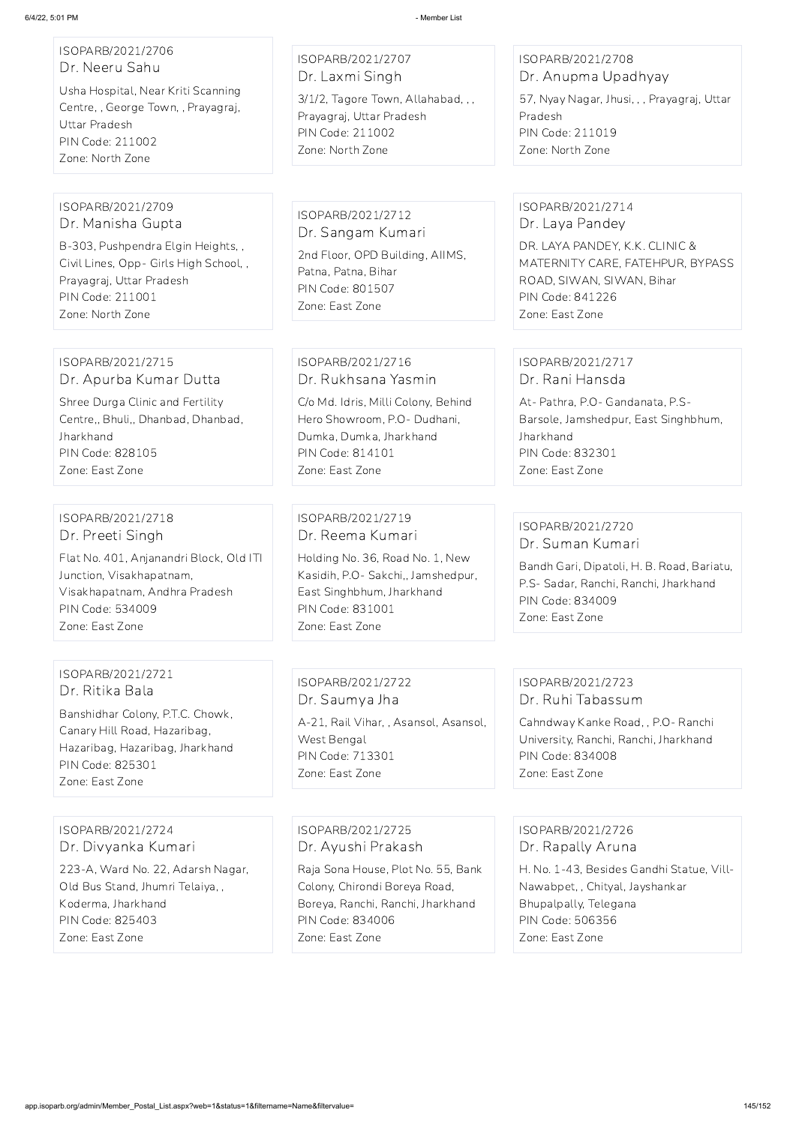| ISOPARB/2021/2706<br>Dr. Neeru Sahu<br>Usha Hospital, Near Kriti Scanning<br>Centre, , George Town, , Prayagraj,<br>Uttar Pradesh<br>PIN Code: 211002<br>Zone: North Zone                 | ISOPARB/2021/2707<br>Dr. Laxmi Singh<br>3/1/2, Tagore Town, Allahabad, , ,<br>Prayagraj, Uttar Pradesh<br><b>PIN Code: 211002</b><br>Zone: North Zone                                     | ISOPARB/2021/2708<br>Dr. Anupma Upadhyay<br>57, Nyay Nagar, Jhusi, , , Prayagraj, Uttar<br>Pradesh<br>PIN Code: 211019<br>Zone: North Zone                                            |
|-------------------------------------------------------------------------------------------------------------------------------------------------------------------------------------------|-------------------------------------------------------------------------------------------------------------------------------------------------------------------------------------------|---------------------------------------------------------------------------------------------------------------------------------------------------------------------------------------|
| ISOPARB/2021/2709<br>Dr. Manisha Gupta<br>B-303, Pushpendra Elgin Heights, ,<br>Civil Lines, Opp- Girls High School,,<br>Prayagraj, Uttar Pradesh<br>PIN Code: 211001<br>Zone: North Zone | ISOPARB/2021/2712<br>Dr. Sangam Kumari<br>2nd Floor, OPD Building, AIIMS,<br>Patna, Patna, Bihar<br>PIN Code: 801507<br>Zone: East Zone                                                   | ISOPARB/2021/2714<br>Dr. Laya Pandey<br>DR. LAYA PANDEY, K.K. CLINIC &<br>MATERNITY CARE, FATEHPUR, BYPASS<br>ROAD, SIWAN, SIWAN, Bihar<br><b>PIN Code: 841226</b><br>Zone: East Zone |
| ISOPARB/2021/2715<br>Dr. Apurba Kumar Dutta<br>Shree Durga Clinic and Fertility<br>Centre,, Bhuli,, Dhanbad, Dhanbad,<br>Jharkhand<br>PIN Code: 828105<br>Zone: East Zone                 | ISOPARB/2021/2716<br>Dr. Rukhsana Yasmin<br>C/o Md. Idris, Milli Colony, Behind<br>Hero Showroom, P.O- Dudhani,<br>Dumka, Dumka, Jharkhand<br>PIN Code: 814101<br>Zone: East Zone         | ISOPARB/2021/2717<br>Dr. Rani Hansda<br>At- Pathra, P.O- Gandanata, P.S-<br>Barsole, Jamshedpur, East Singhbhum,<br>Jharkhand<br>PIN Code: 832301<br>Zone: East Zone                  |
| ISOPARB/2021/2718<br>Dr. Preeti Singh<br>Flat No. 401, Anjanandri Block, Old ITI<br>Junction, Visakhapatnam,<br>Visakhapatnam, Andhra Pradesh<br>PIN Code: 534009<br>Zone: East Zone      | ISOPARB/2021/2719<br>Dr. Reema Kumari<br>Holding No. 36, Road No. 1, New<br>Kasidih, P.O- Sakchi,, Jamshedpur,<br>East Singhbhum, Jharkhand<br><b>PIN Code: 831001</b><br>Zone: East Zone | ISOPARB/2021/2720<br>Dr. Suman Kumari<br>Bandh Gari, Dipatoli, H. B. Road, Bariatu,<br>P.S- Sadar, Ranchi, Ranchi, Jharkhand<br>PIN Code: 834009<br>Zone: East Zone                   |
| ISOPARB/2021/2721<br>Dr. Ritika Bala                                                                                                                                                      | ISOPARB/2021/2722<br>Dr. Saumya Jha                                                                                                                                                       | ISOPARB/2021/2723<br>Dr. Ruhi Tabassum                                                                                                                                                |

Banshidhar Colony, P.T.C. Chowk, Canary Hill Road, Hazaribag, Hazaribag, Hazaribag, Jharkhand PIN Code: 825301 Zone: East Zone

A-21, Rail Vihar, , Asansol, Asansol,

West Bengal

PIN Code: 713301 Zone: East Zone

Cahndway Kanke Road, , P.O- Ranchi University, Ranchi, Ranchi, Jharkhand

PIN Code: 834008 Zone: East Zone

ISOPARB/2021/2724 Dr. Divyanka Kumari

223-A, Ward No. 22, Adarsh Nagar, Old Bus Stand, Jhumri Telaiya, , Koderma, Jharkhand PIN Code: 825403 Zone: East Zone

ISOPARB/2021/2725 Dr. Ayushi Prakash

Raja Sona House, Plot No. 55, Bank Colony, Chirondi Boreya Road, Boreya, Ranchi, Ranchi, Jharkhand PIN Code: 834006 Zone: East Zone

ISOPARB/2021/2726 Dr. Rapally Aruna

H. No. 1-43, Besides Gandhi Statue, Vill-Nawabpet, , Chityal, Jayshankar Bhupalpally, Telegana PIN Code: 506356 Zone: East Zone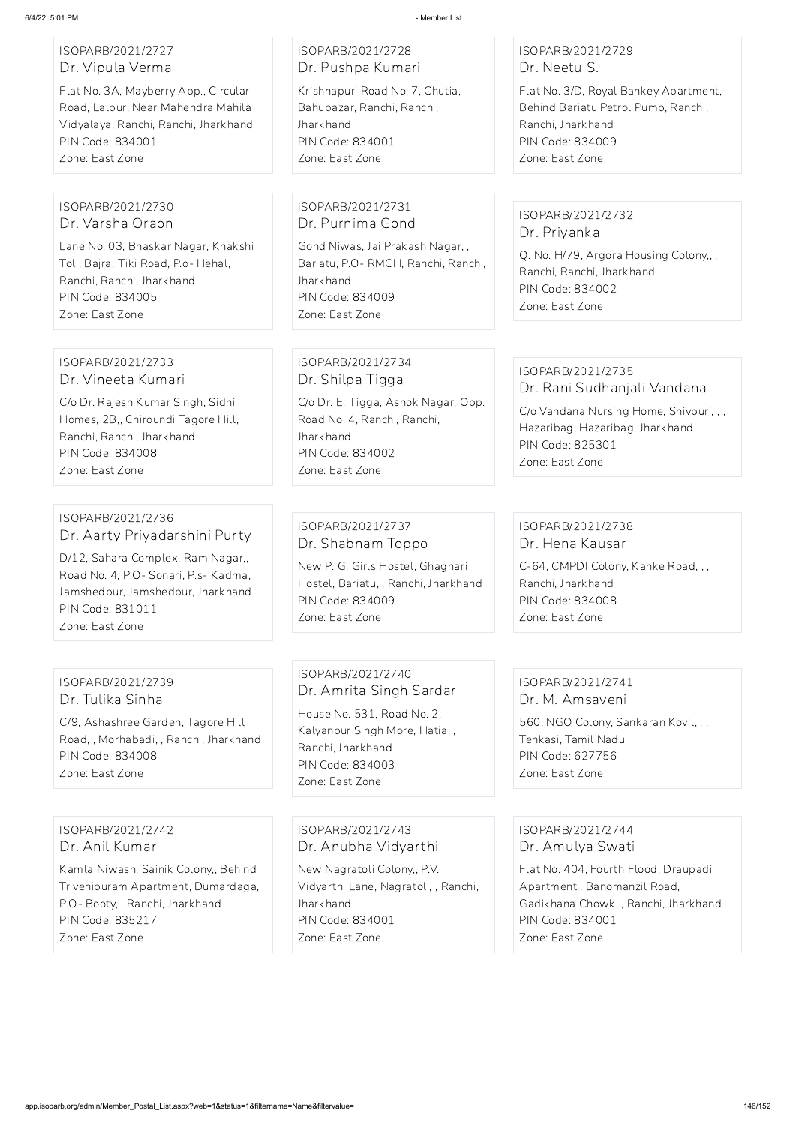# ISOPARB/2021/2727 Dr. Vipula Verma

Flat No. 3A, Mayberry App., Circular Road, Lalpur, Near Mahendra Mahila Vidyalaya, Ranchi, Ranchi, Jharkhand PIN Code: 834001 Zone: East Zone

# ISOPARB/2021/2728 Dr. Pushpa Kumari

Krishnapuri Road No. 7, Chutia, Bahubazar, Ranchi, Ranchi, **Jharkhand** PIN Code: 834001 Zone: East Zone

# ISOPARB/2021/2729 Dr. Neetu S.

Flat No. 3/D, Royal Bankey Apartment, Behind Bariatu Petrol Pump, Ranchi, Ranchi, Jharkhand PIN Code: 834009 Zone: East Zone

#### ISOPARB/2021/2730 Dr. Varsha Oraon

Lane No. 03, Bhaskar Nagar, Khakshi Toli, Bajra, Tiki Road, P.o- Hehal, Ranchi, Ranchi, Jharkhand PIN Code: 834005 Zone: East Zone

#### ISOPARB/2021/2731 Dr. Purnima Gond

Gond Niwas, Jai Prakash Nagar, , Bariatu, P.O- RMCH, Ranchi, Ranchi, **Jharkhand** PIN Code: 834009 Zone: East Zone

# ISOPARB/2021/2732 Dr. Priyanka

Q. No. H/79, Argora Housing Colony,, , Ranchi, Ranchi, Jharkhand PIN Code: 834002 Zone: East Zone

#### ISOPARB/2021/2733 Dr. Vineeta Kumari

C/o Dr. Rajesh Kumar Singh, Sidhi Homes, 2B,, Chiroundi Tagore Hill, Ranchi, Ranchi, Jharkhand PIN Code: 834008 Zone: East Zone

# ISOPARB/2021/2734 Dr. Shilpa Tigga

C/o Dr. E. Tigga, Ashok Nagar, Opp. Road No. 4, Ranchi, Ranchi, Jharkhand PIN Code: 834002 Zone: East Zone

# ISOPARB/2021/2735

Dr. Rani Sudhanjali Vandana

C/o Vandana Nursing Home, Shivpuri, , , Hazaribag, Hazaribag, Jharkhand PIN Code: 825301 Zone: East Zone

### ISOPARB/2021/2736 Dr. Aarty Priyadarshini Purty

D/12, Sahara Complex, Ram Nagar,, Road No. 4, P.O- Sonari, P.s- Kadma, Jamshedpur, Jamshedpur, Jharkhand PIN Code: 831011 Zone: East Zone

# ISOPARB/2021/2737 Dr. Shabnam Toppo

New P. G. Girls Hostel, Ghaghari Hostel, Bariatu, , Ranchi, Jharkhand PIN Code: 834009 Zone: East Zone

# ISOPARB/2021/2738 Dr. Hena Kausar

C-64, CMPDI Colony, Kanke Road, , , Ranchi, Jharkhand PIN Code: 834008 Zone: East Zone

# ISOPARB/2021/2739 Dr. Tulika Sinha

C/9, Ashashree Garden, Tagore Hill Road, , Morhabadi, , Ranchi, Jharkhand PIN Code: 834008 Zone: East Zone

ISOPARB/2021/2740 Dr. Amrita Singh Sardar House No. 531, Road No. 2, Kalyanpur Singh More, Hatia, , Ranchi, Jharkhand PIN Code: 834003 Zone: East Zone

#### ISOPARB/2021/2741 Dr. M. Amsaveni

560, NGO Colony, Sankaran Kovil, , , Tenkasi, Tamil Nadu PIN Code: 627756 Zone: East Zone

# ISOPARB/2021/2742 Dr. Anil Kumar

Kamla Niwash, Sainik Colony,, Behind Trivenipuram Apartment, Dumardaga, P.O- Booty, , Ranchi, Jharkhand PIN Code: 835217 Zone: East Zone

ISOPARB/2021/2743 Dr. Anubha Vidyarthi

New Nagratoli Colony,, P.V. Vidyarthi Lane, Nagratoli, , Ranchi, Jharkhand PIN Code: 834001 Zone: East Zone

ISOPARB/2021/2744 Dr. Amulya Swati

Flat No. 404, Fourth Flood, Draupadi Apartment,, Banomanzil Road, Gadikhana Chowk, , Ranchi, Jharkhand PIN Code: 834001 Zone: East Zone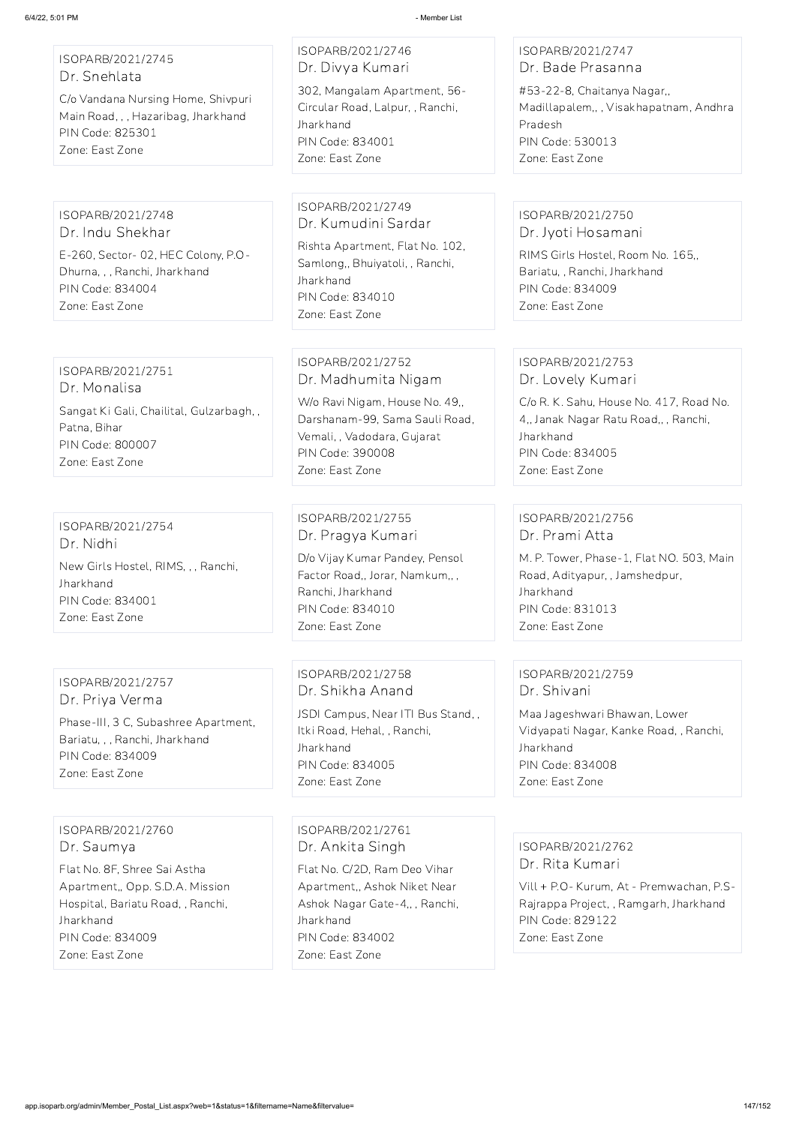ISOPARB/2021/2745 Dr. Snehlata

C/o Vandana Nursing Home, Shivpuri Main Road, , , Hazaribag, Jharkhand PIN Code: 825301 Zone: East Zone

ISOPARB/2021/2746 Dr. Divya Kumari

302, Mangalam Apartment, 56- Circular Road, Lalpur, , Ranchi, **Jharkhand** PIN Code: 834001 Zone: East Zone

#### ISOPARB/2021/2747 Dr. Bade Prasanna

#53-22-8, Chaitanya Nagar,, Madillapalem,, , Visakhapatnam, Andhra Pradesh PIN Code: 530013 Zone: East Zone

ISOPARB/2021/2748 Dr. Indu Shekhar E-260, Sector- 02, HEC Colony, P.O-Dhurna, , , Ranchi, Jharkhand PIN Code: 834004 Zone: East Zone

#### ISOPARB/2021/2749 Dr. Kumudini Sardar

Rishta Apartment, Flat No. 102, Samlong,, Bhuiyatoli, , Ranchi, **Jharkhand** PIN Code: 834010 Zone: East Zone

# ISOPARB/2021/2750 Dr. Jyoti Hosamani

RIMS Girls Hostel, Room No. 165,, Bariatu, , Ranchi, Jharkhand PIN Code: 834009 Zone: East Zone

#### ISOPARB/2021/2751 Dr. Monalisa

Sangat Ki Gali, Chailital, Gulzarbagh, , Patna, Bihar PIN Code: 800007 Zone: East Zone

# ISOPARB/2021/2752 Dr. Madhumita Nigam

W/o Ravi Nigam, House No. 49,, Darshanam-99, Sama Sauli Road, Vemali, , Vadodara, Gujarat PIN Code: 390008 Zone: East Zone

# ISOPARB/2021/2753 Dr. Lovely Kumari

C/o R. K. Sahu, House No. 417, Road No. 4,, Janak Nagar Ratu Road,, , Ranchi, Jharkhand PIN Code: 834005 Zone: East Zone

ISOPARB/2021/2754 Dr. Nidhi New Girls Hostel, RIMS, , , Ranchi, Jharkhand PIN Code: 834001 Zone: East Zone

ISOPARB/2021/2755 Dr. Pragya Kumari

D/o Vijay Kumar Pandey, Pensol Factor Road,, Jorar, Namkum,, , Ranchi, Jharkhand PIN Code: 834010 Zone: East Zone

# ISOPARB/2021/2756 Dr. Prami Atta

M. P. Tower, Phase-1, Flat NO. 503, Main Road, Adityapur, , Jamshedpur, Jharkhand PIN Code: 831013 Zone: East Zone

# ISOPARB/2021/2757 Dr. Priya Verma

Phase-III, 3 C, Subashree Apartment, Bariatu, , , Ranchi, Jharkhand PIN Code: 834009 Zone: East Zone

ISOPARB/2021/2758 Dr. Shikha Anand

JSDI Campus, Near ITI Bus Stand, , Itki Road, Hehal, , Ranchi, **Jharkhand** PIN Code: 834005 Zone: East Zone

# ISOPARB/2021/2759 Dr. Shivani

Maa Jageshwari Bhawan, Lower Vidyapati Nagar, Kanke Road, , Ranchi, Jharkhand PIN Code: 834008 Zone: East Zone

ISOPARB/2021/2760 Dr. Saumya

Flat No. 8F, Shree Sai Astha Apartment,, Opp. S.D.A. Mission Hospital, Bariatu Road, , Ranchi, Jharkhand PIN Code: 834009 Zone: East Zone

ISOPARB/2021/2761 Dr. Ankita Singh

Flat No. C/2D, Ram Deo Vihar Apartment,, Ashok Niket Near Ashok Nagar Gate-4,, , Ranchi, Jharkhand PIN Code: 834002

Zone: East Zone

ISOPARB/2021/2762

Dr. Rita Kumari

Vill + P.O- Kurum, At - Premwachan, P.S-Rajrappa Project, , Ramgarh, Jharkhand PIN Code: 829122 Zone: East Zone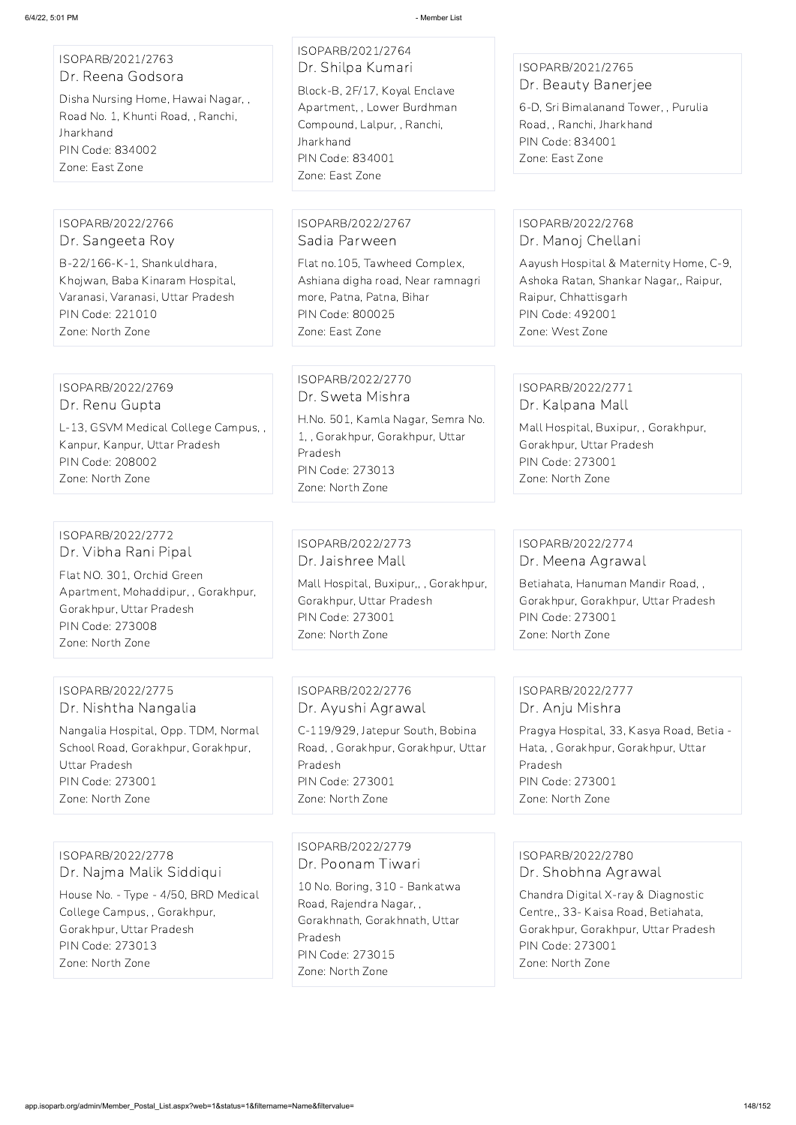#### ISOPARB/2021/2763 Dr. Reena Godsora

Disha Nursing Home, Hawai Nagar, , Road No. 1, Khunti Road, , Ranchi, Jharkhand PIN Code: 834002 Zone: East Zone

# ISOPARB/2021/2764 Dr. Shilpa Kumari

Block-B, 2F/17, Koyal Enclave Apartment, , Lower Burdhman Compound, Lalpur, , Ranchi, **Jharkhand** PIN Code: 834001 Zone: East Zone

# ISOPARB/2021/2765 Dr. Beauty Banerjee

6-D, Sri Bimalanand Tower, , Purulia Road, , Ranchi, Jharkhand PIN Code: 834001 Zone: East Zone

#### ISOPARB/2022/2766 Dr. Sangeeta Roy

B-22/166-K-1, Shankuldhara, Khojwan, Baba Kinaram Hospital, Varanasi, Varanasi, Uttar Pradesh PIN Code: 221010 Zone: North Zone

#### ISOPARB/2022/2767 Sadia Parween

Flat no.105, Tawheed Complex, Ashiana digha road, Near ramnagri more, Patna, Patna, Bihar PIN Code: 800025 Zone: East Zone

# ISOPARB/2022/2768 Dr. Manoj Chellani

Aayush Hospital & Maternity Home, C-9, Ashoka Ratan, Shankar Nagar,, Raipur, Raipur, Chhattisgarh PIN Code: 492001 Zone: West Zone

#### ISOPARB/2022/2769 Dr. Renu Gupta

L-13, GSVM Medical College Campus, , Kanpur, Kanpur, Uttar Pradesh PIN Code: 208002 Zone: North Zone

# ISOPARB/2022/2770 Dr. Sweta Mishra

H.No. 501, Kamla Nagar, Semra No. 1, , Gorakhpur, Gorakhpur, Uttar Pradesh PIN Code: 273013 Zone: North Zone

# ISOPARB/2022/2771 Dr. Kalpana Mall

Mall Hospital, Buxipur, , Gorakhpur, Gorakhpur, Uttar Pradesh PIN Code: 273001 Zone: North Zone

#### ISOPARB/2022/2772 Dr. Vibha Rani Pipal

Flat NO. 301, Orchid Green Apartment, Mohaddipur, , Gorakhpur, Gorakhpur, Uttar Pradesh PIN Code: 273008 Zone: North Zone

#### ISOPARB/2022/2773 Dr. Jaishree Mall

Mall Hospital, Buxipur,, , Gorakhpur, Gorakhpur, Uttar Pradesh PIN Code: 273001 Zone: North Zone

# ISOPARB/2022/2774 Dr. Meena Agrawal

Betiahata, Hanuman Mandir Road, , Gorakhpur, Gorakhpur, Uttar Pradesh PIN Code: 273001 Zone: North Zone

# ISOPARB/2022/2775 Dr. Nishtha Nangalia

Nangalia Hospital, Opp. TDM, Normal School Road, Gorakhpur, Gorakhpur, Uttar Pradesh PIN Code: 273001 Zone: North Zone

# ISOPARB/2022/2776 Dr. Ayushi Agrawal

C-119/929, Jatepur South, Bobina Road, , Gorakhpur, Gorakhpur, Uttar Pradesh PIN Code: 273001 Zone: North Zone

# ISOPARB/2022/2777 Dr. Anju Mishra

Pragya Hospital, 33, Kasya Road, Betia - Hata, , Gorakhpur, Gorakhpur, Uttar Pradesh PIN Code: 273001 Zone: North Zone

ISOPARB/2022/2778 Dr. Najma Malik Siddiqui

House No. - Type - 4/50, BRD Medical College Campus, , Gorakhpur, Gorakhpur, Uttar Pradesh PIN Code: 273013 Zone: North Zone

#### ISOPARB/2022/2779

Dr. Poonam Tiwari

10 No. Boring, 310 - Bankatwa Road, Rajendra Nagar, , Gorakhnath, Gorakhnath, Uttar Pradesh PIN Code: 273015 Zone: North Zone

ISOPARB/2022/2780 Dr. Shobhna Agrawal

Chandra Digital X-ray & Diagnostic Centre,, 33- Kaisa Road, Betiahata, Gorakhpur, Gorakhpur, Uttar Pradesh PIN Code: 273001

Zone: North Zone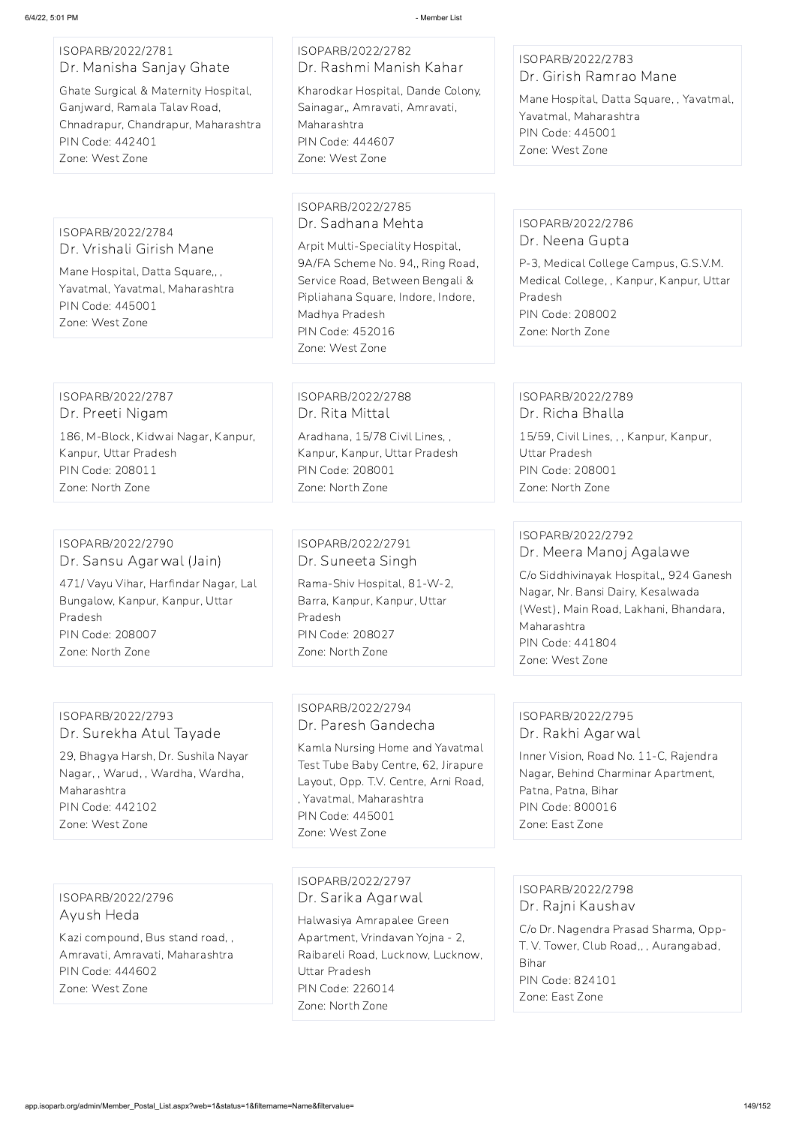#### ISOPARB/2022/2781 Dr. Manisha Sanjay Ghate

Ghate Surgical & Maternity Hospital, Ganjward, Ramala Talav Road, Chnadrapur, Chandrapur, Maharashtra PIN Code: 442401 Zone: West Zone

# ISOPARB/2022/2782 Dr. Rashmi Manish Kahar

Kharodkar Hospital, Dande Colony, Sainagar,, Amravati, Amravati, Maharashtra PIN Code: 444607 Zone: West Zone

# ISOPARB/2022/2783 Dr. Girish Ramrao Mane

Mane Hospital, Datta Square, , Yavatmal, Yavatmal, Maharashtra PIN Code: 445001 Zone: West Zone

#### ISOPARB/2022/2784 Dr. Vrishali Girish Mane

Mane Hospital, Datta Square,, , Yavatmal, Yavatmal, Maharashtra PIN Code: 445001 Zone: West Zone

#### ISOPARB/2022/2785 Dr. Sadhana Mehta

Arpit Multi-Speciality Hospital, 9A/FA Scheme No. 94,, Ring Road, Service Road, Between Bengali & Pipliahana Square, Indore, Indore, Madhya Pradesh PIN Code: 452016 Zone: West Zone

#### ISOPARB/2022/2786 Dr. Neena Gupta

P-3, Medical College Campus, G.S.V.M. Medical College, , Kanpur, Kanpur, Uttar Pradesh PIN Code: 208002 Zone: North Zone

#### ISOPARB/2022/2787 Dr. Preeti Nigam

186, M-Block, Kidwai Nagar, Kanpur, Kanpur, Uttar Pradesh PIN Code: 208011 Zone: North Zone

ISOPARB/2022/2788 Dr. Rita Mittal Aradhana, 15/78 Civil Lines, , Kanpur, Kanpur, Uttar Pradesh PIN Code: 208001 Zone: North Zone

### ISOPARB/2022/2789 Dr. Richa Bhalla

15/59, Civil Lines, , , Kanpur, Kanpur, Uttar Pradesh PIN Code: 208001 Zone: North Zone

#### ISOPARB/2022/2790 Dr. Sansu Agarwal (Jain)

471/ Vayu Vihar, Harfindar Nagar, Lal Bungalow, Kanpur, Kanpur, Uttar Pradesh PIN Code: 208007 Zone: North Zone

# ISOPARB/2022/2791 Dr. Suneeta Singh

Rama-Shiv Hospital, 81-W-2, Barra, Kanpur, Kanpur, Uttar Pradesh PIN Code: 208027 Zone: North Zone

# ISOPARB/2022/2792 Dr. Meera Manoj Agalawe

C/o Siddhivinayak Hospital,, 924 Ganesh Nagar, Nr. Bansi Dairy, Kesalwada (West), Main Road, Lakhani, Bhandara, Maharashtra PIN Code: 441804 Zone: West Zone

#### ISOPARB/2022/2793 Dr. Surekha Atul Tayade

29, Bhagya Harsh, Dr. Sushila Nayar Nagar, , Warud, , Wardha, Wardha, Maharashtra PIN Code: 442102 Zone: West Zone

### ISOPARB/2022/2794 Dr. Paresh Gandecha

Kamla Nursing Home and Yavatmal Test Tube Baby Centre, 62, Jirapure Layout, Opp. T.V. Centre, Arni Road, , Yavatmal, Maharashtra PIN Code: 445001 Zone: West Zone

### ISOPARB/2022/2795 Dr. Rakhi Agarwal

Inner Vision, Road No. 11-C, Rajendra Nagar, Behind Charminar Apartment, Patna, Patna, Bihar PIN Code: 800016 Zone: East Zone

#### ISOPARB/2022/2796 Ayush Heda

Kazi compound, Bus stand road, , Amravati, Amravati, Maharashtra PIN Code: 444602 Zone: West Zone

ISOPARB/2022/2797 Dr. Sarika Agarwal

Halwasiya Amrapalee Green Apartment, Vrindavan Yojna - 2, Raibareli Road, Lucknow, Lucknow, Uttar Pradesh PIN Code: 226014 Zone: North Zone

ISOPARB/2022/2798 Dr. Rajni Kaushav C/o Dr. Nagendra Prasad Sharma, Opp-T. V. Tower, Club Road,, , Aurangabad, Bihar PIN Code: 824101 Zone: East Zone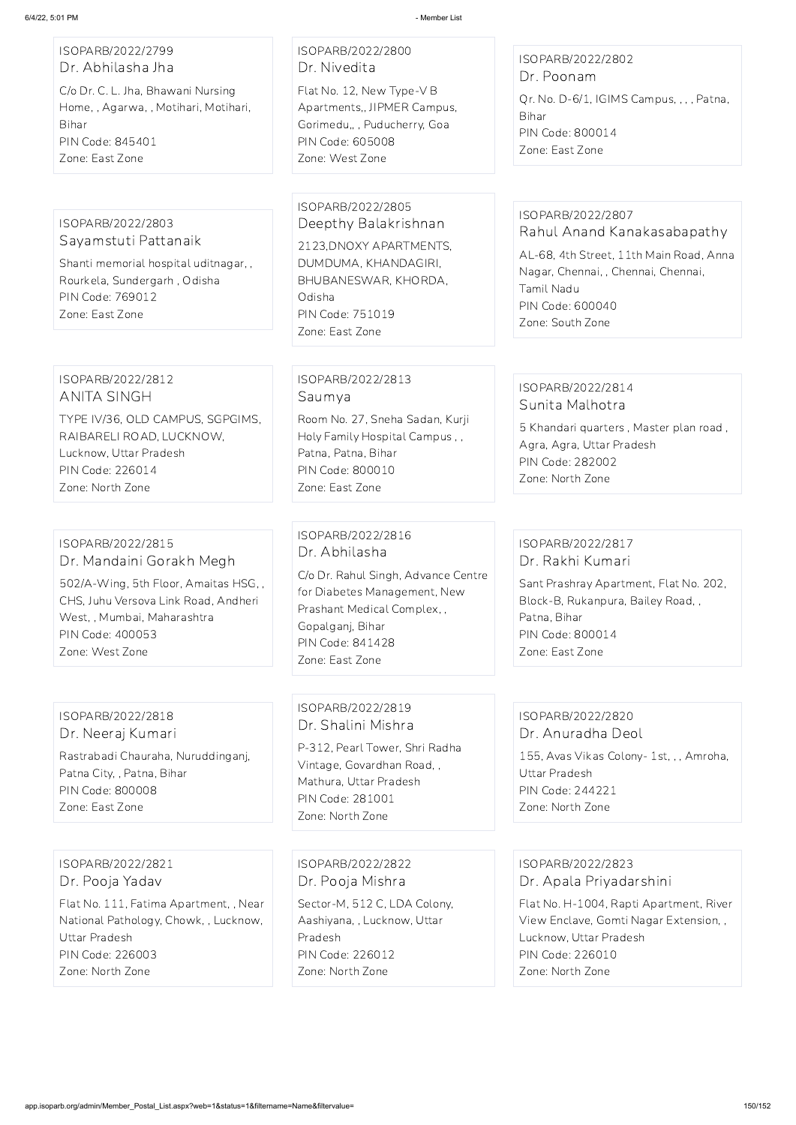#### ISOPARB/2022/2799 Dr. Abhilasha Jha

C/o Dr. C. L. Jha, Bhawani Nursing Home, , Agarwa, , Motihari, Motihari, Bihar PIN Code: 845401 Zone: East Zone

# ISOPARB/2022/2800 Dr. Nivedita

Flat No. 12, New Type-V B Apartments,, JIPMER Campus, Gorimedu,, , Puducherry, Goa PIN Code: 605008 Zone: West Zone

#### ISOPARB/2022/2802 Dr. Poonam

Qr. No. D-6/1, IGIMS Campus, , , , Patna, Bihar PIN Code: 800014 Zone: East Zone

#### ISOPARB/2022/2803 Sayamstuti Pattanaik

Shanti memorial hospital uditnagar, , Rourkela, Sundergarh , Odisha PIN Code: 769012 Zone: East Zone

#### ISOPARB/2022/2805

Deepthy Balakrishnan 2123,DNOXY APARTMENTS, DUMDUMA, KHANDAGIRI, BHUBANESWAR, KHORDA, Odisha PIN Code: 751019 Zone: East Zone

#### ISOPARB/2022/2807 Rahul Anand Kanakasabapathy

AL-68, 4th Street, 11th Main Road, Anna Nagar, Chennai, , Chennai, Chennai, Tamil Nadu PIN Code: 600040 Zone: South Zone

#### ISOPARB/2022/2812 ANITA SINGH

TYPE IV/36, OLD CAMPUS, SGPGIMS, RAIBARELI ROAD, LUCKNOW, Lucknow, Uttar Pradesh PIN Code: 226014 Zone: North Zone

# ISOPARB/2022/2813 Saumya

Room No. 27, Sneha Sadan, Kurji Holy Family Hospital Campus , , Patna, Patna, Bihar PIN Code: 800010 Zone: East Zone

# ISOPARB/2022/2814 Sunita Malhotra

5 Khandari quarters , Master plan road , Agra, Agra, Uttar Pradesh PIN Code: 282002 Zone: North Zone

#### ISOPARB/2022/2815 Dr. Mandaini Gorakh Megh

502/A-Wing, 5th Floor, Amaitas HSG, , CHS, Juhu Versova Link Road, Andheri West, , Mumbai, Maharashtra PIN Code: 400053 Zone: West Zone

### ISOPARB/2022/2816 Dr. Abhilasha

C/o Dr. Rahul Singh, Advance Centre for Diabetes Management, New Prashant Medical Complex, , Gopalganj, Bihar PIN Code: 841428 Zone: East Zone

# ISOPARB/2022/2817 Dr. Rakhi Kumari

Sant Prashray Apartment, Flat No. 202, Block-B, Rukanpura, Bailey Road, , Patna, Bihar PIN Code: 800014 Zone: East Zone

#### ISOPARB/2022/2818 Dr. Neeraj Kumari

Rastrabadi Chauraha, Nuruddinganj, Patna City, , Patna, Bihar PIN Code: 800008 Zone: East Zone

# ISOPARB/2022/2819 Dr. Shalini Mishra

P-312, Pearl Tower, Shri Radha Vintage, Govardhan Road, , Mathura, Uttar Pradesh PIN Code: 281001 Zone: North Zone

# ISOPARB/2022/2820 Dr. Anuradha Deol

155, Avas Vikas Colony- 1st, , , Amroha, Uttar Pradesh PIN Code: 244221 Zone: North Zone

ISOPARB/2022/2821 Dr. Pooja Yadav

Flat No. 111, Fatima Apartment, , Near National Pathology, Chowk, , Lucknow, Uttar Pradesh PIN Code: 226003 Zone: North Zone

ISOPARB/2022/2822 Dr. Pooja Mishra Sector-M, 512 C, LDA Colony, Aashiyana, , Lucknow, Uttar Pradesh

PIN Code: 226012 Zone: North Zone

ISOPARB/2022/2823 Dr. Apala Priyadarshini

Flat No. H-1004, Rapti Apartment, River View Enclave, Gomti Nagar Extension, , Lucknow, Uttar Pradesh PIN Code: 226010 Zone: North Zone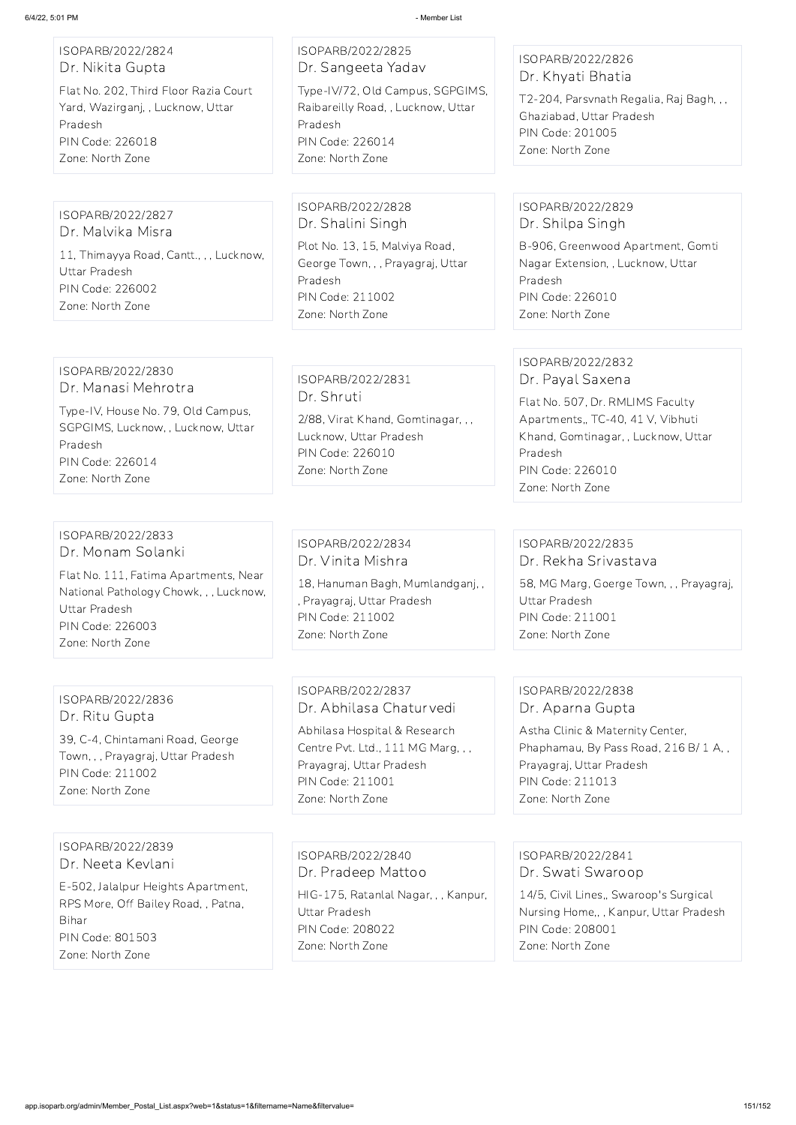# ISOPARB/2022/2824 Dr. Nikita Gupta

Flat No. 202, Third Floor Razia Court Yard, Wazirganj, , Lucknow, Uttar Pradesh PIN Code: 226018 Zone: North Zone

# ISOPARB/2022/2825 Dr. Sangeeta Yadav

Type-IV/72, Old Campus, SGPGIMS, Raibareilly Road, , Lucknow, Uttar Pradesh PIN Code: 226014 Zone: North Zone

# ISOPARB/2022/2826 Dr. Khyati Bhatia

T2-204, Parsvnath Regalia, Raj Bagh, , , Ghaziabad, Uttar Pradesh PIN Code: 201005 Zone: North Zone

# ISOPARB/2022/2827

Dr. Malvika Misra 11, Thimayya Road, Cantt., , , Lucknow, Uttar Pradesh PIN Code: 226002 Zone: North Zone

#### ISOPARB/2022/2828 Dr. Shalini Singh

Plot No. 13, 15, Malviya Road, George Town, , , Prayagraj, Uttar Pradesh PIN Code: 211002 Zone: North Zone

# ISOPARB/2022/2829 Dr. Shilpa Singh

B-906, Greenwood Apartment, Gomti Nagar Extension, , Lucknow, Uttar Pradesh PIN Code: 226010 Zone: North Zone

#### ISOPARB/2022/2830 Dr. Manasi Mehrotra

Type-IV, House No. 79, Old Campus, SGPGIMS, Lucknow, , Lucknow, Uttar Pradesh PIN Code: 226014 Zone: North Zone

# ISOPARB/2022/2831 Dr. Shruti

2/88, Virat Khand, Gomtinagar, , , Lucknow, Uttar Pradesh PIN Code: 226010 Zone: North Zone

# ISOPARB/2022/2832 Dr. Payal Saxena

Flat No. 507, Dr. RMLIMS Faculty Apartments,, TC-40, 41 V, Vibhuti Khand, Gomtinagar, , Lucknow, Uttar Pradesh PIN Code: 226010 Zone: North Zone

### ISOPARB/2022/2833 Dr. Monam Solanki

Flat No. 111, Fatima Apartments, Near National Pathology Chowk, , , Lucknow, Uttar Pradesh PIN Code: 226003 Zone: North Zone

# ISOPARB/2022/2834 Dr. Vinita Mishra

18, Hanuman Bagh, Mumlandganj, , , Prayagraj, Uttar Pradesh PIN Code: 211002 Zone: North Zone

### ISOPARB/2022/2835 Dr. Rekha Srivastava

58, MG Marg, Goerge Town, , , Prayagraj, Uttar Pradesh PIN Code: 211001 Zone: North Zone

# ISOPARB/2022/2836 Dr. Ritu Gupta

39, C-4, Chintamani Road, George Town, , , Prayagraj, Uttar Pradesh PIN Code: 211002 Zone: North Zone

# ISOPARB/2022/2837 Dr. Abhilasa Chaturvedi

Abhilasa Hospital & Research Centre Pvt. Ltd., 111 MG Marg, , , Prayagraj, Uttar Pradesh PIN Code: 211001 Zone: North Zone

# ISOPARB/2022/2838 Dr. Aparna Gupta

Astha Clinic & Maternity Center, Phaphamau, By Pass Road, 216 B/ 1 A, , Prayagraj, Uttar Pradesh PIN Code: 211013 Zone: North Zone

#### ISOPARB/2022/2839

Dr. Neeta Kevlani

E-502, Jalalpur Heights Apartment, RPS More, Off Bailey Road, , Patna, Bihar PIN Code: 801503

Zone: North Zone

ISOPARB/2022/2840 Dr. Pradeep Mattoo

HIG-175, Ratanlal Nagar, , , Kanpur, Uttar Pradesh PIN Code: 208022 Zone: North Zone

ISOPARB/2022/2841 Dr. Swati Swaroop

14/5, Civil Lines,, Swaroop's Surgical Nursing Home,, , Kanpur, Uttar Pradesh PIN Code: 208001

Zone: North Zone